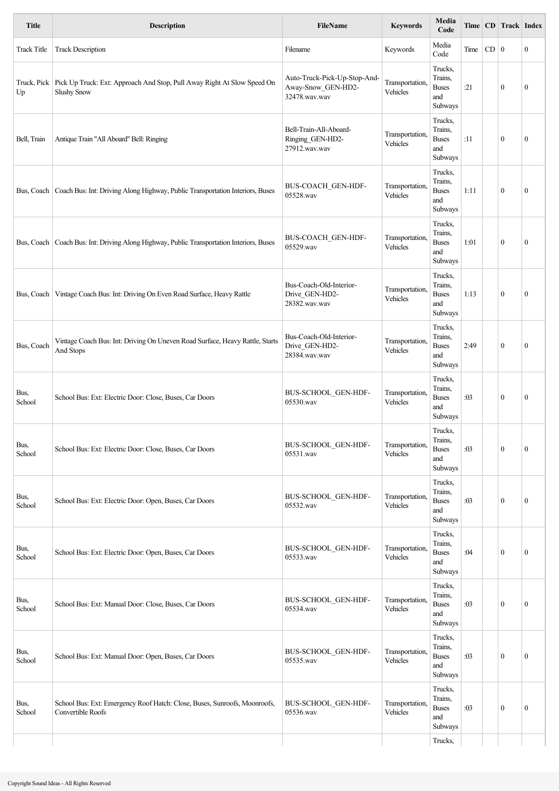| <b>Title</b>       | <b>Description</b>                                                                                          | <b>FileName</b>                                                     | <b>Keywords</b>             | Media<br>Code                                        |      |        | Time   CD   Track   Index |                  |
|--------------------|-------------------------------------------------------------------------------------------------------------|---------------------------------------------------------------------|-----------------------------|------------------------------------------------------|------|--------|---------------------------|------------------|
| <b>Track Title</b> | <b>Track Description</b>                                                                                    | Filename                                                            | Keywords                    | Media<br>Code                                        | Time | $CD$ 0 |                           | $\bf{0}$         |
| Up                 | Truck, Pick   Pick Up Truck: Ext: Approach And Stop, Pull Away Right At Slow Speed On<br><b>Slushy Snow</b> | Auto-Truck-Pick-Up-Stop-And-<br>Away-Snow_GEN-HD2-<br>32478.wav.wav | Transportation,<br>Vehicles | Trucks,<br>Trains,<br><b>Buses</b><br>and<br>Subways | :21  |        | $\bf{0}$                  | $\mathbf{0}$     |
| Bell, Train        | Antique Train "All Aboard" Bell: Ringing                                                                    | Bell-Train-All-Aboard-<br>Ringing_GEN-HD2-<br>27912.wav.wav         | Transportation,<br>Vehicles | Trucks,<br>Trains,<br><b>Buses</b><br>and<br>Subways | :11  |        | $\mathbf{0}$              | $\boldsymbol{0}$ |
|                    | Bus, Coach   Coach Bus: Int: Driving Along Highway, Public Transportation Interiors, Buses                  | BUS-COACH GEN-HDF-<br>05528.wav                                     | Transportation,<br>Vehicles | Trucks,<br>Trains,<br><b>Buses</b><br>and<br>Subways | 1:11 |        | $\mathbf{0}$              | $\boldsymbol{0}$ |
|                    | Bus, Coach   Coach Bus: Int: Driving Along Highway, Public Transportation Interiors, Buses                  | BUS-COACH GEN-HDF-<br>05529.wav                                     | Transportation,<br>Vehicles | Trucks,<br>Trains,<br><b>Buses</b><br>and<br>Subways | 1:01 |        | $\mathbf{0}$              | $\mathbf{0}$     |
|                    | Bus, Coach   Vintage Coach Bus: Int: Driving On Even Road Surface, Heavy Rattle                             | Bus-Coach-Old-Interior-<br>Drive_GEN-HD2-<br>28382.wav.wav          | Transportation,<br>Vehicles | Trucks,<br>Trains,<br><b>Buses</b><br>and<br>Subways | 1:13 |        | $\mathbf{0}$              | $\boldsymbol{0}$ |
| Bus, Coach         | Vintage Coach Bus: Int: Driving On Uneven Road Surface, Heavy Rattle, Starts<br>And Stops                   | Bus-Coach-Old-Interior-<br>Drive_GEN-HD2-<br>28384.wav.wav          | Transportation,<br>Vehicles | Trucks,<br>Trains,<br><b>Buses</b><br>and<br>Subways | 2:49 |        | $\mathbf{0}$              | $\boldsymbol{0}$ |
| Bus,<br>School     | School Bus: Ext: Electric Door: Close, Buses, Car Doors                                                     | BUS-SCHOOL GEN-HDF-<br>05530.wav                                    | Transportation,<br>Vehicles | Trucks,<br>Trains,<br><b>Buses</b><br>and<br>Subways | :03  |        | $\mathbf{0}$              | $\mathbf{0}$     |
| Bus,<br>School     | School Bus: Ext: Electric Door: Close, Buses, Car Doors                                                     | BUS-SCHOOL GEN-HDF-<br>05531.wav                                    | Transportation,<br>Vehicles | Trucks,<br>Trains,<br><b>Buses</b><br>and<br>Subways | :03  |        | $\mathbf{0}$              | $\boldsymbol{0}$ |
| Bus,<br>School     | School Bus: Ext: Electric Door: Open, Buses, Car Doors                                                      | BUS-SCHOOL_GEN-HDF-<br>05532.wav                                    | Transportation,<br>Vehicles | Trucks,<br>Trains,<br><b>Buses</b><br>and<br>Subways | :03  |        | $\mathbf{0}$              | $\boldsymbol{0}$ |
| Bus,<br>School     | School Bus: Ext: Electric Door: Open, Buses, Car Doors                                                      | BUS-SCHOOL_GEN-HDF-<br>05533.wav                                    | Transportation,<br>Vehicles | Trucks,<br>Trains,<br><b>Buses</b><br>and<br>Subways | :04  |        | $\mathbf{0}$              | $\boldsymbol{0}$ |
| Bus,<br>School     | School Bus: Ext: Manual Door: Close, Buses, Car Doors                                                       | BUS-SCHOOL_GEN-HDF-<br>05534.wav                                    | Transportation,<br>Vehicles | Trucks,<br>Trains,<br><b>Buses</b><br>and<br>Subways | :03  |        | $\mathbf{0}$              | $\boldsymbol{0}$ |
| Bus,<br>School     | School Bus: Ext: Manual Door: Open, Buses, Car Doors                                                        | BUS-SCHOOL_GEN-HDF-<br>05535.wav                                    | Transportation,<br>Vehicles | Trucks,<br>Trains,<br><b>Buses</b><br>and<br>Subways | :03  |        | $\boldsymbol{0}$          | $\boldsymbol{0}$ |
| Bus,<br>School     | School Bus: Ext: Emergency Roof Hatch: Close, Buses, Sunroofs, Moonroofs,<br>Convertible Roofs              | BUS-SCHOOL_GEN-HDF-<br>05536.wav                                    | Transportation,<br>Vehicles | Trucks,<br>Trains,<br><b>Buses</b><br>and<br>Subways | :03  |        | $\boldsymbol{0}$          | $\boldsymbol{0}$ |
|                    |                                                                                                             |                                                                     |                             | Trucks,                                              |      |        |                           |                  |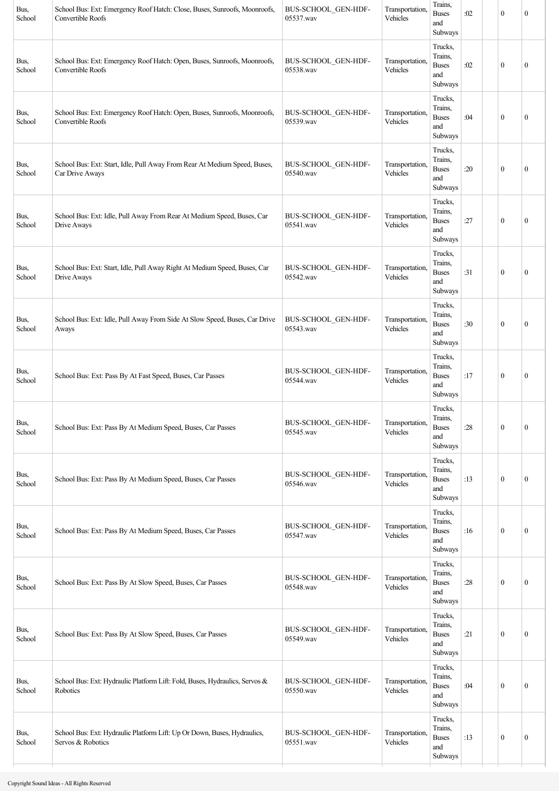| Bus,<br>School | School Bus: Ext: Emergency Roof Hatch: Close, Buses, Sunroofs, Moonroofs,<br>Convertible Roofs | BUS-SCHOOL_GEN-HDF-<br>05537.wav | Transportation,<br>Vehicles | Trains,<br><b>Buses</b><br>and<br>Subways            | :02 | $\mathbf{0}$     | $\mathbf{0}$     |
|----------------|------------------------------------------------------------------------------------------------|----------------------------------|-----------------------------|------------------------------------------------------|-----|------------------|------------------|
| Bus,<br>School | School Bus: Ext: Emergency Roof Hatch: Open, Buses, Sunroofs, Moonroofs,<br>Convertible Roofs  | BUS-SCHOOL_GEN-HDF-<br>05538.wav | Transportation<br>Vehicles  | Trucks,<br>Trains,<br><b>Buses</b><br>and<br>Subways | :02 | $\boldsymbol{0}$ | $\mathbf{0}$     |
| Bus,<br>School | School Bus: Ext: Emergency Roof Hatch: Open, Buses, Sunroofs, Moonroofs,<br>Convertible Roofs  | BUS-SCHOOL_GEN-HDF-<br>05539.wav | Transportation<br>Vehicles  | Trucks,<br>Trains,<br><b>Buses</b><br>and<br>Subways | :04 | $\boldsymbol{0}$ | $\boldsymbol{0}$ |
| Bus,<br>School | School Bus: Ext: Start, Idle, Pull Away From Rear At Medium Speed, Buses,<br>Car Drive Aways   | BUS-SCHOOL_GEN-HDF-<br>05540.wav | Transportation.<br>Vehicles | Trucks,<br>Trains,<br><b>Buses</b><br>and<br>Subways | :20 | $\mathbf{0}$     | $\boldsymbol{0}$ |
| Bus,<br>School | School Bus: Ext: Idle, Pull Away From Rear At Medium Speed, Buses, Car<br>Drive Aways          | BUS-SCHOOL_GEN-HDF-<br>05541.wav | Transportation.<br>Vehicles | Trucks,<br>Trains,<br><b>Buses</b><br>and<br>Subways | :27 | $\mathbf{0}$     | $\mathbf{0}$     |
| Bus,<br>School | School Bus: Ext: Start, Idle, Pull Away Right At Medium Speed, Buses, Car<br>Drive Aways       | BUS-SCHOOL_GEN-HDF-<br>05542.wav | Transportation.<br>Vehicles | Trucks,<br>Trains,<br><b>Buses</b><br>and<br>Subways | :31 | $\boldsymbol{0}$ | $\mathbf{0}$     |
| Bus,<br>School | School Bus: Ext: Idle, Pull Away From Side At Slow Speed, Buses, Car Drive<br>Aways            | BUS-SCHOOL_GEN-HDF-<br>05543.wav | Transportation.<br>Vehicles | Trucks,<br>Trains,<br><b>Buses</b><br>and<br>Subways | :30 | $\mathbf{0}$     | $\mathbf{0}$     |
| Bus,<br>School | School Bus: Ext: Pass By At Fast Speed, Buses, Car Passes                                      | BUS-SCHOOL_GEN-HDF-<br>05544.wav | Transportation<br>Vehicles  | Trucks,<br>Trains,<br><b>Buses</b><br>and<br>Subways | :17 | $\boldsymbol{0}$ | $\mathbf{0}$     |
| Bus,<br>School | School Bus: Ext: Pass By At Medium Speed, Buses, Car Passes                                    | BUS-SCHOOL_GEN-HDF-<br>05545.wav | Transportation,<br>Vehicles | Trucks,<br>Trains,<br><b>Buses</b><br>and<br>Subways | :28 | $\boldsymbol{0}$ | $\mathbf{0}$     |
| Bus,<br>School | School Bus: Ext: Pass By At Medium Speed, Buses, Car Passes                                    | BUS-SCHOOL_GEN-HDF-<br>05546.wav | Transportation,<br>Vehicles | Trucks,<br>Trains,<br><b>Buses</b><br>and<br>Subways | :13 | $\boldsymbol{0}$ | $\boldsymbol{0}$ |
| Bus,<br>School | School Bus: Ext: Pass By At Medium Speed, Buses, Car Passes                                    | BUS-SCHOOL_GEN-HDF-<br>05547.wav | Transportation,<br>Vehicles | Trucks,<br>Trains,<br><b>Buses</b><br>and<br>Subways | :16 | $\boldsymbol{0}$ | $\mathbf{0}$     |
| Bus,<br>School | School Bus: Ext: Pass By At Slow Speed, Buses, Car Passes                                      | BUS-SCHOOL_GEN-HDF-<br>05548.wav | Transportation,<br>Vehicles | Trucks,<br>Trains,<br><b>Buses</b><br>and<br>Subways | :28 | $\boldsymbol{0}$ | $\mathbf{0}$     |
| Bus,<br>School | School Bus: Ext: Pass By At Slow Speed, Buses, Car Passes                                      | BUS-SCHOOL_GEN-HDF-<br>05549.wav | Transportation<br>Vehicles  | Trucks,<br>Trains,<br><b>Buses</b><br>and<br>Subways | :21 | $\boldsymbol{0}$ | $\boldsymbol{0}$ |
| Bus,<br>School | School Bus: Ext: Hydraulic Platform Lift: Fold, Buses, Hydraulics, Servos &<br>Robotics        | BUS-SCHOOL_GEN-HDF-<br>05550.wav | Transportation<br>Vehicles  | Trucks,<br>Trains,<br><b>Buses</b><br>and<br>Subways | :04 | $\boldsymbol{0}$ | $\mathbf{0}$     |
| Bus,<br>School | School Bus: Ext: Hydraulic Platform Lift: Up Or Down, Buses, Hydraulics,<br>Servos & Robotics  | BUS-SCHOOL_GEN-HDF-<br>05551.wav | Transportation<br>Vehicles  | Trucks,<br>Trains,<br><b>Buses</b><br>and<br>Subways | :13 | $\boldsymbol{0}$ | $\boldsymbol{0}$ |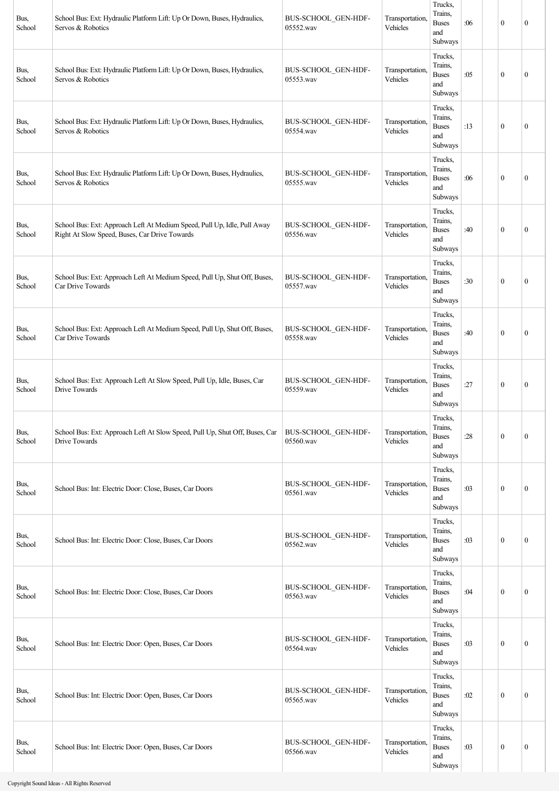| Bus,<br>School | School Bus: Ext: Hydraulic Platform Lift: Up Or Down, Buses, Hydraulics,<br>Servos & Robotics                             | BUS-SCHOOL_GEN-HDF-<br>05552.wav | Transportation,<br>Vehicles | Trucks,<br>Trains,<br><b>Buses</b><br>and<br>Subways | :06 | $\mathbf{0}$     | $\mathbf{0}$     |
|----------------|---------------------------------------------------------------------------------------------------------------------------|----------------------------------|-----------------------------|------------------------------------------------------|-----|------------------|------------------|
| Bus,<br>School | School Bus: Ext: Hydraulic Platform Lift: Up Or Down, Buses, Hydraulics,<br>Servos & Robotics                             | BUS-SCHOOL_GEN-HDF-<br>05553.wav | Transportation,<br>Vehicles | Trucks.<br>Trains,<br><b>Buses</b><br>and<br>Subways | :05 | $\mathbf{0}$     | $\boldsymbol{0}$ |
| Bus,<br>School | School Bus: Ext: Hydraulic Platform Lift: Up Or Down, Buses, Hydraulics,<br>Servos & Robotics                             | BUS-SCHOOL_GEN-HDF-<br>05554.wav | Transportation,<br>Vehicles | Trucks,<br>Trains,<br><b>Buses</b><br>and<br>Subways | :13 | $\mathbf{0}$     | $\mathbf{0}$     |
| Bus,<br>School | School Bus: Ext: Hydraulic Platform Lift: Up Or Down, Buses, Hydraulics,<br>Servos & Robotics                             | BUS-SCHOOL_GEN-HDF-<br>05555.wav | Transportation,<br>Vehicles | Trucks,<br>Trains,<br><b>Buses</b><br>and<br>Subways | :06 | $\mathbf{0}$     | $\boldsymbol{0}$ |
| Bus,<br>School | School Bus: Ext: Approach Left At Medium Speed, Pull Up, Idle, Pull Away<br>Right At Slow Speed, Buses, Car Drive Towards | BUS-SCHOOL_GEN-HDF-<br>05556.wav | Transportation,<br>Vehicles | Trucks,<br>Trains,<br><b>Buses</b><br>and<br>Subways | :40 | $\mathbf{0}$     | $\mathbf{0}$     |
| Bus,<br>School | School Bus: Ext: Approach Left At Medium Speed, Pull Up, Shut Off, Buses,<br>Car Drive Towards                            | BUS-SCHOOL_GEN-HDF-<br>05557.wav | Transportation,<br>Vehicles | Trucks,<br>Trains,<br><b>Buses</b><br>and<br>Subways | :30 | $\mathbf{0}$     | $\mathbf{0}$     |
| Bus,<br>School | School Bus: Ext: Approach Left At Medium Speed, Pull Up, Shut Off, Buses,<br>Car Drive Towards                            | BUS-SCHOOL GEN-HDF-<br>05558.wav | Transportation,<br>Vehicles | Trucks,<br>Trains,<br><b>Buses</b><br>and<br>Subways | :40 | $\mathbf{0}$     | $\mathbf{0}$     |
| Bus,<br>School | School Bus: Ext: Approach Left At Slow Speed, Pull Up, Idle, Buses, Car<br>Drive Towards                                  | BUS-SCHOOL_GEN-HDF-<br>05559.wav | Transportation,<br>Vehicles | Trucks,<br>Trains.<br><b>Buses</b><br>and<br>Subways | :27 | $\mathbf{0}$     | $\mathbf{0}$     |
| Bus,<br>School | School Bus: Ext: Approach Left At Slow Speed, Pull Up, Shut Off, Buses, Car<br>Drive Towards                              | BUS-SCHOOL_GEN-HDF-<br>05560.wav | Transportation,<br>Vehicles | Trucks,<br>Trains,<br><b>Buses</b><br>and<br>Subways | :28 | $\mathbf{0}$     | $\mathbf{0}$     |
| Bus,<br>School | School Bus: Int: Electric Door: Close, Buses, Car Doors                                                                   | BUS-SCHOOL_GEN-HDF-<br>05561.wav | Transportation,<br>Vehicles | Trucks,<br>Trains,<br><b>Buses</b><br>and<br>Subways | :03 | $\mathbf{0}$     | $\mathbf{0}$     |
| Bus,<br>School | School Bus: Int: Electric Door: Close, Buses, Car Doors                                                                   | BUS-SCHOOL_GEN-HDF-<br>05562.wav | Transportation,<br>Vehicles | Trucks,<br>Trains,<br><b>Buses</b><br>and<br>Subways | :03 | $\mathbf{0}$     | $\boldsymbol{0}$ |
| Bus,<br>School | School Bus: Int: Electric Door: Close, Buses, Car Doors                                                                   | BUS-SCHOOL_GEN-HDF-<br>05563.wav | Transportation,<br>Vehicles | Trucks,<br>Trains,<br><b>Buses</b><br>and<br>Subways | :04 | $\mathbf{0}$     | $\boldsymbol{0}$ |
| Bus,<br>School | School Bus: Int: Electric Door: Open, Buses, Car Doors                                                                    | BUS-SCHOOL_GEN-HDF-<br>05564.wav | Transportation,<br>Vehicles | Trucks,<br>Trains,<br><b>Buses</b><br>and<br>Subways | :03 | $\mathbf{0}$     | $\boldsymbol{0}$ |
| Bus,<br>School | School Bus: Int: Electric Door: Open, Buses, Car Doors                                                                    | BUS-SCHOOL_GEN-HDF-<br>05565.wav | Transportation,<br>Vehicles | Trucks,<br>Trains,<br><b>Buses</b><br>and<br>Subways | :02 | $\mathbf{0}$     | $\boldsymbol{0}$ |
| Bus,<br>School | School Bus: Int: Electric Door: Open, Buses, Car Doors                                                                    | BUS-SCHOOL_GEN-HDF-<br>05566.wav | Transportation,<br>Vehicles | Trucks,<br>Trains,<br><b>Buses</b><br>and<br>Subways | :03 | $\boldsymbol{0}$ | $\boldsymbol{0}$ |

- 11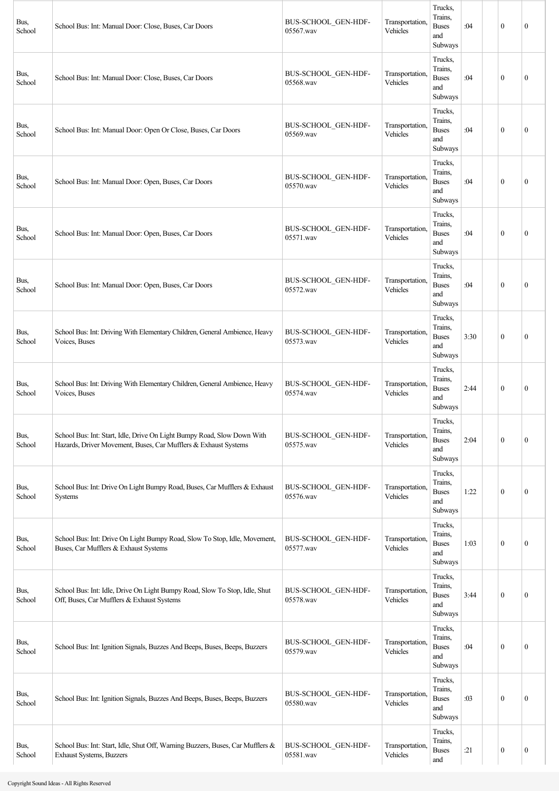| Bus,<br>School | School Bus: Int: Manual Door: Close, Buses, Car Doors                                                                                      | BUS-SCHOOL_GEN-HDF-<br>05567.wav | Transportation,<br>Vehicles | Trucks,<br>Trains,<br><b>Buses</b><br>and<br>Subways | :04  | $\mathbf{0}$ | $\mathbf{0}$     |
|----------------|--------------------------------------------------------------------------------------------------------------------------------------------|----------------------------------|-----------------------------|------------------------------------------------------|------|--------------|------------------|
| Bus,<br>School | School Bus: Int: Manual Door: Close, Buses, Car Doors                                                                                      | BUS-SCHOOL_GEN-HDF-<br>05568.wav | Transportation,<br>Vehicles | Trucks,<br>Trains,<br><b>Buses</b><br>and<br>Subways | :04  | $\mathbf{0}$ | $\theta$         |
| Bus,<br>School | School Bus: Int: Manual Door: Open Or Close, Buses, Car Doors                                                                              | BUS-SCHOOL GEN-HDF-<br>05569.wav | Transportation.<br>Vehicles | Trucks,<br>Trains,<br><b>Buses</b><br>and<br>Subways | :04  | $\mathbf{0}$ | $\mathbf{0}$     |
| Bus,<br>School | School Bus: Int: Manual Door: Open, Buses, Car Doors                                                                                       | BUS-SCHOOL_GEN-HDF-<br>05570.wav | Transportation,<br>Vehicles | Trucks,<br>Trains,<br><b>Buses</b><br>and<br>Subways | :04  | $\mathbf{0}$ | $\mathbf{0}$     |
| Bus,<br>School | School Bus: Int: Manual Door: Open, Buses, Car Doors                                                                                       | BUS-SCHOOL GEN-HDF-<br>05571.wav | Transportation,<br>Vehicles | Trucks,<br>Trains,<br><b>Buses</b><br>and<br>Subways | :04  | $\mathbf{0}$ | $\mathbf{0}$     |
| Bus,<br>School | School Bus: Int: Manual Door: Open, Buses, Car Doors                                                                                       | BUS-SCHOOL GEN-HDF-<br>05572.wav | Transportation,<br>Vehicles | Trucks,<br>Trains,<br><b>Buses</b><br>and<br>Subways | :04  | $\mathbf{0}$ | $\boldsymbol{0}$ |
| Bus,<br>School | School Bus: Int: Driving With Elementary Children, General Ambience, Heavy<br>Voices, Buses                                                | BUS-SCHOOL GEN-HDF-<br>05573.wav | Transportation,<br>Vehicles | Trucks,<br>Trains,<br><b>Buses</b><br>and<br>Subways | 3:30 | $\mathbf{0}$ | $\mathbf{0}$     |
| Bus,<br>School | School Bus: Int: Driving With Elementary Children, General Ambience, Heavy<br>Voices, Buses                                                | BUS-SCHOOL_GEN-HDF-<br>05574.wav | Transportation,<br>Vehicles | Trucks,<br>Trains,<br><b>Buses</b><br>and<br>Subways | 2:44 | $\mathbf{0}$ | $\theta$         |
| Bus,<br>School | School Bus: Int: Start, Idle, Drive On Light Bumpy Road, Slow Down With<br>Hazards, Driver Movement, Buses, Car Mufflers & Exhaust Systems | BUS-SCHOOL_GEN-HDF-<br>05575.wav | Transportation.<br>Vehicles | Trucks,<br>Trains,<br><b>Buses</b><br>and<br>Subways | 2:04 | $\mathbf{0}$ | $\boldsymbol{0}$ |
| Bus,<br>School | School Bus: Int: Drive On Light Bumpy Road, Buses, Car Mufflers & Exhaust<br>Systems                                                       | BUS-SCHOOL_GEN-HDF-<br>05576.wav | Transportation,<br>Vehicles | Trucks,<br>Trains,<br><b>Buses</b><br>and<br>Subways | 1:22 | $\mathbf{0}$ | $\boldsymbol{0}$ |
| Bus,<br>School | School Bus: Int: Drive On Light Bumpy Road, Slow To Stop, Idle, Movement,<br>Buses, Car Mufflers & Exhaust Systems                         | BUS-SCHOOL_GEN-HDF-<br>05577.wav | Transportation,<br>Vehicles | Trucks,<br>Trains,<br><b>Buses</b><br>and<br>Subways | 1:03 | $\mathbf{0}$ | $\boldsymbol{0}$ |
| Bus,<br>School | School Bus: Int: Idle, Drive On Light Bumpy Road, Slow To Stop, Idle, Shut<br>Off, Buses, Car Mufflers & Exhaust Systems                   | BUS-SCHOOL GEN-HDF-<br>05578.wav | Transportation,<br>Vehicles | Trucks,<br>Trains,<br><b>Buses</b><br>and<br>Subways | 3:44 | $\mathbf{0}$ | $\boldsymbol{0}$ |
| Bus,<br>School | School Bus: Int: Ignition Signals, Buzzes And Beeps, Buses, Beeps, Buzzers                                                                 | BUS-SCHOOL GEN-HDF-<br>05579.wav | Transportation,<br>Vehicles | Trucks,<br>Trains,<br><b>Buses</b><br>and<br>Subways | :04  | $\mathbf{0}$ | $\boldsymbol{0}$ |
| Bus,<br>School | School Bus: Int: Ignition Signals, Buzzes And Beeps, Buses, Beeps, Buzzers                                                                 | BUS-SCHOOL_GEN-HDF-<br>05580.wav | Transportation,<br>Vehicles | Trucks,<br>Trains,<br><b>Buses</b><br>and<br>Subways | :03  | $\mathbf{0}$ | $\mathbf{0}$     |
| Bus,<br>School | School Bus: Int: Start, Idle, Shut Off, Warning Buzzers, Buses, Car Mufflers &<br>Exhaust Systems, Buzzers                                 | BUS-SCHOOL_GEN-HDF-<br>05581.wav | Transportation,<br>Vehicles | Trucks,<br>Trains,<br><b>Buses</b><br>and            | :21  | $\bf{0}$     | $\boldsymbol{0}$ |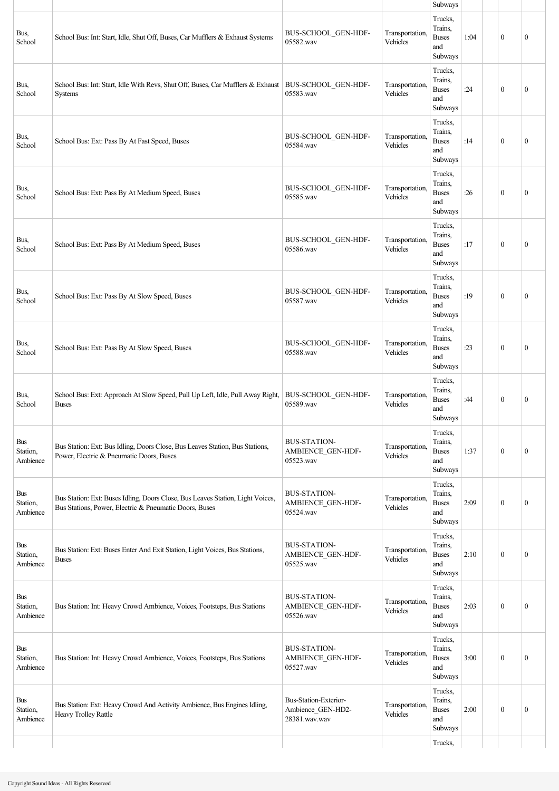|                                        |                                                                                                                                          |                                                             |                             | Subways                                                         |      |                  |                  |
|----------------------------------------|------------------------------------------------------------------------------------------------------------------------------------------|-------------------------------------------------------------|-----------------------------|-----------------------------------------------------------------|------|------------------|------------------|
| Bus,<br>School                         | School Bus: Int: Start, Idle, Shut Off, Buses, Car Mufflers & Exhaust Systems                                                            | BUS-SCHOOL_GEN-HDF-<br>05582.wav                            | Transportation,<br>Vehicles | Trucks,<br>Trains,<br><b>Buses</b><br>and<br>Subways<br>Trucks, | 1:04 | $\mathbf{0}$     | $\mathbf{0}$     |
| Bus,<br>School                         | School Bus: Int: Start, Idle With Revs, Shut Off, Buses, Car Mufflers & Exhaust<br>Systems                                               | BUS-SCHOOL_GEN-HDF-<br>05583.wav                            | Transportation,<br>Vehicles | Trains,<br><b>Buses</b><br>and<br>Subways                       | :24  | $\mathbf{0}$     | $\boldsymbol{0}$ |
| Bus,<br>School                         | School Bus: Ext: Pass By At Fast Speed, Buses                                                                                            | BUS-SCHOOL GEN-HDF-<br>05584.wav                            | Transportation,<br>Vehicles | Trucks,<br>Trains,<br><b>Buses</b><br>and<br>Subways            | :14  | $\mathbf{0}$     | $\mathbf{0}$     |
| Bus,<br>School                         | School Bus: Ext: Pass By At Medium Speed, Buses                                                                                          | BUS-SCHOOL GEN-HDF-<br>05585.wav                            | Transportation,<br>Vehicles | Trucks,<br>Trains,<br><b>Buses</b><br>and<br>Subways            | :26  | $\mathbf{0}$     | $\mathbf{0}$     |
| Bus,<br>School                         | School Bus: Ext: Pass By At Medium Speed, Buses                                                                                          | BUS-SCHOOL GEN-HDF-<br>05586.wav                            | Transportation,<br>Vehicles | Trucks,<br>Trains,<br><b>Buses</b><br>and<br>Subways            | :17  | $\mathbf{0}$     | $\mathbf{0}$     |
| Bus,<br>School                         | School Bus: Ext: Pass By At Slow Speed, Buses                                                                                            | BUS-SCHOOL GEN-HDF-<br>05587.wav                            | Transportation,<br>Vehicles | Trucks,<br>Trains,<br><b>Buses</b><br>and<br>Subways            | :19  | $\mathbf{0}$     | $\boldsymbol{0}$ |
| Bus,<br>School                         | School Bus: Ext: Pass By At Slow Speed, Buses                                                                                            | BUS-SCHOOL GEN-HDF-<br>05588.wav                            | Transportation,<br>Vehicles | Trucks,<br>Trains,<br><b>Buses</b><br>and<br>Subways            | :23  | $\theta$         | $\mathbf{0}$     |
| Bus,<br>School                         | School Bus: Ext: Approach At Slow Speed, Pull Up Left, Idle, Pull Away Right,<br><b>Buses</b>                                            | BUS-SCHOOL GEN-HDF-<br>05589.wav                            | Transportation,<br>Vehicles | Trucks,<br>Trains,<br><b>Buses</b><br>and<br>Subways            | :44  | $\mathbf{0}$     | $\boldsymbol{0}$ |
| <b>Bus</b><br>Station,<br>Ambience     | Bus Station: Ext: Bus Idling, Doors Close, Bus Leaves Station, Bus Stations,<br>Power, Electric & Pneumatic Doors, Buses                 | <b>BUS-STATION-</b><br>AMBIENCE_GEN-HDF-<br>05523.wav       | Transportation,<br>Vehicles | Trucks,<br>Trains,<br><b>Buses</b><br>and<br>Subways            | 1:37 | $\boldsymbol{0}$ | $\boldsymbol{0}$ |
| <b>Bus</b><br>Station,<br>Ambience     | Bus Station: Ext: Buses Idling, Doors Close, Bus Leaves Station, Light Voices,<br>Bus Stations, Power, Electric & Pneumatic Doors, Buses | <b>BUS-STATION-</b><br>AMBIENCE_GEN-HDF-<br>05524.wav       | Transportation,<br>Vehicles | Trucks,<br>Trains,<br><b>Buses</b><br>and<br>Subways            | 2:09 | $\mathbf{0}$     | $\boldsymbol{0}$ |
| $\mathbf{Bus}$<br>Station,<br>Ambience | Bus Station: Ext: Buses Enter And Exit Station, Light Voices, Bus Stations,<br><b>Buses</b>                                              | <b>BUS-STATION-</b><br>AMBIENCE_GEN-HDF-<br>05525.wav       | Transportation,<br>Vehicles | Trucks,<br>Trains,<br><b>Buses</b><br>and<br>Subways            | 2:10 | $\mathbf{0}$     | $\mathbf{0}$     |
| <b>Bus</b><br>Station,<br>Ambience     | Bus Station: Int: Heavy Crowd Ambience, Voices, Footsteps, Bus Stations                                                                  | <b>BUS-STATION-</b><br>AMBIENCE_GEN-HDF-<br>05526.wav       | Transportation,<br>Vehicles | Trucks,<br>Trains,<br><b>Buses</b><br>and<br>Subways            | 2:03 | $\mathbf{0}$     | $\boldsymbol{0}$ |
| <b>Bus</b><br>Station,<br>Ambience     | Bus Station: Int: Heavy Crowd Ambience, Voices, Footsteps, Bus Stations                                                                  | <b>BUS-STATION-</b><br>AMBIENCE_GEN-HDF-<br>05527.wav       | Transportation,<br>Vehicles | Trucks,<br>Trains,<br><b>Buses</b><br>and<br>Subways            | 3:00 | $\mathbf{0}$     | $\boldsymbol{0}$ |
| Bus<br>Station,<br>Ambience            | Bus Station: Ext: Heavy Crowd And Activity Ambience, Bus Engines Idling,<br>Heavy Trolley Rattle                                         | Bus-Station-Exterior-<br>Ambience GEN-HD2-<br>28381.wav.wav | Transportation,<br>Vehicles | Trucks,<br>Trains,<br><b>Buses</b><br>and<br>Subways            | 2:00 | $\mathbf{0}$     | $\boldsymbol{0}$ |
|                                        |                                                                                                                                          |                                                             |                             | Trucks,                                                         |      |                  |                  |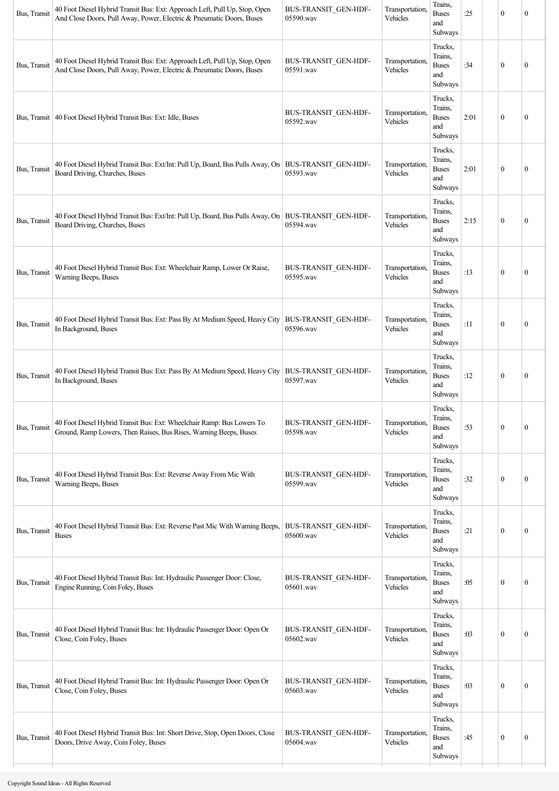| Bus, Transit | 40 Foot Diesel Hybrid Transit Bus: Ext: Approach Left, Pull Up, Stop, Open<br>And Close Doors, Pull Away, Power, Electric & Pneumatic Doors, Buses | BUS-TRANSIT GEN-HDF-<br>05590.wav | Transportation,<br>Vehicles | Trains,<br><b>Buses</b><br>and<br>Subways            | :25  | $\mathbf{0}$     | $\theta$         |
|--------------|----------------------------------------------------------------------------------------------------------------------------------------------------|-----------------------------------|-----------------------------|------------------------------------------------------|------|------------------|------------------|
| Bus, Transit | 40 Foot Diesel Hybrid Transit Bus: Ext: Approach Left, Pull Up, Stop, Open<br>And Close Doors, Pull Away, Power, Electric & Pneumatic Doors, Buses | BUS-TRANSIT GEN-HDF-<br>05591.wav | Transportation<br>Vehicles  | Trucks,<br>Trains,<br><b>Buses</b><br>and<br>Subways | :34  | $\mathbf{0}$     | $\theta$         |
|              | Bus, Transit   40 Foot Diesel Hybrid Transit Bus: Ext: Idle, Buses                                                                                 | BUS-TRANSIT_GEN-HDF-<br>05592.wav | Transportation,<br>Vehicles | Trucks,<br>Trains,<br><b>Buses</b><br>and<br>Subways | 2:01 | $\mathbf{0}$     | $\boldsymbol{0}$ |
| Bus, Transit | 40 Foot Diesel Hybrid Transit Bus: Ext/Int: Pull Up, Board, Bus Pulls Away, On<br>Board Driving, Churches, Buses                                   | BUS-TRANSIT GEN-HDF-<br>05593.wav | Transportation,<br>Vehicles | Trucks,<br>Trains,<br><b>Buses</b><br>and<br>Subways | 2:01 | $\mathbf{0}$     | $\mathbf{0}$     |
| Bus, Transit | 40 Foot Diesel Hybrid Transit Bus: Ext/Int: Pull Up, Board, Bus Pulls Away, On<br>Board Driving, Churches, Buses                                   | BUS-TRANSIT GEN-HDF-<br>05594.wav | Transportation,<br>Vehicles | Trucks,<br>Trains,<br><b>Buses</b><br>and<br>Subways | 2:15 | $\mathbf{0}$     | $\theta$         |
| Bus, Transit | 40 Foot Diesel Hybrid Transit Bus: Ext: Wheelchair Ramp, Lower Or Raise,<br>Warning Beeps, Buses                                                   | BUS-TRANSIT_GEN-HDF-<br>05595.wav | Transportation,<br>Vehicles | Trucks,<br>Trains,<br><b>Buses</b><br>and<br>Subways | :13  | $\mathbf{0}$     | $\mathbf{0}$     |
| Bus, Transit | 40 Foot Diesel Hybrid Transit Bus: Ext: Pass By At Medium Speed, Heavy City<br>In Background, Buses                                                | BUS-TRANSIT GEN-HDF-<br>05596.wav | Transportation<br>Vehicles  | Trucks,<br>Trains,<br><b>Buses</b><br>and<br>Subways | :11  | $\theta$         | $\theta$         |
| Bus, Transit | 40 Foot Diesel Hybrid Transit Bus: Ext: Pass By At Medium Speed, Heavy City<br>In Background, Buses                                                | BUS-TRANSIT_GEN-HDF-<br>05597.wav | Transportation,<br>Vehicles | Trucks,<br>Trains,<br><b>Buses</b><br>and<br>Subways | :12  | $\mathbf{0}$     | $\boldsymbol{0}$ |
| Bus, Transit | 40 Foot Diesel Hybrid Transit Bus: Ext: Wheelchair Ramp: Bus Lowers To<br>Ground, Ramp Lowers, Then Raises, Bus Rises, Warning Beeps, Buses        | BUS-TRANSIT_GEN-HDF-<br>05598.wav | Transportation,<br>Vehicles | Trucks,<br>Trains,<br><b>Buses</b><br>and<br>Subways | :53  | $\boldsymbol{0}$ | $\boldsymbol{0}$ |
| Bus, Transit | 40 Foot Diesel Hybrid Transit Bus: Ext: Reverse Away From Mic With<br>Warning Beeps, Buses                                                         | BUS-TRANSIT GEN-HDF-<br>05599.wav | Transportation,<br>Vehicles | Trucks,<br>Trains,<br><b>Buses</b><br>and<br>Subways | :32  | $\boldsymbol{0}$ | $\boldsymbol{0}$ |
| Bus, Transit | 40 Foot Diesel Hybrid Transit Bus: Ext: Reverse Past Mic With Warning Beeps,<br><b>Buses</b>                                                       | BUS-TRANSIT GEN-HDF-<br>05600.wav | Transportation<br>Vehicles  | Trucks,<br>Trains,<br><b>Buses</b><br>and<br>Subways | :21  | $\mathbf{0}$     | $\boldsymbol{0}$ |
| Bus, Transit | 40 Foot Diesel Hybrid Transit Bus: Int: Hydraulic Passenger Door: Close,<br>Engine Running, Coin Foley, Buses                                      | BUS-TRANSIT_GEN-HDF-<br>05601.wav | Transportation<br>Vehicles  | Trucks,<br>Trains,<br><b>Buses</b><br>and<br>Subways | :05  | $\mathbf{0}$     | $\mathbf{0}$     |
| Bus, Transit | 40 Foot Diesel Hybrid Transit Bus: Int: Hydraulic Passenger Door: Open Or<br>Close, Coin Foley, Buses                                              | BUS-TRANSIT GEN-HDF-<br>05602.wav | Transportation<br>Vehicles  | Trucks,<br>Trains,<br><b>Buses</b><br>and<br>Subways | :03  | $\mathbf{0}$     | $\boldsymbol{0}$ |
| Bus, Transit | 40 Foot Diesel Hybrid Transit Bus: Int: Hydraulic Passenger Door: Open Or<br>Close, Coin Foley, Buses                                              | BUS-TRANSIT_GEN-HDF-<br>05603.wav | Transportation<br>Vehicles  | Trucks,<br>Trains,<br><b>Buses</b><br>and<br>Subways | :03  | $\mathbf{0}$     | $\boldsymbol{0}$ |
| Bus, Transit | 40 Foot Diesel Hybrid Transit Bus: Int: Short Drive, Stop, Open Doors, Close<br>Doors, Drive Away, Coin Foley, Buses                               | BUS-TRANSIT GEN-HDF-<br>05604.wav | Transportation,<br>Vehicles | Trucks,<br>Trains,<br><b>Buses</b><br>and<br>Subways | :45  | $\mathbf{0}$     | $\boldsymbol{0}$ |
|              |                                                                                                                                                    |                                   |                             |                                                      |      |                  |                  |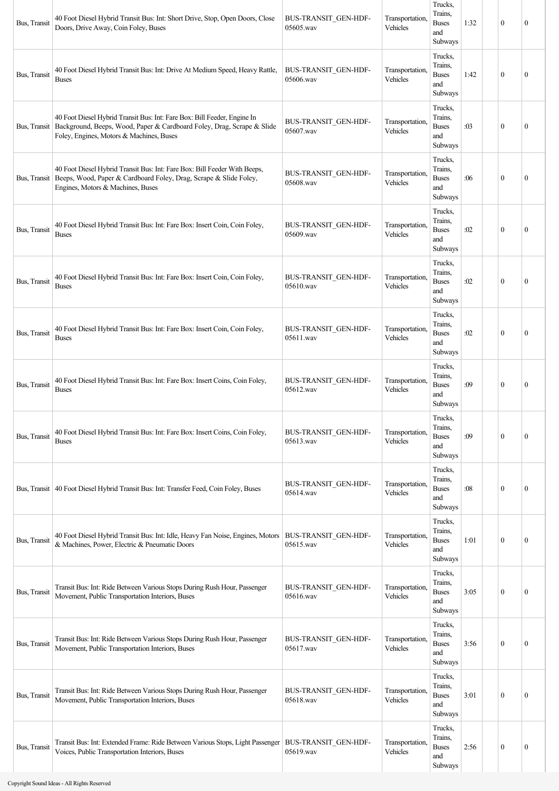| Bus, Transit | 40 Foot Diesel Hybrid Transit Bus: Int: Short Drive, Stop, Open Doors, Close<br>Doors, Drive Away, Coin Foley, Buses                                                                                          | BUS-TRANSIT GEN-HDF-<br>05605.wav        | Transportation,<br>Vehicles | Trucks,<br>Trains.<br><b>Buses</b><br>and<br>Subways | 1:32 | $\mathbf{0}$     | $\mathbf{0}$     |
|--------------|---------------------------------------------------------------------------------------------------------------------------------------------------------------------------------------------------------------|------------------------------------------|-----------------------------|------------------------------------------------------|------|------------------|------------------|
| Bus, Transit | 40 Foot Diesel Hybrid Transit Bus: Int: Drive At Medium Speed, Heavy Rattle,<br><b>Buses</b>                                                                                                                  | BUS-TRANSIT GEN-HDF-<br>05606.wav        | Transportation.<br>Vehicles | Trucks,<br>Trains.<br><b>Buses</b><br>and<br>Subways | 1:42 | $\mathbf{0}$     | $\mathbf{0}$     |
|              | 40 Foot Diesel Hybrid Transit Bus: Int: Fare Box: Bill Feeder, Engine In<br>Bus, Transit   Background, Beeps, Wood, Paper & Cardboard Foley, Drag, Scrape & Slide<br>Foley, Engines, Motors & Machines, Buses | BUS-TRANSIT GEN-HDF-<br>05607.wav        | Transportation,<br>Vehicles | Trucks,<br>Trains,<br><b>Buses</b><br>and<br>Subways | :03  | $\theta$         | $\mathbf{0}$     |
|              | 40 Foot Diesel Hybrid Transit Bus: Int: Fare Box: Bill Feeder With Beeps,<br>Bus, Transit   Beeps, Wood, Paper & Cardboard Foley, Drag, Scrape & Slide Foley,<br>Engines, Motors & Machines, Buses            | BUS-TRANSIT_GEN-HDF-<br>05608.wav        | Transportation,<br>Vehicles | Trucks,<br>Trains,<br><b>Buses</b><br>and<br>Subways | :06  | $\mathbf{0}$     | $\mathbf{0}$     |
| Bus, Transit | 40 Foot Diesel Hybrid Transit Bus: Int: Fare Box: Insert Coin, Coin Foley,<br><b>Buses</b>                                                                                                                    | BUS-TRANSIT GEN-HDF-<br>05609.wav        | Transportation,<br>Vehicles | Trucks,<br>Trains,<br><b>Buses</b><br>and<br>Subways | :02  | $\mathbf{0}$     | $\mathbf{0}$     |
| Bus, Transit | 40 Foot Diesel Hybrid Transit Bus: Int: Fare Box: Insert Coin, Coin Foley,<br><b>Buses</b>                                                                                                                    | BUS-TRANSIT GEN-HDF-<br>05610.wav        | Transportation,<br>Vehicles | Trucks,<br>Trains,<br><b>Buses</b><br>and<br>Subways | :02  | $\theta$         | $\mathbf{0}$     |
| Bus, Transit | 40 Foot Diesel Hybrid Transit Bus: Int: Fare Box: Insert Coin, Coin Foley,<br><b>Buses</b>                                                                                                                    | BUS-TRANSIT GEN-HDF-<br>05611.wav        | Transportation,<br>Vehicles | Trucks,<br>Trains,<br><b>Buses</b><br>and<br>Subways | :02  | $\mathbf{0}$     | $\mathbf{0}$     |
| Bus, Transit | 40 Foot Diesel Hybrid Transit Bus: Int: Fare Box: Insert Coins, Coin Foley,<br><b>Buses</b>                                                                                                                   | BUS-TRANSIT GEN-HDF-<br>05612.wav        | Transportation,<br>Vehicles | Trucks,<br>Trains.<br><b>Buses</b><br>and<br>Subways | :09  | $\mathbf{0}$     | $\mathbf{0}$     |
| Bus, Transit | 40 Foot Diesel Hybrid Transit Bus: Int: Fare Box: Insert Coins, Coin Foley,<br><b>Buses</b>                                                                                                                   | BUS-TRANSIT GEN-HDF-<br>05613.wav        | Transportation,<br>Vehicles | Trucks,<br>Trains,<br><b>Buses</b><br>and<br>Subways | :09  | $\mathbf{0}$     | $\mathbf{0}$     |
|              | Bus, Transit   40 Foot Diesel Hybrid Transit Bus: Int: Transfer Feed, Coin Foley, Buses                                                                                                                       | BUS-TRANSIT_GEN-HDF-<br>05614.wav        | Transportation,<br>Vehicles | Trucks,<br>Trains,<br><b>Buses</b><br>and<br>Subways | :08  | $\mathbf{0}$     | $\boldsymbol{0}$ |
| Bus, Transit | 40 Foot Diesel Hybrid Transit Bus: Int: Idle, Heavy Fan Noise, Engines, Motors<br>& Machines, Power, Electric & Pneumatic Doors                                                                               | <b>BUS-TRANSIT_GEN-HDF-</b><br>05615.wav | Transportation,<br>Vehicles | Trucks,<br>Trains,<br><b>Buses</b><br>and<br>Subways | 1:01 | $\mathbf{0}$     | $\boldsymbol{0}$ |
| Bus, Transit | Transit Bus: Int: Ride Between Various Stops During Rush Hour, Passenger<br>Movement, Public Transportation Interiors, Buses                                                                                  | BUS-TRANSIT_GEN-HDF-<br>05616.wav        | Transportation,<br>Vehicles | Trucks,<br>Trains,<br><b>Buses</b><br>and<br>Subways | 3:05 | $\mathbf{0}$     | $\boldsymbol{0}$ |
| Bus, Transit | Transit Bus: Int: Ride Between Various Stops During Rush Hour, Passenger<br>Movement, Public Transportation Interiors, Buses                                                                                  | BUS-TRANSIT_GEN-HDF-<br>05617.wav        | Transportation,<br>Vehicles | Trucks,<br>Trains,<br><b>Buses</b><br>and<br>Subways | 3:56 | $\mathbf{0}$     | $\boldsymbol{0}$ |
| Bus, Transit | Transit Bus: Int: Ride Between Various Stops During Rush Hour, Passenger<br>Movement, Public Transportation Interiors, Buses                                                                                  | BUS-TRANSIT_GEN-HDF-<br>05618.wav        | Transportation,<br>Vehicles | Trucks,<br>Trains,<br><b>Buses</b><br>and<br>Subways | 3:01 | $\mathbf{0}$     | $\mathbf{0}$     |
| Bus, Transit | Transit Bus: Int: Extended Frame: Ride Between Various Stops, Light Passenger<br>Voices, Public Transportation Interiors, Buses                                                                               | BUS-TRANSIT_GEN-HDF-<br>05619.wav        | Transportation,<br>Vehicles | Trucks,<br>Trains,<br><b>Buses</b><br>and<br>Subways | 2:56 | $\boldsymbol{0}$ | $\boldsymbol{0}$ |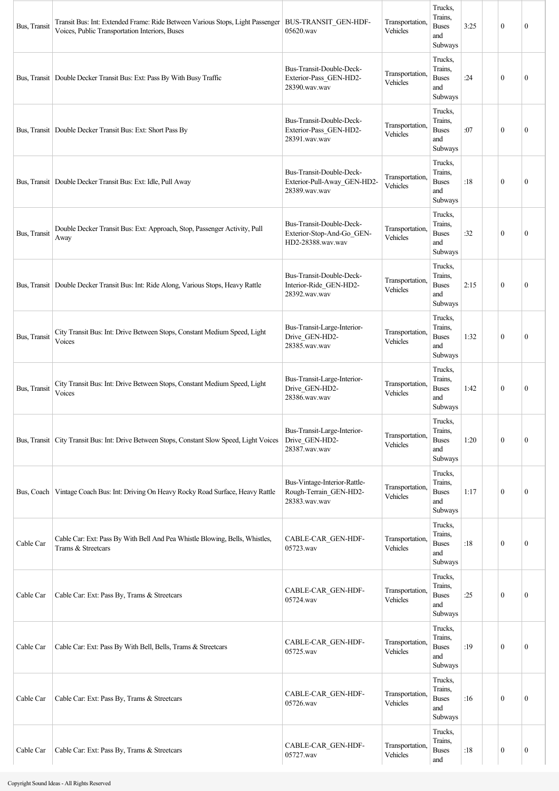| Bus, Transit | Transit Bus: Int: Extended Frame: Ride Between Various Stops, Light Passenger   BUS-TRANSIT GEN-HDF-<br>Voices, Public Transportation Interiors, Buses | 05620.wav                                                                  | Transportation<br>Vehicles  | Trucks,<br>Trains,<br><b>Buses</b><br>and<br>Subways | 3:25 | $\mathbf{0}$     | $\mathbf{0}$     |
|--------------|--------------------------------------------------------------------------------------------------------------------------------------------------------|----------------------------------------------------------------------------|-----------------------------|------------------------------------------------------|------|------------------|------------------|
|              | Bus, Transit   Double Decker Transit Bus: Ext: Pass By With Busy Traffic                                                                               | Bus-Transit-Double-Deck-<br>Exterior-Pass GEN-HD2-<br>28390.wav.wav        | Transportation.<br>Vehicles | Trucks.<br>Trains,<br><b>Buses</b><br>and<br>Subways | :24  | $\mathbf{0}$     | $\theta$         |
|              | Bus, Transit   Double Decker Transit Bus: Ext: Short Pass By                                                                                           | Bus-Transit-Double-Deck-<br>Exterior-Pass GEN-HD2-<br>28391.wav.wav        | Transportation<br>Vehicles  | Trucks,<br>Trains,<br><b>Buses</b><br>and<br>Subways | :07  | $\mathbf{0}$     | $\mathbf{0}$     |
|              | Bus, Transit   Double Decker Transit Bus: Ext: Idle, Pull Away                                                                                         | Bus-Transit-Double-Deck-<br>Exterior-Pull-Away_GEN-HD2-<br>28389.wav.wav   | Transportation<br>Vehicles  | Trucks,<br>Trains,<br><b>Buses</b><br>and<br>Subways | :18  | $\mathbf{0}$     | $\boldsymbol{0}$ |
| Bus, Transit | Double Decker Transit Bus: Ext: Approach, Stop, Passenger Activity, Pull<br>Away                                                                       | Bus-Transit-Double-Deck-<br>Exterior-Stop-And-Go GEN-<br>HD2-28388.wav.wav | Transportation,<br>Vehicles | Trucks,<br>Trains,<br><b>Buses</b><br>and<br>Subways | :32  | $\mathbf{0}$     | $\mathbf{0}$     |
|              | Bus, Transit   Double Decker Transit Bus: Int: Ride Along, Various Stops, Heavy Rattle                                                                 | Bus-Transit-Double-Deck-<br>Interior-Ride_GEN-HD2-<br>28392.wav.wav        | Transportation.<br>Vehicles | Trucks,<br>Trains,<br><b>Buses</b><br>and<br>Subways | 2:15 | $\mathbf{0}$     | $\theta$         |
| Bus, Transit | City Transit Bus: Int: Drive Between Stops, Constant Medium Speed, Light<br>Voices                                                                     | Bus-Transit-Large-Interior-<br>Drive_GEN-HD2-<br>28385.wav.wav             | Transportation,<br>Vehicles | Trucks,<br>Trains,<br><b>Buses</b><br>and<br>Subways | 1:32 | $\mathbf{0}$     | $\mathbf{0}$     |
| Bus, Transit | City Transit Bus: Int: Drive Between Stops, Constant Medium Speed, Light<br>Voices                                                                     | Bus-Transit-Large-Interior-<br>Drive GEN-HD2-<br>28386.wav.wav             | Transportation.<br>Vehicles | Trucks,<br>Trains,<br><b>Buses</b><br>and<br>Subways | 1:42 | $\theta$         | $\mathbf{0}$     |
|              | Bus, Transit   City Transit Bus: Int: Drive Between Stops, Constant Slow Speed, Light Voices                                                           | Bus-Transit-Large-Interior-<br>Drive_GEN-HD2-<br>28387.wav.wav             | Transportation,<br>Vehicles | Trucks,<br>Trains,<br><b>Buses</b><br>and<br>Subways | 1:20 | $\mathbf{0}$     | $\boldsymbol{0}$ |
| Bus, Coach   | Vintage Coach Bus: Int: Driving On Heavy Rocky Road Surface, Heavy Rattle                                                                              | Bus-Vintage-Interior-Rattle-<br>Rough-Terrain_GEN-HD2-<br>28383.wav.wav    | Transportation<br>Vehicles  | Trucks,<br>Trains,<br><b>Buses</b><br>and<br>Subways | 1:17 | $\mathbf{0}$     | $\boldsymbol{0}$ |
| Cable Car    | Cable Car: Ext: Pass By With Bell And Pea Whistle Blowing, Bells, Whistles,<br>Trams & Streetcars                                                      | CABLE-CAR GEN-HDF-<br>05723.wav                                            | Transportation,<br>Vehicles | Trucks,<br>Trains,<br><b>Buses</b><br>and<br>Subways | :18  | $\boldsymbol{0}$ | $\boldsymbol{0}$ |
| Cable Car    | Cable Car: Ext: Pass By, Trams & Streetcars                                                                                                            | CABLE-CAR_GEN-HDF-<br>05724.wav                                            | Transportation.<br>Vehicles | Trucks,<br>Trains,<br><b>Buses</b><br>and<br>Subways | :25  | $\boldsymbol{0}$ | $\boldsymbol{0}$ |
| Cable Car    | Cable Car: Ext: Pass By With Bell, Bells, Trams & Streetcars                                                                                           | CABLE-CAR_GEN-HDF-<br>05725.wav                                            | Transportation<br>Vehicles  | Trucks,<br>Trains,<br><b>Buses</b><br>and<br>Subways | :19  | $\mathbf{0}$     | $\boldsymbol{0}$ |
| Cable Car    | Cable Car: Ext: Pass By, Trams & Streetcars                                                                                                            | CABLE-CAR_GEN-HDF-<br>05726.wav                                            | Transportation<br>Vehicles  | Trucks,<br>Trains,<br><b>Buses</b><br>and<br>Subways | :16  | $\boldsymbol{0}$ | $\boldsymbol{0}$ |
| Cable Car    | Cable Car: Ext: Pass By, Trams & Streetcars                                                                                                            | CABLE-CAR_GEN-HDF-<br>05727.wav                                            | Transportation<br>Vehicles  | Trucks,<br>Trains,<br><b>Buses</b><br>and            | :18  | $\boldsymbol{0}$ | $\boldsymbol{0}$ |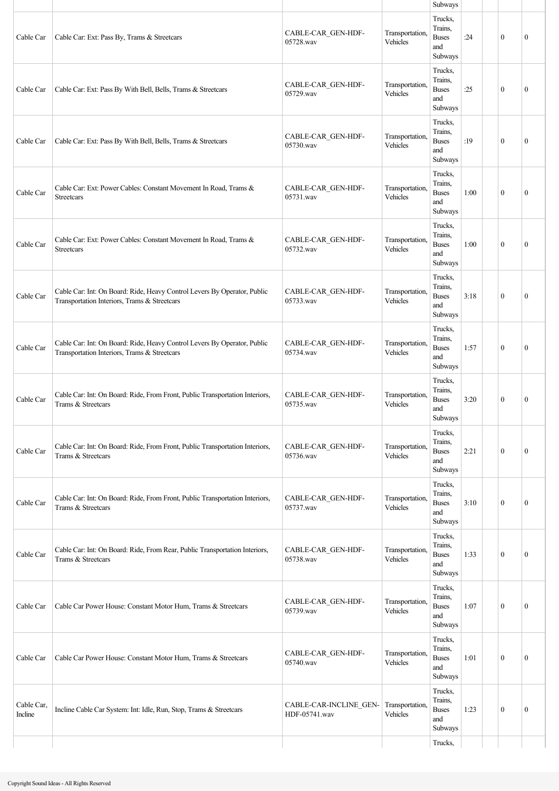|                       |                                                                                                                          |                                         |                             | Subways                                                     |      |              |                  |
|-----------------------|--------------------------------------------------------------------------------------------------------------------------|-----------------------------------------|-----------------------------|-------------------------------------------------------------|------|--------------|------------------|
| Cable Car             | Cable Car: Ext: Pass By, Trams & Streetcars                                                                              | CABLE-CAR_GEN-HDF-<br>05728.wav         | Transportation,<br>Vehicles | Trucks,<br>Trains,<br><b>Buses</b><br>and<br>Subways        | :24  | $\mathbf{0}$ | $\mathbf{0}$     |
| Cable Car             | Cable Car: Ext: Pass By With Bell, Bells, Trams & Streetcars                                                             | CABLE-CAR_GEN-HDF-<br>05729.wav         | Transportation,<br>Vehicles | Trucks,<br>Trains,<br><b>Buses</b><br>and<br>Subways        | :25  | $\mathbf{0}$ | $\mathbf{0}$     |
| Cable Car             | Cable Car: Ext: Pass By With Bell, Bells, Trams & Streetcars                                                             | CABLE-CAR_GEN-HDF-<br>05730.wav         | Transportation,<br>Vehicles | Trucks,<br>Trains,<br><b>Buses</b><br>and<br>Subways        | :19  | $\theta$     | $\mathbf{0}$     |
| Cable Car             | Cable Car: Ext: Power Cables: Constant Movement In Road, Trams &<br>Streetcars                                           | CABLE-CAR_GEN-HDF-<br>05731.wav         | Transportation,<br>Vehicles | Trucks,<br>Trains,<br><b>Buses</b><br>and<br>Subways        | 1:00 | $\mathbf{0}$ | $\mathbf{0}$     |
| Cable Car             | Cable Car: Ext: Power Cables: Constant Movement In Road, Trams &<br>Streetcars                                           | CABLE-CAR GEN-HDF-<br>05732.wav         | Transportation.<br>Vehicles | Trucks,<br>Trains.<br><b>Buses</b><br>and<br>Subways        | 1:00 | $\mathbf{0}$ | $\mathbf{0}$     |
| Cable Car             | Cable Car: Int: On Board: Ride, Heavy Control Levers By Operator, Public<br>Transportation Interiors, Trams & Streetcars | CABLE-CAR_GEN-HDF-<br>05733.wav         | Transportation,<br>Vehicles | Trucks,<br>Trains,<br><b>Buses</b><br>and<br>Subways        | 3:18 | $\mathbf{0}$ | $\theta$         |
| Cable Car             | Cable Car: Int: On Board: Ride, Heavy Control Levers By Operator, Public<br>Transportation Interiors, Trams & Streetcars | CABLE-CAR_GEN-HDF-<br>05734.wav         | Transportation,<br>Vehicles | Trucks,<br>Trains,<br><b>Buses</b><br>and<br>Subways        | 1:57 | $\theta$     | $\mathbf{0}$     |
| Cable Car             | Cable Car: Int: On Board: Ride, From Front, Public Transportation Interiors,<br>Trams & Streetcars                       | CABLE-CAR GEN-HDF-<br>05735.wav         | Transportation,<br>Vehicles | Trucks,<br>Trains,<br><b>Buses</b><br>and<br><b>Subways</b> | 3:20 | $\mathbf{0}$ | $\mathbf{0}$     |
| Cable Car             | Cable Car: Int: On Board: Ride, From Front, Public Transportation Interiors,<br>Trams & Streetcars                       | CABLE-CAR GEN-HDF-<br>05736.wav         | Transportation,<br>Vehicles | Trucks,<br>Trains.<br><b>Buses</b><br>and<br>Subways        | 2:21 | $\mathbf{0}$ | $\boldsymbol{0}$ |
| Cable Car             | Cable Car: Int: On Board: Ride, From Front, Public Transportation Interiors,<br>Trams & Streetcars                       | CABLE-CAR_GEN-HDF-<br>05737.wav         | Transportation,<br>Vehicles | Trucks,<br>Trains,<br><b>Buses</b><br>and<br>Subways        | 3:10 | $\mathbf{0}$ | $\mathbf{0}$     |
| Cable Car             | Cable Car: Int: On Board: Ride, From Rear, Public Transportation Interiors,<br>Trams & Streetcars                        | CABLE-CAR_GEN-HDF-<br>05738.wav         | Transportation,<br>Vehicles | Trucks,<br>Trains,<br><b>Buses</b><br>and<br>Subways        | 1:33 | $\mathbf{0}$ | $\mathbf{0}$     |
| Cable Car             | Cable Car Power House: Constant Motor Hum, Trams & Streetcars                                                            | CABLE-CAR_GEN-HDF-<br>05739.wav         | Transportation,<br>Vehicles | Trucks,<br>Trains,<br><b>Buses</b><br>and<br>Subways        | 1:07 | $\mathbf{0}$ | $\theta$         |
| Cable Car             | Cable Car Power House: Constant Motor Hum, Trams & Streetcars                                                            | CABLE-CAR_GEN-HDF-<br>05740.wav         | Transportation,<br>Vehicles | Trucks,<br>Trains,<br><b>Buses</b><br>and<br>Subways        | 1:01 | $\mathbf{0}$ | $\boldsymbol{0}$ |
| Cable Car,<br>Incline | Incline Cable Car System: Int: Idle, Run, Stop, Trams & Streetcars                                                       | CABLE-CAR-INCLINE GEN-<br>HDF-05741.wav | Transportation,<br>Vehicles | Trucks,<br>Trains,<br><b>Buses</b><br>and<br>Subways        | 1:23 | $\mathbf{0}$ | $\boldsymbol{0}$ |
|                       |                                                                                                                          |                                         |                             | Trucks,                                                     |      |              |                  |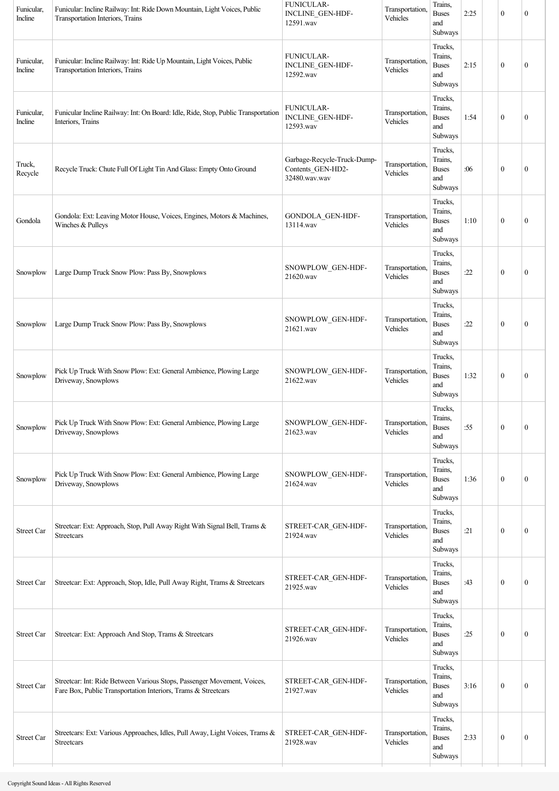| Funicular,<br>Incline | Funicular: Incline Railway: Int: Ride Down Mountain, Light Voices, Public<br>Transportation Interiors, Trains                            | <b>FUNICULAR-</b><br>INCLINE_GEN-HDF-<br>12591.wav                | Transportation,<br>Vehicles | Trains,<br><b>Buses</b><br>and<br>Subways            | 2:25 | $\mathbf{0}$     | $\boldsymbol{0}$ |
|-----------------------|------------------------------------------------------------------------------------------------------------------------------------------|-------------------------------------------------------------------|-----------------------------|------------------------------------------------------|------|------------------|------------------|
| Funicular,<br>Incline | Funicular: Incline Railway: Int: Ride Up Mountain, Light Voices, Public<br>Transportation Interiors, Trains                              | <b>FUNICULAR-</b><br>INCLINE_GEN-HDF-<br>12592.wav                | Transportation,<br>Vehicles | Trucks,<br>Trains,<br><b>Buses</b><br>and<br>Subways | 2:15 | $\mathbf{0}$     | $\mathbf{0}$     |
| Funicular,<br>Incline | Funicular Incline Railway: Int: On Board: Idle, Ride, Stop, Public Transportation<br>Interiors, Trains                                   | <b>FUNICULAR-</b><br>INCLINE_GEN-HDF-<br>12593.wav                | Transportation.<br>Vehicles | Trucks,<br>Trains,<br><b>Buses</b><br>and<br>Subways | 1:54 | $\mathbf{0}$     | $\boldsymbol{0}$ |
| Truck,<br>Recycle     | Recycle Truck: Chute Full Of Light Tin And Glass: Empty Onto Ground                                                                      | Garbage-Recycle-Truck-Dump-<br>Contents_GEN-HD2-<br>32480.wav.wav | Transportation,<br>Vehicles | Trucks,<br>Trains,<br><b>Buses</b><br>and<br>Subways | :06  | $\boldsymbol{0}$ | $\boldsymbol{0}$ |
| Gondola               | Gondola: Ext: Leaving Motor House, Voices, Engines, Motors & Machines,<br>Winches & Pulleys                                              | GONDOLA_GEN-HDF-<br>13114.wav                                     | Transportation,<br>Vehicles | Trucks,<br>Trains,<br><b>Buses</b><br>and<br>Subways | 1:10 | $\mathbf{0}$     | $\mathbf{0}$     |
| Snowplow              | Large Dump Truck Snow Plow: Pass By, Snowplows                                                                                           | SNOWPLOW_GEN-HDF-<br>21620.wav                                    | Transportation,<br>Vehicles | Trucks,<br>Trains,<br><b>Buses</b><br>and<br>Subways | :22  | $\mathbf{0}$     | 0                |
| Snowplow              | Large Dump Truck Snow Plow: Pass By, Snowplows                                                                                           | SNOWPLOW_GEN-HDF-<br>21621.wav                                    | Transportation,<br>Vehicles | Trucks,<br>Trains,<br><b>Buses</b><br>and<br>Subways | :22  | $\mathbf{0}$     | 0                |
| Snowplow              | Pick Up Truck With Snow Plow: Ext: General Ambience, Plowing Large<br>Driveway, Snowplows                                                | SNOWPLOW_GEN-HDF-<br>21622.wav                                    | Transportation,<br>Vehicles | Trucks,<br>Trains,<br><b>Buses</b><br>and<br>Subways | 1:32 | $\mathbf{0}$     | $\mathbf{0}$     |
| Snowplow              | Pick Up Truck With Snow Plow: Ext: General Ambience, Plowing Large<br>Driveway, Snowplows                                                | SNOWPLOW_GEN-HDF-<br>21623.wav                                    | Transportation,<br>Vehicles | Trucks,<br>Trains,<br><b>Buses</b><br>and<br>Subways | :55  | $\boldsymbol{0}$ | $\boldsymbol{0}$ |
| Snowplow              | Pick Up Truck With Snow Plow: Ext: General Ambience, Plowing Large<br>Driveway, Snowplows                                                | SNOWPLOW_GEN-HDF-<br>21624.wav                                    | Transportation,<br>Vehicles | Trucks,<br>Trains,<br><b>Buses</b><br>and<br>Subways | 1:36 | $\mathbf{0}$     | $\boldsymbol{0}$ |
| Street Car            | Streetcar: Ext: Approach, Stop, Pull Away Right With Signal Bell, Trams &<br>Streetcars                                                  | STREET-CAR_GEN-HDF-<br>21924.wav                                  | Transportation,<br>Vehicles | Trucks,<br>Trains,<br><b>Buses</b><br>and<br>Subways | :21  | $\boldsymbol{0}$ | $\boldsymbol{0}$ |
| Street Car            | Streetcar: Ext: Approach, Stop, Idle, Pull Away Right, Trams & Streetcars                                                                | STREET-CAR_GEN-HDF-<br>21925.wav                                  | Transportation,<br>Vehicles | Trucks,<br>Trains,<br><b>Buses</b><br>and<br>Subways | :43  | $\boldsymbol{0}$ | $\boldsymbol{0}$ |
| Street Car            | Streetcar: Ext: Approach And Stop, Trams & Streetcars                                                                                    | STREET-CAR_GEN-HDF-<br>21926.wav                                  | Transportation,<br>Vehicles | Trucks,<br>Trains,<br><b>Buses</b><br>and<br>Subways | :25  | $\mathbf{0}$     | $\boldsymbol{0}$ |
| Street Car            | Streetcar: Int: Ride Between Various Stops, Passenger Movement, Voices,<br>Fare Box, Public Transportation Interiors, Trams & Streetcars | STREET-CAR GEN-HDF-<br>21927.wav                                  | Transportation,<br>Vehicles | Trucks,<br>Trains,<br><b>Buses</b><br>and<br>Subways | 3:16 | $\boldsymbol{0}$ | $\boldsymbol{0}$ |
| Street Car            | Streetcars: Ext: Various Approaches, Idles, Pull Away, Light Voices, Trams &<br>Streetcars                                               | STREET-CAR_GEN-HDF-<br>21928.wav                                  | Transportation,<br>Vehicles | Trucks,<br>Trains,<br><b>Buses</b><br>and<br>Subways | 2:33 | $\boldsymbol{0}$ | $\boldsymbol{0}$ |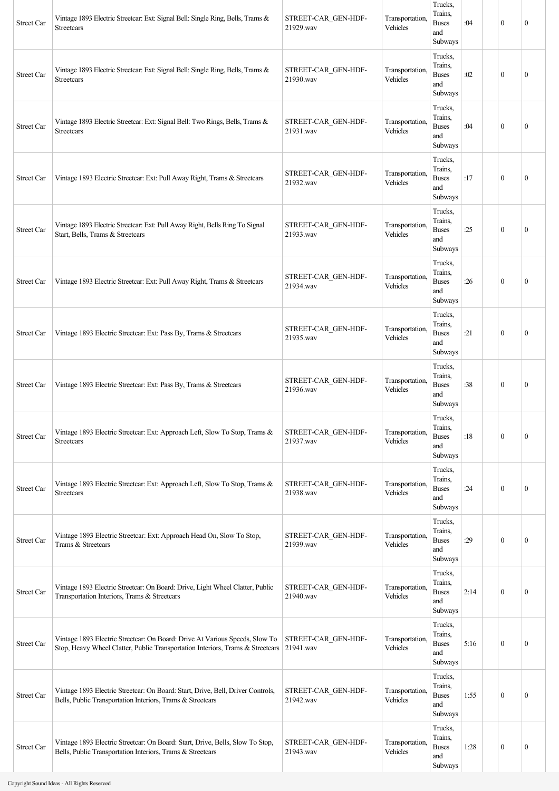| Street Car | Vintage 1893 Electric Streetcar: Ext: Signal Bell: Single Ring, Bells, Trams &<br><b>Streetcars</b>                                                           | STREET-CAR GEN-HDF-<br>21929.wav | Transportation,<br>Vehicles | Trucks,<br>Trains.<br><b>Buses</b><br>and<br>Subways | :04  | $\mathbf{0}$     | $\mathbf{0}$     |
|------------|---------------------------------------------------------------------------------------------------------------------------------------------------------------|----------------------------------|-----------------------------|------------------------------------------------------|------|------------------|------------------|
| Street Car | Vintage 1893 Electric Streetcar: Ext: Signal Bell: Single Ring, Bells, Trams &<br><b>Streetcars</b>                                                           | STREET-CAR_GEN-HDF-<br>21930.wav | Transportation,<br>Vehicles | Trucks,<br>Trains.<br><b>Buses</b><br>and<br>Subways | :02  | $\mathbf{0}$     | $\mathbf{0}$     |
| Street Car | Vintage 1893 Electric Streetcar: Ext: Signal Bell: Two Rings, Bells, Trams &<br>Streetcars                                                                    | STREET-CAR GEN-HDF-<br>21931.wav | Transportation,<br>Vehicles | Trucks,<br>Trains.<br><b>Buses</b><br>and<br>Subways | :04  | $\mathbf{0}$     | $\mathbf{0}$     |
| Street Car | Vintage 1893 Electric Streetcar: Ext: Pull Away Right, Trams & Streetcars                                                                                     | STREET-CAR GEN-HDF-<br>21932.wav | Transportation,<br>Vehicles | Trucks,<br>Trains,<br><b>Buses</b><br>and<br>Subways | :17  | $\mathbf{0}$     | $\boldsymbol{0}$ |
| Street Car | Vintage 1893 Electric Streetcar: Ext: Pull Away Right, Bells Ring To Signal<br>Start, Bells, Trams & Streetcars                                               | STREET-CAR GEN-HDF-<br>21933.wav | Transportation,<br>Vehicles | Trucks,<br>Trains,<br><b>Buses</b><br>and<br>Subways | :25  | $\mathbf{0}$     | $\mathbf{0}$     |
| Street Car | Vintage 1893 Electric Streetcar: Ext: Pull Away Right, Trams & Streetcars                                                                                     | STREET-CAR GEN-HDF-<br>21934.wav | Transportation,<br>Vehicles | Trucks,<br>Trains,<br><b>Buses</b><br>and<br>Subways | :26  | $\mathbf{0}$     | $\mathbf{0}$     |
| Street Car | Vintage 1893 Electric Streetcar: Ext: Pass By, Trams & Streetcars                                                                                             | STREET-CAR GEN-HDF-<br>21935.wav | Transportation,<br>Vehicles | Trucks,<br>Trains,<br><b>Buses</b><br>and<br>Subways | :21  | $\mathbf{0}$     | $\mathbf{0}$     |
| Street Car | Vintage 1893 Electric Streetcar: Ext: Pass By, Trams & Streetcars                                                                                             | STREET-CAR GEN-HDF-<br>21936.wav | Transportation,<br>Vehicles | Trucks,<br>Trains.<br><b>Buses</b><br>and<br>Subways | :38  | $\mathbf{0}$     | $\mathbf{0}$     |
| Street Car | Vintage 1893 Electric Streetcar: Ext: Approach Left, Slow To Stop, Trams &<br><b>Streetcars</b>                                                               | STREET-CAR GEN-HDF-<br>21937.wav | Transportation,<br>Vehicles | Trucks,<br>Trains,<br><b>Buses</b><br>and<br>Subways | :18  | $\boldsymbol{0}$ | $\mathbf{0}$     |
| Street Car | Vintage 1893 Electric Streetcar: Ext: Approach Left, Slow To Stop, Trams &<br>Streetcars                                                                      | STREET-CAR_GEN-HDF-<br>21938.wav | Transportation,<br>Vehicles | Trucks,<br>Trains,<br><b>Buses</b><br>and<br>Subways | :24  | $\mathbf{0}$     | $\mathbf{0}$     |
| Street Car | Vintage 1893 Electric Streetcar: Ext: Approach Head On, Slow To Stop,<br>Trams & Streetcars                                                                   | STREET-CAR_GEN-HDF-<br>21939.wav | Transportation,<br>Vehicles | Trucks,<br>Trains,<br><b>Buses</b><br>and<br>Subways | :29  | $\mathbf{0}$     | $\mathbf{0}$     |
| Street Car | Vintage 1893 Electric Streetcar: On Board: Drive, Light Wheel Clatter, Public<br>Transportation Interiors, Trams & Streetcars                                 | STREET-CAR_GEN-HDF-<br>21940.wav | Transportation,<br>Vehicles | Trucks,<br>Trains,<br><b>Buses</b><br>and<br>Subways | 2:14 | $\mathbf{0}$     | $\boldsymbol{0}$ |
| Street Car | Vintage 1893 Electric Streetcar: On Board: Drive At Various Speeds, Slow To<br>Stop, Heavy Wheel Clatter, Public Transportation Interiors, Trams & Streetcars | STREET-CAR GEN-HDF-<br>21941.wav | Transportation,<br>Vehicles | Trucks,<br>Trains,<br><b>Buses</b><br>and<br>Subways | 5:16 | $\mathbf{0}$     | $\mathbf{0}$     |
| Street Car | Vintage 1893 Electric Streetcar: On Board: Start, Drive, Bell, Driver Controls,<br>Bells, Public Transportation Interiors, Trams & Streetcars                 | STREET-CAR_GEN-HDF-<br>21942.wav | Transportation,<br>Vehicles | Trucks,<br>Trains.<br><b>Buses</b><br>and<br>Subways | 1:55 | $\mathbf{0}$     | $\mathbf{0}$     |
| Street Car | Vintage 1893 Electric Streetcar: On Board: Start, Drive, Bells, Slow To Stop,<br>Bells, Public Transportation Interiors, Trams & Streetcars                   | STREET-CAR GEN-HDF-<br>21943.wav | Transportation,<br>Vehicles | Trucks,<br>Trains,<br><b>Buses</b><br>and<br>Subways | 1:28 | $\boldsymbol{0}$ | $\boldsymbol{0}$ |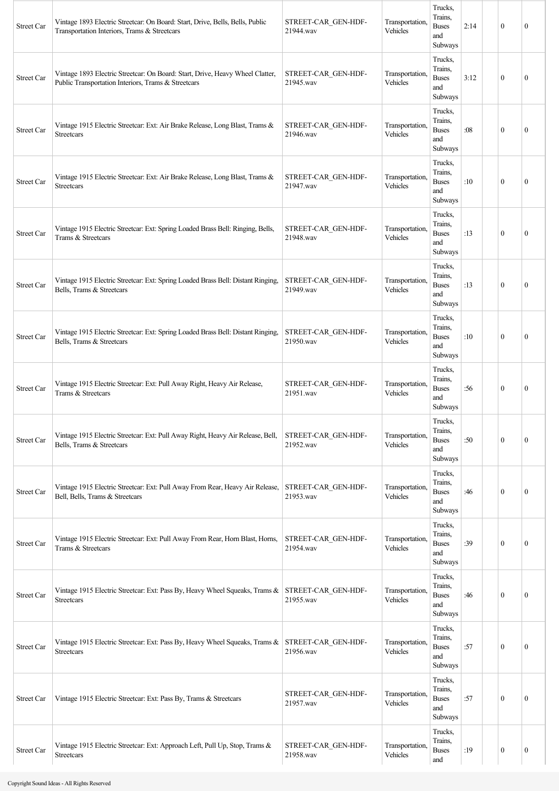| <b>Street Car</b> | Vintage 1893 Electric Streetcar: On Board: Start, Drive, Bells, Bells, Public<br>Transportation Interiors, Trams & Streetcars        | STREET-CAR GEN-HDF-<br>21944.wav | Transportation.<br>Vehicles | Trucks,<br>Trains.<br><b>Buses</b><br>and<br>Subways | 2:14 | $\mathbf{0}$     | $\mathbf{0}$     |
|-------------------|--------------------------------------------------------------------------------------------------------------------------------------|----------------------------------|-----------------------------|------------------------------------------------------|------|------------------|------------------|
| Street Car        | Vintage 1893 Electric Streetcar: On Board: Start, Drive, Heavy Wheel Clatter,<br>Public Transportation Interiors, Trams & Streetcars | STREET-CAR GEN-HDF-<br>21945.wav | Transportation.<br>Vehicles | Trucks,<br>Trains.<br><b>Buses</b><br>and<br>Subways | 3:12 | $\mathbf{0}$     | $\mathbf{0}$     |
| Street Car        | Vintage 1915 Electric Streetcar: Ext: Air Brake Release, Long Blast, Trams &<br>Streetcars                                           | STREET-CAR_GEN-HDF-<br>21946.wav | Transportation.<br>Vehicles | Trucks,<br>Trains,<br><b>Buses</b><br>and<br>Subways | :08  | $\mathbf{0}$     | $\mathbf{0}$     |
| Street Car        | Vintage 1915 Electric Streetcar: Ext: Air Brake Release, Long Blast, Trams &<br><b>Streetcars</b>                                    | STREET-CAR GEN-HDF-<br>21947.wav | Transportation.<br>Vehicles | Trucks,<br>Trains,<br><b>Buses</b><br>and<br>Subways | :10  | $\theta$         | $\mathbf{0}$     |
| <b>Street Car</b> | Vintage 1915 Electric Streetcar: Ext: Spring Loaded Brass Bell: Ringing, Bells,<br>Trams & Streetcars                                | STREET-CAR GEN-HDF-<br>21948.wav | Transportation,<br>Vehicles | Trucks,<br>Trains,<br><b>Buses</b><br>and<br>Subways | :13  | $\mathbf{0}$     | $\mathbf{0}$     |
| Street Car        | Vintage 1915 Electric Streetcar: Ext: Spring Loaded Brass Bell: Distant Ringing,<br>Bells, Trams & Streetcars                        | STREET-CAR GEN-HDF-<br>21949.wav | Transportation,<br>Vehicles | Trucks,<br>Trains.<br><b>Buses</b><br>and<br>Subways | :13  | $\mathbf{0}$     | $\boldsymbol{0}$ |
| Street Car        | Vintage 1915 Electric Streetcar: Ext: Spring Loaded Brass Bell: Distant Ringing,<br>Bells, Trams & Streetcars                        | STREET-CAR GEN-HDF-<br>21950.wav | Transportation,<br>Vehicles | Trucks,<br>Trains,<br><b>Buses</b><br>and<br>Subways | :10  | $\theta$         | $\mathbf{0}$     |
| Street Car        | Vintage 1915 Electric Streetcar: Ext: Pull Away Right, Heavy Air Release,<br>Trams & Streetcars                                      | STREET-CAR GEN-HDF-<br>21951.wav | Transportation.<br>Vehicles | Trucks,<br>Trains,<br><b>Buses</b><br>and<br>Subways | :56  | $\mathbf{0}$     | $\mathbf{0}$     |
| <b>Street Car</b> | Vintage 1915 Electric Streetcar: Ext: Pull Away Right, Heavy Air Release, Bell,<br>Bells, Trams & Streetcars                         | STREET-CAR GEN-HDF-<br>21952.wav | Transportation,<br>Vehicles | Trucks,<br>Trains,<br><b>Buses</b><br>and<br>Subways | :50  | $\mathbf{0}$     | $\boldsymbol{0}$ |
| Street Car        | Vintage 1915 Electric Streetcar: Ext: Pull Away From Rear, Heavy Air Release,<br>Bell, Bells, Trams & Streetcars                     | STREET-CAR GEN-HDF-<br>21953.wav | Transportation,<br>Vehicles | Trucks,<br>Trains,<br><b>Buses</b><br>and<br>Subways | :46  | $\mathbf{0}$     | $\boldsymbol{0}$ |
| <b>Street Car</b> | Vintage 1915 Electric Streetcar: Ext: Pull Away From Rear, Horn Blast, Horns,<br>Trams & Streetcars                                  | STREET-CAR GEN-HDF-<br>21954.wav | Transportation,<br>Vehicles | Trucks,<br>Trains,<br><b>Buses</b><br>and<br>Subways | :39  | $\mathbf{0}$     | $\boldsymbol{0}$ |
| Street Car        | Vintage 1915 Electric Streetcar: Ext: Pass By, Heavy Wheel Squeaks, Trams & STREET-CAR GEN-HDF-<br>Streetcars                        | 21955.wav                        | Transportation.<br>Vehicles | Trucks,<br>Trains,<br><b>Buses</b><br>and<br>Subways | :46  | $\mathbf{0}$     | $\boldsymbol{0}$ |
| Street Car        | Vintage 1915 Electric Streetcar: Ext: Pass By, Heavy Wheel Squeaks, Trams & STREET-CAR_GEN-HDF-<br>Streetcars                        | 21956.wav                        | Transportation.<br>Vehicles | Trucks,<br>Trains,<br><b>Buses</b><br>and<br>Subways | :57  | $\mathbf{0}$     | $\boldsymbol{0}$ |
| Street Car        | Vintage 1915 Electric Streetcar: Ext: Pass By, Trams & Streetcars                                                                    | STREET-CAR GEN-HDF-<br>21957.wav | Transportation.<br>Vehicles | Trucks,<br>Trains,<br><b>Buses</b><br>and<br>Subways | :57  | $\mathbf{0}$     | $\mathbf{0}$     |
| <b>Street Car</b> | Vintage 1915 Electric Streetcar: Ext: Approach Left, Pull Up, Stop, Trams &<br>Streetcars                                            | STREET-CAR GEN-HDF-<br>21958.wav | Transportation,<br>Vehicles | Trucks,<br>Trains,<br><b>Buses</b><br>and            | :19  | $\boldsymbol{0}$ | $\boldsymbol{0}$ |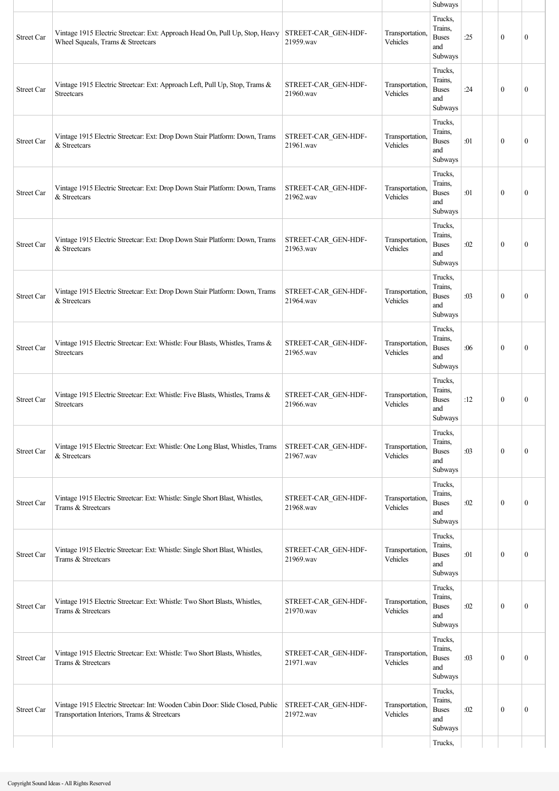|                   |                                                                                                                               |                                  |                             | Subways                                              |     |              |                  |
|-------------------|-------------------------------------------------------------------------------------------------------------------------------|----------------------------------|-----------------------------|------------------------------------------------------|-----|--------------|------------------|
| <b>Street Car</b> | Vintage 1915 Electric Streetcar: Ext: Approach Head On, Pull Up, Stop, Heavy<br>Wheel Squeals, Trams & Streetcars             | STREET-CAR GEN-HDF-<br>21959.wav | Transportation,<br>Vehicles | Trucks,<br>Trains,<br><b>Buses</b><br>and<br>Subways | :25 | $\mathbf{0}$ | $\mathbf{0}$     |
| <b>Street Car</b> | Vintage 1915 Electric Streetcar: Ext: Approach Left, Pull Up, Stop, Trams &<br><b>Streetcars</b>                              | STREET-CAR_GEN-HDF-<br>21960.wav | Transportation,<br>Vehicles | Trucks,<br>Trains,<br><b>Buses</b><br>and<br>Subways | :24 | $\mathbf{0}$ | $\mathbf{0}$     |
| Street Car        | Vintage 1915 Electric Streetcar: Ext: Drop Down Stair Platform: Down, Trams<br>& Streetcars                                   | STREET-CAR GEN-HDF-<br>21961.wav | Transportation,<br>Vehicles | Trucks,<br>Trains,<br><b>Buses</b><br>and<br>Subways | :01 | $\mathbf{0}$ | $\mathbf{0}$     |
| <b>Street Car</b> | Vintage 1915 Electric Streetcar: Ext: Drop Down Stair Platform: Down, Trams<br>& Streetcars                                   | STREET-CAR GEN-HDF-<br>21962.wav | Transportation,<br>Vehicles | Trucks,<br>Trains,<br><b>Buses</b><br>and<br>Subways | :01 | $\mathbf{0}$ | $\mathbf{0}$     |
| <b>Street Car</b> | Vintage 1915 Electric Streetcar: Ext: Drop Down Stair Platform: Down, Trams<br>& Streetcars                                   | STREET-CAR GEN-HDF-<br>21963.wav | Transportation.<br>Vehicles | Trucks,<br>Trains,<br><b>Buses</b><br>and<br>Subways | :02 | $\mathbf{0}$ | $\mathbf{0}$     |
| Street Car        | Vintage 1915 Electric Streetcar: Ext: Drop Down Stair Platform: Down, Trams<br>& Streetcars                                   | STREET-CAR GEN-HDF-<br>21964.wav | Transportation,<br>Vehicles | Trucks,<br>Trains,<br><b>Buses</b><br>and<br>Subways | :03 | $\mathbf{0}$ | $\mathbf{0}$     |
| <b>Street Car</b> | Vintage 1915 Electric Streetcar: Ext: Whistle: Four Blasts, Whistles, Trams &<br>Streetcars                                   | STREET-CAR_GEN-HDF-<br>21965.wav | Transportation,<br>Vehicles | Trucks,<br>Trains,<br><b>Buses</b><br>and<br>Subways | :06 | $\theta$     | $\boldsymbol{0}$ |
| <b>Street Car</b> | Vintage 1915 Electric Streetcar: Ext: Whistle: Five Blasts, Whistles, Trams &<br><b>Streetcars</b>                            | STREET-CAR GEN-HDF-<br>21966.way | Transportation,<br>Vehicles | Trucks,<br>Trains,<br><b>Buses</b><br>and<br>Subways | :12 | $\mathbf{0}$ | $\boldsymbol{0}$ |
| Street Car        | Vintage 1915 Electric Streetcar: Ext: Whistle: One Long Blast, Whistles, Trams<br>& Streetcars                                | STREET-CAR GEN-HDF-<br>21967.wav | Transportation,<br>Vehicles | Trucks,<br>Trains.<br><b>Buses</b><br>and<br>Subways | :03 | $\mathbf{0}$ | $\mathbf{0}$     |
| <b>Street Car</b> | Vintage 1915 Electric Streetcar: Ext: Whistle: Single Short Blast, Whistles,<br>Trams & Streetcars                            | STREET-CAR_GEN-HDF-<br>21968.wav | Transportation,<br>Vehicles | Trucks,<br>Trains,<br><b>Buses</b><br>and<br>Subways | :02 | $\mathbf{0}$ | $\mathbf{0}$     |
| <b>Street Car</b> | Vintage 1915 Electric Streetcar: Ext: Whistle: Single Short Blast, Whistles,<br>Trams & Streetcars                            | STREET-CAR GEN-HDF-<br>21969.wav | Transportation,<br>Vehicles | Trucks,<br>Trains,<br><b>Buses</b><br>and<br>Subways | :01 | $\mathbf{0}$ | $\mathbf{0}$     |
| <b>Street Car</b> | Vintage 1915 Electric Streetcar: Ext: Whistle: Two Short Blasts, Whistles,<br>Trams & Streetcars                              | STREET-CAR_GEN-HDF-<br>21970.wav | Transportation,<br>Vehicles | Trucks,<br>Trains,<br><b>Buses</b><br>and<br>Subways | :02 | $\mathbf{0}$ | $\mathbf{0}$     |
| Street Car        | Vintage 1915 Electric Streetcar: Ext: Whistle: Two Short Blasts, Whistles,<br>Trams & Streetcars                              | STREET-CAR GEN-HDF-<br>21971.wav | Transportation,<br>Vehicles | Trucks,<br>Trains,<br><b>Buses</b><br>and<br>Subways | :03 | $\mathbf{0}$ | $\boldsymbol{0}$ |
| <b>Street Car</b> | Vintage 1915 Electric Streetcar: Int: Wooden Cabin Door: Slide Closed, Public<br>Transportation Interiors, Trams & Streetcars | STREET-CAR GEN-HDF-<br>21972.wav | Transportation,<br>Vehicles | Trucks,<br>Trains,<br><b>Buses</b><br>and<br>Subways | :02 | $\mathbf{0}$ | $\mathbf{0}$     |
|                   |                                                                                                                               |                                  |                             | Trucks,                                              |     |              |                  |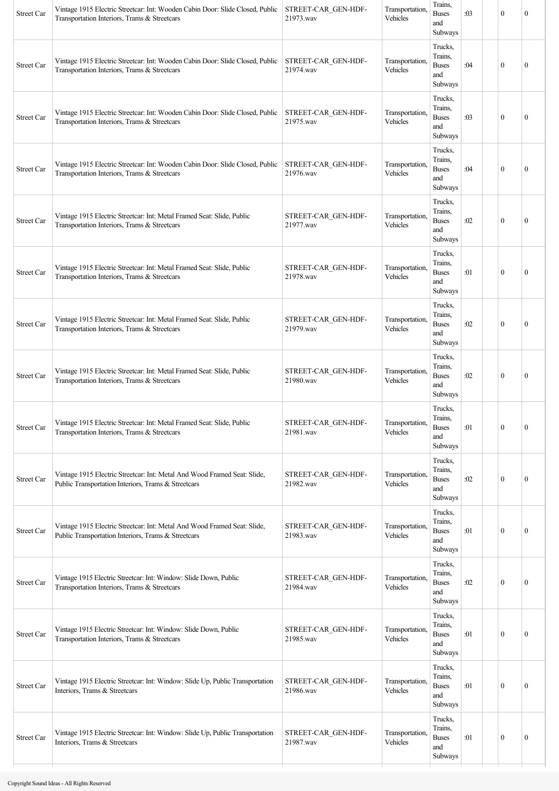| Trucks,<br>Trains,<br>Vintage 1915 Electric Streetcar: Int: Wooden Cabin Door: Slide Closed, Public<br>Transportation.<br>STREET-CAR GEN-HDF-<br><b>Buses</b><br>:04<br>$\mathbf{0}$<br><b>Street Car</b><br>$\mathbf{0}$<br>21974.wav<br>Vehicles<br>Transportation Interiors, Trams & Streetcars<br>and<br>Subways<br>Trucks,<br>Trains,<br>Transportation,<br>Vintage 1915 Electric Streetcar: Int: Wooden Cabin Door: Slide Closed, Public<br>STREET-CAR_GEN-HDF-<br><b>Buses</b><br>:03<br>$\mathbf{0}$<br>$\mathbf{0}$<br>Street Car<br>Vehicles<br>21975.wav<br>Transportation Interiors, Trams & Streetcars<br>and<br>Subways<br>Trucks,<br>Trains,<br>Vintage 1915 Electric Streetcar: Int: Wooden Cabin Door: Slide Closed, Public<br>STREET-CAR GEN-HDF-<br>Transportation,<br><b>Buses</b><br>:04<br>$\theta$<br>$\mathbf{0}$<br><b>Street Car</b><br>21976.wav<br>Vehicles<br>Transportation Interiors, Trams & Streetcars<br>and<br>Subways<br>Trucks,<br>Trains,<br>Transportation,<br>Vintage 1915 Electric Streetcar: Int: Metal Framed Seat: Slide, Public<br>STREET-CAR GEN-HDF-<br><b>Buses</b><br>:02<br>$\mathbf{0}$<br><b>Street Car</b><br>$\mathbf{0}$<br>Vehicles<br>21977.wav<br>Transportation Interiors, Trams & Streetcars<br>and<br>Subways<br>Trucks,<br>Trains.<br>Vintage 1915 Electric Streetcar: Int: Metal Framed Seat: Slide, Public<br>Transportation,<br>STREET-CAR_GEN-HDF-<br><b>Buses</b><br>:01<br>$\mathbf{0}$<br>$\mathbf{0}$<br>Street Car<br>Vehicles<br>Transportation Interiors, Trams & Streetcars<br>21978.wav<br>and<br>Subways<br>Trucks,<br>Trains,<br>Transportation,<br>Vintage 1915 Electric Streetcar: Int: Metal Framed Seat: Slide, Public<br>STREET-CAR GEN-HDF-<br>:02<br><b>Street Car</b><br><b>Buses</b><br>$\theta$<br>$\mathbf{0}$<br>Vehicles<br>Transportation Interiors, Trams & Streetcars<br>21979.wav<br>and<br>Subways<br>Trucks,<br>Trains,<br>Transportation,<br>Vintage 1915 Electric Streetcar: Int: Metal Framed Seat: Slide, Public<br>STREET-CAR_GEN-HDF-<br><b>Buses</b><br>:02<br>$\mathbf{0}$<br><b>Street Car</b><br>$\mathbf{0}$<br>21980.wav<br>Vehicles<br>Transportation Interiors, Trams & Streetcars<br>and<br>Subways<br>Trucks,<br>Trains,<br>Transportation,<br>STREET-CAR_GEN-HDF-<br>Vintage 1915 Electric Streetcar: Int: Metal Framed Seat: Slide, Public<br>$\boldsymbol{0}$<br><b>Buses</b><br>:01<br>$\boldsymbol{0}$<br>Street Car<br>Vehicles<br>Transportation Interiors, Trams & Streetcars<br>21981.wav<br>and<br>Subways<br>Trucks,<br>Trains,<br>Transportation,<br>Vintage 1915 Electric Streetcar: Int: Metal And Wood Framed Seat: Slide,<br>STREET-CAR GEN-HDF-<br>$\boldsymbol{0}$<br><b>Buses</b><br>:02<br>$\boldsymbol{0}$<br>Street Car<br>Public Transportation Interiors, Trams & Streetcars<br>Vehicles<br>21982.wav<br>and<br>Subways<br>Trucks,<br>Trains,<br>Transportation,<br>Vintage 1915 Electric Streetcar: Int: Metal And Wood Framed Seat: Slide,<br>STREET-CAR_GEN-HDF-<br><b>Buses</b><br>$\mathbf{0}$<br>$\mathbf{0}$<br>Street Car<br>:01<br>Vehicles<br>Public Transportation Interiors, Trams & Streetcars<br>21983.wav<br>and<br>Subways<br>Trucks,<br>Trains,<br>Vintage 1915 Electric Streetcar: Int: Window: Slide Down, Public<br>Transportation,<br>STREET-CAR_GEN-HDF-<br><b>Buses</b><br>$\mathbf{0}$<br>Street Car<br>:02<br>$\overline{0}$<br>Vehicles<br>Transportation Interiors, Trams & Streetcars<br>21984.wav<br>and<br>Subways<br>Trucks,<br>Trains,<br>Transportation,<br>Vintage 1915 Electric Streetcar: Int: Window: Slide Down, Public<br>STREET-CAR GEN-HDF-<br>Street Car<br><b>Buses</b><br>:01<br>$\mathbf{0}$<br>$\boldsymbol{0}$<br>Transportation Interiors, Trams & Streetcars<br>21985.wav<br>Vehicles<br>and<br>Subways<br>Trucks,<br>Trains,<br>Transportation,<br>Vintage 1915 Electric Streetcar: Int: Window: Slide Up, Public Transportation<br>STREET-CAR_GEN-HDF-<br><b>Buses</b><br>:01<br>$\mathbf{0}$<br>$\mathbf{0}$<br>Street Car<br>21986.wav<br>Vehicles<br>Interiors, Trams & Streetcars<br>and<br>Subways<br>Trucks,<br>Trains,<br>Vintage 1915 Electric Streetcar: Int: Window: Slide Up, Public Transportation<br>STREET-CAR GEN-HDF-<br>Transportation,<br>Street Car<br><b>Buses</b><br>$\boldsymbol{0}$<br>$\boldsymbol{0}$<br>:01<br>Interiors, Trams & Streetcars<br>21987.wav<br>Vehicles<br>and | <b>Street Car</b> | Vintage 1915 Electric Streetcar: Int: Wooden Cabin Door: Slide Closed, Public<br>Transportation Interiors, Trams & Streetcars | STREET-CAR_GEN-HDF-<br>21973.wav | Transportation.<br>Vehicles | Trains,<br><b>Buses</b><br>and<br>Subways | :03 | $\mathbf{0}$ | $\mathbf{0}$ |
|---------------------------------------------------------------------------------------------------------------------------------------------------------------------------------------------------------------------------------------------------------------------------------------------------------------------------------------------------------------------------------------------------------------------------------------------------------------------------------------------------------------------------------------------------------------------------------------------------------------------------------------------------------------------------------------------------------------------------------------------------------------------------------------------------------------------------------------------------------------------------------------------------------------------------------------------------------------------------------------------------------------------------------------------------------------------------------------------------------------------------------------------------------------------------------------------------------------------------------------------------------------------------------------------------------------------------------------------------------------------------------------------------------------------------------------------------------------------------------------------------------------------------------------------------------------------------------------------------------------------------------------------------------------------------------------------------------------------------------------------------------------------------------------------------------------------------------------------------------------------------------------------------------------------------------------------------------------------------------------------------------------------------------------------------------------------------------------------------------------------------------------------------------------------------------------------------------------------------------------------------------------------------------------------------------------------------------------------------------------------------------------------------------------------------------------------------------------------------------------------------------------------------------------------------------------------------------------------------------------------------------------------------------------------------------------------------------------------------------------------------------------------------------------------------------------------------------------------------------------------------------------------------------------------------------------------------------------------------------------------------------------------------------------------------------------------------------------------------------------------------------------------------------------------------------------------------------------------------------------------------------------------------------------------------------------------------------------------------------------------------------------------------------------------------------------------------------------------------------------------------------------------------------------------------------------------------------------------------------------------------------------------------------------------------------------------------------------------------------------------------------------------------------------------------------------------------------------------------------------------------------------------------------------------------------------------------------------------------------------------------------------------------------------------------------------------------------------------------------------------------------------------------------------------------------------------------------------------------------------------------------------------------------------------------------------------------------------------------------------------------------------------------|-------------------|-------------------------------------------------------------------------------------------------------------------------------|----------------------------------|-----------------------------|-------------------------------------------|-----|--------------|--------------|
|                                                                                                                                                                                                                                                                                                                                                                                                                                                                                                                                                                                                                                                                                                                                                                                                                                                                                                                                                                                                                                                                                                                                                                                                                                                                                                                                                                                                                                                                                                                                                                                                                                                                                                                                                                                                                                                                                                                                                                                                                                                                                                                                                                                                                                                                                                                                                                                                                                                                                                                                                                                                                                                                                                                                                                                                                                                                                                                                                                                                                                                                                                                                                                                                                                                                                                                                                                                                                                                                                                                                                                                                                                                                                                                                                                                                                                                                                                                                                                                                                                                                                                                                                                                                                                                                                                                                                                                                   |                   |                                                                                                                               |                                  |                             |                                           |     |              |              |
|                                                                                                                                                                                                                                                                                                                                                                                                                                                                                                                                                                                                                                                                                                                                                                                                                                                                                                                                                                                                                                                                                                                                                                                                                                                                                                                                                                                                                                                                                                                                                                                                                                                                                                                                                                                                                                                                                                                                                                                                                                                                                                                                                                                                                                                                                                                                                                                                                                                                                                                                                                                                                                                                                                                                                                                                                                                                                                                                                                                                                                                                                                                                                                                                                                                                                                                                                                                                                                                                                                                                                                                                                                                                                                                                                                                                                                                                                                                                                                                                                                                                                                                                                                                                                                                                                                                                                                                                   |                   |                                                                                                                               |                                  |                             |                                           |     |              |              |
|                                                                                                                                                                                                                                                                                                                                                                                                                                                                                                                                                                                                                                                                                                                                                                                                                                                                                                                                                                                                                                                                                                                                                                                                                                                                                                                                                                                                                                                                                                                                                                                                                                                                                                                                                                                                                                                                                                                                                                                                                                                                                                                                                                                                                                                                                                                                                                                                                                                                                                                                                                                                                                                                                                                                                                                                                                                                                                                                                                                                                                                                                                                                                                                                                                                                                                                                                                                                                                                                                                                                                                                                                                                                                                                                                                                                                                                                                                                                                                                                                                                                                                                                                                                                                                                                                                                                                                                                   |                   |                                                                                                                               |                                  |                             |                                           |     |              |              |
|                                                                                                                                                                                                                                                                                                                                                                                                                                                                                                                                                                                                                                                                                                                                                                                                                                                                                                                                                                                                                                                                                                                                                                                                                                                                                                                                                                                                                                                                                                                                                                                                                                                                                                                                                                                                                                                                                                                                                                                                                                                                                                                                                                                                                                                                                                                                                                                                                                                                                                                                                                                                                                                                                                                                                                                                                                                                                                                                                                                                                                                                                                                                                                                                                                                                                                                                                                                                                                                                                                                                                                                                                                                                                                                                                                                                                                                                                                                                                                                                                                                                                                                                                                                                                                                                                                                                                                                                   |                   |                                                                                                                               |                                  |                             |                                           |     |              |              |
|                                                                                                                                                                                                                                                                                                                                                                                                                                                                                                                                                                                                                                                                                                                                                                                                                                                                                                                                                                                                                                                                                                                                                                                                                                                                                                                                                                                                                                                                                                                                                                                                                                                                                                                                                                                                                                                                                                                                                                                                                                                                                                                                                                                                                                                                                                                                                                                                                                                                                                                                                                                                                                                                                                                                                                                                                                                                                                                                                                                                                                                                                                                                                                                                                                                                                                                                                                                                                                                                                                                                                                                                                                                                                                                                                                                                                                                                                                                                                                                                                                                                                                                                                                                                                                                                                                                                                                                                   |                   |                                                                                                                               |                                  |                             |                                           |     |              |              |
|                                                                                                                                                                                                                                                                                                                                                                                                                                                                                                                                                                                                                                                                                                                                                                                                                                                                                                                                                                                                                                                                                                                                                                                                                                                                                                                                                                                                                                                                                                                                                                                                                                                                                                                                                                                                                                                                                                                                                                                                                                                                                                                                                                                                                                                                                                                                                                                                                                                                                                                                                                                                                                                                                                                                                                                                                                                                                                                                                                                                                                                                                                                                                                                                                                                                                                                                                                                                                                                                                                                                                                                                                                                                                                                                                                                                                                                                                                                                                                                                                                                                                                                                                                                                                                                                                                                                                                                                   |                   |                                                                                                                               |                                  |                             |                                           |     |              |              |
|                                                                                                                                                                                                                                                                                                                                                                                                                                                                                                                                                                                                                                                                                                                                                                                                                                                                                                                                                                                                                                                                                                                                                                                                                                                                                                                                                                                                                                                                                                                                                                                                                                                                                                                                                                                                                                                                                                                                                                                                                                                                                                                                                                                                                                                                                                                                                                                                                                                                                                                                                                                                                                                                                                                                                                                                                                                                                                                                                                                                                                                                                                                                                                                                                                                                                                                                                                                                                                                                                                                                                                                                                                                                                                                                                                                                                                                                                                                                                                                                                                                                                                                                                                                                                                                                                                                                                                                                   |                   |                                                                                                                               |                                  |                             |                                           |     |              |              |
|                                                                                                                                                                                                                                                                                                                                                                                                                                                                                                                                                                                                                                                                                                                                                                                                                                                                                                                                                                                                                                                                                                                                                                                                                                                                                                                                                                                                                                                                                                                                                                                                                                                                                                                                                                                                                                                                                                                                                                                                                                                                                                                                                                                                                                                                                                                                                                                                                                                                                                                                                                                                                                                                                                                                                                                                                                                                                                                                                                                                                                                                                                                                                                                                                                                                                                                                                                                                                                                                                                                                                                                                                                                                                                                                                                                                                                                                                                                                                                                                                                                                                                                                                                                                                                                                                                                                                                                                   |                   |                                                                                                                               |                                  |                             |                                           |     |              |              |
|                                                                                                                                                                                                                                                                                                                                                                                                                                                                                                                                                                                                                                                                                                                                                                                                                                                                                                                                                                                                                                                                                                                                                                                                                                                                                                                                                                                                                                                                                                                                                                                                                                                                                                                                                                                                                                                                                                                                                                                                                                                                                                                                                                                                                                                                                                                                                                                                                                                                                                                                                                                                                                                                                                                                                                                                                                                                                                                                                                                                                                                                                                                                                                                                                                                                                                                                                                                                                                                                                                                                                                                                                                                                                                                                                                                                                                                                                                                                                                                                                                                                                                                                                                                                                                                                                                                                                                                                   |                   |                                                                                                                               |                                  |                             |                                           |     |              |              |
|                                                                                                                                                                                                                                                                                                                                                                                                                                                                                                                                                                                                                                                                                                                                                                                                                                                                                                                                                                                                                                                                                                                                                                                                                                                                                                                                                                                                                                                                                                                                                                                                                                                                                                                                                                                                                                                                                                                                                                                                                                                                                                                                                                                                                                                                                                                                                                                                                                                                                                                                                                                                                                                                                                                                                                                                                                                                                                                                                                                                                                                                                                                                                                                                                                                                                                                                                                                                                                                                                                                                                                                                                                                                                                                                                                                                                                                                                                                                                                                                                                                                                                                                                                                                                                                                                                                                                                                                   |                   |                                                                                                                               |                                  |                             |                                           |     |              |              |
|                                                                                                                                                                                                                                                                                                                                                                                                                                                                                                                                                                                                                                                                                                                                                                                                                                                                                                                                                                                                                                                                                                                                                                                                                                                                                                                                                                                                                                                                                                                                                                                                                                                                                                                                                                                                                                                                                                                                                                                                                                                                                                                                                                                                                                                                                                                                                                                                                                                                                                                                                                                                                                                                                                                                                                                                                                                                                                                                                                                                                                                                                                                                                                                                                                                                                                                                                                                                                                                                                                                                                                                                                                                                                                                                                                                                                                                                                                                                                                                                                                                                                                                                                                                                                                                                                                                                                                                                   |                   |                                                                                                                               |                                  |                             |                                           |     |              |              |
|                                                                                                                                                                                                                                                                                                                                                                                                                                                                                                                                                                                                                                                                                                                                                                                                                                                                                                                                                                                                                                                                                                                                                                                                                                                                                                                                                                                                                                                                                                                                                                                                                                                                                                                                                                                                                                                                                                                                                                                                                                                                                                                                                                                                                                                                                                                                                                                                                                                                                                                                                                                                                                                                                                                                                                                                                                                                                                                                                                                                                                                                                                                                                                                                                                                                                                                                                                                                                                                                                                                                                                                                                                                                                                                                                                                                                                                                                                                                                                                                                                                                                                                                                                                                                                                                                                                                                                                                   |                   |                                                                                                                               |                                  |                             |                                           |     |              |              |
|                                                                                                                                                                                                                                                                                                                                                                                                                                                                                                                                                                                                                                                                                                                                                                                                                                                                                                                                                                                                                                                                                                                                                                                                                                                                                                                                                                                                                                                                                                                                                                                                                                                                                                                                                                                                                                                                                                                                                                                                                                                                                                                                                                                                                                                                                                                                                                                                                                                                                                                                                                                                                                                                                                                                                                                                                                                                                                                                                                                                                                                                                                                                                                                                                                                                                                                                                                                                                                                                                                                                                                                                                                                                                                                                                                                                                                                                                                                                                                                                                                                                                                                                                                                                                                                                                                                                                                                                   |                   |                                                                                                                               |                                  |                             |                                           |     |              |              |
|                                                                                                                                                                                                                                                                                                                                                                                                                                                                                                                                                                                                                                                                                                                                                                                                                                                                                                                                                                                                                                                                                                                                                                                                                                                                                                                                                                                                                                                                                                                                                                                                                                                                                                                                                                                                                                                                                                                                                                                                                                                                                                                                                                                                                                                                                                                                                                                                                                                                                                                                                                                                                                                                                                                                                                                                                                                                                                                                                                                                                                                                                                                                                                                                                                                                                                                                                                                                                                                                                                                                                                                                                                                                                                                                                                                                                                                                                                                                                                                                                                                                                                                                                                                                                                                                                                                                                                                                   |                   |                                                                                                                               |                                  |                             | Subways                                   |     |              |              |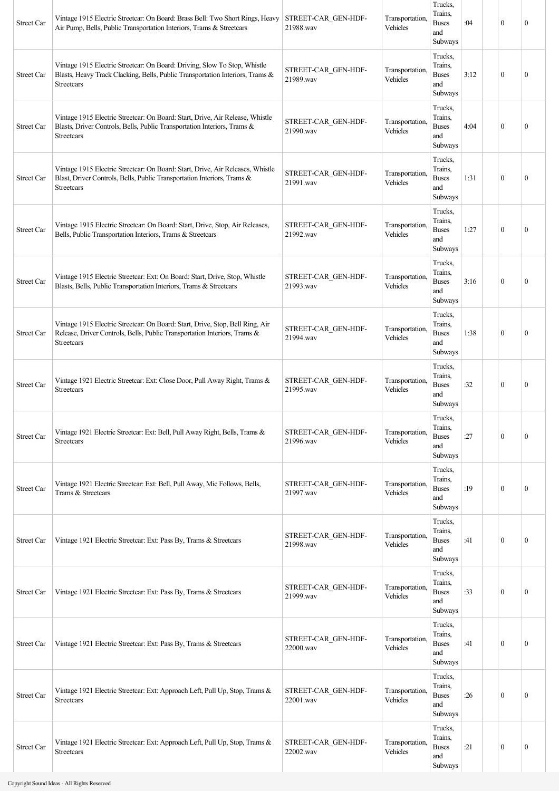| Street Car        | Vintage 1915 Electric Streetcar: On Board: Brass Bell: Two Short Rings, Heavy<br>Air Pump, Bells, Public Transportation Interiors, Trams & Streetcars                    | STREET-CAR_GEN-HDF-<br>21988.wav | Transportation,<br>Vehicles | Trucks,<br>Trains.<br><b>Buses</b><br>and<br>Subways | :04  | $\mathbf{0}$ | $\mathbf{0}$     |
|-------------------|--------------------------------------------------------------------------------------------------------------------------------------------------------------------------|----------------------------------|-----------------------------|------------------------------------------------------|------|--------------|------------------|
| Street Car        | Vintage 1915 Electric Streetcar: On Board: Driving, Slow To Stop, Whistle<br>Blasts, Heavy Track Clacking, Bells, Public Transportation Interiors, Trams &<br>Streetcars | STREET-CAR GEN-HDF-<br>21989.wav | Transportation,<br>Vehicles | Trucks,<br>Trains.<br><b>Buses</b><br>and<br>Subways | 3:12 | $\mathbf{0}$ | $\mathbf{0}$     |
| Street Car        | Vintage 1915 Electric Streetcar: On Board: Start, Drive, Air Release, Whistle<br>Blasts, Driver Controls, Bells, Public Transportation Interiors, Trams &<br>Streetcars  | STREET-CAR_GEN-HDF-<br>21990.wav | Transportation,<br>Vehicles | Trucks,<br>Trains.<br><b>Buses</b><br>and<br>Subways | 4:04 | $\theta$     | $\mathbf{0}$     |
| Street Car        | Vintage 1915 Electric Streetcar: On Board: Start, Drive, Air Releases, Whistle<br>Blast, Driver Controls, Bells, Public Transportation Interiors, Trams &<br>Streetcars  | STREET-CAR GEN-HDF-<br>21991.wav | Transportation,<br>Vehicles | Trucks,<br>Trains,<br><b>Buses</b><br>and<br>Subways | 1:31 | $\mathbf{0}$ | $\mathbf{0}$     |
| <b>Street Car</b> | Vintage 1915 Electric Streetcar: On Board: Start, Drive, Stop, Air Releases,<br>Bells, Public Transportation Interiors, Trams & Streetcars                               | STREET-CAR GEN-HDF-<br>21992.wav | Transportation,<br>Vehicles | Trucks,<br>Trains.<br><b>Buses</b><br>and<br>Subways | 1:27 | $\mathbf{0}$ | $\mathbf{0}$     |
| Street Car        | Vintage 1915 Electric Streetcar: Ext: On Board: Start, Drive, Stop, Whistle<br>Blasts, Bells, Public Transportation Interiors, Trams & Streetcars                        | STREET-CAR GEN-HDF-<br>21993.wav | Transportation,<br>Vehicles | Trucks,<br>Trains,<br><b>Buses</b><br>and<br>Subways | 3:16 | $\theta$     | $\mathbf{0}$     |
| Street Car        | Vintage 1915 Electric Streetcar: On Board: Start, Drive, Stop, Bell Ring, Air<br>Release, Driver Controls, Bells, Public Transportation Interiors, Trams &<br>Streetcars | STREET-CAR GEN-HDF-<br>21994.wav | Transportation,<br>Vehicles | Trucks,<br>Trains,<br><b>Buses</b><br>and<br>Subways | 1:38 | $\mathbf{0}$ | $\mathbf{0}$     |
| Street Car        | Vintage 1921 Electric Streetcar: Ext: Close Door, Pull Away Right, Trams &<br>Streetcars                                                                                 | STREET-CAR GEN-HDF-<br>21995.wav | Transportation,<br>Vehicles | Trucks,<br>Trains.<br><b>Buses</b><br>and<br>Subways | :32  | $\theta$     | $\mathbf{0}$     |
| Street Car        | Vintage 1921 Electric Streetcar: Ext: Bell, Pull Away Right, Bells, Trams &<br>Streetcars                                                                                | STREET-CAR GEN-HDF-<br>21996.wav | Transportation,<br>Vehicles | Trucks,<br>Trains,<br><b>Buses</b><br>and<br>Subways | :27  | $\mathbf{0}$ | $\mathbf{0}$     |
| <b>Street Car</b> | Vintage 1921 Electric Streetcar: Ext: Bell, Pull Away, Mic Follows, Bells,<br>Trams & Streetcars                                                                         | STREET-CAR GEN-HDF-<br>21997.wav | Transportation,<br>Vehicles | Trucks,<br>Trains,<br><b>Buses</b><br>and<br>Subways | :19  | $\mathbf{0}$ | $\mathbf{0}$     |
| Street Car        | Vintage 1921 Electric Streetcar: Ext: Pass By, Trams & Streetcars                                                                                                        | STREET-CAR_GEN-HDF-<br>21998.wav | Transportation,<br>Vehicles | Trucks,<br>Trains,<br><b>Buses</b><br>and<br>Subways | :41  | $\mathbf{0}$ | $\boldsymbol{0}$ |
| Street Car        | Vintage 1921 Electric Streetcar: Ext: Pass By, Trams & Streetcars                                                                                                        | STREET-CAR GEN-HDF-<br>21999.wav | Transportation,<br>Vehicles | Trucks,<br>Trains,<br><b>Buses</b><br>and<br>Subways | :33  | $\mathbf{0}$ | $\boldsymbol{0}$ |
| Street Car        | Vintage 1921 Electric Streetcar: Ext: Pass By, Trams & Streetcars                                                                                                        | STREET-CAR GEN-HDF-<br>22000.wav | Transportation,<br>Vehicles | Trucks,<br>Trains,<br><b>Buses</b><br>and<br>Subways | :41  | $\mathbf{0}$ | $\boldsymbol{0}$ |
| Street Car        | Vintage 1921 Electric Streetcar: Ext: Approach Left, Pull Up, Stop, Trams &<br>Streetcars                                                                                | STREET-CAR_GEN-HDF-<br>22001.wav | Transportation,<br>Vehicles | Trucks,<br>Trains,<br><b>Buses</b><br>and<br>Subways | :26  | $\mathbf{0}$ | $\mathbf{0}$     |
| Street Car        | Vintage 1921 Electric Streetcar: Ext: Approach Left, Pull Up, Stop, Trams &<br>Streetcars                                                                                | STREET-CAR GEN-HDF-<br>22002.wav | Transportation,<br>Vehicles | Trucks,<br>Trains,<br><b>Buses</b><br>and<br>Subways | :21  | $\mathbf{0}$ | $\boldsymbol{0}$ |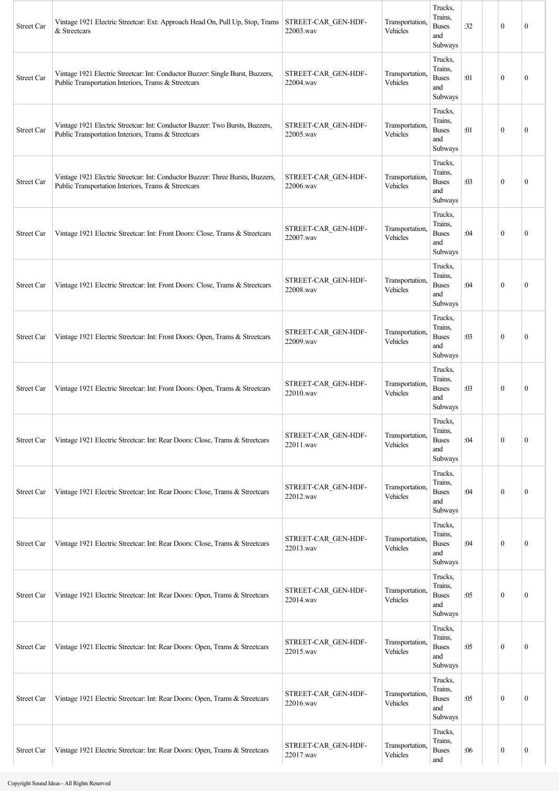| <b>Street Car</b> | Vintage 1921 Electric Streetcar: Ext: Approach Head On, Pull Up, Stop, Trams STREET-CAR GEN-HDF-<br>& Streetcars                      | 22003.wav                        | Transportation.<br>Vehicles | Trucks,<br>Trains,<br><b>Buses</b><br>and<br>Subways | :32 | $\mathbf{0}$     | $\mathbf{0}$     |
|-------------------|---------------------------------------------------------------------------------------------------------------------------------------|----------------------------------|-----------------------------|------------------------------------------------------|-----|------------------|------------------|
| Street Car        | Vintage 1921 Electric Streetcar: Int: Conductor Buzzer: Single Burst, Buzzers,<br>Public Transportation Interiors, Trams & Streetcars | STREET-CAR GEN-HDF-<br>22004.wav | Transportation.<br>Vehicles | Trucks,<br>Trains,<br><b>Buses</b><br>and<br>Subways | :01 | $\mathbf{0}$     | $\mathbf{0}$     |
| <b>Street Car</b> | Vintage 1921 Electric Streetcar: Int: Conductor Buzzer: Two Bursts, Buzzers,<br>Public Transportation Interiors, Trams & Streetcars   | STREET-CAR_GEN-HDF-<br>22005.wav | Transportation,<br>Vehicles | Trucks,<br>Trains,<br><b>Buses</b><br>and<br>Subways | :01 | $\theta$         | $\mathbf{0}$     |
| <b>Street Car</b> | Vintage 1921 Electric Streetcar: Int: Conductor Buzzer: Three Bursts, Buzzers,<br>Public Transportation Interiors, Trams & Streetcars | STREET-CAR GEN-HDF-<br>22006.wav | Transportation.<br>Vehicles | Trucks,<br>Trains,<br><b>Buses</b><br>and<br>Subways | :03 | $\mathbf{0}$     | $\mathbf{0}$     |
| Street Car        | Vintage 1921 Electric Streetcar: Int: Front Doors: Close, Trams & Streetcars                                                          | STREET-CAR GEN-HDF-<br>22007.wav | Transportation,<br>Vehicles | Trucks,<br>Trains,<br><b>Buses</b><br>and<br>Subways | :04 | $\mathbf{0}$     | $\mathbf{0}$     |
| <b>Street Car</b> | Vintage 1921 Electric Streetcar: Int: Front Doors: Close, Trams & Streetcars                                                          | STREET-CAR GEN-HDF-<br>22008.wav | Transportation,<br>Vehicles | Trucks,<br>Trains,<br><b>Buses</b><br>and<br>Subways | :04 | $\theta$         | $\mathbf{0}$     |
| <b>Street Car</b> | Vintage 1921 Electric Streetcar: Int: Front Doors: Open, Trams & Streetcars                                                           | STREET-CAR GEN-HDF-<br>22009.wav | Transportation.<br>Vehicles | Trucks,<br>Trains,<br><b>Buses</b><br>and<br>Subways | :03 | $\mathbf{0}$     | $\mathbf{0}$     |
| Street Car        | Vintage 1921 Electric Streetcar: Int: Front Doors: Open, Trams & Streetcars                                                           | STREET-CAR_GEN-HDF-<br>22010.wav | Transportation.<br>Vehicles | Trucks.<br>Trains,<br><b>Buses</b><br>and<br>Subways | :03 | $\theta$         | $\mathbf{0}$     |
| Street Car        | Vintage 1921 Electric Streetcar: Int: Rear Doors: Close, Trams & Streetcars                                                           | STREET-CAR GEN-HDF-<br>22011.wav | Transportation,<br>Vehicles | Trucks,<br>Trains,<br><b>Buses</b><br>and<br>Subways | :04 | $\mathbf{0}$     | $\boldsymbol{0}$ |
| Street Car        | Vintage 1921 Electric Streetcar: Int: Rear Doors: Close, Trams & Streetcars                                                           | STREET-CAR_GEN-HDF-<br>22012.wav | Transportation.<br>Vehicles | Trucks,<br>Trains,<br><b>Buses</b><br>and<br>Subways | :04 | $\mathbf{0}$     | $\boldsymbol{0}$ |
| Street Car        | Vintage 1921 Electric Streetcar: Int: Rear Doors: Close, Trams & Streetcars                                                           | STREET-CAR_GEN-HDF-<br>22013.wav | Transportation,<br>Vehicles | Trucks,<br>Trains,<br><b>Buses</b><br>and<br>Subways | :04 | $\mathbf{0}$     | $\boldsymbol{0}$ |
| Street Car        | Vintage 1921 Electric Streetcar: Int: Rear Doors: Open, Trams & Streetcars                                                            | STREET-CAR GEN-HDF-<br>22014.wav | Transportation,<br>Vehicles | Trucks,<br>Trains,<br><b>Buses</b><br>and<br>Subways | :05 | $\mathbf{0}$     | $\boldsymbol{0}$ |
| Street Car        | Vintage 1921 Electric Streetcar: Int: Rear Doors: Open, Trams & Streetcars                                                            | STREET-CAR_GEN-HDF-<br>22015.wav | Transportation,<br>Vehicles | Trucks,<br>Trains,<br><b>Buses</b><br>and<br>Subways | :05 | $\mathbf{0}$     | $\boldsymbol{0}$ |
| Street Car        | Vintage 1921 Electric Streetcar: Int: Rear Doors: Open, Trams & Streetcars                                                            | STREET-CAR_GEN-HDF-<br>22016.wav | Transportation,<br>Vehicles | Trucks,<br>Trains,<br><b>Buses</b><br>and<br>Subways | :05 | $\mathbf{0}$     | $\boldsymbol{0}$ |
| Street Car        | Vintage 1921 Electric Streetcar: Int: Rear Doors: Open, Trams & Streetcars                                                            | STREET-CAR GEN-HDF-<br>22017.wav | Transportation,<br>Vehicles | Trucks,<br>Trains,<br><b>Buses</b><br>and            | :06 | $\boldsymbol{0}$ | $\boldsymbol{0}$ |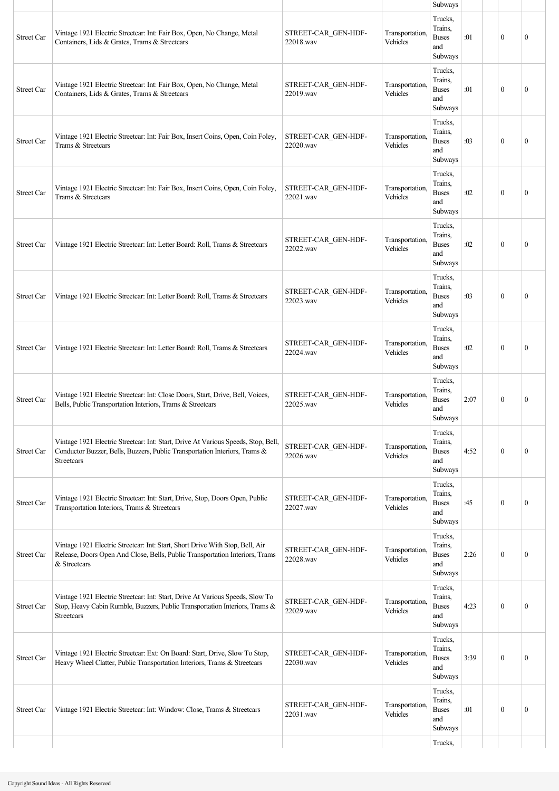|                   |                                                                                                                                                                               |                                  |                             | Subways                                              |      |              |              |
|-------------------|-------------------------------------------------------------------------------------------------------------------------------------------------------------------------------|----------------------------------|-----------------------------|------------------------------------------------------|------|--------------|--------------|
| <b>Street Car</b> | Vintage 1921 Electric Streetcar: Int: Fair Box, Open, No Change, Metal<br>Containers, Lids & Grates, Trams & Streetcars                                                       | STREET-CAR GEN-HDF-<br>22018.wav | Transportation,<br>Vehicles | Trucks,<br>Trains,<br><b>Buses</b><br>and<br>Subways | :01  | $\theta$     | $\mathbf{0}$ |
| <b>Street Car</b> | Vintage 1921 Electric Streetcar: Int: Fair Box, Open, No Change, Metal<br>Containers, Lids & Grates, Trams & Streetcars                                                       | STREET-CAR GEN-HDF-<br>22019.wav | Transportation,<br>Vehicles | Trucks,<br>Trains,<br><b>Buses</b><br>and<br>Subways | :01  | $\mathbf{0}$ | $\mathbf{0}$ |
| <b>Street Car</b> | Vintage 1921 Electric Streetcar: Int: Fair Box, Insert Coins, Open, Coin Foley,<br>Trams & Streetcars                                                                         | STREET-CAR GEN-HDF-<br>22020.wav | Transportation,<br>Vehicles | Trucks,<br>Trains,<br><b>Buses</b><br>and<br>Subways | :03  | $\theta$     | $\mathbf{0}$ |
| <b>Street Car</b> | Vintage 1921 Electric Streetcar: Int: Fair Box, Insert Coins, Open, Coin Foley,<br>Trams & Streetcars                                                                         | STREET-CAR GEN-HDF-<br>22021.wav | Transportation,<br>Vehicles | Trucks,<br>Trains.<br><b>Buses</b><br>and<br>Subways | :02  | $\mathbf{0}$ | $\mathbf{0}$ |
| <b>Street Car</b> | Vintage 1921 Electric Streetcar: Int: Letter Board: Roll, Trams & Streetcars                                                                                                  | STREET-CAR GEN-HDF-<br>22022.wav | Transportation.<br>Vehicles | Trucks,<br>Trains.<br><b>Buses</b><br>and<br>Subways | :02  | $\mathbf{0}$ | $\mathbf{0}$ |
| Street Car        | Vintage 1921 Electric Streetcar: Int: Letter Board: Roll, Trams & Streetcars                                                                                                  | STREET-CAR_GEN-HDF-<br>22023.wav | Transportation,<br>Vehicles | Trucks,<br>Trains.<br><b>Buses</b><br>and<br>Subways | :03  | $\theta$     | $\mathbf{0}$ |
| <b>Street Car</b> | Vintage 1921 Electric Streetcar: Int: Letter Board: Roll, Trams & Streetcars                                                                                                  | STREET-CAR GEN-HDF-<br>22024.wav | Transportation,<br>Vehicles | Trucks,<br>Trains,<br><b>Buses</b><br>and<br>Subways | :02  | $\theta$     | $\mathbf{0}$ |
| <b>Street Car</b> | Vintage 1921 Electric Streetcar: Int: Close Doors, Start, Drive, Bell, Voices,<br>Bells, Public Transportation Interiors, Trams & Streetcars                                  | STREET-CAR GEN-HDF-<br>22025.wav | Transportation,<br>Vehicles | Trucks,<br>Trains,<br><b>Buses</b><br>and<br>Subways | 2:07 | $\mathbf{0}$ | $\mathbf{0}$ |
| Street Car        | Vintage 1921 Electric Streetcar: Int: Start, Drive At Various Speeds, Stop, Bell,<br>Conductor Buzzer, Bells, Buzzers, Public Transportation Interiors, Trams &<br>Streetcars | STREET-CAR GEN-HDF-<br>22026.wav | Transportation,<br>Vehicles | Trucks,<br>Trains.<br><b>Buses</b><br>and<br>Subways | 4:52 | $\mathbf{0}$ | $\mathbf{0}$ |
| Street Car        | Vintage 1921 Electric Streetcar: Int: Start, Drive, Stop, Doors Open, Public<br>Transportation Interiors, Trams & Streetcars                                                  | STREET-CAR GEN-HDF-<br>22027.wav | Transportation,<br>Vehicles | Trucks,<br>Trains.<br><b>Buses</b><br>and<br>Subways | :45  | $\mathbf{0}$ | $\mathbf{0}$ |
| Street Car        | Vintage 1921 Electric Streetcar: Int: Start, Short Drive With Stop, Bell, Air<br>Release, Doors Open And Close, Bells, Public Transportation Interiors, Trams<br>& Streetcars | STREET-CAR GEN-HDF-<br>22028.wav | Transportation,<br>Vehicles | Trucks,<br>Trains.<br><b>Buses</b><br>and<br>Subways | 2:26 | $\mathbf{0}$ | $\mathbf{0}$ |
| Street Car        | Vintage 1921 Electric Streetcar: Int: Start, Drive At Various Speeds, Slow To<br>Stop, Heavy Cabin Rumble, Buzzers, Public Transportation Interiors, Trams &<br>Streetcars    | STREET-CAR GEN-HDF-<br>22029.wav | Transportation,<br>Vehicles | Trucks,<br>Trains,<br><b>Buses</b><br>and<br>Subways | 4:23 | $\mathbf{0}$ | $\mathbf{0}$ |
| Street Car        | Vintage 1921 Electric Streetcar: Ext: On Board: Start, Drive, Slow To Stop,<br>Heavy Wheel Clatter, Public Transportation Interiors, Trams & Streetcars                       | STREET-CAR GEN-HDF-<br>22030.wav | Transportation,<br>Vehicles | Trucks,<br>Trains,<br><b>Buses</b><br>and<br>Subways | 3:39 | $\theta$     | $\mathbf{0}$ |
| Street Car        | Vintage 1921 Electric Streetcar: Int: Window: Close, Trams & Streetcars                                                                                                       | STREET-CAR GEN-HDF-<br>22031.wav | Transportation,<br>Vehicles | Trucks,<br>Trains,<br><b>Buses</b><br>and<br>Subways | :01  | $\mathbf{0}$ | $\mathbf{0}$ |
|                   |                                                                                                                                                                               |                                  |                             | Trucks,                                              |      |              |              |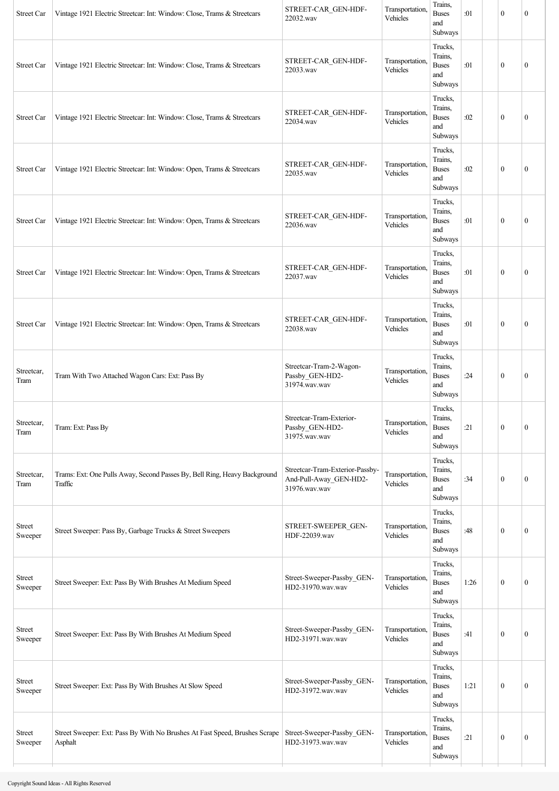| Street Car         | Vintage 1921 Electric Streetcar: Int: Window: Close, Trams & Streetcars               | STREET-CAR GEN-HDF-<br>22032.wav                                           | Transportation,<br>Vehicles | Trains,<br><b>Buses</b><br>and<br>Subways            | :01  | $\mathbf{0}$     | $\mathbf{0}$     |
|--------------------|---------------------------------------------------------------------------------------|----------------------------------------------------------------------------|-----------------------------|------------------------------------------------------|------|------------------|------------------|
| Street Car         | Vintage 1921 Electric Streetcar: Int: Window: Close, Trams & Streetcars               | STREET-CAR_GEN-HDF-<br>22033.wav                                           | Transportation,<br>Vehicles | Trucks,<br>Trains,<br><b>Buses</b><br>and<br>Subways | :01  | $\mathbf{0}$     | $\mathbf{0}$     |
| Street Car         | Vintage 1921 Electric Streetcar: Int: Window: Close, Trams & Streetcars               | STREET-CAR_GEN-HDF-<br>22034.wav                                           | Transportation,<br>Vehicles | Trucks,<br>Trains,<br><b>Buses</b><br>and<br>Subways | :02  | $\mathbf{0}$     | $\boldsymbol{0}$ |
| Street Car         | Vintage 1921 Electric Streetcar: Int: Window: Open, Trams & Streetcars                | STREET-CAR_GEN-HDF-<br>22035.wav                                           | Transportation,<br>Vehicles | Trucks,<br>Trains,<br><b>Buses</b><br>and<br>Subways | :02  | $\mathbf{0}$     | $\mathbf{0}$     |
| <b>Street Car</b>  | Vintage 1921 Electric Streetcar: Int: Window: Open, Trams & Streetcars                | STREET-CAR_GEN-HDF-<br>22036.wav                                           | Transportation,<br>Vehicles | Trucks,<br>Trains,<br><b>Buses</b><br>and<br>Subways | :01  | $\mathbf{0}$     | $\mathbf{0}$     |
| Street Car         | Vintage 1921 Electric Streetcar: Int: Window: Open, Trams & Streetcars                | STREET-CAR_GEN-HDF-<br>22037.wav                                           | Transportation,<br>Vehicles | Trucks,<br>Trains,<br><b>Buses</b><br>and<br>Subways | :01  | $\mathbf{0}$     | $\boldsymbol{0}$ |
| Street Car         | Vintage 1921 Electric Streetcar: Int: Window: Open, Trams & Streetcars                | STREET-CAR GEN-HDF-<br>22038.wav                                           | Transportation,<br>Vehicles | Trucks,<br>Trains,<br><b>Buses</b><br>and<br>Subways | :01  | $\mathbf{0}$     | $\mathbf{0}$     |
| Streetcar,<br>Tram | Tram With Two Attached Wagon Cars: Ext: Pass By                                       | Streetcar-Tram-2-Wagon-<br>Passby_GEN-HD2-<br>31974.wav.wav                | Transportation,<br>Vehicles | Trucks,<br>Trains,<br><b>Buses</b><br>and<br>Subways | :24  | $\mathbf{0}$     | $\boldsymbol{0}$ |
| Streetcar,<br>Tram | Tram: Ext: Pass By                                                                    | Streetcar-Tram-Exterior-<br>Passby_GEN-HD2-<br>31975.wav.wav               | Transportation,<br>Vehicles | Trucks.<br>Trains,<br><b>Buses</b><br>and<br>Subways | :21  | $\boldsymbol{0}$ | $\boldsymbol{0}$ |
| Streetcar,<br>Tram | Trams: Ext: One Pulls Away, Second Passes By, Bell Ring, Heavy Background<br>Traffic  | Streetcar-Tram-Exterior-Passby-<br>And-Pull-Away_GEN-HD2-<br>31976.wav.wav | Transportation,<br>Vehicles | Trucks,<br>Trains,<br><b>Buses</b><br>and<br>Subways | :34  | $\boldsymbol{0}$ | $\boldsymbol{0}$ |
| Street<br>Sweeper  | Street Sweeper: Pass By, Garbage Trucks & Street Sweepers                             | STREET-SWEEPER_GEN-<br>HDF-22039.wav                                       | Transportation<br>Vehicles  | Trucks,<br>Trains,<br><b>Buses</b><br>and<br>Subways | :48  | $\mathbf{0}$     | $\mathbf{0}$     |
| Street<br>Sweeper  | Street Sweeper: Ext: Pass By With Brushes At Medium Speed                             | Street-Sweeper-Passby GEN-<br>HD2-31970.wav.wav                            | Transportation,<br>Vehicles | Trucks,<br>Trains,<br><b>Buses</b><br>and<br>Subways | 1:26 | $\mathbf{0}$     | $\mathbf{0}$     |
| Street<br>Sweeper  | Street Sweeper: Ext: Pass By With Brushes At Medium Speed                             | Street-Sweeper-Passby GEN-<br>HD2-31971.wav.wav                            | Transportation<br>Vehicles  | Trucks,<br>Trains,<br><b>Buses</b><br>and<br>Subways | :41  | $\boldsymbol{0}$ | $\boldsymbol{0}$ |
| Street<br>Sweeper  | Street Sweeper: Ext: Pass By With Brushes At Slow Speed                               | Street-Sweeper-Passby_GEN-<br>HD2-31972.wav.wav                            | Transportation,<br>Vehicles | Trucks,<br>Trains,<br><b>Buses</b><br>and<br>Subways | 1:21 | $\mathbf{0}$     | $\boldsymbol{0}$ |
| Street<br>Sweeper  | Street Sweeper: Ext: Pass By With No Brushes At Fast Speed, Brushes Scrape<br>Asphalt | Street-Sweeper-Passby GEN-<br>HD2-31973.wav.wav                            | Transportation,<br>Vehicles | Trucks,<br>Trains,<br><b>Buses</b><br>and<br>Subways | :21  | $\boldsymbol{0}$ | $\boldsymbol{0}$ |
|                    |                                                                                       |                                                                            |                             |                                                      |      |                  |                  |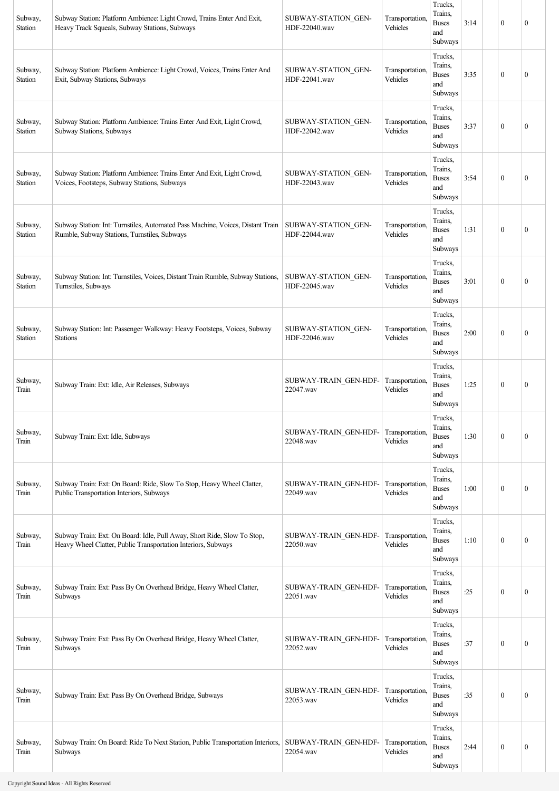| Subway,<br>Station        | Subway Station: Platform Ambience: Light Crowd, Trains Enter And Exit,<br>Heavy Track Squeals, Subway Stations, Subways                  | SUBWAY-STATION GEN-<br>HDF-22040.wav | Transportation,<br>Vehicles        | Trucks,<br>Trains.<br><b>Buses</b><br>and<br>Subways | 3:14 | $\mathbf{0}$     | $\boldsymbol{0}$ |
|---------------------------|------------------------------------------------------------------------------------------------------------------------------------------|--------------------------------------|------------------------------------|------------------------------------------------------|------|------------------|------------------|
| Subway,<br>Station        | Subway Station: Platform Ambience: Light Crowd, Voices, Trains Enter And<br>Exit, Subway Stations, Subways                               | SUBWAY-STATION GEN-<br>HDF-22041.wav | Transportation,<br>Vehicles        | Trucks,<br>Trains.<br><b>Buses</b><br>and<br>Subways | 3:35 | $\mathbf{0}$     | $\mathbf{0}$     |
| Subway,<br>Station        | Subway Station: Platform Ambience: Trains Enter And Exit, Light Crowd,<br>Subway Stations, Subways                                       | SUBWAY-STATION GEN-<br>HDF-22042.wav | Transportation,<br>Vehicles        | Trucks,<br>Trains,<br><b>Buses</b><br>and<br>Subways | 3:37 | $\boldsymbol{0}$ | $\mathbf{0}$     |
| Subway,<br><b>Station</b> | Subway Station: Platform Ambience: Trains Enter And Exit, Light Crowd,<br>Voices, Footsteps, Subway Stations, Subways                    | SUBWAY-STATION GEN-<br>HDF-22043.wav | Transportation,<br>Vehicles        | Trucks,<br>Trains,<br><b>Buses</b><br>and<br>Subways | 3:54 | $\boldsymbol{0}$ | $\mathbf{0}$     |
| Subway,<br><b>Station</b> | Subway Station: Int: Turnstiles, Automated Pass Machine, Voices, Distant Train<br>Rumble, Subway Stations, Turnstiles, Subways           | SUBWAY-STATION GEN-<br>HDF-22044.wav | Transportation,<br>Vehicles        | Trucks,<br>Trains,<br><b>Buses</b><br>and<br>Subways | 1:31 | $\mathbf{0}$     | $\mathbf{0}$     |
| Subway,<br><b>Station</b> | Subway Station: Int: Turnstiles, Voices, Distant Train Rumble, Subway Stations,<br>Turnstiles, Subways                                   | SUBWAY-STATION GEN-<br>HDF-22045.wav | Transportation,<br>Vehicles        | Trucks,<br>Trains,<br><b>Buses</b><br>and<br>Subways | 3:01 | $\theta$         | $\mathbf{0}$     |
| Subway,<br>Station        | Subway Station: Int: Passenger Walkway: Heavy Footsteps, Voices, Subway<br><b>Stations</b>                                               | SUBWAY-STATION GEN-<br>HDF-22046.wav | Transportation,<br>Vehicles        | Trucks,<br>Trains.<br><b>Buses</b><br>and<br>Subways | 2:00 | $\boldsymbol{0}$ | $\mathbf{0}$     |
| Subway,<br>Train          | Subway Train: Ext: Idle, Air Releases, Subways                                                                                           | SUBWAY-TRAIN GEN-HDF-<br>22047.wav   | Transportation,<br><b>Vehicles</b> | Trucks.<br>Trains.<br><b>Buses</b><br>and<br>Subways | 1:25 | $\mathbf{0}$     | $\mathbf{0}$     |
| Subway,<br>Train          | Subway Train: Ext: Idle, Subways                                                                                                         | SUBWAY-TRAIN GEN-HDF-<br>22048.wav   | Transportation,<br>Vehicles        | Trucks,<br>Trains,<br><b>Buses</b><br>and<br>Subways | 1:30 | $\mathbf{0}$     | $\mathbf{0}$     |
| Subway,<br>Train          | Subway Train: Ext: On Board: Ride, Slow To Stop, Heavy Wheel Clatter,<br>Public Transportation Interiors, Subways                        | SUBWAY-TRAIN_GEN-HDF-<br>22049.wav   | Transportation,<br>Vehicles        | Trucks,<br>Trains,<br><b>Buses</b><br>and<br>Subways | 1:00 | $\mathbf{0}$     | $\mathbf{0}$     |
| Subway,<br>Train          | Subway Train: Ext: On Board: Idle, Pull Away, Short Ride, Slow To Stop,<br>Heavy Wheel Clatter, Public Transportation Interiors, Subways | SUBWAY-TRAIN GEN-HDF-<br>22050.wav   | Transportation,<br>Vehicles        | Trucks,<br>Trains,<br><b>Buses</b><br>and<br>Subways | 1:10 | $\boldsymbol{0}$ | $\boldsymbol{0}$ |
| Subway,<br>Train          | Subway Train: Ext: Pass By On Overhead Bridge, Heavy Wheel Clatter,<br>Subways                                                           | SUBWAY-TRAIN GEN-HDF-<br>22051.wav   | Transportation,<br>Vehicles        | Trucks,<br>Trains,<br><b>Buses</b><br>and<br>Subways | :25  | $\mathbf{0}$     | $\boldsymbol{0}$ |
| Subway,<br>Train          | Subway Train: Ext: Pass By On Overhead Bridge, Heavy Wheel Clatter,<br>Subways                                                           | SUBWAY-TRAIN GEN-HDF-<br>22052.wav   | Transportation,<br>Vehicles        | Trucks,<br>Trains,<br><b>Buses</b><br>and<br>Subways | :37  | $\boldsymbol{0}$ | $\boldsymbol{0}$ |
| Subway,<br>Train          | Subway Train: Ext: Pass By On Overhead Bridge, Subways                                                                                   | SUBWAY-TRAIN GEN-HDF-<br>22053.wav   | Transportation,<br>Vehicles        | Trucks,<br>Trains.<br><b>Buses</b><br>and<br>Subways | :35  | $\boldsymbol{0}$ | $\mathbf{0}$     |
| Subway,<br>Train          | Subway Train: On Board: Ride To Next Station, Public Transportation Interiors,<br>Subways                                                | SUBWAY-TRAIN GEN-HDF-<br>22054.wav   | Transportation,<br>Vehicles        | Trucks,<br>Trains,<br><b>Buses</b><br>and<br>Subways | 2:44 | $\boldsymbol{0}$ | $\boldsymbol{0}$ |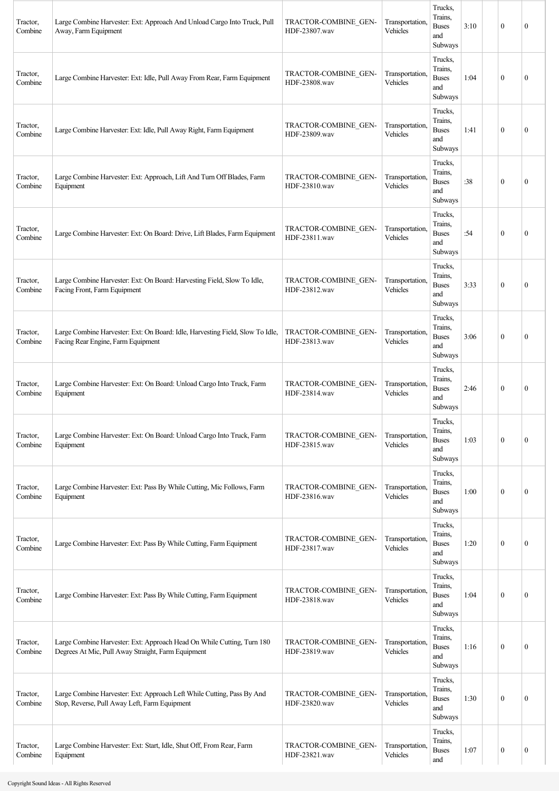| Tractor,<br>Combine | Large Combine Harvester: Ext: Approach And Unload Cargo Into Truck, Pull<br>Away, Farm Equipment                             | TRACTOR-COMBINE GEN-<br>HDF-23807.wav | Transportation,<br>Vehicles | Trucks,<br>Trains,<br><b>Buses</b><br>and<br>Subways | 3:10 | $\mathbf{0}$     | $\boldsymbol{0}$ |
|---------------------|------------------------------------------------------------------------------------------------------------------------------|---------------------------------------|-----------------------------|------------------------------------------------------|------|------------------|------------------|
| Tractor,<br>Combine | Large Combine Harvester: Ext: Idle, Pull Away From Rear, Farm Equipment                                                      | TRACTOR-COMBINE_GEN-<br>HDF-23808.wav | Transportation,<br>Vehicles | Trucks,<br>Trains,<br><b>Buses</b><br>and<br>Subways | 1:04 | $\mathbf{0}$     | 0                |
| Tractor,<br>Combine | Large Combine Harvester: Ext: Idle, Pull Away Right, Farm Equipment                                                          | TRACTOR-COMBINE GEN-<br>HDF-23809.wav | Transportation,<br>Vehicles | Trucks,<br>Trains,<br><b>Buses</b><br>and<br>Subways | 1:41 | $\theta$         | $\mathbf{0}$     |
| Tractor,<br>Combine | Large Combine Harvester: Ext: Approach, Lift And Turn Off Blades, Farm<br>Equipment                                          | TRACTOR-COMBINE GEN-<br>HDF-23810.wav | Transportation,<br>Vehicles | Trucks,<br>Trains,<br><b>Buses</b><br>and<br>Subways | :38  | $\mathbf{0}$     | $\boldsymbol{0}$ |
| Tractor,<br>Combine | Large Combine Harvester: Ext: On Board: Drive, Lift Blades, Farm Equipment                                                   | TRACTOR-COMBINE GEN-<br>HDF-23811.wav | Transportation.<br>Vehicles | Trucks,<br>Trains,<br><b>Buses</b><br>and<br>Subways | :54  | $\mathbf{0}$     | 0                |
| Tractor,<br>Combine | Large Combine Harvester: Ext: On Board: Harvesting Field, Slow To Idle,<br>Facing Front, Farm Equipment                      | TRACTOR-COMBINE GEN-<br>HDF-23812.wav | Transportation,<br>Vehicles | Trucks,<br>Trains,<br><b>Buses</b><br>and<br>Subways | 3:33 | $\mathbf{0}$     | $\mathbf{0}$     |
| Tractor,<br>Combine | Large Combine Harvester: Ext: On Board: Idle, Harvesting Field, Slow To Idle,<br>Facing Rear Engine, Farm Equipment          | TRACTOR-COMBINE GEN-<br>HDF-23813.wav | Transportation,<br>Vehicles | Trucks,<br>Trains,<br><b>Buses</b><br>and<br>Subways | 3:06 | $\mathbf{0}$     | $\boldsymbol{0}$ |
| Tractor,<br>Combine | Large Combine Harvester: Ext: On Board: Unload Cargo Into Truck, Farm<br>Equipment                                           | TRACTOR-COMBINE GEN-<br>HDF-23814.wav | Transportation,<br>Vehicles | Trucks,<br>Trains,<br><b>Buses</b><br>and<br>Subways | 2:46 | $\mathbf{0}$     | $\boldsymbol{0}$ |
| Tractor,<br>Combine | Large Combine Harvester: Ext: On Board: Unload Cargo Into Truck, Farm<br>Equipment                                           | TRACTOR-COMBINE GEN-<br>HDF-23815.wav | Transportation.<br>Vehicles | Trucks,<br>Trains,<br><b>Buses</b><br>and<br>Subways | 1:03 | $\mathbf{0}$     | $\boldsymbol{0}$ |
| Tractor,<br>Combine | Large Combine Harvester: Ext: Pass By While Cutting, Mic Follows, Farm<br>Equipment                                          | TRACTOR-COMBINE GEN-<br>HDF-23816.wav | Transportation,<br>Vehicles | Trucks,<br>Trains,<br><b>Buses</b><br>and<br>Subways | 1:00 | $\mathbf{0}$     | $\boldsymbol{0}$ |
| Tractor,<br>Combine | Large Combine Harvester: Ext: Pass By While Cutting, Farm Equipment                                                          | TRACTOR-COMBINE GEN-<br>HDF-23817.wav | Transportation,<br>Vehicles | Trucks,<br>Trains,<br><b>Buses</b><br>and<br>Subways | 1:20 | $\mathbf{0}$     | $\boldsymbol{0}$ |
| Tractor,<br>Combine | Large Combine Harvester: Ext: Pass By While Cutting, Farm Equipment                                                          | TRACTOR-COMBINE GEN-<br>HDF-23818.wav | Transportation,<br>Vehicles | Trucks,<br>Trains,<br><b>Buses</b><br>and<br>Subways | 1:04 | $\mathbf{0}$     | $\boldsymbol{0}$ |
| Tractor,<br>Combine | Large Combine Harvester: Ext: Approach Head On While Cutting, Turn 180<br>Degrees At Mic, Pull Away Straight, Farm Equipment | TRACTOR-COMBINE GEN-<br>HDF-23819.wav | Transportation,<br>Vehicles | Trucks,<br>Trains,<br><b>Buses</b><br>and<br>Subways | 1:16 | $\mathbf{0}$     | $\boldsymbol{0}$ |
| Tractor,<br>Combine | Large Combine Harvester: Ext: Approach Left While Cutting, Pass By And<br>Stop, Reverse, Pull Away Left, Farm Equipment      | TRACTOR-COMBINE GEN-<br>HDF-23820.wav | Transportation,<br>Vehicles | Trucks,<br>Trains,<br><b>Buses</b><br>and<br>Subways | 1:30 | $\mathbf{0}$     | $\mathbf{0}$     |
| Tractor,<br>Combine | Large Combine Harvester: Ext: Start, Idle, Shut Off, From Rear, Farm<br>Equipment                                            | TRACTOR-COMBINE GEN-<br>HDF-23821.wav | Transportation,<br>Vehicles | Trucks,<br>Trains,<br><b>Buses</b><br>and            | 1:07 | $\boldsymbol{0}$ | $\boldsymbol{0}$ |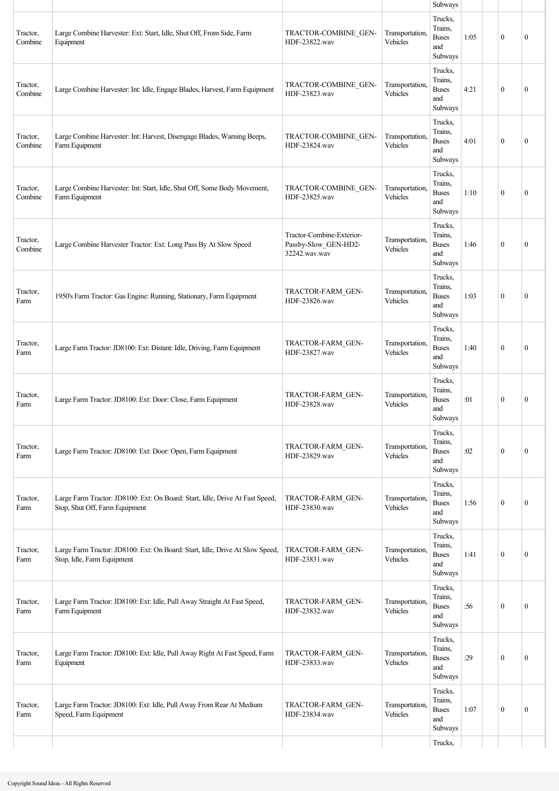|                     |                                                                                                                |                                                                    |                             | Subways                                              |      |              |                  |
|---------------------|----------------------------------------------------------------------------------------------------------------|--------------------------------------------------------------------|-----------------------------|------------------------------------------------------|------|--------------|------------------|
| Tractor,<br>Combine | Large Combine Harvester: Ext: Start, Idle, Shut Off, From Side, Farm<br>Equipment                              | TRACTOR-COMBINE GEN-<br>HDF-23822.wav                              | Transportation,<br>Vehicles | Trucks,<br>Trains,<br><b>Buses</b><br>and<br>Subways | 1:05 | $\mathbf{0}$ | $\mathbf{0}$     |
| Tractor,<br>Combine | Large Combine Harvester: Int: Idle, Engage Blades, Harvest, Farm Equipment                                     | TRACTOR-COMBINE GEN-<br>HDF-23823.wav                              | Transportation,<br>Vehicles | Trucks,<br>Trains,<br><b>Buses</b><br>and<br>Subways | 4:21 | $\mathbf{0}$ | $\mathbf{0}$     |
| Tractor,<br>Combine | Large Combine Harvester: Int: Harvest, Disengage Blades, Warning Beeps,<br>Farm Equipment                      | TRACTOR-COMBINE GEN-<br>HDF-23824.wav                              | Transportation,<br>Vehicles | Trucks,<br>Trains,<br><b>Buses</b><br>and<br>Subways | 4:01 | $\mathbf{0}$ | $\mathbf{0}$     |
| Tractor,<br>Combine | Large Combine Harvester: Int: Start, Idle, Shut Off, Some Body Movement,<br>Farm Equipment                     | TRACTOR-COMBINE GEN-<br>HDF-23825.wav                              | Transportation,<br>Vehicles | Trucks,<br>Trains,<br><b>Buses</b><br>and<br>Subways | 1:10 | $\mathbf{0}$ | $\mathbf{0}$     |
| Tractor,<br>Combine | Large Combine Harvester Tractor: Ext: Long Pass By At Slow Speed                                               | Tractor-Combine-Exterior-<br>Passby-Slow_GEN-HD2-<br>32242.wav.wav | Transportation,<br>Vehicles | Trucks,<br>Trains,<br><b>Buses</b><br>and<br>Subways | 1:46 | $\mathbf{0}$ | $\mathbf{0}$     |
| Tractor,<br>Farm    | 1950's Farm Tractor: Gas Engine: Running, Stationary, Farm Equipment                                           | TRACTOR-FARM GEN-<br>HDF-23826.wav                                 | Transportation,<br>Vehicles | Trucks,<br>Trains.<br><b>Buses</b><br>and<br>Subways | 1:03 | $\mathbf{0}$ | $\boldsymbol{0}$ |
| Tractor,<br>Farm    | Large Farm Tractor: JD8100: Ext: Distant: Idle, Driving, Farm Equipment                                        | TRACTOR-FARM GEN-<br>HDF-23827.wav                                 | Transportation,<br>Vehicles | Trucks,<br>Trains,<br><b>Buses</b><br>and<br>Subways | 1:40 | $\theta$     | $\mathbf{0}$     |
| Tractor,<br>Farm    | Large Farm Tractor: JD8100: Ext: Door: Close, Farm Equipment                                                   | TRACTOR-FARM GEN-<br>HDF-23828.wav                                 | Transportation,<br>Vehicles | Trucks,<br>Trains,<br><b>Buses</b><br>and<br>Subways | :01  | $\mathbf{0}$ | $\mathbf{0}$     |
| Tractor,<br>Farm    | Large Farm Tractor: JD8100: Ext: Door: Open, Farm Equipment                                                    | TRACTOR-FARM GEN-<br>HDF-23829.wav                                 | Transportation,<br>Vehicles | Trucks,<br>Trains,<br><b>Buses</b><br>and<br>Subways | :02  | $\mathbf{0}$ | $\boldsymbol{0}$ |
| Tractor,<br>Farm    | Large Farm Tractor: JD8100: Ext: On Board: Start, Idle, Drive At Fast Speed,<br>Stop, Shut Off, Farm Equipment | TRACTOR-FARM GEN-<br>HDF-23830.wav                                 | Transportation,<br>Vehicles | Trucks,<br>Trains,<br><b>Buses</b><br>and<br>Subways | 1:56 | $\mathbf{0}$ | $\mathbf{0}$     |
| Tractor,<br>Farm    | Large Farm Tractor: JD8100: Ext: On Board: Start, Idle, Drive At Slow Speed,<br>Stop, Idle, Farm Equipment     | TRACTOR-FARM GEN-<br>HDF-23831.wav                                 | Transportation,<br>Vehicles | Trucks,<br>Trains,<br><b>Buses</b><br>and<br>Subways | 1:41 | $\mathbf{0}$ | $\mathbf{0}$     |
| Tractor,<br>Farm    | Large Farm Tractor: JD8100: Ext: Idle, Pull Away Straight At Fast Speed,<br>Farm Equipment                     | TRACTOR-FARM GEN-<br>HDF-23832.wav                                 | Transportation,<br>Vehicles | Trucks,<br>Trains.<br><b>Buses</b><br>and<br>Subways | :56  | $\mathbf{0}$ | $\mathbf{0}$     |
| Tractor,<br>Farm    | Large Farm Tractor: JD8100: Ext: Idle, Pull Away Right At Fast Speed, Farm<br>Equipment                        | TRACTOR-FARM GEN-<br>HDF-23833.wav                                 | Transportation,<br>Vehicles | Trucks,<br>Trains,<br><b>Buses</b><br>and<br>Subways | :29  | $\theta$     | $\mathbf{0}$     |
| Tractor,<br>Farm    | Large Farm Tractor: JD8100: Ext: Idle, Pull Away From Rear At Medium<br>Speed, Farm Equipment                  | TRACTOR-FARM GEN-<br>HDF-23834.wav                                 | Transportation,<br>Vehicles | Trucks,<br>Trains,<br><b>Buses</b><br>and<br>Subways | 1:07 | $\mathbf{0}$ | $\mathbf{0}$     |
|                     |                                                                                                                |                                                                    |                             | Trucks,                                              |      |              |                  |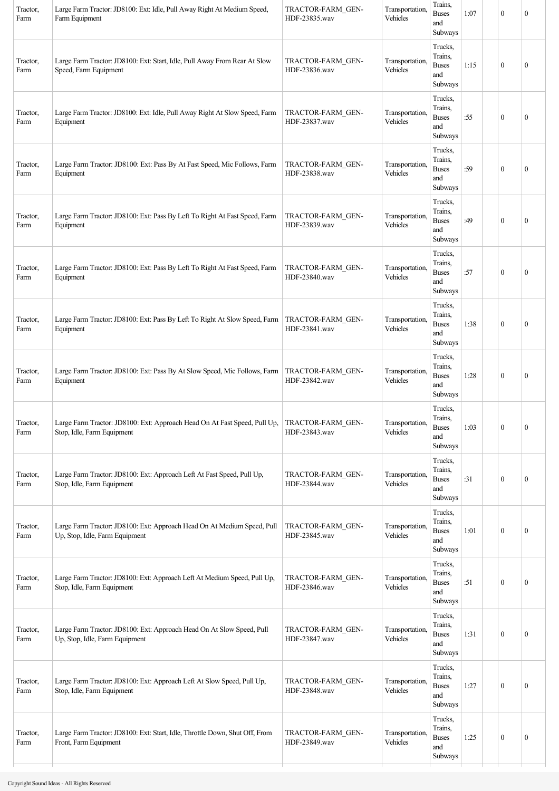| Tractor,<br>Farm                  | Large Farm Tractor: JD8100: Ext: Idle, Pull Away Right At Medium Speed,<br>Farm Equipment                 | TRACTOR-FARM GEN-<br>HDF-23835.wav | Transportation,<br>Vehicles | Trains,<br><b>Buses</b><br>and<br>Subways            | 1:07 | $\mathbf{0}$     | $\mathbf{0}$     |
|-----------------------------------|-----------------------------------------------------------------------------------------------------------|------------------------------------|-----------------------------|------------------------------------------------------|------|------------------|------------------|
| Tractor,<br>Farm                  | Large Farm Tractor: JD8100: Ext: Start, Idle, Pull Away From Rear At Slow<br>Speed, Farm Equipment        | TRACTOR-FARM GEN-<br>HDF-23836.wav | Transportation.<br>Vehicles | Trucks,<br>Trains,<br><b>Buses</b><br>and<br>Subways | 1:15 | $\mathbf{0}$     | $\mathbf{0}$     |
| Tractor,<br>Farm                  | Large Farm Tractor: JD8100: Ext: Idle, Pull Away Right At Slow Speed, Farm<br>Equipment                   | TRACTOR-FARM GEN-<br>HDF-23837.wav | Transportation,<br>Vehicles | Trucks,<br>Trains,<br><b>Buses</b><br>and<br>Subways | :55  | $\mathbf{0}$     | $\boldsymbol{0}$ |
| Tractor,<br>Farm                  | Large Farm Tractor: JD8100: Ext: Pass By At Fast Speed, Mic Follows, Farm<br>Equipment                    | TRACTOR-FARM GEN-<br>HDF-23838.wav | Transportation,<br>Vehicles | Trucks,<br>Trains,<br><b>Buses</b><br>and<br>Subways | :59  | $\mathbf{0}$     | $\mathbf{0}$     |
| Tractor,<br>Farm                  | Large Farm Tractor: JD8100: Ext: Pass By Left To Right At Fast Speed, Farm<br>Equipment                   | TRACTOR-FARM GEN-<br>HDF-23839.wav | Transportation,<br>Vehicles | Trucks,<br>Trains,<br><b>Buses</b><br>and<br>Subways | :49  | $\mathbf{0}$     | $\mathbf{0}$     |
| Tractor,<br>Farm                  | Large Farm Tractor: JD8100: Ext: Pass By Left To Right At Fast Speed, Farm<br>Equipment                   | TRACTOR-FARM GEN-<br>HDF-23840.wav | Transportation,<br>Vehicles | Trucks,<br>Trains.<br><b>Buses</b><br>and<br>Subways | :57  | $\mathbf{0}$     | $\mathbf{0}$     |
| Tractor,<br>Farm                  | Large Farm Tractor: JD8100: Ext: Pass By Left To Right At Slow Speed, Farm<br>Equipment                   | TRACTOR-FARM GEN-<br>HDF-23841.wav | Transportation.<br>Vehicles | Trucks,<br>Trains,<br><b>Buses</b><br>and<br>Subways | 1:38 | $\mathbf{0}$     | $\mathbf{0}$     |
| Tractor,<br>Farm                  | Large Farm Tractor: JD8100: Ext: Pass By At Slow Speed, Mic Follows, Farm<br>Equipment                    | TRACTOR-FARM GEN-<br>HDF-23842.wav | Transportation,<br>Vehicles | Trucks,<br>Trains,<br><b>Buses</b><br>and<br>Subways | 1:28 | $\mathbf{0}$     | $\mathbf{0}$     |
| $\operatorname{Tractor},$<br>Farm | Large Farm Tractor: JD8100: Ext: Approach Head On At Fast Speed, Pull Up,<br>Stop, Idle, Farm Equipment   | TRACTOR-FARM GEN-<br>HDF-23843.wav | Transportation,<br>Vehicles | Trucks,<br>Trains,<br><b>Buses</b><br>and<br>Subways | 1:03 | $\boldsymbol{0}$ | $\boldsymbol{0}$ |
| Tractor,<br>Farm                  | Large Farm Tractor: JD8100: Ext: Approach Left At Fast Speed, Pull Up,<br>Stop, Idle, Farm Equipment      | TRACTOR-FARM GEN-<br>HDF-23844.wav | Transportation,<br>Vehicles | Trucks,<br>Trains,<br><b>Buses</b><br>and<br>Subways | :31  | $\boldsymbol{0}$ | $\boldsymbol{0}$ |
| Tractor,<br>Farm                  | Large Farm Tractor: JD8100: Ext: Approach Head On At Medium Speed, Pull<br>Up, Stop, Idle, Farm Equipment | TRACTOR-FARM GEN-<br>HDF-23845.wav | Transportation,<br>Vehicles | Trucks,<br>Trains,<br><b>Buses</b><br>and<br>Subways | 1:01 | $\boldsymbol{0}$ | $\boldsymbol{0}$ |
| Tractor,<br>Farm                  | Large Farm Tractor: JD8100: Ext: Approach Left At Medium Speed, Pull Up,<br>Stop, Idle, Farm Equipment    | TRACTOR-FARM GEN-<br>HDF-23846.wav | Transportation,<br>Vehicles | Trucks,<br>Trains,<br><b>Buses</b><br>and<br>Subways | :51  | $\boldsymbol{0}$ | $\boldsymbol{0}$ |
| Tractor,<br>Farm                  | Large Farm Tractor: JD8100: Ext: Approach Head On At Slow Speed, Pull<br>Up, Stop, Idle, Farm Equipment   | TRACTOR-FARM GEN-<br>HDF-23847.wav | Transportation,<br>Vehicles | Trucks,<br>Trains,<br><b>Buses</b><br>and<br>Subways | 1:31 | $\mathbf{0}$     | $\boldsymbol{0}$ |
| Tractor,<br>Farm                  | Large Farm Tractor: JD8100: Ext: Approach Left At Slow Speed, Pull Up,<br>Stop, Idle, Farm Equipment      | TRACTOR-FARM GEN-<br>HDF-23848.wav | Transportation,<br>Vehicles | Trucks,<br>Trains,<br><b>Buses</b><br>and<br>Subways | 1:27 | $\mathbf{0}$     | $\boldsymbol{0}$ |
| Tractor,<br>Farm                  | Large Farm Tractor: JD8100: Ext: Start, Idle, Throttle Down, Shut Off, From<br>Front, Farm Equipment      | TRACTOR-FARM GEN-<br>HDF-23849.wav | Transportation,<br>Vehicles | Trucks,<br>Trains,<br><b>Buses</b><br>and<br>Subways | 1:25 | $\boldsymbol{0}$ | $\boldsymbol{0}$ |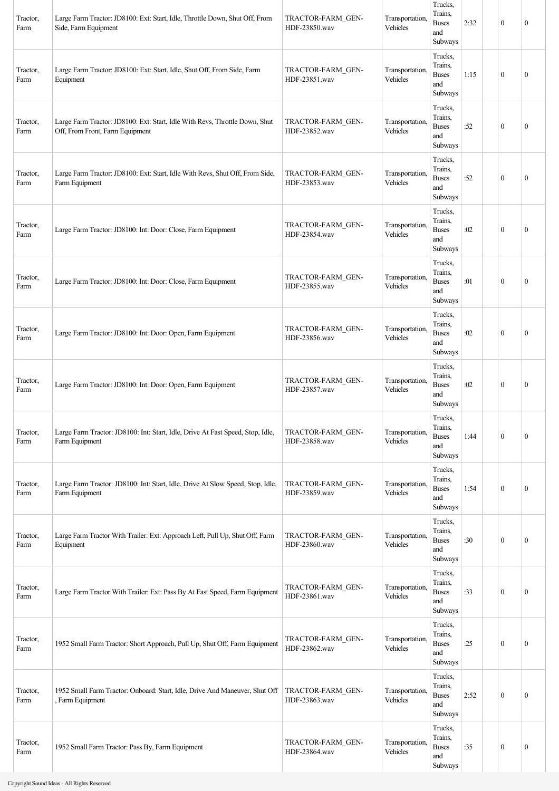| Tractor,<br>Farm | Large Farm Tractor: JD8100: Ext: Start, Idle, Throttle Down, Shut Off, From<br>Side, Farm Equipment            | TRACTOR-FARM GEN-<br>HDF-23850.wav | Transportation,<br>Vehicles | Trucks,<br>Trains.<br><b>Buses</b><br>and<br>Subways | 2:32 | $\mathbf{0}$     | $\mathbf{0}$     |
|------------------|----------------------------------------------------------------------------------------------------------------|------------------------------------|-----------------------------|------------------------------------------------------|------|------------------|------------------|
| Tractor,<br>Farm | Large Farm Tractor: JD8100: Ext: Start, Idle, Shut Off, From Side, Farm<br>Equipment                           | TRACTOR-FARM GEN-<br>HDF-23851.wav | Transportation,<br>Vehicles | Trucks,<br>Trains.<br><b>Buses</b><br>and<br>Subways | 1:15 | $\boldsymbol{0}$ | $\mathbf{0}$     |
| Tractor,<br>Farm | Large Farm Tractor: JD8100: Ext: Start, Idle With Revs, Throttle Down, Shut<br>Off, From Front, Farm Equipment | TRACTOR-FARM_GEN-<br>HDF-23852.wav | Transportation,<br>Vehicles | Trucks,<br>Trains.<br><b>Buses</b><br>and<br>Subways | :52  | $\boldsymbol{0}$ | $\mathbf{0}$     |
| Tractor,<br>Farm | Large Farm Tractor: JD8100: Ext: Start, Idle With Revs, Shut Off, From Side,<br>Farm Equipment                 | TRACTOR-FARM GEN-<br>HDF-23853.wav | Transportation,<br>Vehicles | Trucks,<br>Trains,<br><b>Buses</b><br>and<br>Subways | :52  | $\boldsymbol{0}$ | $\mathbf{0}$     |
| Tractor,<br>Farm | Large Farm Tractor: JD8100: Int: Door: Close, Farm Equipment                                                   | TRACTOR-FARM GEN-<br>HDF-23854.wav | Transportation,<br>Vehicles | Trucks,<br>Trains,<br><b>Buses</b><br>and<br>Subways | :02  | $\boldsymbol{0}$ | $\mathbf{0}$     |
| Tractor,<br>Farm | Large Farm Tractor: JD8100: Int: Door: Close, Farm Equipment                                                   | TRACTOR-FARM GEN-<br>HDF-23855.wav | Transportation,<br>Vehicles | Trucks,<br>Trains,<br><b>Buses</b><br>and<br>Subways | :01  | $\theta$         | $\mathbf{0}$     |
| Tractor,<br>Farm | Large Farm Tractor: JD8100: Int: Door: Open, Farm Equipment                                                    | TRACTOR-FARM GEN-<br>HDF-23856.wav | Transportation,<br>Vehicles | Trucks,<br>Trains.<br><b>Buses</b><br>and<br>Subways | :02  | $\boldsymbol{0}$ | $\mathbf{0}$     |
| Tractor,<br>Farm | Large Farm Tractor: JD8100: Int: Door: Open, Farm Equipment                                                    | TRACTOR-FARM GEN-<br>HDF-23857.wav | Transportation,<br>Vehicles | Trucks,<br>Trains.<br><b>Buses</b><br>and<br>Subways | :02  | $\boldsymbol{0}$ | $\mathbf{0}$     |
| Tractor,<br>Farm | Large Farm Tractor: JD8100: Int: Start, Idle, Drive At Fast Speed, Stop, Idle,<br>Farm Equipment               | TRACTOR-FARM GEN-<br>HDF-23858.wav | Transportation,<br>Vehicles | Trucks,<br>Trains,<br><b>Buses</b><br>and<br>Subways | 1:44 | $\mathbf{0}$     | $\mathbf{0}$     |
| Tractor,<br>Farm | Large Farm Tractor: JD8100: Int: Start, Idle, Drive At Slow Speed, Stop, Idle,<br>Farm Equipment               | TRACTOR-FARM GEN-<br>HDF-23859.wav | Transportation,<br>Vehicles | Trucks,<br>Trains,<br><b>Buses</b><br>and<br>Subways | 1:54 | $\mathbf{0}$     | $\boldsymbol{0}$ |
| Tractor,<br>Farm | Large Farm Tractor With Trailer: Ext: Approach Left, Pull Up, Shut Off, Farm<br>Equipment                      | TRACTOR-FARM GEN-<br>HDF-23860.wav | Transportation,<br>Vehicles | Trucks,<br>Trains,<br><b>Buses</b><br>and<br>Subways | :30  | $\mathbf{0}$     | $\boldsymbol{0}$ |
| Tractor,<br>Farm | Large Farm Tractor With Trailer: Ext: Pass By At Fast Speed, Farm Equipment                                    | TRACTOR-FARM GEN-<br>HDF-23861.wav | Transportation,<br>Vehicles | Trucks,<br>Trains,<br><b>Buses</b><br>and<br>Subways | :33  | $\mathbf{0}$     | $\boldsymbol{0}$ |
| Tractor,<br>Farm | 1952 Small Farm Tractor: Short Approach, Pull Up, Shut Off, Farm Equipment                                     | TRACTOR-FARM GEN-<br>HDF-23862.wav | Transportation,<br>Vehicles | Trucks,<br>Trains,<br><b>Buses</b><br>and<br>Subways | :25  | $\boldsymbol{0}$ | $\boldsymbol{0}$ |
| Tractor,<br>Farm | 1952 Small Farm Tractor: Onboard: Start, Idle, Drive And Maneuver, Shut Off<br>, Farm Equipment                | TRACTOR-FARM GEN-<br>HDF-23863.wav | Transportation,<br>Vehicles | Trucks,<br>Trains.<br><b>Buses</b><br>and<br>Subways | 2:52 | $\mathbf{0}$     | $\mathbf{0}$     |
| Tractor,<br>Farm | 1952 Small Farm Tractor: Pass By, Farm Equipment                                                               | TRACTOR-FARM GEN-<br>HDF-23864.wav | Transportation,<br>Vehicles | Trucks,<br>Trains,<br><b>Buses</b><br>and<br>Subways | :35  | $\boldsymbol{0}$ | $\boldsymbol{0}$ |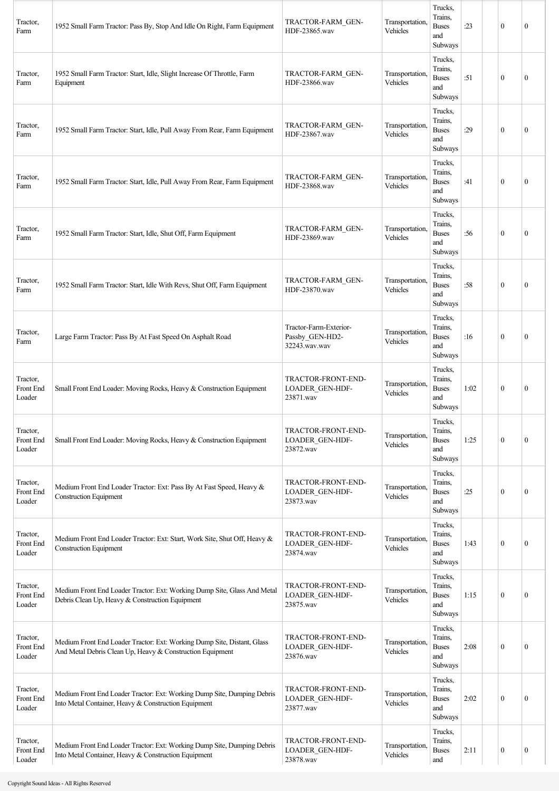| Tractor,<br>Farm                | 1952 Small Farm Tractor: Pass By, Stop And Idle On Right, Farm Equipment                                                             | TRACTOR-FARM GEN-<br>HDF-23865.wav                         | Transportation.<br>Vehicles | Trucks,<br>Trains,<br><b>Buses</b><br>and<br>Subways | : 23 | $\mathbf{0}$     | $\mathbf{0}$     |
|---------------------------------|--------------------------------------------------------------------------------------------------------------------------------------|------------------------------------------------------------|-----------------------------|------------------------------------------------------|------|------------------|------------------|
| Tractor,<br>Farm                | 1952 Small Farm Tractor: Start, Idle, Slight Increase Of Throttle, Farm<br>Equipment                                                 | TRACTOR-FARM GEN-<br>HDF-23866.wav                         | Transportation,<br>Vehicles | Trucks,<br>Trains,<br><b>Buses</b><br>and<br>Subways | :51  | $\mathbf{0}$     | $\mathbf{0}$     |
| Tractor.<br>Farm                | 1952 Small Farm Tractor: Start, Idle, Pull Away From Rear, Farm Equipment                                                            | TRACTOR-FARM GEN-<br>HDF-23867.wav                         | Transportation,<br>Vehicles | Trucks,<br>Trains,<br><b>Buses</b><br>and<br>Subways | :29  | $\theta$         | $\mathbf{0}$     |
| Tractor,<br>Farm                | 1952 Small Farm Tractor: Start, Idle, Pull Away From Rear, Farm Equipment                                                            | TRACTOR-FARM GEN-<br>HDF-23868.wav                         | Transportation.<br>Vehicles | Trucks,<br>Trains,<br><b>Buses</b><br>and<br>Subways | :41  | $\mathbf{0}$     | $\mathbf{0}$     |
| Tractor,<br>Farm                | 1952 Small Farm Tractor: Start, Idle, Shut Off, Farm Equipment                                                                       | TRACTOR-FARM GEN-<br>HDF-23869.wav                         | Transportation,<br>Vehicles | Trucks,<br>Trains,<br><b>Buses</b><br>and<br>Subways | :56  | $\mathbf{0}$     | $\mathbf{0}$     |
| Tractor,<br>Farm                | 1952 Small Farm Tractor: Start, Idle With Revs, Shut Off, Farm Equipment                                                             | TRACTOR-FARM GEN-<br>HDF-23870.wav                         | Transportation,<br>Vehicles | Trucks,<br>Trains,<br><b>Buses</b><br>and<br>Subways | :58  | $\theta$         | $\mathbf{0}$     |
| Tractor,<br>Farm                | Large Farm Tractor: Pass By At Fast Speed On Asphalt Road                                                                            | Tractor-Farm-Exterior-<br>Passby_GEN-HD2-<br>32243.wav.wav | Transportation,<br>Vehicles | Trucks,<br>Trains,<br><b>Buses</b><br>and<br>Subways | :16  | $\mathbf{0}$     | $\mathbf{0}$     |
| Tractor,<br>Front End<br>Loader | Small Front End Loader: Moving Rocks, Heavy & Construction Equipment                                                                 | TRACTOR-FRONT-END-<br>LOADER GEN-HDF-<br>23871.wav         | Transportation,<br>Vehicles | Trucks,<br>Trains,<br><b>Buses</b><br>and<br>Subways | 1:02 | $\theta$         | $\mathbf{0}$     |
| Tractor,<br>Front End<br>Loader | Small Front End Loader: Moving Rocks, Heavy & Construction Equipment                                                                 | TRACTOR-FRONT-END-<br><b>LOADER GEN-HDF-</b><br>23872.wav  | Transportation.<br>Vehicles | Trucks,<br>Trains,<br><b>Buses</b><br>and<br>Subways | 1:25 | $\mathbf{0}$     | $\boldsymbol{0}$ |
| Tractor,<br>Front End<br>Loader | Medium Front End Loader Tractor: Ext: Pass By At Fast Speed, Heavy &<br><b>Construction Equipment</b>                                | TRACTOR-FRONT-END-<br>LOADER GEN-HDF-<br>23873.wav         | Transportation,<br>Vehicles | Trucks,<br>Trains,<br><b>Buses</b><br>and<br>Subways | :25  | $\mathbf{0}$     | $\boldsymbol{0}$ |
| Tractor,<br>Front End<br>Loader | Medium Front End Loader Tractor: Ext: Start, Work Site, Shut Off, Heavy &<br><b>Construction Equipment</b>                           | TRACTOR-FRONT-END-<br><b>LOADER GEN-HDF-</b><br>23874.wav  | Transportation,<br>Vehicles | Trucks,<br>Trains,<br><b>Buses</b><br>and<br>Subways | 1:43 | $\mathbf{0}$     | $\boldsymbol{0}$ |
| Tractor,<br>Front End<br>Loader | Medium Front End Loader Tractor: Ext: Working Dump Site, Glass And Metal<br>Debris Clean Up, Heavy & Construction Equipment          | TRACTOR-FRONT-END-<br>LOADER_GEN-HDF-<br>23875.wav         | Transportation,<br>Vehicles | Trucks,<br>Trains,<br><b>Buses</b><br>and<br>Subways | 1:15 | $\mathbf{0}$     | 0                |
| Tractor,<br>Front End<br>Loader | Medium Front End Loader Tractor: Ext: Working Dump Site, Distant, Glass<br>And Metal Debris Clean Up, Heavy & Construction Equipment | TRACTOR-FRONT-END-<br>LOADER_GEN-HDF-<br>23876.wav         | Transportation,<br>Vehicles | Trucks,<br>Trains,<br><b>Buses</b><br>and<br>Subways | 2:08 | $\mathbf{0}$     | $\mathbf{0}$     |
| Tractor,<br>Front End<br>Loader | Medium Front End Loader Tractor: Ext: Working Dump Site, Dumping Debris<br>Into Metal Container, Heavy & Construction Equipment      | TRACTOR-FRONT-END-<br>LOADER_GEN-HDF-<br>23877.wav         | Transportation,<br>Vehicles | Trucks,<br>Trains,<br><b>Buses</b><br>and<br>Subways | 2:02 | $\mathbf{0}$     | $\mathbf{0}$     |
| Tractor,<br>Front End<br>Loader | Medium Front End Loader Tractor: Ext: Working Dump Site, Dumping Debris<br>Into Metal Container, Heavy & Construction Equipment      | TRACTOR-FRONT-END-<br>LOADER_GEN-HDF-<br>23878.wav         | Transportation,<br>Vehicles | Trucks,<br>Trains,<br><b>Buses</b><br>and            | 2:11 | $\boldsymbol{0}$ | $\boldsymbol{0}$ |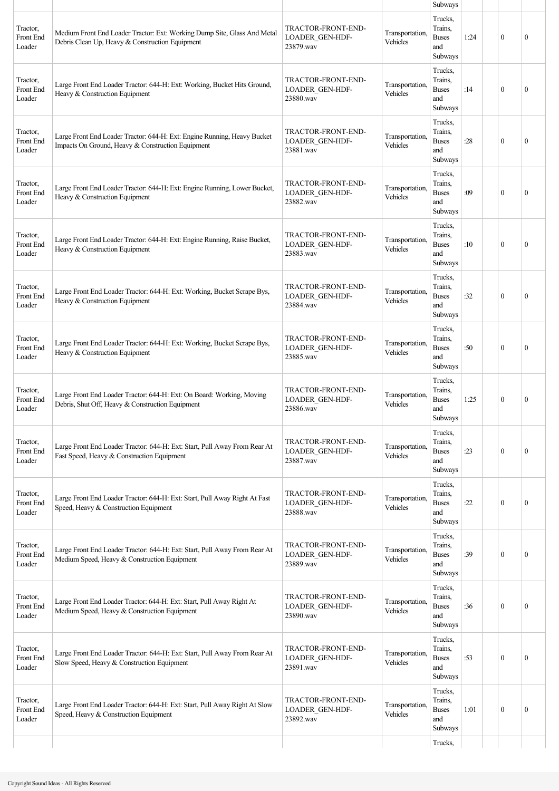|                                 |                                                                                                                               |                                                           |                             | Subways                                              |      |              |              |
|---------------------------------|-------------------------------------------------------------------------------------------------------------------------------|-----------------------------------------------------------|-----------------------------|------------------------------------------------------|------|--------------|--------------|
| Tractor,<br>Front End<br>Loader | Medium Front End Loader Tractor: Ext: Working Dump Site, Glass And Metal<br>Debris Clean Up, Heavy & Construction Equipment   | TRACTOR-FRONT-END-<br>LOADER_GEN-HDF-<br>23879.wav        | Transportation.<br>Vehicles | Trucks,<br>Trains,<br><b>Buses</b><br>and<br>Subways | 1:24 | $\theta$     | $\mathbf{0}$ |
| Tractor,<br>Front End<br>Loader | Large Front End Loader Tractor: 644-H: Ext: Working, Bucket Hits Ground,<br>Heavy & Construction Equipment                    | TRACTOR-FRONT-END-<br>LOADER GEN-HDF-<br>23880.wav        | Transportation,<br>Vehicles | Trucks,<br>Trains,<br><b>Buses</b><br>and<br>Subways | :14  | $\mathbf{0}$ | $\mathbf{0}$ |
| Tractor,<br>Front End<br>Loader | Large Front End Loader Tractor: 644-H: Ext: Engine Running, Heavy Bucket<br>Impacts On Ground, Heavy & Construction Equipment | TRACTOR-FRONT-END-<br>LOADER_GEN-HDF-<br>23881.wav        | Transportation.<br>Vehicles | Trucks,<br>Trains,<br><b>Buses</b><br>and<br>Subways | :28  | $\theta$     | $\theta$     |
| Tractor,<br>Front End<br>Loader | Large Front End Loader Tractor: 644-H: Ext: Engine Running, Lower Bucket,<br>Heavy & Construction Equipment                   | TRACTOR-FRONT-END-<br>LOADER_GEN-HDF-<br>23882.wav        | Transportation.<br>Vehicles | Trucks,<br>Trains.<br><b>Buses</b><br>and<br>Subways | :09  | $\theta$     | $\mathbf{0}$ |
| Tractor,<br>Front End<br>Loader | Large Front End Loader Tractor: 644-H: Ext: Engine Running, Raise Bucket,<br>Heavy & Construction Equipment                   | TRACTOR-FRONT-END-<br><b>LOADER GEN-HDF-</b><br>23883.wav | Transportation.<br>Vehicles | Trucks,<br>Trains,<br><b>Buses</b><br>and<br>Subways | :10  | $\mathbf{0}$ | $\mathbf{0}$ |
| Tractor,<br>Front End<br>Loader | Large Front End Loader Tractor: 644-H: Ext: Working, Bucket Scrape Bys,<br>Heavy & Construction Equipment                     | TRACTOR-FRONT-END-<br><b>LOADER GEN-HDF-</b><br>23884.wav | Transportation.<br>Vehicles | Trucks,<br>Trains,<br><b>Buses</b><br>and<br>Subways | :32  | $\theta$     | $\theta$     |
| Tractor,<br>Front End<br>Loader | Large Front End Loader Tractor: 644-H: Ext: Working, Bucket Scrape Bys,<br>Heavy & Construction Equipment                     | TRACTOR-FRONT-END-<br>LOADER_GEN-HDF-<br>23885.wav        | Transportation.<br>Vehicles | Trucks,<br>Trains,<br><b>Buses</b><br>and<br>Subways | :50  | $\theta$     | $\mathbf{0}$ |
| Tractor,<br>Front End<br>Loader | Large Front End Loader Tractor: 644-H: Ext: On Board: Working, Moving<br>Debris, Shut Off, Heavy & Construction Equipment     | TRACTOR-FRONT-END-<br>LOADER GEN-HDF-<br>23886.wav        | Transportation,<br>Vehicles | Trucks,<br>Trains,<br><b>Buses</b><br>and<br>Subways | 1:25 | $\mathbf{0}$ | $\mathbf{0}$ |
| Tractor,<br>Front End<br>Loader | Large Front End Loader Tractor: 644-H: Ext: Start, Pull Away From Rear At<br>Fast Speed, Heavy & Construction Equipment       | TRACTOR-FRONT-END-<br>LOADER_GEN-HDF-<br>23887.wav        | Transportation.<br>Vehicles | Trucks,<br>Trains.<br><b>Buses</b><br>and<br>Subways | :23  | $\mathbf{0}$ | $\mathbf{0}$ |
| Tractor,<br>Front End<br>Loader | Large Front End Loader Tractor: 644-H: Ext: Start, Pull Away Right At Fast<br>Speed, Heavy & Construction Equipment           | TRACTOR-FRONT-END-<br>LOADER GEN-HDF-<br>23888.wav        | Transportation.<br>Vehicles | Trucks,<br>Trains.<br><b>Buses</b><br>and<br>Subways | :22  | $\theta$     | $\mathbf{0}$ |
| Tractor,<br>Front End<br>Loader | Large Front End Loader Tractor: 644-H: Ext: Start, Pull Away From Rear At<br>Medium Speed, Heavy & Construction Equipment     | TRACTOR-FRONT-END-<br>LOADER_GEN-HDF-<br>23889.wav        | Transportation.<br>Vehicles | Trucks,<br>Trains,<br><b>Buses</b><br>and<br>Subways | :39  | $\mathbf{0}$ | $\mathbf{0}$ |
| Tractor,<br>Front End<br>Loader | Large Front End Loader Tractor: 644-H: Ext: Start, Pull Away Right At<br>Medium Speed, Heavy & Construction Equipment         | TRACTOR-FRONT-END-<br>LOADER GEN-HDF-<br>23890.wav        | Transportation.<br>Vehicles | Trucks,<br>Trains,<br><b>Buses</b><br>and<br>Subways | :36  | $\mathbf{0}$ | $\mathbf{0}$ |
| Tractor,<br>Front End<br>Loader | Large Front End Loader Tractor: 644-H: Ext: Start, Pull Away From Rear At<br>Slow Speed, Heavy & Construction Equipment       | TRACTOR-FRONT-END-<br>LOADER_GEN-HDF-<br>23891.wav        | Transportation,<br>Vehicles | Trucks,<br>Trains,<br><b>Buses</b><br>and<br>Subways | :53  | $\theta$     | $\mathbf{0}$ |
| Tractor,<br>Front End<br>Loader | Large Front End Loader Tractor: 644-H: Ext: Start, Pull Away Right At Slow<br>Speed, Heavy & Construction Equipment           | TRACTOR-FRONT-END-<br>LOADER_GEN-HDF-<br>23892.wav        | Transportation,<br>Vehicles | Trucks,<br>Trains,<br><b>Buses</b><br>and<br>Subways | 1:01 | $\mathbf{0}$ | $\mathbf{0}$ |
|                                 |                                                                                                                               |                                                           |                             | Trucks,                                              |      |              |              |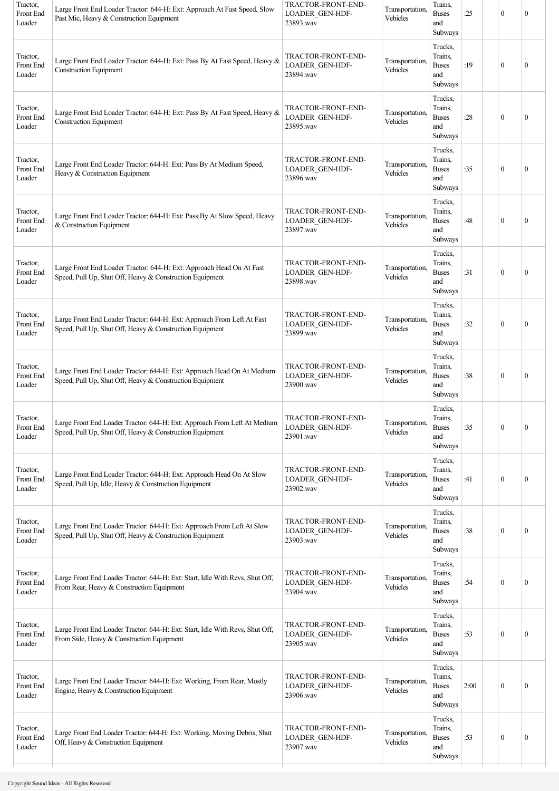| Tractor,<br>Front End<br>Loader | Large Front End Loader Tractor: 644-H: Ext: Approach At Fast Speed, Slow<br>Past Mic, Heavy & Construction Equipment                 | TRACTOR-FRONT-END-<br>LOADER_GEN-HDF-<br>23893.wav        | Transportation,<br>Vehicles | Trains,<br><b>Buses</b><br>and<br>Subways                             | :25  | $\mathbf{0}$     | $\Omega$     |
|---------------------------------|--------------------------------------------------------------------------------------------------------------------------------------|-----------------------------------------------------------|-----------------------------|-----------------------------------------------------------------------|------|------------------|--------------|
| Tractor,<br>Front End<br>Loader | Large Front End Loader Tractor: 644-H: Ext: Pass By At Fast Speed, Heavy &<br><b>Construction Equipment</b>                          | TRACTOR-FRONT-END-<br>LOADER_GEN-HDF-<br>23894.wav        | Transportation,<br>Vehicles | Trucks,<br>Trains,<br>$\ensuremath{\mathsf{Buses}}$<br>and<br>Subways | :19  | $\mathbf{0}$     | $\mathbf{0}$ |
| Tractor,<br>Front End<br>Loader | Large Front End Loader Tractor: 644-H: Ext: Pass By At Fast Speed, Heavy &<br><b>Construction Equipment</b>                          | TRACTOR-FRONT-END-<br>LOADER_GEN-HDF-<br>23895.wav        | Transportation,<br>Vehicles | Trucks,<br>Trains.<br><b>Buses</b><br>and<br>Subways                  | :28  | $\mathbf{0}$     | $\mathbf{0}$ |
| Tractor,<br>Front End<br>Loader | Large Front End Loader Tractor: 644-H: Ext: Pass By At Medium Speed,<br>Heavy & Construction Equipment                               | TRACTOR-FRONT-END-<br>LOADER GEN-HDF-<br>23896.wav        | Transportation,<br>Vehicles | Trucks,<br>Trains,<br><b>Buses</b><br>and<br>Subways                  | :35  | $\boldsymbol{0}$ | $\mathbf{0}$ |
| Tractor,<br>Front End<br>Loader | Large Front End Loader Tractor: 644-H: Ext: Pass By At Slow Speed, Heavy<br>& Construction Equipment                                 | TRACTOR-FRONT-END-<br>LOADER_GEN-HDF-<br>23897.wav        | Transportation,<br>Vehicles | Trucks,<br>Trains,<br><b>Buses</b><br>and<br>Subways                  | :48  | $\mathbf{0}$     | $\theta$     |
| Tractor,<br>Front End<br>Loader | Large Front End Loader Tractor: 644-H: Ext: Approach Head On At Fast<br>Speed, Pull Up, Shut Off, Heavy & Construction Equipment     | TRACTOR-FRONT-END-<br>LOADER GEN-HDF-<br>23898.wav        | Transportation,<br>Vehicles | Trucks,<br>Trains,<br><b>Buses</b><br>and<br>Subways                  | :31  | $\mathbf{0}$     | $\mathbf{0}$ |
| Tractor,<br>Front End<br>Loader | Large Front End Loader Tractor: 644-H: Ext: Approach From Left At Fast<br>Speed, Pull Up, Shut Off, Heavy & Construction Equipment   | TRACTOR-FRONT-END-<br>LOADER_GEN-HDF-<br>23899.wav        | Transportation,<br>Vehicles | Trucks,<br>Trains,<br><b>Buses</b><br>and<br>Subways                  | :32  | $\mathbf{0}$     | $\mathbf{0}$ |
| Tractor,<br>Front End<br>Loader | Large Front End Loader Tractor: 644-H: Ext: Approach Head On At Medium<br>Speed, Pull Up, Shut Off, Heavy & Construction Equipment   | TRACTOR-FRONT-END-<br>LOADER GEN-HDF-<br>23900.wav        | Transportation,<br>Vehicles | Trucks,<br>Trains.<br><b>Buses</b><br>and<br>Subways                  | :38  | $\mathbf{0}$     | $\theta$     |
| Tractor,<br>Front End<br>Loader | Large Front End Loader Tractor: 644-H: Ext: Approach From Left At Medium<br>Speed, Pull Up, Shut Off, Heavy & Construction Equipment | TRACTOR-FRONT-END-<br>LOADER_GEN-HDF-<br>23901.wav        | Transportation,<br>Vehicles | Trucks,<br>Trains,<br><b>Buses</b><br>and<br>Subways                  | :35  | $\mathbf{0}$     | $\mathbf{0}$ |
| Tractor,<br>Front End<br>Loader | Large Front End Loader Tractor: 644-H: Ext: Approach Head On At Slow<br>Speed, Pull Up, Idle, Heavy & Construction Equipment         | TRACTOR-FRONT-END-<br>LOADER_GEN-HDF-<br>23902.wav        | Transportation,<br>Vehicles | Trucks,<br>Trains,<br><b>Buses</b><br>and<br>Subways                  | :41  | $\bf{0}$         | $\mathbf{0}$ |
| Tractor,<br>Front End<br>Loader | Large Front End Loader Tractor: 644-H: Ext: Approach From Left At Slow<br>Speed, Pull Up, Shut Off, Heavy & Construction Equipment   | TRACTOR-FRONT-END-<br><b>LOADER GEN-HDF-</b><br>23903.wav | Transportation,<br>Vehicles | Trucks,<br>Trains,<br><b>Buses</b><br>and<br>Subways                  | :38  | $\boldsymbol{0}$ | $\mathbf{0}$ |
| Tractor,<br>Front End<br>Loader | Large Front End Loader Tractor: 644-H: Ext: Start, Idle With Revs, Shut Off,<br>From Rear, Heavy & Construction Equipment            | TRACTOR-FRONT-END-<br>LOADER_GEN-HDF-<br>23904.wav        | Transportation,<br>Vehicles | Trucks,<br>Trains,<br><b>Buses</b><br>and<br>Subways                  | :54  | $\boldsymbol{0}$ | $\mathbf{0}$ |
| Tractor,<br>Front End<br>Loader | Large Front End Loader Tractor: 644-H: Ext: Start, Idle With Revs, Shut Off,<br>From Side, Heavy & Construction Equipment            | TRACTOR-FRONT-END-<br>LOADER GEN-HDF-<br>23905.wav        | Transportation,<br>Vehicles | Trucks,<br>Trains,<br><b>Buses</b><br>and<br>Subways                  | :53  | $\mathbf{0}$     | $\mathbf{0}$ |
| Tractor,<br>Front End<br>Loader | Large Front End Loader Tractor: 644-H: Ext: Working, From Rear, Mostly<br>Engine, Heavy & Construction Equipment                     | TRACTOR-FRONT-END-<br>LOADER GEN-HDF-<br>23906.wav        | Transportation,<br>Vehicles | Trucks,<br>Trains,<br><b>Buses</b><br>and<br>Subways                  | 2:00 | $\bf{0}$         | $\mathbf{0}$ |
| Tractor,<br>Front End<br>Loader | Large Front End Loader Tractor: 644-H: Ext: Working, Moving Debris, Shut<br>Off, Heavy & Construction Equipment                      | TRACTOR-FRONT-END-<br>LOADER_GEN-HDF-<br>23907.wav        | Transportation,<br>Vehicles | Trucks,<br>Trains,<br><b>Buses</b><br>and<br>Subways                  | :53  | $\bf{0}$         | $\mathbf{0}$ |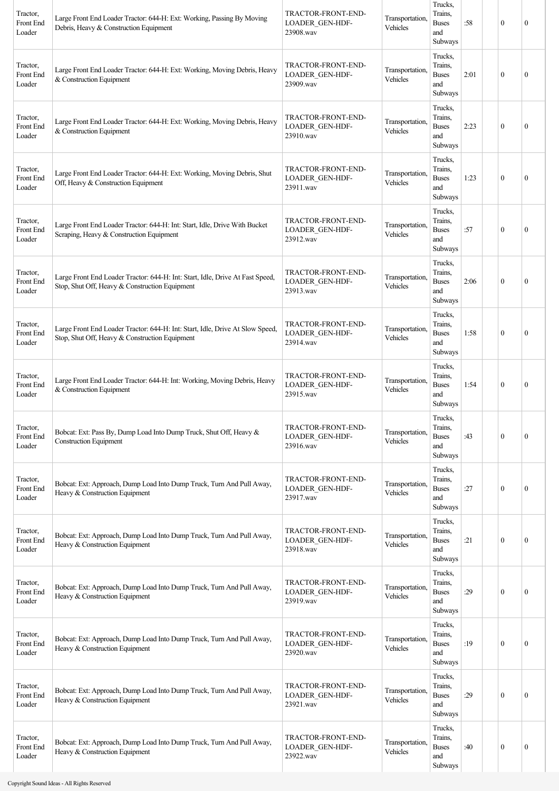| Tractor,<br>Front End<br>Loader | Large Front End Loader Tractor: 644-H: Ext: Working, Passing By Moving<br>Debris, Heavy & Construction Equipment                | TRACTOR-FRONT-END-<br><b>LOADER GEN-HDF-</b><br>23908.wav | Transportation,<br>Vehicles | Trucks,<br>Trains.<br><b>Buses</b><br>and<br>Subways | :58  | $\boldsymbol{0}$ | $\mathbf{0}$     |
|---------------------------------|---------------------------------------------------------------------------------------------------------------------------------|-----------------------------------------------------------|-----------------------------|------------------------------------------------------|------|------------------|------------------|
| Tractor,<br>Front End<br>Loader | Large Front End Loader Tractor: 644-H: Ext: Working, Moving Debris, Heavy<br>& Construction Equipment                           | TRACTOR-FRONT-END-<br><b>LOADER GEN-HDF-</b><br>23909.wav | Transportation,<br>Vehicles | Trucks,<br>Trains.<br><b>Buses</b><br>and<br>Subways | 2:01 | $\mathbf{0}$     | $\mathbf{0}$     |
| Tractor,<br>Front End<br>Loader | Large Front End Loader Tractor: 644-H: Ext: Working, Moving Debris, Heavy<br>& Construction Equipment                           | TRACTOR-FRONT-END-<br>LOADER_GEN-HDF-<br>23910.wav        | Transportation,<br>Vehicles | Trucks,<br>Trains.<br><b>Buses</b><br>and<br>Subways | 2:23 | $\boldsymbol{0}$ | $\mathbf{0}$     |
| Tractor,<br>Front End<br>Loader | Large Front End Loader Tractor: 644-H: Ext: Working, Moving Debris, Shut<br>Off, Heavy & Construction Equipment                 | TRACTOR-FRONT-END-<br><b>LOADER GEN-HDF-</b><br>23911.wav | Transportation,<br>Vehicles | Trucks,<br>Trains.<br><b>Buses</b><br>and<br>Subways | 1:23 | $\boldsymbol{0}$ | $\mathbf{0}$     |
| Tractor,<br>Front End<br>Loader | Large Front End Loader Tractor: 644-H: Int: Start, Idle, Drive With Bucket<br>Scraping, Heavy & Construction Equipment          | TRACTOR-FRONT-END-<br><b>LOADER GEN-HDF-</b><br>23912.wav | Transportation,<br>Vehicles | Trucks,<br>Trains.<br><b>Buses</b><br>and<br>Subways | :57  | $\mathbf{0}$     | $\mathbf{0}$     |
| Tractor,<br>Front End<br>Loader | Large Front End Loader Tractor: 644-H: Int: Start, Idle, Drive At Fast Speed,<br>Stop, Shut Off, Heavy & Construction Equipment | TRACTOR-FRONT-END-<br>LOADER_GEN-HDF-<br>23913.wav        | Transportation,<br>Vehicles | Trucks.<br>Trains,<br><b>Buses</b><br>and<br>Subways | 2:06 | $\theta$         | $\mathbf{0}$     |
| Tractor,<br>Front End<br>Loader | Large Front End Loader Tractor: 644-H: Int: Start, Idle, Drive At Slow Speed,<br>Stop, Shut Off, Heavy & Construction Equipment | TRACTOR-FRONT-END-<br>LOADER_GEN-HDF-<br>23914.wav        | Transportation,<br>Vehicles | Trucks,<br>Trains.<br><b>Buses</b><br>and<br>Subways | 1:58 | $\boldsymbol{0}$ | $\mathbf{0}$     |
| Tractor,<br>Front End<br>Loader | Large Front End Loader Tractor: 644-H: Int: Working, Moving Debris, Heavy<br>& Construction Equipment                           | TRACTOR-FRONT-END-<br>LOADER_GEN-HDF-<br>23915.wav        | Transportation,<br>Vehicles | Trucks,<br>Trains.<br><b>Buses</b><br>and<br>Subways | 1:54 | $\mathbf{0}$     | $\mathbf{0}$     |
| Tractor,<br>Front End<br>Loader | Bobcat: Ext: Pass By, Dump Load Into Dump Truck, Shut Off, Heavy &<br><b>Construction Equipment</b>                             | TRACTOR-FRONT-END-<br><b>LOADER GEN-HDF-</b><br>23916.wav | Transportation,<br>Vehicles | Trucks,<br>Trains,<br><b>Buses</b><br>and<br>Subways | :43  | $\mathbf{0}$     | $\mathbf{0}$     |
| Tractor,<br>Front End<br>Loader | Bobcat: Ext: Approach, Dump Load Into Dump Truck, Turn And Pull Away,<br>Heavy & Construction Equipment                         | TRACTOR-FRONT-END-<br><b>LOADER GEN-HDF-</b><br>23917.wav | Transportation,<br>Vehicles | Trucks,<br>Trains,<br><b>Buses</b><br>and<br>Subways | :27  | $\boldsymbol{0}$ | $\mathbf{0}$     |
| Tractor,<br>Front End<br>Loader | Bobcat: Ext: Approach, Dump Load Into Dump Truck, Turn And Pull Away,<br>Heavy & Construction Equipment                         | TRACTOR-FRONT-END-<br><b>LOADER GEN-HDF-</b><br>23918.wav | Transportation,<br>Vehicles | Trucks,<br>Trains,<br><b>Buses</b><br>and<br>Subways | :21  | $\boldsymbol{0}$ | $\mathbf{0}$     |
| Tractor,<br>Front End<br>Loader | Bobcat: Ext: Approach, Dump Load Into Dump Truck, Turn And Pull Away,<br>Heavy & Construction Equipment                         | TRACTOR-FRONT-END-<br><b>LOADER GEN-HDF-</b><br>23919.wav | Transportation,<br>Vehicles | Trucks,<br>Trains,<br><b>Buses</b><br>and<br>Subways | :29  | $\mathbf{0}$     | $\boldsymbol{0}$ |
| Tractor,<br>Front End<br>Loader | Bobcat: Ext: Approach, Dump Load Into Dump Truck, Turn And Pull Away,<br>Heavy & Construction Equipment                         | TRACTOR-FRONT-END-<br>LOADER_GEN-HDF-<br>23920.wav        | Transportation,<br>Vehicles | Trucks,<br>Trains,<br><b>Buses</b><br>and<br>Subways | :19  | $\boldsymbol{0}$ | $\boldsymbol{0}$ |
| Tractor,<br>Front End<br>Loader | Bobcat: Ext: Approach, Dump Load Into Dump Truck, Turn And Pull Away,<br>Heavy & Construction Equipment                         | TRACTOR-FRONT-END-<br><b>LOADER GEN-HDF-</b><br>23921.wav | Transportation,<br>Vehicles | Trucks,<br>Trains.<br><b>Buses</b><br>and<br>Subways | :29  | $\boldsymbol{0}$ | $\mathbf{0}$     |
| Tractor,<br>Front End<br>Loader | Bobcat: Ext: Approach, Dump Load Into Dump Truck, Turn And Pull Away,<br>Heavy & Construction Equipment                         | TRACTOR-FRONT-END-<br><b>LOADER GEN-HDF-</b><br>23922.wav | Transportation,<br>Vehicles | Trucks,<br>Trains,<br><b>Buses</b><br>and<br>Subways | :40  | $\boldsymbol{0}$ | $\boldsymbol{0}$ |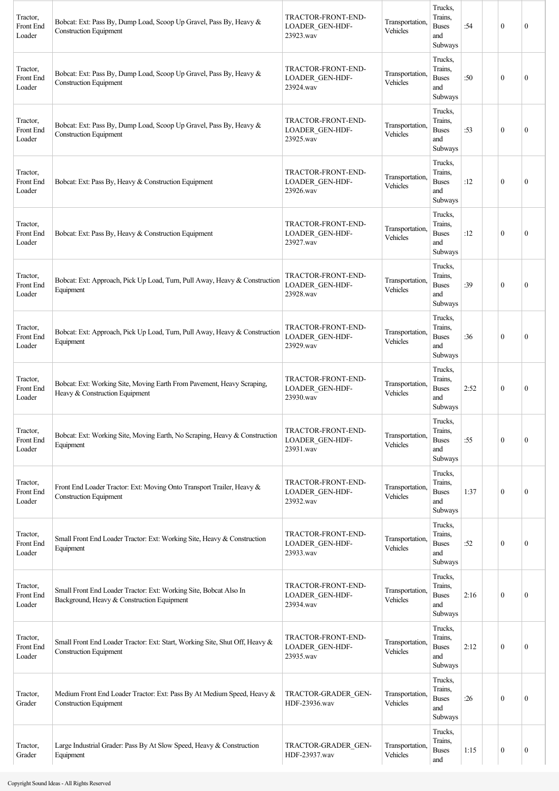| Tractor,<br>Front End<br>Loader | Bobcat: Ext: Pass By, Dump Load, Scoop Up Gravel, Pass By, Heavy &<br><b>Construction Equipment</b>             | TRACTOR-FRONT-END-<br><b>LOADER GEN-HDF-</b><br>23923.wav | Transportation,<br>Vehicles | Trucks,<br>Trains.<br><b>Buses</b><br>and<br>Subways | :54  | $\mathbf{0}$ | $\mathbf{0}$     |
|---------------------------------|-----------------------------------------------------------------------------------------------------------------|-----------------------------------------------------------|-----------------------------|------------------------------------------------------|------|--------------|------------------|
| Tractor.<br>Front End<br>Loader | Bobcat: Ext: Pass By, Dump Load, Scoop Up Gravel, Pass By, Heavy &<br><b>Construction Equipment</b>             | TRACTOR-FRONT-END-<br><b>LOADER GEN-HDF-</b><br>23924.wav | Transportation,<br>Vehicles | Trucks,<br>Trains,<br><b>Buses</b><br>and<br>Subways | :50  | $\mathbf{0}$ | $\mathbf{0}$     |
| Tractor,<br>Front End<br>Loader | Bobcat: Ext: Pass By, Dump Load, Scoop Up Gravel, Pass By, Heavy &<br><b>Construction Equipment</b>             | TRACTOR-FRONT-END-<br><b>LOADER GEN-HDF-</b><br>23925.wav | Transportation.<br>Vehicles | Trucks,<br>Trains,<br><b>Buses</b><br>and<br>Subways | :53  | $\mathbf{0}$ | $\mathbf{0}$     |
| Tractor,<br>Front End<br>Loader | Bobcat: Ext: Pass By, Heavy & Construction Equipment                                                            | TRACTOR-FRONT-END-<br><b>LOADER GEN-HDF-</b><br>23926.wav | Transportation,<br>Vehicles | Trucks,<br>Trains,<br><b>Buses</b><br>and<br>Subways | :12  | $\mathbf{0}$ | $\boldsymbol{0}$ |
| Tractor,<br>Front End<br>Loader | Bobcat: Ext: Pass By, Heavy & Construction Equipment                                                            | TRACTOR-FRONT-END-<br>LOADER_GEN-HDF-<br>23927.wav        | Transportation,<br>Vehicles | Trucks,<br>Trains,<br><b>Buses</b><br>and<br>Subways | :12  | $\mathbf{0}$ | $\theta$         |
| Tractor,<br>Front End<br>Loader | Bobcat: Ext: Approach, Pick Up Load, Turn, Pull Away, Heavy & Construction<br>Equipment                         | TRACTOR-FRONT-END-<br>LOADER_GEN-HDF-<br>23928.wav        | Transportation.<br>Vehicles | Trucks,<br>Trains,<br><b>Buses</b><br>and<br>Subways | :39  | $\mathbf{0}$ | $\mathbf{0}$     |
| Tractor,<br>Front End<br>Loader | Bobcat: Ext: Approach, Pick Up Load, Turn, Pull Away, Heavy & Construction<br>Equipment                         | TRACTOR-FRONT-END-<br>LOADER_GEN-HDF-<br>23929.wav        | Transportation,<br>Vehicles | Trucks,<br>Trains,<br><b>Buses</b><br>and<br>Subways | :36  | $\mathbf{0}$ | $\mathbf{0}$     |
| Tractor.<br>Front End<br>Loader | Bobcat: Ext: Working Site, Moving Earth From Pavement, Heavy Scraping,<br>Heavy & Construction Equipment        | TRACTOR-FRONT-END-<br>LOADER_GEN-HDF-<br>23930.wav        | Transportation,<br>Vehicles | Trucks,<br>Trains,<br><b>Buses</b><br>and<br>Subways | 2:52 | $\theta$     | $\mathbf{0}$     |
| Tractor,<br>Front End<br>Loader | Bobcat: Ext: Working Site, Moving Earth, No Scraping, Heavy & Construction<br>Equipment                         | TRACTOR-FRONT-END-<br><b>LOADER GEN-HDF-</b><br>23931.wav | Transportation.<br>Vehicles | Trucks,<br>Trains,<br><b>Buses</b><br>and<br>Subways | :55  | $\mathbf{0}$ | $\boldsymbol{0}$ |
| Tractor,<br>Front End<br>Loader | Front End Loader Tractor: Ext: Moving Onto Transport Trailer, Heavy &<br><b>Construction Equipment</b>          | TRACTOR-FRONT-END-<br><b>LOADER GEN-HDF-</b><br>23932.wav | Transportation,<br>Vehicles | Trucks,<br>Trains,<br><b>Buses</b><br>and<br>Subways | 1:37 | $\mathbf{0}$ | $\boldsymbol{0}$ |
| Tractor,<br>Front End<br>Loader | Small Front End Loader Tractor: Ext: Working Site, Heavy & Construction<br>Equipment                            | TRACTOR-FRONT-END-<br>LOADER_GEN-HDF-<br>23933.wav        | Transportation,<br>Vehicles | Trucks,<br>Trains,<br><b>Buses</b><br>and<br>Subways | :52  | $\mathbf{0}$ | $\mathbf{0}$     |
| Tractor,<br>Front End<br>Loader | Small Front End Loader Tractor: Ext: Working Site, Bobcat Also In<br>Background, Heavy & Construction Equipment | TRACTOR-FRONT-END-<br><b>LOADER GEN-HDF-</b><br>23934.wav | Transportation,<br>Vehicles | Trucks,<br>Trains,<br><b>Buses</b><br>and<br>Subways | 2:16 | $\mathbf{0}$ | $\boldsymbol{0}$ |
| Tractor,<br>Front End<br>Loader | Small Front End Loader Tractor: Ext: Start, Working Site, Shut Off, Heavy &<br><b>Construction Equipment</b>    | TRACTOR-FRONT-END-<br>LOADER_GEN-HDF-<br>23935.wav        | Transportation,<br>Vehicles | Trucks,<br>Trains,<br><b>Buses</b><br>and<br>Subways | 2:12 | $\mathbf{0}$ | $\mathbf{0}$     |
| Tractor,<br>Grader              | Medium Front End Loader Tractor: Ext: Pass By At Medium Speed, Heavy &<br><b>Construction Equipment</b>         | TRACTOR-GRADER GEN-<br>HDF-23936.wav                      | Transportation,<br>Vehicles | Trucks,<br>Trains,<br><b>Buses</b><br>and<br>Subways | :26  | $\mathbf{0}$ | $\boldsymbol{0}$ |
| Tractor,<br>Grader              | Large Industrial Grader: Pass By At Slow Speed, Heavy & Construction<br>Equipment                               | TRACTOR-GRADER GEN-<br>HDF-23937.wav                      | Transportation,<br>Vehicles | Trucks,<br>Trains,<br><b>Buses</b><br>and            | 1:15 | $\bf{0}$     | $\boldsymbol{0}$ |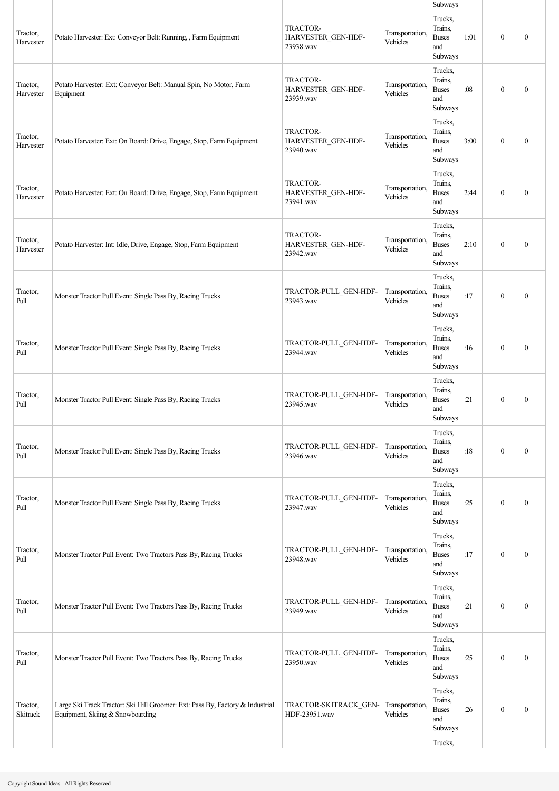|                       |                                                                                                                   |                                             |                             | Subways                                              |      |                  |                  |
|-----------------------|-------------------------------------------------------------------------------------------------------------------|---------------------------------------------|-----------------------------|------------------------------------------------------|------|------------------|------------------|
| Tractor,<br>Harvester | Potato Harvester: Ext: Conveyor Belt: Running, , Farm Equipment                                                   | TRACTOR-<br>HARVESTER_GEN-HDF-<br>23938.wav | Transportation,<br>Vehicles | Trucks,<br>Trains,<br><b>Buses</b><br>and<br>Subways | 1:01 | $\mathbf{0}$     | $\mathbf{0}$     |
| Tractor,<br>Harvester | Potato Harvester: Ext: Conveyor Belt: Manual Spin, No Motor, Farm<br>Equipment                                    | TRACTOR-<br>HARVESTER_GEN-HDF-<br>23939.wav | Transportation,<br>Vehicles | Trucks,<br>Trains,<br><b>Buses</b><br>and<br>Subways | :08  | $\mathbf{0}$     | $\boldsymbol{0}$ |
| Tractor,<br>Harvester | Potato Harvester: Ext: On Board: Drive, Engage, Stop, Farm Equipment                                              | TRACTOR-<br>HARVESTER_GEN-HDF-<br>23940.wav | Transportation,<br>Vehicles | Trucks,<br>Trains,<br><b>Buses</b><br>and<br>Subways | 3:00 | $\mathbf{0}$     | $\mathbf{0}$     |
| Tractor,<br>Harvester | Potato Harvester: Ext: On Board: Drive, Engage, Stop, Farm Equipment                                              | TRACTOR-<br>HARVESTER_GEN-HDF-<br>23941.wav | Transportation,<br>Vehicles | Trucks,<br>Trains,<br><b>Buses</b><br>and<br>Subways | 2:44 | $\mathbf{0}$     | $\mathbf{0}$     |
| Tractor,<br>Harvester | Potato Harvester: Int: Idle, Drive, Engage, Stop, Farm Equipment                                                  | TRACTOR-<br>HARVESTER_GEN-HDF-<br>23942.wav | Transportation.<br>Vehicles | Trucks,<br>Trains,<br><b>Buses</b><br>and<br>Subways | 2:10 | $\mathbf{0}$     | $\mathbf{0}$     |
| Tractor,<br>Pull      | Monster Tractor Pull Event: Single Pass By, Racing Trucks                                                         | TRACTOR-PULL GEN-HDF-<br>23943.wav          | Transportation,<br>Vehicles | Trucks,<br>Trains,<br><b>Buses</b><br>and<br>Subways | :17  | $\mathbf{0}$     | $\boldsymbol{0}$ |
| Tractor,<br>Pull      | Monster Tractor Pull Event: Single Pass By, Racing Trucks                                                         | TRACTOR-PULL_GEN-HDF-<br>23944.wav          | Transportation,<br>Vehicles | Trucks,<br>Trains,<br><b>Buses</b><br>and<br>Subways | :16  | $\mathbf{0}$     | $\mathbf{0}$     |
| Tractor,<br>Pull      | Monster Tractor Pull Event: Single Pass By, Racing Trucks                                                         | TRACTOR-PULL_GEN-HDF-<br>23945.wav          | Transportation.<br>Vehicles | Trucks,<br>Trains,<br><b>Buses</b><br>and<br>Subways | :21  | $\boldsymbol{0}$ | $\boldsymbol{0}$ |
| Tractor,<br>Pull      | Monster Tractor Pull Event: Single Pass By, Racing Trucks                                                         | TRACTOR-PULL_GEN-HDF-<br>23946.wav          | Transportation,<br>Vehicles | Trucks,<br>Trains,<br><b>Buses</b><br>and<br>Subways | :18  | $\boldsymbol{0}$ | $\boldsymbol{0}$ |
| Tractor,<br>Pull      | Monster Tractor Pull Event: Single Pass By, Racing Trucks                                                         | TRACTOR-PULL GEN-HDF-<br>23947.wav          | Transportation,<br>Vehicles | Trucks,<br>Trains,<br><b>Buses</b><br>and<br>Subways | :25  | $\mathbf{0}$     | $\boldsymbol{0}$ |
| Tractor,<br>Pull      | Monster Tractor Pull Event: Two Tractors Pass By, Racing Trucks                                                   | TRACTOR-PULL_GEN-HDF-<br>23948.wav          | Transportation,<br>Vehicles | Trucks,<br>Trains,<br><b>Buses</b><br>and<br>Subways | :17  | $\mathbf{0}$     | $\boldsymbol{0}$ |
| Tractor,<br>Pull      | Monster Tractor Pull Event: Two Tractors Pass By, Racing Trucks                                                   | TRACTOR-PULL GEN-HDF-<br>23949.wav          | Transportation,<br>Vehicles | Trucks,<br>Trains,<br><b>Buses</b><br>and<br>Subways | :21  | $\mathbf{0}$     | $\boldsymbol{0}$ |
| Tractor,<br>Pull      | Monster Tractor Pull Event: Two Tractors Pass By, Racing Trucks                                                   | TRACTOR-PULL_GEN-HDF-<br>23950.wav          | Transportation,<br>Vehicles | Trucks,<br>Trains,<br><b>Buses</b><br>and<br>Subways | :25  | $\mathbf{0}$     | $\mathbf{0}$     |
| Tractor,<br>Skitrack  | Large Ski Track Tractor: Ski Hill Groomer: Ext: Pass By, Factory & Industrial<br>Equipment, Skiing & Snowboarding | TRACTOR-SKITRACK GEN-<br>HDF-23951.wav      | Transportation.<br>Vehicles | Trucks,<br>Trains,<br><b>Buses</b><br>and<br>Subways | :26  | $\mathbf{0}$     | $\boldsymbol{0}$ |
|                       |                                                                                                                   |                                             |                             | Trucks,                                              |      |                  |                  |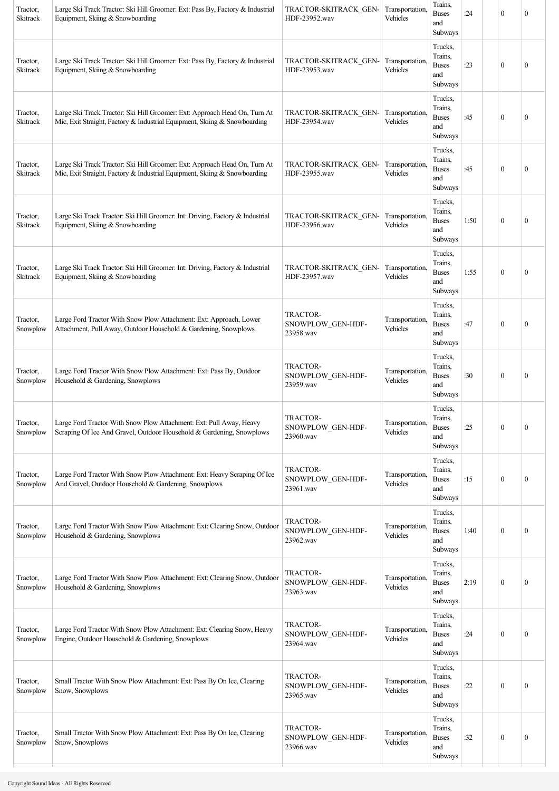| Tractor,<br>Skitrack | Large Ski Track Tractor: Ski Hill Groomer: Ext: Pass By, Factory & Industrial<br>Equipment, Skiing & Snowboarding                                      | TRACTOR-SKITRACK GEN-<br>HDF-23952.wav            | Transportation,<br>Vehicles | Trains,<br><b>Buses</b><br>and<br>Subways            | :24  | $\mathbf{0}$     | $\boldsymbol{0}$ |
|----------------------|--------------------------------------------------------------------------------------------------------------------------------------------------------|---------------------------------------------------|-----------------------------|------------------------------------------------------|------|------------------|------------------|
| Tractor,<br>Skitrack | Large Ski Track Tractor: Ski Hill Groomer: Ext: Pass By, Factory & Industrial<br>Equipment, Skiing & Snowboarding                                      | TRACTOR-SKITRACK GEN-<br>HDF-23953.wav            | Transportation.<br>Vehicles | Trucks,<br>Trains,<br><b>Buses</b><br>and<br>Subways | :23  | $\mathbf{0}$     | $\boldsymbol{0}$ |
| Tractor,<br>Skitrack | Large Ski Track Tractor: Ski Hill Groomer: Ext: Approach Head On, Turn At<br>Mic, Exit Straight, Factory & Industrial Equipment, Skiing & Snowboarding | TRACTOR-SKITRACK GEN-<br>HDF-23954.wav            | Transportation.<br>Vehicles | Trucks,<br>Trains,<br><b>Buses</b><br>and<br>Subways | :45  | $\mathbf{0}$     | $\boldsymbol{0}$ |
| Tractor,<br>Skitrack | Large Ski Track Tractor: Ski Hill Groomer: Ext: Approach Head On, Turn At<br>Mic, Exit Straight, Factory & Industrial Equipment, Skiing & Snowboarding | TRACTOR-SKITRACK_GEN-<br>HDF-23955.wav            | Transportation.<br>Vehicles | Trucks,<br>Trains,<br><b>Buses</b><br>and<br>Subways | :45  | $\mathbf{0}$     | $\boldsymbol{0}$ |
| Tractor,<br>Skitrack | Large Ski Track Tractor: Ski Hill Groomer: Int: Driving, Factory & Industrial<br>Equipment, Skiing & Snowboarding                                      | TRACTOR-SKITRACK GEN-<br>HDF-23956.wav            | Transportation.<br>Vehicles | Trucks,<br>Trains,<br><b>Buses</b><br>and<br>Subways | 1:50 | $\mathbf{0}$     | $\mathbf{0}$     |
| Tractor,<br>Skitrack | Large Ski Track Tractor: Ski Hill Groomer: Int: Driving, Factory & Industrial<br>Equipment, Skiing & Snowboarding                                      | TRACTOR-SKITRACK GEN-<br>HDF-23957.wav            | Transportation,<br>Vehicles | Trucks,<br>Trains,<br><b>Buses</b><br>and<br>Subways | 1:55 | $\mathbf{0}$     | $\boldsymbol{0}$ |
| Tractor,<br>Snowplow | Large Ford Tractor With Snow Plow Attachment: Ext: Approach, Lower<br>Attachment, Pull Away, Outdoor Household & Gardening, Snowplows                  | TRACTOR-<br>SNOWPLOW_GEN-HDF-<br>23958.wav        | Transportation.<br>Vehicles | Trucks,<br>Trains,<br><b>Buses</b><br>and<br>Subways | :47  | $\mathbf{0}$     | $\mathbf{0}$     |
| Tractor,<br>Snowplow | Large Ford Tractor With Snow Plow Attachment: Ext: Pass By, Outdoor<br>Household & Gardening, Snowplows                                                | TRACTOR-<br>SNOWPLOW_GEN-HDF-<br>23959.wav        | Transportation.<br>Vehicles | Trucks,<br>Trains,<br><b>Buses</b><br>and<br>Subways | :30  | $\mathbf{0}$     | $\boldsymbol{0}$ |
| Tractor.<br>Snowplow | Large Ford Tractor With Snow Plow Attachment: Ext: Pull Away, Heavy<br>Scraping Of Ice And Gravel, Outdoor Household & Gardening, Snowplows            | <b>TRACTOR-</b><br>SNOWPLOW_GEN-HDF-<br>23960.wav | Transportation,<br>Vehicles | Trucks,<br>Trains,<br><b>Buses</b><br>and<br>Subways | :25  | $\boldsymbol{0}$ | $\boldsymbol{0}$ |
| Tractor,<br>Snowplow | Large Ford Tractor With Snow Plow Attachment: Ext: Heavy Scraping Of Ice<br>And Gravel, Outdoor Household & Gardening, Snowplows                       | TRACTOR-<br>SNOWPLOW_GEN-HDF-<br>23961.wav        | Transportation.<br>Vehicles | Trucks,<br>Trains,<br><b>Buses</b><br>and<br>Subways | :15  | $\boldsymbol{0}$ | 0                |
| Tractor,<br>Snowplow | Large Ford Tractor With Snow Plow Attachment: Ext: Clearing Snow, Outdoor<br>Household & Gardening, Snowplows                                          | TRACTOR-<br>SNOWPLOW_GEN-HDF-<br>23962.wav        | Transportation.<br>Vehicles | Trucks,<br>Trains,<br><b>Buses</b><br>and<br>Subways | 1:40 | $\boldsymbol{0}$ | $\boldsymbol{0}$ |
| Tractor,<br>Snowplow | Large Ford Tractor With Snow Plow Attachment: Ext: Clearing Snow, Outdoor<br>Household & Gardening, Snowplows                                          | TRACTOR-<br>SNOWPLOW_GEN-HDF-<br>23963.wav        | Transportation,<br>Vehicles | Trucks,<br>Trains,<br><b>Buses</b><br>and<br>Subways | 2:19 | $\boldsymbol{0}$ | 0                |
| Tractor,<br>Snowplow | Large Ford Tractor With Snow Plow Attachment: Ext: Clearing Snow, Heavy<br>Engine, Outdoor Household & Gardening, Snowplows                            | TRACTOR-<br>SNOWPLOW_GEN-HDF-<br>23964.wav        | Transportation.<br>Vehicles | Trucks,<br>Trains,<br><b>Buses</b><br>and<br>Subways | :24  | $\boldsymbol{0}$ | 0                |
| Tractor,<br>Snowplow | Small Tractor With Snow Plow Attachment: Ext: Pass By On Ice, Clearing<br>Snow, Snowplows                                                              | TRACTOR-<br>SNOWPLOW_GEN-HDF-<br>23965.wav        | Transportation.<br>Vehicles | Trucks,<br>Trains,<br><b>Buses</b><br>and<br>Subways | :22  | $\theta$         | $\boldsymbol{0}$ |
| Tractor,<br>Snowplow | Small Tractor With Snow Plow Attachment: Ext: Pass By On Ice, Clearing<br>Snow, Snowplows                                                              | TRACTOR-<br>SNOWPLOW_GEN-HDF-<br>23966.wav        | Transportation.<br>Vehicles | Trucks,<br>Trains,<br><b>Buses</b><br>and<br>Subways | :32  | $\boldsymbol{0}$ | $\boldsymbol{0}$ |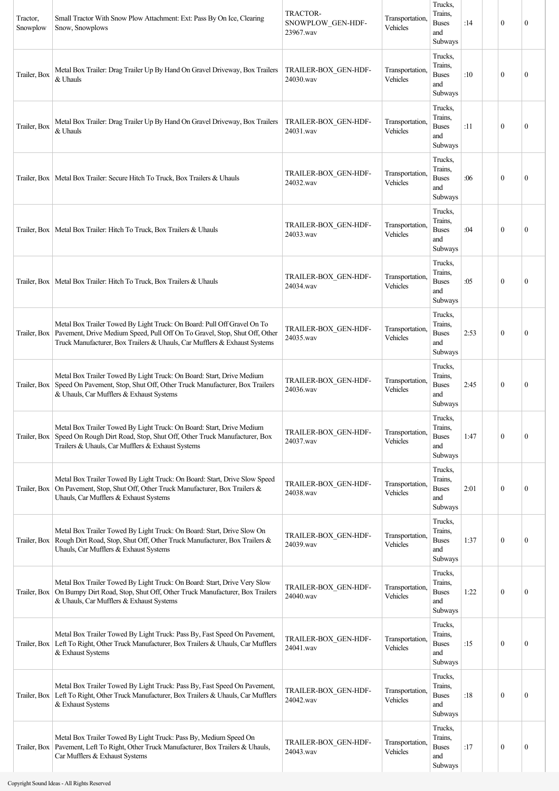| Tractor,<br>Snowplow | Small Tractor With Snow Plow Attachment: Ext: Pass By On Ice, Clearing<br>Snow, Snowplows                                                                                                                                                         | <b>TRACTOR-</b><br>SNOWPLOW_GEN-HDF-<br>23967.wav | Transportation.<br>Vehicles | Trucks,<br>Trains,<br><b>Buses</b><br>and<br>Subways | :14  | $\mathbf{0}$     | $\boldsymbol{0}$ |
|----------------------|---------------------------------------------------------------------------------------------------------------------------------------------------------------------------------------------------------------------------------------------------|---------------------------------------------------|-----------------------------|------------------------------------------------------|------|------------------|------------------|
| Trailer, Box         | Metal Box Trailer: Drag Trailer Up By Hand On Gravel Driveway, Box Trailers<br>& Uhauls                                                                                                                                                           | TRAILER-BOX GEN-HDF-<br>24030.wav                 | Transportation.<br>Vehicles | Trucks,<br>Trains,<br><b>Buses</b><br>and<br>Subways | :10  | $\mathbf{0}$     | $\boldsymbol{0}$ |
| Trailer, Box         | Metal Box Trailer: Drag Trailer Up By Hand On Gravel Driveway, Box Trailers<br>& Uhauls                                                                                                                                                           | TRAILER-BOX GEN-HDF-<br>24031.wav                 | Transportation,<br>Vehicles | Trucks,<br>Trains,<br><b>Buses</b><br>and<br>Subways | :11  | $\mathbf{0}$     | $\mathbf{0}$     |
|                      | Trailer, Box   Metal Box Trailer: Secure Hitch To Truck, Box Trailers & Uhauls                                                                                                                                                                    | TRAILER-BOX_GEN-HDF-<br>24032.wav                 | Transportation,<br>Vehicles | Trucks,<br>Trains,<br><b>Buses</b><br>and<br>Subways | :06  | $\mathbf{0}$     | $\boldsymbol{0}$ |
|                      | Trailer, Box   Metal Box Trailer: Hitch To Truck, Box Trailers & Uhauls                                                                                                                                                                           | TRAILER-BOX_GEN-HDF-<br>24033.wav                 | Transportation,<br>Vehicles | Trucks,<br>Trains,<br><b>Buses</b><br>and<br>Subways | :04  | $\mathbf{0}$     | $\boldsymbol{0}$ |
|                      | Trailer, Box   Metal Box Trailer: Hitch To Truck, Box Trailers & Uhauls                                                                                                                                                                           | TRAILER-BOX GEN-HDF-<br>24034.wav                 | Transportation,<br>Vehicles | Trucks,<br>Trains,<br><b>Buses</b><br>and<br>Subways | :05  | $\theta$         | $\mathbf{0}$     |
|                      | Metal Box Trailer Towed By Light Truck: On Board: Pull Off Gravel On To<br>Trailer, Box   Pavement, Drive Medium Speed, Pull Off On To Gravel, Stop, Shut Off, Other<br>Truck Manufacturer, Box Trailers & Uhauls, Car Mufflers & Exhaust Systems | TRAILER-BOX GEN-HDF-<br>24035.wav                 | Transportation,<br>Vehicles | Trucks,<br>Trains,<br><b>Buses</b><br>and<br>Subways | 2:53 | $\mathbf{0}$     | $\boldsymbol{0}$ |
| Trailer, Box         | Metal Box Trailer Towed By Light Truck: On Board: Start, Drive Medium<br>Speed On Pavement, Stop, Shut Off, Other Truck Manufacturer, Box Trailers<br>& Uhauls, Car Mufflers & Exhaust Systems                                                    | TRAILER-BOX_GEN-HDF-<br>24036.wav                 | Transportation,<br>Vehicles | Trucks,<br>Trains,<br><b>Buses</b><br>and<br>Subways | 2:45 | $\mathbf{0}$     | 0                |
| Trailer, Box         | Metal Box Trailer Towed By Light Truck: On Board: Start, Drive Medium<br>Speed On Rough Dirt Road, Stop, Shut Off, Other Truck Manufacturer, Box<br>Trailers & Uhauls, Car Mufflers & Exhaust Systems                                             | TRAILER-BOX GEN-HDF-<br>24037.wav                 | Transportation,<br>Vehicles | Trucks,<br>Trains,<br><b>Buses</b><br>and<br>Subways | 1:47 | $\mathbf{0}$     | $\mathbf{0}$     |
| Trailer, Box         | Metal Box Trailer Towed By Light Truck: On Board: Start, Drive Slow Speed<br>On Pavement, Stop, Shut Off, Other Truck Manufacturer, Box Trailers &<br>Uhauls, Car Mufflers & Exhaust Systems                                                      | TRAILER-BOX_GEN-HDF-<br>24038.wav                 | Transportation.<br>Vehicles | Trucks,<br>Trains,<br><b>Buses</b><br>and<br>Subways | 2:01 | $\mathbf{0}$     | 0                |
|                      | Metal Box Trailer Towed By Light Truck: On Board: Start, Drive Slow On<br>Trailer, Box   Rough Dirt Road, Stop, Shut Off, Other Truck Manufacturer, Box Trailers &<br>Uhauls, Car Mufflers & Exhaust Systems                                      | TRAILER-BOX_GEN-HDF-<br>24039.wav                 | Transportation,<br>Vehicles | Trucks,<br>Trains,<br><b>Buses</b><br>and<br>Subways | 1:37 | $\mathbf{0}$     | 0                |
| Trailer, Box         | Metal Box Trailer Towed By Light Truck: On Board: Start, Drive Very Slow<br>On Bumpy Dirt Road, Stop, Shut Off, Other Truck Manufacturer, Box Trailers<br>& Uhauls, Car Mufflers & Exhaust Systems                                                | TRAILER-BOX GEN-HDF-<br>24040.wav                 | Transportation,<br>Vehicles | Trucks,<br>Trains,<br><b>Buses</b><br>and<br>Subways | 1:22 | $\mathbf{0}$     | $\boldsymbol{0}$ |
|                      | Metal Box Trailer Towed By Light Truck: Pass By, Fast Speed On Pavement,<br>Trailer, Box   Left To Right, Other Truck Manufacturer, Box Trailers & Uhauls, Car Mufflers<br>& Exhaust Systems                                                      | TRAILER-BOX GEN-HDF-<br>24041.wav                 | Transportation.<br>Vehicles | Trucks,<br>Trains,<br><b>Buses</b><br>and<br>Subways | :15  | $\mathbf{0}$     | $\mathbf{0}$     |
|                      | Metal Box Trailer Towed By Light Truck: Pass By, Fast Speed On Pavement,<br>Trailer, Box   Left To Right, Other Truck Manufacturer, Box Trailers & Uhauls, Car Mufflers<br>& Exhaust Systems                                                      | TRAILER-BOX GEN-HDF-<br>24042.wav                 | Transportation,<br>Vehicles | Trucks,<br>Trains,<br><b>Buses</b><br>and<br>Subways | :18  | $\mathbf{0}$     | 0                |
|                      | Metal Box Trailer Towed By Light Truck: Pass By, Medium Speed On<br>Trailer, Box   Pavement, Left To Right, Other Truck Manufacturer, Box Trailers & Uhauls,<br>Car Mufflers & Exhaust Systems                                                    | TRAILER-BOX GEN-HDF-<br>24043.wav                 | Transportation,<br>Vehicles | Trucks,<br>Trains,<br><b>Buses</b><br>and<br>Subways | :17  | $\boldsymbol{0}$ | $\boldsymbol{0}$ |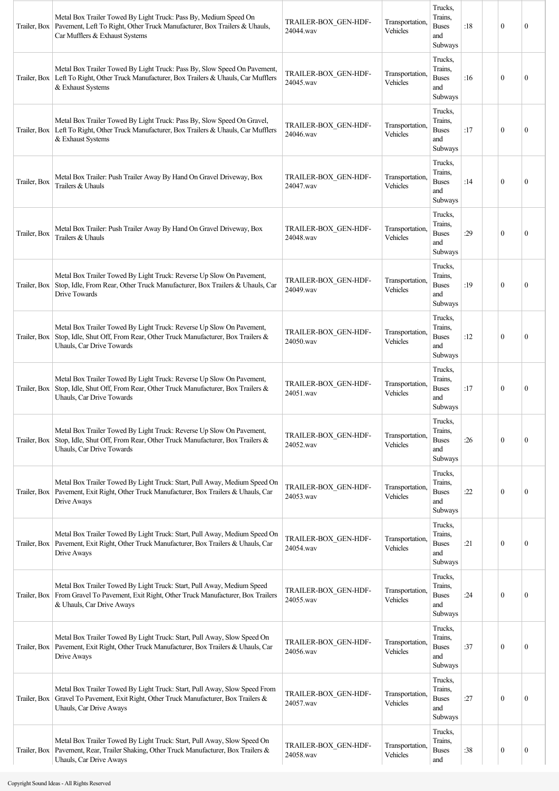|              | Metal Box Trailer Towed By Light Truck: Pass By, Medium Speed On<br>Trailer, Box   Pavement, Left To Right, Other Truck Manufacturer, Box Trailers & Uhauls,<br>Car Mufflers & Exhaust Systems | TRAILER-BOX GEN-HDF-<br>24044.wav | Transportation,<br>Vehicles | Trucks,<br>Trains,<br><b>Buses</b><br>and<br>Subways | :18 | $\theta$         | $\mathbf{0}$     |
|--------------|------------------------------------------------------------------------------------------------------------------------------------------------------------------------------------------------|-----------------------------------|-----------------------------|------------------------------------------------------|-----|------------------|------------------|
|              | Metal Box Trailer Towed By Light Truck: Pass By, Slow Speed On Pavement,<br>Trailer, Box   Left To Right, Other Truck Manufacturer, Box Trailers & Uhauls, Car Mufflers<br>& Exhaust Systems   | TRAILER-BOX GEN-HDF-<br>24045.wav | Transportation,<br>Vehicles | Trucks,<br>Trains,<br><b>Buses</b><br>and<br>Subways | :16 | $\theta$         | $\boldsymbol{0}$ |
|              | Metal Box Trailer Towed By Light Truck: Pass By, Slow Speed On Gravel,<br>Trailer, Box   Left To Right, Other Truck Manufacturer, Box Trailers & Uhauls, Car Mufflers<br>& Exhaust Systems     | TRAILER-BOX_GEN-HDF-<br>24046.wav | Transportation,<br>Vehicles | Trucks,<br>Trains,<br><b>Buses</b><br>and<br>Subways | :17 | $\mathbf{0}$     | $\mathbf{0}$     |
| Trailer, Box | Metal Box Trailer: Push Trailer Away By Hand On Gravel Driveway, Box<br>Trailers & Uhauls                                                                                                      | TRAILER-BOX_GEN-HDF-<br>24047.wav | Transportation,<br>Vehicles | Trucks,<br>Trains,<br><b>Buses</b><br>and<br>Subways | :14 | $\mathbf{0}$     | $\mathbf{0}$     |
| Trailer, Box | Metal Box Trailer: Push Trailer Away By Hand On Gravel Driveway, Box<br>Trailers & Uhauls                                                                                                      | TRAILER-BOX GEN-HDF-<br>24048.wav | Transportation,<br>Vehicles | Trucks,<br>Trains,<br><b>Buses</b><br>and<br>Subways | :29 | $\mathbf{0}$     | $\mathbf{0}$     |
| Trailer, Box | Metal Box Trailer Towed By Light Truck: Reverse Up Slow On Pavement,<br>Stop, Idle, From Rear, Other Truck Manufacturer, Box Trailers & Uhauls, Car<br>Drive Towards                           | TRAILER-BOX GEN-HDF-<br>24049.wav | Transportation,<br>Vehicles | Trucks,<br>Trains,<br><b>Buses</b><br>and<br>Subways | :19 | $\mathbf{0}$     | $\boldsymbol{0}$ |
| Trailer, Box | Metal Box Trailer Towed By Light Truck: Reverse Up Slow On Pavement,<br>Stop, Idle, Shut Off, From Rear, Other Truck Manufacturer, Box Trailers &<br>Uhauls, Car Drive Towards                 | TRAILER-BOX GEN-HDF-<br>24050.wav | Transportation,<br>Vehicles | Trucks,<br>Trains,<br><b>Buses</b><br>and<br>Subways | :12 | $\mathbf{0}$     | $\boldsymbol{0}$ |
| Trailer, Box | Metal Box Trailer Towed By Light Truck: Reverse Up Slow On Pavement,<br>Stop, Idle, Shut Off, From Rear, Other Truck Manufacturer, Box Trailers &<br>Uhauls, Car Drive Towards                 | TRAILER-BOX GEN-HDF-<br>24051.wav | Transportation,<br>Vehicles | Trucks,<br>Trains,<br><b>Buses</b><br>and<br>Subways | :17 | $\theta$         | $\mathbf{0}$     |
| Trailer, Box | Metal Box Trailer Towed By Light Truck: Reverse Up Slow On Pavement,<br>Stop, Idle, Shut Off, From Rear, Other Truck Manufacturer, Box Trailers &<br><b>Uhauls, Car Drive Towards</b>          | TRAILER-BOX_GEN-HDF-<br>24052.wav | Transportation.<br>Vehicles | Trucks,<br>Trains,<br><b>Buses</b><br>and<br>Subways | :26 | $\mathbf{0}$     | $\boldsymbol{0}$ |
| Trailer, Box | Metal Box Trailer Towed By Light Truck: Start, Pull Away, Medium Speed On<br>Pavement, Exit Right, Other Truck Manufacturer, Box Trailers & Uhauls, Car<br>Drive Aways                         | TRAILER-BOX_GEN-HDF-<br>24053.wav | Transportation,<br>Vehicles | Trucks,<br>Trains,<br><b>Buses</b><br>and<br>Subways | :22 | $\mathbf{0}$     | 0                |
|              | Metal Box Trailer Towed By Light Truck: Start, Pull Away, Medium Speed On<br>Trailer, Box   Pavement, Exit Right, Other Truck Manufacturer, Box Trailers & Uhauls, Car<br>Drive Aways          | TRAILER-BOX GEN-HDF-<br>24054.wav | Transportation,<br>Vehicles | Trucks,<br>Trains,<br><b>Buses</b><br>and<br>Subways | :21 | $\mathbf{0}$     | $\mathbf{0}$     |
| Trailer, Box | Metal Box Trailer Towed By Light Truck: Start, Pull Away, Medium Speed<br>From Gravel To Pavement, Exit Right, Other Truck Manufacturer, Box Trailers<br>& Uhauls, Car Drive Aways             | TRAILER-BOX_GEN-HDF-<br>24055.wav | Transportation.<br>Vehicles | Trucks,<br>Trains,<br><b>Buses</b><br>and<br>Subways | :24 | $\mathbf{0}$     | 0                |
| Trailer, Box | Metal Box Trailer Towed By Light Truck: Start, Pull Away, Slow Speed On<br>Pavement, Exit Right, Other Truck Manufacturer, Box Trailers & Uhauls, Car<br>Drive Aways                           | TRAILER-BOX GEN-HDF-<br>24056.wav | Transportation,<br>Vehicles | Trucks,<br>Trains,<br><b>Buses</b><br>and<br>Subways | :37 | $\mathbf{0}$     | 0                |
| Trailer, Box | Metal Box Trailer Towed By Light Truck: Start, Pull Away, Slow Speed From<br>Gravel To Pavement, Exit Right, Other Truck Manufacturer, Box Trailers &<br>Uhauls, Car Drive Aways               | TRAILER-BOX GEN-HDF-<br>24057.wav | Transportation.<br>Vehicles | Trucks,<br>Trains,<br><b>Buses</b><br>and<br>Subways | :27 | $\mathbf{0}$     | $\boldsymbol{0}$ |
|              | Metal Box Trailer Towed By Light Truck: Start, Pull Away, Slow Speed On<br>Trailer, Box   Pavement, Rear, Trailer Shaking, Other Truck Manufacturer, Box Trailers &<br>Uhauls, Car Drive Aways | TRAILER-BOX_GEN-HDF-<br>24058.wav | Transportation,<br>Vehicles | Trucks,<br>Trains,<br><b>Buses</b><br>and            | :38 | $\boldsymbol{0}$ | $\boldsymbol{0}$ |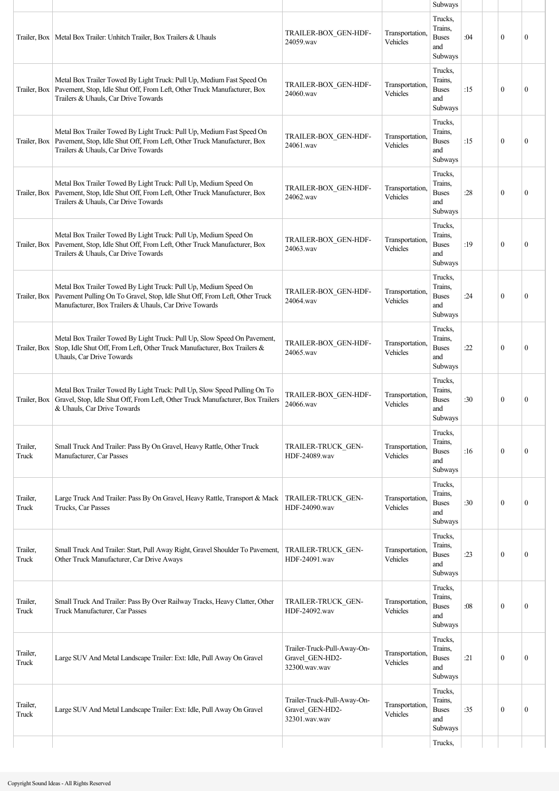|                   |                                                                                                                                                                                                          |                                                                 |                             | Subways                                              |     |                  |              |
|-------------------|----------------------------------------------------------------------------------------------------------------------------------------------------------------------------------------------------------|-----------------------------------------------------------------|-----------------------------|------------------------------------------------------|-----|------------------|--------------|
|                   | Trailer, Box   Metal Box Trailer: Unhitch Trailer, Box Trailers & Uhauls                                                                                                                                 | TRAILER-BOX GEN-HDF-<br>24059.wav                               | Transportation,<br>Vehicles | Trucks,<br>Trains,<br><b>Buses</b><br>and<br>Subways | :04 | $\boldsymbol{0}$ | $\mathbf{0}$ |
| Trailer, Box      | Metal Box Trailer Towed By Light Truck: Pull Up, Medium Fast Speed On<br>Pavement, Stop, Idle Shut Off, From Left, Other Truck Manufacturer, Box<br>Trailers & Uhauls, Car Drive Towards                 | TRAILER-BOX GEN-HDF-<br>24060.wav                               | Transportation,<br>Vehicles | Trucks,<br>Trains,<br><b>Buses</b><br>and<br>Subways | :15 | $\boldsymbol{0}$ | $\mathbf{0}$ |
|                   | Metal Box Trailer Towed By Light Truck: Pull Up, Medium Fast Speed On<br>Trailer, Box   Pavement, Stop, Idle Shut Off, From Left, Other Truck Manufacturer, Box<br>Trailers & Uhauls, Car Drive Towards  | TRAILER-BOX GEN-HDF-<br>24061.wav                               | Transportation,<br>Vehicles | Trucks,<br>Trains,<br><b>Buses</b><br>and<br>Subways | :15 | $\theta$         | $\mathbf{0}$ |
| Trailer, Box      | Metal Box Trailer Towed By Light Truck: Pull Up, Medium Speed On<br>Pavement, Stop, Idle Shut Off, From Left, Other Truck Manufacturer, Box<br>Trailers & Uhauls, Car Drive Towards                      | TRAILER-BOX GEN-HDF-<br>24062.wav                               | Transportation,<br>Vehicles | Trucks,<br>Trains.<br><b>Buses</b><br>and<br>Subways | :28 | $\boldsymbol{0}$ | $\mathbf{0}$ |
| Trailer, Box      | Metal Box Trailer Towed By Light Truck: Pull Up, Medium Speed On<br>Pavement, Stop, Idle Shut Off, From Left, Other Truck Manufacturer, Box<br>Trailers & Uhauls, Car Drive Towards                      | TRAILER-BOX GEN-HDF-<br>24063.way                               | Transportation,<br>Vehicles | Trucks,<br>Trains,<br><b>Buses</b><br>and<br>Subways | :19 | $\boldsymbol{0}$ | $\mathbf{0}$ |
| Trailer, Box      | Metal Box Trailer Towed By Light Truck: Pull Up, Medium Speed On<br>Pavement Pulling On To Gravel, Stop, Idle Shut Off, From Left, Other Truck<br>Manufacturer, Box Trailers & Uhauls, Car Drive Towards | TRAILER-BOX GEN-HDF-<br>24064.wav                               | Transportation,<br>Vehicles | Trucks,<br>Trains,<br><b>Buses</b><br>and<br>Subways | :24 | $\theta$         | $\mathbf{0}$ |
| Trailer, Box      | Metal Box Trailer Towed By Light Truck: Pull Up, Slow Speed On Pavement,<br>Stop, Idle Shut Off, From Left, Other Truck Manufacturer, Box Trailers &<br><b>Uhauls, Car Drive Towards</b>                 | TRAILER-BOX GEN-HDF-<br>24065.wav                               | Transportation,<br>Vehicles | Trucks,<br>Trains,<br><b>Buses</b><br>and<br>Subways | :22 | $\theta$         | $\mathbf{0}$ |
| Trailer, Box      | Metal Box Trailer Towed By Light Truck: Pull Up, Slow Speed Pulling On To<br>Gravel, Stop, Idle Shut Off, From Left, Other Truck Manufacturer, Box Trailers<br>& Uhauls, Car Drive Towards               | TRAILER-BOX_GEN-HDF-<br>24066.wav                               | Transportation,<br>Vehicles | Trucks,<br>Trains,<br><b>Buses</b><br>and<br>Subways | :30 | $\boldsymbol{0}$ | $\mathbf{0}$ |
| Trailer,<br>Truck | Small Truck And Trailer: Pass By On Gravel, Heavy Rattle, Other Truck<br>Manufacturer, Car Passes                                                                                                        | TRAILER-TRUCK GEN-<br>HDF-24089.wav                             | Transportation,<br>Vehicles | Trucks,<br>Trains.<br><b>Buses</b><br>and<br>Subways | :16 | $\mathbf{0}$     | $\mathbf{0}$ |
| Trailer,<br>Truck | Large Truck And Trailer: Pass By On Gravel, Heavy Rattle, Transport & Mack<br>Trucks, Car Passes                                                                                                         | TRAILER-TRUCK GEN-<br>HDF-24090.wav                             | Transportation,<br>Vehicles | Trucks,<br>Trains.<br><b>Buses</b><br>and<br>Subways | :30 | $\theta$         | $\mathbf{0}$ |
| Trailer,<br>Truck | Small Truck And Trailer: Start, Pull Away Right, Gravel Shoulder To Pavement,<br>Other Truck Manufacturer, Car Drive Aways                                                                               | <b>TRAILER-TRUCK GEN-</b><br>HDF-24091.wav                      | Transportation,<br>Vehicles | Trucks,<br>Trains.<br><b>Buses</b><br>and<br>Subways | :23 | $\boldsymbol{0}$ | $\mathbf{0}$ |
| Trailer,<br>Truck | Small Truck And Trailer: Pass By Over Railway Tracks, Heavy Clatter, Other<br>Truck Manufacturer, Car Passes                                                                                             | TRAILER-TRUCK GEN-<br>HDF-24092.wav                             | Transportation,<br>Vehicles | Trucks,<br>Trains.<br><b>Buses</b><br>and<br>Subways | :08 | $\boldsymbol{0}$ | $\mathbf{0}$ |
| Trailer,<br>Truck | Large SUV And Metal Landscape Trailer: Ext: Idle, Pull Away On Gravel                                                                                                                                    | Trailer-Truck-Pull-Away-On-<br>Gravel GEN-HD2-<br>32300.wav.wav | Transportation,<br>Vehicles | Trucks,<br>Trains,<br><b>Buses</b><br>and<br>Subways | :21 | $\mathbf{0}$     | $\mathbf{0}$ |
| Trailer,<br>Truck | Large SUV And Metal Landscape Trailer: Ext: Idle, Pull Away On Gravel                                                                                                                                    | Trailer-Truck-Pull-Away-On-<br>Gravel_GEN-HD2-<br>32301.wav.wav | Transportation,<br>Vehicles | Trucks,<br>Trains,<br><b>Buses</b><br>and<br>Subways | :35 | $\mathbf{0}$     | $\mathbf{0}$ |
|                   |                                                                                                                                                                                                          |                                                                 |                             | Trucks,                                              |     |                  |              |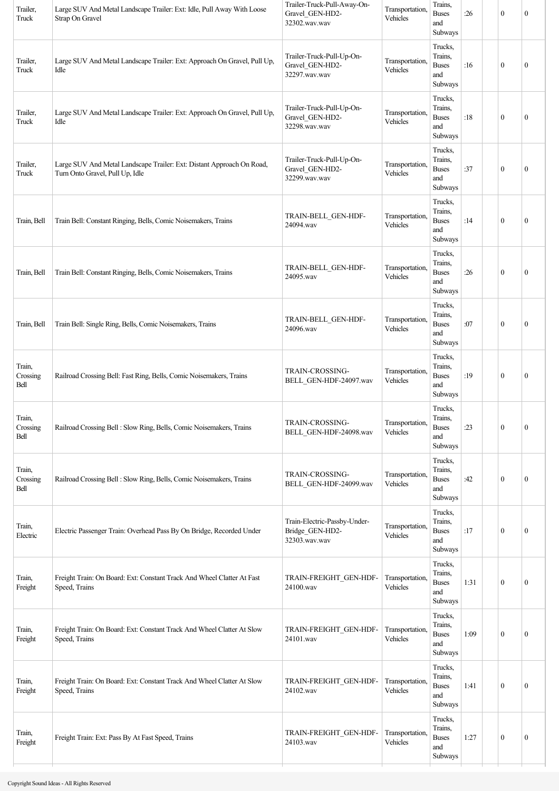| Trailer,<br>Truck          | Large SUV And Metal Landscape Trailer: Ext: Idle, Pull Away With Loose<br>Strap On Gravel                | Trailer-Truck-Pull-Away-On-<br>Gravel_GEN-HD2-<br>32302.wav.wav  | Transportation,<br>Vehicles | Trains,<br><b>Buses</b><br>and<br>Subways            | :26  | $\boldsymbol{0}$ | $\boldsymbol{0}$ |
|----------------------------|----------------------------------------------------------------------------------------------------------|------------------------------------------------------------------|-----------------------------|------------------------------------------------------|------|------------------|------------------|
| Trailer,<br>Truck          | Large SUV And Metal Landscape Trailer: Ext: Approach On Gravel, Pull Up,<br>Idle                         | Trailer-Truck-Pull-Up-On-<br>Gravel_GEN-HD2-<br>32297.wav.wav    | Transportation,<br>Vehicles | Trucks,<br>Trains,<br><b>Buses</b><br>and<br>Subways | :16  | $\mathbf{0}$     | $\boldsymbol{0}$ |
| Trailer,<br>Truck          | Large SUV And Metal Landscape Trailer: Ext: Approach On Gravel, Pull Up,<br>Idle                         | Trailer-Truck-Pull-Up-On-<br>Gravel_GEN-HD2-<br>32298.wav.wav    | Transportation<br>Vehicles  | Trucks,<br>Trains,<br><b>Buses</b><br>and<br>Subways | :18  | $\boldsymbol{0}$ | $\boldsymbol{0}$ |
| Trailer,<br>Truck          | Large SUV And Metal Landscape Trailer: Ext: Distant Approach On Road,<br>Turn Onto Gravel, Pull Up, Idle | Trailer-Truck-Pull-Up-On-<br>Gravel_GEN-HD2-<br>32299.wav.wav    | Transportation,<br>Vehicles | Trucks,<br>Trains,<br><b>Buses</b><br>and<br>Subways | :37  | $\mathbf{0}$     | $\boldsymbol{0}$ |
| Train, Bell                | Train Bell: Constant Ringing, Bells, Comic Noisemakers, Trains                                           | TRAIN-BELL_GEN-HDF-<br>24094.wav                                 | Transportation,<br>Vehicles | Trucks,<br>Trains,<br><b>Buses</b><br>and<br>Subways | :14  | $\boldsymbol{0}$ | $\boldsymbol{0}$ |
| Train, Bell                | Train Bell: Constant Ringing, Bells, Comic Noisemakers, Trains                                           | TRAIN-BELL_GEN-HDF-<br>24095.wav                                 | Transportation,<br>Vehicles | Trucks,<br>Trains,<br><b>Buses</b><br>and<br>Subways | :26  | $\boldsymbol{0}$ | $\boldsymbol{0}$ |
| Train, Bell                | Train Bell: Single Ring, Bells, Comic Noisemakers, Trains                                                | TRAIN-BELL_GEN-HDF-<br>24096.wav                                 | Transportation,<br>Vehicles | Trucks,<br>Trains,<br><b>Buses</b><br>and<br>Subways | :07  | $\mathbf{0}$     | $\boldsymbol{0}$ |
| Train,<br>Crossing<br>Bell | Railroad Crossing Bell: Fast Ring, Bells, Comic Noisemakers, Trains                                      | TRAIN-CROSSING-<br>BELL_GEN-HDF-24097.wav                        | Transportation,<br>Vehicles | Trucks,<br>Trains,<br><b>Buses</b><br>and<br>Subways | :19  | $\mathbf{0}$     | $\boldsymbol{0}$ |
| Train,<br>Crossing<br>Bell | Railroad Crossing Bell : Slow Ring, Bells, Comic Noisemakers, Trains                                     | TRAIN-CROSSING-<br>BELL GEN-HDF-24098.wav                        | Transportation,<br>Vehicles | Trucks,<br>Trains,<br><b>Buses</b><br>and<br>Subways | :23  | $\boldsymbol{0}$ | $\boldsymbol{0}$ |
| Train,<br>Crossing<br>Bell | Railroad Crossing Bell : Slow Ring, Bells, Comic Noisemakers, Trains                                     | TRAIN-CROSSING-<br>BELL_GEN-HDF-24099.wav                        | Transportation,<br>Vehicles | Trucks,<br>Trains,<br><b>Buses</b><br>and<br>Subways | :42  | $\boldsymbol{0}$ | $\boldsymbol{0}$ |
| Train,<br>Electric         | Electric Passenger Train: Overhead Pass By On Bridge, Recorded Under                                     | Train-Electric-Passby-Under-<br>Bridge_GEN-HD2-<br>32303.wav.wav | Transportation,<br>Vehicles | Trucks,<br>Trains,<br><b>Buses</b><br>and<br>Subways | :17  | $\boldsymbol{0}$ | $\boldsymbol{0}$ |
| Train,<br>Freight          | Freight Train: On Board: Ext: Constant Track And Wheel Clatter At Fast<br>Speed, Trains                  | TRAIN-FREIGHT_GEN-HDF-<br>24100.wav                              | Transportation,<br>Vehicles | Trucks,<br>Trains,<br><b>Buses</b><br>and<br>Subways | 1:31 | $\mathbf{0}$     | $\boldsymbol{0}$ |
| Train,<br>Freight          | Freight Train: On Board: Ext: Constant Track And Wheel Clatter At Slow<br>Speed, Trains                  | TRAIN-FREIGHT_GEN-HDF-<br>24101.wav                              | Transportation,<br>Vehicles | Trucks,<br>Trains,<br><b>Buses</b><br>and<br>Subways | 1:09 | $\mathbf{0}$     | $\boldsymbol{0}$ |
| Train,<br>Freight          | Freight Train: On Board: Ext: Constant Track And Wheel Clatter At Slow<br>Speed, Trains                  | TRAIN-FREIGHT_GEN-HDF-<br>24102.wav                              | Transportation<br>Vehicles  | Trucks,<br>Trains,<br><b>Buses</b><br>and<br>Subways | 1:41 | $\mathbf{0}$     | $\boldsymbol{0}$ |
| Train,<br>Freight          | Freight Train: Ext: Pass By At Fast Speed, Trains                                                        | TRAIN-FREIGHT GEN-HDF-<br>24103.wav                              | Transportation<br>Vehicles  | Trucks,<br>Trains,<br><b>Buses</b><br>and<br>Subways | 1:27 | $\boldsymbol{0}$ | $\boldsymbol{0}$ |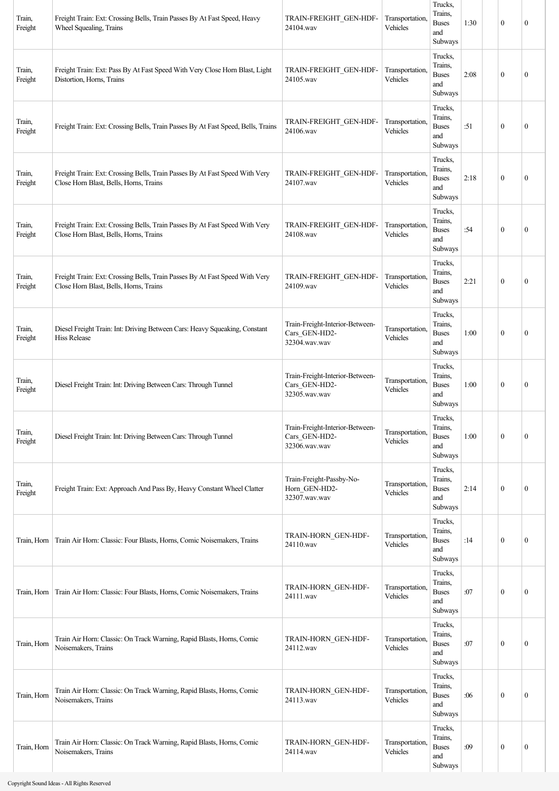| Train,<br>Freight | Freight Train: Ext: Crossing Bells, Train Passes By At Fast Speed, Heavy<br>Wheel Squealing, Trains                   | TRAIN-FREIGHT GEN-HDF-<br>24104.wav                               | Transportation,<br>Vehicles | Trucks,<br>Trains,<br><b>Buses</b><br>and<br>Subways | 1:30 | $\mathbf{0}$     | $\mathbf{0}$     |
|-------------------|-----------------------------------------------------------------------------------------------------------------------|-------------------------------------------------------------------|-----------------------------|------------------------------------------------------|------|------------------|------------------|
| Train,<br>Freight | Freight Train: Ext: Pass By At Fast Speed With Very Close Horn Blast, Light<br>Distortion, Horns, Trains              | TRAIN-FREIGHT GEN-HDF-<br>24105.wav                               | Transportation,<br>Vehicles | Trucks,<br>Trains,<br><b>Buses</b><br>and<br>Subways | 2:08 | $\mathbf{0}$     | $\mathbf{0}$     |
| Train,<br>Freight | Freight Train: Ext: Crossing Bells, Train Passes By At Fast Speed, Bells, Trains                                      | TRAIN-FREIGHT GEN-HDF-<br>24106.wav                               | Transportation.<br>Vehicles | Trucks,<br>Trains.<br><b>Buses</b><br>and<br>Subways | :51  | $\mathbf{0}$     | $\mathbf{0}$     |
| Train,<br>Freight | Freight Train: Ext: Crossing Bells, Train Passes By At Fast Speed With Very<br>Close Horn Blast, Bells, Horns, Trains | TRAIN-FREIGHT GEN-HDF-<br>24107.wav                               | Transportation.<br>Vehicles | Trucks,<br>Trains,<br><b>Buses</b><br>and<br>Subways | 2:18 | $\mathbf{0}$     | $\mathbf{0}$     |
| Train,<br>Freight | Freight Train: Ext: Crossing Bells, Train Passes By At Fast Speed With Very<br>Close Horn Blast, Bells, Horns, Trains | TRAIN-FREIGHT_GEN-HDF-<br>24108.wav                               | Transportation,<br>Vehicles | Trucks,<br>Trains,<br><b>Buses</b><br>and<br>Subways | :54  | $\mathbf{0}$     | $\mathbf{0}$     |
| Train,<br>Freight | Freight Train: Ext: Crossing Bells, Train Passes By At Fast Speed With Very<br>Close Horn Blast, Bells, Horns, Trains | TRAIN-FREIGHT GEN-HDF-<br>24109.wav                               | Transportation,<br>Vehicles | Trucks,<br>Trains,<br><b>Buses</b><br>and<br>Subways | 2:21 | $\theta$         | $\mathbf{0}$     |
| Train,<br>Freight | Diesel Freight Train: Int: Driving Between Cars: Heavy Squeaking, Constant<br><b>Hiss Release</b>                     | Train-Freight-Interior-Between-<br>Cars_GEN-HD2-<br>32304.wav.wav | Transportation,<br>Vehicles | Trucks,<br>Trains,<br><b>Buses</b><br>and<br>Subways | 1:00 | $\mathbf{0}$     | $\mathbf{0}$     |
| Train,<br>Freight | Diesel Freight Train: Int: Driving Between Cars: Through Tunnel                                                       | Train-Freight-Interior-Between-<br>Cars_GEN-HD2-<br>32305.wav.wav | Transportation,<br>Vehicles | Trucks,<br>Trains,<br><b>Buses</b><br>and<br>Subways | 1:00 | $\mathbf{0}$     | $\boldsymbol{0}$ |
| Train,<br>Freight | Diesel Freight Train: Int: Driving Between Cars: Through Tunnel                                                       | Train-Freight-Interior-Between-<br>Cars GEN-HD2-<br>32306.wav.wav | Transportation,<br>Vehicles | Trucks,<br>Trains,<br><b>Buses</b><br>and<br>Subways | 1:00 | $\mathbf{0}$     | $\mathbf{0}$     |
| Train,<br>Freight | Freight Train: Ext: Approach And Pass By, Heavy Constant Wheel Clatter                                                | Train-Freight-Passby-No-<br>Horn GEN-HD2-<br>32307.wav.wav        | Transportation,<br>Vehicles | Trucks,<br>Trains,<br><b>Buses</b><br>and<br>Subways | 2:14 | $\mathbf{0}$     | $\boldsymbol{0}$ |
| Train, Horn       | Train Air Horn: Classic: Four Blasts, Horns, Comic Noisemakers, Trains                                                | TRAIN-HORN_GEN-HDF-<br>24110.wav                                  | Transportation.<br>Vehicles | Trucks,<br>Trains,<br><b>Buses</b><br>and<br>Subways | :14  | $\boldsymbol{0}$ | $\mathbf{0}$     |
| Train, Horn       | Train Air Horn: Classic: Four Blasts, Horns, Comic Noisemakers, Trains                                                | TRAIN-HORN_GEN-HDF-<br>24111.wav                                  | Transportation,<br>Vehicles | Trucks,<br>Trains,<br><b>Buses</b><br>and<br>Subways | :07  | $\mathbf{0}$     | $\boldsymbol{0}$ |
| Train, Horn       | Train Air Horn: Classic: On Track Warning, Rapid Blasts, Horns, Comic<br>Noisemakers, Trains                          | TRAIN-HORN_GEN-HDF-<br>24112.wav                                  | Transportation,<br>Vehicles | Trucks,<br>Trains,<br><b>Buses</b><br>and<br>Subways | :07  | $\mathbf{0}$     | $\mathbf{0}$     |
| Train, Horn       | Train Air Horn: Classic: On Track Warning, Rapid Blasts, Horns, Comic<br>Noisemakers, Trains                          | TRAIN-HORN_GEN-HDF-<br>24113.wav                                  | Transportation,<br>Vehicles | Trucks,<br>Trains,<br><b>Buses</b><br>and<br>Subways | :06  | $\mathbf{0}$     | $\mathbf{0}$     |
| Train, Horn       | Train Air Horn: Classic: On Track Warning, Rapid Blasts, Horns, Comic<br>Noisemakers, Trains                          | TRAIN-HORN GEN-HDF-<br>24114.wav                                  | Transportation,<br>Vehicles | Trucks,<br>Trains,<br><b>Buses</b><br>and<br>Subways | :09  | $\boldsymbol{0}$ | $\boldsymbol{0}$ |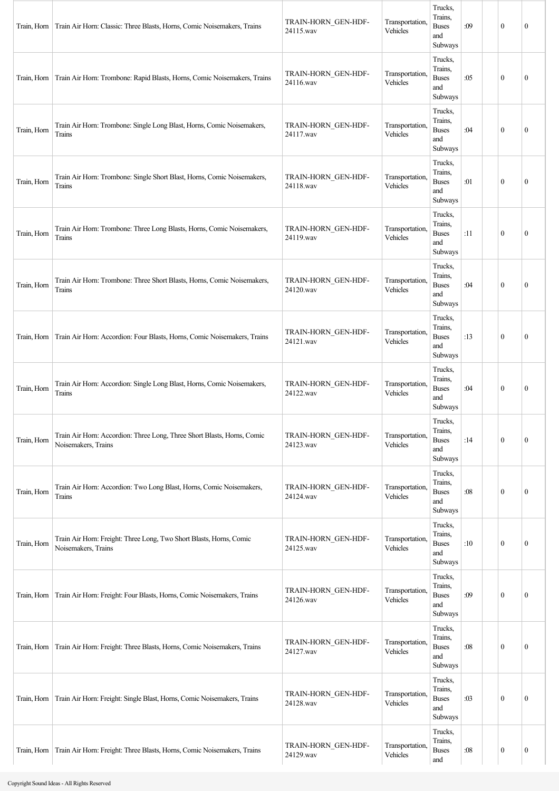| Train, Horn | Train Air Horn: Classic: Three Blasts, Horns, Comic Noisemakers, Trains                        | TRAIN-HORN_GEN-HDF-<br>24115.wav | Transportation.<br>Vehicles | Trucks,<br>Trains,<br><b>Buses</b><br>and<br>Subways | :09 | $\mathbf{0}$     | $\boldsymbol{0}$ |
|-------------|------------------------------------------------------------------------------------------------|----------------------------------|-----------------------------|------------------------------------------------------|-----|------------------|------------------|
| Train, Horn | Train Air Horn: Trombone: Rapid Blasts, Horns, Comic Noisemakers, Trains                       | TRAIN-HORN_GEN-HDF-<br>24116.wav | Transportation.<br>Vehicles | Trucks,<br>Trains,<br><b>Buses</b><br>and<br>Subways | :05 | $\mathbf{0}$     | $\mathbf{0}$     |
| Train, Horn | Train Air Horn: Trombone: Single Long Blast, Horns, Comic Noisemakers,<br>Trains               | TRAIN-HORN_GEN-HDF-<br>24117.wav | Transportation.<br>Vehicles | Trucks,<br>Trains,<br><b>Buses</b><br>and<br>Subways | :04 | $\mathbf{0}$     | $\boldsymbol{0}$ |
| Train, Horn | Train Air Horn: Trombone: Single Short Blast, Horns, Comic Noisemakers,<br>Trains              | TRAIN-HORN_GEN-HDF-<br>24118.wav | Transportation.<br>Vehicles | Trucks,<br>Trains,<br><b>Buses</b><br>and<br>Subways | :01 | $\mathbf{0}$     | $\mathbf{0}$     |
| Train, Horn | Train Air Horn: Trombone: Three Long Blasts, Horns, Comic Noisemakers,<br>Trains               | TRAIN-HORN_GEN-HDF-<br>24119.wav | Transportation,<br>Vehicles | Trucks,<br>Trains,<br><b>Buses</b><br>and<br>Subways | :11 | $\mathbf{0}$     | $\mathbf{0}$     |
| Train, Horn | Train Air Horn: Trombone: Three Short Blasts, Horns, Comic Noisemakers,<br>Trains              | TRAIN-HORN_GEN-HDF-<br>24120.wav | Transportation.<br>Vehicles | Trucks,<br>Trains,<br><b>Buses</b><br>and<br>Subways | :04 | $\mathbf{0}$     | $\boldsymbol{0}$ |
| Train, Horn | Train Air Horn: Accordion: Four Blasts, Horns, Comic Noisemakers, Trains                       | TRAIN-HORN_GEN-HDF-<br>24121.wav | Transportation,<br>Vehicles | Trucks,<br>Trains,<br><b>Buses</b><br>and<br>Subways | :13 | $\mathbf{0}$     | $\mathbf{0}$     |
| Train, Horn | Train Air Horn: Accordion: Single Long Blast, Horns, Comic Noisemakers,<br>Trains              | TRAIN-HORN_GEN-HDF-<br>24122.wav | Transportation.<br>Vehicles | Trucks,<br>Trains,<br><b>Buses</b><br>and<br>Subways | :04 | $\mathbf{0}$     | $\boldsymbol{0}$ |
| Train, Horn | Train Air Horn: Accordion: Three Long, Three Short Blasts, Horns, Comic<br>Noisemakers, Trains | TRAIN-HORN_GEN-HDF-<br>24123.wav | Transportation,<br>Vehicles | Trucks,<br>Trains,<br><b>Buses</b><br>and<br>Subways | :14 | $\mathbf{0}$     | $\boldsymbol{0}$ |
| Train, Horn | Train Air Horn: Accordion: Two Long Blast, Horns, Comic Noisemakers,<br>Trains                 | TRAIN-HORN_GEN-HDF-<br>24124.wav | Transportation,<br>Vehicles | Trucks,<br>Trains,<br><b>Buses</b><br>and<br>Subways | :08 | $\boldsymbol{0}$ | $\boldsymbol{0}$ |
| Train, Horn | Train Air Horn: Freight: Three Long, Two Short Blasts, Horns, Comic<br>Noisemakers, Trains     | TRAIN-HORN_GEN-HDF-<br>24125.wav | Transportation,<br>Vehicles | Trucks,<br>Trains,<br><b>Buses</b><br>and<br>Subways | :10 | $\boldsymbol{0}$ | $\boldsymbol{0}$ |
| Train, Horn | Train Air Horn: Freight: Four Blasts, Horns, Comic Noisemakers, Trains                         | TRAIN-HORN_GEN-HDF-<br>24126.wav | Transportation.<br>Vehicles | Trucks,<br>Trains,<br><b>Buses</b><br>and<br>Subways | :09 | $\mathbf{0}$     | $\boldsymbol{0}$ |
| Train, Horn | Train Air Horn: Freight: Three Blasts, Horns, Comic Noisemakers, Trains                        | TRAIN-HORN_GEN-HDF-<br>24127.wav | Transportation.<br>Vehicles | Trucks,<br>Trains,<br><b>Buses</b><br>and<br>Subways | :08 | $\boldsymbol{0}$ | $\boldsymbol{0}$ |
| Train, Horn | Train Air Horn: Freight: Single Blast, Horns, Comic Noisemakers, Trains                        | TRAIN-HORN_GEN-HDF-<br>24128.wav | Transportation,<br>Vehicles | Trucks,<br>Trains,<br><b>Buses</b><br>and<br>Subways | :03 | $\mathbf{0}$     | $\boldsymbol{0}$ |
| Train, Horn | Train Air Horn: Freight: Three Blasts, Horns, Comic Noisemakers, Trains                        | TRAIN-HORN_GEN-HDF-<br>24129.wav | Transportation.<br>Vehicles | Trucks,<br>Trains,<br><b>Buses</b><br>and            | :08 | $\boldsymbol{0}$ | $\boldsymbol{0}$ |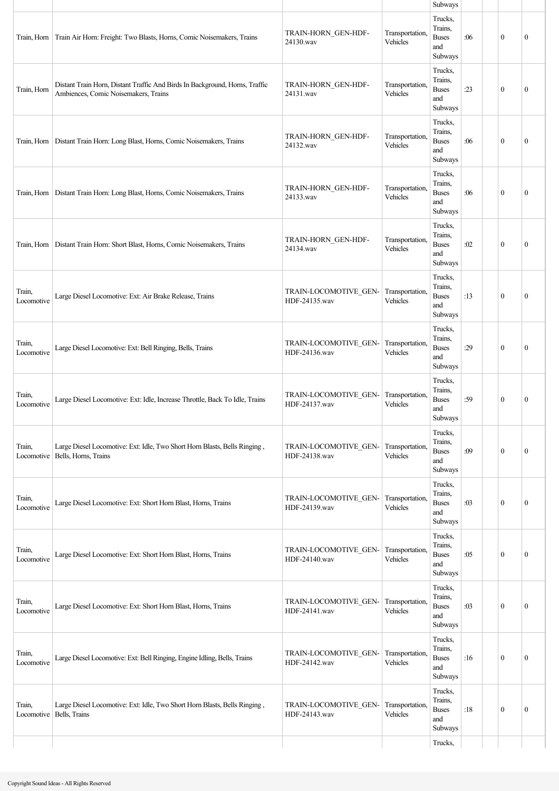|                      |                                                                                                                     |                                        |                             | Subways                                                         |     |                  |                  |
|----------------------|---------------------------------------------------------------------------------------------------------------------|----------------------------------------|-----------------------------|-----------------------------------------------------------------|-----|------------------|------------------|
| Train, Horn          | Train Air Horn: Freight: Two Blasts, Horns, Comic Noisemakers, Trains                                               | TRAIN-HORN GEN-HDF-<br>24130.wav       | Transportation,<br>Vehicles | Trucks,<br>Trains,<br><b>Buses</b><br>and<br>Subways<br>Trucks. | :06 | $\mathbf{0}$     | $\mathbf{0}$     |
| Train, Horn          | Distant Train Horn, Distant Traffic And Birds In Background, Horns, Traffic<br>Ambiences, Comic Noisemakers, Trains | TRAIN-HORN_GEN-HDF-<br>24131.wav       | Transportation,<br>Vehicles | Trains,<br><b>Buses</b><br>and<br>Subways                       | :23 | $\mathbf{0}$     | $\boldsymbol{0}$ |
| Train, Horn          | Distant Train Horn: Long Blast, Horns, Comic Noisemakers, Trains                                                    | TRAIN-HORN_GEN-HDF-<br>24132.wav       | Transportation,<br>Vehicles | Trucks,<br>Trains,<br><b>Buses</b><br>and<br>Subways            | :06 | $\mathbf{0}$     | $\boldsymbol{0}$ |
|                      | Train, Horn   Distant Train Horn: Long Blast, Horns, Comic Noisemakers, Trains                                      | TRAIN-HORN_GEN-HDF-<br>24133.wav       | Transportation,<br>Vehicles | Trucks,<br>Trains,<br><b>Buses</b><br>and<br>Subways            | :06 | $\mathbf{0}$     | $\boldsymbol{0}$ |
| Train, Horn          | Distant Train Horn: Short Blast, Horns, Comic Noisemakers, Trains                                                   | TRAIN-HORN_GEN-HDF-<br>24134.wav       | Transportation,<br>Vehicles | Trucks,<br>Trains,<br><b>Buses</b><br>and<br>Subways            | :02 | $\mathbf{0}$     | $\boldsymbol{0}$ |
| Train,<br>Locomotive | Large Diesel Locomotive: Ext: Air Brake Release, Trains                                                             | TRAIN-LOCOMOTIVE_GEN-<br>HDF-24135.wav | Transportation,<br>Vehicles | Trucks,<br>Trains,<br><b>Buses</b><br>and<br>Subways            | :13 | $\mathbf{0}$     | $\boldsymbol{0}$ |
| Train,<br>Locomotive | Large Diesel Locomotive: Ext: Bell Ringing, Bells, Trains                                                           | TRAIN-LOCOMOTIVE_GEN-<br>HDF-24136.wav | Transportation,<br>Vehicles | Trucks,<br>Trains,<br><b>Buses</b><br>and<br>Subways            | :29 | $\mathbf{0}$     | $\mathbf{0}$     |
| Train,<br>Locomotive | Large Diesel Locomotive: Ext: Idle, Increase Throttle, Back To Idle, Trains                                         | TRAIN-LOCOMOTIVE_GEN-<br>HDF-24137.wav | Transportation.<br>Vehicles | Trucks,<br>Trains,<br><b>Buses</b><br>and<br>Subways            | :59 | $\boldsymbol{0}$ | $\boldsymbol{0}$ |
| Train,<br>Locomotive | Large Diesel Locomotive: Ext: Idle, Two Short Horn Blasts, Bells Ringing,<br>Bells, Horns, Trains                   | TRAIN-LOCOMOTIVE_GEN-<br>HDF-24138.wav | Transportation,<br>Vehicles | Trucks,<br>Trains,<br><b>Buses</b><br>and<br>Subways            | :09 | $\boldsymbol{0}$ | $\boldsymbol{0}$ |
| Train,<br>Locomotive | Large Diesel Locomotive: Ext: Short Horn Blast, Horns, Trains                                                       | TRAIN-LOCOMOTIVE_GEN-<br>HDF-24139.wav | Transportation,<br>Vehicles | Trucks,<br>Trains,<br><b>Buses</b><br>and<br>Subways            | :03 | $\mathbf{0}$     | $\boldsymbol{0}$ |
| Train,<br>Locomotive | Large Diesel Locomotive: Ext: Short Horn Blast, Horns, Trains                                                       | TRAIN-LOCOMOTIVE GEN-<br>HDF-24140.wav | Transportation.<br>Vehicles | Trucks,<br>Trains,<br><b>Buses</b><br>and<br>Subways            | :05 | $\mathbf{0}$     | $\boldsymbol{0}$ |
| Train,<br>Locomotive | Large Diesel Locomotive: Ext: Short Horn Blast, Horns, Trains                                                       | TRAIN-LOCOMOTIVE GEN-<br>HDF-24141.wav | Transportation,<br>Vehicles | Trucks,<br>Trains,<br><b>Buses</b><br>and<br>Subways            | :03 | $\boldsymbol{0}$ | $\boldsymbol{0}$ |
| Train,<br>Locomotive | Large Diesel Locomotive: Ext: Bell Ringing, Engine Idling, Bells, Trains                                            | TRAIN-LOCOMOTIVE_GEN-<br>HDF-24142.wav | Transportation,<br>Vehicles | Trucks,<br>Trains,<br><b>Buses</b><br>and<br>Subways            | :16 | $\mathbf{0}$     | $\boldsymbol{0}$ |
| Train,<br>Locomotive | Large Diesel Locomotive: Ext: Idle, Two Short Horn Blasts, Bells Ringing,<br>Bells, Trains                          | TRAIN-LOCOMOTIVE GEN-<br>HDF-24143.wav | Transportation.<br>Vehicles | Trucks,<br>Trains,<br><b>Buses</b><br>and<br>Subways            | :18 | $\mathbf{0}$     | $\boldsymbol{0}$ |
|                      |                                                                                                                     |                                        |                             | Trucks,                                                         |     |                  |                  |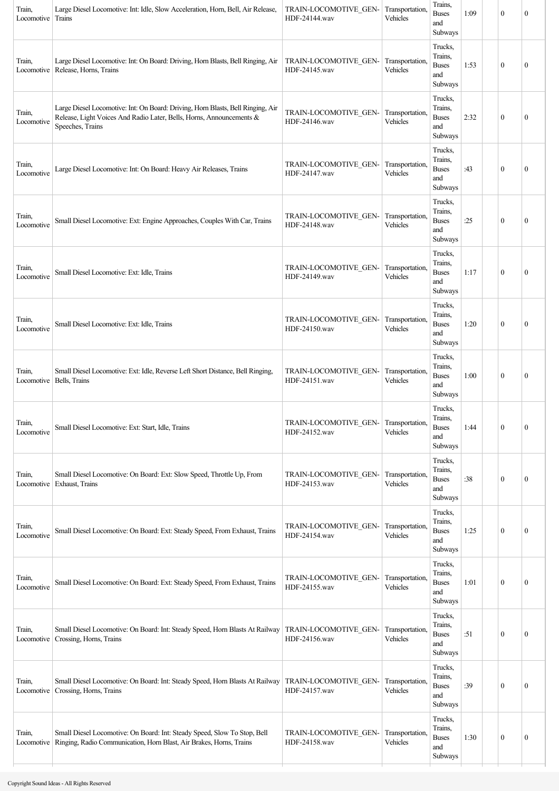| Train,<br>Locomotive | Large Diesel Locomotive: Int: Idle, Slow Acceleration, Horn, Bell, Air Release,<br>Trains                                                                                   | TRAIN-LOCOMOTIVE GEN-<br>HDF-24144.wav | Transportation,<br>Vehicles | Trains,<br><b>Buses</b><br>and<br>Subways            | 1:09 | $\boldsymbol{0}$ | $\mathbf{0}$     |
|----------------------|-----------------------------------------------------------------------------------------------------------------------------------------------------------------------------|----------------------------------------|-----------------------------|------------------------------------------------------|------|------------------|------------------|
| Train,<br>Locomotive | Large Diesel Locomotive: Int: On Board: Driving, Horn Blasts, Bell Ringing, Air<br>Release, Horns, Trains                                                                   | TRAIN-LOCOMOTIVE GEN-<br>HDF-24145.wav | Transportation,<br>Vehicles | Trucks,<br>Trains,<br><b>Buses</b><br>and<br>Subways | 1:53 | $\boldsymbol{0}$ | $\boldsymbol{0}$ |
| Train,<br>Locomotive | Large Diesel Locomotive: Int: On Board: Driving, Horn Blasts, Bell Ringing, Air<br>Release, Light Voices And Radio Later, Bells, Horns, Announcements &<br>Speeches, Trains | TRAIN-LOCOMOTIVE GEN-<br>HDF-24146.wav | Transportation,<br>Vehicles | Trucks,<br>Trains,<br><b>Buses</b><br>and<br>Subways | 2:32 | $\boldsymbol{0}$ | $\boldsymbol{0}$ |
| Train,<br>Locomotive | Large Diesel Locomotive: Int: On Board: Heavy Air Releases, Trains                                                                                                          | TRAIN-LOCOMOTIVE GEN-<br>HDF-24147.wav | Transportation,<br>Vehicles | Trucks,<br>Trains,<br><b>Buses</b><br>and<br>Subways | :43  | $\mathbf{0}$     | $\boldsymbol{0}$ |
| Train,<br>Locomotive | Small Diesel Locomotive: Ext: Engine Approaches, Couples With Car, Trains                                                                                                   | TRAIN-LOCOMOTIVE GEN-<br>HDF-24148.wav | Transportation,<br>Vehicles | Trucks,<br>Trains,<br><b>Buses</b><br>and<br>Subways | :25  | $\boldsymbol{0}$ | $\boldsymbol{0}$ |
| Train,<br>Locomotive | Small Diesel Locomotive: Ext: Idle, Trains                                                                                                                                  | TRAIN-LOCOMOTIVE GEN-<br>HDF-24149.wav | Transportation,<br>Vehicles | Trucks,<br>Trains.<br><b>Buses</b><br>and<br>Subways | 1:17 | $\mathbf{0}$     | $\boldsymbol{0}$ |
| Train,<br>Locomotive | Small Diesel Locomotive: Ext: Idle, Trains                                                                                                                                  | TRAIN-LOCOMOTIVE GEN-<br>HDF-24150.wav | Transportation,<br>Vehicles | Trucks,<br>Trains,<br><b>Buses</b><br>and<br>Subways | 1:20 | $\mathbf{0}$     | $\boldsymbol{0}$ |
| Train,               | Small Diesel Locomotive: Ext: Idle, Reverse Left Short Distance, Bell Ringing,<br>Locomotive   Bells, Trains                                                                | TRAIN-LOCOMOTIVE GEN-<br>HDF-24151.wav | Transportation,<br>Vehicles | Trucks,<br>Trains,<br><b>Buses</b><br>and<br>Subways | 1:00 | $\boldsymbol{0}$ | $\boldsymbol{0}$ |
| Train,<br>Locomotive | Small Diesel Locomotive: Ext: Start, Idle, Trains                                                                                                                           | TRAIN-LOCOMOTIVE_GEN-<br>HDF-24152.wav | Transportation,<br>Vehicles | Trucks,<br>Trains,<br><b>Buses</b><br>and<br>Subways | 1:44 | $\boldsymbol{0}$ | $\boldsymbol{0}$ |
| Train,<br>Locomotive | Small Diesel Locomotive: On Board: Ext: Slow Speed, Throttle Up, From<br>Exhaust, Trains                                                                                    | TRAIN-LOCOMOTIVE GEN-<br>HDF-24153.wav | Transportation,<br>Vehicles | Trucks,<br>Trains,<br><b>Buses</b><br>and<br>Subways | :38  | $\boldsymbol{0}$ | $\boldsymbol{0}$ |
| Train,<br>Locomotive | Small Diesel Locomotive: On Board: Ext: Steady Speed, From Exhaust, Trains                                                                                                  | TRAIN-LOCOMOTIVE_GEN-<br>HDF-24154.wav | Transportation,<br>Vehicles | Trucks,<br>Trains,<br><b>Buses</b><br>and<br>Subways | 1:25 | $\boldsymbol{0}$ | $\boldsymbol{0}$ |
| Train,<br>Locomotive | Small Diesel Locomotive: On Board: Ext: Steady Speed, From Exhaust, Trains                                                                                                  | TRAIN-LOCOMOTIVE GEN-<br>HDF-24155.wav | Transportation,<br>Vehicles | Trucks,<br>Trains,<br><b>Buses</b><br>and<br>Subways | 1:01 | $\boldsymbol{0}$ | $\boldsymbol{0}$ |
| Train,<br>Locomotive | Small Diesel Locomotive: On Board: Int: Steady Speed, Horn Blasts At Railway<br>Crossing, Horns, Trains                                                                     | TRAIN-LOCOMOTIVE GEN-<br>HDF-24156.wav | Transportation,<br>Vehicles | Trucks,<br>Trains,<br><b>Buses</b><br>and<br>Subways | :51  | $\boldsymbol{0}$ | $\boldsymbol{0}$ |
| Train,<br>Locomotive | Small Diesel Locomotive: On Board: Int: Steady Speed, Horn Blasts At Railway<br>Crossing, Horns, Trains                                                                     | TRAIN-LOCOMOTIVE GEN-<br>HDF-24157.wav | Transportation,<br>Vehicles | Trucks,<br>Trains,<br><b>Buses</b><br>and<br>Subways | :39  | $\boldsymbol{0}$ | $\boldsymbol{0}$ |
| Train,<br>Locomotive | Small Diesel Locomotive: On Board: Int: Steady Speed, Slow To Stop, Bell<br>Ringing, Radio Communication, Horn Blast, Air Brakes, Horns, Trains                             | TRAIN-LOCOMOTIVE GEN-<br>HDF-24158.wav | Transportation,<br>Vehicles | Trucks,<br>Trains,<br><b>Buses</b><br>and<br>Subways | 1:30 | $\boldsymbol{0}$ | $\boldsymbol{0}$ |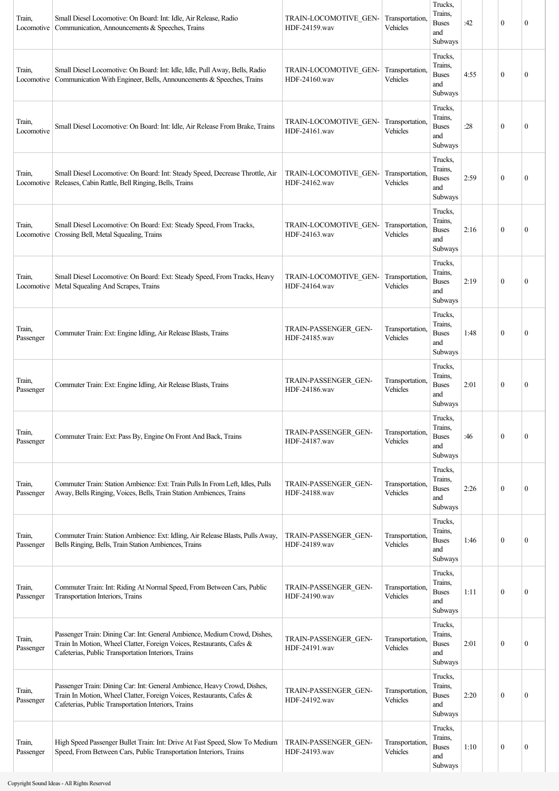| Train,<br>Locomotive | Small Diesel Locomotive: On Board: Int: Idle, Air Release, Radio<br>Communication, Announcements & Speeches, Trains                                                                                      | TRAIN-LOCOMOTIVE GEN-<br>HDF-24159.wav | Transportation,<br>Vehicles | Trucks,<br>Trains.<br><b>Buses</b><br>and<br>Subways | :42  | $\boldsymbol{0}$ | $\mathbf{0}$     |
|----------------------|----------------------------------------------------------------------------------------------------------------------------------------------------------------------------------------------------------|----------------------------------------|-----------------------------|------------------------------------------------------|------|------------------|------------------|
| Train,<br>Locomotive | Small Diesel Locomotive: On Board: Int: Idle, Idle, Pull Away, Bells, Radio<br>Communication With Engineer, Bells, Announcements & Speeches, Trains                                                      | TRAIN-LOCOMOTIVE GEN-<br>HDF-24160.wav | Transportation,<br>Vehicles | Trucks,<br>Trains.<br><b>Buses</b><br>and<br>Subways | 4:55 | $\boldsymbol{0}$ | $\mathbf{0}$     |
| Train,<br>Locomotive | Small Diesel Locomotive: On Board: Int: Idle, Air Release From Brake, Trains                                                                                                                             | TRAIN-LOCOMOTIVE GEN-<br>HDF-24161.wav | Transportation,<br>Vehicles | Trucks,<br>Trains,<br><b>Buses</b><br>and<br>Subways | :28  | $\boldsymbol{0}$ | $\mathbf{0}$     |
| Train,<br>Locomotive | Small Diesel Locomotive: On Board: Int: Steady Speed, Decrease Throttle, Air<br>Releases, Cabin Rattle, Bell Ringing, Bells, Trains                                                                      | TRAIN-LOCOMOTIVE GEN-<br>HDF-24162.wav | Transportation,<br>Vehicles | Trucks,<br>Trains,<br><b>Buses</b><br>and<br>Subways | 2:59 | $\boldsymbol{0}$ | $\theta$         |
| Train,<br>Locomotive | Small Diesel Locomotive: On Board: Ext: Steady Speed, From Tracks,<br>Crossing Bell, Metal Squealing, Trains                                                                                             | TRAIN-LOCOMOTIVE GEN-<br>HDF-24163.wav | Transportation,<br>Vehicles | Trucks,<br>Trains,<br><b>Buses</b><br>and<br>Subways | 2:16 | $\boldsymbol{0}$ | $\mathbf{0}$     |
| Train,               | Small Diesel Locomotive: On Board: Ext: Steady Speed, From Tracks, Heavy<br>Locomotive   Metal Squealing And Scrapes, Trains                                                                             | TRAIN-LOCOMOTIVE GEN-<br>HDF-24164.wav | Transportation,<br>Vehicles | Trucks,<br>Trains,<br><b>Buses</b><br>and<br>Subways | 2:19 | $\theta$         | $\mathbf{0}$     |
| Train,<br>Passenger  | Commuter Train: Ext: Engine Idling, Air Release Blasts, Trains                                                                                                                                           | TRAIN-PASSENGER GEN-<br>HDF-24185.wav  | Transportation,<br>Vehicles | Trucks,<br>Trains,<br><b>Buses</b><br>and<br>Subways | 1:48 | $\theta$         | $\mathbf{0}$     |
| Train,<br>Passenger  | Commuter Train: Ext: Engine Idling, Air Release Blasts, Trains                                                                                                                                           | TRAIN-PASSENGER GEN-<br>HDF-24186.wav  | Transportation,<br>Vehicles | Trucks.<br>Trains.<br><b>Buses</b><br>and<br>Subways | 2:01 | $\boldsymbol{0}$ | $\mathbf{0}$     |
| Train,<br>Passenger  | Commuter Train: Ext: Pass By, Engine On Front And Back, Trains                                                                                                                                           | TRAIN-PASSENGER GEN-<br>HDF-24187.wav  | Transportation,<br>Vehicles | Trucks,<br>Trains,<br><b>Buses</b><br>and<br>Subways | :46  | $\theta$         | $\mathbf{0}$     |
| Train,<br>Passenger  | Commuter Train: Station Ambience: Ext: Train Pulls In From Left, Idles, Pulls<br>Away, Bells Ringing, Voices, Bells, Train Station Ambiences, Trains                                                     | TRAIN-PASSENGER GEN-<br>HDF-24188.wav  | Transportation,<br>Vehicles | Trucks,<br>Trains,<br><b>Buses</b><br>and<br>Subways | 2:26 | $\boldsymbol{0}$ | $\mathbf{0}$     |
| Train,<br>Passenger  | Commuter Train: Station Ambience: Ext: Idling, Air Release Blasts, Pulls Away,<br>Bells Ringing, Bells, Train Station Ambiences, Trains                                                                  | TRAIN-PASSENGER GEN-<br>HDF-24189.wav  | Transportation,<br>Vehicles | Trucks,<br>Trains,<br><b>Buses</b><br>and<br>Subways | 1:46 | $\boldsymbol{0}$ | $\boldsymbol{0}$ |
| Train,<br>Passenger  | Commuter Train: Int: Riding At Normal Speed, From Between Cars, Public<br>Transportation Interiors, Trains                                                                                               | TRAIN-PASSENGER GEN-<br>HDF-24190.wav  | Transportation,<br>Vehicles | Trucks,<br>Trains,<br><b>Buses</b><br>and<br>Subways | 1:11 | $\boldsymbol{0}$ | $\boldsymbol{0}$ |
| Train,<br>Passenger  | Passenger Train: Dining Car: Int: General Ambience, Medium Crowd, Dishes,<br>Train In Motion, Wheel Clatter, Foreign Voices, Restaurants, Cafes &<br>Cafeterias, Public Transportation Interiors, Trains | TRAIN-PASSENGER GEN-<br>HDF-24191.wav  | Transportation,<br>Vehicles | Trucks,<br>Trains,<br><b>Buses</b><br>and<br>Subways | 2:01 | $\boldsymbol{0}$ | $\mathbf{0}$     |
| Train,<br>Passenger  | Passenger Train: Dining Car: Int: General Ambience, Heavy Crowd, Dishes,<br>Train In Motion, Wheel Clatter, Foreign Voices, Restaurants, Cafes &<br>Cafeterias, Public Transportation Interiors, Trains  | TRAIN-PASSENGER GEN-<br>HDF-24192.wav  | Transportation,<br>Vehicles | Trucks,<br>Trains,<br><b>Buses</b><br>and<br>Subways | 2:20 | $\boldsymbol{0}$ | $\mathbf{0}$     |
| Train,<br>Passenger  | High Speed Passenger Bullet Train: Int: Drive At Fast Speed, Slow To Medium<br>Speed, From Between Cars, Public Transportation Interiors, Trains                                                         | TRAIN-PASSENGER GEN-<br>HDF-24193.wav  | Transportation,<br>Vehicles | Trucks,<br>Trains,<br><b>Buses</b><br>and<br>Subways | 1:10 | $\boldsymbol{0}$ | $\boldsymbol{0}$ |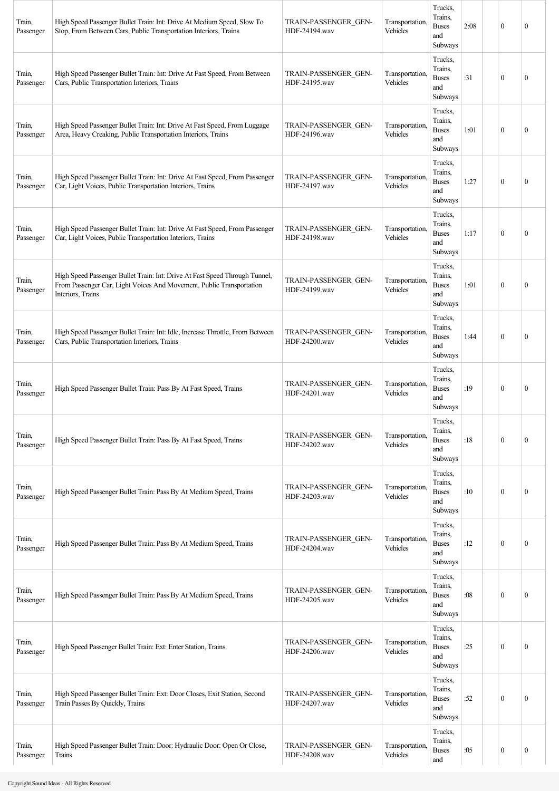| Train,<br>Passenger | High Speed Passenger Bullet Train: Int: Drive At Medium Speed, Slow To<br>Stop, From Between Cars, Public Transportation Interiors, Trains                               | TRAIN-PASSENGER GEN-<br>HDF-24194.wav | Transportation,<br>Vehicles | Trucks,<br>Trains,<br><b>Buses</b><br>and<br>Subways | 2:08 | $\mathbf{0}$     | $\mathbf{0}$     |
|---------------------|--------------------------------------------------------------------------------------------------------------------------------------------------------------------------|---------------------------------------|-----------------------------|------------------------------------------------------|------|------------------|------------------|
| Train,<br>Passenger | High Speed Passenger Bullet Train: Int: Drive At Fast Speed, From Between<br>Cars, Public Transportation Interiors, Trains                                               | TRAIN-PASSENGER GEN-<br>HDF-24195.wav | Transportation,<br>Vehicles | Trucks,<br>Trains,<br><b>Buses</b><br>and<br>Subways | :31  | $\mathbf{0}$     | $\boldsymbol{0}$ |
| Train,<br>Passenger | High Speed Passenger Bullet Train: Int: Drive At Fast Speed, From Luggage<br>Area, Heavy Creaking, Public Transportation Interiors, Trains                               | TRAIN-PASSENGER GEN-<br>HDF-24196.wav | Transportation.<br>Vehicles | Trucks,<br>Trains,<br><b>Buses</b><br>and<br>Subways | 1:01 | $\mathbf{0}$     | $\boldsymbol{0}$ |
| Train,<br>Passenger | High Speed Passenger Bullet Train: Int: Drive At Fast Speed, From Passenger<br>Car, Light Voices, Public Transportation Interiors, Trains                                | TRAIN-PASSENGER GEN-<br>HDF-24197.wav | Transportation,<br>Vehicles | Trucks,<br>Trains,<br><b>Buses</b><br>and<br>Subways | 1:27 | $\theta$         | $\mathbf{0}$     |
| Train,<br>Passenger | High Speed Passenger Bullet Train: Int: Drive At Fast Speed, From Passenger<br>Car, Light Voices, Public Transportation Interiors, Trains                                | TRAIN-PASSENGER GEN-<br>HDF-24198.wav | Transportation,<br>Vehicles | Trucks,<br>Trains,<br><b>Buses</b><br>and<br>Subways | 1:17 | $\mathbf{0}$     | $\mathbf{0}$     |
| Train,<br>Passenger | High Speed Passenger Bullet Train: Int: Drive At Fast Speed Through Tunnel,<br>From Passenger Car, Light Voices And Movement, Public Transportation<br>Interiors, Trains | TRAIN-PASSENGER GEN-<br>HDF-24199.wav | Transportation,<br>Vehicles | Trucks,<br>Trains,<br><b>Buses</b><br>and<br>Subways | 1:01 | $\mathbf{0}$     | $\mathbf{0}$     |
| Train,<br>Passenger | High Speed Passenger Bullet Train: Int: Idle, Increase Throttle, From Between<br>Cars, Public Transportation Interiors, Trains                                           | TRAIN-PASSENGER GEN-<br>HDF-24200.wav | Transportation.<br>Vehicles | Trucks,<br>Trains,<br><b>Buses</b><br>and<br>Subways | 1:44 | $\theta$         | $\mathbf{0}$     |
| Train,<br>Passenger | High Speed Passenger Bullet Train: Pass By At Fast Speed, Trains                                                                                                         | TRAIN-PASSENGER GEN-<br>HDF-24201.wav | Transportation,<br>Vehicles | Trucks,<br>Trains.<br><b>Buses</b><br>and<br>Subways | :19  | $\theta$         | $\boldsymbol{0}$ |
| Train,<br>Passenger | High Speed Passenger Bullet Train: Pass By At Fast Speed, Trains                                                                                                         | TRAIN-PASSENGER GEN-<br>HDF-24202.wav | Transportation.<br>Vehicles | Trucks,<br>Trains,<br><b>Buses</b><br>and<br>Subways | :18  | $\mathbf{0}$     | $\boldsymbol{0}$ |
| Train,<br>Passenger | High Speed Passenger Bullet Train: Pass By At Medium Speed, Trains                                                                                                       | TRAIN-PASSENGER GEN-<br>HDF-24203.wav | Transportation,<br>Vehicles | Trucks,<br>Trains,<br><b>Buses</b><br>and<br>Subways | :10  | $\mathbf{0}$     | $\boldsymbol{0}$ |
| Train,<br>Passenger | High Speed Passenger Bullet Train: Pass By At Medium Speed, Trains                                                                                                       | TRAIN-PASSENGER GEN-<br>HDF-24204.wav | Transportation,<br>Vehicles | Trucks,<br>Trains,<br><b>Buses</b><br>and<br>Subways | :12  | $\mathbf{0}$     | $\boldsymbol{0}$ |
| Train,<br>Passenger | High Speed Passenger Bullet Train: Pass By At Medium Speed, Trains                                                                                                       | TRAIN-PASSENGER_GEN-<br>HDF-24205.wav | Transportation,<br>Vehicles | Trucks,<br>Trains,<br><b>Buses</b><br>and<br>Subways | :08  | $\mathbf{0}$     | 0                |
| Train,<br>Passenger | High Speed Passenger Bullet Train: Ext: Enter Station, Trains                                                                                                            | TRAIN-PASSENGER GEN-<br>HDF-24206.wav | Transportation,<br>Vehicles | Trucks,<br>Trains,<br><b>Buses</b><br>and<br>Subways | :25  | $\mathbf{0}$     | 0                |
| Train,<br>Passenger | High Speed Passenger Bullet Train: Ext: Door Closes, Exit Station, Second<br>Train Passes By Quickly, Trains                                                             | TRAIN-PASSENGER GEN-<br>HDF-24207.wav | Transportation,<br>Vehicles | Trucks,<br>Trains,<br><b>Buses</b><br>and<br>Subways | :52  | $\mathbf{0}$     | $\mathbf{0}$     |
| Train,<br>Passenger | High Speed Passenger Bullet Train: Door: Hydraulic Door: Open Or Close,<br>Trains                                                                                        | TRAIN-PASSENGER GEN-<br>HDF-24208.wav | Transportation,<br>Vehicles | Trucks,<br>Trains,<br><b>Buses</b><br>and            | :05  | $\boldsymbol{0}$ | $\boldsymbol{0}$ |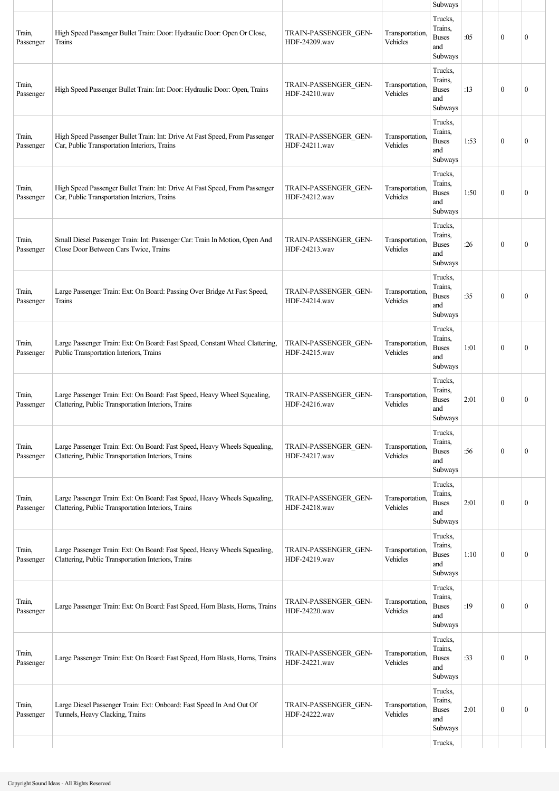|                     |                                                                                                                                  |                                       |                             | Subways                                              |      |                  |                  |
|---------------------|----------------------------------------------------------------------------------------------------------------------------------|---------------------------------------|-----------------------------|------------------------------------------------------|------|------------------|------------------|
| Train,<br>Passenger | High Speed Passenger Bullet Train: Door: Hydraulic Door: Open Or Close,<br>Trains                                                | TRAIN-PASSENGER GEN-<br>HDF-24209.wav | Transportation,<br>Vehicles | Trucks,<br>Trains.<br><b>Buses</b><br>and<br>Subways | :05  | $\mathbf{0}$     | $\mathbf{0}$     |
| Train,<br>Passenger | High Speed Passenger Bullet Train: Int: Door: Hydraulic Door: Open, Trains                                                       | TRAIN-PASSENGER GEN-<br>HDF-24210.wav | Transportation.<br>Vehicles | Trucks,<br>Trains,<br><b>Buses</b><br>and<br>Subways | :13  | $\mathbf{0}$     | $\mathbf{0}$     |
| Train,<br>Passenger | High Speed Passenger Bullet Train: Int: Drive At Fast Speed, From Passenger<br>Car, Public Transportation Interiors, Trains      | TRAIN-PASSENGER GEN-<br>HDF-24211.wav | Transportation,<br>Vehicles | Trucks,<br>Trains,<br><b>Buses</b><br>and<br>Subways | 1:53 | $\mathbf{0}$     | $\mathbf{0}$     |
| Train,<br>Passenger | High Speed Passenger Bullet Train: Int: Drive At Fast Speed, From Passenger<br>Car, Public Transportation Interiors, Trains      | TRAIN-PASSENGER GEN-<br>HDF-24212.wav | Transportation,<br>Vehicles | Trucks,<br>Trains,<br><b>Buses</b><br>and<br>Subways | 1:50 | $\mathbf{0}$     | $\mathbf{0}$     |
| Train,<br>Passenger | Small Diesel Passenger Train: Int: Passenger Car: Train In Motion, Open And<br>Close Door Between Cars Twice, Trains             | TRAIN-PASSENGER GEN-<br>HDF-24213.wav | Transportation.<br>Vehicles | Trucks,<br>Trains,<br><b>Buses</b><br>and<br>Subways | :26  | $\mathbf{0}$     | $\mathbf{0}$     |
| Train,<br>Passenger | Large Passenger Train: Ext: On Board: Passing Over Bridge At Fast Speed,<br>Trains                                               | TRAIN-PASSENGER GEN-<br>HDF-24214.wav | Transportation,<br>Vehicles | Trucks,<br>Trains.<br><b>Buses</b><br>and<br>Subways | :35  | $\mathbf{0}$     | $\boldsymbol{0}$ |
| Train,<br>Passenger | Large Passenger Train: Ext: On Board: Fast Speed, Constant Wheel Clattering,<br>Public Transportation Interiors, Trains          | TRAIN-PASSENGER GEN-<br>HDF-24215.wav | Transportation,<br>Vehicles | Trucks,<br>Trains,<br><b>Buses</b><br>and<br>Subways | 1:01 | $\theta$         | $\mathbf{0}$     |
| Train,<br>Passenger | Large Passenger Train: Ext: On Board: Fast Speed, Heavy Wheel Squealing,<br>Clattering, Public Transportation Interiors, Trains  | TRAIN-PASSENGER GEN-<br>HDF-24216.wav | Transportation.<br>Vehicles | Trucks,<br>Trains,<br><b>Buses</b><br>and<br>Subways | 2:01 | $\mathbf{0}$     | $\boldsymbol{0}$ |
| Train,<br>Passenger | Large Passenger Train: Ext: On Board: Fast Speed, Heavy Wheels Squealing,<br>Clattering, Public Transportation Interiors, Trains | TRAIN-PASSENGER GEN-<br>HDF-24217.wav | Transportation,<br>Vehicles | Trucks,<br>Trains,<br><b>Buses</b><br>and<br>Subways | :56  | $\boldsymbol{0}$ | $\boldsymbol{0}$ |
| Train,<br>Passenger | Large Passenger Train: Ext: On Board: Fast Speed, Heavy Wheels Squealing,<br>Clattering, Public Transportation Interiors, Trains | TRAIN-PASSENGER GEN-<br>HDF-24218.wav | Transportation,<br>Vehicles | Trucks,<br>Trains,<br><b>Buses</b><br>and<br>Subways | 2:01 | $\mathbf{0}$     | $\mathbf{0}$     |
| Train,<br>Passenger | Large Passenger Train: Ext: On Board: Fast Speed, Heavy Wheels Squealing,<br>Clattering, Public Transportation Interiors, Trains | TRAIN-PASSENGER GEN-<br>HDF-24219.wav | Transportation,<br>Vehicles | Trucks,<br>Trains,<br><b>Buses</b><br>and<br>Subways | 1:10 | $\mathbf{0}$     | $\boldsymbol{0}$ |
| Train,<br>Passenger | Large Passenger Train: Ext: On Board: Fast Speed, Horn Blasts, Horns, Trains                                                     | TRAIN-PASSENGER GEN-<br>HDF-24220.wav | Transportation.<br>Vehicles | Trucks,<br>Trains.<br><b>Buses</b><br>and<br>Subways | :19  | $\boldsymbol{0}$ | $\boldsymbol{0}$ |
| Train,<br>Passenger | Large Passenger Train: Ext: On Board: Fast Speed, Horn Blasts, Horns, Trains                                                     | TRAIN-PASSENGER GEN-<br>HDF-24221.wav | Transportation,<br>Vehicles | Trucks,<br>Trains,<br><b>Buses</b><br>and<br>Subways | :33  | $\mathbf{0}$     | $\mathbf{0}$     |
| Train,<br>Passenger | Large Diesel Passenger Train: Ext: Onboard: Fast Speed In And Out Of<br>Tunnels, Heavy Clacking, Trains                          | TRAIN-PASSENGER GEN-<br>HDF-24222.wav | Transportation,<br>Vehicles | Trucks,<br>Trains,<br><b>Buses</b><br>and<br>Subways | 2:01 | $\mathbf{0}$     | $\boldsymbol{0}$ |
|                     |                                                                                                                                  |                                       |                             | Trucks,                                              |      |                  |                  |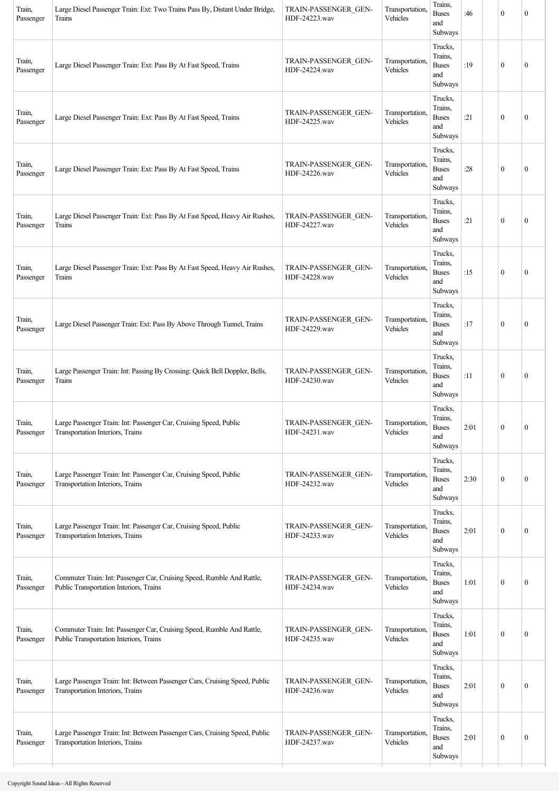| Train,<br>Passenger | Large Diesel Passenger Train: Ext: Two Trains Pass By, Distant Under Bridge,<br>Trains                            | TRAIN-PASSENGER GEN-<br>HDF-24223.wav | Transportation,<br>Vehicles | Trains,<br><b>Buses</b><br>and<br>Subways            | :46  | $\mathbf{0}$     | $\boldsymbol{0}$ |
|---------------------|-------------------------------------------------------------------------------------------------------------------|---------------------------------------|-----------------------------|------------------------------------------------------|------|------------------|------------------|
| Train,<br>Passenger | Large Diesel Passenger Train: Ext: Pass By At Fast Speed, Trains                                                  | TRAIN-PASSENGER GEN-<br>HDF-24224.wav | Transportation.<br>Vehicles | Trucks,<br>Trains,<br><b>Buses</b><br>and<br>Subways | :19  | $\boldsymbol{0}$ | $\mathbf{0}$     |
| Train,<br>Passenger | Large Diesel Passenger Train: Ext: Pass By At Fast Speed, Trains                                                  | TRAIN-PASSENGER GEN-<br>HDF-24225.wav | Transportation.<br>Vehicles | Trucks,<br>Trains,<br><b>Buses</b><br>and<br>Subways | :21  | $\boldsymbol{0}$ | $\mathbf{0}$     |
| Train,<br>Passenger | Large Diesel Passenger Train: Ext: Pass By At Fast Speed, Trains                                                  | TRAIN-PASSENGER GEN-<br>HDF-24226.wav | Transportation,<br>Vehicles | Trucks,<br>Trains,<br><b>Buses</b><br>and<br>Subways | :28  | $\mathbf{0}$     | $\boldsymbol{0}$ |
| Train,<br>Passenger | Large Diesel Passenger Train: Ext: Pass By At Fast Speed, Heavy Air Rushes,<br>Trains                             | TRAIN-PASSENGER GEN-<br>HDF-24227.wav | Transportation,<br>Vehicles | Trucks,<br>Trains,<br><b>Buses</b><br>and<br>Subways | :21  | $\mathbf{0}$     | $\boldsymbol{0}$ |
| Train,<br>Passenger | Large Diesel Passenger Train: Ext: Pass By At Fast Speed, Heavy Air Rushes,<br>Trains                             | TRAIN-PASSENGER GEN-<br>HDF-24228.wav | Transportation,<br>Vehicles | Trucks,<br>Trains,<br><b>Buses</b><br>and<br>Subways | :15  | $\boldsymbol{0}$ | $\mathbf{0}$     |
| Train,<br>Passenger | Large Diesel Passenger Train: Ext: Pass By Above Through Tunnel, Trains                                           | TRAIN-PASSENGER GEN-<br>HDF-24229.wav | Transportation,<br>Vehicles | Trucks,<br>Trains,<br><b>Buses</b><br>and<br>Subways | :17  | $\mathbf{0}$     | $\mathbf{0}$     |
| Train,<br>Passenger | Large Passenger Train: Int: Passing By Crossing: Quick Bell Doppler, Bells,<br>Trains                             | TRAIN-PASSENGER GEN-<br>HDF-24230.wav | Transportation.<br>Vehicles | Trucks,<br>Trains,<br><b>Buses</b><br>and<br>Subways | :11  | $\boldsymbol{0}$ | $\boldsymbol{0}$ |
| Train,<br>Passenger | Large Passenger Train: Int: Passenger Car, Cruising Speed, Public<br>Transportation Interiors, Trains             | TRAIN-PASSENGER_GEN-<br>HDF-24231.wav | Transportation,<br>Vehicles | Trucks,<br>Trains,<br><b>Buses</b><br>and<br>Subways | 2:01 | $\boldsymbol{0}$ | $\mathbf{0}$     |
| Train,<br>Passenger | Large Passenger Train: Int: Passenger Car, Cruising Speed, Public<br>Transportation Interiors, Trains             | TRAIN-PASSENGER GEN-<br>HDF-24232.wav | Transportation,<br>Vehicles | Trucks,<br>Trains,<br><b>Buses</b><br>and<br>Subways | 2:30 | $\boldsymbol{0}$ | $\boldsymbol{0}$ |
| Train,<br>Passenger | Large Passenger Train: Int: Passenger Car, Cruising Speed, Public<br>Transportation Interiors, Trains             | TRAIN-PASSENGER GEN-<br>HDF-24233.wav | Transportation,<br>Vehicles | Trucks,<br>Trains,<br><b>Buses</b><br>and<br>Subways | 2:01 | $\boldsymbol{0}$ | $\mathbf{0}$     |
| Train,<br>Passenger | Commuter Train: Int: Passenger Car, Cruising Speed, Rumble And Rattle,<br>Public Transportation Interiors, Trains | TRAIN-PASSENGER GEN-<br>HDF-24234.wav | Transportation,<br>Vehicles | Trucks,<br>Trains,<br><b>Buses</b><br>and<br>Subways | 1:01 | $\mathbf{0}$     | $\mathbf{0}$     |
| Train,<br>Passenger | Commuter Train: Int: Passenger Car, Cruising Speed, Rumble And Rattle,<br>Public Transportation Interiors, Trains | TRAIN-PASSENGER GEN-<br>HDF-24235.wav | Transportation,<br>Vehicles | Trucks,<br>Trains,<br><b>Buses</b><br>and<br>Subways | 1:01 | $\boldsymbol{0}$ | $\mathbf{0}$     |
| Train,<br>Passenger | Large Passenger Train: Int: Between Passenger Cars, Cruising Speed, Public<br>Transportation Interiors, Trains    | TRAIN-PASSENGER GEN-<br>HDF-24236.wav | Transportation,<br>Vehicles | Trucks,<br>Trains,<br><b>Buses</b><br>and<br>Subways | 2:01 | $\mathbf{0}$     | $\mathbf{0}$     |
| Train,<br>Passenger | Large Passenger Train: Int: Between Passenger Cars, Cruising Speed, Public<br>Transportation Interiors, Trains    | TRAIN-PASSENGER GEN-<br>HDF-24237.wav | Transportation,<br>Vehicles | Trucks,<br>Trains,<br><b>Buses</b><br>and<br>Subways | 2:01 | $\boldsymbol{0}$ | $\mathbf{0}$     |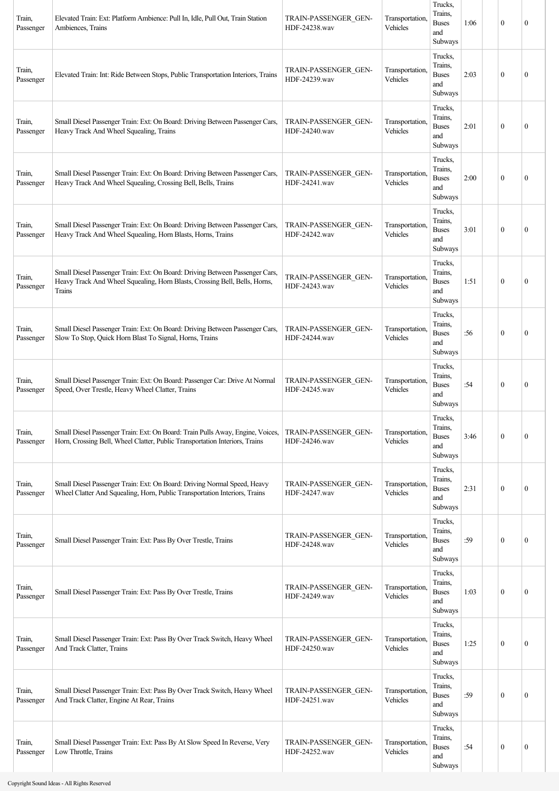| Train,<br>Passenger | Elevated Train: Ext: Platform Ambience: Pull In, Idle, Pull Out, Train Station<br>Ambiences, Trains                                                                  | TRAIN-PASSENGER GEN-<br>HDF-24238.wav | Transportation,<br>Vehicles | Trucks,<br>Trains.<br><b>Buses</b><br>and<br>Subways | 1:06 | $\boldsymbol{0}$ | $\mathbf{0}$     |
|---------------------|----------------------------------------------------------------------------------------------------------------------------------------------------------------------|---------------------------------------|-----------------------------|------------------------------------------------------|------|------------------|------------------|
| Train,<br>Passenger | Elevated Train: Int: Ride Between Stops, Public Transportation Interiors, Trains                                                                                     | TRAIN-PASSENGER GEN-<br>HDF-24239.wav | Transportation,<br>Vehicles | Trucks,<br>Trains.<br><b>Buses</b><br>and<br>Subways | 2:03 | $\boldsymbol{0}$ | $\mathbf{0}$     |
| Train,<br>Passenger | Small Diesel Passenger Train: Ext: On Board: Driving Between Passenger Cars,<br>Heavy Track And Wheel Squealing, Trains                                              | TRAIN-PASSENGER GEN-<br>HDF-24240.wav | Transportation,<br>Vehicles | Trucks,<br>Trains.<br><b>Buses</b><br>and<br>Subways | 2:01 | $\boldsymbol{0}$ | $\mathbf{0}$     |
| Train,<br>Passenger | Small Diesel Passenger Train: Ext: On Board: Driving Between Passenger Cars,<br>Heavy Track And Wheel Squealing, Crossing Bell, Bells, Trains                        | TRAIN-PASSENGER GEN-<br>HDF-24241.wav | Transportation,<br>Vehicles | Trucks,<br>Trains.<br><b>Buses</b><br>and<br>Subways | 2:00 | $\boldsymbol{0}$ | $\mathbf{0}$     |
| Train,<br>Passenger | Small Diesel Passenger Train: Ext: On Board: Driving Between Passenger Cars,<br>Heavy Track And Wheel Squealing, Horn Blasts, Horns, Trains                          | TRAIN-PASSENGER GEN-<br>HDF-24242.wav | Transportation,<br>Vehicles | Trucks,<br>Trains,<br><b>Buses</b><br>and<br>Subways | 3:01 | $\boldsymbol{0}$ | $\mathbf{0}$     |
| Train,<br>Passenger | Small Diesel Passenger Train: Ext: On Board: Driving Between Passenger Cars,<br>Heavy Track And Wheel Squealing, Horn Blasts, Crossing Bell, Bells, Horns,<br>Trains | TRAIN-PASSENGER GEN-<br>HDF-24243.wav | Transportation,<br>Vehicles | Trucks,<br>Trains,<br><b>Buses</b><br>and<br>Subways | 1:51 | $\theta$         | $\mathbf{0}$     |
| Train,<br>Passenger | Small Diesel Passenger Train: Ext: On Board: Driving Between Passenger Cars,<br>Slow To Stop, Quick Horn Blast To Signal, Horns, Trains                              | TRAIN-PASSENGER GEN-<br>HDF-24244.wav | Transportation,<br>Vehicles | Trucks,<br>Trains,<br><b>Buses</b><br>and<br>Subways | :56  | $\boldsymbol{0}$ | $\mathbf{0}$     |
| Train,<br>Passenger | Small Diesel Passenger Train: Ext: On Board: Passenger Car: Drive At Normal<br>Speed, Over Trestle, Heavy Wheel Clatter, Trains                                      | TRAIN-PASSENGER GEN-<br>HDF-24245.wav | Transportation,<br>Vehicles | Trucks.<br>Trains.<br><b>Buses</b><br>and<br>Subways | :54  | $\boldsymbol{0}$ | $\mathbf{0}$     |
| Train,<br>Passenger | Small Diesel Passenger Train: Ext: On Board: Train Pulls Away, Engine, Voices,<br>Horn, Crossing Bell, Wheel Clatter, Public Transportation Interiors, Trains        | TRAIN-PASSENGER GEN-<br>HDF-24246.wav | Transportation,<br>Vehicles | Trucks,<br>Trains,<br><b>Buses</b><br>and<br>Subways | 3:46 | $\mathbf{0}$     | $\mathbf{0}$     |
| Train,<br>Passenger | Small Diesel Passenger Train: Ext: On Board: Driving Normal Speed, Heavy<br>Wheel Clatter And Squealing, Horn, Public Transportation Interiors, Trains               | TRAIN-PASSENGER GEN-<br>HDF-24247.wav | Transportation,<br>Vehicles | Trucks,<br>Trains,<br><b>Buses</b><br>and<br>Subways | 2:31 | $\mathbf{0}$     | $\mathbf{0}$     |
| Train,<br>Passenger | Small Diesel Passenger Train: Ext: Pass By Over Trestle, Trains                                                                                                      | TRAIN-PASSENGER GEN-<br>HDF-24248.wav | Transportation,<br>Vehicles | Trucks,<br>Trains,<br><b>Buses</b><br>and<br>Subways | :59  | $\boldsymbol{0}$ | $\boldsymbol{0}$ |
| Train,<br>Passenger | Small Diesel Passenger Train: Ext: Pass By Over Trestle, Trains                                                                                                      | TRAIN-PASSENGER GEN-<br>HDF-24249.wav | Transportation,<br>Vehicles | Trucks,<br>Trains,<br><b>Buses</b><br>and<br>Subways | 1:03 | $\mathbf{0}$     | $\boldsymbol{0}$ |
| Train,<br>Passenger | Small Diesel Passenger Train: Ext: Pass By Over Track Switch, Heavy Wheel<br>And Track Clatter, Trains                                                               | TRAIN-PASSENGER GEN-<br>HDF-24250.wav | Transportation,<br>Vehicles | Trucks,<br>Trains,<br><b>Buses</b><br>and<br>Subways | 1:25 | $\boldsymbol{0}$ | $\boldsymbol{0}$ |
| Train,<br>Passenger | Small Diesel Passenger Train: Ext: Pass By Over Track Switch, Heavy Wheel<br>And Track Clatter, Engine At Rear, Trains                                               | TRAIN-PASSENGER GEN-<br>HDF-24251.wav | Transportation,<br>Vehicles | Trucks,<br>Trains.<br><b>Buses</b><br>and<br>Subways | :59  | $\boldsymbol{0}$ | $\mathbf{0}$     |
| Train,<br>Passenger | Small Diesel Passenger Train: Ext: Pass By At Slow Speed In Reverse, Very<br>Low Throttle, Trains                                                                    | TRAIN-PASSENGER GEN-<br>HDF-24252.wav | Transportation,<br>Vehicles | Trucks,<br>Trains,<br><b>Buses</b><br>and<br>Subways | :54  | $\boldsymbol{0}$ | $\boldsymbol{0}$ |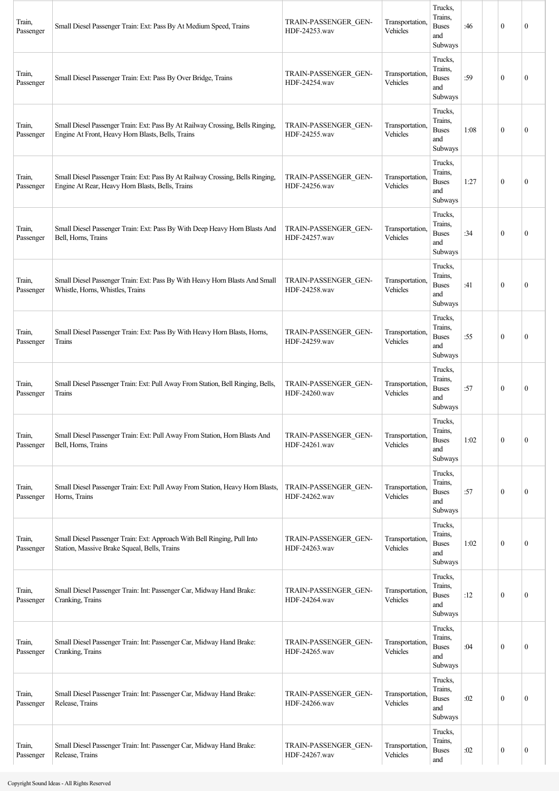| Train,<br>Passenger | Small Diesel Passenger Train: Ext: Pass By At Medium Speed, Trains                                                                  | TRAIN-PASSENGER GEN-<br>HDF-24253.wav | Transportation,<br>Vehicles | Trucks,<br>Trains,<br><b>Buses</b><br>and<br>Subways | :46  | $\mathbf{0}$     | $\mathbf{0}$     |
|---------------------|-------------------------------------------------------------------------------------------------------------------------------------|---------------------------------------|-----------------------------|------------------------------------------------------|------|------------------|------------------|
| Train,<br>Passenger | Small Diesel Passenger Train: Ext: Pass By Over Bridge, Trains                                                                      | TRAIN-PASSENGER GEN-<br>HDF-24254.wav | Transportation,<br>Vehicles | Trucks,<br>Trains,<br><b>Buses</b><br>and<br>Subways | :59  | $\mathbf{0}$     | 0                |
| Train,<br>Passenger | Small Diesel Passenger Train: Ext: Pass By At Railway Crossing, Bells Ringing,<br>Engine At Front, Heavy Horn Blasts, Bells, Trains | TRAIN-PASSENGER GEN-<br>HDF-24255.wav | Transportation,<br>Vehicles | Trucks,<br>Trains,<br><b>Buses</b><br>and<br>Subways | 1:08 | $\theta$         | $\mathbf{0}$     |
| Train,<br>Passenger | Small Diesel Passenger Train: Ext: Pass By At Railway Crossing, Bells Ringing,<br>Engine At Rear, Heavy Horn Blasts, Bells, Trains  | TRAIN-PASSENGER GEN-<br>HDF-24256.wav | Transportation,<br>Vehicles | Trucks,<br>Trains,<br><b>Buses</b><br>and<br>Subways | 1:27 | $\mathbf{0}$     | $\mathbf{0}$     |
| Train,<br>Passenger | Small Diesel Passenger Train: Ext: Pass By With Deep Heavy Horn Blasts And<br>Bell, Horns, Trains                                   | TRAIN-PASSENGER GEN-<br>HDF-24257.wav | Transportation,<br>Vehicles | Trucks,<br>Trains,<br><b>Buses</b><br>and<br>Subways | :34  | $\mathbf{0}$     | $\boldsymbol{0}$ |
| Train,<br>Passenger | Small Diesel Passenger Train: Ext: Pass By With Heavy Horn Blasts And Small<br>Whistle, Horns, Whistles, Trains                     | TRAIN-PASSENGER GEN-<br>HDF-24258.wav | Transportation,<br>Vehicles | Trucks,<br>Trains,<br><b>Buses</b><br>and<br>Subways | :41  | $\theta$         | $\mathbf{0}$     |
| Train,<br>Passenger | Small Diesel Passenger Train: Ext: Pass By With Heavy Horn Blasts, Horns,<br>Trains                                                 | TRAIN-PASSENGER GEN-<br>HDF-24259.wav | Transportation,<br>Vehicles | Trucks,<br>Trains,<br><b>Buses</b><br>and<br>Subways | :55  | $\mathbf{0}$     | $\boldsymbol{0}$ |
| Train,<br>Passenger | Small Diesel Passenger Train: Ext: Pull Away From Station, Bell Ringing, Bells,<br>Trains                                           | TRAIN-PASSENGER GEN-<br>HDF-24260.wav | Transportation,<br>Vehicles | Trucks,<br>Trains.<br><b>Buses</b><br>and<br>Subways | :57  | $\mathbf{0}$     | $\boldsymbol{0}$ |
| Train,<br>Passenger | Small Diesel Passenger Train: Ext: Pull Away From Station, Horn Blasts And<br>Bell, Horns, Trains                                   | TRAIN-PASSENGER GEN-<br>HDF-24261.wav | Transportation.<br>Vehicles | Trucks,<br>Trains,<br><b>Buses</b><br>and<br>Subways | 1:02 | $\mathbf{0}$     | $\boldsymbol{0}$ |
| Train,<br>Passenger | Small Diesel Passenger Train: Ext: Pull Away From Station, Heavy Horn Blasts,<br>Horns, Trains                                      | TRAIN-PASSENGER GEN-<br>HDF-24262.wav | Transportation,<br>Vehicles | Trucks,<br>Trains,<br><b>Buses</b><br>and<br>Subways | :57  | $\mathbf{0}$     | $\boldsymbol{0}$ |
| Train,<br>Passenger | Small Diesel Passenger Train: Ext: Approach With Bell Ringing, Pull Into<br>Station, Massive Brake Squeal, Bells, Trains            | TRAIN-PASSENGER GEN-<br>HDF-24263.wav | Transportation,<br>Vehicles | Trucks,<br>Trains,<br><b>Buses</b><br>and<br>Subways | 1:02 | $\mathbf{0}$     | 0                |
| Train,<br>Passenger | Small Diesel Passenger Train: Int: Passenger Car, Midway Hand Brake:<br>Cranking, Trains                                            | TRAIN-PASSENGER GEN-<br>HDF-24264.wav | Transportation,<br>Vehicles | Trucks,<br>Trains,<br><b>Buses</b><br>and<br>Subways | :12  | $\boldsymbol{0}$ | $\boldsymbol{0}$ |
| Train,<br>Passenger | Small Diesel Passenger Train: Int: Passenger Car, Midway Hand Brake:<br>Cranking, Trains                                            | TRAIN-PASSENGER GEN-<br>HDF-24265.wav | Transportation,<br>Vehicles | Trucks,<br>Trains,<br><b>Buses</b><br>and<br>Subways | :04  | $\mathbf{0}$     | $\boldsymbol{0}$ |
| Train,<br>Passenger | Small Diesel Passenger Train: Int: Passenger Car, Midway Hand Brake:<br>Release, Trains                                             | TRAIN-PASSENGER GEN-<br>HDF-24266.wav | Transportation,<br>Vehicles | Trucks,<br>Trains,<br><b>Buses</b><br>and<br>Subways | :02  | $\mathbf{0}$     | $\mathbf{0}$     |
| Train,<br>Passenger | Small Diesel Passenger Train: Int: Passenger Car, Midway Hand Brake:<br>Release, Trains                                             | TRAIN-PASSENGER GEN-<br>HDF-24267.wav | Transportation,<br>Vehicles | Trucks.<br>Trains,<br><b>Buses</b><br>and            | :02  | $\boldsymbol{0}$ | $\boldsymbol{0}$ |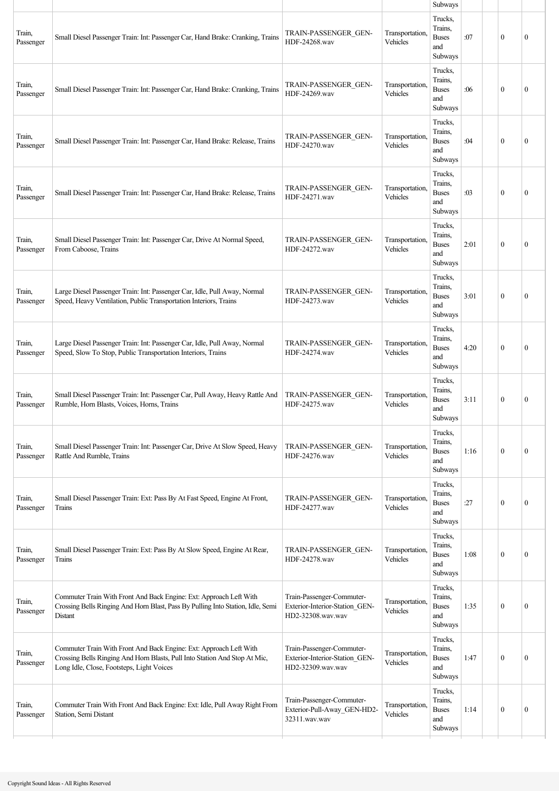|                     |                                                                                                                                                                                               |                                                                                  |                             | Subways                                              |      |              |              |  |
|---------------------|-----------------------------------------------------------------------------------------------------------------------------------------------------------------------------------------------|----------------------------------------------------------------------------------|-----------------------------|------------------------------------------------------|------|--------------|--------------|--|
| Train,<br>Passenger | Small Diesel Passenger Train: Int: Passenger Car, Hand Brake: Cranking, Trains                                                                                                                | TRAIN-PASSENGER GEN-<br>HDF-24268.wav                                            | Transportation.<br>Vehicles | Trucks,<br>Trains,<br><b>Buses</b><br>and<br>Subways | :07  | $\mathbf{0}$ | $\mathbf{0}$ |  |
| Train,<br>Passenger | Small Diesel Passenger Train: Int: Passenger Car, Hand Brake: Cranking, Trains                                                                                                                | TRAIN-PASSENGER GEN-<br>HDF-24269.wav                                            | Transportation,<br>Vehicles | Trucks,<br>Trains,<br><b>Buses</b><br>and<br>Subways | :06  | $\mathbf{0}$ | $\mathbf{0}$ |  |
| Train,<br>Passenger | Small Diesel Passenger Train: Int: Passenger Car, Hand Brake: Release, Trains                                                                                                                 | TRAIN-PASSENGER GEN-<br>HDF-24270.wav                                            | Transportation,<br>Vehicles | Trucks,<br>Trains,<br><b>Buses</b><br>and<br>Subways | :04  | $\theta$     | $\theta$     |  |
| Train,<br>Passenger | Small Diesel Passenger Train: Int: Passenger Car, Hand Brake: Release, Trains                                                                                                                 | TRAIN-PASSENGER GEN-<br>HDF-24271.wav                                            | Transportation,<br>Vehicles | Trucks,<br>Trains,<br><b>Buses</b><br>and<br>Subways | :03  | $\theta$     | $\mathbf{0}$ |  |
| Train,<br>Passenger | Small Diesel Passenger Train: Int: Passenger Car, Drive At Normal Speed,<br>From Caboose, Trains                                                                                              | TRAIN-PASSENGER_GEN-<br>HDF-24272.wav                                            | Transportation,<br>Vehicles | Trucks,<br>Trains,<br><b>Buses</b><br>and<br>Subways | 2:01 | $\mathbf{0}$ | $\mathbf{0}$ |  |
| Train,<br>Passenger | Large Diesel Passenger Train: Int: Passenger Car, Idle, Pull Away, Normal<br>Speed, Heavy Ventilation, Public Transportation Interiors, Trains                                                | TRAIN-PASSENGER GEN-<br>HDF-24273.wav                                            | Transportation,<br>Vehicles | Trucks,<br>Trains,<br><b>Buses</b><br>and<br>Subways | 3:01 | $\mathbf{0}$ | $\mathbf{0}$ |  |
| Train,<br>Passenger | Large Diesel Passenger Train: Int: Passenger Car, Idle, Pull Away, Normal<br>Speed, Slow To Stop, Public Transportation Interiors, Trains                                                     | TRAIN-PASSENGER GEN-<br>HDF-24274.wav                                            | Transportation.<br>Vehicles | Trucks,<br>Trains,<br><b>Buses</b><br>and<br>Subways | 4:20 | $\theta$     | $\mathbf{0}$ |  |
| Train,<br>Passenger | Small Diesel Passenger Train: Int: Passenger Car, Pull Away, Heavy Rattle And<br>Rumble, Horn Blasts, Voices, Horns, Trains                                                                   | TRAIN-PASSENGER GEN-<br>HDF-24275.wav                                            | Transportation,<br>Vehicles | Trucks,<br>Trains,<br><b>Buses</b><br>and<br>Subways | 3:11 | $\mathbf{0}$ | $\mathbf{0}$ |  |
| Train,<br>Passenger | Small Diesel Passenger Train: Int: Passenger Car, Drive At Slow Speed, Heavy<br>Rattle And Rumble, Trains                                                                                     | TRAIN-PASSENGER GEN-<br>HDF-24276.wav                                            | Transportation,<br>Vehicles | Trucks,<br>Trains,<br><b>Buses</b><br>and<br>Subways | 1:16 | $\mathbf{0}$ | $\mathbf{0}$ |  |
| Train,<br>Passenger | Small Diesel Passenger Train: Ext: Pass By At Fast Speed, Engine At Front,<br>Trains                                                                                                          | TRAIN-PASSENGER GEN-<br>HDF-24277.wav                                            | Transportation,<br>Vehicles | Trucks,<br>Trains,<br><b>Buses</b><br>and<br>Subways | :27  | $\theta$     | $\mathbf{0}$ |  |
| Train,<br>Passenger | Small Diesel Passenger Train: Ext: Pass By At Slow Speed, Engine At Rear,<br>Trains                                                                                                           | TRAIN-PASSENGER GEN-<br>HDF-24278.wav                                            | Transportation,<br>Vehicles | Trucks,<br>Trains,<br><b>Buses</b><br>and<br>Subways | 1:08 | $\theta$     | $\mathbf{0}$ |  |
| Train,<br>Passenger | Commuter Train With Front And Back Engine: Ext: Approach Left With<br>Crossing Bells Ringing And Horn Blast, Pass By Pulling Into Station, Idle, Semi<br>Distant                              | Train-Passenger-Commuter-<br>Exterior-Interior-Station GEN-<br>HD2-32308.wav.wav | Transportation,<br>Vehicles | Trucks,<br>Trains,<br><b>Buses</b><br>and<br>Subways | 1:35 | $\mathbf{0}$ | $\mathbf{0}$ |  |
| Train,<br>Passenger | Commuter Train With Front And Back Engine: Ext: Approach Left With<br>Crossing Bells Ringing And Horn Blasts, Pull Into Station And Stop At Mic,<br>Long Idle, Close, Footsteps, Light Voices | Train-Passenger-Commuter-<br>Exterior-Interior-Station_GEN-<br>HD2-32309.wav.wav | Transportation,<br>Vehicles | Trucks,<br>Trains,<br><b>Buses</b><br>and<br>Subways | 1:47 | $\theta$     | $\mathbf{0}$ |  |
| Train,<br>Passenger | Commuter Train With Front And Back Engine: Ext: Idle, Pull Away Right From<br>Station, Semi Distant                                                                                           | Train-Passenger-Commuter-<br>Exterior-Pull-Away_GEN-HD2-<br>32311.wav.wav        | Transportation,<br>Vehicles | Trucks,<br>Trains,<br><b>Buses</b><br>and<br>Subways | 1:14 | $\mathbf{0}$ | $\mathbf{0}$ |  |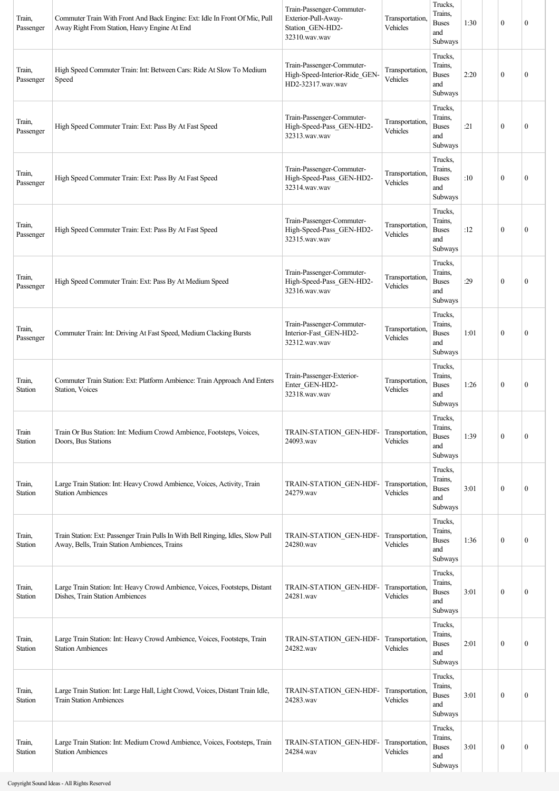| Train,<br>Passenger | Commuter Train With Front And Back Engine: Ext: Idle In Front Of Mic, Pull<br>Away Right From Station, Heavy Engine At End       | Train-Passenger-Commuter-<br>Exterior-Pull-Away-<br>Station_GEN-HD2-<br>32310.wav.wav | Transportation,<br>Vehicles | Trucks,<br>Trains,<br><b>Buses</b><br>and<br>Subways | 1:30 | $\mathbf{0}$     | $\mathbf{0}$     |
|---------------------|----------------------------------------------------------------------------------------------------------------------------------|---------------------------------------------------------------------------------------|-----------------------------|------------------------------------------------------|------|------------------|------------------|
| Train,<br>Passenger | High Speed Commuter Train: Int: Between Cars: Ride At Slow To Medium<br>Speed                                                    | Train-Passenger-Commuter-<br>High-Speed-Interior-Ride_GEN-<br>HD2-32317.wav.wav       | Transportation,<br>Vehicles | Trucks,<br>Trains,<br><b>Buses</b><br>and<br>Subways | 2:20 | $\mathbf{0}$     | $\mathbf{0}$     |
| Train,<br>Passenger | High Speed Commuter Train: Ext: Pass By At Fast Speed                                                                            | Train-Passenger-Commuter-<br>High-Speed-Pass_GEN-HD2-<br>32313.wav.wav                | Transportation.<br>Vehicles | Trucks,<br>Trains.<br><b>Buses</b><br>and<br>Subways | :21  | $\mathbf{0}$     | $\mathbf{0}$     |
| Train,<br>Passenger | High Speed Commuter Train: Ext: Pass By At Fast Speed                                                                            | Train-Passenger-Commuter-<br>High-Speed-Pass_GEN-HD2-<br>32314.wav.wav                | Transportation,<br>Vehicles | Trucks,<br>Trains,<br><b>Buses</b><br>and<br>Subways | :10  | $\mathbf{0}$     | $\mathbf{0}$     |
| Train,<br>Passenger | High Speed Commuter Train: Ext: Pass By At Fast Speed                                                                            | Train-Passenger-Commuter-<br>High-Speed-Pass_GEN-HD2-<br>32315.wav.wav                | Transportation,<br>Vehicles | Trucks,<br>Trains,<br><b>Buses</b><br>and<br>Subways | :12  | $\mathbf{0}$     | $\mathbf{0}$     |
| Train,<br>Passenger | High Speed Commuter Train: Ext: Pass By At Medium Speed                                                                          | Train-Passenger-Commuter-<br>High-Speed-Pass_GEN-HD2-<br>32316.wav.wav                | Transportation,<br>Vehicles | Trucks,<br>Trains,<br><b>Buses</b><br>and<br>Subways | :29  | $\theta$         | $\mathbf{0}$     |
| Train,<br>Passenger | Commuter Train: Int: Driving At Fast Speed, Medium Clacking Bursts                                                               | Train-Passenger-Commuter-<br>Interior-Fast_GEN-HD2-<br>32312.wav.wav                  | Transportation.<br>Vehicles | Trucks.<br>Trains,<br><b>Buses</b><br>and<br>Subways | 1:01 | $\mathbf{0}$     | $\mathbf{0}$     |
| Train,<br>Station   | Commuter Train Station: Ext: Platform Ambience: Train Approach And Enters<br>Station, Voices                                     | Train-Passenger-Exterior-<br>Enter GEN-HD2-<br>32318.wav.wav                          | Transportation.<br>Vehicles | Trucks,<br>Trains.<br><b>Buses</b><br>and<br>Subways | 1:26 | $\mathbf{0}$     | $\mathbf{0}$     |
| Train<br>Station    | Train Or Bus Station: Int: Medium Crowd Ambience, Footsteps, Voices,<br>Doors, Bus Stations                                      | TRAIN-STATION GEN-HDF-<br>24093.wav                                                   | Transportation.<br>Vehicles | Trucks,<br>Trains,<br><b>Buses</b><br>and<br>Subways | 1:39 | $\mathbf{0}$     | $\mathbf{0}$     |
| Train,<br>Station   | Large Train Station: Int: Heavy Crowd Ambience, Voices, Activity, Train<br><b>Station Ambiences</b>                              | TRAIN-STATION_GEN-HDF-<br>24279.wav                                                   | Transportation.<br>Vehicles | Trucks,<br>Trains,<br><b>Buses</b><br>and<br>Subways | 3:01 | $\mathbf{0}$     | $\boldsymbol{0}$ |
| Train,<br>Station   | Train Station: Ext: Passenger Train Pulls In With Bell Ringing, Idles, Slow Pull<br>Away, Bells, Train Station Ambiences, Trains | TRAIN-STATION_GEN-HDF-<br>24280.wav                                                   | Transportation.<br>Vehicles | Trucks,<br>Trains,<br><b>Buses</b><br>and<br>Subways | 1:36 | $\mathbf{0}$     | $\boldsymbol{0}$ |
| Train,<br>Station   | Large Train Station: Int: Heavy Crowd Ambience, Voices, Footsteps, Distant<br>Dishes, Train Station Ambiences                    | TRAIN-STATION_GEN-HDF-<br>24281.wav                                                   | Transportation,<br>Vehicles | Trucks,<br>Trains,<br><b>Buses</b><br>and<br>Subways | 3:01 | $\mathbf{0}$     | $\boldsymbol{0}$ |
| Train,<br>Station   | Large Train Station: Int: Heavy Crowd Ambience, Voices, Footsteps, Train<br><b>Station Ambiences</b>                             | TRAIN-STATION GEN-HDF-<br>24282.wav                                                   | Transportation,<br>Vehicles | Trucks,<br>Trains,<br><b>Buses</b><br>and<br>Subways | 2:01 | $\mathbf{0}$     | $\mathbf{0}$     |
| Train,<br>Station   | Large Train Station: Int: Large Hall, Light Crowd, Voices, Distant Train Idle,<br><b>Train Station Ambiences</b>                 | TRAIN-STATION GEN-HDF-<br>24283.wav                                                   | Transportation.<br>Vehicles | Trucks,<br>Trains,<br><b>Buses</b><br>and<br>Subways | 3:01 | $\mathbf{0}$     | $\mathbf{0}$     |
| Train,<br>Station   | Large Train Station: Int: Medium Crowd Ambience, Voices, Footsteps, Train<br><b>Station Ambiences</b>                            | TRAIN-STATION GEN-HDF-<br>24284.wav                                                   | Transportation.<br>Vehicles | Trucks,<br>Trains,<br><b>Buses</b><br>and<br>Subways | 3:01 | $\boldsymbol{0}$ | $\boldsymbol{0}$ |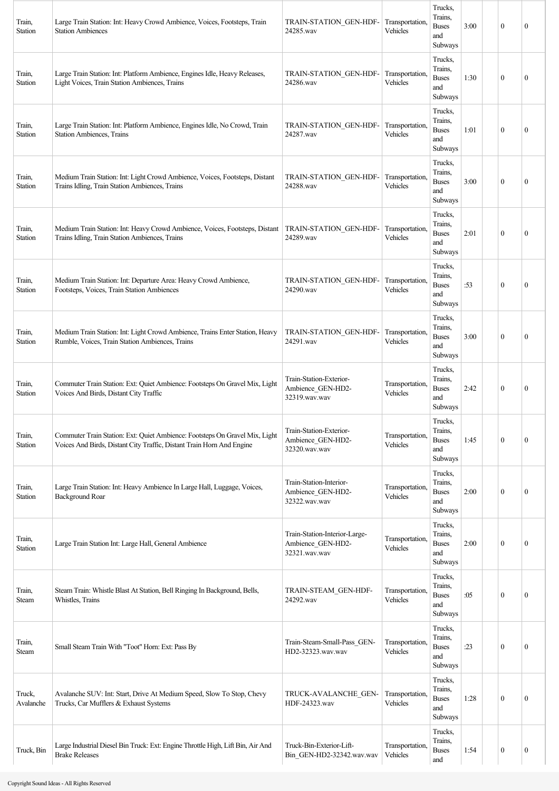| Train,<br>Station   | Large Train Station: Int: Heavy Crowd Ambience, Voices, Footsteps, Train<br><b>Station Ambiences</b>                                                 | <b>TRAIN-STATION GEN-HDF-</b><br>24285.wav                          | Transportation,<br>Vehicles | Trucks,<br>Trains,<br><b>Buses</b><br>and<br>Subways | 3:00 | $\mathbf{0}$     | $\boldsymbol{0}$ |
|---------------------|------------------------------------------------------------------------------------------------------------------------------------------------------|---------------------------------------------------------------------|-----------------------------|------------------------------------------------------|------|------------------|------------------|
| Train,<br>Station   | Large Train Station: Int: Platform Ambience, Engines Idle, Heavy Releases,<br>Light Voices, Train Station Ambiences, Trains                          | TRAIN-STATION GEN-HDF-<br>24286.wav                                 | Transportation.<br>Vehicles | Trucks,<br>Trains,<br><b>Buses</b><br>and<br>Subways | 1:30 | $\mathbf{0}$     | 0                |
| Train,<br>Station   | Large Train Station: Int: Platform Ambience, Engines Idle, No Crowd, Train<br><b>Station Ambiences, Trains</b>                                       | TRAIN-STATION GEN-HDF-<br>24287.wav                                 | Transportation,<br>Vehicles | Trucks,<br>Trains,<br><b>Buses</b><br>and<br>Subways | 1:01 | $\theta$         | $\mathbf{0}$     |
| Train,<br>Station   | Medium Train Station: Int: Light Crowd Ambience, Voices, Footsteps, Distant<br>Trains Idling, Train Station Ambiences, Trains                        | TRAIN-STATION GEN-HDF-<br>24288.wav                                 | Transportation,<br>Vehicles | Trucks,<br>Trains,<br><b>Buses</b><br>and<br>Subways | 3:00 | $\mathbf{0}$     | $\boldsymbol{0}$ |
| Train,<br>Station   | Medium Train Station: Int: Heavy Crowd Ambience, Voices, Footsteps, Distant<br>Trains Idling, Train Station Ambiences, Trains                        | TRAIN-STATION_GEN-HDF-<br>24289.wav                                 | Transportation.<br>Vehicles | Trucks,<br>Trains,<br><b>Buses</b><br>and<br>Subways | 2:01 | $\mathbf{0}$     | $\boldsymbol{0}$ |
| Train,<br>Station   | Medium Train Station: Int: Departure Area: Heavy Crowd Ambience,<br>Footsteps, Voices, Train Station Ambiences                                       | TRAIN-STATION_GEN-HDF-<br>24290.wav                                 | Transportation,<br>Vehicles | Trucks,<br>Trains,<br><b>Buses</b><br>and<br>Subways | :53  | $\mathbf{0}$     | $\mathbf{0}$     |
| Train,<br>Station   | Medium Train Station: Int: Light Crowd Ambience, Trains Enter Station, Heavy<br>Rumble, Voices, Train Station Ambiences, Trains                      | TRAIN-STATION GEN-HDF-<br>24291.wav                                 | Transportation,<br>Vehicles | Trucks,<br>Trains,<br><b>Buses</b><br>and<br>Subways | 3:00 | $\mathbf{0}$     | $\boldsymbol{0}$ |
| Train,<br>Station   | Commuter Train Station: Ext: Quiet Ambience: Footsteps On Gravel Mix, Light<br>Voices And Birds, Distant City Traffic                                | Train-Station-Exterior-<br>Ambience GEN-HD2-<br>32319.wav.wav       | Transportation,<br>Vehicles | Trucks,<br>Trains,<br><b>Buses</b><br>and<br>Subways | 2:42 | $\mathbf{0}$     | $\mathbf{0}$     |
| Train,<br>Station   | Commuter Train Station: Ext: Quiet Ambience: Footsteps On Gravel Mix, Light<br>Voices And Birds, Distant City Traffic, Distant Train Horn And Engine | Train-Station-Exterior-<br>Ambience_GEN-HD2-<br>32320.wav.wav       | Transportation,<br>Vehicles | Trucks,<br>Trains,<br><b>Buses</b><br>and<br>Subways | 1:45 | $\mathbf{0}$     | $\boldsymbol{0}$ |
| Train,<br>Station   | Large Train Station: Int: Heavy Ambience In Large Hall, Luggage, Voices,<br><b>Background Roar</b>                                                   | Train-Station-Interior-<br>Ambience_GEN-HD2-<br>32322.wav.wav       | Transportation,<br>Vehicles | Trucks,<br>Trains,<br><b>Buses</b><br>and<br>Subways | 2:00 | $\mathbf{0}$     | $\boldsymbol{0}$ |
| Train,<br>Station   | Large Train Station Int: Large Hall, General Ambience                                                                                                | Train-Station-Interior-Large-<br>Ambience_GEN-HD2-<br>32321.wav.wav | Transportation,<br>Vehicles | Trucks,<br>Trains,<br><b>Buses</b><br>and<br>Subways | 2:00 | $\mathbf{0}$     | $\boldsymbol{0}$ |
| Train,<br>Steam     | Steam Train: Whistle Blast At Station, Bell Ringing In Background, Bells,<br>Whistles, Trains                                                        | TRAIN-STEAM_GEN-HDF-<br>24292.wav                                   | Transportation,<br>Vehicles | Trucks,<br>Trains,<br><b>Buses</b><br>and<br>Subways | :05  | $\boldsymbol{0}$ | $\boldsymbol{0}$ |
| Train,<br>Steam     | Small Steam Train With "Toot" Horn: Ext: Pass By                                                                                                     | Train-Steam-Small-Pass GEN-<br>HD2-32323.wav.wav                    | Transportation,<br>Vehicles | Trucks,<br>Trains,<br><b>Buses</b><br>and<br>Subways | :23  | $\mathbf{0}$     | $\boldsymbol{0}$ |
| Truck,<br>Avalanche | Avalanche SUV: Int: Start, Drive At Medium Speed, Slow To Stop, Chevy<br>Trucks, Car Mufflers & Exhaust Systems                                      | TRUCK-AVALANCHE GEN-<br>HDF-24323.wav                               | Transportation,<br>Vehicles | Trucks,<br>Trains,<br><b>Buses</b><br>and<br>Subways | 1:28 | $\mathbf{0}$     | $\boldsymbol{0}$ |
| Truck, Bin          | Large Industrial Diesel Bin Truck: Ext: Engine Throttle High, Lift Bin, Air And<br><b>Brake Releases</b>                                             | Truck-Bin-Exterior-Lift-<br>Bin GEN-HD2-32342.wav.wav               | Transportation,<br>Vehicles | Trucks.<br>Trains,<br><b>Buses</b><br>and            | 1:54 | $\boldsymbol{0}$ | $\boldsymbol{0}$ |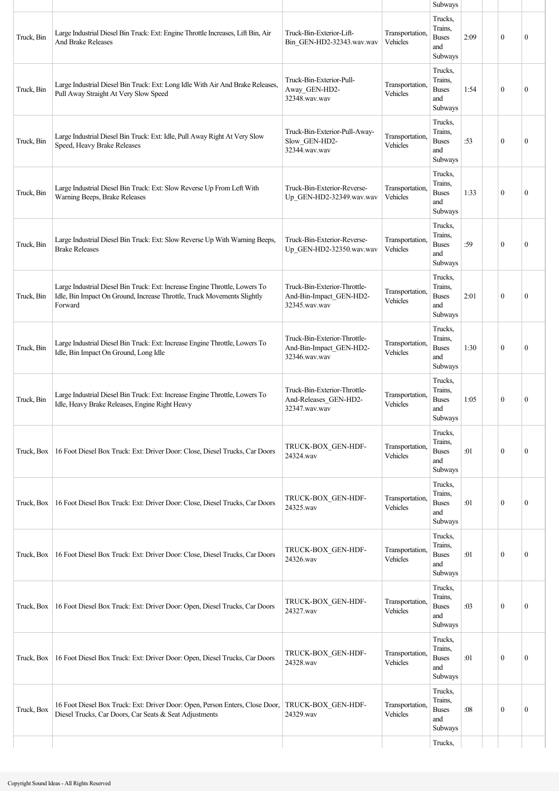|            |                                                                                                                                                                   |                                                                          |                             | Subways                                              |      |              |                  |
|------------|-------------------------------------------------------------------------------------------------------------------------------------------------------------------|--------------------------------------------------------------------------|-----------------------------|------------------------------------------------------|------|--------------|------------------|
| Truck, Bin | Large Industrial Diesel Bin Truck: Ext: Engine Throttle Increases, Lift Bin, Air<br><b>And Brake Releases</b>                                                     | Truck-Bin-Exterior-Lift-<br>Bin_GEN-HD2-32343.wav.wav                    | Transportation,<br>Vehicles | Trucks,<br>Trains.<br><b>Buses</b><br>and<br>Subways | 2:09 | $\mathbf{0}$ | $\mathbf{0}$     |
| Truck, Bin | Large Industrial Diesel Bin Truck: Ext: Long Idle With Air And Brake Releases,<br>Pull Away Straight At Very Slow Speed                                           | Truck-Bin-Exterior-Pull-<br>Away_GEN-HD2-<br>32348.wav.wav               | Transportation,<br>Vehicles | Trucks,<br>Trains,<br><b>Buses</b><br>and<br>Subways | 1:54 | $\mathbf{0}$ | $\mathbf{0}$     |
| Truck, Bin | Large Industrial Diesel Bin Truck: Ext: Idle, Pull Away Right At Very Slow<br>Speed, Heavy Brake Releases                                                         | Truck-Bin-Exterior-Pull-Away-<br>Slow_GEN-HD2-<br>32344.wav.wav          | Transportation,<br>Vehicles | Trucks,<br>Trains.<br><b>Buses</b><br>and<br>Subways | :53  | $\theta$     | $\mathbf{0}$     |
| Truck, Bin | Large Industrial Diesel Bin Truck: Ext: Slow Reverse Up From Left With<br>Warning Beeps, Brake Releases                                                           | Truck-Bin-Exterior-Reverse-<br>Up GEN-HD2-32349.wav.wav                  | Transportation,<br>Vehicles | Trucks,<br>Trains.<br><b>Buses</b><br>and<br>Subways | 1:33 | $\mathbf{0}$ | $\mathbf{0}$     |
| Truck, Bin | Large Industrial Diesel Bin Truck: Ext: Slow Reverse Up With Warning Beeps,<br><b>Brake Releases</b>                                                              | Truck-Bin-Exterior-Reverse-<br>Up GEN-HD2-32350.wav.wav                  | Transportation,<br>Vehicles | Trucks,<br>Trains.<br><b>Buses</b><br>and<br>Subways | :59  | $\mathbf{0}$ | $\mathbf{0}$     |
| Truck, Bin | Large Industrial Diesel Bin Truck: Ext: Increase Engine Throttle, Lowers To<br>Idle, Bin Impact On Ground, Increase Throttle, Truck Movements Slightly<br>Forward | Truck-Bin-Exterior-Throttle-<br>And-Bin-Impact_GEN-HD2-<br>32345.wav.wav | Transportation,<br>Vehicles | Trucks,<br>Trains.<br><b>Buses</b><br>and<br>Subways | 2:01 | $\theta$     | $\mathbf{0}$     |
| Truck, Bin | Large Industrial Diesel Bin Truck: Ext: Increase Engine Throttle, Lowers To<br>Idle, Bin Impact On Ground, Long Idle                                              | Truck-Bin-Exterior-Throttle-<br>And-Bin-Impact_GEN-HD2-<br>32346.wav.wav | Transportation,<br>Vehicles | Trucks,<br>Trains,<br><b>Buses</b><br>and<br>Subways | 1:30 | $\theta$     | $\mathbf{0}$     |
| Truck, Bin | Large Industrial Diesel Bin Truck: Ext: Increase Engine Throttle, Lowers To<br>Idle, Heavy Brake Releases, Engine Right Heavy                                     | Truck-Bin-Exterior-Throttle-<br>And-Releases GEN-HD2-<br>32347.wav.wav   | Transportation,<br>Vehicles | Trucks,<br>Trains,<br><b>Buses</b><br>and<br>Subways | 1:05 | $\mathbf{0}$ | $\mathbf{0}$     |
| Truck, Box | 16 Foot Diesel Box Truck: Ext: Driver Door: Close, Diesel Trucks, Car Doors                                                                                       | TRUCK-BOX_GEN-HDF-<br>24324.wav                                          | Transportation,<br>Vehicles | Trucks,<br>Trains,<br><b>Buses</b><br>and<br>Subways | :01  | $\mathbf{0}$ | $\boldsymbol{0}$ |
| Truck, Box | 16 Foot Diesel Box Truck: Ext: Driver Door: Close, Diesel Trucks, Car Doors                                                                                       | TRUCK-BOX_GEN-HDF-<br>24325.wav                                          | Transportation,<br>Vehicles | Trucks,<br>Trains.<br><b>Buses</b><br>and<br>Subways | :01  | $\mathbf{0}$ | $\boldsymbol{0}$ |
| Truck, Box | 16 Foot Diesel Box Truck: Ext: Driver Door: Close, Diesel Trucks, Car Doors                                                                                       | TRUCK-BOX_GEN-HDF-<br>24326.wav                                          | Transportation,<br>Vehicles | Trucks,<br>Trains,<br><b>Buses</b><br>and<br>Subways | :01  | $\mathbf{0}$ | $\mathbf{0}$     |
| Truck, Box | 16 Foot Diesel Box Truck: Ext: Driver Door: Open, Diesel Trucks, Car Doors                                                                                        | TRUCK-BOX_GEN-HDF-<br>24327.wav                                          | Transportation,<br>Vehicles | Trucks,<br>Trains,<br><b>Buses</b><br>and<br>Subways | :03  | $\mathbf{0}$ | $\boldsymbol{0}$ |
| Truck, Box | 16 Foot Diesel Box Truck: Ext: Driver Door: Open, Diesel Trucks, Car Doors                                                                                        | TRUCK-BOX_GEN-HDF-<br>24328.wav                                          | Transportation,<br>Vehicles | Trucks,<br>Trains,<br><b>Buses</b><br>and<br>Subways | :01  | $\mathbf{0}$ | $\boldsymbol{0}$ |
| Truck, Box | 16 Foot Diesel Box Truck: Ext: Driver Door: Open, Person Enters, Close Door, TRUCK-BOX_GEN-HDF-<br>Diesel Trucks, Car Doors, Car Seats & Seat Adjustments         | 24329.wav                                                                | Transportation,<br>Vehicles | Trucks,<br>Trains,<br><b>Buses</b><br>and<br>Subways | :08  | $\mathbf{0}$ | $\boldsymbol{0}$ |
|            |                                                                                                                                                                   |                                                                          |                             | Trucks,                                              |      |              |                  |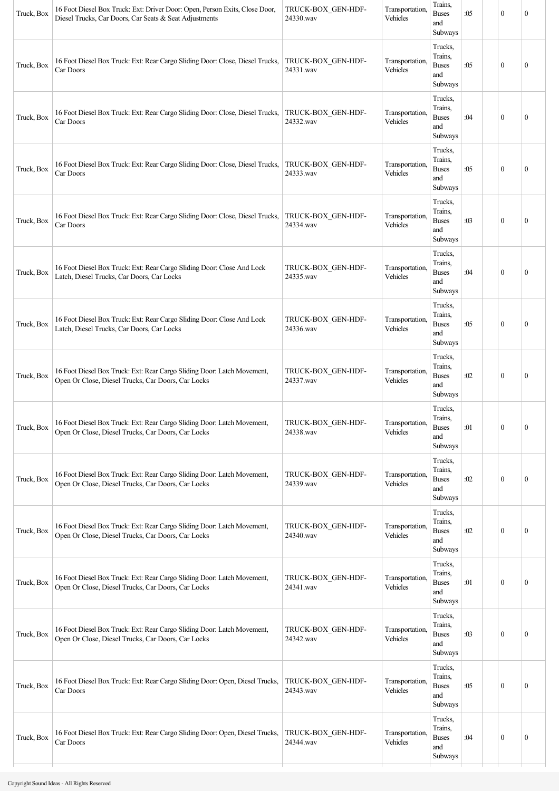| Trucks,<br>Trains,<br>16 Foot Diesel Box Truck: Ext: Rear Cargo Sliding Door: Close, Diesel Trucks,<br>TRUCK-BOX_GEN-HDF-<br>Transportation.<br><b>Buses</b><br>$\mathbf{0}$<br>Truck, Box<br>:05<br>$\mathbf{0}$<br>Vehicles<br>Car Doors<br>24331.wav<br>and<br>Subways<br>Trucks,<br>Trains,<br>16 Foot Diesel Box Truck: Ext: Rear Cargo Sliding Door: Close, Diesel Trucks,<br>TRUCK-BOX GEN-HDF-<br>Transportation.<br><b>Buses</b><br>:04<br>$\mathbf{0}$<br>$\boldsymbol{0}$<br>Truck, Box<br>24332.wav<br>Vehicles<br>Car Doors<br>and<br>Subways<br>Trucks,<br>Trains,<br>16 Foot Diesel Box Truck: Ext: Rear Cargo Sliding Door: Close, Diesel Trucks,<br>TRUCK-BOX GEN-HDF-<br>Transportation,<br>Truck, Box<br><b>Buses</b><br>$\mathbf{0}$<br>:05<br>$\theta$<br>24333.wav<br>Vehicles<br>Car Doors<br>and<br>Subways<br>Trucks,<br>Trains,<br>16 Foot Diesel Box Truck: Ext: Rear Cargo Sliding Door: Close, Diesel Trucks,<br>Transportation.<br>TRUCK-BOX GEN-HDF-<br>$\mathbf{0}$<br>Truck, Box<br><b>Buses</b><br>:03<br>$\boldsymbol{0}$<br>Vehicles<br>24334.wav<br>Car Doors<br>and<br>Subways<br>Trucks,<br>Trains,<br>16 Foot Diesel Box Truck: Ext: Rear Cargo Sliding Door: Close And Lock<br>Transportation.<br>TRUCK-BOX GEN-HDF-<br>$\mathbf{0}$<br>Truck, Box<br><b>Buses</b><br>:04<br>$\boldsymbol{0}$<br>Vehicles<br>Latch, Diesel Trucks, Car Doors, Car Locks<br>24335.wav<br>and<br>Subways<br>Trucks,<br>Trains,<br>16 Foot Diesel Box Truck: Ext: Rear Cargo Sliding Door: Close And Lock<br>TRUCK-BOX GEN-HDF-<br>Transportation.<br>Truck, Box<br><b>Buses</b><br>:05<br>$\mathbf{0}$<br>$\mathbf{0}$<br>Vehicles<br>Latch, Diesel Trucks, Car Doors, Car Locks<br>24336.wav<br>and<br>Subways<br>Trucks,<br>Trains,<br>16 Foot Diesel Box Truck: Ext: Rear Cargo Sliding Door: Latch Movement,<br>TRUCK-BOX_GEN-HDF-<br>Transportation.<br><b>Buses</b><br>:02<br>$\mathbf{0}$<br>Truck, Box<br>$\boldsymbol{0}$<br>Open Or Close, Diesel Trucks, Car Doors, Car Locks<br>24337.wav<br>Vehicles<br>and<br>Subways<br>Trucks,<br>Trains,<br>Transportation,<br>TRUCK-BOX_GEN-HDF-<br>16 Foot Diesel Box Truck: Ext: Rear Cargo Sliding Door: Latch Movement,<br>$\boldsymbol{0}$<br><b>Buses</b><br>:01<br>$\boldsymbol{0}$<br>Truck, Box<br>Vehicles<br>Open Or Close, Diesel Trucks, Car Doors, Car Locks<br>24338.wav<br>and<br>Subways<br>Trucks,<br>Trains,<br>16 Foot Diesel Box Truck: Ext: Rear Cargo Sliding Door: Latch Movement,<br>Transportation,<br>TRUCK-BOX_GEN-HDF-<br>$\boldsymbol{0}$<br>$\boldsymbol{0}$<br>Truck, Box<br>Buses<br>:02<br>Vehicles<br>Open Or Close, Diesel Trucks, Car Doors, Car Locks<br>24339.wav<br>and<br>Subways<br>Trucks,<br>Trains,<br>16 Foot Diesel Box Truck: Ext: Rear Cargo Sliding Door: Latch Movement,<br>Transportation.<br>TRUCK-BOX_GEN-HDF-<br>$\boldsymbol{0}$<br>$\boldsymbol{0}$<br>Truck, Box<br><b>Buses</b><br>:02<br>Open Or Close, Diesel Trucks, Car Doors, Car Locks<br>Vehicles<br>24340.wav<br>and<br>Subways<br>Trucks,<br>Trains,<br>16 Foot Diesel Box Truck: Ext: Rear Cargo Sliding Door: Latch Movement,<br>Transportation.<br>TRUCK-BOX_GEN-HDF-<br><b>Buses</b><br>$\boldsymbol{0}$<br>Truck, Box<br>:01<br>$\boldsymbol{0}$<br>Vehicles<br>Open Or Close, Diesel Trucks, Car Doors, Car Locks<br>24341.wav<br>and<br>Subways<br>Trucks,<br>Trains,<br>16 Foot Diesel Box Truck: Ext: Rear Cargo Sliding Door: Latch Movement,<br>Transportation,<br>TRUCK-BOX GEN-HDF-<br><b>Buses</b><br>:03<br>$\boldsymbol{0}$<br>Truck, Box<br>$\boldsymbol{0}$<br>Open Or Close, Diesel Trucks, Car Doors, Car Locks<br>24342.wav<br>Vehicles<br>and<br>Subways<br>Trucks,<br>Trains,<br>Transportation,<br>16 Foot Diesel Box Truck: Ext: Rear Cargo Sliding Door: Open, Diesel Trucks,<br>TRUCK-BOX GEN-HDF-<br><b>Buses</b><br>$\mathbf{0}$<br>$\boldsymbol{0}$<br>Truck, Box<br>:05<br>Vehicles<br>Car Doors<br>24343.wav<br>and<br>Subways<br>Trucks,<br>Trains,<br>16 Foot Diesel Box Truck: Ext: Rear Cargo Sliding Door: Open, Diesel Trucks,<br>TRUCK-BOX GEN-HDF-<br>Transportation.<br>Truck, Box<br><b>Buses</b><br>$\boldsymbol{0}$<br>:04<br>$\boldsymbol{0}$<br>24344.wav<br>Vehicles<br>Car Doors<br>and<br>Subways | Truck, Box | 16 Foot Diesel Box Truck: Ext: Driver Door: Open, Person Exits, Close Door,<br>Diesel Trucks, Car Doors, Car Seats & Seat Adjustments | TRUCK-BOX_GEN-HDF-<br>24330.wav | Transportation.<br>Vehicles | Trains,<br><b>Buses</b><br>and<br>Subways | :05 | $\mathbf{0}$ | $\mathbf{0}$ |
|-------------------------------------------------------------------------------------------------------------------------------------------------------------------------------------------------------------------------------------------------------------------------------------------------------------------------------------------------------------------------------------------------------------------------------------------------------------------------------------------------------------------------------------------------------------------------------------------------------------------------------------------------------------------------------------------------------------------------------------------------------------------------------------------------------------------------------------------------------------------------------------------------------------------------------------------------------------------------------------------------------------------------------------------------------------------------------------------------------------------------------------------------------------------------------------------------------------------------------------------------------------------------------------------------------------------------------------------------------------------------------------------------------------------------------------------------------------------------------------------------------------------------------------------------------------------------------------------------------------------------------------------------------------------------------------------------------------------------------------------------------------------------------------------------------------------------------------------------------------------------------------------------------------------------------------------------------------------------------------------------------------------------------------------------------------------------------------------------------------------------------------------------------------------------------------------------------------------------------------------------------------------------------------------------------------------------------------------------------------------------------------------------------------------------------------------------------------------------------------------------------------------------------------------------------------------------------------------------------------------------------------------------------------------------------------------------------------------------------------------------------------------------------------------------------------------------------------------------------------------------------------------------------------------------------------------------------------------------------------------------------------------------------------------------------------------------------------------------------------------------------------------------------------------------------------------------------------------------------------------------------------------------------------------------------------------------------------------------------------------------------------------------------------------------------------------------------------------------------------------------------------------------------------------------------------------------------------------------------------------------------------------------------------------------------------------------------------------------------------------------------------------------------------------------------------------------------------------------------------------------------------------------------------------------------------------------------------------------------------------------------------------------------------------------------------------------------------------------------------------------------------------------------------------------------------------------------------------------------------------------|------------|---------------------------------------------------------------------------------------------------------------------------------------|---------------------------------|-----------------------------|-------------------------------------------|-----|--------------|--------------|
|                                                                                                                                                                                                                                                                                                                                                                                                                                                                                                                                                                                                                                                                                                                                                                                                                                                                                                                                                                                                                                                                                                                                                                                                                                                                                                                                                                                                                                                                                                                                                                                                                                                                                                                                                                                                                                                                                                                                                                                                                                                                                                                                                                                                                                                                                                                                                                                                                                                                                                                                                                                                                                                                                                                                                                                                                                                                                                                                                                                                                                                                                                                                                                                                                                                                                                                                                                                                                                                                                                                                                                                                                                                                                                                                                                                                                                                                                                                                                                                                                                                                                                                                                                                                                                                 |            |                                                                                                                                       |                                 |                             |                                           |     |              |              |
|                                                                                                                                                                                                                                                                                                                                                                                                                                                                                                                                                                                                                                                                                                                                                                                                                                                                                                                                                                                                                                                                                                                                                                                                                                                                                                                                                                                                                                                                                                                                                                                                                                                                                                                                                                                                                                                                                                                                                                                                                                                                                                                                                                                                                                                                                                                                                                                                                                                                                                                                                                                                                                                                                                                                                                                                                                                                                                                                                                                                                                                                                                                                                                                                                                                                                                                                                                                                                                                                                                                                                                                                                                                                                                                                                                                                                                                                                                                                                                                                                                                                                                                                                                                                                                                 |            |                                                                                                                                       |                                 |                             |                                           |     |              |              |
|                                                                                                                                                                                                                                                                                                                                                                                                                                                                                                                                                                                                                                                                                                                                                                                                                                                                                                                                                                                                                                                                                                                                                                                                                                                                                                                                                                                                                                                                                                                                                                                                                                                                                                                                                                                                                                                                                                                                                                                                                                                                                                                                                                                                                                                                                                                                                                                                                                                                                                                                                                                                                                                                                                                                                                                                                                                                                                                                                                                                                                                                                                                                                                                                                                                                                                                                                                                                                                                                                                                                                                                                                                                                                                                                                                                                                                                                                                                                                                                                                                                                                                                                                                                                                                                 |            |                                                                                                                                       |                                 |                             |                                           |     |              |              |
|                                                                                                                                                                                                                                                                                                                                                                                                                                                                                                                                                                                                                                                                                                                                                                                                                                                                                                                                                                                                                                                                                                                                                                                                                                                                                                                                                                                                                                                                                                                                                                                                                                                                                                                                                                                                                                                                                                                                                                                                                                                                                                                                                                                                                                                                                                                                                                                                                                                                                                                                                                                                                                                                                                                                                                                                                                                                                                                                                                                                                                                                                                                                                                                                                                                                                                                                                                                                                                                                                                                                                                                                                                                                                                                                                                                                                                                                                                                                                                                                                                                                                                                                                                                                                                                 |            |                                                                                                                                       |                                 |                             |                                           |     |              |              |
|                                                                                                                                                                                                                                                                                                                                                                                                                                                                                                                                                                                                                                                                                                                                                                                                                                                                                                                                                                                                                                                                                                                                                                                                                                                                                                                                                                                                                                                                                                                                                                                                                                                                                                                                                                                                                                                                                                                                                                                                                                                                                                                                                                                                                                                                                                                                                                                                                                                                                                                                                                                                                                                                                                                                                                                                                                                                                                                                                                                                                                                                                                                                                                                                                                                                                                                                                                                                                                                                                                                                                                                                                                                                                                                                                                                                                                                                                                                                                                                                                                                                                                                                                                                                                                                 |            |                                                                                                                                       |                                 |                             |                                           |     |              |              |
|                                                                                                                                                                                                                                                                                                                                                                                                                                                                                                                                                                                                                                                                                                                                                                                                                                                                                                                                                                                                                                                                                                                                                                                                                                                                                                                                                                                                                                                                                                                                                                                                                                                                                                                                                                                                                                                                                                                                                                                                                                                                                                                                                                                                                                                                                                                                                                                                                                                                                                                                                                                                                                                                                                                                                                                                                                                                                                                                                                                                                                                                                                                                                                                                                                                                                                                                                                                                                                                                                                                                                                                                                                                                                                                                                                                                                                                                                                                                                                                                                                                                                                                                                                                                                                                 |            |                                                                                                                                       |                                 |                             |                                           |     |              |              |
|                                                                                                                                                                                                                                                                                                                                                                                                                                                                                                                                                                                                                                                                                                                                                                                                                                                                                                                                                                                                                                                                                                                                                                                                                                                                                                                                                                                                                                                                                                                                                                                                                                                                                                                                                                                                                                                                                                                                                                                                                                                                                                                                                                                                                                                                                                                                                                                                                                                                                                                                                                                                                                                                                                                                                                                                                                                                                                                                                                                                                                                                                                                                                                                                                                                                                                                                                                                                                                                                                                                                                                                                                                                                                                                                                                                                                                                                                                                                                                                                                                                                                                                                                                                                                                                 |            |                                                                                                                                       |                                 |                             |                                           |     |              |              |
|                                                                                                                                                                                                                                                                                                                                                                                                                                                                                                                                                                                                                                                                                                                                                                                                                                                                                                                                                                                                                                                                                                                                                                                                                                                                                                                                                                                                                                                                                                                                                                                                                                                                                                                                                                                                                                                                                                                                                                                                                                                                                                                                                                                                                                                                                                                                                                                                                                                                                                                                                                                                                                                                                                                                                                                                                                                                                                                                                                                                                                                                                                                                                                                                                                                                                                                                                                                                                                                                                                                                                                                                                                                                                                                                                                                                                                                                                                                                                                                                                                                                                                                                                                                                                                                 |            |                                                                                                                                       |                                 |                             |                                           |     |              |              |
|                                                                                                                                                                                                                                                                                                                                                                                                                                                                                                                                                                                                                                                                                                                                                                                                                                                                                                                                                                                                                                                                                                                                                                                                                                                                                                                                                                                                                                                                                                                                                                                                                                                                                                                                                                                                                                                                                                                                                                                                                                                                                                                                                                                                                                                                                                                                                                                                                                                                                                                                                                                                                                                                                                                                                                                                                                                                                                                                                                                                                                                                                                                                                                                                                                                                                                                                                                                                                                                                                                                                                                                                                                                                                                                                                                                                                                                                                                                                                                                                                                                                                                                                                                                                                                                 |            |                                                                                                                                       |                                 |                             |                                           |     |              |              |
|                                                                                                                                                                                                                                                                                                                                                                                                                                                                                                                                                                                                                                                                                                                                                                                                                                                                                                                                                                                                                                                                                                                                                                                                                                                                                                                                                                                                                                                                                                                                                                                                                                                                                                                                                                                                                                                                                                                                                                                                                                                                                                                                                                                                                                                                                                                                                                                                                                                                                                                                                                                                                                                                                                                                                                                                                                                                                                                                                                                                                                                                                                                                                                                                                                                                                                                                                                                                                                                                                                                                                                                                                                                                                                                                                                                                                                                                                                                                                                                                                                                                                                                                                                                                                                                 |            |                                                                                                                                       |                                 |                             |                                           |     |              |              |
|                                                                                                                                                                                                                                                                                                                                                                                                                                                                                                                                                                                                                                                                                                                                                                                                                                                                                                                                                                                                                                                                                                                                                                                                                                                                                                                                                                                                                                                                                                                                                                                                                                                                                                                                                                                                                                                                                                                                                                                                                                                                                                                                                                                                                                                                                                                                                                                                                                                                                                                                                                                                                                                                                                                                                                                                                                                                                                                                                                                                                                                                                                                                                                                                                                                                                                                                                                                                                                                                                                                                                                                                                                                                                                                                                                                                                                                                                                                                                                                                                                                                                                                                                                                                                                                 |            |                                                                                                                                       |                                 |                             |                                           |     |              |              |
|                                                                                                                                                                                                                                                                                                                                                                                                                                                                                                                                                                                                                                                                                                                                                                                                                                                                                                                                                                                                                                                                                                                                                                                                                                                                                                                                                                                                                                                                                                                                                                                                                                                                                                                                                                                                                                                                                                                                                                                                                                                                                                                                                                                                                                                                                                                                                                                                                                                                                                                                                                                                                                                                                                                                                                                                                                                                                                                                                                                                                                                                                                                                                                                                                                                                                                                                                                                                                                                                                                                                                                                                                                                                                                                                                                                                                                                                                                                                                                                                                                                                                                                                                                                                                                                 |            |                                                                                                                                       |                                 |                             |                                           |     |              |              |
|                                                                                                                                                                                                                                                                                                                                                                                                                                                                                                                                                                                                                                                                                                                                                                                                                                                                                                                                                                                                                                                                                                                                                                                                                                                                                                                                                                                                                                                                                                                                                                                                                                                                                                                                                                                                                                                                                                                                                                                                                                                                                                                                                                                                                                                                                                                                                                                                                                                                                                                                                                                                                                                                                                                                                                                                                                                                                                                                                                                                                                                                                                                                                                                                                                                                                                                                                                                                                                                                                                                                                                                                                                                                                                                                                                                                                                                                                                                                                                                                                                                                                                                                                                                                                                                 |            |                                                                                                                                       |                                 |                             |                                           |     |              |              |
|                                                                                                                                                                                                                                                                                                                                                                                                                                                                                                                                                                                                                                                                                                                                                                                                                                                                                                                                                                                                                                                                                                                                                                                                                                                                                                                                                                                                                                                                                                                                                                                                                                                                                                                                                                                                                                                                                                                                                                                                                                                                                                                                                                                                                                                                                                                                                                                                                                                                                                                                                                                                                                                                                                                                                                                                                                                                                                                                                                                                                                                                                                                                                                                                                                                                                                                                                                                                                                                                                                                                                                                                                                                                                                                                                                                                                                                                                                                                                                                                                                                                                                                                                                                                                                                 |            |                                                                                                                                       |                                 |                             |                                           |     |              |              |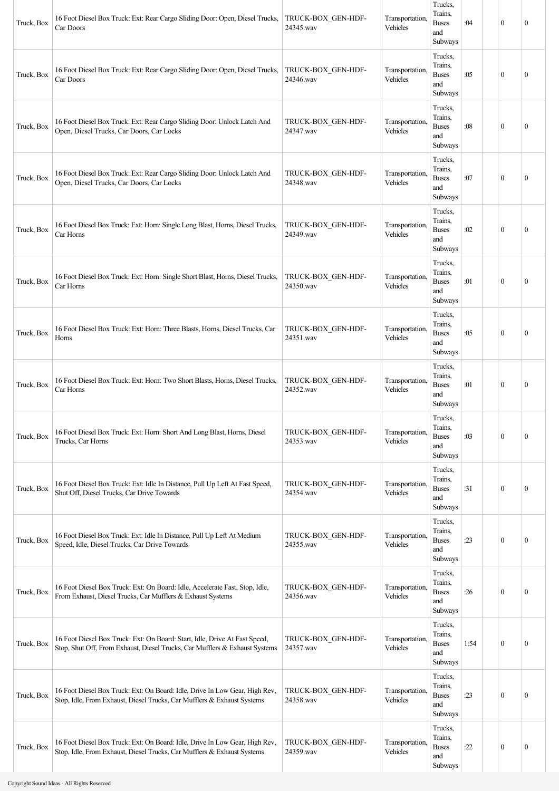| Truck, Box | 16 Foot Diesel Box Truck: Ext: Rear Cargo Sliding Door: Open, Diesel Trucks,<br>Car Doors                                                                 | TRUCK-BOX GEN-HDF-<br>24345.wav | Transportation,<br>Vehicles | Trucks,<br>Trains.<br><b>Buses</b><br>and<br>Subways | :04  | $\mathbf{0}$     | $\mathbf{0}$     |
|------------|-----------------------------------------------------------------------------------------------------------------------------------------------------------|---------------------------------|-----------------------------|------------------------------------------------------|------|------------------|------------------|
| Truck, Box | 16 Foot Diesel Box Truck: Ext: Rear Cargo Sliding Door: Open, Diesel Trucks,<br>Car Doors                                                                 | TRUCK-BOX_GEN-HDF-<br>24346.wav | Transportation,<br>Vehicles | Trucks,<br>Trains.<br><b>Buses</b><br>and<br>Subways | :05  | $\mathbf{0}$     | $\boldsymbol{0}$ |
| Truck, Box | 16 Foot Diesel Box Truck: Ext: Rear Cargo Sliding Door: Unlock Latch And<br>Open, Diesel Trucks, Car Doors, Car Locks                                     | TRUCK-BOX_GEN-HDF-<br>24347.wav | Transportation,<br>Vehicles | Trucks,<br>Trains,<br><b>Buses</b><br>and<br>Subways | :08  | $\boldsymbol{0}$ | $\mathbf{0}$     |
| Truck, Box | 16 Foot Diesel Box Truck: Ext: Rear Cargo Sliding Door: Unlock Latch And<br>Open, Diesel Trucks, Car Doors, Car Locks                                     | TRUCK-BOX_GEN-HDF-<br>24348.wav | Transportation,<br>Vehicles | Trucks,<br>Trains,<br><b>Buses</b><br>and<br>Subways | :07  | $\boldsymbol{0}$ | $\boldsymbol{0}$ |
| Truck, Box | 16 Foot Diesel Box Truck: Ext: Horn: Single Long Blast, Horns, Diesel Trucks,<br>Car Horns                                                                | TRUCK-BOX_GEN-HDF-<br>24349.wav | Transportation,<br>Vehicles | Trucks,<br>Trains,<br><b>Buses</b><br>and<br>Subways | :02  | $\mathbf{0}$     | $\mathbf{0}$     |
| Truck, Box | 16 Foot Diesel Box Truck: Ext: Horn: Single Short Blast, Horns, Diesel Trucks,<br>Car Horns                                                               | TRUCK-BOX_GEN-HDF-<br>24350.wav | Transportation,<br>Vehicles | Trucks,<br>Trains,<br><b>Buses</b><br>and<br>Subways | :01  | $\boldsymbol{0}$ | $\mathbf{0}$     |
| Truck, Box | 16 Foot Diesel Box Truck: Ext: Horn: Three Blasts, Horns, Diesel Trucks, Car<br>Horns                                                                     | TRUCK-BOX GEN-HDF-<br>24351.wav | Transportation,<br>Vehicles | Trucks,<br>Trains,<br><b>Buses</b><br>and<br>Subways | :05  | $\mathbf{0}$     | $\mathbf{0}$     |
| Truck, Box | 16 Foot Diesel Box Truck: Ext: Horn: Two Short Blasts, Horns, Diesel Trucks,<br>Car Horns                                                                 | TRUCK-BOX_GEN-HDF-<br>24352.wav | Transportation,<br>Vehicles | Trucks,<br>Trains.<br><b>Buses</b><br>and<br>Subways | :01  | $\mathbf{0}$     | $\boldsymbol{0}$ |
| Truck, Box | 16 Foot Diesel Box Truck: Ext: Horn: Short And Long Blast, Horns, Diesel<br>Trucks, Car Horns                                                             | TRUCK-BOX_GEN-HDF-<br>24353.wav | Transportation,<br>Vehicles | Trucks,<br>Trains,<br><b>Buses</b><br>and<br>Subways | :03  | $\boldsymbol{0}$ | $\mathbf{0}$     |
| Truck, Box | 16 Foot Diesel Box Truck: Ext: Idle In Distance, Pull Up Left At Fast Speed,<br>Shut Off, Diesel Trucks, Car Drive Towards                                | TRUCK-BOX_GEN-HDF-<br>24354.wav | Transportation,<br>Vehicles | Trucks,<br>Trains,<br><b>Buses</b><br>and<br>Subways | :31  | $\mathbf{0}$     | $\boldsymbol{0}$ |
| Truck, Box | 16 Foot Diesel Box Truck: Ext: Idle In Distance, Pull Up Left At Medium<br>Speed, Idle, Diesel Trucks, Car Drive Towards                                  | TRUCK-BOX_GEN-HDF-<br>24355.wav | Transportation,<br>Vehicles | Trucks,<br>Trains,<br><b>Buses</b><br>and<br>Subways | :23  | $\boldsymbol{0}$ | $\mathbf{0}$     |
| Truck, Box | 16 Foot Diesel Box Truck: Ext: On Board: Idle, Accelerate Fast, Stop, Idle,<br>From Exhaust, Diesel Trucks, Car Mufflers & Exhaust Systems                | TRUCK-BOX_GEN-HDF-<br>24356.wav | Transportation,<br>Vehicles | Trucks,<br>Trains,<br><b>Buses</b><br>and<br>Subways | :26  | $\boldsymbol{0}$ | $\boldsymbol{0}$ |
| Truck, Box | 16 Foot Diesel Box Truck: Ext: On Board: Start, Idle, Drive At Fast Speed,<br>Stop, Shut Off, From Exhaust, Diesel Trucks, Car Mufflers & Exhaust Systems | TRUCK-BOX_GEN-HDF-<br>24357.wav | Transportation,<br>Vehicles | Trucks,<br>Trains,<br><b>Buses</b><br>and<br>Subways | 1:54 | $\mathbf{0}$     | $\mathbf{0}$     |
| Truck, Box | 16 Foot Diesel Box Truck: Ext: On Board: Idle, Drive In Low Gear, High Rev,<br>Stop, Idle, From Exhaust, Diesel Trucks, Car Mufflers & Exhaust Systems    | TRUCK-BOX_GEN-HDF-<br>24358.wav | Transportation,<br>Vehicles | Trucks,<br>Trains.<br><b>Buses</b><br>and<br>Subways | :23  | $\boldsymbol{0}$ | $\boldsymbol{0}$ |
| Truck, Box | 16 Foot Diesel Box Truck: Ext: On Board: Idle, Drive In Low Gear, High Rev,<br>Stop, Idle, From Exhaust, Diesel Trucks, Car Mufflers & Exhaust Systems    | TRUCK-BOX_GEN-HDF-<br>24359.wav | Transportation,<br>Vehicles | Trucks,<br>Trains,<br><b>Buses</b><br>and<br>Subways | :22  | $\boldsymbol{0}$ | $\boldsymbol{0}$ |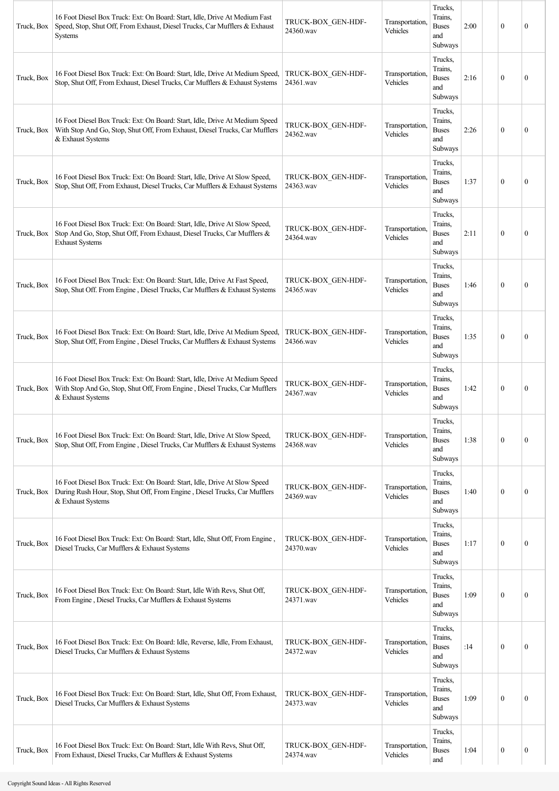| Truck, Box | 16 Foot Diesel Box Truck: Ext: On Board: Start, Idle, Drive At Medium Fast<br>Speed, Stop, Shut Off, From Exhaust, Diesel Trucks, Car Mufflers & Exhaust<br><b>Systems</b>       | TRUCK-BOX GEN-HDF-<br>24360.wav | Transportation,<br>Vehicles | Trucks,<br>Trains.<br><b>Buses</b><br>and<br>Subways | 2:00 | $\theta$         | $\mathbf{0}$     |
|------------|----------------------------------------------------------------------------------------------------------------------------------------------------------------------------------|---------------------------------|-----------------------------|------------------------------------------------------|------|------------------|------------------|
| Truck, Box | 16 Foot Diesel Box Truck: Ext: On Board: Start, Idle, Drive At Medium Speed,<br>Stop, Shut Off, From Exhaust, Diesel Trucks, Car Mufflers & Exhaust Systems                      | TRUCK-BOX GEN-HDF-<br>24361.wav | Transportation,<br>Vehicles | Trucks,<br>Trains,<br><b>Buses</b><br>and<br>Subways | 2:16 | $\theta$         | $\mathbf{0}$     |
| Truck, Box | 16 Foot Diesel Box Truck: Ext: On Board: Start, Idle, Drive At Medium Speed<br>With Stop And Go, Stop, Shut Off, From Exhaust, Diesel Trucks, Car Mufflers<br>& Exhaust Systems  | TRUCK-BOX GEN-HDF-<br>24362.wav | Transportation,<br>Vehicles | Trucks,<br>Trains,<br><b>Buses</b><br>and<br>Subways | 2:26 | $\mathbf{0}$     | $\mathbf{0}$     |
| Truck, Box | 16 Foot Diesel Box Truck: Ext: On Board: Start, Idle, Drive At Slow Speed,<br>Stop, Shut Off, From Exhaust, Diesel Trucks, Car Mufflers & Exhaust Systems                        | TRUCK-BOX GEN-HDF-<br>24363.wav | Transportation,<br>Vehicles | Trucks,<br>Trains,<br><b>Buses</b><br>and<br>Subways | 1:37 | $\mathbf{0}$     | $\mathbf{0}$     |
| Truck, Box | 16 Foot Diesel Box Truck: Ext: On Board: Start, Idle, Drive At Slow Speed,<br>Stop And Go, Stop, Shut Off, From Exhaust, Diesel Trucks, Car Mufflers &<br><b>Exhaust Systems</b> | TRUCK-BOX GEN-HDF-<br>24364.wav | Transportation,<br>Vehicles | Trucks,<br>Trains,<br><b>Buses</b><br>and<br>Subways | 2:11 | $\mathbf{0}$     | $\theta$         |
| Truck, Box | 16 Foot Diesel Box Truck: Ext: On Board: Start, Idle, Drive At Fast Speed,<br>Stop, Shut Off. From Engine, Diesel Trucks, Car Mufflers & Exhaust Systems                         | TRUCK-BOX GEN-HDF-<br>24365.wav | Transportation,<br>Vehicles | Trucks,<br>Trains,<br><b>Buses</b><br>and<br>Subways | 1:46 | $\theta$         | $\mathbf{0}$     |
| Truck, Box | 16 Foot Diesel Box Truck: Ext: On Board: Start, Idle, Drive At Medium Speed,<br>Stop, Shut Off, From Engine, Diesel Trucks, Car Mufflers & Exhaust Systems                       | TRUCK-BOX GEN-HDF-<br>24366.wav | Transportation,<br>Vehicles | Trucks,<br>Trains,<br><b>Buses</b><br>and<br>Subways | 1:35 | $\theta$         | $\mathbf{0}$     |
| Truck, Box | 16 Foot Diesel Box Truck: Ext: On Board: Start, Idle, Drive At Medium Speed<br>With Stop And Go, Stop, Shut Off, From Engine, Diesel Trucks, Car Mufflers<br>& Exhaust Systems   | TRUCK-BOX_GEN-HDF-<br>24367.wav | Transportation,<br>Vehicles | Trucks,<br>Trains,<br><b>Buses</b><br>and<br>Subways | 1:42 | $\theta$         | $\mathbf{0}$     |
| Truck, Box | 16 Foot Diesel Box Truck: Ext: On Board: Start, Idle, Drive At Slow Speed,<br>Stop, Shut Off, From Engine, Diesel Trucks, Car Mufflers & Exhaust Systems                         | TRUCK-BOX GEN-HDF-<br>24368.wav | Transportation.<br>Vehicles | Trucks,<br>Trains,<br><b>Buses</b><br>and<br>Subways | 1:38 | $\mathbf{0}$     | $\boldsymbol{0}$ |
| Truck, Box | 16 Foot Diesel Box Truck: Ext: On Board: Start, Idle, Drive At Slow Speed<br>During Rush Hour, Stop, Shut Off, From Engine, Diesel Trucks, Car Mufflers<br>& Exhaust Systems     | TRUCK-BOX_GEN-HDF-<br>24369.wav | Transportation,<br>Vehicles | Trucks,<br>Trains,<br><b>Buses</b><br>and<br>Subways | 1:40 | $\mathbf{0}$     | $\mathbf{0}$     |
| Truck, Box | 16 Foot Diesel Box Truck: Ext: On Board: Start, Idle, Shut Off, From Engine,<br>Diesel Trucks, Car Mufflers & Exhaust Systems                                                    | TRUCK-BOX GEN-HDF-<br>24370.wav | Transportation,<br>Vehicles | Trucks,<br>Trains,<br><b>Buses</b><br>and<br>Subways | 1:17 | $\mathbf{0}$     | $\mathbf{0}$     |
| Truck, Box | 16 Foot Diesel Box Truck: Ext: On Board: Start, Idle With Revs, Shut Off,<br>From Engine, Diesel Trucks, Car Mufflers & Exhaust Systems                                          | TRUCK-BOX_GEN-HDF-<br>24371.wav | Transportation,<br>Vehicles | Trucks,<br>Trains,<br><b>Buses</b><br>and<br>Subways | 1:09 | $\mathbf{0}$     | $\boldsymbol{0}$ |
| Truck, Box | 16 Foot Diesel Box Truck: Ext: On Board: Idle, Reverse, Idle, From Exhaust,<br>Diesel Trucks, Car Mufflers & Exhaust Systems                                                     | TRUCK-BOX GEN-HDF-<br>24372.wav | Transportation,<br>Vehicles | Trucks,<br>Trains,<br><b>Buses</b><br>and<br>Subways | :14  | $\mathbf{0}$     | $\mathbf{0}$     |
| Truck, Box | 16 Foot Diesel Box Truck: Ext: On Board: Start, Idle, Shut Off, From Exhaust,<br>Diesel Trucks, Car Mufflers & Exhaust Systems                                                   | TRUCK-BOX GEN-HDF-<br>24373.wav | Transportation,<br>Vehicles | Trucks,<br>Trains,<br><b>Buses</b><br>and<br>Subways | 1:09 | $\mathbf{0}$     | $\boldsymbol{0}$ |
| Truck, Box | 16 Foot Diesel Box Truck: Ext: On Board: Start, Idle With Revs, Shut Off,<br>From Exhaust, Diesel Trucks, Car Mufflers & Exhaust Systems                                         | TRUCK-BOX_GEN-HDF-<br>24374.wav | Transportation,<br>Vehicles | Trucks,<br>Trains,<br><b>Buses</b><br>and            | 1:04 | $\boldsymbol{0}$ | $\boldsymbol{0}$ |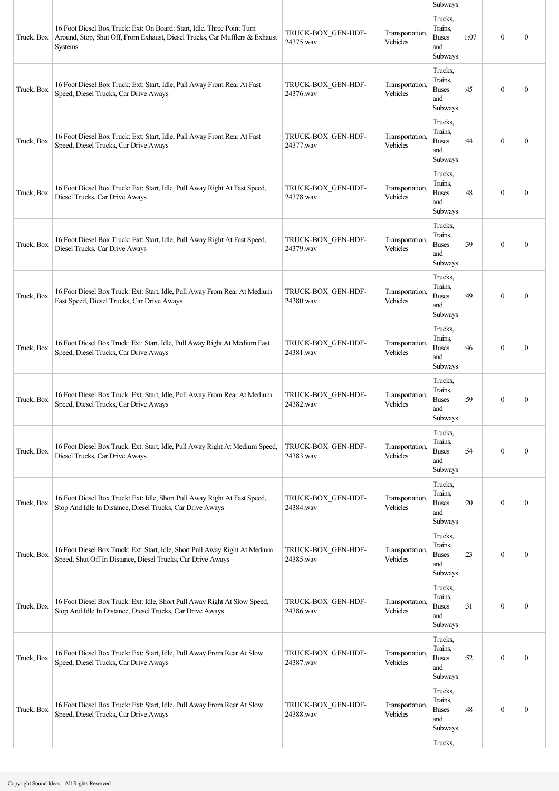|            |                                                                                                                                                                  |                                 |                             | Subways                                                     |      |              |              |
|------------|------------------------------------------------------------------------------------------------------------------------------------------------------------------|---------------------------------|-----------------------------|-------------------------------------------------------------|------|--------------|--------------|
| Truck, Box | 16 Foot Diesel Box Truck: Ext: On Board: Start, Idle, Three Point Turn<br>Around, Stop, Shut Off, From Exhaust, Diesel Trucks, Car Mufflers & Exhaust<br>Systems | TRUCK-BOX_GEN-HDF-<br>24375.wav | Transportation,<br>Vehicles | Trucks,<br>Trains,<br><b>Buses</b><br>and<br>Subways        | 1:07 | $\theta$     | $\mathbf{0}$ |
| Truck, Box | 16 Foot Diesel Box Truck: Ext: Start, Idle, Pull Away From Rear At Fast<br>Speed, Diesel Trucks, Car Drive Aways                                                 | TRUCK-BOX_GEN-HDF-<br>24376.wav | Transportation,<br>Vehicles | Trucks,<br>Trains,<br><b>Buses</b><br>and<br>Subways        | :45  | $\mathbf{0}$ | $\mathbf{0}$ |
| Truck, Box | 16 Foot Diesel Box Truck: Ext: Start, Idle, Pull Away From Rear At Fast<br>Speed, Diesel Trucks, Car Drive Aways                                                 | TRUCK-BOX GEN-HDF-<br>24377.wav | Transportation,<br>Vehicles | Trucks,<br>Trains.<br><b>Buses</b><br>and<br>Subways        | :44  | $\theta$     | $\theta$     |
| Truck, Box | 16 Foot Diesel Box Truck: Ext: Start, Idle, Pull Away Right At Fast Speed,<br>Diesel Trucks, Car Drive Aways                                                     | TRUCK-BOX GEN-HDF-<br>24378.wav | Transportation,<br>Vehicles | Trucks,<br>Trains,<br><b>Buses</b><br>and<br>Subways        | :48  | $\mathbf{0}$ | $\mathbf{0}$ |
| Truck, Box | 16 Foot Diesel Box Truck: Ext: Start, Idle, Pull Away Right At Fast Speed,<br>Diesel Trucks, Car Drive Aways                                                     | TRUCK-BOX GEN-HDF-<br>24379.wav | Transportation.<br>Vehicles | Trucks,<br>Trains.<br><b>Buses</b><br>and<br>Subways        | :39  | $\mathbf{0}$ | $\mathbf{0}$ |
| Truck, Box | 16 Foot Diesel Box Truck: Ext: Start, Idle, Pull Away From Rear At Medium<br>Fast Speed, Diesel Trucks, Car Drive Aways                                          | TRUCK-BOX GEN-HDF-<br>24380.wav | Transportation,<br>Vehicles | Trucks,<br>Trains,<br><b>Buses</b><br>and<br>Subways        | :49  | $\theta$     | $\mathbf{0}$ |
| Truck, Box | 16 Foot Diesel Box Truck: Ext: Start, Idle, Pull Away Right At Medium Fast<br>Speed, Diesel Trucks, Car Drive Aways                                              | TRUCK-BOX_GEN-HDF-<br>24381.wav | Transportation,<br>Vehicles | Trucks,<br>Trains,<br><b>Buses</b><br>and<br>Subways        | :46  | $\theta$     | $\mathbf{0}$ |
| Truck, Box | 16 Foot Diesel Box Truck: Ext: Start, Idle, Pull Away From Rear At Medium<br>Speed, Diesel Trucks, Car Drive Aways                                               | TRUCK-BOX GEN-HDF-<br>24382.wav | Transportation,<br>Vehicles | Trucks,<br>Trains,<br><b>Buses</b><br>and<br><b>Subways</b> | :59  | $\mathbf{0}$ | $\mathbf{0}$ |
| Truck, Box | 16 Foot Diesel Box Truck: Ext: Start, Idle, Pull Away Right At Medium Speed,<br>Diesel Trucks, Car Drive Aways                                                   | TRUCK-BOX GEN-HDF-<br>24383.wav | Transportation,<br>Vehicles | Trucks,<br>Trains.<br><b>Buses</b><br>and<br>Subways        | :54  | $\mathbf{0}$ | $\mathbf{0}$ |
| Truck, Box | 16 Foot Diesel Box Truck: Ext: Idle, Short Pull Away Right At Fast Speed,<br>Stop And Idle In Distance, Diesel Trucks, Car Drive Aways                           | TRUCK-BOX GEN-HDF-<br>24384.wav | Transportation,<br>Vehicles | Trucks,<br>Trains.<br><b>Buses</b><br>and<br>Subways        | :20  | $\mathbf{0}$ | $\mathbf{0}$ |
| Truck, Box | 16 Foot Diesel Box Truck: Ext: Start, Idle, Short Pull Away Right At Medium<br>Speed, Shut Off In Distance, Diesel Trucks, Car Drive Aways                       | TRUCK-BOX GEN-HDF-<br>24385.wav | Transportation,<br>Vehicles | Trucks,<br>Trains,<br><b>Buses</b><br>and<br>Subways        | :23  | $\mathbf{0}$ | $\mathbf{0}$ |
| Truck, Box | 16 Foot Diesel Box Truck: Ext: Idle, Short Pull Away Right At Slow Speed,<br>Stop And Idle In Distance, Diesel Trucks, Car Drive Aways                           | TRUCK-BOX GEN-HDF-<br>24386.wav | Transportation,<br>Vehicles | Trucks,<br>Trains.<br><b>Buses</b><br>and<br>Subways        | :31  | $\mathbf{0}$ | $\mathbf{0}$ |
| Truck, Box | 16 Foot Diesel Box Truck: Ext: Start, Idle, Pull Away From Rear At Slow<br>Speed, Diesel Trucks, Car Drive Aways                                                 | TRUCK-BOX GEN-HDF-<br>24387.wav | Transportation,<br>Vehicles | Trucks,<br>Trains,<br><b>Buses</b><br>and<br>Subways        | :52  | $\theta$     | $\mathbf{0}$ |
| Truck, Box | 16 Foot Diesel Box Truck: Ext: Start, Idle, Pull Away From Rear At Slow<br>Speed, Diesel Trucks, Car Drive Aways                                                 | TRUCK-BOX GEN-HDF-<br>24388.wav | Transportation,<br>Vehicles | Trucks,<br>Trains,<br><b>Buses</b><br>and<br>Subways        | :48  | $\mathbf{0}$ | $\mathbf{0}$ |
|            |                                                                                                                                                                  |                                 |                             | Trucks,                                                     |      |              |              |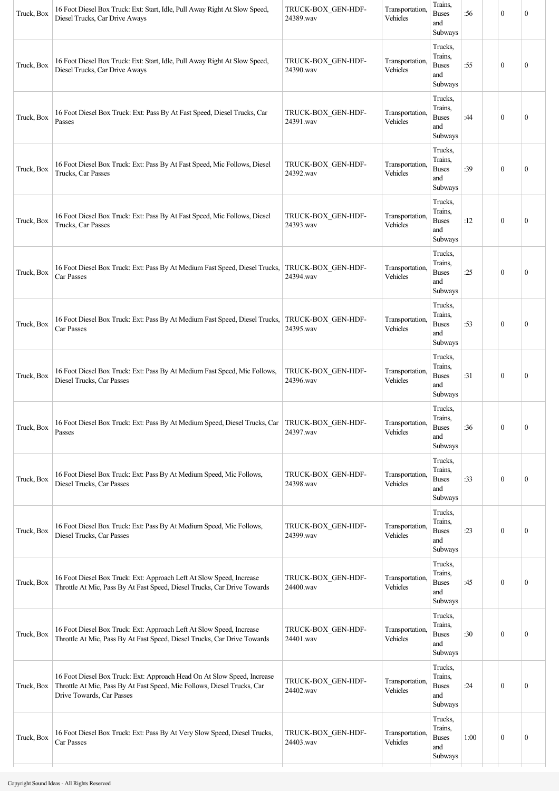| Truck, Box | 16 Foot Diesel Box Truck: Ext: Start, Idle, Pull Away Right At Slow Speed,<br>Diesel Trucks, Car Drive Aways                                                                    | TRUCK-BOX_GEN-HDF-<br>24389.wav | Transportation,<br>Vehicles | Trains,<br><b>Buses</b><br>and<br>Subways            | :56  | $\mathbf{0}$     | $\mathbf{0}$     |
|------------|---------------------------------------------------------------------------------------------------------------------------------------------------------------------------------|---------------------------------|-----------------------------|------------------------------------------------------|------|------------------|------------------|
| Truck, Box | 16 Foot Diesel Box Truck: Ext: Start, Idle, Pull Away Right At Slow Speed,<br>Diesel Trucks, Car Drive Aways                                                                    | TRUCK-BOX_GEN-HDF-<br>24390.wav | Transportation,<br>Vehicles | Trucks,<br>Trains,<br><b>Buses</b><br>and<br>Subways | :55  | $\mathbf{0}$     | $\mathbf{0}$     |
| Truck, Box | 16 Foot Diesel Box Truck: Ext: Pass By At Fast Speed, Diesel Trucks, Car<br>Passes                                                                                              | TRUCK-BOX_GEN-HDF-<br>24391.wav | Transportation.<br>Vehicles | Trucks,<br>Trains,<br><b>Buses</b><br>and<br>Subways | :44  | $\mathbf{0}$     | $\boldsymbol{0}$ |
| Truck, Box | 16 Foot Diesel Box Truck: Ext: Pass By At Fast Speed, Mic Follows, Diesel<br>Trucks, Car Passes                                                                                 | TRUCK-BOX_GEN-HDF-<br>24392.wav | Transportation.<br>Vehicles | Trucks,<br>Trains,<br><b>Buses</b><br>and<br>Subways | :39  | $\mathbf{0}$     | $\boldsymbol{0}$ |
| Truck, Box | 16 Foot Diesel Box Truck: Ext: Pass By At Fast Speed, Mic Follows, Diesel<br>Trucks, Car Passes                                                                                 | TRUCK-BOX_GEN-HDF-<br>24393.wav | Transportation,<br>Vehicles | Trucks,<br>Trains,<br><b>Buses</b><br>and<br>Subways | :12  | $\boldsymbol{0}$ | $\mathbf{0}$     |
| Truck, Box | 16 Foot Diesel Box Truck: Ext: Pass By At Medium Fast Speed, Diesel Trucks,<br>Car Passes                                                                                       | TRUCK-BOX_GEN-HDF-<br>24394.wav | Transportation,<br>Vehicles | Trucks,<br>Trains,<br><b>Buses</b><br>and<br>Subways | :25  | $\boldsymbol{0}$ | $\boldsymbol{0}$ |
| Truck, Box | 16 Foot Diesel Box Truck: Ext: Pass By At Medium Fast Speed, Diesel Trucks,<br>Car Passes                                                                                       | TRUCK-BOX GEN-HDF-<br>24395.wav | Transportation.<br>Vehicles | Trucks,<br>Trains,<br><b>Buses</b><br>and<br>Subways | :53  | $\mathbf{0}$     | $\boldsymbol{0}$ |
| Truck, Box | 16 Foot Diesel Box Truck: Ext: Pass By At Medium Fast Speed, Mic Follows,<br>Diesel Trucks, Car Passes                                                                          | TRUCK-BOX_GEN-HDF-<br>24396.wav | Transportation.<br>Vehicles | Trucks,<br>Trains,<br><b>Buses</b><br>and<br>Subways | :31  | $\mathbf{0}$     | $\boldsymbol{0}$ |
| Truck, Box | 16 Foot Diesel Box Truck: Ext: Pass By At Medium Speed, Diesel Trucks, Car   TRUCK-BOX_GEN-HDF-<br>Passes                                                                       | 24397.wav                       | Transportation,<br>Vehicles | Trucks,<br>Trains,<br><b>Buses</b><br>and<br>Subways | :36  | $\boldsymbol{0}$ | $\boldsymbol{0}$ |
| Truck, Box | 16 Foot Diesel Box Truck: Ext: Pass By At Medium Speed, Mic Follows,<br>Diesel Trucks, Car Passes                                                                               | TRUCK-BOX_GEN-HDF-<br>24398.wav | Transportation,<br>Vehicles | Trucks,<br>Trains,<br><b>Buses</b><br>and<br>Subways | :33  | $\boldsymbol{0}$ | $\boldsymbol{0}$ |
| Truck, Box | 16 Foot Diesel Box Truck: Ext: Pass By At Medium Speed, Mic Follows,<br>Diesel Trucks, Car Passes                                                                               | TRUCK-BOX_GEN-HDF-<br>24399.wav | Transportation,<br>Vehicles | Trucks,<br>Trains,<br><b>Buses</b><br>and<br>Subways | :23  | $\boldsymbol{0}$ | $\boldsymbol{0}$ |
| Truck, Box | 16 Foot Diesel Box Truck: Ext: Approach Left At Slow Speed, Increase<br>Throttle At Mic, Pass By At Fast Speed, Diesel Trucks, Car Drive Towards                                | TRUCK-BOX_GEN-HDF-<br>24400.wav | Transportation.<br>Vehicles | Trucks,<br>Trains,<br><b>Buses</b><br>and<br>Subways | :45  | $\mathbf{0}$     | $\boldsymbol{0}$ |
| Truck, Box | 16 Foot Diesel Box Truck: Ext: Approach Left At Slow Speed, Increase<br>Throttle At Mic, Pass By At Fast Speed, Diesel Trucks, Car Drive Towards                                | TRUCK-BOX GEN-HDF-<br>24401.wav | Transportation,<br>Vehicles | Trucks,<br>Trains,<br><b>Buses</b><br>and<br>Subways | :30  | $\mathbf{0}$     | $\boldsymbol{0}$ |
| Truck, Box | 16 Foot Diesel Box Truck: Ext: Approach Head On At Slow Speed, Increase<br>Throttle At Mic, Pass By At Fast Speed, Mic Follows, Diesel Trucks, Car<br>Drive Towards, Car Passes | TRUCK-BOX GEN-HDF-<br>24402.wav | Transportation,<br>Vehicles | Trucks,<br>Trains,<br><b>Buses</b><br>and<br>Subways | :24  | $\mathbf{0}$     | $\boldsymbol{0}$ |
| Truck, Box | 16 Foot Diesel Box Truck: Ext: Pass By At Very Slow Speed, Diesel Trucks,<br>Car Passes                                                                                         | TRUCK-BOX_GEN-HDF-<br>24403.wav | Transportation.<br>Vehicles | Trucks,<br>Trains,<br><b>Buses</b><br>and<br>Subways | 1:00 | $\bf{0}$         | $\boldsymbol{0}$ |
|            |                                                                                                                                                                                 |                                 |                             |                                                      |      |                  |                  |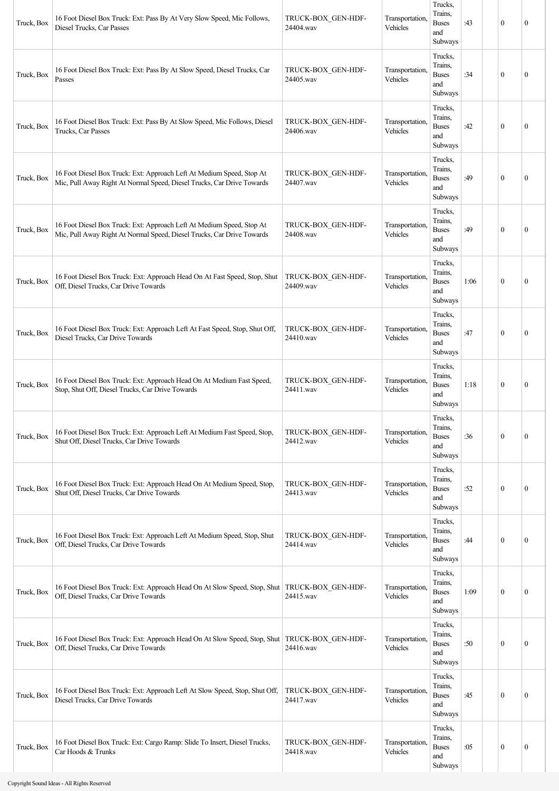| Truck, Box | 16 Foot Diesel Box Truck: Ext: Pass By At Very Slow Speed, Mic Follows,<br>Diesel Trucks, Car Passes                                            | TRUCK-BOX_GEN-HDF-<br>24404.wav | Transportation,<br>Vehicles | Trucks,<br>Trains,<br><b>Buses</b><br>and<br>Subways | :43  | $\mathbf{0}$ | $\mathbf{0}$     |
|------------|-------------------------------------------------------------------------------------------------------------------------------------------------|---------------------------------|-----------------------------|------------------------------------------------------|------|--------------|------------------|
| Truck, Box | 16 Foot Diesel Box Truck: Ext: Pass By At Slow Speed, Diesel Trucks, Car<br>Passes                                                              | TRUCK-BOX_GEN-HDF-<br>24405.wav | Transportation,<br>Vehicles | Trucks,<br>Trains.<br><b>Buses</b><br>and<br>Subways | :34  | $\mathbf{0}$ | $\mathbf{0}$     |
| Truck, Box | 16 Foot Diesel Box Truck: Ext: Pass By At Slow Speed, Mic Follows, Diesel<br>Trucks, Car Passes                                                 | TRUCK-BOX GEN-HDF-<br>24406.wav | Transportation,<br>Vehicles | Trucks,<br>Trains,<br><b>Buses</b><br>and<br>Subways | :42  | $\theta$     | $\mathbf{0}$     |
| Truck, Box | 16 Foot Diesel Box Truck: Ext: Approach Left At Medium Speed, Stop At<br>Mic, Pull Away Right At Normal Speed, Diesel Trucks, Car Drive Towards | TRUCK-BOX_GEN-HDF-<br>24407.wav | Transportation,<br>Vehicles | Trucks,<br>Trains,<br><b>Buses</b><br>and<br>Subways | :49  | $\mathbf{0}$ | $\mathbf{0}$     |
| Truck, Box | 16 Foot Diesel Box Truck: Ext: Approach Left At Medium Speed, Stop At<br>Mic, Pull Away Right At Normal Speed, Diesel Trucks, Car Drive Towards | TRUCK-BOX GEN-HDF-<br>24408.wav | Transportation,<br>Vehicles | Trucks,<br>Trains,<br><b>Buses</b><br>and<br>Subways | :49  | $\mathbf{0}$ | $\mathbf{0}$     |
| Truck, Box | 16 Foot Diesel Box Truck: Ext: Approach Head On At Fast Speed, Stop, Shut<br>Off, Diesel Trucks, Car Drive Towards                              | TRUCK-BOX GEN-HDF-<br>24409.wav | Transportation,<br>Vehicles | Trucks,<br>Trains,<br><b>Buses</b><br>and<br>Subways | 1:06 | $\theta$     | $\mathbf{0}$     |
| Truck, Box | 16 Foot Diesel Box Truck: Ext: Approach Left At Fast Speed, Stop, Shut Off,<br>Diesel Trucks, Car Drive Towards                                 | TRUCK-BOX GEN-HDF-<br>24410.wav | Transportation,<br>Vehicles | Trucks,<br>Trains,<br><b>Buses</b><br>and<br>Subways | :47  | $\mathbf{0}$ | $\mathbf{0}$     |
| Truck, Box | 16 Foot Diesel Box Truck: Ext: Approach Head On At Medium Fast Speed,<br>Stop, Shut Off, Diesel Trucks, Car Drive Towards                       | TRUCK-BOX_GEN-HDF-<br>24411.wav | Transportation,<br>Vehicles | Trucks,<br>Trains.<br><b>Buses</b><br>and<br>Subways | 1:18 | $\mathbf{0}$ | $\mathbf{0}$     |
| Truck, Box | 16 Foot Diesel Box Truck: Ext: Approach Left At Medium Fast Speed, Stop,<br>Shut Off, Diesel Trucks, Car Drive Towards                          | TRUCK-BOX GEN-HDF-<br>24412.wav | Transportation,<br>Vehicles | Trucks,<br>Trains,<br><b>Buses</b><br>and<br>Subways | :36  | $\mathbf{0}$ | $\mathbf{0}$     |
| Truck, Box | 16 Foot Diesel Box Truck: Ext: Approach Head On At Medium Speed, Stop,<br>Shut Off, Diesel Trucks, Car Drive Towards                            | TRUCK-BOX_GEN-HDF-<br>24413.wav | Transportation,<br>Vehicles | Trucks,<br>Trains,<br><b>Buses</b><br>and<br>Subways | :52  | $\mathbf{0}$ | $\mathbf{0}$     |
| Truck, Box | 16 Foot Diesel Box Truck: Ext: Approach Left At Medium Speed, Stop, Shut<br>Off, Diesel Trucks, Car Drive Towards                               | TRUCK-BOX_GEN-HDF-<br>24414.wav | Transportation,<br>Vehicles | Trucks,<br>Trains,<br><b>Buses</b><br>and<br>Subways | :44  | $\mathbf{0}$ | $\boldsymbol{0}$ |
| Truck, Box | 16 Foot Diesel Box Truck: Ext: Approach Head On At Slow Speed, Stop, Shut   TRUCK-BOX GEN-HDF-<br>Off, Diesel Trucks, Car Drive Towards         | 24415.wav                       | Transportation,<br>Vehicles | Trucks,<br>Trains,<br><b>Buses</b><br>and<br>Subways | 1:09 | $\mathbf{0}$ | $\boldsymbol{0}$ |
| Truck, Box | 16 Foot Diesel Box Truck: Ext: Approach Head On At Slow Speed, Stop, Shut   TRUCK-BOX_GEN-HDF-<br>Off, Diesel Trucks, Car Drive Towards         | 24416.wav                       | Transportation,<br>Vehicles | Trucks,<br>Trains,<br><b>Buses</b><br>and<br>Subways | :50  | $\mathbf{0}$ | $\boldsymbol{0}$ |
| Truck, Box | 16 Foot Diesel Box Truck: Ext: Approach Left At Slow Speed, Stop, Shut Off,<br>Diesel Trucks, Car Drive Towards                                 | TRUCK-BOX_GEN-HDF-<br>24417.wav | Transportation,<br>Vehicles | Trucks,<br>Trains,<br><b>Buses</b><br>and<br>Subways | :45  | $\mathbf{0}$ | $\mathbf{0}$     |
| Truck, Box | 16 Foot Diesel Box Truck: Ext: Cargo Ramp: Slide To Insert, Diesel Trucks,<br>Car Hoods & Trunks                                                | TRUCK-BOX GEN-HDF-<br>24418.wav | Transportation,<br>Vehicles | Trucks,<br>Trains,<br><b>Buses</b><br>and<br>Subways | :05  | $\mathbf{0}$ | $\boldsymbol{0}$ |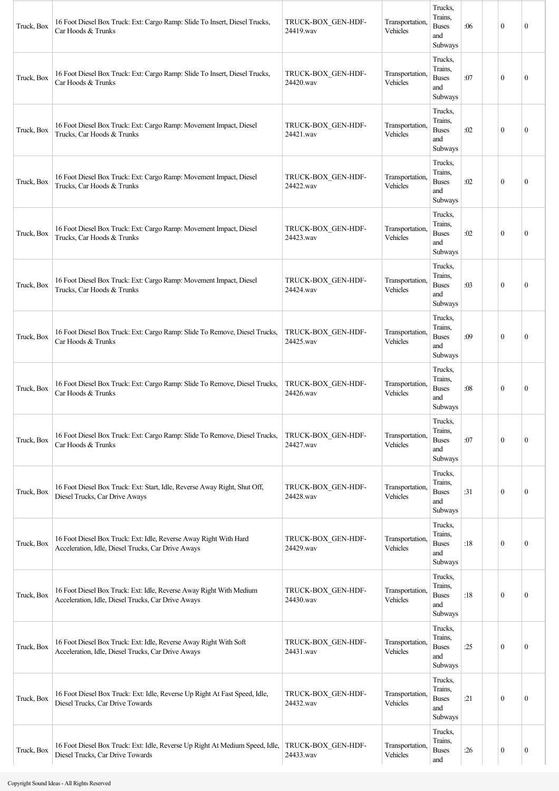| Truck, Box | 16 Foot Diesel Box Truck: Ext: Cargo Ramp: Slide To Insert, Diesel Trucks,<br>Car Hoods & Trunks                          | TRUCK-BOX_GEN-HDF-<br>24419.wav | Transportation.<br>Vehicles | Trucks,<br>Trains,<br><b>Buses</b><br>and<br>Subways | :06 | $\mathbf{0}$ | $\mathbf{0}$     |
|------------|---------------------------------------------------------------------------------------------------------------------------|---------------------------------|-----------------------------|------------------------------------------------------|-----|--------------|------------------|
| Truck, Box | 16 Foot Diesel Box Truck: Ext: Cargo Ramp: Slide To Insert, Diesel Trucks,<br>Car Hoods & Trunks                          | TRUCK-BOX_GEN-HDF-<br>24420.wav | Transportation.<br>Vehicles | Trucks,<br>Trains.<br><b>Buses</b><br>and<br>Subways | :07 | $\mathbf{0}$ | $\mathbf{0}$     |
| Truck, Box | 16 Foot Diesel Box Truck: Ext: Cargo Ramp: Movement Impact, Diesel<br>Trucks, Car Hoods & Trunks                          | TRUCK-BOX GEN-HDF-<br>24421.wav | Transportation,<br>Vehicles | Trucks,<br>Trains,<br><b>Buses</b><br>and<br>Subways | :02 | $\theta$     | $\mathbf{0}$     |
| Truck, Box | 16 Foot Diesel Box Truck: Ext: Cargo Ramp: Movement Impact, Diesel<br>Trucks, Car Hoods & Trunks                          | TRUCK-BOX_GEN-HDF-<br>24422.wav | Transportation,<br>Vehicles | Trucks,<br>Trains,<br><b>Buses</b><br>and<br>Subways | :02 | $\mathbf{0}$ | $\mathbf{0}$     |
| Truck, Box | 16 Foot Diesel Box Truck: Ext: Cargo Ramp: Movement Impact, Diesel<br>Trucks, Car Hoods & Trunks                          | TRUCK-BOX GEN-HDF-<br>24423.wav | Transportation,<br>Vehicles | Trucks,<br>Trains,<br><b>Buses</b><br>and<br>Subways | :02 | $\mathbf{0}$ | $\mathbf{0}$     |
| Truck, Box | 16 Foot Diesel Box Truck: Ext: Cargo Ramp: Movement Impact, Diesel<br>Trucks, Car Hoods & Trunks                          | TRUCK-BOX GEN-HDF-<br>24424.wav | Transportation,<br>Vehicles | Trucks,<br>Trains,<br><b>Buses</b><br>and<br>Subways | :03 | $\theta$     | $\mathbf{0}$     |
| Truck, Box | 16 Foot Diesel Box Truck: Ext: Cargo Ramp: Slide To Remove, Diesel Trucks,<br>Car Hoods & Trunks                          | TRUCK-BOX GEN-HDF-<br>24425.wav | Transportation,<br>Vehicles | Trucks,<br>Trains,<br><b>Buses</b><br>and<br>Subways | :09 | $\mathbf{0}$ | $\theta$         |
| Truck, Box | 16 Foot Diesel Box Truck: Ext: Cargo Ramp: Slide To Remove, Diesel Trucks,<br>Car Hoods & Trunks                          | TRUCK-BOX_GEN-HDF-<br>24426.wav | Transportation.<br>Vehicles | Trucks,<br>Trains,<br><b>Buses</b><br>and<br>Subways | :08 | $\theta$     | $\theta$         |
| Truck, Box | 16 Foot Diesel Box Truck: Ext: Cargo Ramp: Slide To Remove, Diesel Trucks,<br>Car Hoods & Trunks                          | TRUCK-BOX GEN-HDF-<br>24427.wav | Transportation,<br>Vehicles | Trucks,<br>Trains,<br><b>Buses</b><br>and<br>Subways | :07 | $\mathbf{0}$ | $\boldsymbol{0}$ |
| Truck, Box | 16 Foot Diesel Box Truck: Ext: Start, Idle, Reverse Away Right, Shut Off,<br>Diesel Trucks, Car Drive Aways               | TRUCK-BOX_GEN-HDF-<br>24428.wav | Transportation,<br>Vehicles | Trucks,<br>Trains,<br><b>Buses</b><br>and<br>Subways | :31 | $\mathbf{0}$ | $\boldsymbol{0}$ |
| Truck, Box | 16 Foot Diesel Box Truck: Ext: Idle, Reverse Away Right With Hard<br>Acceleration, Idle, Diesel Trucks, Car Drive Aways   | TRUCK-BOX_GEN-HDF-<br>24429.wav | Transportation,<br>Vehicles | Trucks,<br>Trains,<br><b>Buses</b><br>and<br>Subways | :18 | $\mathbf{0}$ | $\boldsymbol{0}$ |
| Truck, Box | 16 Foot Diesel Box Truck: Ext: Idle, Reverse Away Right With Medium<br>Acceleration, Idle, Diesel Trucks, Car Drive Aways | TRUCK-BOX GEN-HDF-<br>24430.wav | Transportation,<br>Vehicles | Trucks,<br>Trains,<br><b>Buses</b><br>and<br>Subways | :18 | $\mathbf{0}$ | $\boldsymbol{0}$ |
| Truck, Box | 16 Foot Diesel Box Truck: Ext: Idle, Reverse Away Right With Soft<br>Acceleration, Idle, Diesel Trucks, Car Drive Aways   | TRUCK-BOX GEN-HDF-<br>24431.wav | Transportation,<br>Vehicles | Trucks,<br>Trains,<br><b>Buses</b><br>and<br>Subways | :25 | $\mathbf{0}$ | $\boldsymbol{0}$ |
| Truck, Box | 16 Foot Diesel Box Truck: Ext: Idle, Reverse Up Right At Fast Speed, Idle,<br>Diesel Trucks, Car Drive Towards            | TRUCK-BOX_GEN-HDF-<br>24432.wav | Transportation,<br>Vehicles | Trucks,<br>Trains,<br><b>Buses</b><br>and<br>Subways | :21 | $\mathbf{0}$ | $\boldsymbol{0}$ |
| Truck, Box | 16 Foot Diesel Box Truck: Ext: Idle, Reverse Up Right At Medium Speed, Idle,<br>Diesel Trucks, Car Drive Towards          | TRUCK-BOX GEN-HDF-<br>24433.wav | Transportation,<br>Vehicles | Trucks.<br>Trains,<br><b>Buses</b><br>and            | :26 | $\mathbf{0}$ | $\boldsymbol{0}$ |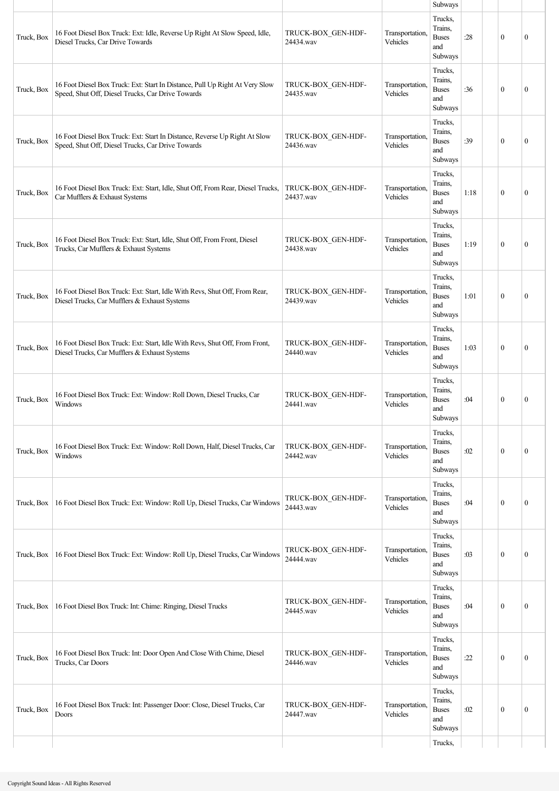|            |                                                                                                                                   |                                 |                             | Subways                                                     |      |                  |                  |
|------------|-----------------------------------------------------------------------------------------------------------------------------------|---------------------------------|-----------------------------|-------------------------------------------------------------|------|------------------|------------------|
| Truck, Box | 16 Foot Diesel Box Truck: Ext: Idle, Reverse Up Right At Slow Speed, Idle,<br>Diesel Trucks, Car Drive Towards                    | TRUCK-BOX_GEN-HDF-<br>24434.wav | Transportation,<br>Vehicles | Trucks,<br>Trains,<br><b>Buses</b><br>and<br>Subways        | :28  | $\mathbf{0}$     | $\mathbf{0}$     |
| Truck, Box | 16 Foot Diesel Box Truck: Ext: Start In Distance, Pull Up Right At Very Slow<br>Speed, Shut Off, Diesel Trucks, Car Drive Towards | TRUCK-BOX_GEN-HDF-<br>24435.wav | Transportation,<br>Vehicles | Trucks,<br>Trains,<br><b>Buses</b><br>and<br>Subways        | :36  | $\mathbf{0}$     | $\mathbf{0}$     |
| Truck, Box | 16 Foot Diesel Box Truck: Ext: Start In Distance, Reverse Up Right At Slow<br>Speed, Shut Off, Diesel Trucks, Car Drive Towards   | TRUCK-BOX_GEN-HDF-<br>24436.wav | Transportation,<br>Vehicles | Trucks,<br>Trains,<br><b>Buses</b><br>and<br>Subways        | :39  | $\theta$         | $\mathbf{0}$     |
| Truck, Box | 16 Foot Diesel Box Truck: Ext: Start, Idle, Shut Off, From Rear, Diesel Trucks,<br>Car Mufflers & Exhaust Systems                 | TRUCK-BOX GEN-HDF-<br>24437.wav | Transportation,<br>Vehicles | Trucks,<br>Trains,<br><b>Buses</b><br>and<br>Subways        | 1:18 | $\mathbf{0}$     | $\mathbf{0}$     |
| Truck, Box | 16 Foot Diesel Box Truck: Ext: Start, Idle, Shut Off, From Front, Diesel<br>Trucks, Car Mufflers & Exhaust Systems                | TRUCK-BOX_GEN-HDF-<br>24438.wav | Transportation,<br>Vehicles | Trucks,<br>Trains,<br><b>Buses</b><br>and<br>Subways        | 1:19 | $\mathbf{0}$     | $\mathbf{0}$     |
| Truck, Box | 16 Foot Diesel Box Truck: Ext: Start, Idle With Revs, Shut Off, From Rear,<br>Diesel Trucks, Car Mufflers & Exhaust Systems       | TRUCK-BOX_GEN-HDF-<br>24439.wav | Transportation,<br>Vehicles | Trucks,<br>Trains,<br><b>Buses</b><br>and<br>Subways        | 1:01 | $\mathbf{0}$     | $\theta$         |
| Truck, Box | 16 Foot Diesel Box Truck: Ext: Start, Idle With Revs, Shut Off, From Front,<br>Diesel Trucks, Car Mufflers & Exhaust Systems      | TRUCK-BOX_GEN-HDF-<br>24440.wav | Transportation,<br>Vehicles | Trucks,<br>Trains,<br><b>Buses</b><br>and<br>Subways        | 1:03 | $\theta$         | $\mathbf{0}$     |
| Truck, Box | 16 Foot Diesel Box Truck: Ext: Window: Roll Down, Diesel Trucks, Car<br>Windows                                                   | TRUCK-BOX GEN-HDF-<br>24441.wav | Transportation,<br>Vehicles | Trucks,<br>Trains,<br><b>Buses</b><br>and<br><b>Subways</b> | :04  | $\mathbf{0}$     | $\mathbf{0}$     |
| Truck, Box | 16 Foot Diesel Box Truck: Ext: Window: Roll Down, Half, Diesel Trucks, Car<br>Windows                                             | TRUCK-BOX GEN-HDF-<br>24442.wav | Transportation,<br>Vehicles | Trucks,<br>Trains,<br><b>Buses</b><br>and<br>Subways        | :02  | $\boldsymbol{0}$ | $\boldsymbol{0}$ |
| Truck, Box | 16 Foot Diesel Box Truck: Ext: Window: Roll Up, Diesel Trucks, Car Windows                                                        | TRUCK-BOX_GEN-HDF-<br>24443.wav | Transportation,<br>Vehicles | Trucks,<br>Trains,<br><b>Buses</b><br>and<br>Subways        | :04  | $\mathbf{0}$     | $\mathbf{0}$     |
| Truck, Box | 16 Foot Diesel Box Truck: Ext: Window: Roll Up, Diesel Trucks, Car Windows                                                        | TRUCK-BOX_GEN-HDF-<br>24444.wav | Transportation,<br>Vehicles | Trucks,<br>Trains,<br><b>Buses</b><br>and<br>Subways        | :03  | $\mathbf{0}$     | $\boldsymbol{0}$ |
| Truck, Box | 16 Foot Diesel Box Truck: Int: Chime: Ringing, Diesel Trucks                                                                      | TRUCK-BOX_GEN-HDF-<br>24445.wav | Transportation,<br>Vehicles | Trucks,<br>Trains,<br><b>Buses</b><br>and<br>Subways        | :04  | $\mathbf{0}$     | $\theta$         |
| Truck, Box | 16 Foot Diesel Box Truck: Int: Door Open And Close With Chime, Diesel<br>Trucks, Car Doors                                        | TRUCK-BOX_GEN-HDF-<br>24446.wav | Transportation,<br>Vehicles | Trucks,<br>Trains,<br><b>Buses</b><br>and<br>Subways        | :22  | $\mathbf{0}$     | $\boldsymbol{0}$ |
| Truck, Box | 16 Foot Diesel Box Truck: Int: Passenger Door: Close, Diesel Trucks, Car<br>Doors                                                 | TRUCK-BOX_GEN-HDF-<br>24447.wav | Transportation,<br>Vehicles | Trucks,<br>Trains,<br><b>Buses</b><br>and<br>Subways        | :02  | $\mathbf{0}$     | $\boldsymbol{0}$ |
|            |                                                                                                                                   |                                 |                             | Trucks,                                                     |      |                  |                  |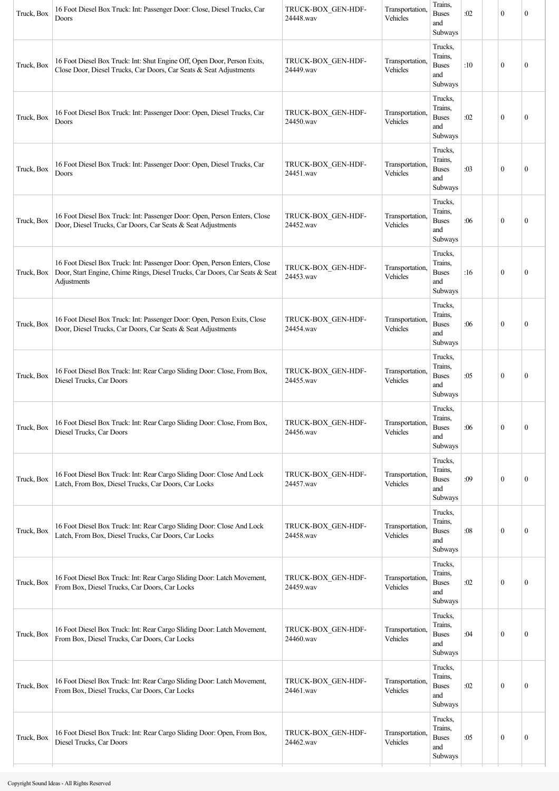| Truck, Box | 16 Foot Diesel Box Truck: Int: Passenger Door: Close, Diesel Trucks, Car<br>Doors                                                                                       | TRUCK-BOX_GEN-HDF-<br>24448.wav | Transportation.<br>Vehicles | Trains,<br><b>Buses</b><br>and<br>Subways            | :02 | $\mathbf{0}$     | $\mathbf{0}$     |
|------------|-------------------------------------------------------------------------------------------------------------------------------------------------------------------------|---------------------------------|-----------------------------|------------------------------------------------------|-----|------------------|------------------|
| Truck, Box | 16 Foot Diesel Box Truck: Int: Shut Engine Off, Open Door, Person Exits,<br>Close Door, Diesel Trucks, Car Doors, Car Seats & Seat Adjustments                          | TRUCK-BOX_GEN-HDF-<br>24449.wav | Transportation.<br>Vehicles | Trucks,<br>Trains,<br><b>Buses</b><br>and<br>Subways | :10 | $\mathbf{0}$     | $\mathbf{0}$     |
| Truck, Box | 16 Foot Diesel Box Truck: Int: Passenger Door: Open, Diesel Trucks, Car<br>Doors                                                                                        | TRUCK-BOX GEN-HDF-<br>24450.wav | Transportation,<br>Vehicles | Trucks,<br>Trains,<br><b>Buses</b><br>and<br>Subways | :02 | $\mathbf{0}$     | $\boldsymbol{0}$ |
| Truck, Box | 16 Foot Diesel Box Truck: Int: Passenger Door: Open, Diesel Trucks, Car<br>Doors                                                                                        | TRUCK-BOX_GEN-HDF-<br>24451.wav | Transportation,<br>Vehicles | Trucks,<br>Trains,<br><b>Buses</b><br>and<br>Subways | :03 | $\mathbf{0}$     | $\mathbf{0}$     |
| Truck, Box | 16 Foot Diesel Box Truck: Int: Passenger Door: Open, Person Enters, Close<br>Door, Diesel Trucks, Car Doors, Car Seats & Seat Adjustments                               | TRUCK-BOX_GEN-HDF-<br>24452.wav | Transportation.<br>Vehicles | Trucks,<br>Trains,<br><b>Buses</b><br>and<br>Subways | :06 | $\mathbf{0}$     | $\mathbf{0}$     |
| Truck, Box | 16 Foot Diesel Box Truck: Int: Passenger Door: Open, Person Enters, Close<br>Door, Start Engine, Chime Rings, Diesel Trucks, Car Doors, Car Seats & Seat<br>Adjustments | TRUCK-BOX_GEN-HDF-<br>24453.wav | Transportation.<br>Vehicles | Trucks,<br>Trains,<br><b>Buses</b><br>and<br>Subways | :16 | $\mathbf{0}$     | $\boldsymbol{0}$ |
| Truck, Box | 16 Foot Diesel Box Truck: Int: Passenger Door: Open, Person Exits, Close<br>Door, Diesel Trucks, Car Doors, Car Seats & Seat Adjustments                                | TRUCK-BOX GEN-HDF-<br>24454.wav | Transportation.<br>Vehicles | Trucks,<br>Trains,<br><b>Buses</b><br>and<br>Subways | :06 | $\theta$         | $\mathbf{0}$     |
| Truck, Box | 16 Foot Diesel Box Truck: Int: Rear Cargo Sliding Door: Close, From Box,<br>Diesel Trucks, Car Doors                                                                    | TRUCK-BOX_GEN-HDF-<br>24455.wav | Transportation,<br>Vehicles | Trucks,<br>Trains,<br><b>Buses</b><br>and<br>Subways | :05 | $\mathbf{0}$     | $\boldsymbol{0}$ |
| Truck, Box | 16 Foot Diesel Box Truck: Int: Rear Cargo Sliding Door: Close, From Box,<br>Diesel Trucks, Car Doors                                                                    | TRUCK-BOX_GEN-HDF-<br>24456.wav | Transportation,<br>Vehicles | Trucks,<br>Trains,<br><b>Buses</b><br>and<br>Subways | :06 | $\boldsymbol{0}$ | $\boldsymbol{0}$ |
| Truck, Box | 16 Foot Diesel Box Truck: Int: Rear Cargo Sliding Door: Close And Lock<br>Latch, From Box, Diesel Trucks, Car Doors, Car Locks                                          | TRUCK-BOX_GEN-HDF-<br>24457.wav | Transportation,<br>Vehicles | Trucks,<br>Trains,<br><b>Buses</b><br>and<br>Subways | :09 | $\boldsymbol{0}$ | $\boldsymbol{0}$ |
| Truck, Box | 16 Foot Diesel Box Truck: Int: Rear Cargo Sliding Door: Close And Lock<br>Latch, From Box, Diesel Trucks, Car Doors, Car Locks                                          | TRUCK-BOX_GEN-HDF-<br>24458.wav | Transportation.<br>Vehicles | Trucks,<br>Trains,<br><b>Buses</b><br>and<br>Subways | :08 | $\mathbf{0}$     | $\boldsymbol{0}$ |
| Truck, Box | 16 Foot Diesel Box Truck: Int: Rear Cargo Sliding Door: Latch Movement,<br>From Box, Diesel Trucks, Car Doors, Car Locks                                                | TRUCK-BOX_GEN-HDF-<br>24459.wav | Transportation.<br>Vehicles | Trucks,<br>Trains,<br><b>Buses</b><br>and<br>Subways | :02 | $\mathbf{0}$     | $\boldsymbol{0}$ |
| Truck, Box | 16 Foot Diesel Box Truck: Int: Rear Cargo Sliding Door: Latch Movement,<br>From Box, Diesel Trucks, Car Doors, Car Locks                                                | TRUCK-BOX GEN-HDF-<br>24460.wav | Transportation,<br>Vehicles | Trucks,<br>Trains,<br><b>Buses</b><br>and<br>Subways | :04 | $\mathbf{0}$     | $\boldsymbol{0}$ |
| Truck, Box | 16 Foot Diesel Box Truck: Int: Rear Cargo Sliding Door: Latch Movement,<br>From Box, Diesel Trucks, Car Doors, Car Locks                                                | TRUCK-BOX_GEN-HDF-<br>24461.wav | Transportation<br>Vehicles  | Trucks,<br>Trains,<br><b>Buses</b><br>and<br>Subways | :02 | $\mathbf{0}$     | $\overline{0}$   |
| Truck, Box | 16 Foot Diesel Box Truck: Int: Rear Cargo Sliding Door: Open, From Box,<br>Diesel Trucks, Car Doors                                                                     | TRUCK-BOX_GEN-HDF-<br>24462.wav | Transportation.<br>Vehicles | Trucks,<br>Trains,<br><b>Buses</b><br>and<br>Subways | :05 | $\boldsymbol{0}$ | $\boldsymbol{0}$ |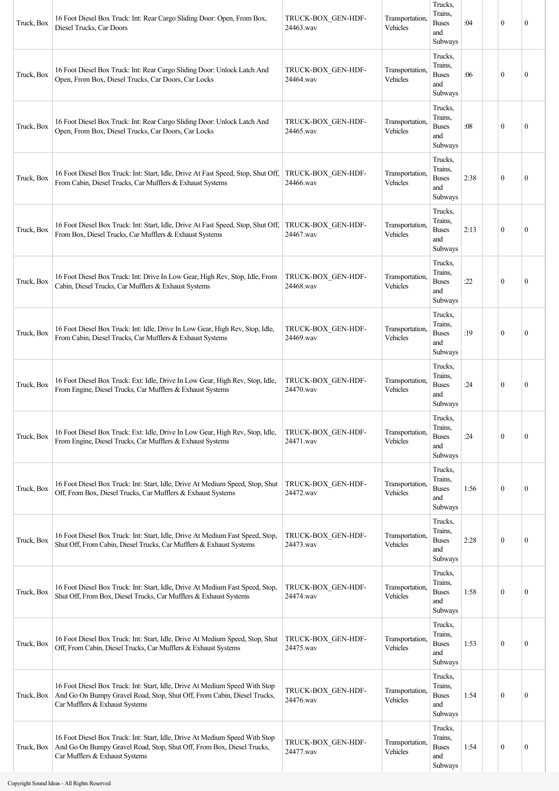| Truck, Box | 16 Foot Diesel Box Truck: Int: Rear Cargo Sliding Door: Open, From Box,<br>Diesel Trucks, Car Doors                                                                                      | TRUCK-BOX_GEN-HDF-<br>24463.wav | Transportation.<br>Vehicles | Trucks,<br>Trains.<br><b>Buses</b><br>and<br>Subways | :04  | $\mathbf{0}$     | $\mathbf{0}$     |
|------------|------------------------------------------------------------------------------------------------------------------------------------------------------------------------------------------|---------------------------------|-----------------------------|------------------------------------------------------|------|------------------|------------------|
| Truck, Box | 16 Foot Diesel Box Truck: Int: Rear Cargo Sliding Door: Unlock Latch And<br>Open, From Box, Diesel Trucks, Car Doors, Car Locks                                                          | TRUCK-BOX GEN-HDF-<br>24464.wav | Transportation,<br>Vehicles | Trucks,<br>Trains,<br><b>Buses</b><br>and<br>Subways | :06  | $\mathbf{0}$     | $\mathbf{0}$     |
| Truck, Box | 16 Foot Diesel Box Truck: Int: Rear Cargo Sliding Door: Unlock Latch And<br>Open, From Box, Diesel Trucks, Car Doors, Car Locks                                                          | TRUCK-BOX_GEN-HDF-<br>24465.wav | Transportation,<br>Vehicles | Trucks,<br>Trains,<br><b>Buses</b><br>and<br>Subways | :08  | $\mathbf{0}$     | $\mathbf{0}$     |
| Truck, Box | 16 Foot Diesel Box Truck: Int: Start, Idle, Drive At Fast Speed, Stop, Shut Off,<br>From Cabin, Diesel Trucks, Car Mufflers & Exhaust Systems                                            | TRUCK-BOX_GEN-HDF-<br>24466.wav | Transportation,<br>Vehicles | Trucks,<br>Trains,<br><b>Buses</b><br>and<br>Subways | 2:38 | $\mathbf{0}$     | $\mathbf{0}$     |
| Truck, Box | 16 Foot Diesel Box Truck: Int: Start, Idle, Drive At Fast Speed, Stop, Shut Off, TRUCK-BOX GEN-HDF-<br>From Box, Diesel Trucks, Car Mufflers & Exhaust Systems                           | 24467.wav                       | Transportation,<br>Vehicles | Trucks,<br>Trains,<br><b>Buses</b><br>and<br>Subways | 2:13 | $\mathbf{0}$     | $\mathbf{0}$     |
| Truck, Box | 16 Foot Diesel Box Truck: Int: Drive In Low Gear, High Rev, Stop, Idle, From<br>Cabin, Diesel Trucks, Car Mufflers & Exhaust Systems                                                     | TRUCK-BOX_GEN-HDF-<br>24468.wav | Transportation,<br>Vehicles | Trucks,<br>Trains,<br><b>Buses</b><br>and<br>Subways | :22  | $\theta$         | $\boldsymbol{0}$ |
| Truck, Box | 16 Foot Diesel Box Truck: Int: Idle, Drive In Low Gear, High Rev, Stop, Idle,<br>From Cabin, Diesel Trucks, Car Mufflers & Exhaust Systems                                               | TRUCK-BOX GEN-HDF-<br>24469.wav | Transportation,<br>Vehicles | Trucks,<br>Trains,<br><b>Buses</b><br>and<br>Subways | :19  | $\mathbf{0}$     | $\mathbf{0}$     |
| Truck, Box | 16 Foot Diesel Box Truck: Ext: Idle, Drive In Low Gear, High Rev, Stop, Idle,<br>From Engine, Diesel Trucks, Car Mufflers & Exhaust Systems                                              | TRUCK-BOX_GEN-HDF-<br>24470.wav | Transportation,<br>Vehicles | Trucks,<br>Trains.<br><b>Buses</b><br>and<br>Subways | :24  | $\mathbf{0}$     | $\mathbf{0}$     |
| Truck, Box | 16 Foot Diesel Box Truck: Ext: Idle, Drive In Low Gear, High Rev, Stop, Idle,<br>From Engine, Diesel Trucks, Car Mufflers & Exhaust Systems                                              | TRUCK-BOX GEN-HDF-<br>24471.wav | Transportation,<br>Vehicles | Trucks,<br>Trains,<br><b>Buses</b><br>and<br>Subways | :24  | $\mathbf{0}$     | $\mathbf{0}$     |
| Truck, Box | 16 Foot Diesel Box Truck: Int: Start, Idle, Drive At Medium Speed, Stop, Shut<br>Off, From Box, Diesel Trucks, Car Mufflers & Exhaust Systems                                            | TRUCK-BOX_GEN-HDF-<br>24472.wav | Transportation,<br>Vehicles | Trucks,<br>Trains,<br><b>Buses</b><br>and<br>Subways | 1:56 | $\mathbf{0}$     | $\mathbf{0}$     |
| Truck, Box | 16 Foot Diesel Box Truck: Int: Start, Idle, Drive At Medium Fast Speed, Stop,<br>Shut Off, From Cabin, Diesel Trucks, Car Mufflers & Exhaust Systems                                     | TRUCK-BOX_GEN-HDF-<br>24473.wav | Transportation,<br>Vehicles | Trucks,<br>Trains,<br><b>Buses</b><br>and<br>Subways | 2:28 | $\mathbf{0}$     | $\boldsymbol{0}$ |
| Truck, Box | 16 Foot Diesel Box Truck: Int: Start, Idle, Drive At Medium Fast Speed, Stop,<br>Shut Off, From Box, Diesel Trucks, Car Mufflers & Exhaust Systems                                       | TRUCK-BOX_GEN-HDF-<br>24474.wav | Transportation,<br>Vehicles | Trucks,<br>Trains,<br><b>Buses</b><br>and<br>Subways | 1:58 | $\mathbf{0}$     | $\boldsymbol{0}$ |
| Truck, Box | 16 Foot Diesel Box Truck: Int: Start, Idle, Drive At Medium Speed, Stop, Shut<br>Off, From Cabin, Diesel Trucks, Car Mufflers & Exhaust Systems                                          | TRUCK-BOX_GEN-HDF-<br>24475.wav | Transportation,<br>Vehicles | Trucks,<br>Trains,<br><b>Buses</b><br>and<br>Subways | 1:53 | $\mathbf{0}$     | $\boldsymbol{0}$ |
| Truck, Box | 16 Foot Diesel Box Truck: Int: Start, Idle, Drive At Medium Speed With Stop<br>And Go On Bumpy Gravel Road, Stop, Shut Off, From Cabin, Diesel Trucks,<br>Car Mufflers & Exhaust Systems | TRUCK-BOX_GEN-HDF-<br>24476.wav | Transportation,<br>Vehicles | Trucks,<br>Trains,<br><b>Buses</b><br>and<br>Subways | 1:54 | $\mathbf{0}$     | $\mathbf{0}$     |
| Truck, Box | 16 Foot Diesel Box Truck: Int: Start, Idle, Drive At Medium Speed With Stop<br>And Go On Bumpy Gravel Road, Stop, Shut Off, From Box, Diesel Trucks,<br>Car Mufflers & Exhaust Systems   | TRUCK-BOX_GEN-HDF-<br>24477.wav | Transportation,<br>Vehicles | Trucks,<br>Trains,<br><b>Buses</b><br>and<br>Subways | 1:54 | $\boldsymbol{0}$ | $\boldsymbol{0}$ |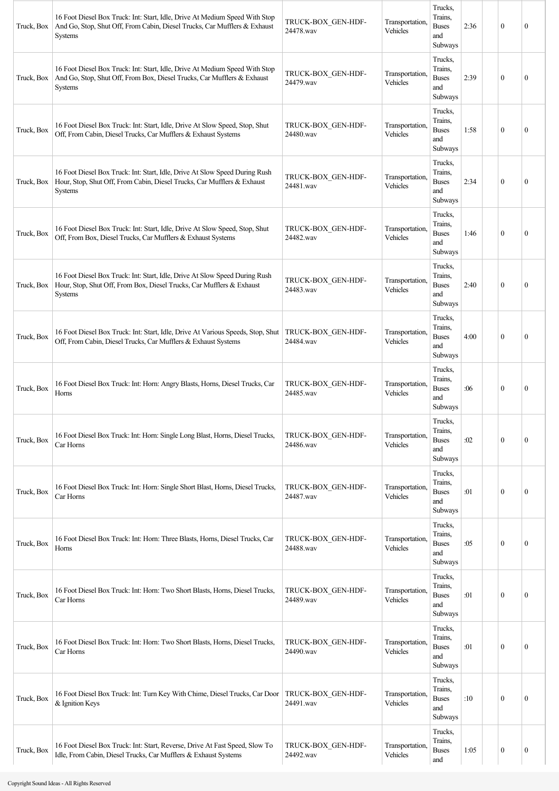| Truck, Box | 16 Foot Diesel Box Truck: Int: Start, Idle, Drive At Medium Speed With Stop<br>And Go, Stop, Shut Off, From Cabin, Diesel Trucks, Car Mufflers & Exhaust<br><b>Systems</b> | TRUCK-BOX GEN-HDF-<br>24478.wav | Transportation.<br>Vehicles | Trucks,<br>Trains,<br><b>Buses</b><br>and<br>Subways | 2:36 | $\theta$         | $\mathbf{0}$     |
|------------|----------------------------------------------------------------------------------------------------------------------------------------------------------------------------|---------------------------------|-----------------------------|------------------------------------------------------|------|------------------|------------------|
| Truck, Box | 16 Foot Diesel Box Truck: Int: Start, Idle, Drive At Medium Speed With Stop<br>And Go, Stop, Shut Off, From Box, Diesel Trucks, Car Mufflers & Exhaust<br><b>Systems</b>   | TRUCK-BOX GEN-HDF-<br>24479.wav | Transportation,<br>Vehicles | Trucks,<br>Trains,<br><b>Buses</b><br>and<br>Subways | 2:39 | $\theta$         | $\boldsymbol{0}$ |
| Truck, Box | 16 Foot Diesel Box Truck: Int: Start, Idle, Drive At Slow Speed, Stop, Shut<br>Off, From Cabin, Diesel Trucks, Car Mufflers & Exhaust Systems                              | TRUCK-BOX GEN-HDF-<br>24480.wav | Transportation.<br>Vehicles | Trucks,<br>Trains,<br><b>Buses</b><br>and<br>Subways | 1:58 | $\mathbf{0}$     | $\mathbf{0}$     |
| Truck, Box | 16 Foot Diesel Box Truck: Int: Start, Idle, Drive At Slow Speed During Rush<br>Hour, Stop, Shut Off, From Cabin, Diesel Trucks, Car Mufflers & Exhaust<br><b>Systems</b>   | TRUCK-BOX_GEN-HDF-<br>24481.wav | Transportation,<br>Vehicles | Trucks,<br>Trains,<br><b>Buses</b><br>and<br>Subways | 2:34 | $\mathbf{0}$     | $\boldsymbol{0}$ |
| Truck, Box | 16 Foot Diesel Box Truck: Int: Start, Idle, Drive At Slow Speed, Stop, Shut<br>Off, From Box, Diesel Trucks, Car Mufflers & Exhaust Systems                                | TRUCK-BOX GEN-HDF-<br>24482.wav | Transportation,<br>Vehicles | Trucks,<br>Trains,<br><b>Buses</b><br>and<br>Subways | 1:46 | $\mathbf{0}$     | $\mathbf{0}$     |
| Truck, Box | 16 Foot Diesel Box Truck: Int: Start, Idle, Drive At Slow Speed During Rush<br>Hour, Stop, Shut Off, From Box, Diesel Trucks, Car Mufflers & Exhaust<br>Systems            | TRUCK-BOX GEN-HDF-<br>24483.wav | Transportation,<br>Vehicles | Trucks,<br>Trains,<br><b>Buses</b><br>and<br>Subways | 2:40 | $\mathbf{0}$     | $\boldsymbol{0}$ |
| Truck, Box | 16 Foot Diesel Box Truck: Int: Start, Idle, Drive At Various Speeds, Stop, Shut<br>Off, From Cabin, Diesel Trucks, Car Mufflers & Exhaust Systems                          | TRUCK-BOX GEN-HDF-<br>24484.wav | Transportation,<br>Vehicles | Trucks,<br>Trains,<br><b>Buses</b><br>and<br>Subways | 4:00 | $\theta$         | $\boldsymbol{0}$ |
| Truck, Box | 16 Foot Diesel Box Truck: Int: Horn: Angry Blasts, Horns, Diesel Trucks, Car<br>Horns                                                                                      | TRUCK-BOX GEN-HDF-<br>24485.wav | Transportation,<br>Vehicles | Trucks,<br>Trains,<br><b>Buses</b><br>and<br>Subways | :06  | $\theta$         | $\mathbf{0}$     |
| Truck, Box | 16 Foot Diesel Box Truck: Int: Horn: Single Long Blast, Horns, Diesel Trucks,<br>Car Horns                                                                                 | TRUCK-BOX GEN-HDF-<br>24486.wav | Transportation.<br>Vehicles | Trucks,<br>Trains,<br><b>Buses</b><br>and<br>Subways | :02  | $\mathbf{0}$     | $\boldsymbol{0}$ |
| Truck, Box | 16 Foot Diesel Box Truck: Int: Horn: Single Short Blast, Horns, Diesel Trucks,<br>Car Horns                                                                                | TRUCK-BOX GEN-HDF-<br>24487.wav | Transportation,<br>Vehicles | Trucks,<br>Trains,<br><b>Buses</b><br>and<br>Subways | :01  | $\mathbf{0}$     | 0                |
| Truck, Box | 16 Foot Diesel Box Truck: Int: Horn: Three Blasts, Horns, Diesel Trucks, Car<br>Horns                                                                                      | TRUCK-BOX GEN-HDF-<br>24488.wav | Transportation,<br>Vehicles | Trucks,<br>Trains,<br><b>Buses</b><br>and<br>Subways | :05  | $\boldsymbol{0}$ | $\boldsymbol{0}$ |
| Truck, Box | 16 Foot Diesel Box Truck: Int: Horn: Two Short Blasts, Horns, Diesel Trucks,<br>Car Horns                                                                                  | TRUCK-BOX_GEN-HDF-<br>24489.wav | Transportation.<br>Vehicles | Trucks,<br>Trains,<br><b>Buses</b><br>and<br>Subways | :01  | $\mathbf{0}$     | $\boldsymbol{0}$ |
| Truck, Box | 16 Foot Diesel Box Truck: Int: Horn: Two Short Blasts, Horns, Diesel Trucks,<br>Car Horns                                                                                  | TRUCK-BOX GEN-HDF-<br>24490.wav | Transportation.<br>Vehicles | Trucks,<br>Trains,<br><b>Buses</b><br>and<br>Subways | :01  | $\mathbf{0}$     | $\boldsymbol{0}$ |
| Truck, Box | 16 Foot Diesel Box Truck: Int: Turn Key With Chime, Diesel Trucks, Car Door<br>& Ignition Keys                                                                             | TRUCK-BOX GEN-HDF-<br>24491.wav | Transportation.<br>Vehicles | Trucks,<br>Trains,<br><b>Buses</b><br>and<br>Subways | :10  | $\mathbf{0}$     | $\boldsymbol{0}$ |
| Truck, Box | 16 Foot Diesel Box Truck: Int: Start, Reverse, Drive At Fast Speed, Slow To<br>Idle, From Cabin, Diesel Trucks, Car Mufflers & Exhaust Systems                             | TRUCK-BOX_GEN-HDF-<br>24492.wav | Transportation,<br>Vehicles | Trucks,<br>Trains,<br><b>Buses</b><br>and            | 1:05 | $\bf{0}$         | $\boldsymbol{0}$ |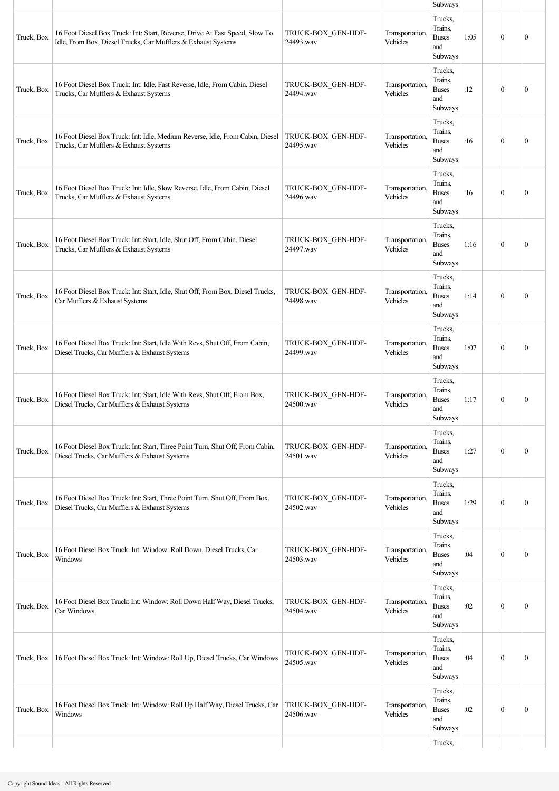|            |                                                                                                                                              |                                 |                             | Subways                                                     |      |              |                  |
|------------|----------------------------------------------------------------------------------------------------------------------------------------------|---------------------------------|-----------------------------|-------------------------------------------------------------|------|--------------|------------------|
| Truck, Box | 16 Foot Diesel Box Truck: Int: Start, Reverse, Drive At Fast Speed, Slow To<br>Idle, From Box, Diesel Trucks, Car Mufflers & Exhaust Systems | TRUCK-BOX GEN-HDF-<br>24493.wav | Transportation,<br>Vehicles | Trucks,<br>Trains,<br><b>Buses</b><br>and<br>Subways        | 1:05 | $\mathbf{0}$ | $\mathbf{0}$     |
| Truck, Box | 16 Foot Diesel Box Truck: Int: Idle, Fast Reverse, Idle, From Cabin, Diesel<br>Trucks, Car Mufflers & Exhaust Systems                        | TRUCK-BOX_GEN-HDF-<br>24494.wav | Transportation,<br>Vehicles | Trucks,<br>Trains,<br><b>Buses</b><br>and<br>Subways        | :12  | $\mathbf{0}$ | $\mathbf{0}$     |
| Truck, Box | 16 Foot Diesel Box Truck: Int: Idle, Medium Reverse, Idle, From Cabin, Diesel<br>Trucks, Car Mufflers & Exhaust Systems                      | TRUCK-BOX GEN-HDF-<br>24495.wav | Transportation,<br>Vehicles | Trucks,<br>Trains,<br><b>Buses</b><br>and<br>Subways        | :16  | $\theta$     | $\mathbf{0}$     |
| Truck, Box | 16 Foot Diesel Box Truck: Int: Idle, Slow Reverse, Idle, From Cabin, Diesel<br>Trucks, Car Mufflers & Exhaust Systems                        | TRUCK-BOX GEN-HDF-<br>24496.wav | Transportation,<br>Vehicles | Trucks,<br>Trains,<br><b>Buses</b><br>and<br>Subways        | :16  | $\mathbf{0}$ | $\mathbf{0}$     |
| Truck, Box | 16 Foot Diesel Box Truck: Int: Start, Idle, Shut Off, From Cabin, Diesel<br>Trucks, Car Mufflers & Exhaust Systems                           | TRUCK-BOX GEN-HDF-<br>24497.wav | Transportation.<br>Vehicles | Trucks,<br>Trains.<br><b>Buses</b><br>and<br>Subways        | 1:16 | $\mathbf{0}$ | $\mathbf{0}$     |
| Truck, Box | 16 Foot Diesel Box Truck: Int: Start, Idle, Shut Off, From Box, Diesel Trucks,<br>Car Mufflers & Exhaust Systems                             | TRUCK-BOX GEN-HDF-<br>24498.wav | Transportation.<br>Vehicles | Trucks,<br>Trains,<br><b>Buses</b><br>and<br>Subways        | 1:14 | $\mathbf{0}$ | $\theta$         |
| Truck, Box | 16 Foot Diesel Box Truck: Int: Start, Idle With Revs, Shut Off, From Cabin,<br>Diesel Trucks, Car Mufflers & Exhaust Systems                 | TRUCK-BOX_GEN-HDF-<br>24499.wav | Transportation,<br>Vehicles | Trucks,<br>Trains,<br><b>Buses</b><br>and<br>Subways        | 1:07 | $\theta$     | $\mathbf{0}$     |
| Truck, Box | 16 Foot Diesel Box Truck: Int: Start, Idle With Revs, Shut Off, From Box,<br>Diesel Trucks, Car Mufflers & Exhaust Systems                   | TRUCK-BOX GEN-HDF-<br>24500.wav | Transportation,<br>Vehicles | Trucks,<br>Trains,<br><b>Buses</b><br>and<br><b>Subways</b> | 1:17 | $\mathbf{0}$ | $\mathbf{0}$     |
| Truck, Box | 16 Foot Diesel Box Truck: Int: Start, Three Point Turn, Shut Off, From Cabin,<br>Diesel Trucks, Car Mufflers & Exhaust Systems               | TRUCK-BOX GEN-HDF-<br>24501.wav | Transportation.<br>Vehicles | Trucks,<br>Trains,<br><b>Buses</b><br>and<br>Subways        | 1:27 | $\mathbf{0}$ | $\boldsymbol{0}$ |
| Truck, Box | 16 Foot Diesel Box Truck: Int: Start, Three Point Turn, Shut Off, From Box,<br>Diesel Trucks, Car Mufflers & Exhaust Systems                 | TRUCK-BOX_GEN-HDF-<br>24502.wav | Transportation,<br>Vehicles | Trucks,<br>Trains,<br><b>Buses</b><br>and<br>Subways        | 1:29 | $\mathbf{0}$ | $\mathbf{0}$     |
| Truck, Box | 16 Foot Diesel Box Truck: Int: Window: Roll Down, Diesel Trucks, Car<br>Windows                                                              | TRUCK-BOX GEN-HDF-<br>24503.wav | Transportation.<br>Vehicles | Trucks,<br>Trains,<br><b>Buses</b><br>and<br>Subways        | :04  | $\mathbf{0}$ | $\mathbf{0}$     |
| Truck, Box | 16 Foot Diesel Box Truck: Int: Window: Roll Down Half Way, Diesel Trucks,<br>Car Windows                                                     | TRUCK-BOX GEN-HDF-<br>24504.wav | Transportation.<br>Vehicles | Trucks,<br>Trains,<br><b>Buses</b><br>and<br>Subways        | :02  | $\mathbf{0}$ | $\theta$         |
| Truck, Box | 16 Foot Diesel Box Truck: Int: Window: Roll Up, Diesel Trucks, Car Windows                                                                   | TRUCK-BOX_GEN-HDF-<br>24505.wav | Transportation,<br>Vehicles | Trucks,<br>Trains,<br><b>Buses</b><br>and<br>Subways        | :04  | $\mathbf{0}$ | $\boldsymbol{0}$ |
| Truck, Box | 16 Foot Diesel Box Truck: Int: Window: Roll Up Half Way, Diesel Trucks, Car<br>Windows                                                       | TRUCK-BOX GEN-HDF-<br>24506.wav | Transportation,<br>Vehicles | Trucks,<br>Trains,<br><b>Buses</b><br>and<br>Subways        | :02  | $\mathbf{0}$ | $\boldsymbol{0}$ |
|            |                                                                                                                                              |                                 |                             | Trucks,                                                     |      |              |                  |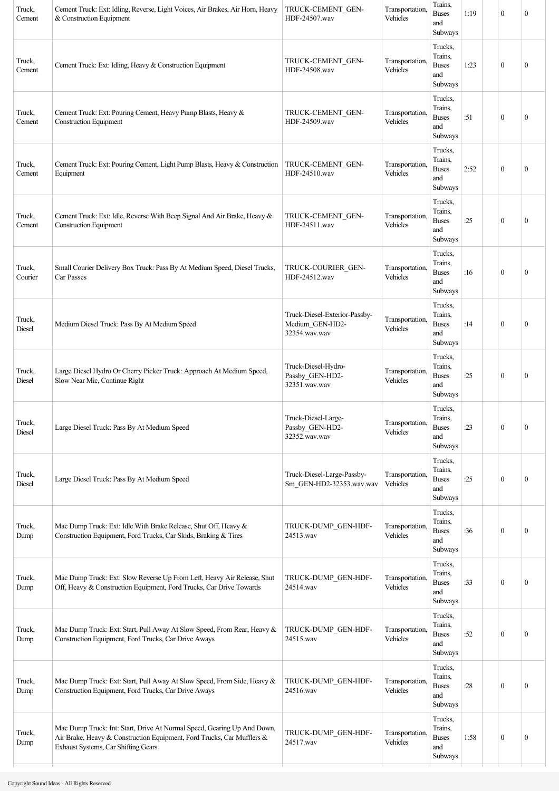| Truck,<br>Cement  | Cement Truck: Ext: Idling, Reverse, Light Voices, Air Brakes, Air Horn, Heavy<br>& Construction Equipment                                                                                | TRUCK-CEMENT GEN-<br>HDF-24507.wav                                | Transportation,<br>Vehicles | Trains,<br><b>Buses</b><br>and<br>Subways            | 1:19 | $\mathbf{0}$     | $\theta$         |
|-------------------|------------------------------------------------------------------------------------------------------------------------------------------------------------------------------------------|-------------------------------------------------------------------|-----------------------------|------------------------------------------------------|------|------------------|------------------|
| Truck,<br>Cement  | Cement Truck: Ext: Idling, Heavy & Construction Equipment                                                                                                                                | TRUCK-CEMENT GEN-<br>HDF-24508.wav                                | Transportation.<br>Vehicles | Trucks,<br>Trains,<br><b>Buses</b><br>and<br>Subways | 1:23 | $\mathbf{0}$     | $\theta$         |
| Truck,<br>Cement  | Cement Truck: Ext: Pouring Cement, Heavy Pump Blasts, Heavy &<br><b>Construction Equipment</b>                                                                                           | TRUCK-CEMENT GEN-<br>HDF-24509.wav                                | Transportation,<br>Vehicles | Trucks,<br>Trains,<br><b>Buses</b><br>and<br>Subways | :51  | $\mathbf{0}$     | $\boldsymbol{0}$ |
| Truck,<br>Cement  | Cement Truck: Ext: Pouring Cement, Light Pump Blasts, Heavy & Construction<br>Equipment                                                                                                  | TRUCK-CEMENT GEN-<br>HDF-24510.wav                                | Transportation,<br>Vehicles | Trucks,<br>Trains,<br><b>Buses</b><br>and<br>Subways | 2:52 | $\mathbf{0}$     | $\mathbf{0}$     |
| Truck,<br>Cement  | Cement Truck: Ext: Idle, Reverse With Beep Signal And Air Brake, Heavy &<br><b>Construction Equipment</b>                                                                                | TRUCK-CEMENT GEN-<br>HDF-24511.wav                                | Transportation.<br>Vehicles | Trucks,<br>Trains,<br><b>Buses</b><br>and<br>Subways | :25  | $\mathbf{0}$     | $\mathbf{0}$     |
| Truck,<br>Courier | Small Courier Delivery Box Truck: Pass By At Medium Speed, Diesel Trucks,<br>Car Passes                                                                                                  | TRUCK-COURIER GEN-<br>HDF-24512.wav                               | Transportation.<br>Vehicles | Trucks,<br>Trains,<br><b>Buses</b><br>and<br>Subways | :16  | $\mathbf{0}$     | $\boldsymbol{0}$ |
| Truck,<br>Diesel  | Medium Diesel Truck: Pass By At Medium Speed                                                                                                                                             | Truck-Diesel-Exterior-Passby-<br>Medium_GEN-HD2-<br>32354.wav.wav | Transportation,<br>Vehicles | Trucks,<br>Trains,<br><b>Buses</b><br>and<br>Subways | :14  | $\mathbf{0}$     | $\theta$         |
| Truck,<br>Diesel  | Large Diesel Hydro Or Cherry Picker Truck: Approach At Medium Speed,<br>Slow Near Mic, Continue Right                                                                                    | Truck-Diesel-Hydro-<br>Passby_GEN-HD2-<br>32351.wav.wav           | Transportation,<br>Vehicles | Trucks,<br>Trains,<br><b>Buses</b><br>and<br>Subways | :25  | $\mathbf{0}$     | $\boldsymbol{0}$ |
| Truck,<br>Diesel  | Large Diesel Truck: Pass By At Medium Speed                                                                                                                                              | Truck-Diesel-Large-<br>Passby_GEN-HD2-<br>32352.wav.wav           | Transportation,<br>Vehicles | Trucks,<br>Trains,<br><b>Buses</b><br>and<br>Subways | :23  | $\boldsymbol{0}$ | $\boldsymbol{0}$ |
| Truck,<br>Diesel  | Large Diesel Truck: Pass By At Medium Speed                                                                                                                                              | Truck-Diesel-Large-Passby-<br>Sm_GEN-HD2-32353.wav.wav            | Transportation,<br>Vehicles | Trucks,<br>Trains,<br><b>Buses</b><br>and<br>Subways | :25  | $\boldsymbol{0}$ | $\boldsymbol{0}$ |
| Truck,<br>Dump    | Mac Dump Truck: Ext: Idle With Brake Release, Shut Off, Heavy &<br>Construction Equipment, Ford Trucks, Car Skids, Braking & Tires                                                       | TRUCK-DUMP_GEN-HDF-<br>24513.wav                                  | Transportation,<br>Vehicles | Trucks,<br>Trains,<br><b>Buses</b><br>and<br>Subways | :36  | $\mathbf{0}$     | $\boldsymbol{0}$ |
| Truck,<br>Dump    | Mac Dump Truck: Ext: Slow Reverse Up From Left, Heavy Air Release, Shut<br>Off, Heavy & Construction Equipment, Ford Trucks, Car Drive Towards                                           | TRUCK-DUMP_GEN-HDF-<br>24514.wav                                  | Transportation.<br>Vehicles | Trucks,<br>Trains,<br><b>Buses</b><br>and<br>Subways | :33  | $\boldsymbol{0}$ | $\bf{0}$         |
| Truck,<br>Dump    | Mac Dump Truck: Ext: Start, Pull Away At Slow Speed, From Rear, Heavy &<br>Construction Equipment, Ford Trucks, Car Drive Aways                                                          | TRUCK-DUMP GEN-HDF-<br>24515.wav                                  | Transportation,<br>Vehicles | Trucks,<br>Trains,<br><b>Buses</b><br>and<br>Subways | :52  | $\mathbf{0}$     | $\boldsymbol{0}$ |
| Truck,<br>Dump    | Mac Dump Truck: Ext: Start, Pull Away At Slow Speed, From Side, Heavy &<br>Construction Equipment, Ford Trucks, Car Drive Aways                                                          | TRUCK-DUMP_GEN-HDF-<br>24516.wav                                  | Transportation,<br>Vehicles | Trucks,<br>Trains,<br><b>Buses</b><br>and<br>Subways | :28  | $\mathbf{0}$     | $\overline{0}$   |
| Truck,<br>Dump    | Mac Dump Truck: Int: Start, Drive At Normal Speed, Gearing Up And Down,<br>Air Brake, Heavy & Construction Equipment, Ford Trucks, Car Mufflers &<br>Exhaust Systems, Car Shifting Gears | TRUCK-DUMP_GEN-HDF-<br>24517.wav                                  | Transportation,<br>Vehicles | Trucks,<br>Trains,<br><b>Buses</b><br>and<br>Subways | 1:58 | $\boldsymbol{0}$ | $\boldsymbol{0}$ |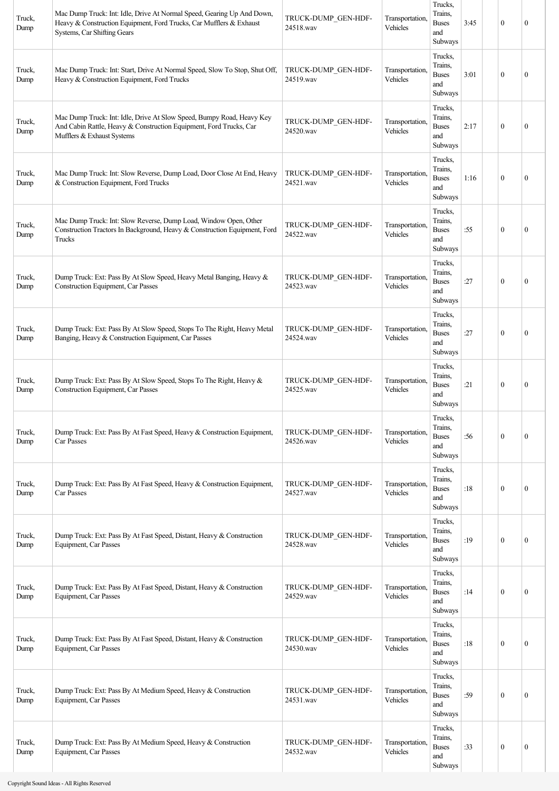| Truck,<br>Dump | Mac Dump Truck: Int: Idle, Drive At Normal Speed, Gearing Up And Down,<br>Heavy & Construction Equipment, Ford Trucks, Car Mufflers & Exhaust<br>Systems, Car Shifting Gears | TRUCK-DUMP_GEN-HDF-<br>24518.wav | Transportation,<br>Vehicles | Trucks,<br>Trains.<br><b>Buses</b><br>and<br>Subways | 3:45 | $\boldsymbol{0}$ | $\mathbf{0}$     |
|----------------|------------------------------------------------------------------------------------------------------------------------------------------------------------------------------|----------------------------------|-----------------------------|------------------------------------------------------|------|------------------|------------------|
| Truck,<br>Dump | Mac Dump Truck: Int: Start, Drive At Normal Speed, Slow To Stop, Shut Off,<br>Heavy & Construction Equipment, Ford Trucks                                                    | TRUCK-DUMP GEN-HDF-<br>24519.wav | Transportation,<br>Vehicles | Trucks,<br>Trains.<br><b>Buses</b><br>and<br>Subways | 3:01 | $\mathbf{0}$     | $\mathbf{0}$     |
| Truck,<br>Dump | Mac Dump Truck: Int: Idle, Drive At Slow Speed, Bumpy Road, Heavy Key<br>And Cabin Rattle, Heavy & Construction Equipment, Ford Trucks, Car<br>Mufflers & Exhaust Systems    | TRUCK-DUMP_GEN-HDF-<br>24520.wav | Transportation,<br>Vehicles | Trucks,<br>Trains,<br><b>Buses</b><br>and<br>Subways | 2:17 | $\boldsymbol{0}$ | $\overline{0}$   |
| Truck,<br>Dump | Mac Dump Truck: Int: Slow Reverse, Dump Load, Door Close At End, Heavy<br>& Construction Equipment, Ford Trucks                                                              | TRUCK-DUMP_GEN-HDF-<br>24521.wav | Transportation,<br>Vehicles | Trucks,<br>Trains,<br><b>Buses</b><br>and<br>Subways | 1:16 | $\boldsymbol{0}$ | $\mathbf{0}$     |
| Truck,<br>Dump | Mac Dump Truck: Int: Slow Reverse, Dump Load, Window Open, Other<br>Construction Tractors In Background, Heavy & Construction Equipment, Ford<br>Trucks                      | TRUCK-DUMP_GEN-HDF-<br>24522.wav | Transportation,<br>Vehicles | Trucks,<br>Trains,<br><b>Buses</b><br>and<br>Subways | :55  | $\boldsymbol{0}$ | $\mathbf{0}$     |
| Truck,<br>Dump | Dump Truck: Ext: Pass By At Slow Speed, Heavy Metal Banging, Heavy &<br>Construction Equipment, Car Passes                                                                   | TRUCK-DUMP_GEN-HDF-<br>24523.wav | Transportation,<br>Vehicles | Trucks,<br>Trains,<br><b>Buses</b><br>and<br>Subways | :27  | $\theta$         | $\mathbf{0}$     |
| Truck,<br>Dump | Dump Truck: Ext: Pass By At Slow Speed, Stops To The Right, Heavy Metal<br>Banging, Heavy & Construction Equipment, Car Passes                                               | TRUCK-DUMP_GEN-HDF-<br>24524.wav | Transportation,<br>Vehicles | Trucks,<br>Trains,<br><b>Buses</b><br>and<br>Subways | :27  | $\boldsymbol{0}$ | $\mathbf{0}$     |
| Truck,<br>Dump | Dump Truck: Ext: Pass By At Slow Speed, Stops To The Right, Heavy &<br>Construction Equipment, Car Passes                                                                    | TRUCK-DUMP_GEN-HDF-<br>24525.wav | Transportation,<br>Vehicles | Trucks,<br>Trains.<br><b>Buses</b><br>and<br>Subways | :21  | $\boldsymbol{0}$ | $\mathbf{0}$     |
| Truck,<br>Dump | Dump Truck: Ext: Pass By At Fast Speed, Heavy & Construction Equipment,<br>Car Passes                                                                                        | TRUCK-DUMP_GEN-HDF-<br>24526.wav | Transportation,<br>Vehicles | Trucks,<br>Trains,<br><b>Buses</b><br>and<br>Subways | :56  | $\mathbf{0}$     | $\mathbf{0}$     |
| Truck,<br>Dump | Dump Truck: Ext: Pass By At Fast Speed, Heavy & Construction Equipment,<br>Car Passes                                                                                        | TRUCK-DUMP_GEN-HDF-<br>24527.wav | Transportation,<br>Vehicles | Trucks,<br>Trains,<br><b>Buses</b><br>and<br>Subways | :18  | $\boldsymbol{0}$ | $\overline{0}$   |
| Truck,<br>Dump | Dump Truck: Ext: Pass By At Fast Speed, Distant, Heavy & Construction<br>Equipment, Car Passes                                                                               | TRUCK-DUMP_GEN-HDF-<br>24528.wav | Transportation,<br>Vehicles | Trucks,<br>Trains,<br><b>Buses</b><br>and<br>Subways | :19  | $\boldsymbol{0}$ | $\bf{0}$         |
| Truck,<br>Dump | Dump Truck: Ext: Pass By At Fast Speed, Distant, Heavy & Construction<br>Equipment, Car Passes                                                                               | TRUCK-DUMP_GEN-HDF-<br>24529.wav | Transportation,<br>Vehicles | Trucks,<br>Trains,<br><b>Buses</b><br>and<br>Subways | :14  | $\mathbf{0}$     | $\boldsymbol{0}$ |
| Truck,<br>Dump | Dump Truck: Ext: Pass By At Fast Speed, Distant, Heavy & Construction<br>Equipment, Car Passes                                                                               | TRUCK-DUMP_GEN-HDF-<br>24530.wav | Transportation,<br>Vehicles | Trucks,<br>Trains,<br><b>Buses</b><br>and<br>Subways | :18  | $\boldsymbol{0}$ | $\bf{0}$         |
| Truck,<br>Dump | Dump Truck: Ext: Pass By At Medium Speed, Heavy & Construction<br>Equipment, Car Passes                                                                                      | TRUCK-DUMP_GEN-HDF-<br>24531.wav | Transportation,<br>Vehicles | Trucks,<br>Trains.<br><b>Buses</b><br>and<br>Subways | :59  | $\mathbf{0}$     | $\overline{0}$   |
| Truck,<br>Dump | Dump Truck: Ext: Pass By At Medium Speed, Heavy & Construction<br>Equipment, Car Passes                                                                                      | TRUCK-DUMP GEN-HDF-<br>24532.wav | Transportation,<br>Vehicles | Trucks,<br>Trains,<br><b>Buses</b><br>and<br>Subways | :33  | $\boldsymbol{0}$ | $\boldsymbol{0}$ |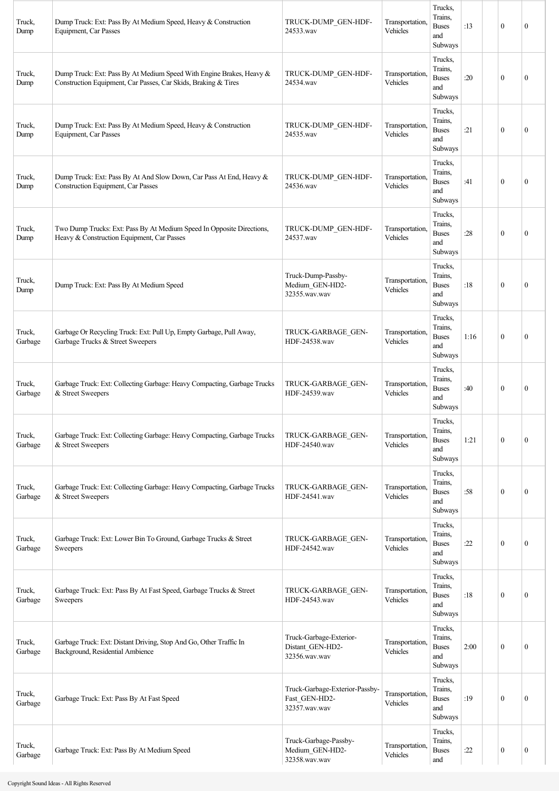| Truck,<br>Dump    | Dump Truck: Ext: Pass By At Medium Speed, Heavy & Construction<br>Equipment, Car Passes                                                | TRUCK-DUMP_GEN-HDF-<br>24533.wav                                 | Transportation,<br>Vehicles | Trucks,<br>Trains,<br><b>Buses</b><br>and<br>Subways | :13  | $\mathbf{0}$     | $\boldsymbol{0}$ |
|-------------------|----------------------------------------------------------------------------------------------------------------------------------------|------------------------------------------------------------------|-----------------------------|------------------------------------------------------|------|------------------|------------------|
| Truck,<br>Dump    | Dump Truck: Ext: Pass By At Medium Speed With Engine Brakes, Heavy &<br>Construction Equipment, Car Passes, Car Skids, Braking & Tires | TRUCK-DUMP GEN-HDF-<br>24534.wav                                 | Transportation,<br>Vehicles | Trucks,<br>Trains,<br><b>Buses</b><br>and<br>Subways | :20  | $\mathbf{0}$     | $\mathbf{0}$     |
| Truck,<br>Dump    | Dump Truck: Ext: Pass By At Medium Speed, Heavy & Construction<br>Equipment, Car Passes                                                | TRUCK-DUMP GEN-HDF-<br>24535.wav                                 | Transportation,<br>Vehicles | Trucks,<br>Trains,<br><b>Buses</b><br>and<br>Subways | :21  | $\theta$         | $\mathbf{0}$     |
| Truck,<br>Dump    | Dump Truck: Ext: Pass By At And Slow Down, Car Pass At End, Heavy &<br>Construction Equipment, Car Passes                              | TRUCK-DUMP GEN-HDF-<br>24536.wav                                 | Transportation,<br>Vehicles | Trucks,<br>Trains,<br><b>Buses</b><br>and<br>Subways | :41  | $\mathbf{0}$     | $\mathbf{0}$     |
| Truck,<br>Dump    | Two Dump Trucks: Ext: Pass By At Medium Speed In Opposite Directions,<br>Heavy & Construction Equipment, Car Passes                    | TRUCK-DUMP GEN-HDF-<br>24537.wav                                 | Transportation,<br>Vehicles | Trucks,<br>Trains,<br><b>Buses</b><br>and<br>Subways | :28  | $\mathbf{0}$     | $\mathbf{0}$     |
| Truck,<br>Dump    | Dump Truck: Ext: Pass By At Medium Speed                                                                                               | Truck-Dump-Passby-<br>Medium_GEN-HD2-<br>32355.wav.wav           | Transportation,<br>Vehicles | Trucks,<br>Trains,<br><b>Buses</b><br>and<br>Subways | :18  | $\theta$         | $\mathbf{0}$     |
| Truck,<br>Garbage | Garbage Or Recycling Truck: Ext: Pull Up, Empty Garbage, Pull Away,<br>Garbage Trucks & Street Sweepers                                | TRUCK-GARBAGE GEN-<br>HDF-24538.wav                              | Transportation,<br>Vehicles | Trucks,<br>Trains,<br><b>Buses</b><br>and<br>Subways | 1:16 | $\mathbf{0}$     | $\mathbf{0}$     |
| Truck,<br>Garbage | Garbage Truck: Ext: Collecting Garbage: Heavy Compacting, Garbage Trucks<br>& Street Sweepers                                          | TRUCK-GARBAGE GEN-<br>HDF-24539.wav                              | Transportation.<br>Vehicles | Trucks,<br>Trains,<br><b>Buses</b><br>and<br>Subways | :40  | $\theta$         | $\mathbf{0}$     |
| Truck,<br>Garbage | Garbage Truck: Ext: Collecting Garbage: Heavy Compacting, Garbage Trucks<br>& Street Sweepers                                          | TRUCK-GARBAGE GEN-<br>HDF-24540.wav                              | Transportation,<br>Vehicles | Trucks,<br>Trains,<br><b>Buses</b><br>and<br>Subways | 1:21 | $\mathbf{0}$     | $\boldsymbol{0}$ |
| Truck,<br>Garbage | Garbage Truck: Ext: Collecting Garbage: Heavy Compacting, Garbage Trucks<br>& Street Sweepers                                          | TRUCK-GARBAGE GEN-<br>HDF-24541.wav                              | Transportation,<br>Vehicles | Trucks,<br>Trains,<br><b>Buses</b><br>and<br>Subways | :58  | $\mathbf{0}$     | $\boldsymbol{0}$ |
| Truck,<br>Garbage | Garbage Truck: Ext: Lower Bin To Ground, Garbage Trucks & Street<br>Sweepers                                                           | TRUCK-GARBAGE GEN-<br>HDF-24542.wav                              | Transportation,<br>Vehicles | Trucks,<br>Trains,<br><b>Buses</b><br>and<br>Subways | :22  | $\mathbf{0}$     | $\boldsymbol{0}$ |
| Truck,<br>Garbage | Garbage Truck: Ext: Pass By At Fast Speed, Garbage Trucks & Street<br>Sweepers                                                         | TRUCK-GARBAGE GEN-<br>HDF-24543.wav                              | Transportation,<br>Vehicles | Trucks,<br>Trains,<br><b>Buses</b><br>and<br>Subways | :18  | $\mathbf{0}$     | $\boldsymbol{0}$ |
| Truck,<br>Garbage | Garbage Truck: Ext: Distant Driving, Stop And Go, Other Traffic In<br>Background, Residential Ambience                                 | Truck-Garbage-Exterior-<br>Distant_GEN-HD2-<br>32356.wav.wav     | Transportation,<br>Vehicles | Trucks,<br>Trains,<br><b>Buses</b><br>and<br>Subways | 2:00 | $\mathbf{0}$     | $\boldsymbol{0}$ |
| Truck,<br>Garbage | Garbage Truck: Ext: Pass By At Fast Speed                                                                                              | Truck-Garbage-Exterior-Passby-<br>Fast GEN-HD2-<br>32357.wav.wav | Transportation,<br>Vehicles | Trucks,<br>Trains,<br><b>Buses</b><br>and<br>Subways | :19  | $\mathbf{0}$     | $\mathbf{0}$     |
| Truck,<br>Garbage | Garbage Truck: Ext: Pass By At Medium Speed                                                                                            | Truck-Garbage-Passby-<br>Medium_GEN-HD2-<br>32358.wav.wav        | Transportation,<br>Vehicles | Trucks,<br>Trains,<br><b>Buses</b><br>and            | :22  | $\boldsymbol{0}$ | $\boldsymbol{0}$ |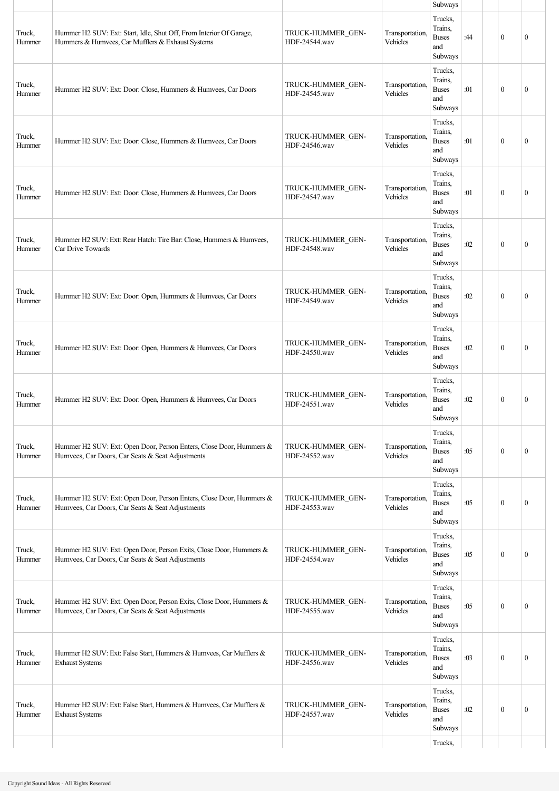|                  |                                                                                                                          |                                    |                             | Subways                                                         |     |                  |                  |
|------------------|--------------------------------------------------------------------------------------------------------------------------|------------------------------------|-----------------------------|-----------------------------------------------------------------|-----|------------------|------------------|
| Truck,<br>Hummer | Hummer H2 SUV: Ext: Start, Idle, Shut Off, From Interior Of Garage,<br>Hummers & Humvees, Car Mufflers & Exhaust Systems | TRUCK-HUMMER GEN-<br>HDF-24544.wav | Transportation,<br>Vehicles | Trucks,<br>Trains,<br><b>Buses</b><br>and<br>Subways<br>Trucks, | :44 | $\mathbf{0}$     | $\mathbf{0}$     |
| Truck,<br>Hummer | Hummer H2 SUV: Ext: Door: Close, Hummers & Humvees, Car Doors                                                            | TRUCK-HUMMER GEN-<br>HDF-24545.wav | Transportation,<br>Vehicles | Trains,<br><b>Buses</b><br>and<br>Subways                       | :01 | $\mathbf{0}$     | $\mathbf{0}$     |
| Truck,<br>Hummer | Hummer H2 SUV: Ext: Door: Close, Hummers & Humvees, Car Doors                                                            | TRUCK-HUMMER GEN-<br>HDF-24546.wav | Transportation,<br>Vehicles | Trucks,<br>Trains,<br><b>Buses</b><br>and<br>Subways            | :01 | $\mathbf{0}$     | $\mathbf{0}$     |
| Truck,<br>Hummer | Hummer H2 SUV: Ext: Door: Close, Hummers & Humvees, Car Doors                                                            | TRUCK-HUMMER GEN-<br>HDF-24547.wav | Transportation,<br>Vehicles | Trucks,<br>Trains,<br><b>Buses</b><br>and<br>Subways            | :01 | $\mathbf{0}$     | $\mathbf{0}$     |
| Truck,<br>Hummer | Hummer H2 SUV: Ext: Rear Hatch: Tire Bar: Close, Hummers & Humvees,<br>Car Drive Towards                                 | TRUCK-HUMMER GEN-<br>HDF-24548.wav | Transportation,<br>Vehicles | Trucks,<br>Trains,<br><b>Buses</b><br>and<br>Subways            | :02 | $\mathbf{0}$     | $\mathbf{0}$     |
| Truck,<br>Hummer | Hummer H2 SUV: Ext: Door: Open, Hummers & Humvees, Car Doors                                                             | TRUCK-HUMMER GEN-<br>HDF-24549.wav | Transportation,<br>Vehicles | Trucks,<br>Trains.<br><b>Buses</b><br>and<br>Subways            | :02 | $\mathbf{0}$     | $\boldsymbol{0}$ |
| Truck,<br>Hummer | Hummer H2 SUV: Ext: Door: Open, Hummers & Humvees, Car Doors                                                             | TRUCK-HUMMER GEN-<br>HDF-24550.wav | Transportation,<br>Vehicles | Trucks,<br>Trains,<br><b>Buses</b><br>and<br>Subways            | :02 | $\theta$         | $\mathbf{0}$     |
| Truck,<br>Hummer | Hummer H2 SUV: Ext: Door: Open, Hummers & Humvees, Car Doors                                                             | TRUCK-HUMMER GEN-<br>HDF-24551.wav | Transportation.<br>Vehicles | Trucks,<br>Trains,<br><b>Buses</b><br>and<br>Subways            | :02 | $\mathbf{0}$     | $\mathbf{0}$     |
| Truck,<br>Hummer | Hummer H2 SUV: Ext: Open Door, Person Enters, Close Door, Hummers &<br>Humvees, Car Doors, Car Seats & Seat Adjustments  | TRUCK-HUMMER GEN-<br>HDF-24552.wav | Transportation,<br>Vehicles | Trucks,<br>Trains,<br><b>Buses</b><br>and<br>Subways            | :05 | $\boldsymbol{0}$ | $\boldsymbol{0}$ |
| Truck,<br>Hummer | Hummer H2 SUV: Ext: Open Door, Person Enters, Close Door, Hummers &<br>Humvees, Car Doors, Car Seats & Seat Adjustments  | TRUCK-HUMMER GEN-<br>HDF-24553.wav | Transportation,<br>Vehicles | Trucks,<br>Trains,<br><b>Buses</b><br>and<br>Subways            | :05 | $\mathbf{0}$     | $\mathbf{0}$     |
| Truck,<br>Hummer | Hummer H2 SUV: Ext: Open Door, Person Exits, Close Door, Hummers &<br>Humvees, Car Doors, Car Seats & Seat Adjustments   | TRUCK-HUMMER GEN-<br>HDF-24554.wav | Transportation,<br>Vehicles | Trucks,<br>Trains,<br><b>Buses</b><br>and<br>Subways            | :05 | $\mathbf{0}$     | $\boldsymbol{0}$ |
| Truck,<br>Hummer | Hummer H2 SUV: Ext: Open Door, Person Exits, Close Door, Hummers &<br>Humvees, Car Doors, Car Seats & Seat Adjustments   | TRUCK-HUMMER GEN-<br>HDF-24555.wav | Transportation,<br>Vehicles | Trucks,<br>Trains.<br><b>Buses</b><br>and<br>Subways            | :05 | $\mathbf{0}$     | $\mathbf{0}$     |
| Truck,<br>Hummer | Hummer H2 SUV: Ext: False Start, Hummers & Humvees, Car Mufflers &<br><b>Exhaust Systems</b>                             | TRUCK-HUMMER GEN-<br>HDF-24556.wav | Transportation,<br>Vehicles | Trucks,<br>Trains,<br><b>Buses</b><br>and<br>Subways            | :03 | $\mathbf{0}$     | $\mathbf{0}$     |
| Truck,<br>Hummer | Hummer H2 SUV: Ext: False Start, Hummers & Humvees, Car Mufflers &<br><b>Exhaust Systems</b>                             | TRUCK-HUMMER GEN-<br>HDF-24557.wav | Transportation,<br>Vehicles | Trucks,<br>Trains,<br><b>Buses</b><br>and<br>Subways            | :02 | $\mathbf{0}$     | $\boldsymbol{0}$ |
|                  |                                                                                                                          |                                    |                             | Trucks,                                                         |     |                  |                  |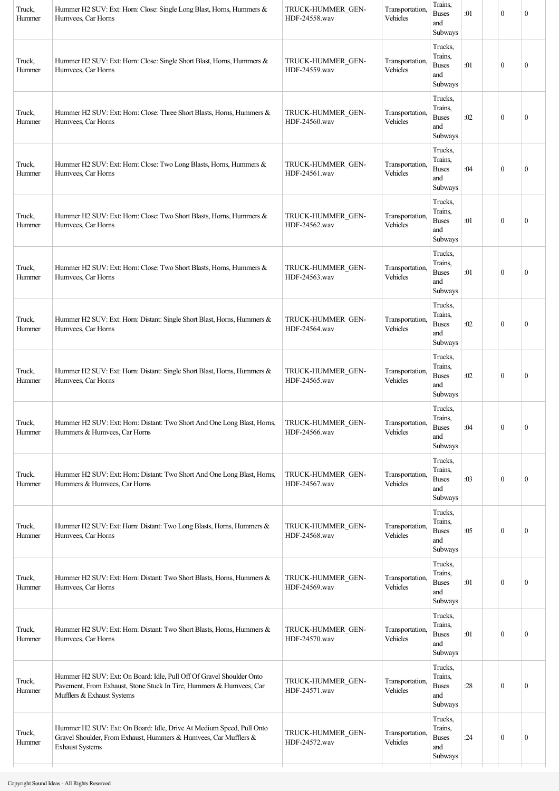| Trucks,<br>Trains,<br>Truck,<br>Hummer H2 SUV: Ext: Horn: Close: Single Short Blast, Horns, Hummers &<br>TRUCK-HUMMER GEN-<br>Transportation.<br><b>Buses</b><br>:01<br>$\mathbf{0}$<br>$\theta$<br>HDF-24559.wav<br>Vehicles<br>Hummer<br>Humvees, Car Horns<br>and<br>Subways<br>Trucks,<br>Trains,<br>Transportation,<br>Truck,<br>Hummer H2 SUV: Ext: Horn: Close: Three Short Blasts, Horns, Hummers &<br>TRUCK-HUMMER GEN-<br><b>Buses</b><br>:02<br>$\mathbf{0}$<br>$\boldsymbol{0}$<br>Vehicles<br>HDF-24560.wav<br>Hummer<br>Humvees, Car Horns<br>and<br>Subways<br>Trucks,<br>Trains,<br>Transportation,<br>Truck,<br>Hummer H2 SUV: Ext: Horn: Close: Two Long Blasts, Horns, Hummers &<br>TRUCK-HUMMER GEN-<br><b>Buses</b><br>:04<br>$\mathbf{0}$<br>$\mathbf{0}$<br>Humvees, Car Horns<br>HDF-24561.wav<br>Vehicles<br>Hummer<br>and<br>Subways<br>Trucks,<br>Trains,<br>Transportation,<br>Truck,<br>Hummer H2 SUV: Ext: Horn: Close: Two Short Blasts, Horns, Hummers &<br>TRUCK-HUMMER GEN-<br><b>Buses</b><br>:01<br>$\mathbf{0}$<br>$\theta$<br>Vehicles<br>HDF-24562.wav<br>Hummer<br>Humvees, Car Horns<br>and<br>Subways<br>Trucks,<br>Trains,<br>Truck,<br>Hummer H2 SUV: Ext: Horn: Close: Two Short Blasts, Horns, Hummers &<br>TRUCK-HUMMER GEN-<br>Transportation.<br><b>Buses</b><br>:01<br>$\mathbf{0}$<br>$\boldsymbol{0}$<br>Vehicles<br>Hummer<br>Humvees, Car Horns<br>HDF-24563.wav<br>and<br>Subways<br>Trucks,<br>Trains,<br>Hummer H2 SUV: Ext: Horn: Distant: Single Short Blast, Horns, Hummers &<br>Transportation.<br>Truck,<br>TRUCK-HUMMER GEN-<br><b>Buses</b><br>:02<br>$\mathbf{0}$<br>$\theta$<br>HDF-24564.wav<br>Vehicles<br>Hummer<br>Humvees, Car Horns<br>and<br>Subways<br>Trucks,<br>Trains,<br>Transportation,<br>Truck,<br>Hummer H2 SUV: Ext: Horn: Distant: Single Short Blast, Horns, Hummers &<br>TRUCK-HUMMER GEN-<br><b>Buses</b><br>:02<br>$\mathbf{0}$<br>$\boldsymbol{0}$<br>Vehicles<br>Humvees, Car Horns<br>HDF-24565.wav<br>Hummer<br>and<br>Subways<br>Trucks,<br>Trains,<br>TRUCK-HUMMER_GEN-<br>Transportation,<br>Truck,<br>Hummer H2 SUV: Ext: Horn: Distant: Two Short And One Long Blast, Horns,<br>:04<br>$\boldsymbol{0}$<br><b>Buses</b><br>$\boldsymbol{0}$<br>HDF-24566.wav<br>Vehicles<br>Hummer<br>Hummers & Humvees, Car Horns<br>and<br>Subways<br>Trucks,<br>Trains,<br>Truck,<br>Transportation,<br>Hummer H2 SUV: Ext: Horn: Distant: Two Short And One Long Blast, Horns,<br>TRUCK-HUMMER GEN-<br>$\mathbf{0}$<br><b>Buses</b><br>:03<br>$\boldsymbol{0}$<br>HDF-24567.wav<br>Vehicles<br>Hummer<br>Hummers & Humvees, Car Horns<br>and<br>Subways<br>Trucks,<br>Trains,<br>Transportation,<br>Truck,<br>Hummer H2 SUV: Ext: Horn: Distant: Two Long Blasts, Horns, Hummers &<br>TRUCK-HUMMER GEN-<br><b>Buses</b><br>:05<br>$\mathbf{0}$<br>$\boldsymbol{0}$<br>Vehicles<br>Hummer<br>Humvees, Car Horns<br>HDF-24568.wav<br>and<br>Subways<br>Trucks,<br>Trains,<br>Transportation,<br>Truck,<br>Hummer H2 SUV: Ext: Horn: Distant: Two Short Blasts, Horns, Hummers &<br>TRUCK-HUMMER GEN-<br><b>Buses</b><br>:01<br>$\mathbf{0}$<br>$\mathbf{0}$<br>Vehicles<br>Hummer<br>Humvees, Car Horns<br>HDF-24569.wav<br>and<br>Subways<br>Trucks,<br>Trains,<br>Hummer H2 SUV: Ext: Horn: Distant: Two Short Blasts, Horns, Hummers &<br>Transportation,<br>Truck,<br>TRUCK-HUMMER GEN-<br><b>Buses</b><br>$\mathbf{0}$<br>:01<br>$\boldsymbol{0}$<br>HDF-24570.wav<br>Vehicles<br>Hummer<br>Humvees, Car Horns<br>and<br>Subways<br>Trucks,<br>Trains,<br>Hummer H2 SUV: Ext: On Board: Idle, Pull Off Of Gravel Shoulder Onto<br>Transportation,<br>Truck,<br>TRUCK-HUMMER GEN-<br><b>Buses</b><br>Pavement, From Exhaust, Stone Stuck In Tire, Hummers & Humvees, Car<br>:28<br>$\mathbf{0}$<br>$\mathbf{0}$<br>HDF-24571.wav<br>Vehicles<br>Hummer<br>and<br>Mufflers & Exhaust Systems<br>Subways<br>Trucks,<br>Hummer H2 SUV: Ext: On Board: Idle, Drive At Medium Speed, Pull Onto<br>Trains,<br>Transportation,<br>Truck,<br>TRUCK-HUMMER GEN-<br><b>Buses</b><br>Gravel Shoulder, From Exhaust, Hummers & Humvees, Car Mufflers &<br>:24<br>$\mathbf{0}$<br>$\boldsymbol{0}$<br>HDF-24572.wav<br>Vehicles<br>Hummer<br>and<br><b>Exhaust Systems</b><br>Subways | Truck,<br>Hummer | Hummer H2 SUV: Ext: Horn: Close: Single Long Blast, Horns, Hummers &<br>Humvees, Car Horns | TRUCK-HUMMER GEN-<br>HDF-24558.wav | Transportation,<br>Vehicles | Trains,<br><b>Buses</b><br>and<br>Subways | :01 | $\mathbf{0}$ | $\mathbf{0}$ |
|-----------------------------------------------------------------------------------------------------------------------------------------------------------------------------------------------------------------------------------------------------------------------------------------------------------------------------------------------------------------------------------------------------------------------------------------------------------------------------------------------------------------------------------------------------------------------------------------------------------------------------------------------------------------------------------------------------------------------------------------------------------------------------------------------------------------------------------------------------------------------------------------------------------------------------------------------------------------------------------------------------------------------------------------------------------------------------------------------------------------------------------------------------------------------------------------------------------------------------------------------------------------------------------------------------------------------------------------------------------------------------------------------------------------------------------------------------------------------------------------------------------------------------------------------------------------------------------------------------------------------------------------------------------------------------------------------------------------------------------------------------------------------------------------------------------------------------------------------------------------------------------------------------------------------------------------------------------------------------------------------------------------------------------------------------------------------------------------------------------------------------------------------------------------------------------------------------------------------------------------------------------------------------------------------------------------------------------------------------------------------------------------------------------------------------------------------------------------------------------------------------------------------------------------------------------------------------------------------------------------------------------------------------------------------------------------------------------------------------------------------------------------------------------------------------------------------------------------------------------------------------------------------------------------------------------------------------------------------------------------------------------------------------------------------------------------------------------------------------------------------------------------------------------------------------------------------------------------------------------------------------------------------------------------------------------------------------------------------------------------------------------------------------------------------------------------------------------------------------------------------------------------------------------------------------------------------------------------------------------------------------------------------------------------------------------------------------------------------------------------------------------------------------------------------------------------------------------------------------------------------------------------------------------------------------------------------------------------------------------------------------------------------------------------------------------------------------------------------------------------------------------------------------------------------------------------------------------------------------------------------------------------|------------------|--------------------------------------------------------------------------------------------|------------------------------------|-----------------------------|-------------------------------------------|-----|--------------|--------------|
|                                                                                                                                                                                                                                                                                                                                                                                                                                                                                                                                                                                                                                                                                                                                                                                                                                                                                                                                                                                                                                                                                                                                                                                                                                                                                                                                                                                                                                                                                                                                                                                                                                                                                                                                                                                                                                                                                                                                                                                                                                                                                                                                                                                                                                                                                                                                                                                                                                                                                                                                                                                                                                                                                                                                                                                                                                                                                                                                                                                                                                                                                                                                                                                                                                                                                                                                                                                                                                                                                                                                                                                                                                                                                                                                                                                                                                                                                                                                                                                                                                                                                                                                                                                                                                                                 |                  |                                                                                            |                                    |                             |                                           |     |              |              |
|                                                                                                                                                                                                                                                                                                                                                                                                                                                                                                                                                                                                                                                                                                                                                                                                                                                                                                                                                                                                                                                                                                                                                                                                                                                                                                                                                                                                                                                                                                                                                                                                                                                                                                                                                                                                                                                                                                                                                                                                                                                                                                                                                                                                                                                                                                                                                                                                                                                                                                                                                                                                                                                                                                                                                                                                                                                                                                                                                                                                                                                                                                                                                                                                                                                                                                                                                                                                                                                                                                                                                                                                                                                                                                                                                                                                                                                                                                                                                                                                                                                                                                                                                                                                                                                                 |                  |                                                                                            |                                    |                             |                                           |     |              |              |
|                                                                                                                                                                                                                                                                                                                                                                                                                                                                                                                                                                                                                                                                                                                                                                                                                                                                                                                                                                                                                                                                                                                                                                                                                                                                                                                                                                                                                                                                                                                                                                                                                                                                                                                                                                                                                                                                                                                                                                                                                                                                                                                                                                                                                                                                                                                                                                                                                                                                                                                                                                                                                                                                                                                                                                                                                                                                                                                                                                                                                                                                                                                                                                                                                                                                                                                                                                                                                                                                                                                                                                                                                                                                                                                                                                                                                                                                                                                                                                                                                                                                                                                                                                                                                                                                 |                  |                                                                                            |                                    |                             |                                           |     |              |              |
|                                                                                                                                                                                                                                                                                                                                                                                                                                                                                                                                                                                                                                                                                                                                                                                                                                                                                                                                                                                                                                                                                                                                                                                                                                                                                                                                                                                                                                                                                                                                                                                                                                                                                                                                                                                                                                                                                                                                                                                                                                                                                                                                                                                                                                                                                                                                                                                                                                                                                                                                                                                                                                                                                                                                                                                                                                                                                                                                                                                                                                                                                                                                                                                                                                                                                                                                                                                                                                                                                                                                                                                                                                                                                                                                                                                                                                                                                                                                                                                                                                                                                                                                                                                                                                                                 |                  |                                                                                            |                                    |                             |                                           |     |              |              |
|                                                                                                                                                                                                                                                                                                                                                                                                                                                                                                                                                                                                                                                                                                                                                                                                                                                                                                                                                                                                                                                                                                                                                                                                                                                                                                                                                                                                                                                                                                                                                                                                                                                                                                                                                                                                                                                                                                                                                                                                                                                                                                                                                                                                                                                                                                                                                                                                                                                                                                                                                                                                                                                                                                                                                                                                                                                                                                                                                                                                                                                                                                                                                                                                                                                                                                                                                                                                                                                                                                                                                                                                                                                                                                                                                                                                                                                                                                                                                                                                                                                                                                                                                                                                                                                                 |                  |                                                                                            |                                    |                             |                                           |     |              |              |
|                                                                                                                                                                                                                                                                                                                                                                                                                                                                                                                                                                                                                                                                                                                                                                                                                                                                                                                                                                                                                                                                                                                                                                                                                                                                                                                                                                                                                                                                                                                                                                                                                                                                                                                                                                                                                                                                                                                                                                                                                                                                                                                                                                                                                                                                                                                                                                                                                                                                                                                                                                                                                                                                                                                                                                                                                                                                                                                                                                                                                                                                                                                                                                                                                                                                                                                                                                                                                                                                                                                                                                                                                                                                                                                                                                                                                                                                                                                                                                                                                                                                                                                                                                                                                                                                 |                  |                                                                                            |                                    |                             |                                           |     |              |              |
|                                                                                                                                                                                                                                                                                                                                                                                                                                                                                                                                                                                                                                                                                                                                                                                                                                                                                                                                                                                                                                                                                                                                                                                                                                                                                                                                                                                                                                                                                                                                                                                                                                                                                                                                                                                                                                                                                                                                                                                                                                                                                                                                                                                                                                                                                                                                                                                                                                                                                                                                                                                                                                                                                                                                                                                                                                                                                                                                                                                                                                                                                                                                                                                                                                                                                                                                                                                                                                                                                                                                                                                                                                                                                                                                                                                                                                                                                                                                                                                                                                                                                                                                                                                                                                                                 |                  |                                                                                            |                                    |                             |                                           |     |              |              |
|                                                                                                                                                                                                                                                                                                                                                                                                                                                                                                                                                                                                                                                                                                                                                                                                                                                                                                                                                                                                                                                                                                                                                                                                                                                                                                                                                                                                                                                                                                                                                                                                                                                                                                                                                                                                                                                                                                                                                                                                                                                                                                                                                                                                                                                                                                                                                                                                                                                                                                                                                                                                                                                                                                                                                                                                                                                                                                                                                                                                                                                                                                                                                                                                                                                                                                                                                                                                                                                                                                                                                                                                                                                                                                                                                                                                                                                                                                                                                                                                                                                                                                                                                                                                                                                                 |                  |                                                                                            |                                    |                             |                                           |     |              |              |
|                                                                                                                                                                                                                                                                                                                                                                                                                                                                                                                                                                                                                                                                                                                                                                                                                                                                                                                                                                                                                                                                                                                                                                                                                                                                                                                                                                                                                                                                                                                                                                                                                                                                                                                                                                                                                                                                                                                                                                                                                                                                                                                                                                                                                                                                                                                                                                                                                                                                                                                                                                                                                                                                                                                                                                                                                                                                                                                                                                                                                                                                                                                                                                                                                                                                                                                                                                                                                                                                                                                                                                                                                                                                                                                                                                                                                                                                                                                                                                                                                                                                                                                                                                                                                                                                 |                  |                                                                                            |                                    |                             |                                           |     |              |              |
|                                                                                                                                                                                                                                                                                                                                                                                                                                                                                                                                                                                                                                                                                                                                                                                                                                                                                                                                                                                                                                                                                                                                                                                                                                                                                                                                                                                                                                                                                                                                                                                                                                                                                                                                                                                                                                                                                                                                                                                                                                                                                                                                                                                                                                                                                                                                                                                                                                                                                                                                                                                                                                                                                                                                                                                                                                                                                                                                                                                                                                                                                                                                                                                                                                                                                                                                                                                                                                                                                                                                                                                                                                                                                                                                                                                                                                                                                                                                                                                                                                                                                                                                                                                                                                                                 |                  |                                                                                            |                                    |                             |                                           |     |              |              |
|                                                                                                                                                                                                                                                                                                                                                                                                                                                                                                                                                                                                                                                                                                                                                                                                                                                                                                                                                                                                                                                                                                                                                                                                                                                                                                                                                                                                                                                                                                                                                                                                                                                                                                                                                                                                                                                                                                                                                                                                                                                                                                                                                                                                                                                                                                                                                                                                                                                                                                                                                                                                                                                                                                                                                                                                                                                                                                                                                                                                                                                                                                                                                                                                                                                                                                                                                                                                                                                                                                                                                                                                                                                                                                                                                                                                                                                                                                                                                                                                                                                                                                                                                                                                                                                                 |                  |                                                                                            |                                    |                             |                                           |     |              |              |
|                                                                                                                                                                                                                                                                                                                                                                                                                                                                                                                                                                                                                                                                                                                                                                                                                                                                                                                                                                                                                                                                                                                                                                                                                                                                                                                                                                                                                                                                                                                                                                                                                                                                                                                                                                                                                                                                                                                                                                                                                                                                                                                                                                                                                                                                                                                                                                                                                                                                                                                                                                                                                                                                                                                                                                                                                                                                                                                                                                                                                                                                                                                                                                                                                                                                                                                                                                                                                                                                                                                                                                                                                                                                                                                                                                                                                                                                                                                                                                                                                                                                                                                                                                                                                                                                 |                  |                                                                                            |                                    |                             |                                           |     |              |              |
|                                                                                                                                                                                                                                                                                                                                                                                                                                                                                                                                                                                                                                                                                                                                                                                                                                                                                                                                                                                                                                                                                                                                                                                                                                                                                                                                                                                                                                                                                                                                                                                                                                                                                                                                                                                                                                                                                                                                                                                                                                                                                                                                                                                                                                                                                                                                                                                                                                                                                                                                                                                                                                                                                                                                                                                                                                                                                                                                                                                                                                                                                                                                                                                                                                                                                                                                                                                                                                                                                                                                                                                                                                                                                                                                                                                                                                                                                                                                                                                                                                                                                                                                                                                                                                                                 |                  |                                                                                            |                                    |                             |                                           |     |              |              |
|                                                                                                                                                                                                                                                                                                                                                                                                                                                                                                                                                                                                                                                                                                                                                                                                                                                                                                                                                                                                                                                                                                                                                                                                                                                                                                                                                                                                                                                                                                                                                                                                                                                                                                                                                                                                                                                                                                                                                                                                                                                                                                                                                                                                                                                                                                                                                                                                                                                                                                                                                                                                                                                                                                                                                                                                                                                                                                                                                                                                                                                                                                                                                                                                                                                                                                                                                                                                                                                                                                                                                                                                                                                                                                                                                                                                                                                                                                                                                                                                                                                                                                                                                                                                                                                                 |                  |                                                                                            |                                    |                             |                                           |     |              |              |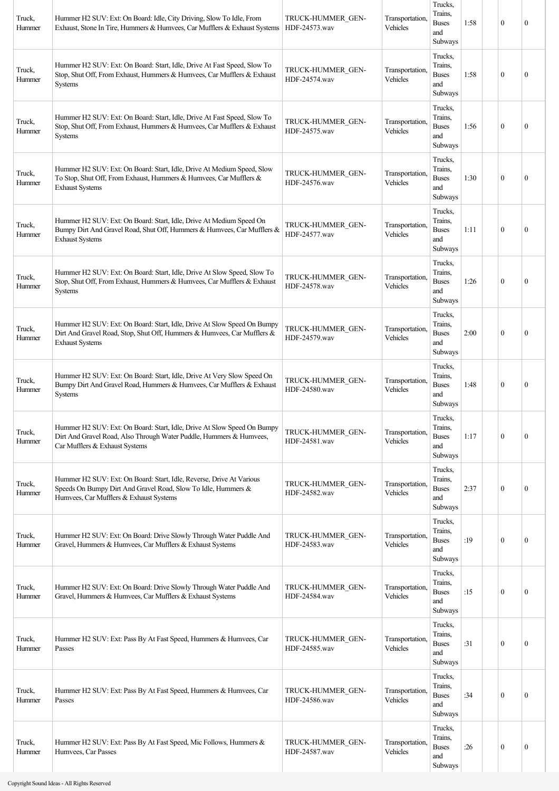| Truck,<br>Hummer | Hummer H2 SUV: Ext: On Board: Idle, City Driving, Slow To Idle, From<br>Exhaust, Stone In Tire, Hummers & Humvees, Car Mufflers & Exhaust Systems                                | TRUCK-HUMMER GEN-<br>HDF-24573.wav | Transportation,<br>Vehicles | Trucks,<br>Trains.<br><b>Buses</b><br>and<br>Subways | 1:58 | $\theta$         | $\mathbf{0}$     |
|------------------|----------------------------------------------------------------------------------------------------------------------------------------------------------------------------------|------------------------------------|-----------------------------|------------------------------------------------------|------|------------------|------------------|
| Truck,<br>Hummer | Hummer H2 SUV: Ext: On Board: Start, Idle, Drive At Fast Speed, Slow To<br>Stop, Shut Off, From Exhaust, Hummers & Humvees, Car Mufflers & Exhaust<br><b>Systems</b>             | TRUCK-HUMMER GEN-<br>HDF-24574.wav | Transportation,<br>Vehicles | Trucks,<br>Trains.<br><b>Buses</b><br>and<br>Subways | 1:58 | $\boldsymbol{0}$ | $\mathbf{0}$     |
| Truck,<br>Hummer | Hummer H2 SUV: Ext: On Board: Start, Idle, Drive At Fast Speed, Slow To<br>Stop, Shut Off, From Exhaust, Hummers & Humvees, Car Mufflers & Exhaust<br>Systems                    | TRUCK-HUMMER GEN-<br>HDF-24575.wav | Transportation,<br>Vehicles | Trucks,<br>Trains,<br><b>Buses</b><br>and<br>Subways | 1:56 | $\theta$         | $\Omega$         |
| Truck,<br>Hummer | Hummer H2 SUV: Ext: On Board: Start, Idle, Drive At Medium Speed, Slow<br>To Stop, Shut Off, From Exhaust, Hummers & Humvees, Car Mufflers &<br><b>Exhaust Systems</b>           | TRUCK-HUMMER GEN-<br>HDF-24576.wav | Transportation,<br>Vehicles | Trucks,<br>Trains,<br><b>Buses</b><br>and<br>Subways | 1:30 | $\boldsymbol{0}$ | $\mathbf{0}$     |
| Truck,<br>Hummer | Hummer H2 SUV: Ext: On Board: Start, Idle, Drive At Medium Speed On<br>Bumpy Dirt And Gravel Road, Shut Off, Hummers & Humvees, Car Mufflers &<br><b>Exhaust Systems</b>         | TRUCK-HUMMER GEN-<br>HDF-24577.wav | Transportation,<br>Vehicles | Trucks,<br>Trains.<br><b>Buses</b><br>and<br>Subways | 1:11 | $\boldsymbol{0}$ | $\mathbf{0}$     |
| Truck,<br>Hummer | Hummer H2 SUV: Ext: On Board: Start, Idle, Drive At Slow Speed, Slow To<br>Stop, Shut Off, From Exhaust, Hummers & Humvees, Car Mufflers & Exhaust<br>Systems                    | TRUCK-HUMMER GEN-<br>HDF-24578.wav | Transportation,<br>Vehicles | Trucks,<br>Trains,<br><b>Buses</b><br>and<br>Subways | 1:26 | $\theta$         | $\mathbf{0}$     |
| Truck,<br>Hummer | Hummer H2 SUV: Ext: On Board: Start, Idle, Drive At Slow Speed On Bumpy<br>Dirt And Gravel Road, Stop, Shut Off, Hummers & Humvees, Car Mufflers &<br><b>Exhaust Systems</b>     | TRUCK-HUMMER GEN-<br>HDF-24579.wav | Transportation,<br>Vehicles | Trucks,<br>Trains.<br><b>Buses</b><br>and<br>Subways | 2:00 | $\theta$         | $\mathbf{0}$     |
| Truck,<br>Hummer | Hummer H2 SUV: Ext: On Board: Start, Idle, Drive At Very Slow Speed On<br>Bumpy Dirt And Gravel Road, Hummers & Humvees, Car Mufflers & Exhaust<br><b>Systems</b>                | TRUCK-HUMMER GEN-<br>HDF-24580.wav | Transportation,<br>Vehicles | Trucks,<br>Trains.<br><b>Buses</b><br>and<br>Subways | 1:48 | $\theta$         | $\mathbf{0}$     |
| Truck,<br>Hummer | Hummer H2 SUV: Ext: On Board: Start, Idle, Drive At Slow Speed On Bumpy<br>Dirt And Gravel Road, Also Through Water Puddle, Hummers & Humvees,<br>Car Mufflers & Exhaust Systems | TRUCK-HUMMER GEN-<br>HDF-24581.wav | Transportation,<br>Vehicles | Trucks,<br>Trains,<br><b>Buses</b><br>and<br>Subways | 1:17 | $\boldsymbol{0}$ | $\mathbf{0}$     |
| Truck,<br>Hummer | Hummer H2 SUV: Ext: On Board: Start, Idle, Reverse, Drive At Various<br>Speeds On Bumpy Dirt And Gravel Road, Slow To Idle, Hummers &<br>Humvees, Car Mufflers & Exhaust Systems | TRUCK-HUMMER GEN-<br>HDF-24582.wav | Transportation,<br>Vehicles | Trucks,<br>Trains,<br><b>Buses</b><br>and<br>Subways | 2:37 | $\mathbf{0}$     | $\mathbf{0}$     |
| Truck,<br>Hummer | Hummer H2 SUV: Ext: On Board: Drive Slowly Through Water Puddle And<br>Gravel, Hummers & Humvees, Car Mufflers & Exhaust Systems                                                 | TRUCK-HUMMER GEN-<br>HDF-24583.wav | Transportation,<br>Vehicles | Trucks,<br>Trains,<br><b>Buses</b><br>and<br>Subways | :19  | $\boldsymbol{0}$ | $\boldsymbol{0}$ |
| Truck,<br>Hummer | Hummer H2 SUV: Ext: On Board: Drive Slowly Through Water Puddle And<br>Gravel, Hummers & Humvees, Car Mufflers & Exhaust Systems                                                 | TRUCK-HUMMER GEN-<br>HDF-24584.wav | Transportation,<br>Vehicles | Trucks,<br>Trains,<br><b>Buses</b><br>and<br>Subways | :15  | $\mathbf{0}$     | $\boldsymbol{0}$ |
| Truck,<br>Hummer | Hummer H2 SUV: Ext: Pass By At Fast Speed, Hummers & Humvees, Car<br>Passes                                                                                                      | TRUCK-HUMMER GEN-<br>HDF-24585.wav | Transportation,<br>Vehicles | Trucks,<br>Trains,<br><b>Buses</b><br>and<br>Subways | :31  | $\boldsymbol{0}$ | $\boldsymbol{0}$ |
| Truck,<br>Hummer | Hummer H2 SUV: Ext: Pass By At Fast Speed, Hummers & Humvees, Car<br>Passes                                                                                                      | TRUCK-HUMMER GEN-<br>HDF-24586.wav | Transportation,<br>Vehicles | Trucks,<br>Trains.<br><b>Buses</b><br>and<br>Subways | :34  | $\boldsymbol{0}$ | $\mathbf{0}$     |
| Truck,<br>Hummer | Hummer H2 SUV: Ext: Pass By At Fast Speed, Mic Follows, Hummers &<br>Humvees, Car Passes                                                                                         | TRUCK-HUMMER GEN-<br>HDF-24587.wav | Transportation,<br>Vehicles | Trucks,<br>Trains,<br><b>Buses</b><br>and<br>Subways | :26  | $\boldsymbol{0}$ | $\boldsymbol{0}$ |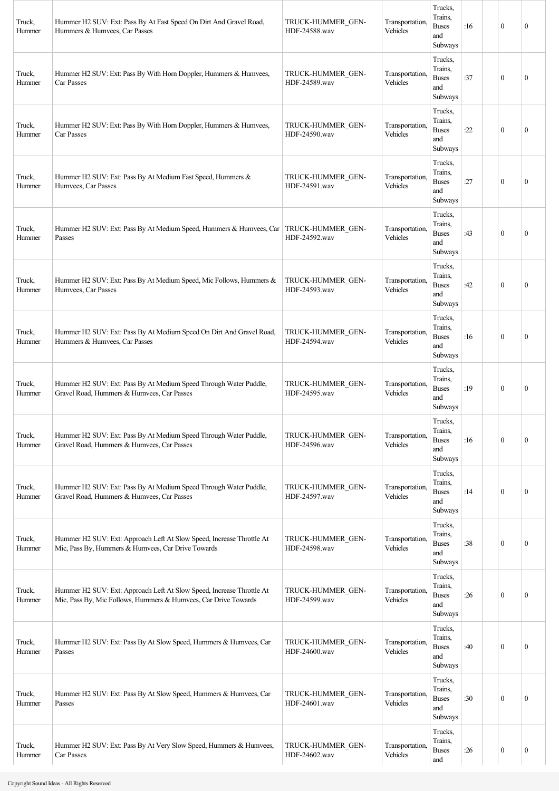| Truck,<br>Hummer | Hummer H2 SUV: Ext: Pass By At Fast Speed On Dirt And Gravel Road,<br>Hummers & Humvees, Car Passes                                      | TRUCK-HUMMER GEN-<br>HDF-24588.wav | Transportation,<br>Vehicles | Trucks,<br>Trains,<br><b>Buses</b><br>and<br>Subways | :16 | $\mathbf{0}$     | $\mathbf{0}$     |
|------------------|------------------------------------------------------------------------------------------------------------------------------------------|------------------------------------|-----------------------------|------------------------------------------------------|-----|------------------|------------------|
| Truck,<br>Hummer | Hummer H2 SUV: Ext: Pass By With Horn Doppler, Hummers & Humvees,<br>Car Passes                                                          | TRUCK-HUMMER GEN-<br>HDF-24589.wav | Transportation,<br>Vehicles | Trucks,<br>Trains,<br><b>Buses</b><br>and<br>Subways | :37 | $\mathbf{0}$     | $\mathbf{0}$     |
| Truck,<br>Hummer | Hummer H2 SUV: Ext: Pass By With Horn Doppler, Hummers & Humvees,<br>Car Passes                                                          | TRUCK-HUMMER GEN-<br>HDF-24590.wav | Transportation.<br>Vehicles | Trucks,<br>Trains,<br><b>Buses</b><br>and<br>Subways | :22 | $\mathbf{0}$     | $\theta$         |
| Truck,<br>Hummer | Hummer H2 SUV: Ext: Pass By At Medium Fast Speed, Hummers &<br>Humvees, Car Passes                                                       | TRUCK-HUMMER GEN-<br>HDF-24591.wav | Transportation,<br>Vehicles | Trucks,<br>Trains,<br><b>Buses</b><br>and<br>Subways | :27 | $\mathbf{0}$     | $\boldsymbol{0}$ |
| Truck,<br>Hummer | Hummer H2 SUV: Ext: Pass By At Medium Speed, Hummers & Humvees, Car<br>Passes                                                            | TRUCK-HUMMER GEN-<br>HDF-24592.wav | Transportation,<br>Vehicles | Trucks,<br>Trains,<br><b>Buses</b><br>and<br>Subways | :43 | $\mathbf{0}$     | $\theta$         |
| Truck,<br>Hummer | Hummer H2 SUV: Ext: Pass By At Medium Speed, Mic Follows, Hummers &<br>Humvees, Car Passes                                               | TRUCK-HUMMER GEN-<br>HDF-24593.wav | Transportation,<br>Vehicles | Trucks,<br>Trains,<br><b>Buses</b><br>and<br>Subways | :42 | $\mathbf{0}$     | $\theta$         |
| Truck,<br>Hummer | Hummer H2 SUV: Ext: Pass By At Medium Speed On Dirt And Gravel Road,<br>Hummers & Humvees, Car Passes                                    | TRUCK-HUMMER GEN-<br>HDF-24594.wav | Transportation,<br>Vehicles | Trucks,<br>Trains,<br><b>Buses</b><br>and<br>Subways | :16 | $\mathbf{0}$     | $\theta$         |
| Truck,<br>Hummer | Hummer H2 SUV: Ext: Pass By At Medium Speed Through Water Puddle,<br>Gravel Road, Hummers & Humvees, Car Passes                          | TRUCK-HUMMER GEN-<br>HDF-24595.wav | Transportation,<br>Vehicles | Trucks,<br>Trains,<br><b>Buses</b><br>and<br>Subways | :19 | $\theta$         | $\boldsymbol{0}$ |
| Truck,<br>Hummer | Hummer H2 SUV: Ext: Pass By At Medium Speed Through Water Puddle,<br>Gravel Road, Hummers & Humvees, Car Passes                          | TRUCK-HUMMER GEN-<br>HDF-24596.wav | Transportation,<br>Vehicles | Trucks,<br>Trains,<br><b>Buses</b><br>and<br>Subways | :16 | $\mathbf{0}$     | $\boldsymbol{0}$ |
| Truck,<br>Hummer | Hummer H2 SUV: Ext: Pass By At Medium Speed Through Water Puddle,<br>Gravel Road, Hummers & Humvees, Car Passes                          | TRUCK-HUMMER GEN-<br>HDF-24597.wav | Transportation,<br>Vehicles | Trucks,<br>Trains,<br><b>Buses</b><br>and<br>Subways | :14 | $\mathbf{0}$     | $\boldsymbol{0}$ |
| Truck,<br>Hummer | Hummer H2 SUV: Ext: Approach Left At Slow Speed, Increase Throttle At<br>Mic, Pass By, Hummers & Humvees, Car Drive Towards              | TRUCK-HUMMER GEN-<br>HDF-24598.wav | Transportation,<br>Vehicles | Trucks,<br>Trains,<br><b>Buses</b><br>and<br>Subways | :38 | $\mathbf{0}$     | $\boldsymbol{0}$ |
| Truck,<br>Hummer | Hummer H2 SUV: Ext: Approach Left At Slow Speed, Increase Throttle At<br>Mic, Pass By, Mic Follows, Hummers & Humvees, Car Drive Towards | TRUCK-HUMMER GEN-<br>HDF-24599.wav | Transportation,<br>Vehicles | Trucks,<br>Trains,<br><b>Buses</b><br>and<br>Subways | :26 | $\mathbf{0}$     | $\boldsymbol{0}$ |
| Truck,<br>Hummer | Hummer H2 SUV: Ext: Pass By At Slow Speed, Hummers & Humvees, Car<br>Passes                                                              | TRUCK-HUMMER GEN-<br>HDF-24600.wav | Transportation,<br>Vehicles | Trucks,<br>Trains,<br><b>Buses</b><br>and<br>Subways | :40 | $\mathbf{0}$     | $\boldsymbol{0}$ |
| Truck,<br>Hummer | Hummer H2 SUV: Ext: Pass By At Slow Speed, Hummers & Humvees, Car<br>Passes                                                              | TRUCK-HUMMER GEN-<br>HDF-24601.wav | Transportation,<br>Vehicles | Trucks,<br>Trains,<br><b>Buses</b><br>and<br>Subways | :30 | $\mathbf{0}$     | $\boldsymbol{0}$ |
| Truck,<br>Hummer | Hummer H2 SUV: Ext: Pass By At Very Slow Speed, Hummers & Humvees,<br>Car Passes                                                         | TRUCK-HUMMER GEN-<br>HDF-24602.wav | Transportation,<br>Vehicles | Trucks,<br>Trains,<br><b>Buses</b><br>and            | :26 | $\boldsymbol{0}$ | $\boldsymbol{0}$ |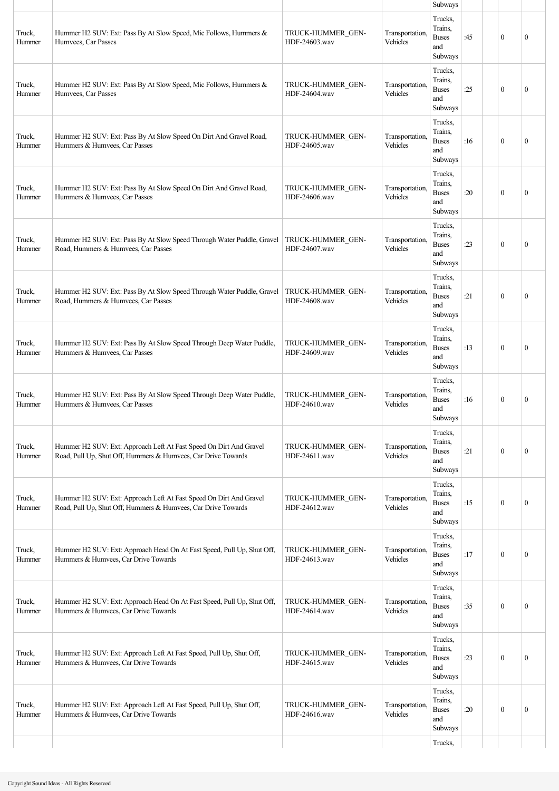|                  |                                                                                                                                     |                                    |                             | Subways                                              |     |              |              |
|------------------|-------------------------------------------------------------------------------------------------------------------------------------|------------------------------------|-----------------------------|------------------------------------------------------|-----|--------------|--------------|
| Truck,<br>Hummer | Hummer H2 SUV: Ext: Pass By At Slow Speed, Mic Follows, Hummers &<br>Humvees, Car Passes                                            | TRUCK-HUMMER GEN-<br>HDF-24603.wav | Transportation.<br>Vehicles | Trucks,<br>Trains,<br><b>Buses</b><br>and<br>Subways | :45 | $\mathbf{0}$ | $\mathbf{0}$ |
| Truck,<br>Hummer | Hummer H2 SUV: Ext: Pass By At Slow Speed, Mic Follows, Hummers &<br>Humvees, Car Passes                                            | TRUCK-HUMMER GEN-<br>HDF-24604.wav | Transportation,<br>Vehicles | Trucks,<br>Trains,<br><b>Buses</b><br>and<br>Subways | :25 | $\mathbf{0}$ | $\mathbf{0}$ |
| Truck,<br>Hummer | Hummer H2 SUV: Ext: Pass By At Slow Speed On Dirt And Gravel Road,<br>Hummers & Humvees, Car Passes                                 | TRUCK-HUMMER GEN-<br>HDF-24605.wav | Transportation,<br>Vehicles | Trucks,<br>Trains,<br><b>Buses</b><br>and<br>Subways | :16 | $\theta$     | $\mathbf{0}$ |
| Truck,<br>Hummer | Hummer H2 SUV: Ext: Pass By At Slow Speed On Dirt And Gravel Road,<br>Hummers & Humvees, Car Passes                                 | TRUCK-HUMMER GEN-<br>HDF-24606.wav | Transportation.<br>Vehicles | Trucks,<br>Trains,<br><b>Buses</b><br>and<br>Subways | :20 | $\mathbf{0}$ | $\mathbf{0}$ |
| Truck,<br>Hummer | Hummer H2 SUV: Ext: Pass By At Slow Speed Through Water Puddle, Gravel<br>Road, Hummers & Humvees, Car Passes                       | TRUCK-HUMMER GEN-<br>HDF-24607.wav | Transportation.<br>Vehicles | Trucks,<br>Trains.<br><b>Buses</b><br>and<br>Subways | :23 | $\mathbf{0}$ | $\mathbf{0}$ |
| Truck,<br>Hummer | Hummer H2 SUV: Ext: Pass By At Slow Speed Through Water Puddle, Gravel<br>Road, Hummers & Humvees, Car Passes                       | TRUCK-HUMMER GEN-<br>HDF-24608.wav | Transportation,<br>Vehicles | Trucks,<br>Trains.<br><b>Buses</b><br>and<br>Subways | :21 | $\theta$     | $\mathbf{0}$ |
| Truck,<br>Hummer | Hummer H2 SUV: Ext: Pass By At Slow Speed Through Deep Water Puddle,<br>Hummers & Humvees, Car Passes                               | TRUCK-HUMMER GEN-<br>HDF-24609.wav | Transportation.<br>Vehicles | Trucks,<br>Trains,<br><b>Buses</b><br>and<br>Subways | :13 | $\theta$     | $\mathbf{0}$ |
| Truck,<br>Hummer | Hummer H2 SUV: Ext: Pass By At Slow Speed Through Deep Water Puddle,<br>Hummers & Humvees, Car Passes                               | TRUCK-HUMMER GEN-<br>HDF-24610.wav | Transportation,<br>Vehicles | Trucks,<br>Trains,<br><b>Buses</b><br>and<br>Subways | :16 | $\mathbf{0}$ | $\mathbf{0}$ |
| Truck,<br>Hummer | Hummer H2 SUV: Ext: Approach Left At Fast Speed On Dirt And Gravel<br>Road, Pull Up, Shut Off, Hummers & Humvees, Car Drive Towards | TRUCK-HUMMER GEN-<br>HDF-24611.wav | Transportation.<br>Vehicles | Trucks,<br>Trains.<br><b>Buses</b><br>and<br>Subways | :21 | $\mathbf{0}$ | $\mathbf{0}$ |
| Truck,<br>Hummer | Hummer H2 SUV: Ext: Approach Left At Fast Speed On Dirt And Gravel<br>Road, Pull Up, Shut Off, Hummers & Humvees, Car Drive Towards | TRUCK-HUMMER GEN-<br>HDF-24612.wav | Transportation.<br>Vehicles | Trucks,<br>Trains.<br><b>Buses</b><br>and<br>Subways | :15 | $\mathbf{0}$ | $\mathbf{0}$ |
| Truck,<br>Hummer | Hummer H2 SUV: Ext: Approach Head On At Fast Speed, Pull Up, Shut Off,<br>Hummers & Humvees, Car Drive Towards                      | TRUCK-HUMMER GEN-<br>HDF-24613.wav | Transportation.<br>Vehicles | Trucks,<br>Trains,<br><b>Buses</b><br>and<br>Subways | :17 | $\mathbf{0}$ | $\mathbf{0}$ |
| Truck,<br>Hummer | Hummer H2 SUV: Ext: Approach Head On At Fast Speed, Pull Up, Shut Off,<br>Hummers & Humvees, Car Drive Towards                      | TRUCK-HUMMER GEN-<br>HDF-24614.wav | Transportation.<br>Vehicles | Trucks,<br>Trains,<br><b>Buses</b><br>and<br>Subways | :35 | $\mathbf{0}$ | $\mathbf{0}$ |
| Truck,<br>Hummer | Hummer H2 SUV: Ext: Approach Left At Fast Speed, Pull Up, Shut Off,<br>Hummers & Humvees, Car Drive Towards                         | TRUCK-HUMMER GEN-<br>HDF-24615.wav | Transportation,<br>Vehicles | Trucks,<br>Trains,<br><b>Buses</b><br>and<br>Subways | :23 | $\theta$     | $\mathbf{0}$ |
| Truck,<br>Hummer | Hummer H2 SUV: Ext: Approach Left At Fast Speed, Pull Up, Shut Off,<br>Hummers & Humvees, Car Drive Towards                         | TRUCK-HUMMER GEN-<br>HDF-24616.wav | Transportation,<br>Vehicles | Trucks,<br>Trains,<br><b>Buses</b><br>and<br>Subways | :20 | $\mathbf{0}$ | $\mathbf{0}$ |
|                  |                                                                                                                                     |                                    |                             | Trucks,                                              |     |              |              |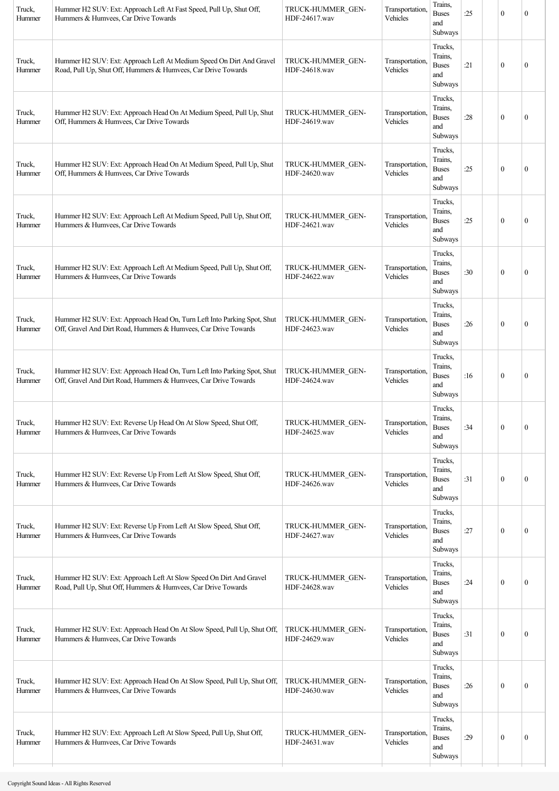| Truck,<br>Hummer | Hummer H2 SUV: Ext: Approach Left At Fast Speed, Pull Up, Shut Off,<br>Hummers & Humvees, Car Drive Towards                                | TRUCK-HUMMER GEN-<br>HDF-24617.wav | Transportation,<br>Vehicles | Trains,<br><b>Buses</b><br>and<br>Subways            | :25 | $\mathbf{0}$     | 0                |
|------------------|--------------------------------------------------------------------------------------------------------------------------------------------|------------------------------------|-----------------------------|------------------------------------------------------|-----|------------------|------------------|
| Truck,<br>Hummer | Hummer H2 SUV: Ext: Approach Left At Medium Speed On Dirt And Gravel<br>Road, Pull Up, Shut Off, Hummers & Humvees, Car Drive Towards      | TRUCK-HUMMER GEN-<br>HDF-24618.wav | Transportation.<br>Vehicles | Trucks,<br>Trains,<br><b>Buses</b><br>and<br>Subways | :21 | $\mathbf{0}$     | $\boldsymbol{0}$ |
| Truck,<br>Hummer | Hummer H2 SUV: Ext: Approach Head On At Medium Speed, Pull Up, Shut<br>Off, Hummers & Humvees, Car Drive Towards                           | TRUCK-HUMMER GEN-<br>HDF-24619.wav | Transportation.<br>Vehicles | Trucks,<br>Trains,<br><b>Buses</b><br>and<br>Subways | :28 | $\mathbf{0}$     | $\boldsymbol{0}$ |
| Truck,<br>Hummer | Hummer H2 SUV: Ext: Approach Head On At Medium Speed, Pull Up, Shut<br>Off, Hummers & Humvees, Car Drive Towards                           | TRUCK-HUMMER GEN-<br>HDF-24620.wav | Transportation.<br>Vehicles | Trucks,<br>Trains,<br><b>Buses</b><br>and<br>Subways | :25 | $\mathbf{0}$     | $\boldsymbol{0}$ |
| Truck,<br>Hummer | Hummer H2 SUV: Ext: Approach Left At Medium Speed, Pull Up, Shut Off,<br>Hummers & Humvees, Car Drive Towards                              | TRUCK-HUMMER GEN-<br>HDF-24621.wav | Transportation,<br>Vehicles | Trucks,<br>Trains,<br><b>Buses</b><br>and<br>Subways | :25 | $\mathbf{0}$     | $\boldsymbol{0}$ |
| Truck,<br>Hummer | Hummer H2 SUV: Ext: Approach Left At Medium Speed, Pull Up, Shut Off,<br>Hummers & Humvees, Car Drive Towards                              | TRUCK-HUMMER GEN-<br>HDF-24622.wav | Transportation,<br>Vehicles | Trucks,<br>Trains,<br><b>Buses</b><br>and<br>Subways | :30 | $\boldsymbol{0}$ | $\boldsymbol{0}$ |
| Truck,<br>Hummer | Hummer H2 SUV: Ext: Approach Head On, Turn Left Into Parking Spot, Shut<br>Off, Gravel And Dirt Road, Hummers & Humvees, Car Drive Towards | TRUCK-HUMMER GEN-<br>HDF-24623.wav | Transportation.<br>Vehicles | Trucks,<br>Trains,<br><b>Buses</b><br>and<br>Subways | :26 | $\mathbf{0}$     | $\boldsymbol{0}$ |
| Truck,<br>Hummer | Hummer H2 SUV: Ext: Approach Head On, Turn Left Into Parking Spot, Shut<br>Off, Gravel And Dirt Road, Hummers & Humvees, Car Drive Towards | TRUCK-HUMMER GEN-<br>HDF-24624.wav | Transportation.<br>Vehicles | Trucks,<br>Trains,<br><b>Buses</b><br>and<br>Subways | :16 | $\mathbf{0}$     | $\boldsymbol{0}$ |
| Truck,<br>Hummer | Hummer H2 SUV: Ext: Reverse Up Head On At Slow Speed, Shut Off,<br>Hummers & Humvees, Car Drive Towards                                    | TRUCK-HUMMER_GEN-<br>HDF-24625.wav | Transportation,<br>Vehicles | Trucks,<br>Trains,<br><b>Buses</b><br>and<br>Subways | :34 | $\boldsymbol{0}$ | $\boldsymbol{0}$ |
| Truck,<br>Hummer | Hummer H2 SUV: Ext: Reverse Up From Left At Slow Speed, Shut Off,<br>Hummers & Humvees, Car Drive Towards                                  | TRUCK-HUMMER GEN-<br>HDF-24626.wav | Transportation,<br>Vehicles | Trucks,<br>Trains,<br><b>Buses</b><br>and<br>Subways | :31 | $\boldsymbol{0}$ | $\boldsymbol{0}$ |
| Truck,<br>Hummer | Hummer H2 SUV: Ext: Reverse Up From Left At Slow Speed, Shut Off,<br>Hummers & Humvees, Car Drive Towards                                  | TRUCK-HUMMER_GEN-<br>HDF-24627.wav | Transportation,<br>Vehicles | Trucks,<br>Trains,<br><b>Buses</b><br>and<br>Subways | :27 | $\boldsymbol{0}$ | $\boldsymbol{0}$ |
| Truck,<br>Hummer | Hummer H2 SUV: Ext: Approach Left At Slow Speed On Dirt And Gravel<br>Road, Pull Up, Shut Off, Hummers & Humvees, Car Drive Towards        | TRUCK-HUMMER GEN-<br>HDF-24628.wav | Transportation,<br>Vehicles | Trucks,<br>Trains,<br><b>Buses</b><br>and<br>Subways | :24 | $\boldsymbol{0}$ | $\boldsymbol{0}$ |
| Truck,<br>Hummer | Hummer H2 SUV: Ext: Approach Head On At Slow Speed, Pull Up, Shut Off,<br>Hummers & Humvees, Car Drive Towards                             | TRUCK-HUMMER GEN-<br>HDF-24629.wav | Transportation,<br>Vehicles | Trucks,<br>Trains,<br><b>Buses</b><br>and<br>Subways | :31 | $\boldsymbol{0}$ | $\boldsymbol{0}$ |
| Truck,<br>Hummer | Hummer H2 SUV: Ext: Approach Head On At Slow Speed, Pull Up, Shut Off,<br>Hummers & Humvees, Car Drive Towards                             | TRUCK-HUMMER GEN-<br>HDF-24630.wav | Transportation,<br>Vehicles | Trucks,<br>Trains,<br><b>Buses</b><br>and<br>Subways | :26 | $\mathbf{0}$     | $\boldsymbol{0}$ |
| Truck,<br>Hummer | Hummer H2 SUV: Ext: Approach Left At Slow Speed, Pull Up, Shut Off,<br>Hummers & Humvees, Car Drive Towards                                | TRUCK-HUMMER GEN-<br>HDF-24631.wav | Transportation.<br>Vehicles | Trucks,<br>Trains,<br><b>Buses</b><br>and<br>Subways | :29 | $\boldsymbol{0}$ | $\boldsymbol{0}$ |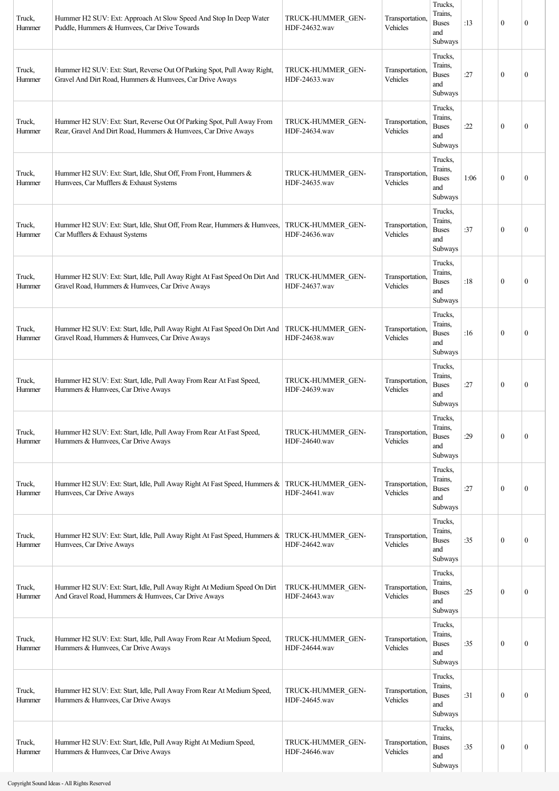| Truck,<br>Hummer | Hummer H2 SUV: Ext: Approach At Slow Speed And Stop In Deep Water<br>Puddle, Hummers & Humvees, Car Drive Towards                        | TRUCK-HUMMER GEN-<br>HDF-24632.wav | Transportation,<br>Vehicles | Trucks,<br>Trains.<br><b>Buses</b><br>and<br>Subways | :13  | $\boldsymbol{0}$ | $\mathbf{0}$     |
|------------------|------------------------------------------------------------------------------------------------------------------------------------------|------------------------------------|-----------------------------|------------------------------------------------------|------|------------------|------------------|
| Truck,<br>Hummer | Hummer H2 SUV: Ext: Start, Reverse Out Of Parking Spot, Pull Away Right,<br>Gravel And Dirt Road, Hummers & Humvees, Car Drive Aways     | TRUCK-HUMMER GEN-<br>HDF-24633.wav | Transportation,<br>Vehicles | Trucks,<br>Trains.<br><b>Buses</b><br>and<br>Subways | :27  | $\boldsymbol{0}$ | $\mathbf{0}$     |
| Truck,<br>Hummer | Hummer H2 SUV: Ext: Start, Reverse Out Of Parking Spot, Pull Away From<br>Rear, Gravel And Dirt Road, Hummers & Humvees, Car Drive Aways | TRUCK-HUMMER GEN-<br>HDF-24634.wav | Transportation,<br>Vehicles | Trucks,<br>Trains,<br><b>Buses</b><br>and<br>Subways | :22  | $\boldsymbol{0}$ | $\mathbf{0}$     |
| Truck,<br>Hummer | Hummer H2 SUV: Ext: Start, Idle, Shut Off, From Front, Hummers &<br>Humvees, Car Mufflers & Exhaust Systems                              | TRUCK-HUMMER GEN-<br>HDF-24635.wav | Transportation,<br>Vehicles | Trucks,<br>Trains.<br><b>Buses</b><br>and<br>Subways | 1:06 | $\boldsymbol{0}$ | $\mathbf{0}$     |
| Truck,<br>Hummer | Hummer H2 SUV: Ext: Start, Idle, Shut Off, From Rear, Hummers & Humvees,<br>Car Mufflers & Exhaust Systems                               | TRUCK-HUMMER GEN-<br>HDF-24636.wav | Transportation,<br>Vehicles | Trucks,<br>Trains,<br><b>Buses</b><br>and<br>Subways | :37  | $\boldsymbol{0}$ | $\mathbf{0}$     |
| Truck,<br>Hummer | Hummer H2 SUV: Ext: Start, Idle, Pull Away Right At Fast Speed On Dirt And<br>Gravel Road, Hummers & Humvees, Car Drive Aways            | TRUCK-HUMMER GEN-<br>HDF-24637.wav | Transportation,<br>Vehicles | Trucks.<br>Trains,<br><b>Buses</b><br>and<br>Subways | :18  | $\theta$         | $\mathbf{0}$     |
| Truck,<br>Hummer | Hummer H2 SUV: Ext: Start, Idle, Pull Away Right At Fast Speed On Dirt And<br>Gravel Road, Hummers & Humvees, Car Drive Aways            | TRUCK-HUMMER GEN-<br>HDF-24638.wav | Transportation,<br>Vehicles | Trucks,<br>Trains.<br><b>Buses</b><br>and<br>Subways | :16  | $\boldsymbol{0}$ | $\mathbf{0}$     |
| Truck,<br>Hummer | Hummer H2 SUV: Ext: Start, Idle, Pull Away From Rear At Fast Speed,<br>Hummers & Humvees, Car Drive Aways                                | TRUCK-HUMMER GEN-<br>HDF-24639.wav | Transportation,<br>Vehicles | Trucks,<br>Trains.<br><b>Buses</b><br>and<br>Subways | :27  | $\boldsymbol{0}$ | $\mathbf{0}$     |
| Truck,<br>Hummer | Hummer H2 SUV: Ext: Start, Idle, Pull Away From Rear At Fast Speed,<br>Hummers & Humvees, Car Drive Aways                                | TRUCK-HUMMER GEN-<br>HDF-24640.wav | Transportation,<br>Vehicles | Trucks.<br>Trains,<br><b>Buses</b><br>and<br>Subways | :29  | $\mathbf{0}$     | $\mathbf{0}$     |
| Truck,<br>Hummer | Hummer H2 SUV: Ext: Start, Idle, Pull Away Right At Fast Speed, Hummers &<br>Humvees, Car Drive Aways                                    | TRUCK-HUMMER GEN-<br>HDF-24641.wav | Transportation,<br>Vehicles | Trucks,<br>Trains,<br><b>Buses</b><br>and<br>Subways | :27  | $\boldsymbol{0}$ | $\mathbf{0}$     |
| Truck,<br>Hummer | Hummer H2 SUV: Ext: Start, Idle, Pull Away Right At Fast Speed, Hummers &<br>Humvees, Car Drive Aways                                    | TRUCK-HUMMER GEN-<br>HDF-24642.wav | Transportation,<br>Vehicles | Trucks,<br>Trains,<br><b>Buses</b><br>and<br>Subways | :35  | $\boldsymbol{0}$ | $\boldsymbol{0}$ |
| Truck,<br>Hummer | Hummer H2 SUV: Ext: Start, Idle, Pull Away Right At Medium Speed On Dirt<br>And Gravel Road, Hummers & Humvees, Car Drive Aways          | TRUCK-HUMMER GEN-<br>HDF-24643.wav | Transportation,<br>Vehicles | Trucks,<br>Trains,<br><b>Buses</b><br>and<br>Subways | :25  | $\mathbf{0}$     | $\boldsymbol{0}$ |
| Truck,<br>Hummer | Hummer H2 SUV: Ext: Start, Idle, Pull Away From Rear At Medium Speed,<br>Hummers & Humvees, Car Drive Aways                              | TRUCK-HUMMER GEN-<br>HDF-24644.wav | Transportation,<br>Vehicles | Trucks,<br>Trains,<br><b>Buses</b><br>and<br>Subways | :35  | $\boldsymbol{0}$ | $\boldsymbol{0}$ |
| Truck,<br>Hummer | Hummer H2 SUV: Ext: Start, Idle, Pull Away From Rear At Medium Speed,<br>Hummers & Humvees, Car Drive Aways                              | TRUCK-HUMMER GEN-<br>HDF-24645.wav | Transportation,<br>Vehicles | Trucks,<br>Trains.<br><b>Buses</b><br>and<br>Subways | :31  | $\boldsymbol{0}$ | $\mathbf{0}$     |
| Truck,<br>Hummer | Hummer H2 SUV: Ext: Start, Idle, Pull Away Right At Medium Speed,<br>Hummers & Humvees, Car Drive Aways                                  | TRUCK-HUMMER GEN-<br>HDF-24646.wav | Transportation,<br>Vehicles | Trucks,<br>Trains,<br><b>Buses</b><br>and<br>Subways | :35  | $\boldsymbol{0}$ | $\boldsymbol{0}$ |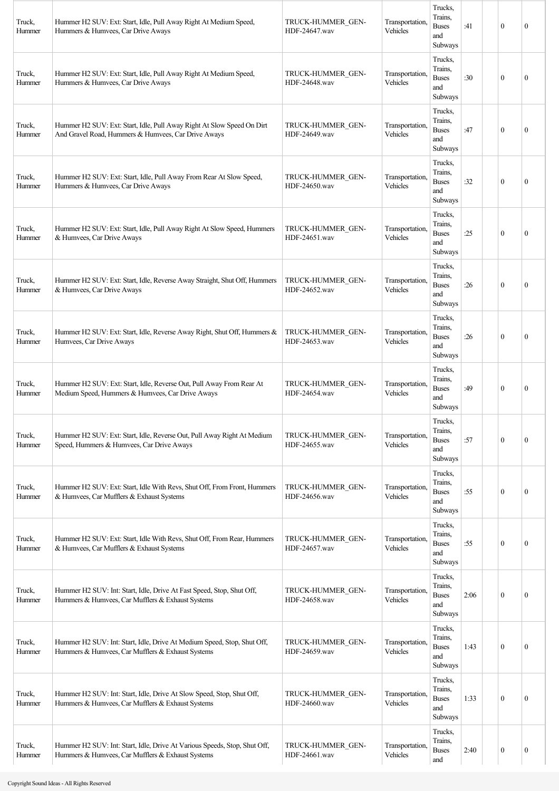| Truck,<br>Hummer | Hummer H2 SUV: Ext: Start, Idle, Pull Away Right At Medium Speed,<br>Hummers & Humvees, Car Drive Aways                        | TRUCK-HUMMER GEN-<br>HDF-24647.wav | Transportation,<br>Vehicles | Trucks,<br>Trains.<br><b>Buses</b><br>and<br>Subways | :41  | $\mathbf{0}$     | $\mathbf{0}$     |
|------------------|--------------------------------------------------------------------------------------------------------------------------------|------------------------------------|-----------------------------|------------------------------------------------------|------|------------------|------------------|
| Truck,<br>Hummer | Hummer H2 SUV: Ext: Start, Idle, Pull Away Right At Medium Speed,<br>Hummers & Humvees, Car Drive Aways                        | TRUCK-HUMMER GEN-<br>HDF-24648.wav | Transportation,<br>Vehicles | Trucks,<br>Trains.<br><b>Buses</b><br>and<br>Subways | :30  | $\mathbf{0}$     | $\boldsymbol{0}$ |
| Truck,<br>Hummer | Hummer H2 SUV: Ext: Start, Idle, Pull Away Right At Slow Speed On Dirt<br>And Gravel Road, Hummers & Humvees, Car Drive Aways  | TRUCK-HUMMER GEN-<br>HDF-24649.wav | Transportation,<br>Vehicles | Trucks,<br>Trains.<br><b>Buses</b><br>and<br>Subways | :47  | $\theta$         | $\mathbf{0}$     |
| Truck,<br>Hummer | Hummer H2 SUV: Ext: Start, Idle, Pull Away From Rear At Slow Speed,<br>Hummers & Humvees, Car Drive Aways                      | TRUCK-HUMMER GEN-<br>HDF-24650.wav | Transportation,<br>Vehicles | Trucks,<br>Trains,<br><b>Buses</b><br>and<br>Subways | :32  | $\theta$         | $\mathbf{0}$     |
| Truck,<br>Hummer | Hummer H2 SUV: Ext: Start, Idle, Pull Away Right At Slow Speed, Hummers<br>& Humvees, Car Drive Aways                          | TRUCK-HUMMER GEN-<br>HDF-24651 way | Transportation,<br>Vehicles | Trucks,<br>Trains,<br><b>Buses</b><br>and<br>Subways | :25  | $\mathbf{0}$     | $\mathbf{0}$     |
| Truck,<br>Hummer | Hummer H2 SUV: Ext: Start, Idle, Reverse Away Straight, Shut Off, Hummers<br>& Humvees, Car Drive Aways                        | TRUCK-HUMMER GEN-<br>HDF-24652.wav | Transportation,<br>Vehicles | Trucks,<br>Trains,<br><b>Buses</b><br>and<br>Subways | :26  | $\theta$         | $\mathbf{0}$     |
| Truck,<br>Hummer | Hummer H2 SUV: Ext: Start, Idle, Reverse Away Right, Shut Off, Hummers &<br>Humvees, Car Drive Aways                           | TRUCK-HUMMER GEN-<br>HDF-24653.wav | Transportation,<br>Vehicles | Trucks,<br>Trains,<br><b>Buses</b><br>and<br>Subways | :26  | $\mathbf{0}$     | $\mathbf{0}$     |
| Truck,<br>Hummer | Hummer H2 SUV: Ext: Start, Idle, Reverse Out, Pull Away From Rear At<br>Medium Speed, Hummers & Humvees, Car Drive Aways       | TRUCK-HUMMER GEN-<br>HDF-24654.wav | Transportation,<br>Vehicles | Trucks,<br>Trains.<br><b>Buses</b><br>and<br>Subways | :49  | $\theta$         | $\mathbf{0}$     |
| Truck,<br>Hummer | Hummer H2 SUV: Ext: Start, Idle, Reverse Out, Pull Away Right At Medium<br>Speed, Hummers & Humvees, Car Drive Aways           | TRUCK-HUMMER GEN-<br>HDF-24655.wav | Transportation,<br>Vehicles | Trucks,<br>Trains,<br><b>Buses</b><br>and<br>Subways | :57  | $\mathbf{0}$     | $\boldsymbol{0}$ |
| Truck,<br>Hummer | Hummer H2 SUV: Ext: Start, Idle With Revs, Shut Off, From Front, Hummers<br>& Humvees, Car Mufflers & Exhaust Systems          | TRUCK-HUMMER GEN-<br>HDF-24656.wav | Transportation,<br>Vehicles | Trucks,<br>Trains,<br><b>Buses</b><br>and<br>Subways | :55  | $\mathbf{0}$     | $\boldsymbol{0}$ |
| Truck,<br>Hummer | Hummer H2 SUV: Ext: Start, Idle With Revs, Shut Off, From Rear, Hummers<br>& Humvees, Car Mufflers & Exhaust Systems           | TRUCK-HUMMER GEN-<br>HDF-24657.wav | Transportation,<br>Vehicles | Trucks,<br>Trains,<br><b>Buses</b><br>and<br>Subways | :55  | $\mathbf{0}$     | $\boldsymbol{0}$ |
| Truck,<br>Hummer | Hummer H2 SUV: Int: Start, Idle, Drive At Fast Speed, Stop, Shut Off,<br>Hummers & Humvees, Car Mufflers & Exhaust Systems     | TRUCK-HUMMER GEN-<br>HDF-24658.wav | Transportation,<br>Vehicles | Trucks,<br>Trains,<br><b>Buses</b><br>and<br>Subways | 2:06 | $\mathbf{0}$     | $\boldsymbol{0}$ |
| Truck,<br>Hummer | Hummer H2 SUV: Int: Start, Idle, Drive At Medium Speed, Stop, Shut Off,<br>Hummers & Humvees, Car Mufflers & Exhaust Systems   | TRUCK-HUMMER GEN-<br>HDF-24659.wav | Transportation,<br>Vehicles | Trucks,<br>Trains,<br><b>Buses</b><br>and<br>Subways | 1:43 | $\mathbf{0}$     | $\boldsymbol{0}$ |
| Truck,<br>Hummer | Hummer H2 SUV: Int: Start, Idle, Drive At Slow Speed, Stop, Shut Off,<br>Hummers & Humvees, Car Mufflers & Exhaust Systems     | TRUCK-HUMMER GEN-<br>HDF-24660.wav | Transportation,<br>Vehicles | Trucks,<br>Trains,<br><b>Buses</b><br>and<br>Subways | 1:33 | $\mathbf{0}$     | $\boldsymbol{0}$ |
| Truck,<br>Hummer | Hummer H2 SUV: Int: Start, Idle, Drive At Various Speeds, Stop, Shut Off,<br>Hummers & Humvees, Car Mufflers & Exhaust Systems | TRUCK-HUMMER GEN-<br>HDF-24661.wav | Transportation,<br>Vehicles | Trucks,<br>Trains,<br><b>Buses</b><br>and            | 2:40 | $\boldsymbol{0}$ | $\boldsymbol{0}$ |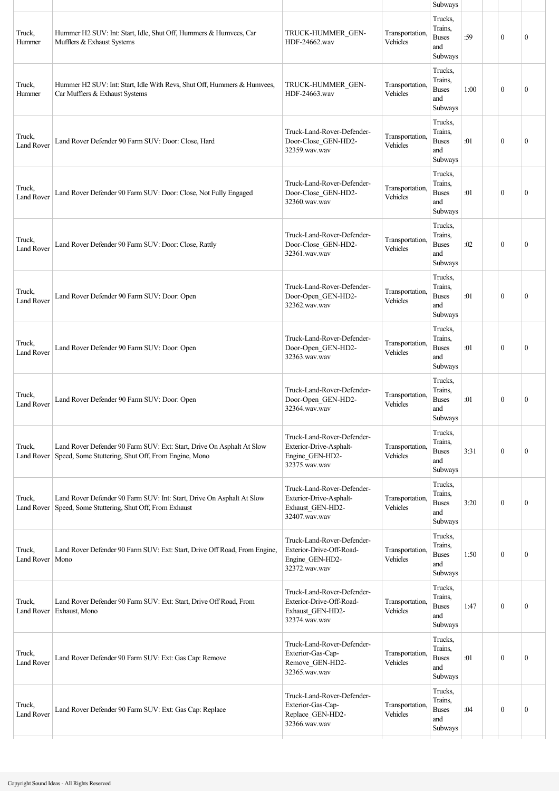|                             |                                                                                                                              |                                                                                             |                             | Subways                                              |      |              |                  |
|-----------------------------|------------------------------------------------------------------------------------------------------------------------------|---------------------------------------------------------------------------------------------|-----------------------------|------------------------------------------------------|------|--------------|------------------|
| Truck,<br>Hummer            | Hummer H2 SUV: Int: Start, Idle, Shut Off, Hummers & Humvees, Car<br>Mufflers & Exhaust Systems                              | TRUCK-HUMMER GEN-<br>HDF-24662.wav                                                          | Transportation,<br>Vehicles | Trucks,<br>Trains,<br><b>Buses</b><br>and<br>Subways | :59  | $\mathbf{0}$ | $\mathbf{0}$     |
| Truck,<br>Hummer            | Hummer H2 SUV: Int: Start, Idle With Revs, Shut Off, Hummers & Humvees,<br>Car Mufflers & Exhaust Systems                    | TRUCK-HUMMER GEN-<br>HDF-24663.wav                                                          | Transportation,<br>Vehicles | Trucks,<br>Trains,<br><b>Buses</b><br>and<br>Subways | 1:00 | $\mathbf{0}$ | $\mathbf{0}$     |
| Truck,<br><b>Land Rover</b> | Land Rover Defender 90 Farm SUV: Door: Close, Hard                                                                           | Truck-Land-Rover-Defender-<br>Door-Close_GEN-HD2-<br>32359.wav.wav                          | Transportation,<br>Vehicles | Trucks,<br>Trains,<br><b>Buses</b><br>and<br>Subways | :01  | $\mathbf{0}$ | $\mathbf{0}$     |
| Truck,<br><b>Land Rover</b> | Land Rover Defender 90 Farm SUV: Door: Close, Not Fully Engaged                                                              | Truck-Land-Rover-Defender-<br>Door-Close_GEN-HD2-<br>32360.wav.wav                          | Transportation,<br>Vehicles | Trucks,<br>Trains,<br><b>Buses</b><br>and<br>Subways | :01  | $\mathbf{0}$ | $\mathbf{0}$     |
| Truck,<br><b>Land Rover</b> | Land Rover Defender 90 Farm SUV: Door: Close, Rattly                                                                         | Truck-Land-Rover-Defender-<br>Door-Close GEN-HD2-<br>32361.wav.wav                          | Transportation,<br>Vehicles | Trucks.<br>Trains,<br><b>Buses</b><br>and<br>Subways | :02  | $\mathbf{0}$ | $\mathbf{0}$     |
| Truck,<br><b>Land Rover</b> | Land Rover Defender 90 Farm SUV: Door: Open                                                                                  | Truck-Land-Rover-Defender-<br>Door-Open_GEN-HD2-<br>32362.wav.wav                           | Transportation,<br>Vehicles | Trucks,<br>Trains.<br><b>Buses</b><br>and<br>Subways | :01  | $\mathbf{0}$ | $\mathbf{0}$     |
| Truck,<br><b>Land Rover</b> | Land Rover Defender 90 Farm SUV: Door: Open                                                                                  | Truck-Land-Rover-Defender-<br>Door-Open_GEN-HD2-<br>32363.wav.wav                           | Transportation,<br>Vehicles | Trucks,<br>Trains,<br><b>Buses</b><br>and<br>Subways | :01  | $\theta$     | $\mathbf{0}$     |
| Truck,<br><b>Land Rover</b> | Land Rover Defender 90 Farm SUV: Door: Open                                                                                  | Truck-Land-Rover-Defender-<br>Door-Open GEN-HD2-<br>32364.wav.wav                           | Transportation.<br>Vehicles | Trucks,<br>Trains,<br><b>Buses</b><br>and<br>Subways | :01  | $\mathbf{0}$ | $\boldsymbol{0}$ |
| Truck,<br>Land Rover        | Land Rover Defender 90 Farm SUV: Ext: Start, Drive On Asphalt At Slow<br>Speed, Some Stuttering, Shut Off, From Engine, Mono | Truck-Land-Rover-Defender-<br>Exterior-Drive-Asphalt-<br>Engine_GEN-HD2-<br>32375.wav.wav   | Transportation,<br>Vehicles | Trucks,<br>Trains.<br><b>Buses</b><br>and<br>Subways | 3:31 | $\mathbf{0}$ | $\boldsymbol{0}$ |
| Truck,<br>Land Rover        | Land Rover Defender 90 Farm SUV: Int: Start, Drive On Asphalt At Slow<br>Speed, Some Stuttering, Shut Off, From Exhaust      | Truck-Land-Rover-Defender-<br>Exterior-Drive-Asphalt-<br>Exhaust_GEN-HD2-<br>32407.wav.wav  | Transportation,<br>Vehicles | Trucks,<br>Trains,<br><b>Buses</b><br>and<br>Subways | 3:20 | $\theta$     | $\mathbf{0}$     |
| Truck,<br>Land Rover        | Land Rover Defender 90 Farm SUV: Ext: Start, Drive Off Road, From Engine,<br>Mono                                            | Truck-Land-Rover-Defender-<br>Exterior-Drive-Off-Road-<br>Engine_GEN-HD2-<br>32372.wav.wav  | Transportation,<br>Vehicles | Trucks,<br>Trains,<br><b>Buses</b><br>and<br>Subways | 1:50 | $\mathbf{0}$ | $\mathbf{0}$     |
| Truck,<br>Land Rover        | Land Rover Defender 90 Farm SUV: Ext: Start, Drive Off Road, From<br>Exhaust, Mono                                           | Truck-Land-Rover-Defender-<br>Exterior-Drive-Off-Road-<br>Exhaust_GEN-HD2-<br>32374.wav.wav | Transportation,<br>Vehicles | Trucks,<br>Trains.<br><b>Buses</b><br>and<br>Subways | 1:47 | $\mathbf{0}$ | $\boldsymbol{0}$ |
| Truck,<br><b>Land Rover</b> | Land Rover Defender 90 Farm SUV: Ext: Gas Cap: Remove                                                                        | Truck-Land-Rover-Defender-<br>Exterior-Gas-Cap-<br>Remove_GEN-HD2-<br>32365.wav.wav         | Transportation,<br>Vehicles | Trucks,<br>Trains,<br><b>Buses</b><br>and<br>Subways | :01  | $\theta$     | $\mathbf{0}$     |
| Truck,<br><b>Land Rover</b> | Land Rover Defender 90 Farm SUV: Ext: Gas Cap: Replace                                                                       | Truck-Land-Rover-Defender-<br>Exterior-Gas-Cap-<br>Replace_GEN-HD2-<br>32366.wav.wav        | Transportation,<br>Vehicles | Trucks,<br>Trains,<br><b>Buses</b><br>and<br>Subways | :04  | $\mathbf{0}$ | $\mathbf{0}$     |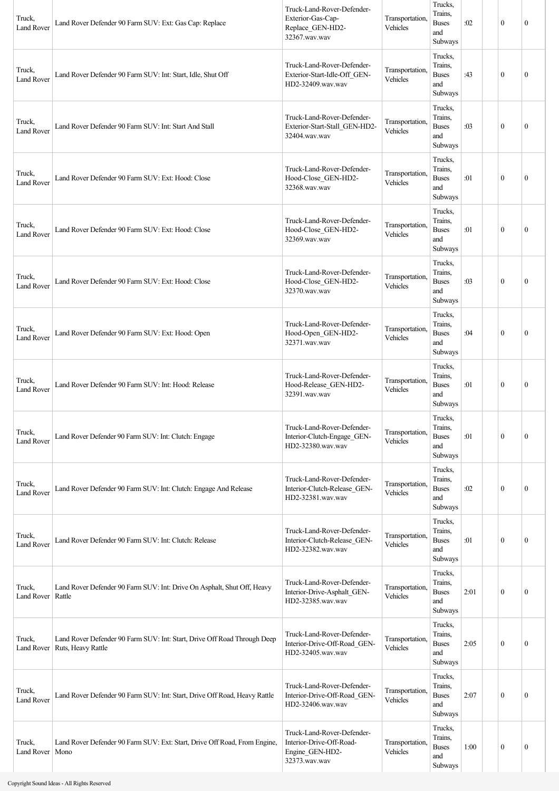| Truck,<br><b>Land Rover</b> | Land Rover Defender 90 Farm SUV: Ext: Gas Cap: Replace                                         | Truck-Land-Rover-Defender-<br>Exterior-Gas-Cap-<br>Replace_GEN-HD2-<br>32367.wav.wav       | Transportation,<br>Vehicles | Trucks,<br>Trains.<br><b>Buses</b><br>and<br>Subways | :02  | $\mathbf{0}$     | $\mathbf{0}$     |
|-----------------------------|------------------------------------------------------------------------------------------------|--------------------------------------------------------------------------------------------|-----------------------------|------------------------------------------------------|------|------------------|------------------|
| Truck,<br><b>Land Rover</b> | Land Rover Defender 90 Farm SUV: Int: Start, Idle, Shut Off                                    | Truck-Land-Rover-Defender-<br>Exterior-Start-Idle-Off GEN-<br>HD2-32409.wav.wav            | Transportation,<br>Vehicles | Trucks,<br>Trains.<br><b>Buses</b><br>and<br>Subways | :43  | $\boldsymbol{0}$ | $\mathbf{0}$     |
| Truck,<br><b>Land Rover</b> | Land Rover Defender 90 Farm SUV: Int: Start And Stall                                          | Truck-Land-Rover-Defender-<br>Exterior-Start-Stall_GEN-HD2-<br>32404.wav.wav               | Transportation,<br>Vehicles | Trucks,<br>Trains.<br><b>Buses</b><br>and<br>Subways | :03  | $\boldsymbol{0}$ | $\mathbf{0}$     |
| Truck,<br><b>Land Rover</b> | Land Rover Defender 90 Farm SUV: Ext: Hood: Close                                              | Truck-Land-Rover-Defender-<br>Hood-Close_GEN-HD2-<br>32368.wav.wav                         | Transportation,<br>Vehicles | Trucks,<br>Trains,<br><b>Buses</b><br>and<br>Subways | :01  | $\boldsymbol{0}$ | $\mathbf{0}$     |
| Truck,<br><b>Land Rover</b> | Land Rover Defender 90 Farm SUV: Ext: Hood: Close                                              | Truck-Land-Rover-Defender-<br>Hood-Close_GEN-HD2-<br>32369.wav.wav                         | Transportation,<br>Vehicles | Trucks,<br>Trains,<br><b>Buses</b><br>and<br>Subways | :01  | $\mathbf{0}$     | $\mathbf{0}$     |
| Truck,<br><b>Land Rover</b> | Land Rover Defender 90 Farm SUV: Ext: Hood: Close                                              | Truck-Land-Rover-Defender-<br>Hood-Close_GEN-HD2-<br>32370.wav.wav                         | Transportation,<br>Vehicles | Trucks,<br>Trains,<br><b>Buses</b><br>and<br>Subways | :03  | $\theta$         | $\mathbf{0}$     |
| Truck,<br><b>Land Rover</b> | Land Rover Defender 90 Farm SUV: Ext: Hood: Open                                               | Truck-Land-Rover-Defender-<br>Hood-Open_GEN-HD2-<br>32371.wav.wav                          | Transportation,<br>Vehicles | Trucks,<br>Trains,<br><b>Buses</b><br>and<br>Subways | :04  | $\boldsymbol{0}$ | $\mathbf{0}$     |
| Truck,<br><b>Land Rover</b> | Land Rover Defender 90 Farm SUV: Int: Hood: Release                                            | Truck-Land-Rover-Defender-<br>Hood-Release_GEN-HD2-<br>32391.wav.wav                       | Transportation,<br>Vehicles | Trucks,<br>Trains,<br><b>Buses</b><br>and<br>Subways | :01  | $\boldsymbol{0}$ | $\mathbf{0}$     |
| Truck,<br><b>Land Rover</b> | Land Rover Defender 90 Farm SUV: Int: Clutch: Engage                                           | Truck-Land-Rover-Defender-<br>Interior-Clutch-Engage_GEN-<br>HD2-32380.wav.wav             | Transportation,<br>Vehicles | Trucks.<br>Trains,<br><b>Buses</b><br>and<br>Subways | :01  | $\mathbf{0}$     | $\mathbf{0}$     |
| Truck,<br><b>Land Rover</b> | Land Rover Defender 90 Farm SUV: Int: Clutch: Engage And Release                               | Truck-Land-Rover-Defender-<br>Interior-Clutch-Release_GEN-<br>HD2-32381.wav.wav            | Transportation,<br>Vehicles | Trucks,<br>Trains,<br><b>Buses</b><br>and<br>Subways | :02  | $\mathbf{0}$     | $\mathbf{0}$     |
| Truck,<br><b>Land Rover</b> | Land Rover Defender 90 Farm SUV: Int: Clutch: Release                                          | Truck-Land-Rover-Defender-<br>Interior-Clutch-Release_GEN-<br>HD2-32382.wav.wav            | Transportation,<br>Vehicles | Trucks,<br>Trains,<br><b>Buses</b><br>and<br>Subways | :01  | $\boldsymbol{0}$ | $\boldsymbol{0}$ |
| Truck,<br>Land Rover        | Land Rover Defender 90 Farm SUV: Int: Drive On Asphalt, Shut Off, Heavy<br>Rattle              | Truck-Land-Rover-Defender-<br>Interior-Drive-Asphalt_GEN-<br>HD2-32385.wav.wav             | Transportation,<br>Vehicles | Trucks,<br>Trains,<br><b>Buses</b><br>and<br>Subways | 2:01 | $\mathbf{0}$     | $\boldsymbol{0}$ |
| Truck,<br>Land Rover        | Land Rover Defender 90 Farm SUV: Int: Start, Drive Off Road Through Deep<br>Ruts, Heavy Rattle | Truck-Land-Rover-Defender-<br>Interior-Drive-Off-Road GEN-<br>HD2-32405.wav.wav            | Transportation,<br>Vehicles | Trucks,<br>Trains.<br><b>Buses</b><br>and<br>Subways | 2:05 | $\boldsymbol{0}$ | $\boldsymbol{0}$ |
| Truck,<br><b>Land Rover</b> | Land Rover Defender 90 Farm SUV: Int: Start, Drive Off Road, Heavy Rattle                      | Truck-Land-Rover-Defender-<br>Interior-Drive-Off-Road_GEN-<br>HD2-32406.wav.wav            | Transportation,<br>Vehicles | Trucks,<br>Trains.<br><b>Buses</b><br>and<br>Subways | 2:07 | $\boldsymbol{0}$ | $\mathbf{0}$     |
| Truck,<br>Land Rover        | Land Rover Defender 90 Farm SUV: Ext: Start, Drive Off Road, From Engine,<br>Mono              | Truck-Land-Rover-Defender-<br>Interior-Drive-Off-Road-<br>Engine_GEN-HD2-<br>32373.wav.wav | Transportation,<br>Vehicles | Trucks,<br>Trains,<br><b>Buses</b><br>and<br>Subways | 1:00 | $\boldsymbol{0}$ | $\boldsymbol{0}$ |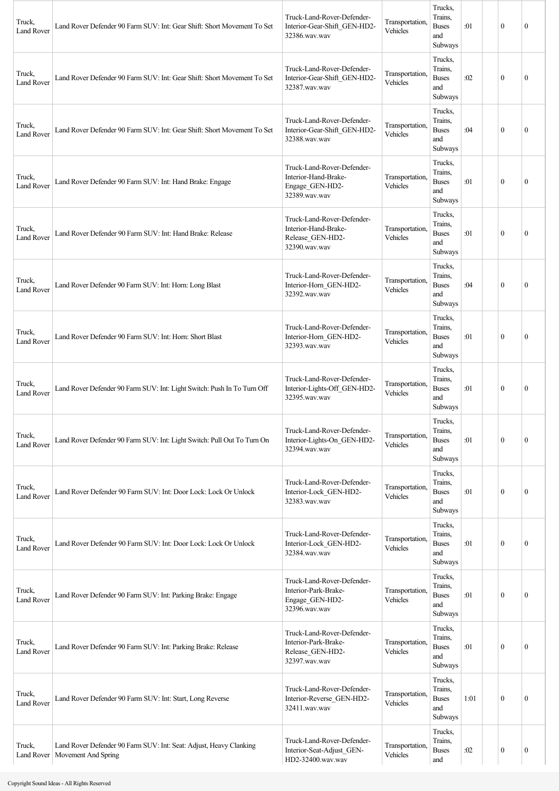| Truck,<br><b>Land Rover</b> | Land Rover Defender 90 Farm SUV: Int: Gear Shift: Short Movement To Set                                | Truck-Land-Rover-Defender-<br>Interior-Gear-Shift_GEN-HD2-<br>32386.wav.wav             | Transportation.<br>Vehicles | Trucks,<br>Trains,<br><b>Buses</b><br>and<br>Subways | :01  | $\mathbf{0}$ | $\boldsymbol{0}$ |
|-----------------------------|--------------------------------------------------------------------------------------------------------|-----------------------------------------------------------------------------------------|-----------------------------|------------------------------------------------------|------|--------------|------------------|
| Truck,<br><b>Land Rover</b> | Land Rover Defender 90 Farm SUV: Int: Gear Shift: Short Movement To Set                                | Truck-Land-Rover-Defender-<br>Interior-Gear-Shift_GEN-HD2-<br>32387.wav.wav             | Transportation,<br>Vehicles | Trucks,<br>Trains,<br><b>Buses</b><br>and<br>Subways | :02  | $\mathbf{0}$ | $\boldsymbol{0}$ |
| Truck,<br><b>Land Rover</b> | Land Rover Defender 90 Farm SUV: Int: Gear Shift: Short Movement To Set                                | Truck-Land-Rover-Defender-<br>Interior-Gear-Shift_GEN-HD2-<br>32388.wav.wav             | Transportation,<br>Vehicles | Trucks,<br>Trains,<br><b>Buses</b><br>and<br>Subways | :04  | $\mathbf{0}$ | $\boldsymbol{0}$ |
| Truck,<br><b>Land Rover</b> | Land Rover Defender 90 Farm SUV: Int: Hand Brake: Engage                                               | Truck-Land-Rover-Defender-<br>Interior-Hand-Brake-<br>Engage_GEN-HD2-<br>32389.wav.wav  | Transportation,<br>Vehicles | Trucks,<br>Trains,<br><b>Buses</b><br>and<br>Subways | :01  | $\mathbf{0}$ | $\overline{0}$   |
| Truck,<br>Land Rover        | Land Rover Defender 90 Farm SUV: Int: Hand Brake: Release                                              | Truck-Land-Rover-Defender-<br>Interior-Hand-Brake-<br>Release_GEN-HD2-<br>32390.wav.wav | Transportation,<br>Vehicles | Trucks,<br>Trains,<br><b>Buses</b><br>and<br>Subways | :01  | $\mathbf{0}$ | $\mathbf{0}$     |
| Truck,<br><b>Land Rover</b> | Land Rover Defender 90 Farm SUV: Int: Horn: Long Blast                                                 | Truck-Land-Rover-Defender-<br>Interior-Horn_GEN-HD2-<br>32392.wav.wav                   | Transportation.<br>Vehicles | Trucks,<br>Trains,<br><b>Buses</b><br>and<br>Subways | :04  | $\mathbf{0}$ | $\mathbf{0}$     |
| Truck,<br><b>Land Rover</b> | Land Rover Defender 90 Farm SUV: Int: Horn: Short Blast                                                | Truck-Land-Rover-Defender-<br>Interior-Horn_GEN-HD2-<br>32393.wav.wav                   | Transportation.<br>Vehicles | Trucks,<br>Trains,<br><b>Buses</b><br>and<br>Subways | :01  | $\theta$     | $\theta$         |
| Truck,<br><b>Land Rover</b> | Land Rover Defender 90 Farm SUV: Int: Light Switch: Push In To Turn Off                                | Truck-Land-Rover-Defender-<br>Interior-Lights-Off_GEN-HD2-<br>32395.wav.wav             | Transportation,<br>Vehicles | Trucks,<br>Trains,<br><b>Buses</b><br>and<br>Subways | :01  | $\mathbf{0}$ | $\boldsymbol{0}$ |
| Truck,<br><b>Land Rover</b> | Land Rover Defender 90 Farm SUV: Int: Light Switch: Pull Out To Turn On                                | Truck-Land-Rover-Defender-<br>Interior-Lights-On_GEN-HD2-<br>32394.wav.wav              | Transportation,<br>Vehicles | Trucks.<br>Trains,<br><b>Buses</b><br>and<br>Subways | :01  | $\mathbf{0}$ | $\boldsymbol{0}$ |
| Truck,<br><b>Land Rover</b> | Land Rover Defender 90 Farm SUV: Int: Door Lock: Lock Or Unlock                                        | Truck-Land-Rover-Defender-<br>Interior-Lock GEN-HD2-<br>32383.wav.wav                   | Transportation,<br>Vehicles | Trucks,<br>Trains,<br><b>Buses</b><br>and<br>Subways | :01  | $\mathbf{0}$ | $\mathbf{0}$     |
| Truck,<br><b>Land Rover</b> | Land Rover Defender 90 Farm SUV: Int: Door Lock: Lock Or Unlock                                        | Truck-Land-Rover-Defender-<br>Interior-Lock_GEN-HD2-<br>32384.wav.wav                   | Transportation,<br>Vehicles | Trucks,<br>Trains,<br><b>Buses</b><br>and<br>Subways | :01  | $\mathbf{0}$ | $\mathbf{0}$     |
| Truck,<br><b>Land Rover</b> | Land Rover Defender 90 Farm SUV: Int: Parking Brake: Engage                                            | Truck-Land-Rover-Defender-<br>Interior-Park-Brake-<br>Engage_GEN-HD2-<br>32396.wav.wav  | Transportation.<br>Vehicles | Trucks,<br>Trains,<br><b>Buses</b><br>and<br>Subways | :01  | $\mathbf{0}$ | $\boldsymbol{0}$ |
| Truck,<br><b>Land Rover</b> | Land Rover Defender 90 Farm SUV: Int: Parking Brake: Release                                           | Truck-Land-Rover-Defender-<br>Interior-Park-Brake-<br>Release_GEN-HD2-<br>32397.wav.wav | Transportation.<br>Vehicles | Trucks,<br>Trains,<br><b>Buses</b><br>and<br>Subways | :01  | $\mathbf{0}$ | $\mathbf{0}$     |
| Truck,<br>Land Rover        | Land Rover Defender 90 Farm SUV: Int: Start, Long Reverse                                              | Truck-Land-Rover-Defender-<br>Interior-Reverse_GEN-HD2-<br>32411.wav.wav                | Transportation,<br>Vehicles | Trucks,<br>Trains,<br><b>Buses</b><br>and<br>Subways | 1:01 | $\mathbf{0}$ | $\mathbf{0}$     |
| Truck,                      | Land Rover Defender 90 Farm SUV: Int: Seat: Adjust, Heavy Clanking<br>Land Rover   Movement And Spring | Truck-Land-Rover-Defender-<br>Interior-Seat-Adjust_GEN-<br>HD2-32400.wav.wav            | Transportation.<br>Vehicles | Trucks,<br>Trains,<br><b>Buses</b><br>and            | :02  | $\bf{0}$     | 0                |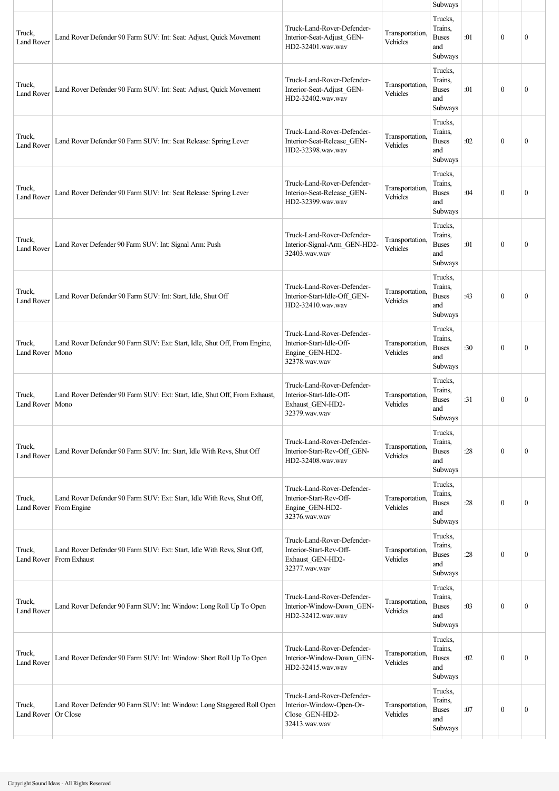|                             |                                                                                                     |                                                                                             |                             | Subways                                              |     |              |                  |
|-----------------------------|-----------------------------------------------------------------------------------------------------|---------------------------------------------------------------------------------------------|-----------------------------|------------------------------------------------------|-----|--------------|------------------|
| Truck,<br><b>Land Rover</b> | Land Rover Defender 90 Farm SUV: Int: Seat: Adjust, Quick Movement                                  | Truck-Land-Rover-Defender-<br>Interior-Seat-Adjust_GEN-<br>HD2-32401.wav.wav                | Transportation,<br>Vehicles | Trucks,<br>Trains.<br><b>Buses</b><br>and<br>Subways | :01 | $\mathbf{0}$ | $\mathbf{0}$     |
| Truck,<br><b>Land Rover</b> | Land Rover Defender 90 Farm SUV: Int: Seat: Adjust, Quick Movement                                  | Truck-Land-Rover-Defender-<br>Interior-Seat-Adjust GEN-<br>HD2-32402.wav.wav                | Transportation,<br>Vehicles | Trucks,<br>Trains.<br><b>Buses</b><br>and<br>Subways | :01 | $\mathbf{0}$ | $\mathbf{0}$     |
| Truck.<br><b>Land Rover</b> | Land Rover Defender 90 Farm SUV: Int: Seat Release: Spring Lever                                    | Truck-Land-Rover-Defender-<br>Interior-Seat-Release_GEN-<br>HD2-32398.wav.wav               | Transportation,<br>Vehicles | Trucks,<br>Trains,<br><b>Buses</b><br>and<br>Subways | :02 | $\mathbf{0}$ | $\mathbf{0}$     |
| Truck,<br><b>Land Rover</b> | Land Rover Defender 90 Farm SUV: Int: Seat Release: Spring Lever                                    | Truck-Land-Rover-Defender-<br>Interior-Seat-Release_GEN-<br>HD2-32399.wav.wav               | Transportation,<br>Vehicles | Trucks,<br>Trains,<br><b>Buses</b><br>and<br>Subways | :04 | $\mathbf{0}$ | $\mathbf{0}$     |
| Truck,<br><b>Land Rover</b> | Land Rover Defender 90 Farm SUV: Int: Signal Arm: Push                                              | Truck-Land-Rover-Defender-<br>Interior-Signal-Arm_GEN-HD2-<br>32403.wav.wav                 | Transportation,<br>Vehicles | Trucks.<br>Trains,<br><b>Buses</b><br>and<br>Subways | :01 | $\mathbf{0}$ | $\mathbf{0}$     |
| Truck,<br><b>Land Rover</b> | Land Rover Defender 90 Farm SUV: Int: Start, Idle, Shut Off                                         | Truck-Land-Rover-Defender-<br>Interior-Start-Idle-Off GEN-<br>HD2-32410.wav.wav             | Transportation.<br>Vehicles | Trucks,<br>Trains.<br><b>Buses</b><br>and<br>Subways | :43 | $\mathbf{0}$ | $\mathbf{0}$     |
| Truck,<br>Land Rover        | Land Rover Defender 90 Farm SUV: Ext: Start, Idle, Shut Off, From Engine,<br>Mono                   | Truck-Land-Rover-Defender-<br>Interior-Start-Idle-Off-<br>Engine_GEN-HD2-<br>32378.wav.wav  | Transportation,<br>Vehicles | Trucks,<br>Trains,<br><b>Buses</b><br>and<br>Subways | :30 | $\theta$     | $\mathbf{0}$     |
| Truck,<br>Land Rover        | Land Rover Defender 90 Farm SUV: Ext: Start, Idle, Shut Off, From Exhaust,<br>Mono                  | Truck-Land-Rover-Defender-<br>Interior-Start-Idle-Off-<br>Exhaust GEN-HD2-<br>32379.wav.wav | Transportation,<br>Vehicles | Trucks,<br>Trains,<br><b>Buses</b><br>and<br>Subways | :31 | $\mathbf{0}$ | $\boldsymbol{0}$ |
| Truck,<br><b>Land Rover</b> | Land Rover Defender 90 Farm SUV: Int: Start, Idle With Revs, Shut Off                               | Truck-Land-Rover-Defender-<br>Interior-Start-Rev-Off GEN-<br>HD2-32408.wav.wav              | Transportation,<br>Vehicles | Trucks,<br>Trains.<br><b>Buses</b><br>and<br>Subways | :28 | $\mathbf{0}$ | $\boldsymbol{0}$ |
| Truck,<br>Land Rover        | Land Rover Defender 90 Farm SUV: Ext: Start, Idle With Revs, Shut Off,<br>From Engine               | Truck-Land-Rover-Defender-<br>Interior-Start-Rev-Off-<br>Engine GEN-HD2-<br>32376.wav.wav   | Transportation,<br>Vehicles | Trucks,<br>Trains,<br><b>Buses</b><br>and<br>Subways | :28 | $\mathbf{0}$ | $\mathbf{0}$     |
| Truck,                      | Land Rover Defender 90 Farm SUV: Ext: Start, Idle With Revs, Shut Off,<br>Land Rover   From Exhaust | Truck-Land-Rover-Defender-<br>Interior-Start-Rev-Off-<br>Exhaust_GEN-HD2-<br>32377.wav.wav  | Transportation,<br>Vehicles | Trucks,<br>Trains,<br><b>Buses</b><br>and<br>Subways | :28 | $\mathbf{0}$ | $\mathbf{0}$     |
| Truck,<br><b>Land Rover</b> | Land Rover Defender 90 Farm SUV: Int: Window: Long Roll Up To Open                                  | Truck-Land-Rover-Defender-<br>Interior-Window-Down_GEN-<br>HD2-32412.wav.wav                | Transportation.<br>Vehicles | Trucks,<br>Trains,<br><b>Buses</b><br>and<br>Subways | :03 | $\mathbf{0}$ | $\boldsymbol{0}$ |
| Truck,<br><b>Land Rover</b> | Land Rover Defender 90 Farm SUV: Int: Window: Short Roll Up To Open                                 | Truck-Land-Rover-Defender-<br>Interior-Window-Down_GEN-<br>HD2-32415.wav.wav                | Transportation,<br>Vehicles | Trucks,<br>Trains,<br><b>Buses</b><br>and<br>Subways | :02 | $\theta$     | $\mathbf{0}$     |
| Truck,<br>Land Rover        | Land Rover Defender 90 Farm SUV: Int: Window: Long Staggered Roll Open<br>Or Close                  | Truck-Land-Rover-Defender-<br>Interior-Window-Open-Or-<br>Close_GEN-HD2-<br>32413.wav.wav   | Transportation,<br>Vehicles | Trucks,<br>Trains,<br><b>Buses</b><br>and<br>Subways | :07 | $\mathbf{0}$ | $\mathbf{0}$     |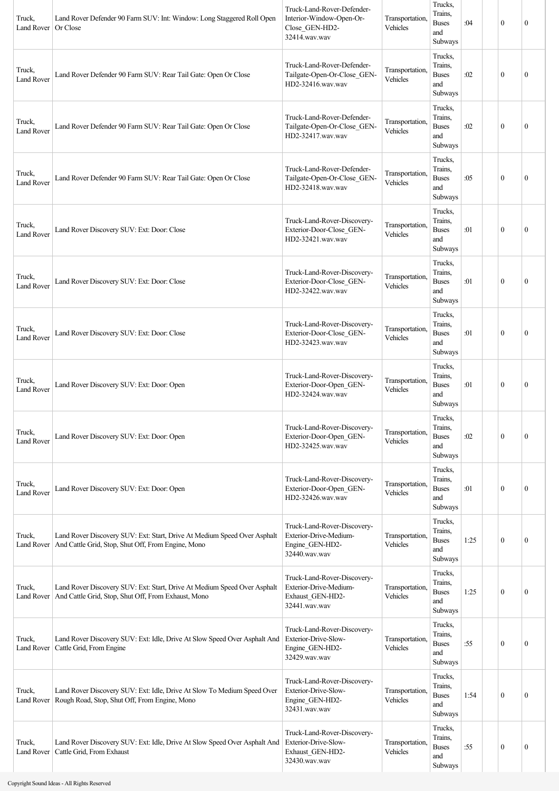| Truck,<br>Land Rover        | Land Rover Defender 90 Farm SUV: Int: Window: Long Staggered Roll Open<br>Or Close                                              | Truck-Land-Rover-Defender-<br>Interior-Window-Open-Or-<br>Close_GEN-HD2-<br>32414.wav.wav  | Transportation,<br>Vehicles | Trucks,<br>Trains.<br><b>Buses</b><br>and<br>Subways | :04  | $\mathbf{0}$     | $\mathbf{0}$     |
|-----------------------------|---------------------------------------------------------------------------------------------------------------------------------|--------------------------------------------------------------------------------------------|-----------------------------|------------------------------------------------------|------|------------------|------------------|
| Truck,<br><b>Land Rover</b> | Land Rover Defender 90 Farm SUV: Rear Tail Gate: Open Or Close                                                                  | Truck-Land-Rover-Defender-<br>Tailgate-Open-Or-Close GEN-<br>HD2-32416.wav.wav             | Transportation,<br>Vehicles | Trucks,<br>Trains.<br><b>Buses</b><br>and<br>Subways | :02  | $\boldsymbol{0}$ | $\mathbf{0}$     |
| Truck,<br><b>Land Rover</b> | Land Rover Defender 90 Farm SUV: Rear Tail Gate: Open Or Close                                                                  | Truck-Land-Rover-Defender-<br>Tailgate-Open-Or-Close_GEN-<br>HD2-32417.wav.wav             | Transportation,<br>Vehicles | Trucks,<br>Trains.<br><b>Buses</b><br>and<br>Subways | :02  | $\boldsymbol{0}$ | $\mathbf{0}$     |
| Truck,<br><b>Land Rover</b> | Land Rover Defender 90 Farm SUV: Rear Tail Gate: Open Or Close                                                                  | Truck-Land-Rover-Defender-<br>Tailgate-Open-Or-Close_GEN-<br>HD2-32418.wav.wav             | Transportation,<br>Vehicles | Trucks,<br>Trains,<br><b>Buses</b><br>and<br>Subways | :05  | $\boldsymbol{0}$ | $\mathbf{0}$     |
| Truck,<br><b>Land Rover</b> | Land Rover Discovery SUV: Ext: Door: Close                                                                                      | Truck-Land-Rover-Discovery-<br>Exterior-Door-Close_GEN-<br>HD2-32421.wav.wav               | Transportation,<br>Vehicles | Trucks,<br>Trains,<br><b>Buses</b><br>and<br>Subways | :01  | $\boldsymbol{0}$ | $\mathbf{0}$     |
| Truck,<br><b>Land Rover</b> | Land Rover Discovery SUV: Ext: Door: Close                                                                                      | Truck-Land-Rover-Discovery-<br>Exterior-Door-Close_GEN-<br>HD2-32422.wav.wav               | Transportation,<br>Vehicles | Trucks,<br>Trains,<br><b>Buses</b><br>and<br>Subways | :01  | $\theta$         | $\mathbf{0}$     |
| Truck,<br><b>Land Rover</b> | Land Rover Discovery SUV: Ext: Door: Close                                                                                      | Truck-Land-Rover-Discovery-<br>Exterior-Door-Close_GEN-<br>HD2-32423.wav.wav               | Transportation,<br>Vehicles | Trucks,<br>Trains,<br><b>Buses</b><br>and<br>Subways | :01  | $\boldsymbol{0}$ | $\mathbf{0}$     |
| Truck,<br>Land Rover        | Land Rover Discovery SUV: Ext: Door: Open                                                                                       | Truck-Land-Rover-Discovery-<br>Exterior-Door-Open_GEN-<br>HD2-32424.wav.wav                | Transportation,<br>Vehicles | Trucks,<br>Trains.<br><b>Buses</b><br>and<br>Subways | :01  | $\boldsymbol{0}$ | $\mathbf{0}$     |
| Truck,<br><b>Land Rover</b> | Land Rover Discovery SUV: Ext: Door: Open                                                                                       | Truck-Land-Rover-Discovery-<br>Exterior-Door-Open_GEN-<br>HD2-32425.wav.wav                | Transportation,<br>Vehicles | Trucks,<br>Trains,<br><b>Buses</b><br>and<br>Subways | :02  | $\boldsymbol{0}$ | $\mathbf{0}$     |
| Truck,<br><b>Land Rover</b> | Land Rover Discovery SUV: Ext: Door: Open                                                                                       | Truck-Land-Rover-Discovery-<br>Exterior-Door-Open_GEN-<br>HD2-32426.wav.wav                | Transportation,<br>Vehicles | Trucks,<br>Trains,<br><b>Buses</b><br>and<br>Subways | :01  | $\boldsymbol{0}$ | $\mathbf{0}$     |
| Truck,<br>Land Rover        | Land Rover Discovery SUV: Ext: Start, Drive At Medium Speed Over Asphalt<br>And Cattle Grid, Stop, Shut Off, From Engine, Mono  | Truck-Land-Rover-Discovery-<br>Exterior-Drive-Medium-<br>Engine_GEN-HD2-<br>32440.wav.wav  | Transportation,<br>Vehicles | Trucks,<br>Trains,<br><b>Buses</b><br>and<br>Subways | 1:25 | $\boldsymbol{0}$ | $\boldsymbol{0}$ |
| Truck,<br>Land Rover        | Land Rover Discovery SUV: Ext: Start, Drive At Medium Speed Over Asphalt<br>And Cattle Grid, Stop, Shut Off, From Exhaust, Mono | Truck-Land-Rover-Discovery-<br>Exterior-Drive-Medium-<br>Exhaust_GEN-HD2-<br>32441.wav.wav | Transportation,<br>Vehicles | Trucks,<br>Trains,<br><b>Buses</b><br>and<br>Subways | 1:25 | $\boldsymbol{0}$ | $\boldsymbol{0}$ |
| Truck,<br>Land Rover        | Land Rover Discovery SUV: Ext: Idle, Drive At Slow Speed Over Asphalt And<br>Cattle Grid, From Engine                           | Truck-Land-Rover-Discovery-<br>Exterior-Drive-Slow-<br>Engine_GEN-HD2-<br>32429.wav.wav    | Transportation,<br>Vehicles | Trucks,<br>Trains,<br><b>Buses</b><br>and<br>Subways | :55  | $\boldsymbol{0}$ | $\boldsymbol{0}$ |
| Truck,<br><b>Land Rover</b> | Land Rover Discovery SUV: Ext: Idle, Drive At Slow To Medium Speed Over<br>Rough Road, Stop, Shut Off, From Engine, Mono        | Truck-Land-Rover-Discovery-<br>Exterior-Drive-Slow-<br>Engine_GEN-HD2-<br>32431.wav.wav    | Transportation,<br>Vehicles | Trucks,<br>Trains.<br><b>Buses</b><br>and<br>Subways | 1:54 | $\boldsymbol{0}$ | $\mathbf{0}$     |
| Truck,<br>Land Rover        | Land Rover Discovery SUV: Ext: Idle, Drive At Slow Speed Over Asphalt And<br>Cattle Grid, From Exhaust                          | Truck-Land-Rover-Discovery-<br>Exterior-Drive-Slow-<br>Exhaust_GEN-HD2-<br>32430.wav.wav   | Transportation,<br>Vehicles | Trucks,<br>Trains,<br><b>Buses</b><br>and<br>Subways | :55  | $\boldsymbol{0}$ | $\boldsymbol{0}$ |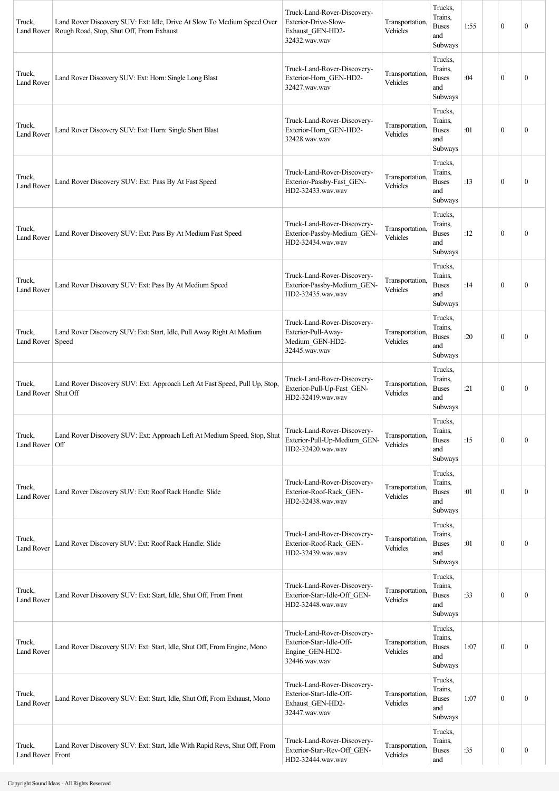| Truck,<br>Land Rover        | Land Rover Discovery SUV: Ext: Idle, Drive At Slow To Medium Speed Over<br>Rough Road, Stop, Shut Off, From Exhaust | Truck-Land-Rover-Discovery-<br>Exterior-Drive-Slow-<br>Exhaust GEN-HD2-<br>32432.wav.wav     | Transportation.<br>Vehicles | Trucks,<br>Trains,<br><b>Buses</b><br>and<br>Subways | 1:55 | $\mathbf{0}$ | $\boldsymbol{0}$ |
|-----------------------------|---------------------------------------------------------------------------------------------------------------------|----------------------------------------------------------------------------------------------|-----------------------------|------------------------------------------------------|------|--------------|------------------|
| Truck,<br><b>Land Rover</b> | Land Rover Discovery SUV: Ext: Horn: Single Long Blast                                                              | Truck-Land-Rover-Discovery-<br>Exterior-Horn_GEN-HD2-<br>32427.wav.wav                       | Transportation.<br>Vehicles | Trucks,<br>Trains,<br><b>Buses</b><br>and<br>Subways | :04  | $\mathbf{0}$ | $\mathbf{0}$     |
| Truck,<br><b>Land Rover</b> | Land Rover Discovery SUV: Ext: Horn: Single Short Blast                                                             | Truck-Land-Rover-Discovery-<br>Exterior-Horn GEN-HD2-<br>32428.wav.wav                       | Transportation,<br>Vehicles | Trucks,<br>Trains,<br><b>Buses</b><br>and<br>Subways | :01  | $\mathbf{0}$ | $\mathbf{0}$     |
| Truck,<br><b>Land Rover</b> | Land Rover Discovery SUV: Ext: Pass By At Fast Speed                                                                | Truck-Land-Rover-Discovery-<br>Exterior-Passby-Fast GEN-<br>HD2-32433.wav.wav                | Transportation.<br>Vehicles | Trucks,<br>Trains,<br><b>Buses</b><br>and<br>Subways | :13  | $\mathbf{0}$ | $\boldsymbol{0}$ |
| Truck,<br><b>Land Rover</b> | Land Rover Discovery SUV: Ext: Pass By At Medium Fast Speed                                                         | Truck-Land-Rover-Discovery-<br>Exterior-Passby-Medium_GEN-<br>HD2-32434.wav.wav              | Transportation,<br>Vehicles | Trucks,<br>Trains,<br><b>Buses</b><br>and<br>Subways | :12  | $\mathbf{0}$ | $\mathbf{0}$     |
| Truck,<br><b>Land Rover</b> | Land Rover Discovery SUV: Ext: Pass By At Medium Speed                                                              | Truck-Land-Rover-Discovery-<br>Exterior-Passby-Medium_GEN-<br>HD2-32435.wav.wav              | Transportation.<br>Vehicles | Trucks,<br>Trains,<br><b>Buses</b><br>and<br>Subways | :14  | $\theta$     | $\mathbf{0}$     |
| Truck,<br>Land Rover        | Land Rover Discovery SUV: Ext: Start, Idle, Pull Away Right At Medium<br>Speed                                      | Truck-Land-Rover-Discovery-<br>Exterior-Pull-Away-<br>Medium_GEN-HD2-<br>32445.wav.wav       | Transportation.<br>Vehicles | Trucks,<br>Trains,<br><b>Buses</b><br>and<br>Subways | :20  | $\theta$     | $\boldsymbol{0}$ |
| Truck,<br>Land Rover        | Land Rover Discovery SUV: Ext: Approach Left At Fast Speed, Pull Up, Stop,<br>Shut Off                              | Truck-Land-Rover-Discovery-<br>Exterior-Pull-Up-Fast_GEN-<br>HD2-32419.wav.wav               | Transportation.<br>Vehicles | Trucks,<br>Trains,<br><b>Buses</b><br>and<br>Subways | :21  | $\mathbf{0}$ | $\boldsymbol{0}$ |
| Truck,<br>Land Rover        | Land Rover Discovery SUV: Ext: Approach Left At Medium Speed, Stop, Shut<br>Off                                     | Truck-Land-Rover-Discovery-<br>Exterior-Pull-Up-Medium GEN-<br>HD2-32420.wav.wav             | Transportation.<br>Vehicles | Trucks.<br>Trains,<br><b>Buses</b><br>and<br>Subways | :15  | $\mathbf{0}$ | $\boldsymbol{0}$ |
| Truck,<br><b>Land Rover</b> | Land Rover Discovery SUV: Ext: Roof Rack Handle: Slide                                                              | Truck-Land-Rover-Discovery-<br>Exterior-Roof-Rack_GEN-<br>HD2-32438.wav.wav                  | Transportation,<br>Vehicles | Trucks,<br>Trains,<br><b>Buses</b><br>and<br>Subways | :01  | $\mathbf{0}$ | $\mathbf{0}$     |
| Truck,<br><b>Land Rover</b> | Land Rover Discovery SUV: Ext: Roof Rack Handle: Slide                                                              | Truck-Land-Rover-Discovery-<br>Exterior-Roof-Rack_GEN-<br>HD2-32439.wav.wav                  | Transportation,<br>Vehicles | Trucks,<br>Trains,<br><b>Buses</b><br>and<br>Subways | :01  | $\mathbf{0}$ | $\boldsymbol{0}$ |
| Truck,<br><b>Land Rover</b> | Land Rover Discovery SUV: Ext: Start, Idle, Shut Off, From Front                                                    | Truck-Land-Rover-Discovery-<br>Exterior-Start-Idle-Off_GEN-<br>HD2-32448.wav.wav             | Transportation.<br>Vehicles | Trucks,<br>Trains,<br><b>Buses</b><br>and<br>Subways | :33  | $\mathbf{0}$ | $\boldsymbol{0}$ |
| Truck,<br><b>Land Rover</b> | Land Rover Discovery SUV: Ext: Start, Idle, Shut Off, From Engine, Mono                                             | Truck-Land-Rover-Discovery-<br>Exterior-Start-Idle-Off-<br>Engine GEN-HD2-<br>32446.wav.wav  | Transportation.<br>Vehicles | Trucks,<br>Trains,<br><b>Buses</b><br>and<br>Subways | 1:07 | $\mathbf{0}$ | $\mathbf{0}$     |
| Truck.<br><b>Land Rover</b> | Land Rover Discovery SUV: Ext: Start, Idle, Shut Off, From Exhaust, Mono                                            | Truck-Land-Rover-Discovery-<br>Exterior-Start-Idle-Off-<br>Exhaust_GEN-HD2-<br>32447.wav.wav | Transportation.<br>Vehicles | Trucks,<br>Trains,<br><b>Buses</b><br>and<br>Subways | 1:07 | $\mathbf{0}$ | $\mathbf{0}$     |
| Truck,<br>Land Rover        | Land Rover Discovery SUV: Ext: Start, Idle With Rapid Revs, Shut Off, From<br>Front                                 | Truck-Land-Rover-Discovery-<br>Exterior-Start-Rev-Off_GEN-<br>HD2-32444.wav.wav              | Transportation.<br>Vehicles | Trucks,<br>Trains,<br><b>Buses</b><br>and            | :35  | $\bf{0}$     | 0                |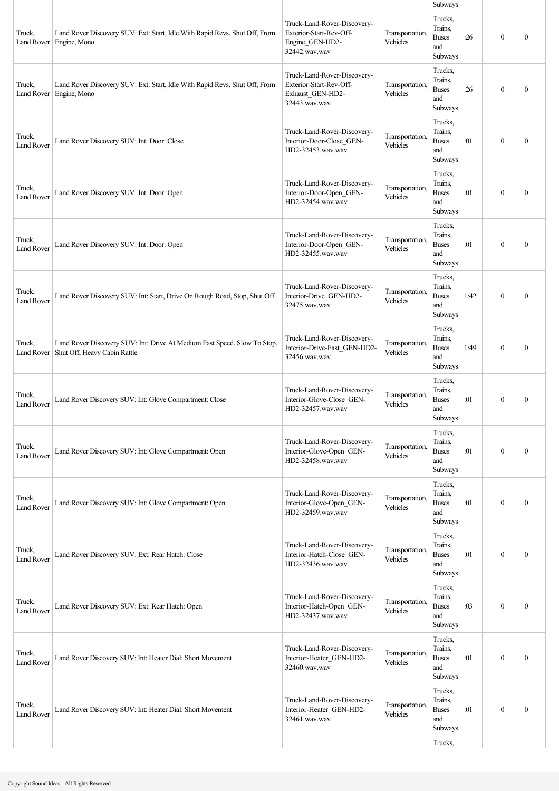|                             |                                                                                                          |                                                                                             |                             | Subways                                              |      |              |                  |
|-----------------------------|----------------------------------------------------------------------------------------------------------|---------------------------------------------------------------------------------------------|-----------------------------|------------------------------------------------------|------|--------------|------------------|
| Truck,<br>Land Rover        | Land Rover Discovery SUV: Ext: Start, Idle With Rapid Revs, Shut Off, From<br>Engine, Mono               | Truck-Land-Rover-Discovery-<br>Exterior-Start-Rev-Off-<br>Engine GEN-HD2-<br>32442.wav.wav  | Transportation,<br>Vehicles | Trucks,<br>Trains,<br><b>Buses</b><br>and<br>Subways | :26  | $\mathbf{0}$ | $\mathbf{0}$     |
| Truck,<br>Land Rover        | Land Rover Discovery SUV: Ext: Start, Idle With Rapid Revs, Shut Off, From<br>Engine, Mono               | Truck-Land-Rover-Discovery-<br>Exterior-Start-Rev-Off-<br>Exhaust_GEN-HD2-<br>32443.wav.wav | Transportation,<br>Vehicles | Trucks,<br>Trains,<br><b>Buses</b><br>and<br>Subways | :26  | $\mathbf{0}$ | $\mathbf{0}$     |
| Truck,<br>Land Rover        | Land Rover Discovery SUV: Int: Door: Close                                                               | Truck-Land-Rover-Discovery-<br>Interior-Door-Close_GEN-<br>HD2-32453.wav.wav                | Transportation,<br>Vehicles | Trucks,<br>Trains,<br><b>Buses</b><br>and<br>Subways | :01  | $\mathbf{0}$ | $\mathbf{0}$     |
| Truck,<br><b>Land Rover</b> | Land Rover Discovery SUV: Int: Door: Open                                                                | Truck-Land-Rover-Discovery-<br>Interior-Door-Open_GEN-<br>HD2-32454.wav.wav                 | Transportation,<br>Vehicles | Trucks,<br>Trains,<br><b>Buses</b><br>and<br>Subways | :01  | $\mathbf{0}$ | $\boldsymbol{0}$ |
| Truck,<br><b>Land Rover</b> | Land Rover Discovery SUV: Int: Door: Open                                                                | Truck-Land-Rover-Discovery-<br>Interior-Door-Open_GEN-<br>HD2-32455.wav.wav                 | Transportation,<br>Vehicles | Trucks,<br>Trains,<br><b>Buses</b><br>and<br>Subways | :01  | $\mathbf{0}$ | $\mathbf{0}$     |
| Truck,<br><b>Land Rover</b> | Land Rover Discovery SUV: Int: Start, Drive On Rough Road, Stop, Shut Off                                | Truck-Land-Rover-Discovery-<br>Interior-Drive_GEN-HD2-<br>32475.wav.wav                     | Transportation,<br>Vehicles | Trucks,<br>Trains.<br><b>Buses</b><br>and<br>Subways | 1:42 | $\mathbf{0}$ | $\boldsymbol{0}$ |
| Truck,<br><b>Land Rover</b> | Land Rover Discovery SUV: Int: Drive At Medium Fast Speed, Slow To Stop,<br>Shut Off, Heavy Cabin Rattle | Truck-Land-Rover-Discovery-<br>Interior-Drive-Fast_GEN-HD2-<br>32456.wav.wav                | Transportation,<br>Vehicles | Trucks,<br>Trains,<br><b>Buses</b><br>and<br>Subways | 1:49 | $\theta$     | $\mathbf{0}$     |
| Truck,<br>Land Rover        | Land Rover Discovery SUV: Int: Glove Compartment: Close                                                  | Truck-Land-Rover-Discovery-<br>Interior-Glove-Close GEN-<br>HD2-32457.wav.wav               | Transportation,<br>Vehicles | Trucks,<br>Trains,<br><b>Buses</b><br>and<br>Subways | :01  | $\mathbf{0}$ | $\mathbf{0}$     |
| Truck,<br><b>Land Rover</b> | Land Rover Discovery SUV: Int: Glove Compartment: Open                                                   | Truck-Land-Rover-Discovery-<br>Interior-Glove-Open_GEN-<br>HD2-32458.wav.wav                | Transportation,<br>Vehicles | Trucks,<br>Trains,<br><b>Buses</b><br>and<br>Subways | :01  | $\mathbf{0}$ | $\boldsymbol{0}$ |
| Truck,<br><b>Land Rover</b> | Land Rover Discovery SUV: Int: Glove Compartment: Open                                                   | Truck-Land-Rover-Discovery-<br>Interior-Glove-Open_GEN-<br>HD2-32459.wav.wav                | Transportation,<br>Vehicles | Trucks,<br>Trains,<br><b>Buses</b><br>and<br>Subways | :01  | $\mathbf{0}$ | $\mathbf{0}$     |
| Truck,<br><b>Land Rover</b> | Land Rover Discovery SUV: Ext: Rear Hatch: Close                                                         | Truck-Land-Rover-Discovery-<br>Interior-Hatch-Close_GEN-<br>HD2-32436.wav.wav               | Transportation,<br>Vehicles | Trucks,<br>Trains,<br><b>Buses</b><br>and<br>Subways | :01  | $\mathbf{0}$ | $\mathbf{0}$     |
| Truck,<br><b>Land Rover</b> | Land Rover Discovery SUV: Ext: Rear Hatch: Open                                                          | Truck-Land-Rover-Discovery-<br>Interior-Hatch-Open GEN-<br>HD2-32437.wav.wav                | Transportation,<br>Vehicles | Trucks,<br>Trains.<br><b>Buses</b><br>and<br>Subways | :03  | $\mathbf{0}$ | $\mathbf{0}$     |
| Truck,<br><b>Land Rover</b> | Land Rover Discovery SUV: Int: Heater Dial: Short Movement                                               | Truck-Land-Rover-Discovery-<br>Interior-Heater_GEN-HD2-<br>32460.wav.wav                    | Transportation,<br>Vehicles | Trucks,<br>Trains,<br><b>Buses</b><br>and<br>Subways | :01  | $\theta$     | $\mathbf{0}$     |
| Truck,<br>Land Rover        | Land Rover Discovery SUV: Int: Heater Dial: Short Movement                                               | Truck-Land-Rover-Discovery-<br>Interior-Heater_GEN-HD2-<br>32461.wav.wav                    | Transportation,<br>Vehicles | Trucks,<br>Trains,<br><b>Buses</b><br>and<br>Subways | :01  | $\mathbf{0}$ | $\mathbf{0}$     |
|                             |                                                                                                          |                                                                                             |                             | Trucks,                                              |      |              |                  |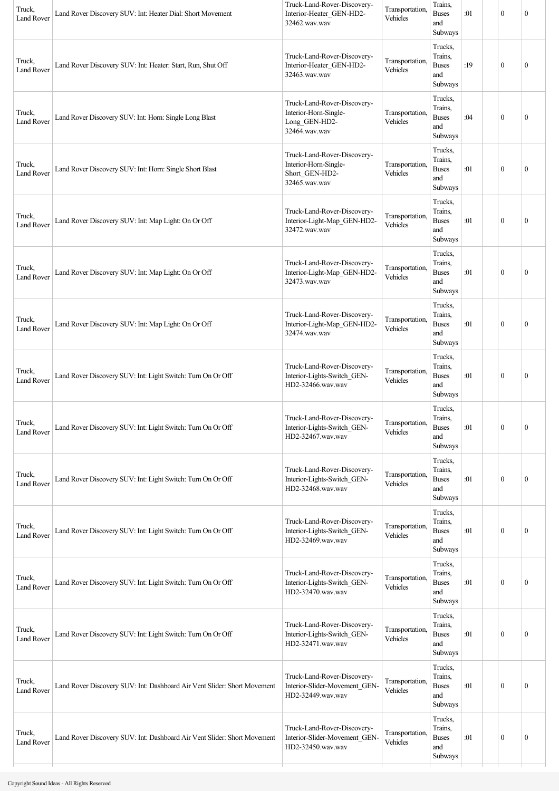| Truck,<br><b>Land Rover</b> | Land Rover Discovery SUV: Int: Heater Dial: Short Movement               | Truck-Land-Rover-Discovery-<br>Interior-Heater_GEN-HD2-<br>32462.wav.wav                | Transportation,<br>Vehicles | Trains,<br><b>Buses</b><br>and<br>Subways            | :01 | $\mathbf{0}$     | $\boldsymbol{0}$ |
|-----------------------------|--------------------------------------------------------------------------|-----------------------------------------------------------------------------------------|-----------------------------|------------------------------------------------------|-----|------------------|------------------|
| Truck,<br><b>Land Rover</b> | Land Rover Discovery SUV: Int: Heater: Start, Run, Shut Off              | Truck-Land-Rover-Discovery-<br>Interior-Heater_GEN-HD2-<br>32463.wav.wav                | Transportation,<br>Vehicles | Trucks,<br>Trains,<br><b>Buses</b><br>and<br>Subways | :19 | $\mathbf{0}$     | $\mathbf{0}$     |
| Truck,<br><b>Land Rover</b> | Land Rover Discovery SUV: Int: Horn: Single Long Blast                   | Truck-Land-Rover-Discovery-<br>Interior-Horn-Single-<br>Long_GEN-HD2-<br>32464.wav.wav  | Transportation.<br>Vehicles | Trucks,<br>Trains,<br><b>Buses</b><br>and<br>Subways | :04 | $\mathbf{0}$     | $\boldsymbol{0}$ |
| Truck,<br>Land Rover        | Land Rover Discovery SUV: Int: Horn: Single Short Blast                  | Truck-Land-Rover-Discovery-<br>Interior-Horn-Single-<br>Short_GEN-HD2-<br>32465.wav.wav | Transportation.<br>Vehicles | Trucks,<br>Trains,<br><b>Buses</b><br>and<br>Subways | :01 | $\mathbf{0}$     | $\boldsymbol{0}$ |
| Truck,<br><b>Land Rover</b> | Land Rover Discovery SUV: Int: Map Light: On Or Off                      | Truck-Land-Rover-Discovery-<br>Interior-Light-Map_GEN-HD2-<br>32472.wav.wav             | Transportation,<br>Vehicles | Trucks,<br>Trains,<br><b>Buses</b><br>and<br>Subways | :01 | $\boldsymbol{0}$ | $\mathbf{0}$     |
| Truck,<br><b>Land Rover</b> | Land Rover Discovery SUV: Int: Map Light: On Or Off                      | Truck-Land-Rover-Discovery-<br>Interior-Light-Map GEN-HD2-<br>32473.wav.wav             | Transportation,<br>Vehicles | Trucks,<br>Trains,<br><b>Buses</b><br>and<br>Subways | :01 | $\mathbf{0}$     | $\boldsymbol{0}$ |
| Truck,<br><b>Land Rover</b> | Land Rover Discovery SUV: Int: Map Light: On Or Off                      | Truck-Land-Rover-Discovery-<br>Interior-Light-Map_GEN-HD2-<br>32474.wav.wav             | Transportation,<br>Vehicles | Trucks,<br>Trains,<br><b>Buses</b><br>and<br>Subways | :01 | $\mathbf{0}$     | $\mathbf{0}$     |
| Truck,<br>Land Rover        | Land Rover Discovery SUV: Int: Light Switch: Turn On Or Off              | Truck-Land-Rover-Discovery-<br>Interior-Lights-Switch GEN-<br>HD2-32466.wav.wav         | Transportation,<br>Vehicles | Trucks,<br>Trains,<br><b>Buses</b><br>and<br>Subways | :01 | $\mathbf{0}$     | $\mathbf{0}$     |
| Truck,<br>Land Rover        | Land Rover Discovery SUV: Int: Light Switch: Turn On Or Off              | Truck-Land-Rover-Discovery-<br>Interior-Lights-Switch GEN-<br>HD2-32467.wav.wav         | Transportation,<br>Vehicles | Trucks,<br>Trains,<br><b>Buses</b><br>and<br>Subways | :01 | $\boldsymbol{0}$ | $\boldsymbol{0}$ |
| Truck,<br><b>Land Rover</b> | Land Rover Discovery SUV: Int: Light Switch: Turn On Or Off              | Truck-Land-Rover-Discovery-<br>Interior-Lights-Switch GEN-<br>HD2-32468.wav.wav         | Transportation,<br>Vehicles | Trucks,<br>Trains,<br><b>Buses</b><br>and<br>Subways | :01 | $\boldsymbol{0}$ | $\boldsymbol{0}$ |
| Truck,<br><b>Land Rover</b> | Land Rover Discovery SUV: Int: Light Switch: Turn On Or Off              | Truck-Land-Rover-Discovery-<br>Interior-Lights-Switch_GEN-<br>HD2-32469.wav.wav         | Transportation,<br>Vehicles | Trucks,<br>Trains,<br><b>Buses</b><br>and<br>Subways | :01 | $\boldsymbol{0}$ | $\boldsymbol{0}$ |
| Truck,<br><b>Land Rover</b> | Land Rover Discovery SUV: Int: Light Switch: Turn On Or Off              | Truck-Land-Rover-Discovery-<br>Interior-Lights-Switch_GEN-<br>HD2-32470.wav.wav         | Transportation,<br>Vehicles | Trucks,<br>Trains,<br><b>Buses</b><br>and<br>Subways | :01 | $\bf{0}$         | $\boldsymbol{0}$ |
| Truck,<br><b>Land Rover</b> | Land Rover Discovery SUV: Int: Light Switch: Turn On Or Off              | Truck-Land-Rover-Discovery-<br>Interior-Lights-Switch_GEN-<br>HD2-32471.wav.wav         | Transportation,<br>Vehicles | Trucks,<br>Trains,<br><b>Buses</b><br>and<br>Subways | :01 | $\bf{0}$         | $\boldsymbol{0}$ |
| Truck,<br>Land Rover        | Land Rover Discovery SUV: Int: Dashboard Air Vent Slider: Short Movement | Truck-Land-Rover-Discovery-<br>Interior-Slider-Movement_GEN-<br>HD2-32449.wav.wav       | Transportation,<br>Vehicles | Trucks,<br>Trains,<br><b>Buses</b><br>and<br>Subways | :01 | $\bf{0}$         | $\boldsymbol{0}$ |
| Truck,<br>Land Rover        | Land Rover Discovery SUV: Int: Dashboard Air Vent Slider: Short Movement | Truck-Land-Rover-Discovery-<br>Interior-Slider-Movement_GEN-<br>HD2-32450.wav.wav       | Transportation.<br>Vehicles | Trucks,<br>Trains,<br><b>Buses</b><br>and<br>Subways | :01 | $\bf{0}$         | $\boldsymbol{0}$ |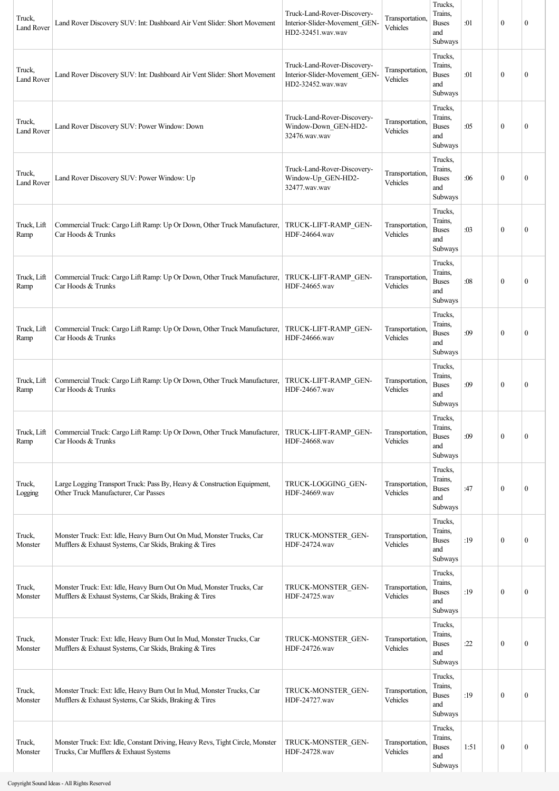| Truck,<br><b>Land Rover</b> | Land Rover Discovery SUV: Int: Dashboard Air Vent Slider: Short Movement                                                       | Truck-Land-Rover-Discovery-<br>Interior-Slider-Movement_GEN-<br>HD2-32451.wav.wav | Transportation,<br>Vehicles | Trucks,<br>Trains,<br><b>Buses</b><br>and<br>Subways | :01  | $\mathbf{0}$     | $\mathbf{0}$     |
|-----------------------------|--------------------------------------------------------------------------------------------------------------------------------|-----------------------------------------------------------------------------------|-----------------------------|------------------------------------------------------|------|------------------|------------------|
| Truck,<br><b>Land Rover</b> | Land Rover Discovery SUV: Int: Dashboard Air Vent Slider: Short Movement                                                       | Truck-Land-Rover-Discovery-<br>Interior-Slider-Movement GEN-<br>HD2-32452.wav.wav | Transportation,<br>Vehicles | Trucks,<br>Trains.<br><b>Buses</b><br>and<br>Subways | :01  | $\mathbf{0}$     | $\mathbf{0}$     |
| Truck,<br><b>Land Rover</b> | Land Rover Discovery SUV: Power Window: Down                                                                                   | Truck-Land-Rover-Discovery-<br>Window-Down_GEN-HD2-<br>32476.wav.wav              | Transportation.<br>Vehicles | Trucks,<br>Trains.<br><b>Buses</b><br>and<br>Subways | :05  | $\mathbf{0}$     | $\mathbf{0}$     |
| Truck,<br><b>Land Rover</b> | Land Rover Discovery SUV: Power Window: Up                                                                                     | Truck-Land-Rover-Discovery-<br>Window-Up_GEN-HD2-<br>32477.wav.wav                | Transportation,<br>Vehicles | Trucks,<br>Trains,<br><b>Buses</b><br>and<br>Subways | :06  | $\mathbf{0}$     | $\mathbf{0}$     |
| Truck, Lift<br>Ramp         | Commercial Truck: Cargo Lift Ramp: Up Or Down, Other Truck Manufacturer,<br>Car Hoods & Trunks                                 | TRUCK-LIFT-RAMP GEN-<br>HDF-24664.wav                                             | Transportation,<br>Vehicles | Trucks,<br>Trains,<br><b>Buses</b><br>and<br>Subways | :03  | $\mathbf{0}$     | $\mathbf{0}$     |
| Truck, Lift<br>Ramp         | Commercial Truck: Cargo Lift Ramp: Up Or Down, Other Truck Manufacturer,<br>Car Hoods & Trunks                                 | TRUCK-LIFT-RAMP GEN-<br>HDF-24665.wav                                             | Transportation,<br>Vehicles | Trucks,<br>Trains,<br><b>Buses</b><br>and<br>Subways | :08  | $\theta$         | $\mathbf{0}$     |
| Truck, Lift<br>Ramp         | Commercial Truck: Cargo Lift Ramp: Up Or Down, Other Truck Manufacturer,<br>Car Hoods & Trunks                                 | TRUCK-LIFT-RAMP GEN-<br>HDF-24666.wav                                             | Transportation,<br>Vehicles | Trucks,<br>Trains,<br><b>Buses</b><br>and<br>Subways | :09  | $\mathbf{0}$     | $\mathbf{0}$     |
| Truck, Lift<br>Ramp         | Commercial Truck: Cargo Lift Ramp: Up Or Down, Other Truck Manufacturer,<br>Car Hoods & Trunks                                 | TRUCK-LIFT-RAMP GEN-<br>HDF-24667.wav                                             | Transportation,<br>Vehicles | Trucks,<br>Trains.<br><b>Buses</b><br>and<br>Subways | :09  | $\mathbf{0}$     | $\mathbf{0}$     |
| Truck, Lift<br>Ramp         | Commercial Truck: Cargo Lift Ramp: Up Or Down, Other Truck Manufacturer,<br>Car Hoods & Trunks                                 | TRUCK-LIFT-RAMP GEN-<br>HDF-24668.wav                                             | Transportation,<br>Vehicles | Trucks,<br>Trains,<br><b>Buses</b><br>and<br>Subways | :09  | $\mathbf{0}$     | $\mathbf{0}$     |
| Truck,<br>Logging           | Large Logging Transport Truck: Pass By, Heavy & Construction Equipment,<br>Other Truck Manufacturer, Car Passes                | TRUCK-LOGGING GEN-<br>HDF-24669.wav                                               | Transportation,<br>Vehicles | Trucks,<br>Trains,<br><b>Buses</b><br>and<br>Subways | :47  | $\mathbf{0}$     | $\mathbf{0}$     |
| Truck,<br>Monster           | Monster Truck: Ext: Idle, Heavy Burn Out On Mud, Monster Trucks, Car<br>Mufflers & Exhaust Systems, Car Skids, Braking & Tires | TRUCK-MONSTER GEN-<br>HDF-24724.wav                                               | Transportation.<br>Vehicles | Trucks,<br>Trains,<br><b>Buses</b><br>and<br>Subways | :19  | $\mathbf{0}$     | $\mathbf{0}$     |
| Truck,<br>Monster           | Monster Truck: Ext: Idle, Heavy Burn Out On Mud, Monster Trucks, Car<br>Mufflers & Exhaust Systems, Car Skids, Braking & Tires | TRUCK-MONSTER GEN-<br>HDF-24725.wav                                               | Transportation,<br>Vehicles | Trucks,<br>Trains,<br><b>Buses</b><br>and<br>Subways | :19  | $\mathbf{0}$     | $\boldsymbol{0}$ |
| Truck,<br>Monster           | Monster Truck: Ext: Idle, Heavy Burn Out In Mud, Monster Trucks, Car<br>Mufflers & Exhaust Systems, Car Skids, Braking & Tires | TRUCK-MONSTER GEN-<br>HDF-24726.wav                                               | Transportation,<br>Vehicles | Trucks,<br>Trains,<br><b>Buses</b><br>and<br>Subways | :22  | $\mathbf{0}$     | $\mathbf{0}$     |
| Truck,<br>Monster           | Monster Truck: Ext: Idle, Heavy Burn Out In Mud, Monster Trucks, Car<br>Mufflers & Exhaust Systems, Car Skids, Braking & Tires | TRUCK-MONSTER GEN-<br>HDF-24727.wav                                               | Transportation,<br>Vehicles | Trucks,<br>Trains.<br><b>Buses</b><br>and<br>Subways | :19  | $\mathbf{0}$     | $\mathbf{0}$     |
| Truck,<br>Monster           | Monster Truck: Ext: Idle, Constant Driving, Heavy Revs, Tight Circle, Monster<br>Trucks, Car Mufflers & Exhaust Systems        | TRUCK-MONSTER GEN-<br>HDF-24728.wav                                               | Transportation,<br>Vehicles | Trucks,<br>Trains,<br><b>Buses</b><br>and<br>Subways | 1:51 | $\boldsymbol{0}$ | $\boldsymbol{0}$ |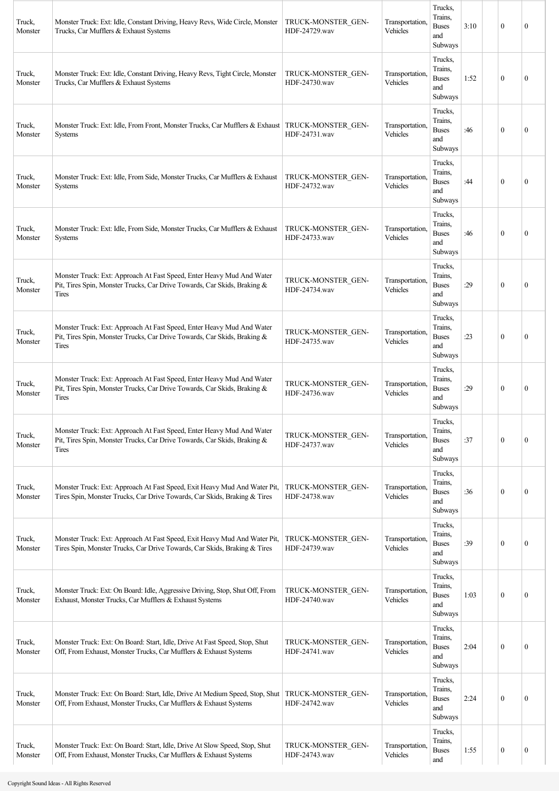| Truck,<br>Monster | Monster Truck: Ext: Idle, Constant Driving, Heavy Revs, Wide Circle, Monster<br>Trucks, Car Mufflers & Exhaust Systems                                                 | TRUCK-MONSTER GEN-<br>HDF-24729.wav | Transportation.<br>Vehicles | Trucks,<br>Trains,<br><b>Buses</b><br>and<br>Subways | 3:10 | $\mathbf{0}$ | $\mathbf{0}$     |
|-------------------|------------------------------------------------------------------------------------------------------------------------------------------------------------------------|-------------------------------------|-----------------------------|------------------------------------------------------|------|--------------|------------------|
| Truck,<br>Monster | Monster Truck: Ext: Idle, Constant Driving, Heavy Revs, Tight Circle, Monster<br>Trucks, Car Mufflers & Exhaust Systems                                                | TRUCK-MONSTER GEN-<br>HDF-24730.wav | Transportation,<br>Vehicles | Trucks,<br>Trains,<br><b>Buses</b><br>and<br>Subways | 1:52 | $\mathbf{0}$ | $\mathbf{0}$     |
| Truck,<br>Monster | Monster Truck: Ext: Idle, From Front, Monster Trucks, Car Mufflers & Exhaust   TRUCK-MONSTER GEN-<br><b>Systems</b>                                                    | HDF-24731.wav                       | Transportation,<br>Vehicles | Trucks,<br>Trains,<br><b>Buses</b><br>and<br>Subways | :46  | $\theta$     | $\mathbf{0}$     |
| Truck,<br>Monster | Monster Truck: Ext: Idle, From Side, Monster Trucks, Car Mufflers & Exhaust<br><b>Systems</b>                                                                          | TRUCK-MONSTER GEN-<br>HDF-24732.wav | Transportation.<br>Vehicles | Trucks,<br>Trains,<br><b>Buses</b><br>and<br>Subways | :44  | $\theta$     | $\mathbf{0}$     |
| Truck,<br>Monster | Monster Truck: Ext: Idle, From Side, Monster Trucks, Car Mufflers & Exhaust<br><b>Systems</b>                                                                          | TRUCK-MONSTER GEN-<br>HDF-24733.wav | Transportation,<br>Vehicles | Trucks,<br>Trains,<br><b>Buses</b><br>and<br>Subways | :46  | $\mathbf{0}$ | $\theta$         |
| Truck,<br>Monster | Monster Truck: Ext: Approach At Fast Speed, Enter Heavy Mud And Water<br>Pit, Tires Spin, Monster Trucks, Car Drive Towards, Car Skids, Braking &<br><b>Tires</b>      | TRUCK-MONSTER GEN-<br>HDF-24734.wav | Transportation,<br>Vehicles | Trucks,<br>Trains,<br><b>Buses</b><br>and<br>Subways | :29  | $\theta$     | $\mathbf{0}$     |
| Truck,<br>Monster | Monster Truck: Ext: Approach At Fast Speed, Enter Heavy Mud And Water<br>Pit, Tires Spin, Monster Trucks, Car Drive Towards, Car Skids, Braking &<br>Tires             | TRUCK-MONSTER GEN-<br>HDF-24735.wav | Transportation,<br>Vehicles | Trucks,<br>Trains,<br><b>Buses</b><br>and<br>Subways | :23  | $\mathbf{0}$ | $\theta$         |
| Truck,<br>Monster | Monster Truck: Ext: Approach At Fast Speed, Enter Heavy Mud And Water<br>Pit, Tires Spin, Monster Trucks, Car Drive Towards, Car Skids, Braking &<br>Tires             | TRUCK-MONSTER GEN-<br>HDF-24736.wav | Transportation.<br>Vehicles | Trucks,<br>Trains,<br><b>Buses</b><br>and<br>Subways | :29  | $\theta$     | $\theta$         |
| Truck,<br>Monster | Monster Truck: Ext: Approach At Fast Speed, Enter Heavy Mud And Water<br>Pit, Tires Spin, Monster Trucks, Car Drive Towards, Car Skids, Braking &<br>Tires             | TRUCK-MONSTER GEN-<br>HDF-24737.wav | Transportation,<br>Vehicles | Trucks,<br>Trains,<br><b>Buses</b><br>and<br>Subways | :37  | $\mathbf{0}$ | $\boldsymbol{0}$ |
| Truck,<br>Monster | Monster Truck: Ext: Approach At Fast Speed, Exit Heavy Mud And Water Pit,<br>Tires Spin, Monster Trucks, Car Drive Towards, Car Skids, Braking & Tires                 | TRUCK-MONSTER GEN-<br>HDF-24738.wav | Transportation,<br>Vehicles | Trucks,<br>Trains,<br><b>Buses</b><br>and<br>Subways | :36  | $\mathbf{0}$ | $\boldsymbol{0}$ |
| Truck,<br>Monster | Monster Truck: Ext: Approach At Fast Speed, Exit Heavy Mud And Water Pit,<br>Tires Spin, Monster Trucks, Car Drive Towards, Car Skids, Braking & Tires                 | TRUCK-MONSTER GEN-<br>HDF-24739.wav | Transportation,<br>Vehicles | Trucks,<br>Trains,<br><b>Buses</b><br>and<br>Subways | :39  | $\mathbf{0}$ | $\boldsymbol{0}$ |
| Truck,<br>Monster | Monster Truck: Ext: On Board: Idle, Aggressive Driving, Stop, Shut Off, From<br>Exhaust, Monster Trucks, Car Mufflers & Exhaust Systems                                | TRUCK-MONSTER GEN-<br>HDF-24740.wav | Transportation,<br>Vehicles | Trucks,<br>Trains,<br><b>Buses</b><br>and<br>Subways | 1:03 | $\mathbf{0}$ | 0                |
| Truck,<br>Monster | Monster Truck: Ext: On Board: Start, Idle, Drive At Fast Speed, Stop, Shut<br>Off, From Exhaust, Monster Trucks, Car Mufflers & Exhaust Systems                        | TRUCK-MONSTER GEN-<br>HDF-24741.wav | Transportation,<br>Vehicles | Trucks,<br>Trains,<br><b>Buses</b><br>and<br>Subways | 2:04 | $\mathbf{0}$ | $\boldsymbol{0}$ |
| Truck,<br>Monster | Monster Truck: Ext: On Board: Start, Idle, Drive At Medium Speed, Stop, Shut   TRUCK-MONSTER GEN-<br>Off, From Exhaust, Monster Trucks, Car Mufflers & Exhaust Systems | HDF-24742.wav                       | Transportation.<br>Vehicles | Trucks,<br>Trains,<br><b>Buses</b><br>and<br>Subways | 2:24 | $\mathbf{0}$ | $\boldsymbol{0}$ |
| Truck,<br>Monster | Monster Truck: Ext: On Board: Start, Idle, Drive At Slow Speed, Stop, Shut<br>Off, From Exhaust, Monster Trucks, Car Mufflers & Exhaust Systems                        | TRUCK-MONSTER GEN-<br>HDF-24743.wav | Transportation,<br>Vehicles | Trucks,<br>Trains,<br><b>Buses</b><br>and            | 1:55 | $\bf{0}$     | $\boldsymbol{0}$ |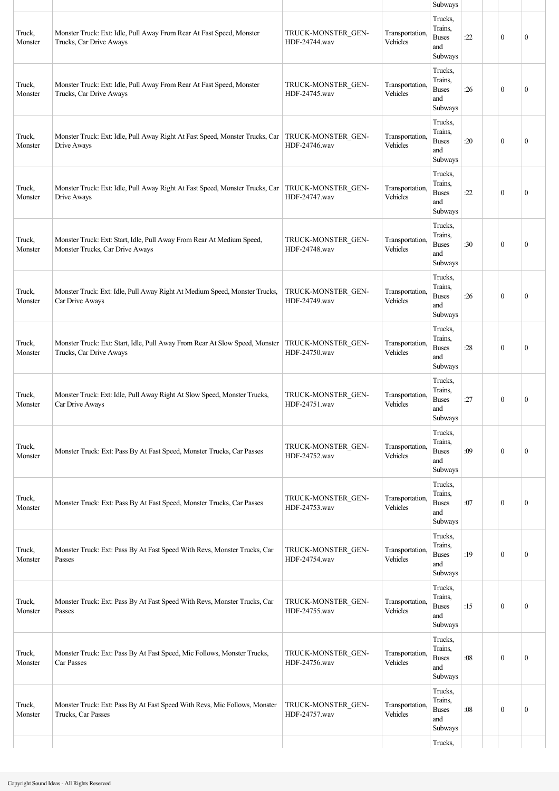|                   |                                                                                                                  |                                     |                             | Subways                                              |     |              |                  |
|-------------------|------------------------------------------------------------------------------------------------------------------|-------------------------------------|-----------------------------|------------------------------------------------------|-----|--------------|------------------|
| Truck,<br>Monster | Monster Truck: Ext: Idle, Pull Away From Rear At Fast Speed, Monster<br>Trucks, Car Drive Aways                  | TRUCK-MONSTER GEN-<br>HDF-24744.wav | Transportation.<br>Vehicles | Trucks,<br>Trains,<br><b>Buses</b><br>and<br>Subways | :22 | $\mathbf{0}$ | $\mathbf{0}$     |
| Truck,<br>Monster | Monster Truck: Ext: Idle, Pull Away From Rear At Fast Speed, Monster<br>Trucks, Car Drive Aways                  | TRUCK-MONSTER GEN-<br>HDF-24745.wav | Transportation,<br>Vehicles | Trucks,<br>Trains,<br><b>Buses</b><br>and<br>Subways | :26 | $\mathbf{0}$ | $\mathbf{0}$     |
| Truck,<br>Monster | Monster Truck: Ext: Idle, Pull Away Right At Fast Speed, Monster Trucks, Car   TRUCK-MONSTER_GEN-<br>Drive Aways | HDF-24746.wav                       | Transportation,<br>Vehicles | Trucks,<br>Trains.<br><b>Buses</b><br>and<br>Subways | :20 | $\theta$     | $\theta$         |
| Truck,<br>Monster | Monster Truck: Ext: Idle, Pull Away Right At Fast Speed, Monster Trucks, Car   TRUCK-MONSTER GEN-<br>Drive Aways | HDF-24747.wav                       | Transportation.<br>Vehicles | Trucks,<br>Trains.<br><b>Buses</b><br>and<br>Subways | :22 | $\mathbf{0}$ | $\mathbf{0}$     |
| Truck,<br>Monster | Monster Truck: Ext: Start, Idle, Pull Away From Rear At Medium Speed,<br>Monster Trucks, Car Drive Aways         | TRUCK-MONSTER GEN-<br>HDF-24748.wav | Transportation,<br>Vehicles | Trucks,<br>Trains.<br><b>Buses</b><br>and<br>Subways | :30 | $\mathbf{0}$ | $\mathbf{0}$     |
| Truck,<br>Monster | Monster Truck: Ext: Idle, Pull Away Right At Medium Speed, Monster Trucks,<br>Car Drive Aways                    | TRUCK-MONSTER GEN-<br>HDF-24749.wav | Transportation,<br>Vehicles | Trucks,<br>Trains.<br><b>Buses</b><br>and<br>Subways | :26 | $\theta$     | $\mathbf{0}$     |
| Truck,<br>Monster | Monster Truck: Ext: Start, Idle, Pull Away From Rear At Slow Speed, Monster<br>Trucks, Car Drive Aways           | TRUCK-MONSTER GEN-<br>HDF-24750.wav | Transportation,<br>Vehicles | Trucks,<br>Trains,<br><b>Buses</b><br>and<br>Subways | :28 | $\theta$     | $\mathbf{0}$     |
| Truck,<br>Monster | Monster Truck: Ext: Idle, Pull Away Right At Slow Speed, Monster Trucks,<br>Car Drive Aways                      | TRUCK-MONSTER GEN-<br>HDF-24751.wav | Transportation.<br>Vehicles | Trucks,<br>Trains,<br><b>Buses</b><br>and<br>Subways | :27 | $\mathbf{0}$ | $\mathbf{0}$     |
| Truck,<br>Monster | Monster Truck: Ext: Pass By At Fast Speed, Monster Trucks, Car Passes                                            | TRUCK-MONSTER GEN-<br>HDF-24752.wav | Transportation.<br>Vehicles | Trucks,<br>Trains,<br><b>Buses</b><br>and<br>Subways | :09 | $\mathbf{0}$ | $\mathbf{0}$     |
| Truck,<br>Monster | Monster Truck: Ext: Pass By At Fast Speed, Monster Trucks, Car Passes                                            | TRUCK-MONSTER GEN-<br>HDF-24753.wav | Transportation,<br>Vehicles | Trucks,<br>Trains,<br><b>Buses</b><br>and<br>Subways | :07 | $\mathbf{0}$ | $\mathbf{0}$     |
| Truck,<br>Monster | Monster Truck: Ext: Pass By At Fast Speed With Revs, Monster Trucks, Car<br>Passes                               | TRUCK-MONSTER GEN-<br>HDF-24754.wav | Transportation.<br>Vehicles | Trucks,<br>Trains.<br><b>Buses</b><br>and<br>Subways | :19 | $\mathbf{0}$ | $\mathbf{0}$     |
| Truck,<br>Monster | Monster Truck: Ext: Pass By At Fast Speed With Revs, Monster Trucks, Car<br>Passes                               | TRUCK-MONSTER GEN-<br>HDF-24755.wav | Transportation.<br>Vehicles | Trucks,<br>Trains,<br><b>Buses</b><br>and<br>Subways | :15 | $\mathbf{0}$ | $\theta$         |
| Truck,<br>Monster | Monster Truck: Ext: Pass By At Fast Speed, Mic Follows, Monster Trucks,<br>Car Passes                            | TRUCK-MONSTER GEN-<br>HDF-24756.wav | Transportation,<br>Vehicles | Trucks,<br>Trains,<br><b>Buses</b><br>and<br>Subways | :08 | $\mathbf{0}$ | $\boldsymbol{0}$ |
| Truck,<br>Monster | Monster Truck: Ext: Pass By At Fast Speed With Revs, Mic Follows, Monster<br>Trucks, Car Passes                  | TRUCK-MONSTER GEN-<br>HDF-24757.wav | Transportation,<br>Vehicles | Trucks,<br>Trains,<br><b>Buses</b><br>and<br>Subways | :08 | $\mathbf{0}$ | $\mathbf{0}$     |
|                   |                                                                                                                  |                                     |                             | Trucks,                                              |     |              |                  |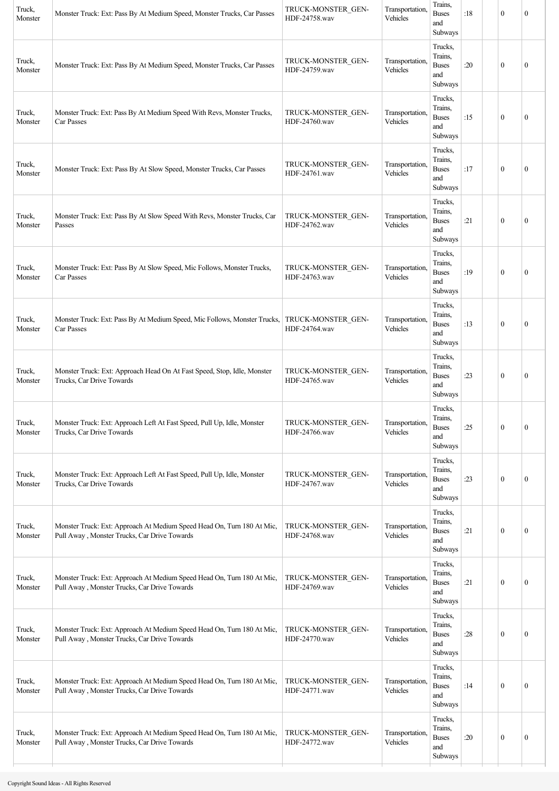| Truck,<br>Monster | Monster Truck: Ext: Pass By At Medium Speed, Monster Trucks, Car Passes                                                | TRUCK-MONSTER GEN-<br>HDF-24758.wav | Transportation,<br>Vehicles | Trains,<br><b>Buses</b><br>and<br>Subways            | :18 | $\boldsymbol{0}$ | $\mathbf{0}$     |
|-------------------|------------------------------------------------------------------------------------------------------------------------|-------------------------------------|-----------------------------|------------------------------------------------------|-----|------------------|------------------|
| Truck,<br>Monster | Monster Truck: Ext: Pass By At Medium Speed, Monster Trucks, Car Passes                                                | TRUCK-MONSTER GEN-<br>HDF-24759.wav | Transportation,<br>Vehicles | Trucks,<br>Trains,<br><b>Buses</b><br>and<br>Subways | :20 | $\boldsymbol{0}$ | $\boldsymbol{0}$ |
| Truck,<br>Monster | Monster Truck: Ext: Pass By At Medium Speed With Revs, Monster Trucks,<br>Car Passes                                   | TRUCK-MONSTER GEN-<br>HDF-24760.wav | Transportation,<br>Vehicles | Trucks,<br>Trains,<br><b>Buses</b><br>and<br>Subways | :15 | $\mathbf{0}$     | $\boldsymbol{0}$ |
| Truck,<br>Monster | Monster Truck: Ext: Pass By At Slow Speed, Monster Trucks, Car Passes                                                  | TRUCK-MONSTER GEN-<br>HDF-24761.wav | Transportation,<br>Vehicles | Trucks,<br>Trains,<br><b>Buses</b><br>and<br>Subways | :17 | $\mathbf{0}$     | $\boldsymbol{0}$ |
| Truck,<br>Monster | Monster Truck: Ext: Pass By At Slow Speed With Revs, Monster Trucks, Car<br>Passes                                     | TRUCK-MONSTER GEN-<br>HDF-24762.wav | Transportation,<br>Vehicles | Trucks.<br>Trains,<br><b>Buses</b><br>and<br>Subways | :21 | $\boldsymbol{0}$ | $\boldsymbol{0}$ |
| Truck,<br>Monster | Monster Truck: Ext: Pass By At Slow Speed, Mic Follows, Monster Trucks,<br>Car Passes                                  | TRUCK-MONSTER GEN-<br>HDF-24763.wav | Transportation,<br>Vehicles | Trucks,<br>Trains.<br><b>Buses</b><br>and<br>Subways | :19 | $\mathbf{0}$     | $\mathbf{0}$     |
| Truck,<br>Monster | Monster Truck: Ext: Pass By At Medium Speed, Mic Follows, Monster Trucks,<br>Car Passes                                | TRUCK-MONSTER GEN-<br>HDF-24764.wav | Transportation,<br>Vehicles | Trucks,<br>Trains,<br><b>Buses</b><br>and<br>Subways | :13 | $\mathbf{0}$     | $\mathbf{0}$     |
| Truck,<br>Monster | Monster Truck: Ext: Approach Head On At Fast Speed, Stop, Idle, Monster<br>Trucks, Car Drive Towards                   | TRUCK-MONSTER GEN-<br>HDF-24765.wav | Transportation,<br>Vehicles | Trucks,<br>Trains,<br><b>Buses</b><br>and<br>Subways | :23 | $\boldsymbol{0}$ | $\boldsymbol{0}$ |
| Truck,<br>Monster | Monster Truck: Ext: Approach Left At Fast Speed, Pull Up, Idle, Monster<br>Trucks, Car Drive Towards                   | TRUCK-MONSTER_GEN-<br>HDF-24766.wav | Transportation,<br>Vehicles | Trucks,<br>Trains,<br><b>Buses</b><br>and<br>Subways | :25 | $\boldsymbol{0}$ | $\boldsymbol{0}$ |
| Truck,<br>Monster | Monster Truck: Ext: Approach Left At Fast Speed, Pull Up, Idle, Monster<br>Trucks, Car Drive Towards                   | TRUCK-MONSTER GEN-<br>HDF-24767.wav | Transportation,<br>Vehicles | Trucks,<br>Trains,<br><b>Buses</b><br>and<br>Subways | :23 | $\boldsymbol{0}$ | $\boldsymbol{0}$ |
| Truck,<br>Monster | Monster Truck: Ext: Approach At Medium Speed Head On, Turn 180 At Mic,<br>Pull Away, Monster Trucks, Car Drive Towards | TRUCK-MONSTER_GEN-<br>HDF-24768.wav | Transportation,<br>Vehicles | Trucks.<br>Trains,<br><b>Buses</b><br>and<br>Subways | :21 | $\boldsymbol{0}$ | $\boldsymbol{0}$ |
| Truck,<br>Monster | Monster Truck: Ext: Approach At Medium Speed Head On, Turn 180 At Mic,<br>Pull Away, Monster Trucks, Car Drive Towards | TRUCK-MONSTER GEN-<br>HDF-24769.wav | Transportation,<br>Vehicles | Trucks,<br>Trains,<br><b>Buses</b><br>and<br>Subways | :21 | $\boldsymbol{0}$ | $\boldsymbol{0}$ |
| Truck,<br>Monster | Monster Truck: Ext: Approach At Medium Speed Head On, Turn 180 At Mic,<br>Pull Away, Monster Trucks, Car Drive Towards | TRUCK-MONSTER GEN-<br>HDF-24770.wav | Transportation,<br>Vehicles | Trucks,<br>Trains,<br><b>Buses</b><br>and<br>Subways | :28 | $\boldsymbol{0}$ | $\boldsymbol{0}$ |
| Truck,<br>Monster | Monster Truck: Ext: Approach At Medium Speed Head On, Turn 180 At Mic,<br>Pull Away, Monster Trucks, Car Drive Towards | TRUCK-MONSTER GEN-<br>HDF-24771.wav | Transportation,<br>Vehicles | Trucks,<br>Trains,<br><b>Buses</b><br>and<br>Subways | :14 | $\boldsymbol{0}$ | $\boldsymbol{0}$ |
| Truck,<br>Monster | Monster Truck: Ext: Approach At Medium Speed Head On, Turn 180 At Mic,<br>Pull Away, Monster Trucks, Car Drive Towards | TRUCK-MONSTER GEN-<br>HDF-24772.wav | Transportation,<br>Vehicles | Trucks,<br>Trains,<br><b>Buses</b><br>and<br>Subways | :20 | $\boldsymbol{0}$ | $\boldsymbol{0}$ |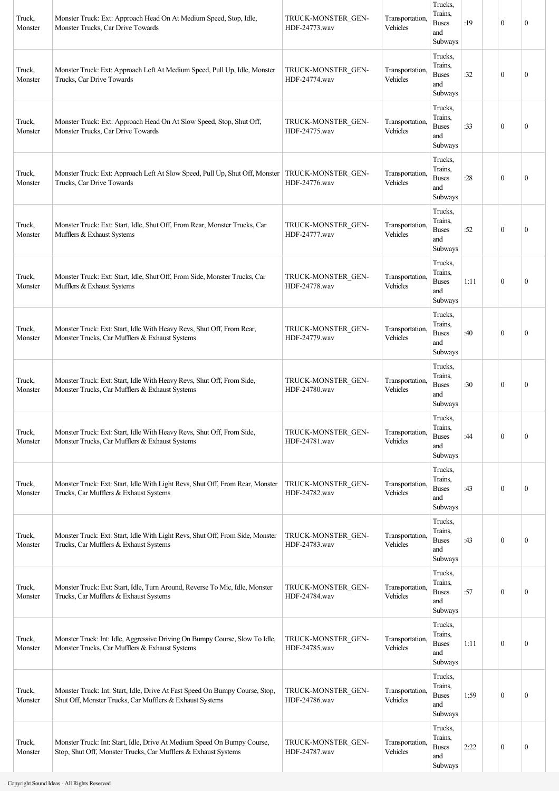| Truck,<br>Monster | Monster Truck: Ext: Approach Head On At Medium Speed, Stop, Idle,<br>Monster Trucks, Car Drive Towards                                    | TRUCK-MONSTER GEN-<br>HDF-24773.wav | Transportation,<br>Vehicles | Trucks,<br>Trains.<br><b>Buses</b><br>and<br>Subways | :19  | $\boldsymbol{0}$ | $\mathbf{0}$     |
|-------------------|-------------------------------------------------------------------------------------------------------------------------------------------|-------------------------------------|-----------------------------|------------------------------------------------------|------|------------------|------------------|
| Truck,<br>Monster | Monster Truck: Ext: Approach Left At Medium Speed, Pull Up, Idle, Monster<br>Trucks, Car Drive Towards                                    | TRUCK-MONSTER GEN-<br>HDF-24774.wav | Transportation,<br>Vehicles | Trucks,<br>Trains.<br><b>Buses</b><br>and<br>Subways | :32  | $\boldsymbol{0}$ | $\mathbf{0}$     |
| Truck,<br>Monster | Monster Truck: Ext: Approach Head On At Slow Speed, Stop, Shut Off,<br>Monster Trucks, Car Drive Towards                                  | TRUCK-MONSTER GEN-<br>HDF-24775.wav | Transportation,<br>Vehicles | Trucks,<br>Trains,<br><b>Buses</b><br>and<br>Subways | :33  | $\boldsymbol{0}$ | $\mathbf{0}$     |
| Truck,<br>Monster | Monster Truck: Ext: Approach Left At Slow Speed, Pull Up, Shut Off, Monster<br>Trucks, Car Drive Towards                                  | TRUCK-MONSTER GEN-<br>HDF-24776.wav | Transportation,<br>Vehicles | Trucks,<br>Trains.<br><b>Buses</b><br>and<br>Subways | :28  | $\boldsymbol{0}$ | $\mathbf{0}$     |
| Truck,<br>Monster | Monster Truck: Ext: Start, Idle, Shut Off, From Rear, Monster Trucks, Car<br>Mufflers & Exhaust Systems                                   | TRUCK-MONSTER GEN-<br>HDF-24777.wav | Transportation,<br>Vehicles | Trucks,<br>Trains,<br><b>Buses</b><br>and<br>Subways | :52  | $\boldsymbol{0}$ | $\mathbf{0}$     |
| Truck,<br>Monster | Monster Truck: Ext: Start, Idle, Shut Off, From Side, Monster Trucks, Car<br>Mufflers & Exhaust Systems                                   | TRUCK-MONSTER GEN-<br>HDF-24778.wav | Transportation,<br>Vehicles | Trucks,<br>Trains,<br><b>Buses</b><br>and<br>Subways | 1:11 | $\theta$         | $\mathbf{0}$     |
| Truck,<br>Monster | Monster Truck: Ext: Start, Idle With Heavy Revs, Shut Off, From Rear,<br>Monster Trucks, Car Mufflers & Exhaust Systems                   | TRUCK-MONSTER GEN-<br>HDF-24779.wav | Transportation,<br>Vehicles | Trucks,<br>Trains.<br><b>Buses</b><br>and<br>Subways | :40  | $\boldsymbol{0}$ | $\mathbf{0}$     |
| Truck,<br>Monster | Monster Truck: Ext: Start, Idle With Heavy Revs, Shut Off, From Side,<br>Monster Trucks, Car Mufflers & Exhaust Systems                   | TRUCK-MONSTER GEN-<br>HDF-24780.wav | Transportation,<br>Vehicles | Trucks,<br>Trains.<br><b>Buses</b><br>and<br>Subways | :30  | $\boldsymbol{0}$ | $\mathbf{0}$     |
| Truck,<br>Monster | Monster Truck: Ext: Start, Idle With Heavy Revs, Shut Off, From Side,<br>Monster Trucks, Car Mufflers & Exhaust Systems                   | TRUCK-MONSTER GEN-<br>HDF-24781.wav | Transportation,<br>Vehicles | Trucks,<br>Trains,<br><b>Buses</b><br>and<br>Subways | :44  | $\boldsymbol{0}$ | $\mathbf{0}$     |
| Truck,<br>Monster | Monster Truck: Ext: Start, Idle With Light Revs, Shut Off, From Rear, Monster<br>Trucks, Car Mufflers & Exhaust Systems                   | TRUCK-MONSTER GEN-<br>HDF-24782.wav | Transportation,<br>Vehicles | Trucks,<br>Trains,<br><b>Buses</b><br>and<br>Subways | :43  | $\boldsymbol{0}$ | $\mathbf{0}$     |
| Truck,<br>Monster | Monster Truck: Ext: Start, Idle With Light Revs, Shut Off, From Side, Monster<br>Trucks, Car Mufflers & Exhaust Systems                   | TRUCK-MONSTER GEN-<br>HDF-24783.wav | Transportation,<br>Vehicles | Trucks,<br>Trains,<br><b>Buses</b><br>and<br>Subways | :43  | $\boldsymbol{0}$ | $\boldsymbol{0}$ |
| Truck,<br>Monster | Monster Truck: Ext: Start, Idle, Turn Around, Reverse To Mic, Idle, Monster<br>Trucks, Car Mufflers & Exhaust Systems                     | TRUCK-MONSTER GEN-<br>HDF-24784.wav | Transportation,<br>Vehicles | Trucks,<br>Trains,<br><b>Buses</b><br>and<br>Subways | :57  | $\boldsymbol{0}$ | $\boldsymbol{0}$ |
| Truck,<br>Monster | Monster Truck: Int: Idle, Aggressive Driving On Bumpy Course, Slow To Idle,<br>Monster Trucks, Car Mufflers & Exhaust Systems             | TRUCK-MONSTER GEN-<br>HDF-24785.wav | Transportation,<br>Vehicles | Trucks,<br>Trains,<br><b>Buses</b><br>and<br>Subways | 1:11 | $\boldsymbol{0}$ | $\boldsymbol{0}$ |
| Truck,<br>Monster | Monster Truck: Int: Start, Idle, Drive At Fast Speed On Bumpy Course, Stop,<br>Shut Off, Monster Trucks, Car Mufflers & Exhaust Systems   | TRUCK-MONSTER GEN-<br>HDF-24786.wav | Transportation,<br>Vehicles | Trucks,<br>Trains.<br><b>Buses</b><br>and<br>Subways | 1:59 | $\boldsymbol{0}$ | $\mathbf{0}$     |
| Truck,<br>Monster | Monster Truck: Int: Start, Idle, Drive At Medium Speed On Bumpy Course,<br>Stop, Shut Off, Monster Trucks, Car Mufflers & Exhaust Systems | TRUCK-MONSTER GEN-<br>HDF-24787.wav | Transportation,<br>Vehicles | Trucks,<br>Trains,<br><b>Buses</b><br>and<br>Subways | 2:22 | $\boldsymbol{0}$ | $\boldsymbol{0}$ |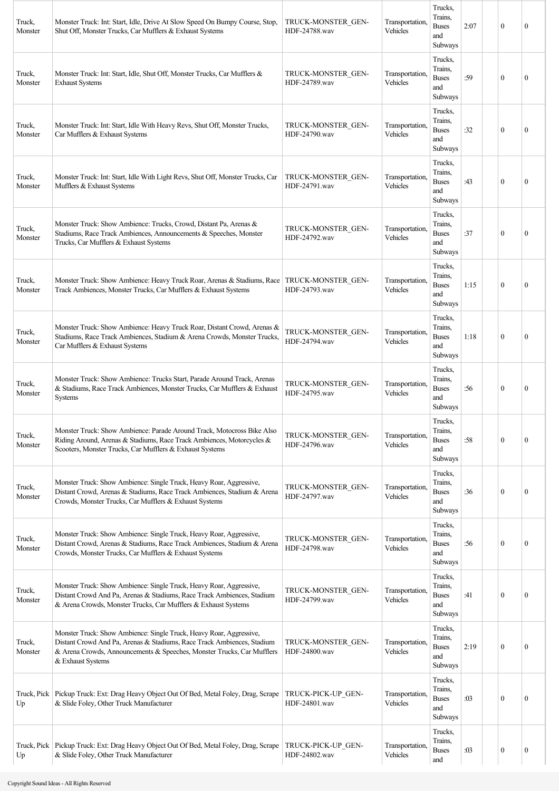| Truck,<br>Monster | Monster Truck: Int: Start, Idle, Drive At Slow Speed On Bumpy Course, Stop,<br>Shut Off, Monster Trucks, Car Mufflers & Exhaust Systems                                                                                                      | TRUCK-MONSTER GEN-<br>HDF-24788.wav | Transportation.<br>Vehicles | Trucks,<br>Trains,<br><b>Buses</b><br>and<br>Subways | 2:07 | $\mathbf{0}$ | $\theta$         |
|-------------------|----------------------------------------------------------------------------------------------------------------------------------------------------------------------------------------------------------------------------------------------|-------------------------------------|-----------------------------|------------------------------------------------------|------|--------------|------------------|
| Truck,<br>Monster | Monster Truck: Int: Start, Idle, Shut Off, Monster Trucks, Car Mufflers &<br><b>Exhaust Systems</b>                                                                                                                                          | TRUCK-MONSTER GEN-<br>HDF-24789.wav | Transportation.<br>Vehicles | Trucks,<br>Trains,<br><b>Buses</b><br>and<br>Subways | :59  | $\theta$     | $\theta$         |
| Truck,<br>Monster | Monster Truck: Int: Start, Idle With Heavy Revs, Shut Off, Monster Trucks,<br>Car Mufflers & Exhaust Systems                                                                                                                                 | TRUCK-MONSTER GEN-<br>HDF-24790.wav | Transportation,<br>Vehicles | Trucks,<br>Trains,<br><b>Buses</b><br>and<br>Subways | :32  | $\theta$     | $\mathbf{0}$     |
| Truck,<br>Monster | Monster Truck: Int: Start, Idle With Light Revs, Shut Off, Monster Trucks, Car<br>Mufflers & Exhaust Systems                                                                                                                                 | TRUCK-MONSTER GEN-<br>HDF-24791.wav | Transportation,<br>Vehicles | Trucks,<br>Trains,<br><b>Buses</b><br>and<br>Subways | :43  | $\theta$     | $\theta$         |
| Truck,<br>Monster | Monster Truck: Show Ambience: Trucks, Crowd, Distant Pa, Arenas &<br>Stadiums, Race Track Ambiences, Announcements & Speeches, Monster<br>Trucks, Car Mufflers & Exhaust Systems                                                             | TRUCK-MONSTER GEN-<br>HDF-24792.wav | Transportation,<br>Vehicles | Trucks,<br>Trains,<br><b>Buses</b><br>and<br>Subways | :37  | $\mathbf{0}$ | $\theta$         |
| Truck,<br>Monster | Monster Truck: Show Ambience: Heavy Truck Roar, Arenas & Stadiums, Race<br>Track Ambiences, Monster Trucks, Car Mufflers & Exhaust Systems                                                                                                   | TRUCK-MONSTER GEN-<br>HDF-24793.wav | Transportation,<br>Vehicles | Trucks,<br>Trains,<br><b>Buses</b><br>and<br>Subways | 1:15 | $\theta$     | $\theta$         |
| Truck,<br>Monster | Monster Truck: Show Ambience: Heavy Truck Roar, Distant Crowd, Arenas &<br>Stadiums, Race Track Ambiences, Stadium & Arena Crowds, Monster Trucks,<br>Car Mufflers & Exhaust Systems                                                         | TRUCK-MONSTER_GEN-<br>HDF-24794.wav | Transportation,<br>Vehicles | Trucks,<br>Trains,<br><b>Buses</b><br>and<br>Subways | 1:18 | $\mathbf{0}$ | 0                |
| Truck,<br>Monster | Monster Truck: Show Ambience: Trucks Start, Parade Around Track, Arenas<br>& Stadiums, Race Track Ambiences, Monster Trucks, Car Mufflers & Exhaust<br><b>Systems</b>                                                                        | TRUCK-MONSTER GEN-<br>HDF-24795.wav | Transportation.<br>Vehicles | Trucks,<br>Trains,<br><b>Buses</b><br>and<br>Subways | :56  | $\theta$     | $\mathbf{0}$     |
| Truck,<br>Monster | Monster Truck: Show Ambience: Parade Around Track, Motocross Bike Also<br>Riding Around, Arenas & Stadiums, Race Track Ambiences, Motorcycles &<br>Scooters, Monster Trucks, Car Mufflers & Exhaust Systems                                  | TRUCK-MONSTER_GEN-<br>HDF-24796.wav | Transportation,<br>Vehicles | Trucks,<br>Trains,<br><b>Buses</b><br>and<br>Subways | :58  | $\mathbf{0}$ | 0                |
| Truck,<br>Monster | Monster Truck: Show Ambience: Single Truck, Heavy Roar, Aggressive,<br>Distant Crowd, Arenas & Stadiums, Race Track Ambiences, Stadium & Arena<br>Crowds, Monster Trucks, Car Mufflers & Exhaust Systems                                     | TRUCK-MONSTER GEN-<br>HDF-24797.wav | Transportation,<br>Vehicles | Trucks,<br>Trains,<br><b>Buses</b><br>and<br>Subways | :36  | $\mathbf{0}$ | $\boldsymbol{0}$ |
| Truck,<br>Monster | Monster Truck: Show Ambience: Single Truck, Heavy Roar, Aggressive,<br>Distant Crowd, Arenas & Stadiums, Race Track Ambiences, Stadium & Arena<br>Crowds, Monster Trucks, Car Mufflers & Exhaust Systems                                     | TRUCK-MONSTER GEN-<br>HDF-24798.wav | Transportation,<br>Vehicles | Trucks,<br>Trains,<br><b>Buses</b><br>and<br>Subways | :56  | $\mathbf{0}$ | $\boldsymbol{0}$ |
| Truck,<br>Monster | Monster Truck: Show Ambience: Single Truck, Heavy Roar, Aggressive,<br>Distant Crowd And Pa, Arenas & Stadiums, Race Track Ambiences, Stadium<br>& Arena Crowds, Monster Trucks, Car Mufflers & Exhaust Systems                              | TRUCK-MONSTER GEN-<br>HDF-24799.wav | Transportation,<br>Vehicles | Trucks,<br>Trains,<br><b>Buses</b><br>and<br>Subways | :41  | $\mathbf{0}$ | 0                |
| Truck,<br>Monster | Monster Truck: Show Ambience: Single Truck, Heavy Roar, Aggressive,<br>Distant Crowd And Pa, Arenas & Stadiums, Race Track Ambiences, Stadium<br>& Arena Crowds, Announcements & Speeches, Monster Trucks, Car Mufflers<br>& Exhaust Systems | TRUCK-MONSTER GEN-<br>HDF-24800.wav | Transportation.<br>Vehicles | Trucks,<br>Trains,<br><b>Buses</b><br>and<br>Subways | 2:19 | $\mathbf{0}$ | $\overline{0}$   |
| Up                | Truck, Pick   Pickup Truck: Ext: Drag Heavy Object Out Of Bed, Metal Foley, Drag, Scrape<br>& Slide Foley, Other Truck Manufacturer                                                                                                          | TRUCK-PICK-UP GEN-<br>HDF-24801.wav | Transportation,<br>Vehicles | Trucks,<br>Trains,<br><b>Buses</b><br>and<br>Subways | :03  | $\mathbf{0}$ | $\mathbf{0}$     |
| Truck, Pick<br>Up | Pickup Truck: Ext: Drag Heavy Object Out Of Bed, Metal Foley, Drag, Scrape<br>& Slide Foley, Other Truck Manufacturer                                                                                                                        | TRUCK-PICK-UP GEN-<br>HDF-24802.wav | Transportation,<br>Vehicles | Trucks,<br>Trains,<br><b>Buses</b><br>and            | :03  | $\mathbf{0}$ | $\boldsymbol{0}$ |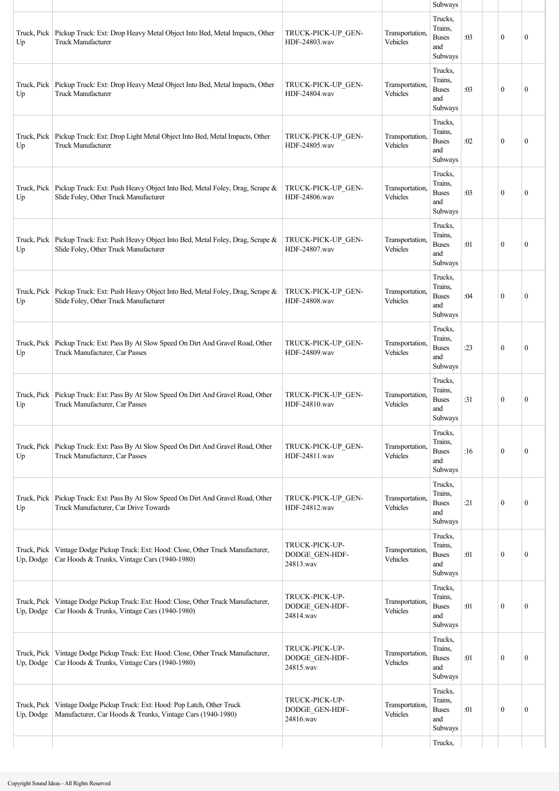|                          |                                                                                                                                 |                                               |                             | Subways                                                     |     |              |              |
|--------------------------|---------------------------------------------------------------------------------------------------------------------------------|-----------------------------------------------|-----------------------------|-------------------------------------------------------------|-----|--------------|--------------|
| Truck, Pick<br>Up        | Pickup Truck: Ext: Drop Heavy Metal Object Into Bed, Metal Impacts, Other<br><b>Truck Manufacturer</b>                          | TRUCK-PICK-UP GEN-<br>HDF-24803.wav           | Transportation,<br>Vehicles | Trucks,<br>Trains,<br><b>Buses</b><br>and<br>Subways        | :03 | $\mathbf{0}$ | $\mathbf{0}$ |
| Up                       | Truck, Pick   Pickup Truck: Ext: Drop Heavy Metal Object Into Bed, Metal Impacts, Other<br><b>Truck Manufacturer</b>            | TRUCK-PICK-UP GEN-<br>HDF-24804.wav           | Transportation,<br>Vehicles | Trucks,<br>Trains,<br><b>Buses</b><br>and<br>Subways        | :03 | $\mathbf{0}$ | $\mathbf{0}$ |
| Up                       | Truck, Pick   Pickup Truck: Ext: Drop Light Metal Object Into Bed, Metal Impacts, Other<br><b>Truck Manufacturer</b>            | TRUCK-PICK-UP_GEN-<br>HDF-24805.wav           | Transportation.<br>Vehicles | Trucks,<br>Trains,<br><b>Buses</b><br>and<br>Subways        | :02 | $\mathbf{0}$ | $\mathbf{0}$ |
| Truck, Pick<br>Up        | Pickup Truck: Ext: Push Heavy Object Into Bed, Metal Foley, Drag, Scrape &<br>Slide Foley, Other Truck Manufacturer             | TRUCK-PICK-UP GEN-<br>HDF-24806.wav           | Transportation,<br>Vehicles | Trucks,<br>Trains,<br><b>Buses</b><br>and<br>Subways        | :03 | $\mathbf{0}$ | $\mathbf{0}$ |
| Up                       | Truck, Pick Pickup Truck: Ext: Push Heavy Object Into Bed, Metal Foley, Drag, Scrape &<br>Slide Foley, Other Truck Manufacturer | TRUCK-PICK-UP GEN-<br>HDF-24807.wav           | Transportation.<br>Vehicles | Trucks,<br>Trains,<br><b>Buses</b><br>and<br>Subways        | :01 | $\mathbf{0}$ | $\mathbf{0}$ |
| Truck, Pick<br>Up        | Pickup Truck: Ext: Push Heavy Object Into Bed, Metal Foley, Drag, Scrape &<br>Slide Foley, Other Truck Manufacturer             | TRUCK-PICK-UP GEN-<br>HDF-24808.wav           | Transportation,<br>Vehicles | Trucks,<br>Trains,<br><b>Buses</b><br>and<br>Subways        | :04 | $\mathbf{0}$ | $\mathbf{0}$ |
| Up                       | Truck, Pick   Pickup Truck: Ext: Pass By At Slow Speed On Dirt And Gravel Road, Other<br>Truck Manufacturer, Car Passes         | TRUCK-PICK-UP GEN-<br>HDF-24809.wav           | Transportation,<br>Vehicles | Trucks,<br>Trains,<br><b>Buses</b><br>and<br>Subways        | :23 | $\theta$     | $\mathbf{0}$ |
| Up                       | Truck, Pick   Pickup Truck: Ext: Pass By At Slow Speed On Dirt And Gravel Road, Other<br>Truck Manufacturer, Car Passes         | TRUCK-PICK-UP GEN-<br>HDF-24810.wav           | Transportation,<br>Vehicles | Trucks,<br>Trains,<br><b>Buses</b><br>and<br><b>Subways</b> | :31 | $\mathbf{0}$ | $\mathbf{0}$ |
| Up                       | Truck, Pick   Pickup Truck: Ext: Pass By At Slow Speed On Dirt And Gravel Road, Other<br>Truck Manufacturer, Car Passes         | TRUCK-PICK-UP GEN-<br>HDF-24811.wav           | Transportation,<br>Vehicles | Trucks,<br>Trains.<br><b>Buses</b><br>and<br>Subways        | :16 | $\mathbf{0}$ | $\mathbf{0}$ |
| Up                       | Truck, Pick   Pickup Truck: Ext: Pass By At Slow Speed On Dirt And Gravel Road, Other<br>Truck Manufacturer, Car Drive Towards  | TRUCK-PICK-UP GEN-<br>HDF-24812.wav           | Transportation,<br>Vehicles | Trucks,<br>Trains.<br><b>Buses</b><br>and<br>Subways        | :21 | $\mathbf{0}$ | $\mathbf{0}$ |
| Truck, Pick<br>Up, Dodge | Vintage Dodge Pickup Truck: Ext: Hood: Close, Other Truck Manufacturer,<br>Car Hoods & Trunks, Vintage Cars (1940-1980)         | TRUCK-PICK-UP-<br>DODGE_GEN-HDF-<br>24813.wav | Transportation.<br>Vehicles | Trucks,<br>Trains.<br><b>Buses</b><br>and<br>Subways        | :01 | $\mathbf{0}$ | $\mathbf{0}$ |
| Truck, Pick<br>Up, Dodge | Vintage Dodge Pickup Truck: Ext: Hood: Close, Other Truck Manufacturer,<br>Car Hoods & Trunks, Vintage Cars (1940-1980)         | TRUCK-PICK-UP-<br>DODGE_GEN-HDF-<br>24814.wav | Transportation.<br>Vehicles | Trucks,<br>Trains,<br><b>Buses</b><br>and<br>Subways        | :01 | $\mathbf{0}$ | $\mathbf{0}$ |
| Truck, Pick<br>Up, Dodge | Vintage Dodge Pickup Truck: Ext: Hood: Close, Other Truck Manufacturer,<br>Car Hoods & Trunks, Vintage Cars (1940-1980)         | TRUCK-PICK-UP-<br>DODGE_GEN-HDF-<br>24815.wav | Transportation,<br>Vehicles | Trucks,<br>Trains,<br><b>Buses</b><br>and<br>Subways        | :01 | $\mathbf{0}$ | $\mathbf{0}$ |
| Truck, Pick<br>Up, Dodge | Vintage Dodge Pickup Truck: Ext: Hood: Pop Latch, Other Truck<br>Manufacturer, Car Hoods & Trunks, Vintage Cars (1940-1980)     | TRUCK-PICK-UP-<br>DODGE_GEN-HDF-<br>24816.wav | Transportation,<br>Vehicles | Trucks,<br>Trains,<br><b>Buses</b><br>and<br>Subways        | :01 | $\mathbf{0}$ | $\mathbf{0}$ |
|                          |                                                                                                                                 |                                               |                             | Trucks,                                                     |     |              |              |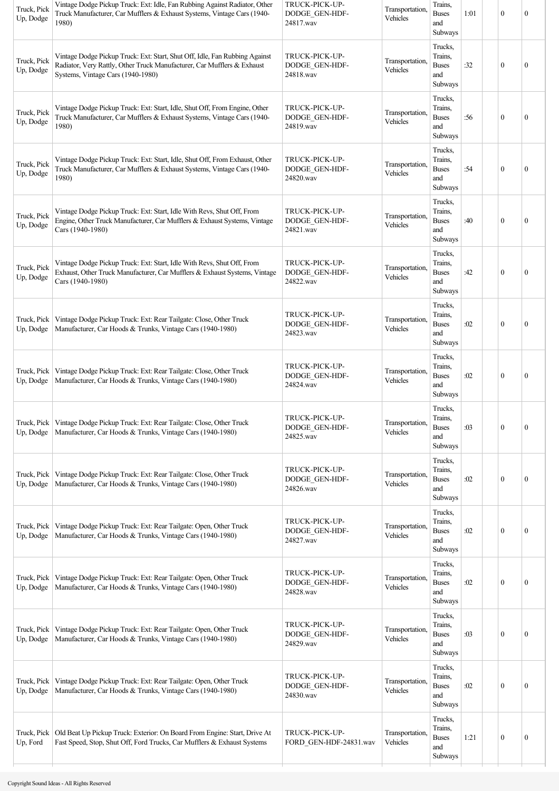| Truck, Pick<br>Up, Dodge | Vintage Dodge Pickup Truck: Ext: Idle, Fan Rubbing Against Radiator, Other<br>Truck Manufacturer, Car Mufflers & Exhaust Systems, Vintage Cars (1940-<br>1980)                              | TRUCK-PICK-UP-<br>DODGE_GEN-HDF-<br>24817.wav | Transportation,<br>Vehicles | Trains,<br><b>Buses</b><br>and<br>Subways            | 1:01 | $\mathbf{0}$     | $\boldsymbol{0}$ |
|--------------------------|---------------------------------------------------------------------------------------------------------------------------------------------------------------------------------------------|-----------------------------------------------|-----------------------------|------------------------------------------------------|------|------------------|------------------|
| Truck, Pick<br>Up, Dodge | Vintage Dodge Pickup Truck: Ext: Start, Shut Off, Idle, Fan Rubbing Against<br>Radiator, Very Rattly, Other Truck Manufacturer, Car Mufflers & Exhaust<br>Systems, Vintage Cars (1940-1980) | TRUCK-PICK-UP-<br>DODGE_GEN-HDF-<br>24818.wav | Transportation.<br>Vehicles | Trucks,<br>Trains,<br><b>Buses</b><br>and<br>Subways | :32  | $\mathbf{0}$     | $\mathbf{0}$     |
| Truck, Pick<br>Up, Dodge | Vintage Dodge Pickup Truck: Ext: Start, Idle, Shut Off, From Engine, Other<br>Truck Manufacturer, Car Mufflers & Exhaust Systems, Vintage Cars (1940-<br>1980)                              | TRUCK-PICK-UP-<br>DODGE GEN-HDF-<br>24819.wav | Transportation.<br>Vehicles | Trucks,<br>Trains,<br><b>Buses</b><br>and<br>Subways | :56  | $\mathbf{0}$     | $\boldsymbol{0}$ |
| Truck, Pick<br>Up, Dodge | Vintage Dodge Pickup Truck: Ext: Start, Idle, Shut Off, From Exhaust, Other<br>Truck Manufacturer, Car Mufflers & Exhaust Systems, Vintage Cars (1940-<br>1980)                             | TRUCK-PICK-UP-<br>DODGE GEN-HDF-<br>24820.wav | Transportation.<br>Vehicles | Trucks,<br>Trains,<br><b>Buses</b><br>and<br>Subways | :54  | $\mathbf{0}$     | $\boldsymbol{0}$ |
| Truck, Pick<br>Up, Dodge | Vintage Dodge Pickup Truck: Ext: Start, Idle With Revs, Shut Off, From<br>Engine, Other Truck Manufacturer, Car Mufflers & Exhaust Systems, Vintage<br>Cars (1940-1980)                     | TRUCK-PICK-UP-<br>DODGE_GEN-HDF-<br>24821.wav | Transportation,<br>Vehicles | Trucks,<br>Trains,<br><b>Buses</b><br>and<br>Subways | :40  | $\mathbf{0}$     | $\mathbf{0}$     |
| Truck, Pick<br>Up, Dodge | Vintage Dodge Pickup Truck: Ext: Start, Idle With Revs, Shut Off, From<br>Exhaust, Other Truck Manufacturer, Car Mufflers & Exhaust Systems, Vintage<br>Cars (1940-1980)                    | TRUCK-PICK-UP-<br>DODGE GEN-HDF-<br>24822.wav | Transportation,<br>Vehicles | Trucks,<br>Trains,<br><b>Buses</b><br>and<br>Subways | :42  | $\mathbf{0}$     | $\boldsymbol{0}$ |
| Up, Dodge                | Truck, Pick   Vintage Dodge Pickup Truck: Ext: Rear Tailgate: Close, Other Truck<br>Manufacturer, Car Hoods & Trunks, Vintage Cars (1940-1980)                                              | TRUCK-PICK-UP-<br>DODGE_GEN-HDF-<br>24823.wav | Transportation,<br>Vehicles | Trucks,<br>Trains,<br><b>Buses</b><br>and<br>Subways | :02  | $\mathbf{0}$     | $\boldsymbol{0}$ |
| Up, Dodge                | Truck, Pick   Vintage Dodge Pickup Truck: Ext: Rear Tailgate: Close, Other Truck<br>Manufacturer, Car Hoods & Trunks, Vintage Cars (1940-1980)                                              | TRUCK-PICK-UP-<br>DODGE_GEN-HDF-<br>24824.wav | Transportation,<br>Vehicles | Trucks,<br>Trains,<br><b>Buses</b><br>and<br>Subways | :02  | $\mathbf{0}$     | $\mathbf{0}$     |
|                          | Truck, Pick   Vintage Dodge Pickup Truck: Ext: Rear Tailgate: Close, Other Truck<br>Up, Dodge   Manufacturer, Car Hoods & Trunks, Vintage Cars (1940-1980)                                  | TRUCK-PICK-UP-<br>DODGE_GEN-HDF-<br>24825.wav | Transportation,<br>Vehicles | Trucks,<br>Trains,<br><b>Buses</b><br>and<br>Subways | :03  | $\boldsymbol{0}$ | $\boldsymbol{0}$ |
| Up, Dodge                | Truck, Pick   Vintage Dodge Pickup Truck: Ext: Rear Tailgate: Close, Other Truck<br>Manufacturer, Car Hoods & Trunks, Vintage Cars (1940-1980)                                              | TRUCK-PICK-UP-<br>DODGE GEN-HDF-<br>24826.wav | Transportation,<br>Vehicles | Trucks,<br>Trains,<br><b>Buses</b><br>and<br>Subways | :02  | $\boldsymbol{0}$ | $\boldsymbol{0}$ |
| Up, Dodge                | Truck, Pick   Vintage Dodge Pickup Truck: Ext: Rear Tailgate: Open, Other Truck<br>Manufacturer, Car Hoods & Trunks, Vintage Cars (1940-1980)                                               | TRUCK-PICK-UP-<br>DODGE_GEN-HDF-<br>24827.wav | Transportation,<br>Vehicles | Trucks,<br>Trains,<br><b>Buses</b><br>and<br>Subways | :02  | $\boldsymbol{0}$ | $\boldsymbol{0}$ |
| Truck, Pick<br>Up, Dodge | Vintage Dodge Pickup Truck: Ext: Rear Tailgate: Open, Other Truck<br>Manufacturer, Car Hoods & Trunks, Vintage Cars (1940-1980)                                                             | TRUCK-PICK-UP-<br>DODGE_GEN-HDF-<br>24828.wav | Transportation,<br>Vehicles | Trucks,<br>Trains,<br><b>Buses</b><br>and<br>Subways | :02  | $\boldsymbol{0}$ | $\boldsymbol{0}$ |
| Up, Dodge                | Truck, Pick   Vintage Dodge Pickup Truck: Ext: Rear Tailgate: Open, Other Truck<br>Manufacturer, Car Hoods & Trunks, Vintage Cars (1940-1980)                                               | TRUCK-PICK-UP-<br>DODGE_GEN-HDF-<br>24829.wav | Transportation,<br>Vehicles | Trucks,<br>Trains,<br><b>Buses</b><br>and<br>Subways | :03  | $\boldsymbol{0}$ | $\boldsymbol{0}$ |
| Truck, Pick<br>Up, Dodge | Vintage Dodge Pickup Truck: Ext: Rear Tailgate: Open, Other Truck<br>Manufacturer, Car Hoods & Trunks, Vintage Cars (1940-1980)                                                             | TRUCK-PICK-UP-<br>DODGE GEN-HDF-<br>24830.wav | Transportation,<br>Vehicles | Trucks,<br>Trains,<br><b>Buses</b><br>and<br>Subways | :02  | $\boldsymbol{0}$ | $\boldsymbol{0}$ |
| Up, Ford                 | Truck, Pick   Old Beat Up Pickup Truck: Exterior: On Board From Engine: Start, Drive At<br>Fast Speed, Stop, Shut Off, Ford Trucks, Car Mufflers & Exhaust Systems                          | TRUCK-PICK-UP-<br>FORD_GEN-HDF-24831.wav      | Transportation,<br>Vehicles | Trucks,<br>Trains,<br><b>Buses</b><br>and<br>Subways | 1:21 | $\boldsymbol{0}$ | $\boldsymbol{0}$ |
|                          |                                                                                                                                                                                             |                                               |                             |                                                      |      |                  |                  |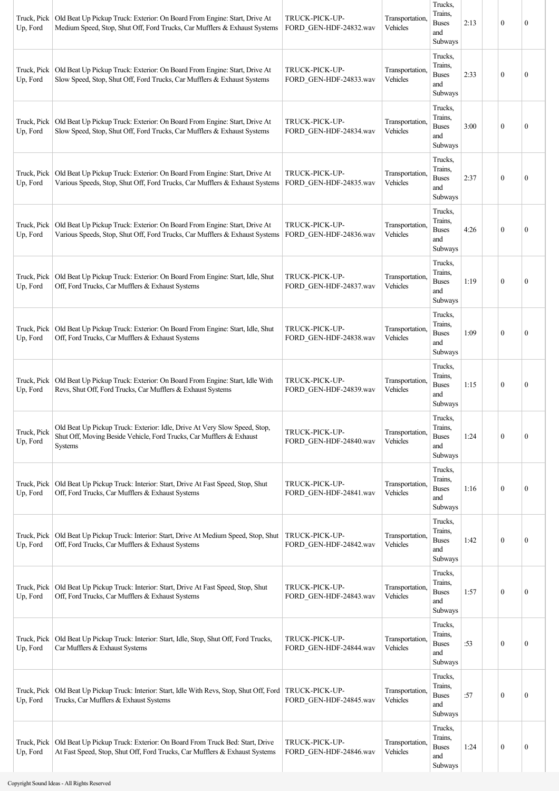| Truck, Pick<br>Up, Ford | Old Beat Up Pickup Truck: Exterior: On Board From Engine: Start, Drive At<br>Medium Speed, Stop, Shut Off, Ford Trucks, Car Mufflers & Exhaust Systems              | TRUCK-PICK-UP-<br>FORD_GEN-HDF-24832.wav | Transportation.<br>Vehicles | Trucks,<br>Trains,<br><b>Buses</b><br>and<br>Subways | 2:13 | $\mathbf{0}$     | $\mathbf{0}$     |
|-------------------------|---------------------------------------------------------------------------------------------------------------------------------------------------------------------|------------------------------------------|-----------------------------|------------------------------------------------------|------|------------------|------------------|
| Up, Ford                | Truck, Pick   Old Beat Up Pickup Truck: Exterior: On Board From Engine: Start, Drive At<br>Slow Speed, Stop, Shut Off, Ford Trucks, Car Mufflers & Exhaust Systems  | TRUCK-PICK-UP-<br>FORD GEN-HDF-24833.wav | Transportation.<br>Vehicles | Trucks,<br>Trains,<br><b>Buses</b><br>and<br>Subways | 2:33 | $\mathbf{0}$     | $\mathbf{0}$     |
| Truck, Pick<br>Up, Ford | Old Beat Up Pickup Truck: Exterior: On Board From Engine: Start, Drive At<br>Slow Speed, Stop, Shut Off, Ford Trucks, Car Mufflers & Exhaust Systems                | TRUCK-PICK-UP-<br>FORD_GEN-HDF-24834.wav | Transportation.<br>Vehicles | Trucks,<br>Trains,<br><b>Buses</b><br>and<br>Subways | 3:00 | $\theta$         | $\mathbf{0}$     |
| Truck, Pick<br>Up, Ford | Old Beat Up Pickup Truck: Exterior: On Board From Engine: Start, Drive At<br>Various Speeds, Stop, Shut Off, Ford Trucks, Car Mufflers & Exhaust Systems            | TRUCK-PICK-UP-<br>FORD_GEN-HDF-24835.wav | Transportation.<br>Vehicles | Trucks,<br>Trains,<br><b>Buses</b><br>and<br>Subways | 2:37 | $\mathbf{0}$     | $\mathbf{0}$     |
| Truck, Pick<br>Up, Ford | Old Beat Up Pickup Truck: Exterior: On Board From Engine: Start, Drive At<br>Various Speeds, Stop, Shut Off, Ford Trucks, Car Mufflers & Exhaust Systems            | TRUCK-PICK-UP-<br>FORD GEN-HDF-24836.wav | Transportation,<br>Vehicles | Trucks,<br>Trains,<br><b>Buses</b><br>and<br>Subways | 4:26 | $\mathbf{0}$     | $\theta$         |
| Truck, Pick<br>Up, Ford | Old Beat Up Pickup Truck: Exterior: On Board From Engine: Start, Idle, Shut<br>Off, Ford Trucks, Car Mufflers & Exhaust Systems                                     | TRUCK-PICK-UP-<br>FORD GEN-HDF-24837.wav | Transportation,<br>Vehicles | Trucks,<br>Trains,<br><b>Buses</b><br>and<br>Subways | 1:19 | $\mathbf{0}$     | 0                |
| Truck, Pick<br>Up, Ford | Old Beat Up Pickup Truck: Exterior: On Board From Engine: Start, Idle, Shut<br>Off, Ford Trucks, Car Mufflers & Exhaust Systems                                     | TRUCK-PICK-UP-<br>FORD GEN-HDF-24838.wav | Transportation,<br>Vehicles | Trucks,<br>Trains,<br><b>Buses</b><br>and<br>Subways | 1:09 | $\mathbf{0}$     | 0                |
| Truck, Pick<br>Up, Ford | Old Beat Up Pickup Truck: Exterior: On Board From Engine: Start, Idle With<br>Revs, Shut Off, Ford Trucks, Car Mufflers & Exhaust Systems                           | TRUCK-PICK-UP-<br>FORD GEN-HDF-24839.wav | Transportation,<br>Vehicles | Trucks,<br>Trains,<br><b>Buses</b><br>and<br>Subways | 1:15 | $\theta$         | $\theta$         |
| Truck, Pick<br>Up, Ford | Old Beat Up Pickup Truck: Exterior: Idle, Drive At Very Slow Speed, Stop,<br>Shut Off, Moving Beside Vehicle, Ford Trucks, Car Mufflers & Exhaust<br><b>Systems</b> | TRUCK-PICK-UP-<br>FORD_GEN-HDF-24840.wav | Transportation,<br>Vehicles | Trucks,<br>Trains,<br><b>Buses</b><br>and<br>Subways | 1:24 | $\mathbf{0}$     | $\boldsymbol{0}$ |
| Truck, Pick<br>Up, Ford | Old Beat Up Pickup Truck: Interior: Start, Drive At Fast Speed, Stop, Shut<br>Off, Ford Trucks, Car Mufflers & Exhaust Systems                                      | TRUCK-PICK-UP-<br>FORD_GEN-HDF-24841.wav | Transportation.<br>Vehicles | Trucks,<br>Trains,<br><b>Buses</b><br>and<br>Subways | 1:16 | $\mathbf{0}$     | $\boldsymbol{0}$ |
| Truck, Pick<br>Up, Ford | Old Beat Up Pickup Truck: Interior: Start, Drive At Medium Speed, Stop, Shut<br>Off, Ford Trucks, Car Mufflers & Exhaust Systems                                    | TRUCK-PICK-UP-<br>FORD_GEN-HDF-24842.wav | Transportation.<br>Vehicles | Trucks,<br>Trains,<br><b>Buses</b><br>and<br>Subways | 1:42 | $\boldsymbol{0}$ | $\boldsymbol{0}$ |
| Truck, Pick<br>Up, Ford | Old Beat Up Pickup Truck: Interior: Start, Drive At Fast Speed, Stop, Shut<br>Off, Ford Trucks, Car Mufflers & Exhaust Systems                                      | TRUCK-PICK-UP-<br>FORD_GEN-HDF-24843.wav | Transportation,<br>Vehicles | Trucks,<br>Trains,<br><b>Buses</b><br>and<br>Subways | 1:57 | $\mathbf{0}$     | 0                |
| Truck, Pick<br>Up, Ford | Old Beat Up Pickup Truck: Interior: Start, Idle, Stop, Shut Off, Ford Trucks,<br>Car Mufflers & Exhaust Systems                                                     | TRUCK-PICK-UP-<br>FORD_GEN-HDF-24844.wav | Transportation,<br>Vehicles | Trucks,<br>Trains,<br><b>Buses</b><br>and<br>Subways | :53  | $\mathbf{0}$     | $\boldsymbol{0}$ |
| Truck, Pick<br>Up, Ford | Old Beat Up Pickup Truck: Interior: Start, Idle With Revs, Stop, Shut Off, Ford   TRUCK-PICK-UP-<br>Trucks, Car Mufflers & Exhaust Systems                          | FORD_GEN-HDF-24845.wav                   | Transportation,<br>Vehicles | Trucks,<br>Trains,<br><b>Buses</b><br>and<br>Subways | :57  | $\mathbf{0}$     | $\boldsymbol{0}$ |
| Truck, Pick<br>Up, Ford | Old Beat Up Pickup Truck: Exterior: On Board From Truck Bed: Start, Drive<br>At Fast Speed, Stop, Shut Off, Ford Trucks, Car Mufflers & Exhaust Systems             | TRUCK-PICK-UP-<br>FORD_GEN-HDF-24846.wav | Transportation,<br>Vehicles | Trucks,<br>Trains,<br><b>Buses</b><br>and<br>Subways | 1:24 | $\boldsymbol{0}$ | $\boldsymbol{0}$ |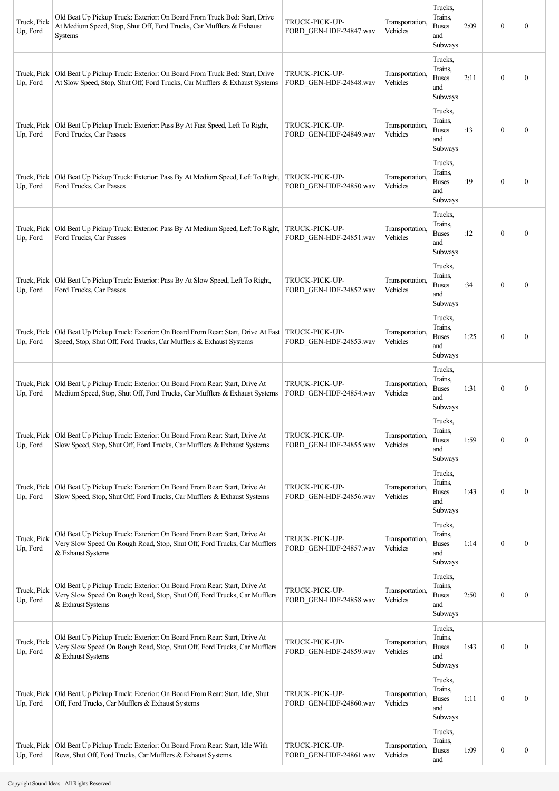| Truck, Pick<br>Up, Ford | Old Beat Up Pickup Truck: Exterior: On Board From Truck Bed: Start, Drive<br>At Medium Speed, Stop, Shut Off, Ford Trucks, Car Mufflers & Exhaust<br><b>Systems</b>      | TRUCK-PICK-UP-<br>FORD GEN-HDF-24847.wav | Transportation,<br>Vehicles | Trucks,<br>Trains,<br><b>Buses</b><br>and<br>Subways | 2:09 | $\theta$         | $\theta$         |
|-------------------------|--------------------------------------------------------------------------------------------------------------------------------------------------------------------------|------------------------------------------|-----------------------------|------------------------------------------------------|------|------------------|------------------|
| Truck, Pick<br>Up, Ford | Old Beat Up Pickup Truck: Exterior: On Board From Truck Bed: Start, Drive<br>At Slow Speed, Stop, Shut Off, Ford Trucks, Car Mufflers & Exhaust Systems                  | TRUCK-PICK-UP-<br>FORD GEN-HDF-24848.wav | Transportation,<br>Vehicles | Trucks,<br>Trains,<br><b>Buses</b><br>and<br>Subways | 2:11 | $\theta$         | $\theta$         |
| Truck, Pick<br>Up, Ford | Old Beat Up Pickup Truck: Exterior: Pass By At Fast Speed, Left To Right,<br>Ford Trucks, Car Passes                                                                     | TRUCK-PICK-UP-<br>FORD_GEN-HDF-24849.wav | Transportation,<br>Vehicles | Trucks,<br>Trains,<br><b>Buses</b><br>and<br>Subways | :13  | $\mathbf{0}$     | $\theta$         |
| Truck, Pick<br>Up, Ford | Old Beat Up Pickup Truck: Exterior: Pass By At Medium Speed, Left To Right,<br>Ford Trucks, Car Passes                                                                   | TRUCK-PICK-UP-<br>FORD_GEN-HDF-24850.wav | Transportation,<br>Vehicles | Trucks,<br>Trains,<br><b>Buses</b><br>and<br>Subways | :19  | $\mathbf{0}$     | $\theta$         |
| Truck, Pick<br>Up, Ford | Old Beat Up Pickup Truck: Exterior: Pass By At Medium Speed, Left To Right,<br>Ford Trucks, Car Passes                                                                   | TRUCK-PICK-UP-<br>FORD GEN-HDF-24851.wav | Transportation.<br>Vehicles | Trucks,<br>Trains,<br><b>Buses</b><br>and<br>Subways | :12  | $\mathbf{0}$     | $\mathbf{0}$     |
| Truck, Pick<br>Up, Ford | Old Beat Up Pickup Truck: Exterior: Pass By At Slow Speed, Left To Right,<br>Ford Trucks, Car Passes                                                                     | TRUCK-PICK-UP-<br>FORD_GEN-HDF-24852.wav | Transportation,<br>Vehicles | Trucks,<br>Trains,<br><b>Buses</b><br>and<br>Subways | :34  | $\mathbf{0}$     | $\theta$         |
| Truck, Pick<br>Up, Ford | Old Beat Up Pickup Truck: Exterior: On Board From Rear: Start, Drive At Fast<br>Speed, Stop, Shut Off, Ford Trucks, Car Mufflers & Exhaust Systems                       | TRUCK-PICK-UP-<br>FORD GEN-HDF-24853.wav | Transportation.<br>Vehicles | Trucks,<br>Trains,<br><b>Buses</b><br>and<br>Subways | 1:25 | $\bf{0}$         | $\theta$         |
| Truck, Pick<br>Up, Ford | Old Beat Up Pickup Truck: Exterior: On Board From Rear: Start, Drive At<br>Medium Speed, Stop, Shut Off, Ford Trucks, Car Mufflers & Exhaust Systems                     | TRUCK-PICK-UP-<br>FORD GEN-HDF-24854.wav | Transportation.<br>Vehicles | Trucks,<br>Trains,<br><b>Buses</b><br>and<br>Subways | 1:31 | $\theta$         | $\theta$         |
| Up, Ford                | Truck, Pick   Old Beat Up Pickup Truck: Exterior: On Board From Rear: Start, Drive At<br>Slow Speed, Stop, Shut Off, Ford Trucks, Car Mufflers & Exhaust Systems         | TRUCK-PICK-UP-<br>FORD GEN-HDF-24855.wav | Transportation,<br>Vehicles | Trucks,<br>Trains,<br><b>Buses</b><br>and<br>Subways | 1:59 | $\mathbf{0}$     | $\boldsymbol{0}$ |
| Truck, Pick<br>Up, Ford | Old Beat Up Pickup Truck: Exterior: On Board From Rear: Start, Drive At<br>Slow Speed, Stop, Shut Off, Ford Trucks, Car Mufflers & Exhaust Systems                       | TRUCK-PICK-UP-<br>FORD_GEN-HDF-24856.wav | Transportation,<br>Vehicles | Trucks,<br>Trains,<br><b>Buses</b><br>and<br>Subways | 1:43 | $\mathbf{0}$     | 0                |
| Truck, Pick<br>Up, Ford | Old Beat Up Pickup Truck: Exterior: On Board From Rear: Start, Drive At<br>Very Slow Speed On Rough Road, Stop, Shut Off, Ford Trucks, Car Mufflers<br>& Exhaust Systems | TRUCK-PICK-UP-<br>FORD_GEN-HDF-24857.wav | Transportation,<br>Vehicles | Trucks,<br>Trains,<br><b>Buses</b><br>and<br>Subways | 1:14 | $\mathbf{0}$     | 0                |
| Truck, Pick<br>Up, Ford | Old Beat Up Pickup Truck: Exterior: On Board From Rear: Start, Drive At<br>Very Slow Speed On Rough Road, Stop, Shut Off, Ford Trucks, Car Mufflers<br>& Exhaust Systems | TRUCK-PICK-UP-<br>FORD_GEN-HDF-24858.wav | Transportation,<br>Vehicles | Trucks,<br>Trains,<br><b>Buses</b><br>and<br>Subways | 2:50 | $\mathbf{0}$     | 0                |
| Truck, Pick<br>Up, Ford | Old Beat Up Pickup Truck: Exterior: On Board From Rear: Start, Drive At<br>Very Slow Speed On Rough Road, Stop, Shut Off, Ford Trucks, Car Mufflers<br>& Exhaust Systems | TRUCK-PICK-UP-<br>FORD_GEN-HDF-24859.wav | Transportation,<br>Vehicles | Trucks,<br>Trains,<br><b>Buses</b><br>and<br>Subways | 1:43 | $\mathbf{0}$     | 0                |
| Truck, Pick<br>Up, Ford | Old Beat Up Pickup Truck: Exterior: On Board From Rear: Start, Idle, Shut<br>Off, Ford Trucks, Car Mufflers & Exhaust Systems                                            | TRUCK-PICK-UP-<br>FORD_GEN-HDF-24860.wav | Transportation.<br>Vehicles | Trucks,<br>Trains,<br><b>Buses</b><br>and<br>Subways | 1:11 | $\mathbf{0}$     | $\boldsymbol{0}$ |
| Up, Ford                | Truck, Pick   Old Beat Up Pickup Truck: Exterior: On Board From Rear: Start, Idle With<br>Revs, Shut Off, Ford Trucks, Car Mufflers & Exhaust Systems                    | TRUCK-PICK-UP-<br>FORD GEN-HDF-24861.wav | Transportation,<br>Vehicles | Trucks,<br>Trains,<br><b>Buses</b><br>and            | 1:09 | $\boldsymbol{0}$ | $\boldsymbol{0}$ |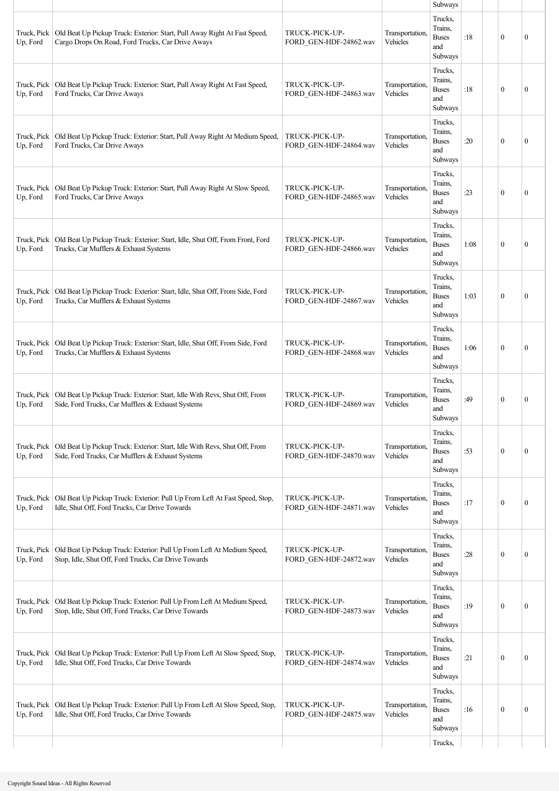|                         |                                                                                                                                |                                          |                             | Subways                                                     |      |                  |              |
|-------------------------|--------------------------------------------------------------------------------------------------------------------------------|------------------------------------------|-----------------------------|-------------------------------------------------------------|------|------------------|--------------|
| Truck, Pick<br>Up, Ford | Old Beat Up Pickup Truck: Exterior: Start, Pull Away Right At Fast Speed,<br>Cargo Drops On Road, Ford Trucks, Car Drive Aways | TRUCK-PICK-UP-<br>FORD_GEN-HDF-24862.wav | Transportation,<br>Vehicles | Trucks,<br>Trains,<br><b>Buses</b><br>and<br>Subways        | :18  | $\boldsymbol{0}$ | $\mathbf{0}$ |
| Truck, Pick<br>Up, Ford | Old Beat Up Pickup Truck: Exterior: Start, Pull Away Right At Fast Speed,<br>Ford Trucks, Car Drive Aways                      | TRUCK-PICK-UP-<br>FORD GEN-HDF-24863.wav | Transportation,<br>Vehicles | Trucks,<br>Trains,<br><b>Buses</b><br>and<br>Subways        | :18  | $\boldsymbol{0}$ | $\mathbf{0}$ |
| Truck, Pick<br>Up, Ford | Old Beat Up Pickup Truck: Exterior: Start, Pull Away Right At Medium Speed,<br>Ford Trucks, Car Drive Aways                    | TRUCK-PICK-UP-<br>FORD GEN-HDF-24864.wav | Transportation,<br>Vehicles | Trucks,<br>Trains,<br><b>Buses</b><br>and<br>Subways        | :20  | $\theta$         | $\mathbf{0}$ |
| Truck, Pick<br>Up, Ford | Old Beat Up Pickup Truck: Exterior: Start, Pull Away Right At Slow Speed,<br>Ford Trucks, Car Drive Aways                      | TRUCK-PICK-UP-<br>FORD GEN-HDF-24865.wav | Transportation,<br>Vehicles | Trucks,<br>Trains.<br><b>Buses</b><br>and<br>Subways        | :23  | $\boldsymbol{0}$ | $\mathbf{0}$ |
| Truck, Pick<br>Up, Ford | Old Beat Up Pickup Truck: Exterior: Start, Idle, Shut Off, From Front, Ford<br>Trucks, Car Mufflers & Exhaust Systems          | TRUCK-PICK-UP-<br>FORD GEN-HDF-24866.wav | Transportation,<br>Vehicles | Trucks,<br>Trains.<br><b>Buses</b><br>and<br>Subways        | 1:08 | $\boldsymbol{0}$ | $\mathbf{0}$ |
| Truck, Pick<br>Up, Ford | Old Beat Up Pickup Truck: Exterior: Start, Idle, Shut Off, From Side, Ford<br>Trucks, Car Mufflers & Exhaust Systems           | TRUCK-PICK-UP-<br>FORD GEN-HDF-24867.wav | Transportation,<br>Vehicles | Trucks,<br>Trains,<br><b>Buses</b><br>and<br>Subways        | 1:03 | $\theta$         | $\mathbf{0}$ |
| Truck, Pick<br>Up, Ford | Old Beat Up Pickup Truck: Exterior: Start, Idle, Shut Off, From Side, Ford<br>Trucks, Car Mufflers & Exhaust Systems           | TRUCK-PICK-UP-<br>FORD GEN-HDF-24868.wav | Transportation,<br>Vehicles | Trucks,<br>Trains,<br><b>Buses</b><br>and<br>Subways        | 1:06 | $\theta$         | $\mathbf{0}$ |
| Truck, Pick<br>Up, Ford | Old Beat Up Pickup Truck: Exterior: Start, Idle With Revs, Shut Off, From<br>Side, Ford Trucks, Car Mufflers & Exhaust Systems | TRUCK-PICK-UP-<br>FORD GEN-HDF-24869.wav | Transportation,<br>Vehicles | Trucks,<br>Trains,<br><b>Buses</b><br>and<br><b>Subways</b> | :49  | $\boldsymbol{0}$ | $\mathbf{0}$ |
| Truck, Pick<br>Up, Ford | Old Beat Up Pickup Truck: Exterior: Start, Idle With Revs, Shut Off, From<br>Side, Ford Trucks, Car Mufflers & Exhaust Systems | TRUCK-PICK-UP-<br>FORD GEN-HDF-24870.wav | Transportation,<br>Vehicles | Trucks,<br>Trains.<br><b>Buses</b><br>and<br>Subways        | :53  | $\boldsymbol{0}$ | $\mathbf{0}$ |
| Truck, Pick<br>Up, Ford | Old Beat Up Pickup Truck: Exterior: Pull Up From Left At Fast Speed, Stop,<br>Idle, Shut Off, Ford Trucks, Car Drive Towards   | TRUCK-PICK-UP-<br>FORD GEN-HDF-24871.wav | Transportation,<br>Vehicles | Trucks,<br>Trains.<br><b>Buses</b><br>and<br>Subways        | :17  | $\boldsymbol{0}$ | $\mathbf{0}$ |
| Truck, Pick<br>Up, Ford | Old Beat Up Pickup Truck: Exterior: Pull Up From Left At Medium Speed,<br>Stop, Idle, Shut Off, Ford Trucks, Car Drive Towards | TRUCK-PICK-UP-<br>FORD GEN-HDF-24872.wav | Transportation,<br>Vehicles | Trucks,<br>Trains,<br><b>Buses</b><br>and<br>Subways        | :28  | $\boldsymbol{0}$ | $\mathbf{0}$ |
| Truck, Pick<br>Up, Ford | Old Beat Up Pickup Truck: Exterior: Pull Up From Left At Medium Speed,<br>Stop, Idle, Shut Off, Ford Trucks, Car Drive Towards | TRUCK-PICK-UP-<br>FORD GEN-HDF-24873.wav | Transportation,<br>Vehicles | Trucks,<br>Trains.<br><b>Buses</b><br>and<br>Subways        | :19  | $\boldsymbol{0}$ | $\mathbf{0}$ |
| Truck, Pick<br>Up, Ford | Old Beat Up Pickup Truck: Exterior: Pull Up From Left At Slow Speed, Stop,<br>Idle, Shut Off, Ford Trucks, Car Drive Towards   | TRUCK-PICK-UP-<br>FORD GEN-HDF-24874.wav | Transportation,<br>Vehicles | Trucks,<br>Trains,<br><b>Buses</b><br>and<br>Subways        | :21  | $\boldsymbol{0}$ | $\mathbf{0}$ |
| Truck, Pick<br>Up, Ford | Old Beat Up Pickup Truck: Exterior: Pull Up From Left At Slow Speed, Stop,<br>Idle, Shut Off, Ford Trucks, Car Drive Towards   | TRUCK-PICK-UP-<br>FORD GEN-HDF-24875.wav | Transportation,<br>Vehicles | Trucks,<br>Trains,<br><b>Buses</b><br>and<br>Subways        | :16  | $\boldsymbol{0}$ | $\mathbf{0}$ |
|                         |                                                                                                                                |                                          |                             | Trucks,                                                     |      |                  |              |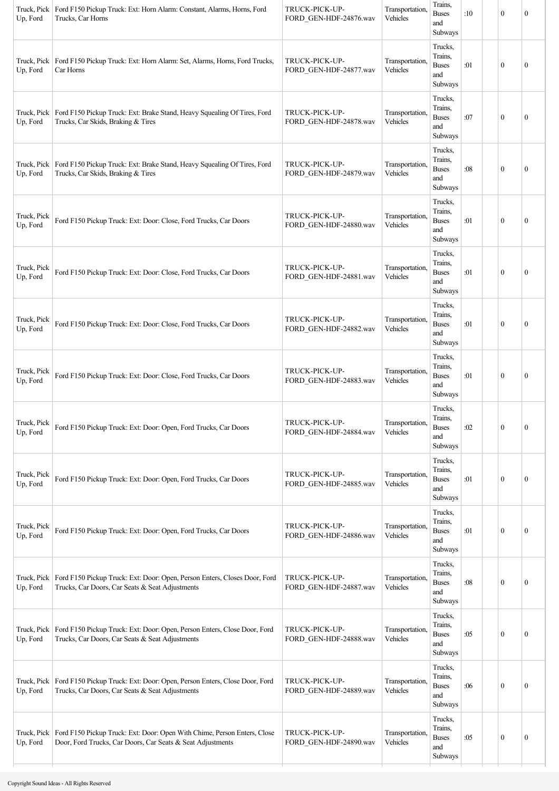| Truck, Pick<br>Up, Ford | Ford F150 Pickup Truck: Ext: Horn Alarm: Constant, Alarms, Horns, Ford<br>Trucks, Car Horns                                            | TRUCK-PICK-UP-<br>FORD_GEN-HDF-24876.wav | Transportation,<br>Vehicles | Trains,<br><b>Buses</b><br>and<br>Subways            | :10 | $\mathbf{0}$     | $\mathbf{0}$     |
|-------------------------|----------------------------------------------------------------------------------------------------------------------------------------|------------------------------------------|-----------------------------|------------------------------------------------------|-----|------------------|------------------|
| Truck, Pick<br>Up, Ford | Ford F150 Pickup Truck: Ext: Horn Alarm: Set, Alarms, Horns, Ford Trucks,<br>Car Horns                                                 | TRUCK-PICK-UP-<br>FORD_GEN-HDF-24877.wav | Transportation,<br>Vehicles | Trucks,<br>Trains,<br><b>Buses</b><br>and<br>Subways | :01 | $\mathbf{0}$     | $\boldsymbol{0}$ |
| Truck, Pick<br>Up, Ford | Ford F150 Pickup Truck: Ext: Brake Stand, Heavy Squealing Of Tires, Ford<br>Trucks, Car Skids, Braking & Tires                         | TRUCK-PICK-UP-<br>FORD GEN-HDF-24878.wav | Transportation,<br>Vehicles | Trucks,<br>Trains,<br><b>Buses</b><br>and<br>Subways | :07 | $\mathbf{0}$     | $\boldsymbol{0}$ |
| Truck, Pick<br>Up, Ford | Ford F150 Pickup Truck: Ext: Brake Stand, Heavy Squealing Of Tires, Ford<br>Trucks, Car Skids, Braking & Tires                         | TRUCK-PICK-UP-<br>FORD_GEN-HDF-24879.wav | Transportation,<br>Vehicles | Trucks,<br>Trains,<br><b>Buses</b><br>and<br>Subways | :08 | $\mathbf{0}$     | $\mathbf{0}$     |
| Truck, Pick<br>Up, Ford | Ford F150 Pickup Truck: Ext: Door: Close, Ford Trucks, Car Doors                                                                       | TRUCK-PICK-UP-<br>FORD GEN-HDF-24880.wav | Transportation,<br>Vehicles | Trucks,<br>Trains,<br><b>Buses</b><br>and<br>Subways | :01 | $\mathbf{0}$     | $\boldsymbol{0}$ |
| Truck, Pick<br>Up, Ford | Ford F150 Pickup Truck: Ext: Door: Close, Ford Trucks, Car Doors                                                                       | TRUCK-PICK-UP-<br>FORD_GEN-HDF-24881.wav | Transportation,<br>Vehicles | Trucks,<br>Trains,<br><b>Buses</b><br>and<br>Subways | :01 | $\mathbf{0}$     | $\boldsymbol{0}$ |
| Truck, Pick<br>Up, Ford | Ford F150 Pickup Truck: Ext: Door: Close, Ford Trucks, Car Doors                                                                       | TRUCK-PICK-UP-<br>FORD GEN-HDF-24882.wav | Transportation.<br>Vehicles | Trucks,<br>Trains,<br><b>Buses</b><br>and<br>Subways | :01 | $\mathbf{0}$     | $\mathbf{0}$     |
| Truck, Pick<br>Up, Ford | Ford F150 Pickup Truck: Ext: Door: Close, Ford Trucks, Car Doors                                                                       | TRUCK-PICK-UP-<br>FORD_GEN-HDF-24883.wav | Transportation,<br>Vehicles | Trucks,<br>Trains,<br><b>Buses</b><br>and<br>Subways | :01 | $\mathbf{0}$     | $\boldsymbol{0}$ |
| Truck, Pick<br>Up, Ford | Ford F150 Pickup Truck: Ext: Door: Open, Ford Trucks, Car Doors                                                                        | TRUCK-PICK-UP-<br>FORD_GEN-HDF-24884.wav | Transportation,<br>Vehicles | Trucks,<br>Trains,<br><b>Buses</b><br>and<br>Subways | :02 | $\boldsymbol{0}$ | $\boldsymbol{0}$ |
| Truck, Pick<br>Up, Ford | Ford F150 Pickup Truck: Ext: Door: Open, Ford Trucks, Car Doors                                                                        | TRUCK-PICK-UP-<br>FORD_GEN-HDF-24885.wav | Transportation,<br>Vehicles | Trucks,<br>Trains,<br><b>Buses</b><br>and<br>Subways | :01 | $\boldsymbol{0}$ | $\boldsymbol{0}$ |
| Truck, Pick<br>Up, Ford | Ford F150 Pickup Truck: Ext: Door: Open, Ford Trucks, Car Doors                                                                        | TRUCK-PICK-UP-<br>FORD_GEN-HDF-24886.wav | Transportation,<br>Vehicles | Trucks,<br>Trains,<br><b>Buses</b><br>and<br>Subways | :01 | $\boldsymbol{0}$ | $\boldsymbol{0}$ |
| Truck, Pick<br>Up, Ford | Ford F150 Pickup Truck: Ext: Door: Open, Person Enters, Closes Door, Ford<br>Trucks, Car Doors, Car Seats & Seat Adjustments           | TRUCK-PICK-UP-<br>FORD_GEN-HDF-24887.wav | Transportation,<br>Vehicles | Trucks,<br>Trains,<br><b>Buses</b><br>and<br>Subways | :08 | $\boldsymbol{0}$ | $\boldsymbol{0}$ |
| Truck, Pick<br>Up, Ford | Ford F150 Pickup Truck: Ext: Door: Open, Person Enters, Close Door, Ford<br>Trucks, Car Doors, Car Seats & Seat Adjustments            | TRUCK-PICK-UP-<br>FORD_GEN-HDF-24888.wav | Transportation,<br>Vehicles | Trucks,<br>Trains,<br><b>Buses</b><br>and<br>Subways | :05 | $\mathbf{0}$     | $\boldsymbol{0}$ |
| Truck, Pick<br>Up, Ford | Ford F150 Pickup Truck: Ext: Door: Open, Person Enters, Close Door, Ford<br>Trucks, Car Doors, Car Seats & Seat Adjustments            | TRUCK-PICK-UP-<br>FORD_GEN-HDF-24889.wav | Transportation,<br>Vehicles | Trucks,<br>Trains,<br><b>Buses</b><br>and<br>Subways | :06 | $\boldsymbol{0}$ | $\boldsymbol{0}$ |
| Truck, Pick<br>Up, Ford | Ford F150 Pickup Truck: Ext: Door: Open With Chime, Person Enters, Close<br>Door, Ford Trucks, Car Doors, Car Seats & Seat Adjustments | TRUCK-PICK-UP-<br>FORD_GEN-HDF-24890.wav | Transportation,<br>Vehicles | Trucks,<br>Trains,<br><b>Buses</b><br>and<br>Subways | :05 | $\boldsymbol{0}$ | $\boldsymbol{0}$ |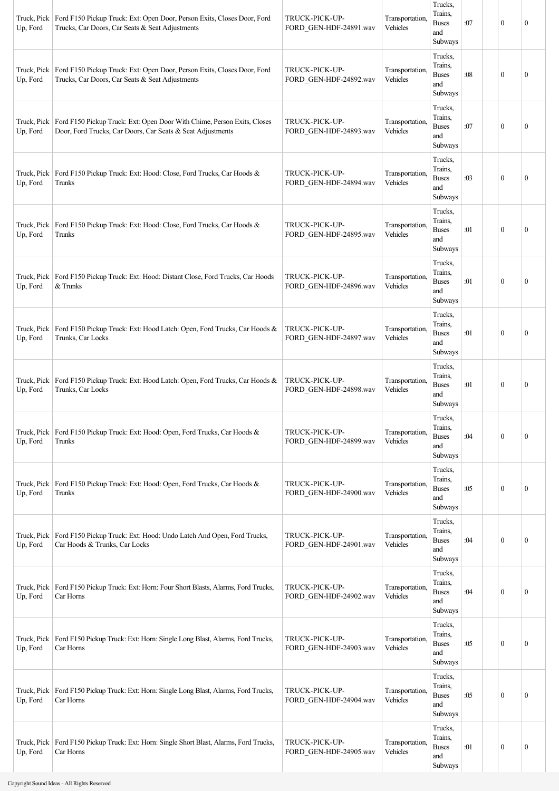| Truck, Pick<br>Up, Ford | Ford F150 Pickup Truck: Ext: Open Door, Person Exits, Closes Door, Ford<br>Trucks, Car Doors, Car Seats & Seat Adjustments                          | TRUCK-PICK-UP-<br>FORD_GEN-HDF-24891.wav | Transportation.<br>Vehicles | Trucks,<br>Trains,<br><b>Buses</b><br>and<br>Subways | :07 | $\mathbf{0}$     | $\mathbf{0}$     |
|-------------------------|-----------------------------------------------------------------------------------------------------------------------------------------------------|------------------------------------------|-----------------------------|------------------------------------------------------|-----|------------------|------------------|
| Truck, Pick<br>Up, Ford | Ford F150 Pickup Truck: Ext: Open Door, Person Exits, Closes Door, Ford<br>Trucks, Car Doors, Car Seats & Seat Adjustments                          | TRUCK-PICK-UP-<br>FORD GEN-HDF-24892.wav | Transportation,<br>Vehicles | Trucks.<br>Trains,<br><b>Buses</b><br>and<br>Subways | :08 | $\boldsymbol{0}$ | $\boldsymbol{0}$ |
| Up, Ford                | Truck, Pick   Ford F150 Pickup Truck: Ext: Open Door With Chime, Person Exits, Closes<br>Door, Ford Trucks, Car Doors, Car Seats & Seat Adjustments | TRUCK-PICK-UP-<br>FORD_GEN-HDF-24893.wav | Transportation.<br>Vehicles | Trucks,<br>Trains,<br><b>Buses</b><br>and<br>Subways | :07 | $\mathbf{0}$     | $\mathbf{0}$     |
| Truck, Pick<br>Up, Ford | Ford F150 Pickup Truck: Ext: Hood: Close, Ford Trucks, Car Hoods &<br>Trunks                                                                        | TRUCK-PICK-UP-<br>FORD GEN-HDF-24894.wav | Transportation,<br>Vehicles | Trucks,<br>Trains,<br><b>Buses</b><br>and<br>Subways | :03 | $\mathbf{0}$     | $\mathbf{0}$     |
| Truck, Pick<br>Up, Ford | Ford F150 Pickup Truck: Ext: Hood: Close, Ford Trucks, Car Hoods &<br>Trunks                                                                        | TRUCK-PICK-UP-<br>FORD GEN-HDF-24895.wav | Transportation,<br>Vehicles | Trucks,<br>Trains,<br><b>Buses</b><br>and<br>Subways | :01 | $\boldsymbol{0}$ | $\boldsymbol{0}$ |
| Truck, Pick<br>Up, Ford | Ford F150 Pickup Truck: Ext: Hood: Distant Close, Ford Trucks, Car Hoods<br>& Trunks                                                                | TRUCK-PICK-UP-<br>FORD GEN-HDF-24896.wav | Transportation,<br>Vehicles | Trucks,<br>Trains,<br><b>Buses</b><br>and<br>Subways | :01 | $\mathbf{0}$     | $\boldsymbol{0}$ |
| Truck, Pick<br>Up, Ford | Ford F150 Pickup Truck: Ext: Hood Latch: Open, Ford Trucks, Car Hoods &<br>Trunks, Car Locks                                                        | TRUCK-PICK-UP-<br>FORD_GEN-HDF-24897.wav | Transportation,<br>Vehicles | Trucks,<br>Trains,<br><b>Buses</b><br>and<br>Subways | :01 | $\mathbf{0}$     | $\mathbf{0}$     |
| Up, Ford                | Truck, Pick   Ford F150 Pickup Truck: Ext: Hood Latch: Open, Ford Trucks, Car Hoods &<br>Trunks, Car Locks                                          | TRUCK-PICK-UP-<br>FORD GEN-HDF-24898.wav | Transportation.<br>Vehicles | Trucks,<br>Trains.<br><b>Buses</b><br>and<br>Subways | :01 | $\mathbf{0}$     | $\boldsymbol{0}$ |
| Truck, Pick<br>Up, Ford | Ford F150 Pickup Truck: Ext: Hood: Open, Ford Trucks, Car Hoods &<br>Trunks                                                                         | TRUCK-PICK-UP-<br>FORD_GEN-HDF-24899.wav | Transportation,<br>Vehicles | Trucks,<br>Trains,<br><b>Buses</b><br>and<br>Subways | :04 | $\mathbf{0}$     | $\mathbf{0}$     |
| Truck, Pick<br>Up, Ford | Ford F150 Pickup Truck: Ext: Hood: Open, Ford Trucks, Car Hoods &<br>Trunks                                                                         | TRUCK-PICK-UP-<br>FORD_GEN-HDF-24900.wav | Transportation,<br>Vehicles | Trucks,<br>Trains,<br><b>Buses</b><br>and<br>Subways | :05 | $\boldsymbol{0}$ | $\boldsymbol{0}$ |
| Truck, Pick<br>Up, Ford | Ford F150 Pickup Truck: Ext: Hood: Undo Latch And Open, Ford Trucks,<br>Car Hoods & Trunks, Car Locks                                               | TRUCK-PICK-UP-<br>FORD_GEN-HDF-24901.wav | Transportation,<br>Vehicles | Trucks,<br>Trains,<br><b>Buses</b><br>and<br>Subways | :04 | $\boldsymbol{0}$ | $\boldsymbol{0}$ |
| Truck, Pick<br>Up, Ford | Ford F150 Pickup Truck: Ext: Horn: Four Short Blasts, Alarms, Ford Trucks,<br>Car Horns                                                             | TRUCK-PICK-UP-<br>FORD_GEN-HDF-24902.wav | Transportation,<br>Vehicles | Trucks,<br>Trains,<br><b>Buses</b><br>and<br>Subways | :04 | $\boldsymbol{0}$ | $\boldsymbol{0}$ |
| Truck, Pick<br>Up, Ford | Ford F150 Pickup Truck: Ext: Horn: Single Long Blast, Alarms, Ford Trucks,<br>Car Horns                                                             | TRUCK-PICK-UP-<br>FORD GEN-HDF-24903.wav | Transportation,<br>Vehicles | Trucks,<br>Trains,<br><b>Buses</b><br>and<br>Subways | :05 | $\boldsymbol{0}$ | $\boldsymbol{0}$ |
| Truck, Pick<br>Up, Ford | Ford F150 Pickup Truck: Ext: Horn: Single Long Blast, Alarms, Ford Trucks,<br>Car Horns                                                             | TRUCK-PICK-UP-<br>FORD GEN-HDF-24904.wav | Transportation,<br>Vehicles | Trucks,<br>Trains,<br><b>Buses</b><br>and<br>Subways | :05 | $\bf{0}$         | $\bf{0}$         |
| Truck, Pick<br>Up, Ford | Ford F150 Pickup Truck: Ext: Horn: Single Short Blast, Alarms, Ford Trucks,<br>Car Horns                                                            | TRUCK-PICK-UP-<br>FORD_GEN-HDF-24905.wav | Transportation,<br>Vehicles | Trucks,<br>Trains,<br><b>Buses</b><br>and<br>Subways | :01 | $\boldsymbol{0}$ | $\bf{0}$         |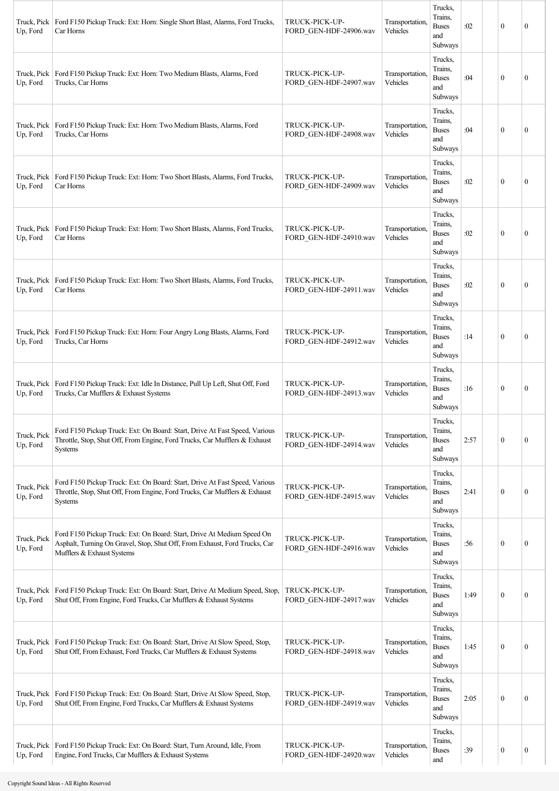| Truck, Pick<br>Up, Ford | Ford F150 Pickup Truck: Ext: Horn: Single Short Blast, Alarms, Ford Trucks,<br>Car Horns                                                                                           | TRUCK-PICK-UP-<br>FORD_GEN-HDF-24906.wav | Transportation.<br>Vehicles | Trucks,<br>Trains,<br><b>Buses</b><br>and<br>Subways | :02  | $\mathbf{0}$     | 0                |
|-------------------------|------------------------------------------------------------------------------------------------------------------------------------------------------------------------------------|------------------------------------------|-----------------------------|------------------------------------------------------|------|------------------|------------------|
| Truck, Pick<br>Up, Ford | Ford F150 Pickup Truck: Ext: Horn: Two Medium Blasts, Alarms, Ford<br>Trucks, Car Horns                                                                                            | TRUCK-PICK-UP-<br>FORD GEN-HDF-24907.wav | Transportation<br>Vehicles  | Trucks,<br>Trains,<br><b>Buses</b><br>and<br>Subways | :04  | $\mathbf{0}$     | $\overline{0}$   |
| Truck, Pick<br>Up, Ford | Ford F150 Pickup Truck: Ext: Horn: Two Medium Blasts, Alarms, Ford<br>Trucks, Car Horns                                                                                            | TRUCK-PICK-UP-<br>FORD GEN-HDF-24908.wav | Transportation<br>Vehicles  | Trucks,<br>Trains,<br><b>Buses</b><br>and<br>Subways | :04  | $\mathbf{0}$     | $\theta$         |
| Truck, Pick<br>Up, Ford | Ford F150 Pickup Truck: Ext: Horn: Two Short Blasts, Alarms, Ford Trucks,<br>Car Horns                                                                                             | TRUCK-PICK-UP-<br>FORD GEN-HDF-24909.wav | Transportation<br>Vehicles  | Trucks,<br>Trains,<br><b>Buses</b><br>and<br>Subways | :02  | $\mathbf{0}$     | $\theta$         |
| Truck, Pick<br>Up, Ford | Ford F150 Pickup Truck: Ext: Horn: Two Short Blasts, Alarms, Ford Trucks,<br>Car Horns                                                                                             | TRUCK-PICK-UP-<br>FORD GEN-HDF-24910.wav | Transportation,<br>Vehicles | Trucks,<br>Trains,<br><b>Buses</b><br>and<br>Subways | :02  | $\mathbf{0}$     | $\theta$         |
| Truck, Pick<br>Up, Ford | Ford F150 Pickup Truck: Ext: Horn: Two Short Blasts, Alarms, Ford Trucks,<br>Car Horns                                                                                             | TRUCK-PICK-UP-<br>FORD GEN-HDF-24911.wav | Transportation.<br>Vehicles | Trucks,<br>Trains,<br><b>Buses</b><br>and<br>Subways | :02  | $\mathbf{0}$     | 0                |
| Truck, Pick<br>Up, Ford | Ford F150 Pickup Truck: Ext: Horn: Four Angry Long Blasts, Alarms, Ford<br>Trucks, Car Horns                                                                                       | TRUCK-PICK-UP-<br>FORD GEN-HDF-24912.wav | Transportation.<br>Vehicles | Trucks,<br>Trains,<br><b>Buses</b><br>and<br>Subways | :14  | $\mathbf{0}$     | 0                |
| Truck, Pick<br>Up, Ford | Ford F150 Pickup Truck: Ext: Idle In Distance, Pull Up Left, Shut Off, Ford<br>Trucks, Car Mufflers & Exhaust Systems                                                              | TRUCK-PICK-UP-<br>FORD GEN-HDF-24913.wav | Transportation,<br>Vehicles | Trucks,<br>Trains,<br><b>Buses</b><br>and<br>Subways | :16  | $\mathbf{0}$     | $\boldsymbol{0}$ |
| Truck, Pick<br>Up, Ford | Ford F150 Pickup Truck: Ext: On Board: Start, Drive At Fast Speed, Various<br>Throttle, Stop, Shut Off, From Engine, Ford Trucks, Car Mufflers & Exhaust<br><b>Systems</b>         | TRUCK-PICK-UP-<br>FORD_GEN-HDF-24914.wav | Transportation,<br>Vehicles | Trucks,<br>Trains,<br><b>Buses</b><br>and<br>Subways | 2:57 | $\mathbf{0}$     | 0                |
| Truck, Pick<br>Up, Ford | Ford F150 Pickup Truck: Ext: On Board: Start, Drive At Fast Speed, Various<br>Throttle, Stop, Shut Off, From Engine, Ford Trucks, Car Mufflers & Exhaust<br>Systems                | TRUCK-PICK-UP-<br>FORD_GEN-HDF-24915.wav | Transportation<br>Vehicles  | Trucks,<br>Trains,<br><b>Buses</b><br>and<br>Subways | 2:41 | $\mathbf{0}$     | 0                |
| Truck, Pick<br>Up, Ford | Ford F150 Pickup Truck: Ext: On Board: Start, Drive At Medium Speed On<br>Asphalt, Turning On Gravel, Stop, Shut Off, From Exhaust, Ford Trucks, Car<br>Mufflers & Exhaust Systems | TRUCK-PICK-UP-<br>FORD_GEN-HDF-24916.wav | Transportation<br>Vehicles  | Trucks,<br>Trains,<br><b>Buses</b><br>and<br>Subways | :56  | $\boldsymbol{0}$ | $\boldsymbol{0}$ |
| Truck, Pick<br>Up, Ford | Ford F150 Pickup Truck: Ext: On Board: Start, Drive At Medium Speed, Stop,<br>Shut Off, From Engine, Ford Trucks, Car Mufflers & Exhaust Systems                                   | TRUCK-PICK-UP-<br>FORD_GEN-HDF-24917.wav | Transportation,<br>Vehicles | Trucks,<br>Trains,<br><b>Buses</b><br>and<br>Subways | 1:49 | $\mathbf{0}$     | $\theta$         |
| Truck, Pick<br>Up, Ford | Ford F150 Pickup Truck: Ext: On Board: Start, Drive At Slow Speed, Stop,<br>Shut Off, From Exhaust, Ford Trucks, Car Mufflers & Exhaust Systems                                    | TRUCK-PICK-UP-<br>FORD_GEN-HDF-24918.wav | Transportation<br>Vehicles  | Trucks,<br>Trains,<br><b>Buses</b><br>and<br>Subways | 1:45 | $\mathbf{0}$     | 0                |
| Truck, Pick<br>Up, Ford | Ford F150 Pickup Truck: Ext: On Board: Start, Drive At Slow Speed, Stop,<br>Shut Off, From Engine, Ford Trucks, Car Mufflers & Exhaust Systems                                     | TRUCK-PICK-UP-<br>FORD_GEN-HDF-24919.wav | Transportation,<br>Vehicles | Trucks,<br>Trains,<br><b>Buses</b><br>and<br>Subways | 2:05 | $\mathbf{0}$     | $\boldsymbol{0}$ |
| Truck, Pick<br>Up, Ford | Ford F150 Pickup Truck: Ext: On Board: Start, Turn Around, Idle, From<br>Engine, Ford Trucks, Car Mufflers & Exhaust Systems                                                       | TRUCK-PICK-UP-<br>FORD GEN-HDF-24920.wav | Transportation<br>Vehicles  | Trucks,<br>Trains,<br><b>Buses</b><br>and            | :39  | $\boldsymbol{0}$ | $\boldsymbol{0}$ |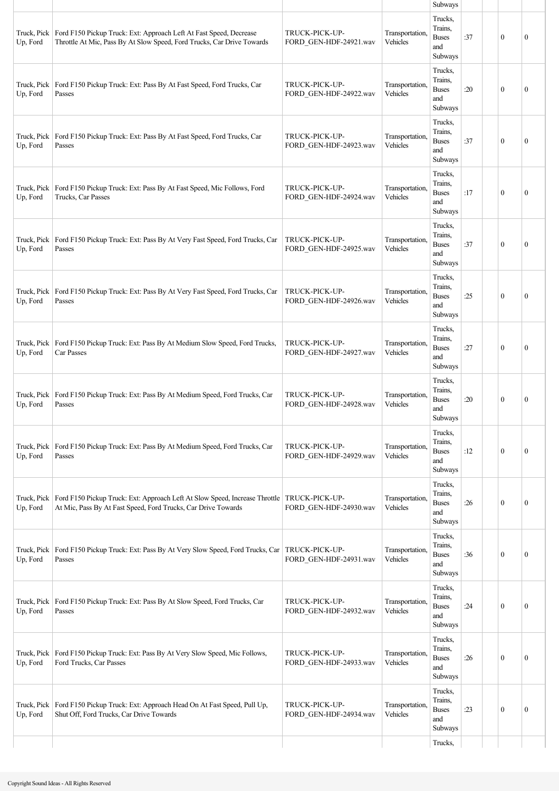|                         |                                                                                                                                                               |                                          |                             | Subways                                              |     |              |                  |
|-------------------------|---------------------------------------------------------------------------------------------------------------------------------------------------------------|------------------------------------------|-----------------------------|------------------------------------------------------|-----|--------------|------------------|
| Truck, Pick<br>Up, Ford | Ford F150 Pickup Truck: Ext: Approach Left At Fast Speed, Decrease<br>Throttle At Mic, Pass By At Slow Speed, Ford Trucks, Car Drive Towards                  | TRUCK-PICK-UP-<br>FORD_GEN-HDF-24921.wav | Transportation,<br>Vehicles | Trucks,<br>Trains,<br><b>Buses</b><br>and<br>Subways | :37 | $\mathbf{0}$ | $\mathbf{0}$     |
| Truck, Pick<br>Up, Ford | Ford F150 Pickup Truck: Ext: Pass By At Fast Speed, Ford Trucks, Car<br>Passes                                                                                | TRUCK-PICK-UP-<br>FORD_GEN-HDF-24922.wav | Transportation,<br>Vehicles | Trucks,<br>Trains,<br><b>Buses</b><br>and<br>Subways | :20 | $\mathbf{0}$ | $\mathbf{0}$     |
| Truck, Pick<br>Up, Ford | Ford F150 Pickup Truck: Ext: Pass By At Fast Speed, Ford Trucks, Car<br>Passes                                                                                | TRUCK-PICK-UP-<br>FORD GEN-HDF-24923.wav | Transportation.<br>Vehicles | Trucks,<br>Trains.<br><b>Buses</b><br>and<br>Subways | :37 | $\mathbf{0}$ | $\mathbf{0}$     |
| Truck, Pick<br>Up, Ford | Ford F150 Pickup Truck: Ext: Pass By At Fast Speed, Mic Follows, Ford<br>Trucks, Car Passes                                                                   | TRUCK-PICK-UP-<br>FORD GEN-HDF-24924.wav | Transportation,<br>Vehicles | Trucks,<br>Trains.<br><b>Buses</b><br>and<br>Subways | :17 | $\mathbf{0}$ | $\mathbf{0}$     |
| Truck, Pick<br>Up, Ford | Ford F150 Pickup Truck: Ext: Pass By At Very Fast Speed, Ford Trucks, Car<br>Passes                                                                           | TRUCK-PICK-UP-<br>FORD GEN-HDF-24925.wav | Transportation,<br>Vehicles | Trucks,<br>Trains.<br><b>Buses</b><br>and<br>Subways | :37 | $\mathbf{0}$ | $\mathbf{0}$     |
| Truck, Pick<br>Up, Ford | Ford F150 Pickup Truck: Ext: Pass By At Very Fast Speed, Ford Trucks, Car<br>Passes                                                                           | TRUCK-PICK-UP-<br>FORD GEN-HDF-24926.wav | Transportation,<br>Vehicles | Trucks,<br>Trains.<br><b>Buses</b><br>and<br>Subways | :25 | $\mathbf{0}$ | $\mathbf{0}$     |
| Truck, Pick<br>Up, Ford | Ford F150 Pickup Truck: Ext: Pass By At Medium Slow Speed, Ford Trucks,<br>Car Passes                                                                         | TRUCK-PICK-UP-<br>FORD_GEN-HDF-24927.wav | Transportation,<br>Vehicles | Trucks,<br>Trains,<br><b>Buses</b><br>and<br>Subways | :27 | $\mathbf{0}$ | $\mathbf{0}$     |
| Truck, Pick<br>Up, Ford | Ford F150 Pickup Truck: Ext: Pass By At Medium Speed, Ford Trucks, Car<br>Passes                                                                              | TRUCK-PICK-UP-<br>FORD_GEN-HDF-24928.wav | Transportation,<br>Vehicles | Trucks,<br>Trains,<br><b>Buses</b><br>and<br>Subways | :20 | $\mathbf{0}$ | $\boldsymbol{0}$ |
| Truck, Pick<br>Up, Ford | Ford F150 Pickup Truck: Ext: Pass By At Medium Speed, Ford Trucks, Car<br>Passes                                                                              | TRUCK-PICK-UP-<br>FORD GEN-HDF-24929.wav | Transportation,<br>Vehicles | Trucks,<br>Trains.<br><b>Buses</b><br>and<br>Subways | :12 | $\mathbf{0}$ | $\boldsymbol{0}$ |
| Truck, Pick<br>Up, Ford | Ford F150 Pickup Truck: Ext: Approach Left At Slow Speed, Increase Throttle   TRUCK-PICK-UP-<br>At Mic, Pass By At Fast Speed, Ford Trucks, Car Drive Towards | FORD_GEN-HDF-24930.wav                   | Transportation,<br>Vehicles | Trucks,<br>Trains.<br><b>Buses</b><br>and<br>Subways | :26 | $\mathbf{0}$ | $\boldsymbol{0}$ |
| Truck, Pick<br>Up, Ford | Ford F150 Pickup Truck: Ext: Pass By At Very Slow Speed, Ford Trucks, Car<br>Passes                                                                           | TRUCK-PICK-UP-<br>FORD_GEN-HDF-24931.wav | Transportation,<br>Vehicles | Trucks,<br>Trains.<br><b>Buses</b><br>and<br>Subways | :36 | $\mathbf{0}$ | $\mathbf{0}$     |
| Truck, Pick<br>Up, Ford | Ford F150 Pickup Truck: Ext: Pass By At Slow Speed, Ford Trucks, Car<br>Passes                                                                                | TRUCK-PICK-UP-<br>FORD GEN-HDF-24932.wav | Transportation,<br>Vehicles | Trucks,<br>Trains.<br><b>Buses</b><br>and<br>Subways | :24 | $\mathbf{0}$ | $\mathbf{0}$     |
| Truck, Pick<br>Up, Ford | Ford F150 Pickup Truck: Ext: Pass By At Very Slow Speed, Mic Follows,<br>Ford Trucks, Car Passes                                                              | TRUCK-PICK-UP-<br>FORD GEN-HDF-24933.wav | Transportation,<br>Vehicles | Trucks,<br>Trains,<br><b>Buses</b><br>and<br>Subways | :26 | $\mathbf{0}$ | $\mathbf{0}$     |
| Truck, Pick<br>Up, Ford | Ford F150 Pickup Truck: Ext: Approach Head On At Fast Speed, Pull Up,<br>Shut Off, Ford Trucks, Car Drive Towards                                             | TRUCK-PICK-UP-<br>FORD GEN-HDF-24934.wav | Transportation,<br>Vehicles | Trucks,<br>Trains,<br><b>Buses</b><br>and<br>Subways | :23 | $\mathbf{0}$ | $\boldsymbol{0}$ |
|                         |                                                                                                                                                               |                                          |                             | Trucks,                                              |     |              |                  |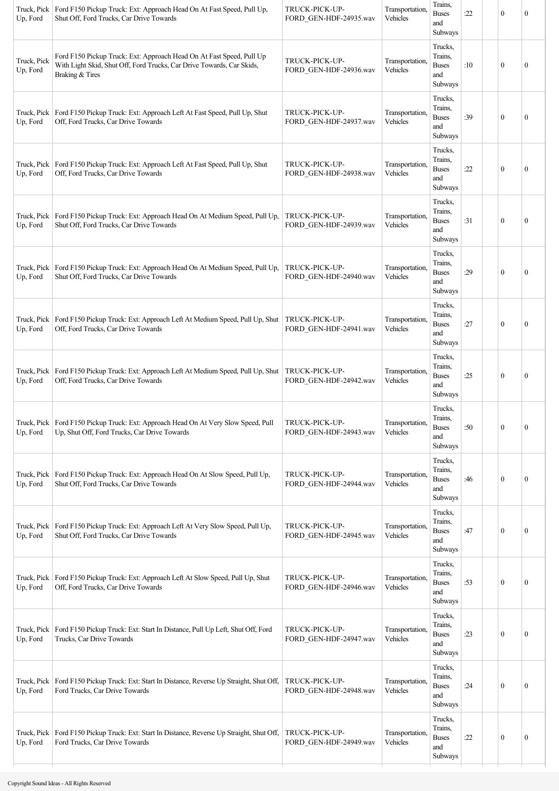| Up, Ford                | Truck, Pick   Ford F150 Pickup Truck: Ext: Approach Head On At Fast Speed, Pull Up,<br>Shut Off, Ford Trucks, Car Drive Towards                                  | TRUCK-PICK-UP-<br>FORD GEN-HDF-24935.wav | Transportation,<br>Vehicles | Trains,<br><b>Buses</b><br>and<br>Subways            | :22 | $\mathbf{0}$     | 0                |
|-------------------------|------------------------------------------------------------------------------------------------------------------------------------------------------------------|------------------------------------------|-----------------------------|------------------------------------------------------|-----|------------------|------------------|
| Truck, Pick<br>Up, Ford | Ford F150 Pickup Truck: Ext: Approach Head On At Fast Speed, Pull Up<br>With Light Skid, Shut Off, Ford Trucks, Car Drive Towards, Car Skids,<br>Braking & Tires | TRUCK-PICK-UP-<br>FORD_GEN-HDF-24936.wav | Transportation,<br>Vehicles | Trucks,<br>Trains,<br><b>Buses</b><br>and<br>Subways | :10 | $\mathbf{0}$     | 0                |
| Truck, Pick<br>Up, Ford | Ford F150 Pickup Truck: Ext: Approach Left At Fast Speed, Pull Up, Shut<br>Off, Ford Trucks, Car Drive Towards                                                   | TRUCK-PICK-UP-<br>FORD_GEN-HDF-24937.wav | Transportation.<br>Vehicles | Trucks,<br>Trains,<br><b>Buses</b><br>and<br>Subways | :39 | $\mathbf{0}$     | $\boldsymbol{0}$ |
| Up, Ford                | Truck, Pick   Ford F150 Pickup Truck: Ext: Approach Left At Fast Speed, Pull Up, Shut<br>Off, Ford Trucks, Car Drive Towards                                     | TRUCK-PICK-UP-<br>FORD_GEN-HDF-24938.wav | Transportation,<br>Vehicles | Trucks,<br>Trains,<br><b>Buses</b><br>and<br>Subways | :22 | $\mathbf{0}$     | $\boldsymbol{0}$ |
| Up, Ford                | Truck, Pick   Ford F150 Pickup Truck: Ext: Approach Head On At Medium Speed, Pull Up,<br>Shut Off, Ford Trucks, Car Drive Towards                                | TRUCK-PICK-UP-<br>FORD GEN-HDF-24939.wav | Transportation,<br>Vehicles | Trucks,<br>Trains,<br><b>Buses</b><br>and<br>Subways | :31 | $\mathbf{0}$     | $\boldsymbol{0}$ |
| Truck, Pick<br>Up, Ford | Ford F150 Pickup Truck: Ext: Approach Head On At Medium Speed, Pull Up,<br>Shut Off, Ford Trucks, Car Drive Towards                                              | TRUCK-PICK-UP-<br>FORD_GEN-HDF-24940.wav | Transportation,<br>Vehicles | Trucks,<br>Trains,<br><b>Buses</b><br>and<br>Subways | :29 | $\boldsymbol{0}$ | $\boldsymbol{0}$ |
| Up, Ford                | Truck, Pick   Ford F150 Pickup Truck: Ext: Approach Left At Medium Speed, Pull Up, Shut<br>Off, Ford Trucks, Car Drive Towards                                   | TRUCK-PICK-UP-<br>FORD_GEN-HDF-24941.wav | Transportation,<br>Vehicles | Trucks,<br>Trains,<br><b>Buses</b><br>and<br>Subways | :27 | $\mathbf{0}$     | $\boldsymbol{0}$ |
| Up, Ford                | Truck, Pick   Ford F150 Pickup Truck: Ext: Approach Left At Medium Speed, Pull Up, Shut<br>Off, Ford Trucks, Car Drive Towards                                   | TRUCK-PICK-UP-<br>FORD_GEN-HDF-24942.wav | Transportation,<br>Vehicles | Trucks,<br>Trains,<br><b>Buses</b><br>and<br>Subways | :25 | $\mathbf{0}$     | 0                |
| Up, Ford                | Truck, Pick   Ford F150 Pickup Truck: Ext: Approach Head On At Very Slow Speed, Pull<br>Up, Shut Off, Ford Trucks, Car Drive Towards                             | TRUCK-PICK-UP<br>FORD_GEN-HDF-24943.wav  | Transportation,<br>Vehicles | Trucks,<br>Trains,<br><b>Buses</b><br>and<br>Subways | :50 | $\boldsymbol{0}$ | $\boldsymbol{0}$ |
| Up, Ford                | Truck, Pick   Ford F150 Pickup Truck: Ext: Approach Head On At Slow Speed, Pull Up,<br>Shut Off, Ford Trucks, Car Drive Towards                                  | TRUCK-PICK-UP-<br>FORD_GEN-HDF-24944.wav | Transportation,<br>Vehicles | Trucks,<br>Trains,<br><b>Buses</b><br>and<br>Subways | :46 | $\boldsymbol{0}$ | $\boldsymbol{0}$ |
| Up, Ford                | Truck, Pick   Ford F150 Pickup Truck: Ext: Approach Left At Very Slow Speed, Pull Up,<br>Shut Off, Ford Trucks, Car Drive Towards                                | TRUCK-PICK-UP-<br>FORD_GEN-HDF-24945.wav | Transportation,<br>Vehicles | Trucks,<br>Trains,<br><b>Buses</b><br>and<br>Subways | :47 | $\boldsymbol{0}$ | $\boldsymbol{0}$ |
| Truck, Pick<br>Up, Ford | Ford F150 Pickup Truck: Ext: Approach Left At Slow Speed, Pull Up, Shut<br>Off, Ford Trucks, Car Drive Towards                                                   | TRUCK-PICK-UP-<br>FORD_GEN-HDF-24946.wav | Transportation,<br>Vehicles | Trucks,<br>Trains,<br><b>Buses</b><br>and<br>Subways | :53 | $\boldsymbol{0}$ | $\boldsymbol{0}$ |
| Up, Ford                | Truck, Pick   Ford F150 Pickup Truck: Ext: Start In Distance, Pull Up Left, Shut Off, Ford<br>Trucks, Car Drive Towards                                          | TRUCK-PICK-UP-<br>FORD_GEN-HDF-24947.wav | Transportation,<br>Vehicles | Trucks,<br>Trains,<br><b>Buses</b><br>and<br>Subways | :23 | $\boldsymbol{0}$ | $\boldsymbol{0}$ |
| Truck, Pick<br>Up, Ford | Ford F150 Pickup Truck: Ext: Start In Distance, Reverse Up Straight, Shut Off,<br>Ford Trucks, Car Drive Towards                                                 | TRUCK-PICK-UP-<br>FORD_GEN-HDF-24948.wav | Transportation,<br>Vehicles | Trucks,<br>Trains,<br><b>Buses</b><br>and<br>Subways | :24 | $\theta$         | $\boldsymbol{0}$ |
| Truck, Pick<br>Up, Ford | Ford F150 Pickup Truck: Ext: Start In Distance, Reverse Up Straight, Shut Off,<br>Ford Trucks, Car Drive Towards                                                 | TRUCK-PICK-UP-<br>FORD_GEN-HDF-24949.wav | Transportation.<br>Vehicles | Trucks,<br>Trains,<br><b>Buses</b><br>and<br>Subways | :22 | $\boldsymbol{0}$ | $\boldsymbol{0}$ |
|                         |                                                                                                                                                                  |                                          |                             |                                                      |     |                  |                  |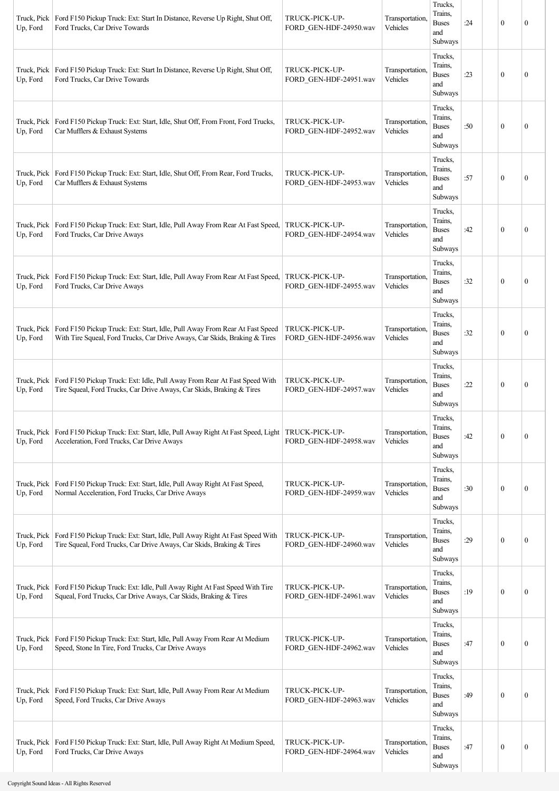| Truck, Pick<br>Up, Ford | Ford F150 Pickup Truck: Ext: Start In Distance, Reverse Up Right, Shut Off,<br>Ford Trucks, Car Drive Towards                                             | TRUCK-PICK-UP-<br>FORD_GEN-HDF-24950.wav | Transportation,<br>Vehicles | Trucks,<br>Trains,<br><b>Buses</b><br>and<br>Subways | :24 | $\mathbf{0}$     | 0                |
|-------------------------|-----------------------------------------------------------------------------------------------------------------------------------------------------------|------------------------------------------|-----------------------------|------------------------------------------------------|-----|------------------|------------------|
| Truck, Pick<br>Up, Ford | Ford F150 Pickup Truck: Ext: Start In Distance, Reverse Up Right, Shut Off,<br>Ford Trucks, Car Drive Towards                                             | TRUCK-PICK-UP-<br>FORD GEN-HDF-24951.wav | Transportation,<br>Vehicles | Trucks,<br>Trains,<br><b>Buses</b><br>and<br>Subways | :23 | $\mathbf{0}$     | 0                |
| Truck, Pick<br>Up, Ford | Ford F150 Pickup Truck: Ext: Start, Idle, Shut Off, From Front, Ford Trucks,<br>Car Mufflers & Exhaust Systems                                            | TRUCK-PICK-UP-<br>FORD_GEN-HDF-24952.wav | Transportation,<br>Vehicles | Trucks,<br>Trains,<br><b>Buses</b><br>and<br>Subways | :50 | $\mathbf{0}$     | $\boldsymbol{0}$ |
| Truck, Pick<br>Up, Ford | Ford F150 Pickup Truck: Ext: Start, Idle, Shut Off, From Rear, Ford Trucks,<br>Car Mufflers & Exhaust Systems                                             | TRUCK-PICK-UP-<br>FORD GEN-HDF-24953.wav | Transportation,<br>Vehicles | Trucks,<br>Trains,<br><b>Buses</b><br>and<br>Subways | :57 | $\mathbf{0}$     | $\boldsymbol{0}$ |
| Truck, Pick<br>Up, Ford | Ford F150 Pickup Truck: Ext: Start, Idle, Pull Away From Rear At Fast Speed,<br>Ford Trucks, Car Drive Aways                                              | TRUCK-PICK-UP-<br>FORD_GEN-HDF-24954.wav | Transportation,<br>Vehicles | Trucks,<br>Trains,<br><b>Buses</b><br>and<br>Subways | :42 | $\mathbf{0}$     | 0                |
| Truck, Pick<br>Up, Ford | Ford F150 Pickup Truck: Ext: Start, Idle, Pull Away From Rear At Fast Speed,<br>Ford Trucks, Car Drive Aways                                              | TRUCK-PICK-UP-<br>FORD GEN-HDF-24955.wav | Transportation,<br>Vehicles | Trucks,<br>Trains,<br><b>Buses</b><br>and<br>Subways | :32 | $\mathbf{0}$     | $\mathbf{0}$     |
| Truck, Pick<br>Up, Ford | Ford F150 Pickup Truck: Ext: Start, Idle, Pull Away From Rear At Fast Speed<br>With Tire Squeal, Ford Trucks, Car Drive Aways, Car Skids, Braking & Tires | TRUCK-PICK-UP-<br>FORD_GEN-HDF-24956.wav | Transportation,<br>Vehicles | Trucks,<br>Trains,<br><b>Buses</b><br>and<br>Subways | :32 | $\mathbf{0}$     | $\boldsymbol{0}$ |
| Truck, Pick<br>Up, Ford | Ford F150 Pickup Truck: Ext: Idle, Pull Away From Rear At Fast Speed With<br>Tire Squeal, Ford Trucks, Car Drive Aways, Car Skids, Braking & Tires        | TRUCK-PICK-UP-<br>FORD GEN-HDF-24957.wav | Transportation,<br>Vehicles | Trucks,<br>Trains,<br><b>Buses</b><br>and<br>Subways | :22 | $\mathbf{0}$     | 0                |
| Truck, Pick<br>Up, Ford | Ford F150 Pickup Truck: Ext: Start, Idle, Pull Away Right At Fast Speed, Light<br>Acceleration, Ford Trucks, Car Drive Aways                              | TRUCK-PICK-UP-<br>FORD_GEN-HDF-24958.wav | Transportation,<br>Vehicles | Trucks,<br>Trains,<br><b>Buses</b><br>and<br>Subways | :42 | $\mathbf{0}$     | $\boldsymbol{0}$ |
| Truck, Pick<br>Up, Ford | Ford F150 Pickup Truck: Ext: Start, Idle, Pull Away Right At Fast Speed,<br>Normal Acceleration, Ford Trucks, Car Drive Aways                             | TRUCK-PICK-UP-<br>FORD_GEN-HDF-24959.wav | Transportation,<br>Vehicles | Trucks,<br>Trains,<br><b>Buses</b><br>and<br>Subways | :30 | $\mathbf{0}$     | $\boldsymbol{0}$ |
| Truck, Pick<br>Up, Ford | Ford F150 Pickup Truck: Ext: Start, Idle, Pull Away Right At Fast Speed With<br>Tire Squeal, Ford Trucks, Car Drive Aways, Car Skids, Braking & Tires     | TRUCK-PICK-UP-<br>FORD_GEN-HDF-24960.wav | Transportation,<br>Vehicles | Trucks,<br>Trains,<br><b>Buses</b><br>and<br>Subways | :29 | $\mathbf{0}$     | 0                |
| Truck, Pick<br>Up, Ford | Ford F150 Pickup Truck: Ext: Idle, Pull Away Right At Fast Speed With Tire<br>Squeal, Ford Trucks, Car Drive Aways, Car Skids, Braking & Tires            | TRUCK-PICK-UP-<br>FORD_GEN-HDF-24961.wav | Transportation,<br>Vehicles | Trucks,<br>Trains,<br><b>Buses</b><br>and<br>Subways | :19 | $\boldsymbol{0}$ | $\boldsymbol{0}$ |
| Truck, Pick<br>Up, Ford | Ford F150 Pickup Truck: Ext: Start, Idle, Pull Away From Rear At Medium<br>Speed, Stone In Tire, Ford Trucks, Car Drive Aways                             | TRUCK-PICK-UP-<br>FORD GEN-HDF-24962.wav | Transportation,<br>Vehicles | Trucks,<br>Trains,<br><b>Buses</b><br>and<br>Subways | :47 | $\mathbf{0}$     | $\boldsymbol{0}$ |
| Truck, Pick<br>Up, Ford | Ford F150 Pickup Truck: Ext: Start, Idle, Pull Away From Rear At Medium<br>Speed, Ford Trucks, Car Drive Aways                                            | TRUCK-PICK-UP-<br>FORD_GEN-HDF-24963.wav | Transportation,<br>Vehicles | Trucks,<br>Trains,<br><b>Buses</b><br>and<br>Subways | :49 | $\mathbf{0}$     | 0                |
| Truck, Pick<br>Up, Ford | Ford F150 Pickup Truck: Ext: Start, Idle, Pull Away Right At Medium Speed,<br>Ford Trucks, Car Drive Aways                                                | TRUCK-PICK-UP-<br>FORD_GEN-HDF-24964.wav | Transportation,<br>Vehicles | Trucks,<br>Trains,<br><b>Buses</b><br>and<br>Subways | :47 | $\boldsymbol{0}$ | $\boldsymbol{0}$ |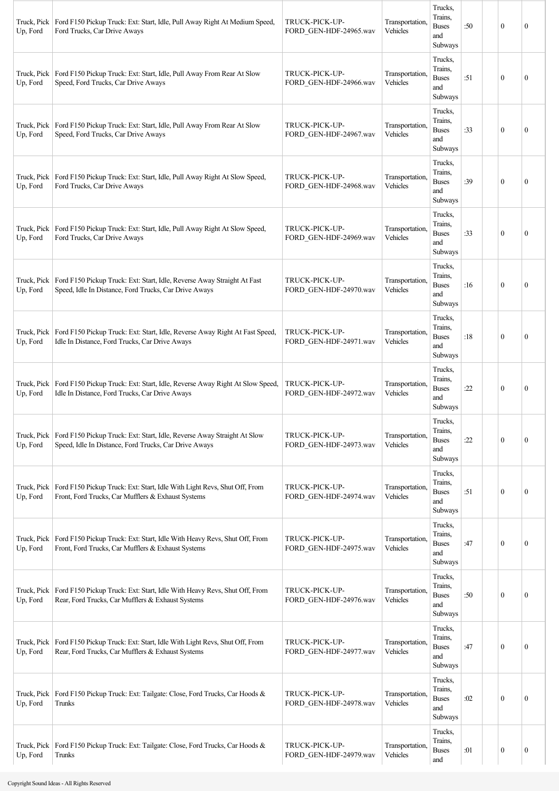| Truck, Pick<br>Up, Ford | Ford F150 Pickup Truck: Ext: Start, Idle, Pull Away Right At Medium Speed,<br>Ford Trucks, Car Drive Aways                                  | TRUCK-PICK-UP-<br>FORD_GEN-HDF-24965.wav | Transportation,<br>Vehicles | Trucks,<br>Trains,<br><b>Buses</b><br>and<br>Subways | :50 | $\mathbf{0}$     | $\mathbf{0}$     |
|-------------------------|---------------------------------------------------------------------------------------------------------------------------------------------|------------------------------------------|-----------------------------|------------------------------------------------------|-----|------------------|------------------|
| Truck, Pick<br>Up, Ford | Ford F150 Pickup Truck: Ext: Start, Idle, Pull Away From Rear At Slow<br>Speed, Ford Trucks, Car Drive Aways                                | TRUCK-PICK-UP-<br>FORD GEN-HDF-24966.wav | Transportation,<br>Vehicles | Trucks,<br>Trains,<br><b>Buses</b><br>and<br>Subways | :51 | $\mathbf{0}$     | $\boldsymbol{0}$ |
| Truck, Pick<br>Up, Ford | Ford F150 Pickup Truck: Ext: Start, Idle, Pull Away From Rear At Slow<br>Speed, Ford Trucks, Car Drive Aways                                | TRUCK-PICK-UP-<br>FORD GEN-HDF-24967.wav | Transportation,<br>Vehicles | Trucks,<br>Trains,<br><b>Buses</b><br>and<br>Subways | :33 | $\mathbf{0}$     | $\boldsymbol{0}$ |
| Truck, Pick<br>Up, Ford | Ford F150 Pickup Truck: Ext: Start, Idle, Pull Away Right At Slow Speed,<br>Ford Trucks, Car Drive Aways                                    | TRUCK-PICK-UP-<br>FORD GEN-HDF-24968.wav | Transportation,<br>Vehicles | Trucks,<br>Trains,<br><b>Buses</b><br>and<br>Subways | :39 | $\theta$         | $\boldsymbol{0}$ |
| Truck, Pick<br>Up, Ford | Ford F150 Pickup Truck: Ext: Start, Idle, Pull Away Right At Slow Speed,<br>Ford Trucks, Car Drive Aways                                    | TRUCK-PICK-UP-<br>FORD_GEN-HDF-24969.wav | Transportation,<br>Vehicles | Trucks,<br>Trains,<br><b>Buses</b><br>and<br>Subways | :33 | $\mathbf{0}$     | $\boldsymbol{0}$ |
| Truck, Pick<br>Up, Ford | Ford F150 Pickup Truck: Ext: Start, Idle, Reverse Away Straight At Fast<br>Speed, Idle In Distance, Ford Trucks, Car Drive Aways            | TRUCK-PICK-UP-<br>FORD_GEN-HDF-24970.wav | Transportation,<br>Vehicles | Trucks,<br>Trains,<br><b>Buses</b><br>and<br>Subways | :16 | $\mathbf{0}$     | $\mathbf{0}$     |
| Truck, Pick<br>Up, Ford | Ford F150 Pickup Truck: Ext: Start, Idle, Reverse Away Right At Fast Speed,<br>Idle In Distance, Ford Trucks, Car Drive Aways               | TRUCK-PICK-UP-<br>FORD GEN-HDF-24971.wav | Transportation.<br>Vehicles | Trucks,<br>Trains,<br><b>Buses</b><br>and<br>Subways | :18 | $\mathbf{0}$     | $\mathbf{0}$     |
| Up, Ford                | Truck, Pick   Ford F150 Pickup Truck: Ext: Start, Idle, Reverse Away Right At Slow Speed,<br>Idle In Distance, Ford Trucks, Car Drive Aways | TRUCK-PICK-UP-<br>FORD_GEN-HDF-24972.wav | Transportation,<br>Vehicles | Trucks,<br>Trains,<br><b>Buses</b><br>and<br>Subways | :22 | $\theta$         | $\boldsymbol{0}$ |
| Truck, Pick<br>Up, Ford | Ford F150 Pickup Truck: Ext: Start, Idle, Reverse Away Straight At Slow<br>Speed, Idle In Distance, Ford Trucks, Car Drive Aways            | TRUCK-PICK-UP-<br>FORD_GEN-HDF-24973.wav | Transportation,<br>Vehicles | Trucks,<br>Trains,<br><b>Buses</b><br>and<br>Subways | :22 | $\mathbf{0}$     | $\boldsymbol{0}$ |
| Truck, Pick<br>Up, Ford | Ford F150 Pickup Truck: Ext: Start, Idle With Light Revs, Shut Off, From<br>Front, Ford Trucks, Car Mufflers & Exhaust Systems              | TRUCK-PICK-UP-<br>FORD_GEN-HDF-24974.wav | Transportation,<br>Vehicles | Trucks,<br>Trains,<br><b>Buses</b><br>and<br>Subways | :51 | $\boldsymbol{0}$ | $\boldsymbol{0}$ |
| Truck, Pick<br>Up, Ford | Ford F150 Pickup Truck: Ext: Start, Idle With Heavy Revs, Shut Off, From<br>Front, Ford Trucks, Car Mufflers & Exhaust Systems              | TRUCK-PICK-UP-<br>FORD_GEN-HDF-24975.wav | Transportation,<br>Vehicles | Trucks,<br>Trains,<br><b>Buses</b><br>and<br>Subways | :47 | $\boldsymbol{0}$ | $\boldsymbol{0}$ |
| Truck, Pick<br>Up, Ford | Ford F150 Pickup Truck: Ext: Start, Idle With Heavy Revs, Shut Off, From<br>Rear, Ford Trucks, Car Mufflers & Exhaust Systems               | TRUCK-PICK-UP-<br>FORD_GEN-HDF-24976.wav | Transportation,<br>Vehicles | Trucks,<br>Trains,<br><b>Buses</b><br>and<br>Subways | :50 | $\boldsymbol{0}$ | 0                |
| Truck, Pick<br>Up, Ford | Ford F150 Pickup Truck: Ext: Start, Idle With Light Revs, Shut Off, From<br>Rear, Ford Trucks, Car Mufflers & Exhaust Systems               | TRUCK-PICK-UP-<br>FORD_GEN-HDF-24977.wav | Transportation,<br>Vehicles | Trucks,<br>Trains,<br><b>Buses</b><br>and<br>Subways | :47 | $\mathbf{0}$     | 0                |
| Truck, Pick<br>Up, Ford | Ford F150 Pickup Truck: Ext: Tailgate: Close, Ford Trucks, Car Hoods &<br>Trunks                                                            | TRUCK-PICK-UP-<br>FORD_GEN-HDF-24978.wav | Transportation,<br>Vehicles | Trucks,<br>Trains,<br><b>Buses</b><br>and<br>Subways | :02 | $\mathbf{0}$     | $\boldsymbol{0}$ |
| Truck, Pick<br>Up, Ford | Ford F150 Pickup Truck: Ext: Tailgate: Close, Ford Trucks, Car Hoods &<br>Trunks                                                            | TRUCK-PICK-UP-<br>FORD GEN-HDF-24979.wav | Transportation,<br>Vehicles | Trucks,<br>Trains,<br><b>Buses</b><br>and            | :01 | $\boldsymbol{0}$ | $\boldsymbol{0}$ |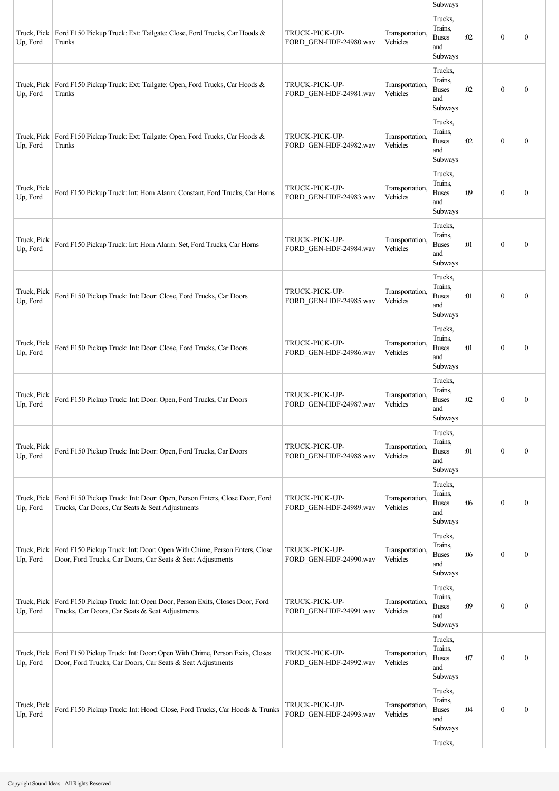|                         |                                                                                                                                        |                                          |                             | Subways                                              |     |              |              |
|-------------------------|----------------------------------------------------------------------------------------------------------------------------------------|------------------------------------------|-----------------------------|------------------------------------------------------|-----|--------------|--------------|
| Truck, Pick<br>Up, Ford | Ford F150 Pickup Truck: Ext: Tailgate: Close, Ford Trucks, Car Hoods &<br>Trunks                                                       | TRUCK-PICK-UP-<br>FORD_GEN-HDF-24980.wav | Transportation,<br>Vehicles | Trucks,<br>Trains,<br><b>Buses</b><br>and<br>Subways | :02 | $\theta$     | $\mathbf{0}$ |
| Truck, Pick<br>Up, Ford | Ford F150 Pickup Truck: Ext: Tailgate: Open, Ford Trucks, Car Hoods &<br>Trunks                                                        | TRUCK-PICK-UP-<br>FORD GEN-HDF-24981.wav | Transportation,<br>Vehicles | Trucks,<br>Trains,<br><b>Buses</b><br>and<br>Subways | :02 | $\mathbf{0}$ | $\mathbf{0}$ |
| Truck, Pick<br>Up, Ford | Ford F150 Pickup Truck: Ext: Tailgate: Open, Ford Trucks, Car Hoods &<br>Trunks                                                        | TRUCK-PICK-UP-<br>FORD GEN-HDF-24982.wav | Transportation,<br>Vehicles | Trucks,<br>Trains,<br><b>Buses</b><br>and<br>Subways | :02 | $\theta$     | $\mathbf{0}$ |
| Truck, Pick<br>Up, Ford | Ford F150 Pickup Truck: Int: Horn Alarm: Constant, Ford Trucks, Car Horns                                                              | TRUCK-PICK-UP-<br>FORD GEN-HDF-24983.wav | Transportation,<br>Vehicles | Trucks,<br>Trains,<br><b>Buses</b><br>and<br>Subways | :09 | $\mathbf{0}$ | $\mathbf{0}$ |
| Truck, Pick<br>Up, Ford | Ford F150 Pickup Truck: Int: Horn Alarm: Set, Ford Trucks, Car Horns                                                                   | TRUCK-PICK-UP-<br>FORD GEN-HDF-24984.wav | Transportation,<br>Vehicles | Trucks,<br>Trains.<br><b>Buses</b><br>and<br>Subways | :01 | $\mathbf{0}$ | $\mathbf{0}$ |
| Truck, Pick<br>Up, Ford | Ford F150 Pickup Truck: Int: Door: Close, Ford Trucks, Car Doors                                                                       | TRUCK-PICK-UP-<br>FORD GEN-HDF-24985.wav | Transportation,<br>Vehicles | Trucks,<br>Trains,<br><b>Buses</b><br>and<br>Subways | :01 | $\mathbf{0}$ | $\mathbf{0}$ |
| Truck, Pick<br>Up, Ford | Ford F150 Pickup Truck: Int: Door: Close, Ford Trucks, Car Doors                                                                       | TRUCK-PICK-UP-<br>FORD GEN-HDF-24986.wav | Transportation,<br>Vehicles | Trucks,<br>Trains,<br><b>Buses</b><br>and<br>Subways | :01 | $\theta$     | $\mathbf{0}$ |
| Truck, Pick<br>Up, Ford | Ford F150 Pickup Truck: Int: Door: Open, Ford Trucks, Car Doors                                                                        | TRUCK-PICK-UP-<br>FORD GEN-HDF-24987.wav | Transportation,<br>Vehicles | Trucks,<br>Trains,<br><b>Buses</b><br>and<br>Subways | :02 | $\mathbf{0}$ | $\mathbf{0}$ |
| Truck, Pick<br>Up, Ford | Ford F150 Pickup Truck: Int: Door: Open, Ford Trucks, Car Doors                                                                        | TRUCK-PICK-UP-<br>FORD_GEN-HDF-24988.wav | Transportation,<br>Vehicles | Trucks,<br>Trains.<br><b>Buses</b><br>and<br>Subways | :01 | $\mathbf{0}$ | $\mathbf{0}$ |
| Truck, Pick<br>Up, Ford | Ford F150 Pickup Truck: Int: Door: Open, Person Enters, Close Door, Ford<br>Trucks, Car Doors, Car Seats & Seat Adjustments            | TRUCK-PICK-UP-<br>FORD_GEN-HDF-24989.wav | Transportation,<br>Vehicles | Trucks,<br>Trains,<br><b>Buses</b><br>and<br>Subways | :06 | $\mathbf{0}$ | $\mathbf{0}$ |
| Truck, Pick<br>Up, Ford | Ford F150 Pickup Truck: Int: Door: Open With Chime, Person Enters, Close<br>Door, Ford Trucks, Car Doors, Car Seats & Seat Adjustments | TRUCK-PICK-UP-<br>FORD GEN-HDF-24990.wav | Transportation,<br>Vehicles | Trucks,<br>Trains,<br><b>Buses</b><br>and<br>Subways | :06 | $\mathbf{0}$ | $\mathbf{0}$ |
| Truck, Pick<br>Up, Ford | Ford F150 Pickup Truck: Int: Open Door, Person Exits, Closes Door, Ford<br>Trucks, Car Doors, Car Seats & Seat Adjustments             | TRUCK-PICK-UP-<br>FORD GEN-HDF-24991.wav | Transportation,<br>Vehicles | Trucks,<br>Trains,<br><b>Buses</b><br>and<br>Subways | :09 | $\mathbf{0}$ | $\mathbf{0}$ |
| Truck, Pick<br>Up, Ford | Ford F150 Pickup Truck: Int: Door: Open With Chime, Person Exits, Closes<br>Door, Ford Trucks, Car Doors, Car Seats & Seat Adjustments | TRUCK-PICK-UP-<br>FORD GEN-HDF-24992.wav | Transportation,<br>Vehicles | Trucks,<br>Trains,<br><b>Buses</b><br>and<br>Subways | :07 | $\theta$     | $\mathbf{0}$ |
| Truck, Pick<br>Up, Ford | Ford F150 Pickup Truck: Int: Hood: Close, Ford Trucks, Car Hoods & Trunks                                                              | TRUCK-PICK-UP-<br>FORD_GEN-HDF-24993.wav | Transportation,<br>Vehicles | Trucks,<br>Trains,<br><b>Buses</b><br>and<br>Subways | :04 | $\mathbf{0}$ | $\mathbf{0}$ |
|                         |                                                                                                                                        |                                          |                             | Trucks,                                              |     |              |              |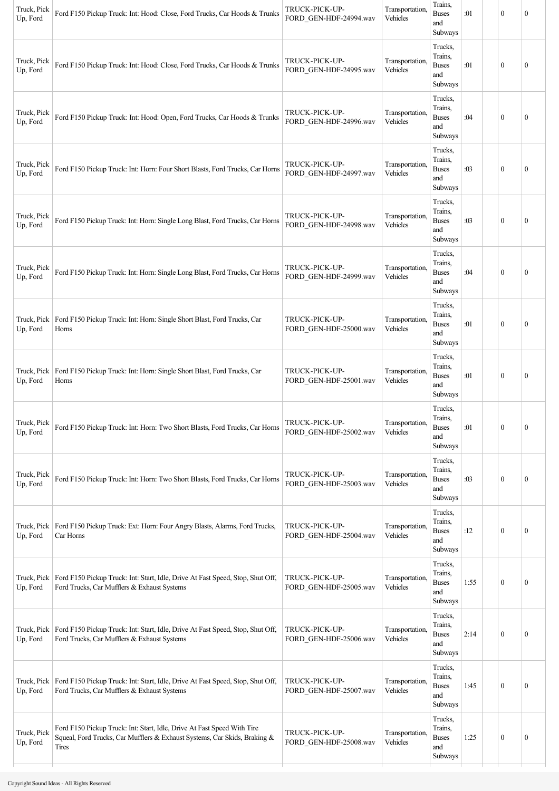| Trucks,<br>Trains,<br>Truck, Pick<br>TRUCK-PICK-UP-<br>Transportation.<br><b>Buses</b><br>$\mathbf{0}$<br>Ford F150 Pickup Truck: Int: Hood: Close, Ford Trucks, Car Hoods & Trunks<br>:01<br>Up, Ford<br>FORD_GEN-HDF-24995.wav<br>Vehicles<br>and<br>Subways<br>Trucks,<br>Trains,<br>Truck, Pick<br>Transportation.<br>TRUCK-PICK-UP-<br><b>Buses</b><br>:04<br>$\mathbf{0}$<br>Ford F150 Pickup Truck: Int: Hood: Open, Ford Trucks, Car Hoods & Trunks<br>Up, Ford<br>FORD_GEN-HDF-24996.wav<br>Vehicles<br>and<br>Subways<br>Trucks,<br>Trains,<br>Truck, Pick<br>TRUCK-PICK-UP-<br>Transportation,<br>$\mathbf{0}$<br>Ford F150 Pickup Truck: Int: Horn: Four Short Blasts, Ford Trucks, Car Horns<br><b>Buses</b><br>:03<br>Vehicles<br>Up, Ford<br>FORD GEN-HDF-24997.wav<br>and<br>Subways<br>Trucks,<br>Trains,<br>Truck, Pick<br>TRUCK-PICK-UP-<br>Transportation.<br>$\mathbf{0}$<br>Ford F150 Pickup Truck: Int: Horn: Single Long Blast, Ford Trucks, Car Horns<br><b>Buses</b><br>:03<br>FORD_GEN-HDF-24998.wav<br>Vehicles<br>Up, Ford<br>and<br>Subways<br>Trucks,<br>Trains,<br>Truck, Pick<br>TRUCK-PICK-UP-<br>Transportation.<br>Ford F150 Pickup Truck: Int: Horn: Single Long Blast, Ford Trucks, Car Horns<br><b>Buses</b><br>:04<br>$\bf{0}$<br>Vehicles<br>FORD_GEN-HDF-24999.wav<br>Up, Ford<br>and<br>Subways<br>Trucks,<br>Trains,<br>TRUCK-PICK-UP-<br>Truck, Pick<br>Ford F150 Pickup Truck: Int: Horn: Single Short Blast, Ford Trucks, Car<br>Transportation.<br><b>Buses</b><br>:01<br>$\mathbf{0}$<br>Up, Ford<br>Vehicles<br>Horns<br>FORD GEN-HDF-25000.wav<br>and<br>Subways<br>Trucks,<br>Trains,<br>Truck, Pick<br>Ford F150 Pickup Truck: Int: Horn: Single Short Blast, Ford Trucks, Car<br>TRUCK-PICK-UP-<br>Transportation.<br><b>Buses</b><br>$\mathbf{0}$<br>:01<br>Vehicles<br>Up, Ford<br>FORD GEN-HDF-25001.wav<br>Horns<br>and<br>Subways<br>Trucks,<br>Trains,<br>Truck, Pick<br>TRUCK-PICK-UP-<br>Transportation,<br>Ford F150 Pickup Truck: Int: Horn: Two Short Blasts, Ford Trucks, Car Horns<br>:01<br>$\mathbf{0}$<br><b>Buses</b><br>Vehicles<br>Up, Ford<br>FORD GEN-HDF-25002.wav<br>and<br>Subways<br>Trucks,<br>Trains,<br>Truck, Pick<br>Transportation,<br>TRUCK-PICK-UP-<br><b>Buses</b><br>$\boldsymbol{0}$<br>Ford F150 Pickup Truck: Int: Horn: Two Short Blasts, Ford Trucks, Car Horns<br>:03<br>Vehicles<br>Up, Ford<br>FORD_GEN-HDF-25003.wav<br>and<br>Subways<br>Trucks,<br>Trains,<br>Truck, Pick<br>Ford F150 Pickup Truck: Ext: Horn: Four Angry Blasts, Alarms, Ford Trucks,<br>TRUCK-PICK-UP-<br>Transportation.<br>$\boldsymbol{0}$<br><b>Buses</b><br>:12<br>Vehicles<br>Up, Ford<br>Car Horns<br>FORD_GEN-HDF-25004.wav<br>and<br>Subways<br>Trucks,<br>Trains,<br>Truck, Pick<br>Ford F150 Pickup Truck: Int: Start, Idle, Drive At Fast Speed, Stop, Shut Off,<br>TRUCK-PICK-UP-<br>Transportation.<br><b>Buses</b><br>1:55<br>$\bf{0}$<br>Vehicles<br>Ford Trucks, Car Mufflers & Exhaust Systems<br>Up, Ford<br>FORD_GEN-HDF-25005.wav<br>and<br>Subways<br>Trucks,<br>Trains,<br>Ford F150 Pickup Truck: Int: Start, Idle, Drive At Fast Speed, Stop, Shut Off,<br>TRUCK-PICK-UP-<br>Transportation,<br>Truck, Pick<br><b>Buses</b><br>$\boldsymbol{0}$<br>2:14<br>Up, Ford<br>Ford Trucks, Car Mufflers & Exhaust Systems<br>FORD_GEN-HDF-25006.wav<br>Vehicles<br>and<br>Subways<br>Trucks,<br>Trains,<br>Transportation,<br>Truck, Pick<br>Ford F150 Pickup Truck: Int: Start, Idle, Drive At Fast Speed, Stop, Shut Off,<br>TRUCK-PICK-UP-<br><b>Buses</b><br>$\mathbf{0}$<br>1:45<br>Ford Trucks, Car Mufflers & Exhaust Systems<br>Vehicles<br>Up, Ford<br>FORD_GEN-HDF-25007.wav<br>and | Truck, Pick<br>Up, Ford | Ford F150 Pickup Truck: Int: Hood: Close, Ford Trucks, Car Hoods & Trunks | TRUCK-PICK-UP-<br>FORD_GEN-HDF-24994.wav | Transportation,<br>Vehicles | Trains,<br><b>Buses</b><br>and<br>Subways | :01 | $\mathbf{0}$ | $\mathbf{0}$     |
|----------------------------------------------------------------------------------------------------------------------------------------------------------------------------------------------------------------------------------------------------------------------------------------------------------------------------------------------------------------------------------------------------------------------------------------------------------------------------------------------------------------------------------------------------------------------------------------------------------------------------------------------------------------------------------------------------------------------------------------------------------------------------------------------------------------------------------------------------------------------------------------------------------------------------------------------------------------------------------------------------------------------------------------------------------------------------------------------------------------------------------------------------------------------------------------------------------------------------------------------------------------------------------------------------------------------------------------------------------------------------------------------------------------------------------------------------------------------------------------------------------------------------------------------------------------------------------------------------------------------------------------------------------------------------------------------------------------------------------------------------------------------------------------------------------------------------------------------------------------------------------------------------------------------------------------------------------------------------------------------------------------------------------------------------------------------------------------------------------------------------------------------------------------------------------------------------------------------------------------------------------------------------------------------------------------------------------------------------------------------------------------------------------------------------------------------------------------------------------------------------------------------------------------------------------------------------------------------------------------------------------------------------------------------------------------------------------------------------------------------------------------------------------------------------------------------------------------------------------------------------------------------------------------------------------------------------------------------------------------------------------------------------------------------------------------------------------------------------------------------------------------------------------------------------------------------------------------------------------------------------------------------------------------------------------------------------------------------------------------------------------------------------------------------------------------------------------------------------------------------------------------------------------------------------------------------------------------------------------------------------------------------------------------------------------------|-------------------------|---------------------------------------------------------------------------|------------------------------------------|-----------------------------|-------------------------------------------|-----|--------------|------------------|
|                                                                                                                                                                                                                                                                                                                                                                                                                                                                                                                                                                                                                                                                                                                                                                                                                                                                                                                                                                                                                                                                                                                                                                                                                                                                                                                                                                                                                                                                                                                                                                                                                                                                                                                                                                                                                                                                                                                                                                                                                                                                                                                                                                                                                                                                                                                                                                                                                                                                                                                                                                                                                                                                                                                                                                                                                                                                                                                                                                                                                                                                                                                                                                                                                                                                                                                                                                                                                                                                                                                                                                                                                                                                                        |                         |                                                                           |                                          |                             |                                           |     |              | $\mathbf{0}$     |
|                                                                                                                                                                                                                                                                                                                                                                                                                                                                                                                                                                                                                                                                                                                                                                                                                                                                                                                                                                                                                                                                                                                                                                                                                                                                                                                                                                                                                                                                                                                                                                                                                                                                                                                                                                                                                                                                                                                                                                                                                                                                                                                                                                                                                                                                                                                                                                                                                                                                                                                                                                                                                                                                                                                                                                                                                                                                                                                                                                                                                                                                                                                                                                                                                                                                                                                                                                                                                                                                                                                                                                                                                                                                                        |                         |                                                                           |                                          |                             |                                           |     |              | $\boldsymbol{0}$ |
|                                                                                                                                                                                                                                                                                                                                                                                                                                                                                                                                                                                                                                                                                                                                                                                                                                                                                                                                                                                                                                                                                                                                                                                                                                                                                                                                                                                                                                                                                                                                                                                                                                                                                                                                                                                                                                                                                                                                                                                                                                                                                                                                                                                                                                                                                                                                                                                                                                                                                                                                                                                                                                                                                                                                                                                                                                                                                                                                                                                                                                                                                                                                                                                                                                                                                                                                                                                                                                                                                                                                                                                                                                                                                        |                         |                                                                           |                                          |                             |                                           |     |              | $\mathbf{0}$     |
|                                                                                                                                                                                                                                                                                                                                                                                                                                                                                                                                                                                                                                                                                                                                                                                                                                                                                                                                                                                                                                                                                                                                                                                                                                                                                                                                                                                                                                                                                                                                                                                                                                                                                                                                                                                                                                                                                                                                                                                                                                                                                                                                                                                                                                                                                                                                                                                                                                                                                                                                                                                                                                                                                                                                                                                                                                                                                                                                                                                                                                                                                                                                                                                                                                                                                                                                                                                                                                                                                                                                                                                                                                                                                        |                         |                                                                           |                                          |                             |                                           |     |              | $\mathbf{0}$     |
|                                                                                                                                                                                                                                                                                                                                                                                                                                                                                                                                                                                                                                                                                                                                                                                                                                                                                                                                                                                                                                                                                                                                                                                                                                                                                                                                                                                                                                                                                                                                                                                                                                                                                                                                                                                                                                                                                                                                                                                                                                                                                                                                                                                                                                                                                                                                                                                                                                                                                                                                                                                                                                                                                                                                                                                                                                                                                                                                                                                                                                                                                                                                                                                                                                                                                                                                                                                                                                                                                                                                                                                                                                                                                        |                         |                                                                           |                                          |                             |                                           |     |              | $\boldsymbol{0}$ |
|                                                                                                                                                                                                                                                                                                                                                                                                                                                                                                                                                                                                                                                                                                                                                                                                                                                                                                                                                                                                                                                                                                                                                                                                                                                                                                                                                                                                                                                                                                                                                                                                                                                                                                                                                                                                                                                                                                                                                                                                                                                                                                                                                                                                                                                                                                                                                                                                                                                                                                                                                                                                                                                                                                                                                                                                                                                                                                                                                                                                                                                                                                                                                                                                                                                                                                                                                                                                                                                                                                                                                                                                                                                                                        |                         |                                                                           |                                          |                             |                                           |     |              | $\mathbf{0}$     |
|                                                                                                                                                                                                                                                                                                                                                                                                                                                                                                                                                                                                                                                                                                                                                                                                                                                                                                                                                                                                                                                                                                                                                                                                                                                                                                                                                                                                                                                                                                                                                                                                                                                                                                                                                                                                                                                                                                                                                                                                                                                                                                                                                                                                                                                                                                                                                                                                                                                                                                                                                                                                                                                                                                                                                                                                                                                                                                                                                                                                                                                                                                                                                                                                                                                                                                                                                                                                                                                                                                                                                                                                                                                                                        |                         |                                                                           |                                          |                             |                                           |     |              | $\boldsymbol{0}$ |
|                                                                                                                                                                                                                                                                                                                                                                                                                                                                                                                                                                                                                                                                                                                                                                                                                                                                                                                                                                                                                                                                                                                                                                                                                                                                                                                                                                                                                                                                                                                                                                                                                                                                                                                                                                                                                                                                                                                                                                                                                                                                                                                                                                                                                                                                                                                                                                                                                                                                                                                                                                                                                                                                                                                                                                                                                                                                                                                                                                                                                                                                                                                                                                                                                                                                                                                                                                                                                                                                                                                                                                                                                                                                                        |                         |                                                                           |                                          |                             |                                           |     |              | $\boldsymbol{0}$ |
|                                                                                                                                                                                                                                                                                                                                                                                                                                                                                                                                                                                                                                                                                                                                                                                                                                                                                                                                                                                                                                                                                                                                                                                                                                                                                                                                                                                                                                                                                                                                                                                                                                                                                                                                                                                                                                                                                                                                                                                                                                                                                                                                                                                                                                                                                                                                                                                                                                                                                                                                                                                                                                                                                                                                                                                                                                                                                                                                                                                                                                                                                                                                                                                                                                                                                                                                                                                                                                                                                                                                                                                                                                                                                        |                         |                                                                           |                                          |                             |                                           |     |              | $\boldsymbol{0}$ |
|                                                                                                                                                                                                                                                                                                                                                                                                                                                                                                                                                                                                                                                                                                                                                                                                                                                                                                                                                                                                                                                                                                                                                                                                                                                                                                                                                                                                                                                                                                                                                                                                                                                                                                                                                                                                                                                                                                                                                                                                                                                                                                                                                                                                                                                                                                                                                                                                                                                                                                                                                                                                                                                                                                                                                                                                                                                                                                                                                                                                                                                                                                                                                                                                                                                                                                                                                                                                                                                                                                                                                                                                                                                                                        |                         |                                                                           |                                          |                             |                                           |     |              | $\boldsymbol{0}$ |
|                                                                                                                                                                                                                                                                                                                                                                                                                                                                                                                                                                                                                                                                                                                                                                                                                                                                                                                                                                                                                                                                                                                                                                                                                                                                                                                                                                                                                                                                                                                                                                                                                                                                                                                                                                                                                                                                                                                                                                                                                                                                                                                                                                                                                                                                                                                                                                                                                                                                                                                                                                                                                                                                                                                                                                                                                                                                                                                                                                                                                                                                                                                                                                                                                                                                                                                                                                                                                                                                                                                                                                                                                                                                                        |                         |                                                                           |                                          |                             |                                           |     |              | $\mathbf{0}$     |
|                                                                                                                                                                                                                                                                                                                                                                                                                                                                                                                                                                                                                                                                                                                                                                                                                                                                                                                                                                                                                                                                                                                                                                                                                                                                                                                                                                                                                                                                                                                                                                                                                                                                                                                                                                                                                                                                                                                                                                                                                                                                                                                                                                                                                                                                                                                                                                                                                                                                                                                                                                                                                                                                                                                                                                                                                                                                                                                                                                                                                                                                                                                                                                                                                                                                                                                                                                                                                                                                                                                                                                                                                                                                                        |                         |                                                                           |                                          |                             |                                           |     |              | $\boldsymbol{0}$ |
|                                                                                                                                                                                                                                                                                                                                                                                                                                                                                                                                                                                                                                                                                                                                                                                                                                                                                                                                                                                                                                                                                                                                                                                                                                                                                                                                                                                                                                                                                                                                                                                                                                                                                                                                                                                                                                                                                                                                                                                                                                                                                                                                                                                                                                                                                                                                                                                                                                                                                                                                                                                                                                                                                                                                                                                                                                                                                                                                                                                                                                                                                                                                                                                                                                                                                                                                                                                                                                                                                                                                                                                                                                                                                        |                         |                                                                           |                                          |                             | Subways                                   |     |              | $\boldsymbol{0}$ |
| Trucks,<br>Ford F150 Pickup Truck: Int: Start, Idle, Drive At Fast Speed With Tire<br>Trains,<br>Truck, Pick<br>TRUCK-PICK-UP-<br>Transportation,<br>Squeal, Ford Trucks, Car Mufflers & Exhaust Systems, Car Skids, Braking &<br><b>Buses</b><br>$\boldsymbol{0}$<br>1:25<br>Up, Ford<br>Vehicles<br>FORD_GEN-HDF-25008.wav<br>and<br>Tires<br>Subways                                                                                                                                                                                                                                                                                                                                                                                                                                                                                                                                                                                                                                                                                                                                                                                                                                                                                                                                                                                                                                                                                                                                                                                                                                                                                                                                                                                                                                                                                                                                                                                                                                                                                                                                                                                                                                                                                                                                                                                                                                                                                                                                                                                                                                                                                                                                                                                                                                                                                                                                                                                                                                                                                                                                                                                                                                                                                                                                                                                                                                                                                                                                                                                                                                                                                                                                |                         |                                                                           |                                          |                             |                                           |     |              | $\boldsymbol{0}$ |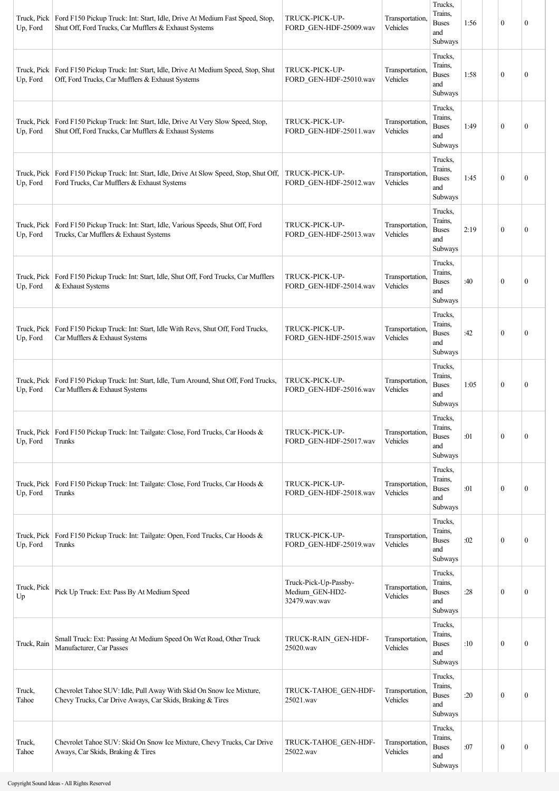| Truck, Pick<br>Up, Ford | Ford F150 Pickup Truck: Int: Start, Idle, Drive At Medium Fast Speed, Stop,<br>Shut Off, Ford Trucks, Car Mufflers & Exhaust Systems             | TRUCK-PICK-UP-<br>FORD_GEN-HDF-25009.wav                  | Transportation,<br>Vehicles | Trucks,<br>Trains.<br><b>Buses</b><br>and<br>Subways                  | 1:56 | $\boldsymbol{0}$ | $\mathbf{0}$     |
|-------------------------|--------------------------------------------------------------------------------------------------------------------------------------------------|-----------------------------------------------------------|-----------------------------|-----------------------------------------------------------------------|------|------------------|------------------|
| Up, Ford                | Truck, Pick   Ford F150 Pickup Truck: Int: Start, Idle, Drive At Medium Speed, Stop, Shut<br>Off, Ford Trucks, Car Mufflers & Exhaust Systems    | TRUCK-PICK-UP-<br>FORD GEN-HDF-25010.wav                  | Transportation,<br>Vehicles | Trucks,<br>Trains,<br><b>Buses</b><br>and<br>Subways                  | 1:58 | $\boldsymbol{0}$ | $\mathbf{0}$     |
| Up, Ford                | Truck, Pick   Ford F150 Pickup Truck: Int: Start, Idle, Drive At Very Slow Speed, Stop,<br>Shut Off, Ford Trucks, Car Mufflers & Exhaust Systems | TRUCK-PICK-UP-<br>FORD GEN-HDF-25011.wav                  | Transportation,<br>Vehicles | Trucks,<br>Trains.<br><b>Buses</b><br>and<br>Subways                  | 1:49 | $\boldsymbol{0}$ | $\mathbf{0}$     |
| Truck, Pick<br>Up, Ford | Ford F150 Pickup Truck: Int: Start, Idle, Drive At Slow Speed, Stop, Shut Off,<br>Ford Trucks, Car Mufflers & Exhaust Systems                    | TRUCK-PICK-UP-<br>FORD GEN-HDF-25012.wav                  | Transportation,<br>Vehicles | Trucks,<br>Trains,<br><b>Buses</b><br>and<br>Subways                  | 1:45 | $\boldsymbol{0}$ | $\mathbf{0}$     |
| Truck, Pick<br>Up, Ford | Ford F150 Pickup Truck: Int: Start, Idle, Various Speeds, Shut Off, Ford<br>Trucks, Car Mufflers & Exhaust Systems                               | TRUCK-PICK-UP-<br>FORD GEN-HDF-25013.wav                  | Transportation,<br>Vehicles | Trucks,<br>Trains,<br><b>Buses</b><br>and<br>Subways                  | 2:19 | $\boldsymbol{0}$ | $\boldsymbol{0}$ |
| Truck, Pick<br>Up, Ford | Ford F150 Pickup Truck: Int: Start, Idle, Shut Off, Ford Trucks, Car Mufflers<br>& Exhaust Systems                                               | TRUCK-PICK-UP-<br>FORD_GEN-HDF-25014.wav                  | Transportation,<br>Vehicles | Trucks,<br>Trains,<br><b>Buses</b><br>and<br>Subways                  | :40  | $\theta$         | $\mathbf{0}$     |
| Truck, Pick<br>Up, Ford | Ford F150 Pickup Truck: Int: Start, Idle With Revs, Shut Off, Ford Trucks,<br>Car Mufflers & Exhaust Systems                                     | TRUCK-PICK-UP-<br>FORD GEN-HDF-25015.wav                  | Transportation,<br>Vehicles | Trucks,<br>Trains,<br><b>Buses</b><br>and<br>Subways                  | :42  | $\boldsymbol{0}$ | $\mathbf{0}$     |
| Up, Ford                | Truck, Pick   Ford F150 Pickup Truck: Int: Start, Idle, Turn Around, Shut Off, Ford Trucks,<br>Car Mufflers & Exhaust Systems                    | TRUCK-PICK-UP-<br>FORD_GEN-HDF-25016.wav                  | Transportation,<br>Vehicles | Trucks,<br>Trains.<br><b>Buses</b><br>and<br>Subways                  | 1:05 | $\boldsymbol{0}$ | $\mathbf{0}$     |
| Truck, Pick<br>Up, Ford | Ford F150 Pickup Truck: Int: Tailgate: Close, Ford Trucks, Car Hoods &<br>Trunks                                                                 | TRUCK-PICK-UP-<br>FORD_GEN-HDF-25017.wav                  | Transportation,<br>Vehicles | Trucks,<br>Trains,<br><b>Buses</b><br>and<br>Subways                  | :01  | $\boldsymbol{0}$ | $\mathbf{0}$     |
| Truck, Pick<br>Up, Ford | Ford F150 Pickup Truck: Int: Tailgate: Close, Ford Trucks, Car Hoods &<br>Trunks                                                                 | TRUCK-PICK-UP-<br>FORD_GEN-HDF-25018.wav                  | Transportation,<br>Vehicles | Trucks,<br>Trains,<br><b>Buses</b><br>and<br>Subways                  | :01  | $\mathbf{0}$     | $\mathbf{0}$     |
| Truck, Pick<br>Up, Ford | Ford F150 Pickup Truck: Int: Tailgate: Open, Ford Trucks, Car Hoods &<br>Trunks                                                                  | TRUCK-PICK-UP-<br>FORD GEN-HDF-25019.wav                  | Transportation,<br>Vehicles | Trucks,<br>Trains,<br><b>Buses</b><br>and<br>Subways                  | :02  | $\boldsymbol{0}$ | $\boldsymbol{0}$ |
| Truck, Pick<br>Up       | Pick Up Truck: Ext: Pass By At Medium Speed                                                                                                      | Truck-Pick-Up-Passby-<br>Medium_GEN-HD2-<br>32479.wav.wav | Transportation,<br>Vehicles | Trucks,<br>Trains,<br><b>Buses</b><br>and<br>Subways                  | :28  | $\mathbf{0}$     | $\boldsymbol{0}$ |
| Truck, Rain             | Small Truck: Ext: Passing At Medium Speed On Wet Road, Other Truck<br>Manufacturer, Car Passes                                                   | TRUCK-RAIN GEN-HDF-<br>25020.wav                          | Transportation,<br>Vehicles | Trucks,<br>Trains,<br><b>Buses</b><br>and<br>Subways                  | :10  | $\boldsymbol{0}$ | $\boldsymbol{0}$ |
| Truck,<br>Tahoe         | Chevrolet Tahoe SUV: Idle, Pull Away With Skid On Snow Ice Mixture,<br>Chevy Trucks, Car Drive Aways, Car Skids, Braking & Tires                 | TRUCK-TAHOE_GEN-HDF-<br>25021.wav                         | Transportation,<br>Vehicles | Trucks,<br>Trains.<br>$\ensuremath{\mathsf{Buses}}$<br>and<br>Subways | :20  | $\boldsymbol{0}$ | $\mathbf{0}$     |
| Truck,<br>Tahoe         | Chevrolet Tahoe SUV: Skid On Snow Ice Mixture, Chevy Trucks, Car Drive<br>Aways, Car Skids, Braking & Tires                                      | TRUCK-TAHOE_GEN-HDF-<br>25022.wav                         | Transportation,<br>Vehicles | Trucks,<br>Trains,<br><b>Buses</b><br>and<br>Subways                  | :07  | $\boldsymbol{0}$ | $\boldsymbol{0}$ |

a ka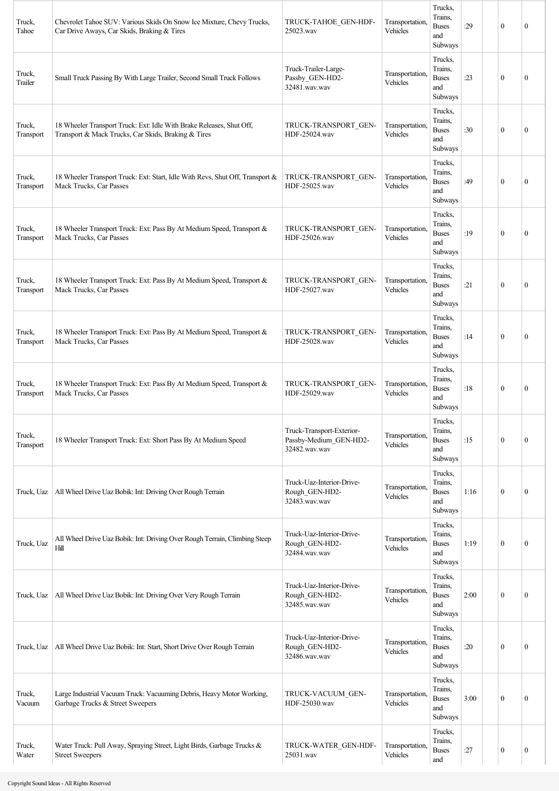| Truck,<br>Tahoe     | Chevrolet Tahoe SUV: Various Skids On Snow Ice Mixture, Chevy Trucks,<br>Car Drive Aways, Car Skids, Braking & Tires        | TRUCK-TAHOE GEN-HDF-<br>25023.wav                                    | Transportation,<br>Vehicles | Trucks,<br>Trains,<br><b>Buses</b><br>and<br>Subways | :29  | $\mathbf{0}$     | $\mathbf{0}$     |
|---------------------|-----------------------------------------------------------------------------------------------------------------------------|----------------------------------------------------------------------|-----------------------------|------------------------------------------------------|------|------------------|------------------|
| Truck,<br>Trailer   | Small Truck Passing By With Large Trailer, Second Small Truck Follows                                                       | Truck-Trailer-Large-<br>Passby_GEN-HD2-<br>32481.wav.wav             | Transportation,<br>Vehicles | Trucks,<br>Trains,<br><b>Buses</b><br>and<br>Subways | :23  | $\mathbf{0}$     | $\boldsymbol{0}$ |
| Truck,<br>Transport | 18 Wheeler Transport Truck: Ext: Idle With Brake Releases, Shut Off,<br>Transport & Mack Trucks, Car Skids, Braking & Tires | TRUCK-TRANSPORT GEN-<br>HDF-25024.wav                                | Transportation,<br>Vehicles | Trucks,<br>Trains,<br><b>Buses</b><br>and<br>Subways | :30  | $\theta$         | $\mathbf{0}$     |
| Truck,<br>Transport | 18 Wheeler Transport Truck: Ext: Start, Idle With Revs, Shut Off, Transport &<br>Mack Trucks, Car Passes                    | TRUCK-TRANSPORT GEN-<br>HDF-25025.wav                                | Transportation,<br>Vehicles | Trucks,<br>Trains,<br><b>Buses</b><br>and<br>Subways | :49  | $\theta$         | $\mathbf{0}$     |
| Truck,<br>Transport | 18 Wheeler Transport Truck: Ext: Pass By At Medium Speed, Transport &<br>Mack Trucks, Car Passes                            | TRUCK-TRANSPORT GEN-<br>HDF-25026.wav                                | Transportation,<br>Vehicles | Trucks,<br>Trains,<br><b>Buses</b><br>and<br>Subways | :19  | $\mathbf{0}$     | $\mathbf{0}$     |
| Truck,<br>Transport | 18 Wheeler Transport Truck: Ext: Pass By At Medium Speed, Transport &<br>Mack Trucks, Car Passes                            | TRUCK-TRANSPORT GEN-<br>HDF-25027.wav                                | Transportation,<br>Vehicles | Trucks,<br>Trains,<br><b>Buses</b><br>and<br>Subways | :21  | $\theta$         | $\mathbf{0}$     |
| Truck,<br>Transport | 18 Wheeler Transport Truck: Ext: Pass By At Medium Speed, Transport &<br>Mack Trucks, Car Passes                            | TRUCK-TRANSPORT GEN-<br>HDF-25028.wav                                | Transportation,<br>Vehicles | Trucks,<br>Trains,<br><b>Buses</b><br>and<br>Subways | :14  | $\mathbf{0}$     | $\boldsymbol{0}$ |
| Truck,<br>Transport | 18 Wheeler Transport Truck: Ext: Pass By At Medium Speed, Transport &<br>Mack Trucks, Car Passes                            | TRUCK-TRANSPORT GEN-<br>HDF-25029.wav                                | Transportation,<br>Vehicles | Trucks,<br>Trains,<br><b>Buses</b><br>and<br>Subways | :18  | $\theta$         | $\mathbf{0}$     |
| Truck,<br>Transport | 18 Wheeler Transport Truck: Ext: Short Pass By At Medium Speed                                                              | Truck-Transport-Exterior-<br>Passby-Medium_GEN-HD2-<br>32482.wav.wav | Transportation,<br>Vehicles | Trucks,<br>Trains,<br><b>Buses</b><br>and<br>Subways | :15  | $\mathbf{0}$     | $\boldsymbol{0}$ |
| Truck, Uaz          | All Wheel Drive Uaz Bobik: Int: Driving Over Rough Terrain                                                                  | Truck-Uaz-Interior-Drive-<br>Rough GEN-HD2-<br>32483.wav.wav         | Transportation,<br>Vehicles | Trucks,<br>Trains,<br><b>Buses</b><br>and<br>Subways | 1:16 | $\mathbf{0}$     | $\boldsymbol{0}$ |
| Truck, Uaz          | All Wheel Drive Uaz Bobik: Int: Driving Over Rough Terrain, Climbing Steep<br>Hill                                          | Truck-Uaz-Interior-Drive-<br>Rough_GEN-HD2-<br>32484.wav.wav         | Transportation,<br>Vehicles | Trucks,<br>Trains,<br><b>Buses</b><br>and<br>Subways | 1:19 | $\mathbf{0}$     | $\boldsymbol{0}$ |
| Truck, Uaz          | All Wheel Drive Uaz Bobik: Int: Driving Over Very Rough Terrain                                                             | Truck-Uaz-Interior-Drive-<br>Rough_GEN-HD2-<br>32485.wav.wav         | Transportation,<br>Vehicles | Trucks,<br>Trains,<br><b>Buses</b><br>and<br>Subways | 2:00 | $\mathbf{0}$     | $\boldsymbol{0}$ |
| Truck, Uaz          | All Wheel Drive Uaz Bobik: Int: Start, Short Drive Over Rough Terrain                                                       | Truck-Uaz-Interior-Drive-<br>Rough_GEN-HD2-<br>32486.wav.wav         | Transportation,<br>Vehicles | Trucks,<br>Trains,<br><b>Buses</b><br>and<br>Subways | :20  | $\mathbf{0}$     | $\boldsymbol{0}$ |
| Truck,<br>Vacuum    | Large Industrial Vacuum Truck: Vacuuming Debris, Heavy Motor Working,<br>Garbage Trucks & Street Sweepers                   | TRUCK-VACUUM GEN-<br>HDF-25030.wav                                   | Transportation,<br>Vehicles | Trucks,<br>Trains,<br><b>Buses</b><br>and<br>Subways | 3:00 | $\mathbf{0}$     | $\boldsymbol{0}$ |
| Truck,<br>Water     | Water Truck: Pull Away, Spraying Street, Light Birds, Garbage Trucks &<br><b>Street Sweepers</b>                            | TRUCK-WATER_GEN-HDF-<br>25031.wav                                    | Transportation,<br>Vehicles | Trucks,<br>Trains,<br><b>Buses</b><br>and            | :27  | $\boldsymbol{0}$ | $\boldsymbol{0}$ |